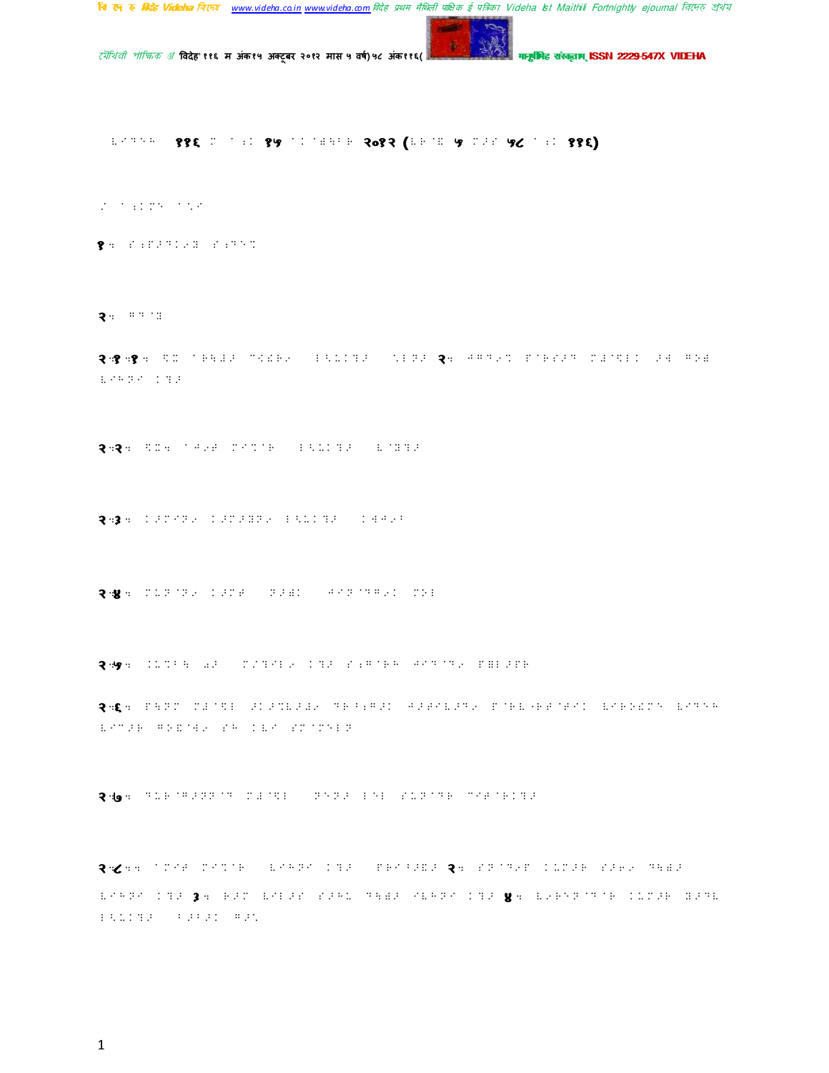ट्येथिती शांक्रिक श्री विदेह' ११६ म अंक१५ अक्टूबर २०१२ मास ५ वर्ष) ५८ अंक११६(

मानुमिह संस्कृतम् ISSN 2229-547X VIDEHA

**BEATTER SEE CONTROL SWORTH CREEK ROSS (BRITISH WITH ASSESS** 

 $\mathcal{I}=\mathcal{I}$  and the set that

generation assoc

 $3 + 3 + 2 + 3$ 

a a se a compresa a model de social do para a capalho presa proposicia e pela 金融中的 计单点

ReRecogne telephone and the common

2434 1987 2000 1989 2000 1981 1992 1993

Research the control of the control of the control of the control of the control of the control of the control of the control of the control of the control of the control of the control of the control of the control of the

awww.commental.com/makes/commental.com/makes/emising-

ERMORE PREMIER SAN IER SAM MORER

Rider Poetra administrativo de da conducta e inventado

RARA TIRE IRITE : ERPER ITES TERRIBES RE PRIME ITEDE PARA MARS areacting general areas specified the company of the general strength of the company  $\mathbb{E}[\mathcal{A},\mathcal{L}(\mathcal{A},\mathcal{B},\mathcal{B})]=\mathbb{E}[\mathcal{A},\mathcal{B},\mathcal{B},\mathcal{C}]=\mathbb{E}[\mathcal{A},\mathcal{C}]$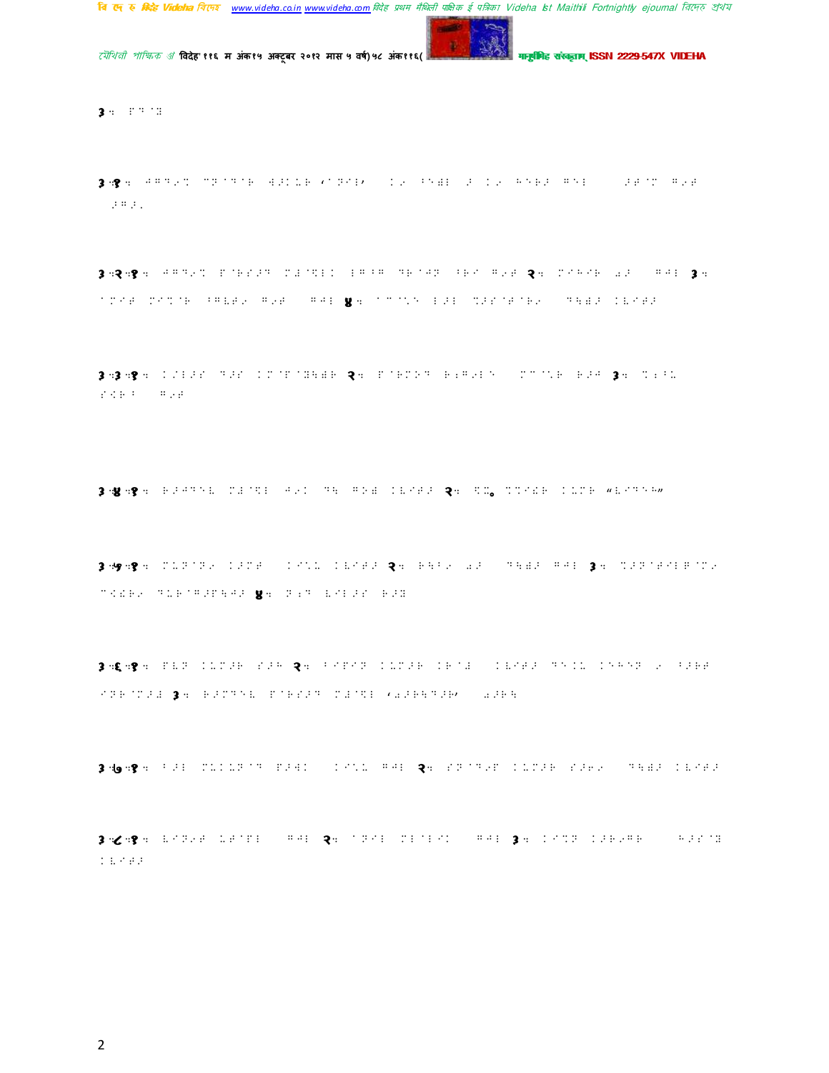ट्येथिती शांक्षिक अं विदेह' ११६ म अंक१५ अक्टूबर २०१२ मास ५ वर्ष) ५८ अंक११६(

मानुमीह संस्कृतम् ISSN 2229-547X VIDEHA

 $3 + 12 + 12$ 

重 優 有一种思想的是,你的你想不到,可以如此我们的时候,但你说,这样的目标,这么如果你的事情,那么我们 。 这是 的第三人称单数 ing a golf

SARASA (ARTES ESPECTS DESTELLEREN TRESPAR) PER REAL CONFIDENTIAL ARE SA TO DIRECTOR OF THE REPORT REPORTS ON A 1999 ON THE START OF THE CONTRACTOR CARDS OF

anang menurutakan makai bermenama bagian pertama masa kalimat menerikan dan masa bermenama 学生的 医甲基的

a a se se estado por porte de composiciones de la componencia de la componencia de la componencia de la componencia de la componencia de la componencia de la componencia de la componencia de la componencia de la componenci

TREES TO ESPECIAL RESIDENCE AND EVER

and the state of the state of the state of the state of the state of the state of the state of the state of the KOR TORE \$4 REPORT ENTRANCE ORIGINAL ARRESTED CORRECT

3 do 42 a 19 de 19 de 19 de 19 de 2010 - Estado de 19 de 19 de 19 de 19 de 19 de 2010 e 19 de 2010 e 2020

3 22 42 4 1 A 22 A 1 A 22 1 A 22 1 A 22 1 A 22 23 24 1 A 22 24 25 26 27 28 29 20 21 22 23 24 25 26 27 28 29 20 工业产品的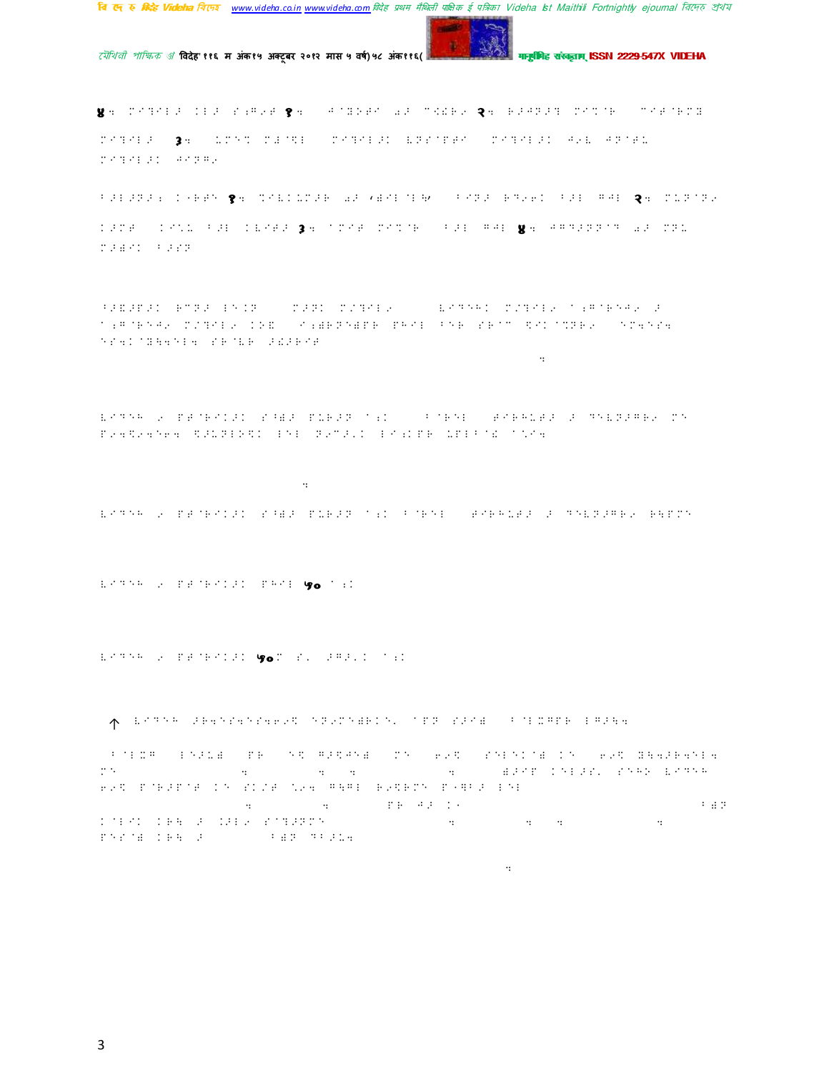*त्रीशिती পাफ़िक अ*विदेह'११६ म अंक१५ अक्टूबर २०१२ मास ५ वर्ष)५८ अंक११६( सालामह संस्कृतिक संस्कृतम् ISSN 2229-547X VIDEHA



४⣒!⣙2⢼!2⢼."⣐⢻⢴⢾!१⣒!!⢺⣝⢵⢾!⣔⢼!/⣊⣎⢷⢴!२⣒!⢷⢼⢺⢽⢼⣙!⣉⢷!)/⢾⢷⣝! ⣙2⢼\*!३⣒!!⣅⣉!⣜⣋2!)⣙2⢼!⣇⢽"'⢾0!⣙2⢼!⢺⢴⣇.⢺⢽⢾⣅0! ⣙2⢼!⢺⢽⢻⢴\*!

⢼2⢼⢽⢼⣐!?⢷⢾.१⣒!⣉⣇⣅⢼⢷!⣔⢼!'⣞22⣓'.!⢽⢼!⢷⢹⢴⢶!⢼2.⢻⢺2!२⣒!⣅⢽⢽⢴! ⢼⢾.!⣁⣅!⢼2!⣇⢾⢼!३⣒!⢾!⣉⢷.!⢼2!⢻⢺2!४⣒!⢺⢻⢹⢼⢽⢽⢹!⣔⢼!⢽⣅.! ⢼⣞!⢼"⢽!

⢸⢼⣏⢼'⢼!⢷/⢽⢼.2⣈⢽!.\⢼⢽!#⣙2⢴^-!\⣇⢹⢳!#⣙2⢴.⣐⢻⢷⢺⢴!⢼! ⣐⢻⢷⢺⢴!#⣙2⢴!⢵⣏!)⣐⣞⢷⢽⣞'⢷!'⢳2!⢷!"⢷/.⣋⣉⢽⢷⢴\*!⣒"⣒! "⣒⣝⣓⣒2⣒!"⢷⣇⢷!⢼⣎⢼⢷⢾!.Cbtfe!po!nt.trm!tfswfs!Nbjuijmj.

 $\mathbf{F}_{\mathbf{F}}$  is a substitution of the state of the state  $\mathbf{F}_{\mathbf{F}}$ 

⣇⢹⢳!⢴.'⢾⢷⢼!"⢸⣞⢼!'⣅⢷⢼⢽!⣐!)!⢷2-!⢾⢷⢳⣅⢾⢼!⢼!⢹⣇⢽⢼⢻⢷⢴!!\*! '⢴⣒⣋⢴⣒⢶⣒!⣋⢼⣅⢽2⢵⣋!22!⢽⢴/⢼C!2⣐'⢷!⣅'2⣎!⣁⣒!Bmm!uif!pme!

uif!gpmmpxjoh!mjol⣒!!

⣇⢹⢳!⢴.'⢾⢷⢼!"⢸⣞⢼!'⣅⢷⢼⢽!⣐!⢷2-!⢾⢷⢳⣅⢾⢼!⢼!⢹⣇⢽⢼⢻⢷⢴!⢷⣓'!

⣇⢹⢳!⢴.'⢾⢷⢼!'⢳2!५० ⣐!

⣇⢹⢳!⢴.'⢾⢷⢼!५०!"C!⢼⢻⢼C!⣐!

↑!⣇⢹⢳!⢼⢷⣒"⣒"⣒⢶⢴⣋!⢽⢴⣞⢷C!'⢽!"⢼⣞0!2⣍⢻'⢷!2⢻⢼⣓⣒!!

!2⣍⢻!#2⢼⣅⣞#!'⢷!#⣋!⢻⢼⣋⢺⣞#!!#⢶⢴⣋#!"2⣞!!#⢶⢴⣋!⣝⣓⣒⢼⢷⣒2⣒#!  $\mathbb{P}^{N}$  iuuq;00 yng de ster wynt gebruik in de ster waarden op de ster waarden op de ster waarden op de ster waarden op de ster waarden op de ster waarden op de ster waarden op de ster waarden op de ster waarden op de ⢶⢴⣋!'⢷⢼'⢾!!"#⢾!⣁⢴⣒!⢻⣓⢻2!⢷⢴⣋⢷!'?⣛⢼!22! ium in the following the following product the following the following the following the following the following the following the following the following the following the following the following the following the followi 2!⢷⣓!⢼!⣈⢼2⢴!"⣙⢼⢽!iuuq;00xxx⣒wjefib⣒dp⣒jo0joefy⣒ynm! "Been the street of the street of the street of the street of the street of the street of the street of the street

 $\mathbb{R}^n$  is the particle policy of the particle policy of the particle policy of the particle policy of the particle policy of the particle policy of the particle policy of the particle policy of the particle policy of t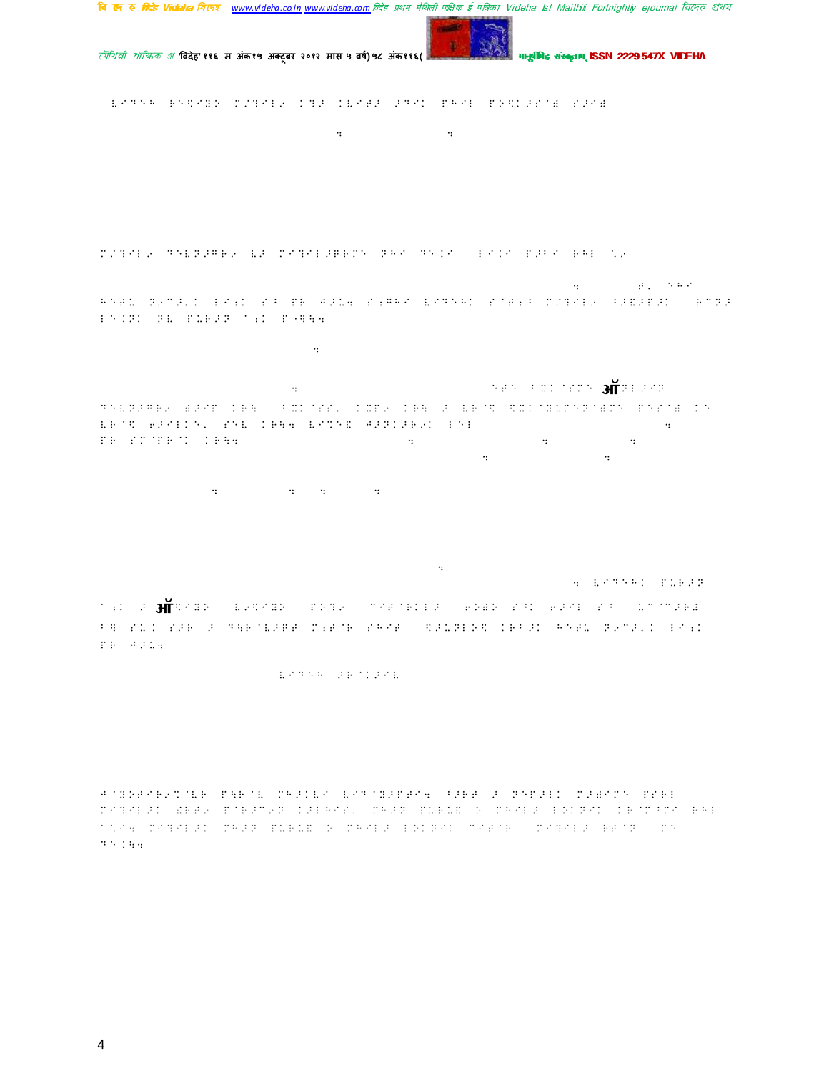**बि एक रू क्रिटेड Videha** विएक्ट www.videha.co.in www.videha.com विदेह प्रथम मैथिली पाक्षिक ई पत्रिका Videha Ist Maithili Fortnightly ejournal विएक्ट शेथेस ट्येथिती शांक्रिक औ विदेह' ११६ म अंक१५ अक्टूबर २०१२ मास ५ वर्ष) ५८ अंक११६( गानुमिह संस्कृतम् ISSN 2229-547X VIDEHA TERRAA EASKRED INSERED IS ED IERRAD DARKE EARE FEAST DE EERRE  $\mathcal{A}(\mathbf{u})$  and  $\mathcal{A}(\mathbf{u})$  are  $\mathcal{A}(\mathbf{u})$  . In the  $\mathcal{A}(\mathbf{u})$ TITERES (PALIFIPES) LA TRAPA APERIA (PAR CRAIR) ERICA ESPRICENTUAL **South Administration**  $\sim 10^{-10}$ ANAC DUMUS EXECTIVE PROFILE VIEWS EARN EXPANSIVATIVE CONTREUT PUBLICATION AND BAIN SE PLESS TELEVISION  $\mathcal{L}^{\text{max}}_{\text{max}}$  and  $\mathcal{L}^{\text{max}}_{\text{max}}$ i sas koonads añdeleze.  $\sim 10^{-1}$ SANDRAFES SEARCH DER CORDINATION DES CREE DO DE PRODUCEDIMATEM CENTENCIA ERIC RACEDO CORE DRES ECONDORADO RELOCATO  $\label{eq:2.1} \frac{d\mathbf{u}}{d\mathbf{u}} = \frac{1}{\sqrt{2\pi}} \frac{d\mathbf{u}}{d\mathbf{u}} \, ,$ TE STORE TO LEAR **CALL**  $\langle \langle \alpha \rangle \rangle$  $\sim 0.01$  $\mathcal{A}(\mathbf{u})$  and  $\mathcal{A}(\mathbf{u})$  and  $\mathcal{A}(\mathbf{u})$  and  $\mathcal{A}(\mathbf{u})$  and **Contract** THE EVANSE PIERRY

nation and the second company of the second company of the second company of the second second second second second second second second second second second second second second second second second second second second s FR VIDI VERF ROMANISER DVENN KARA ORIGINAL DELRI ANES DRUGS I FRA 中国 中央公司

 $\mathcal{L}^{\mathcal{A}}(\mathbf{E},\mathcal{L}^{*}\mathcal{B},\mathcal{H}^{*}\mathcal{B},\mathcal{B})=\mathcal{L}(\mathbf{E},\mathcal{L}^{*}\mathcal{L}^{*}\mathcal{B},\mathcal{B}^{*}\mathcal{B})$ 

A 1898 CE20 168 (FAB 16) CR216 C. 6 CR 182F PCA (F2EB 12) PSF211 (C236105) F2E1 CASAS AL SERA SERRATAR LABRAZ, CRAR EDROE DE CRASSA BODAL LECTRO PRE TO A 4 COMPARENCE ORNER ESPERANT A CORPORATION AND COMPARENT AND RESPONSE ON A 中国的海岸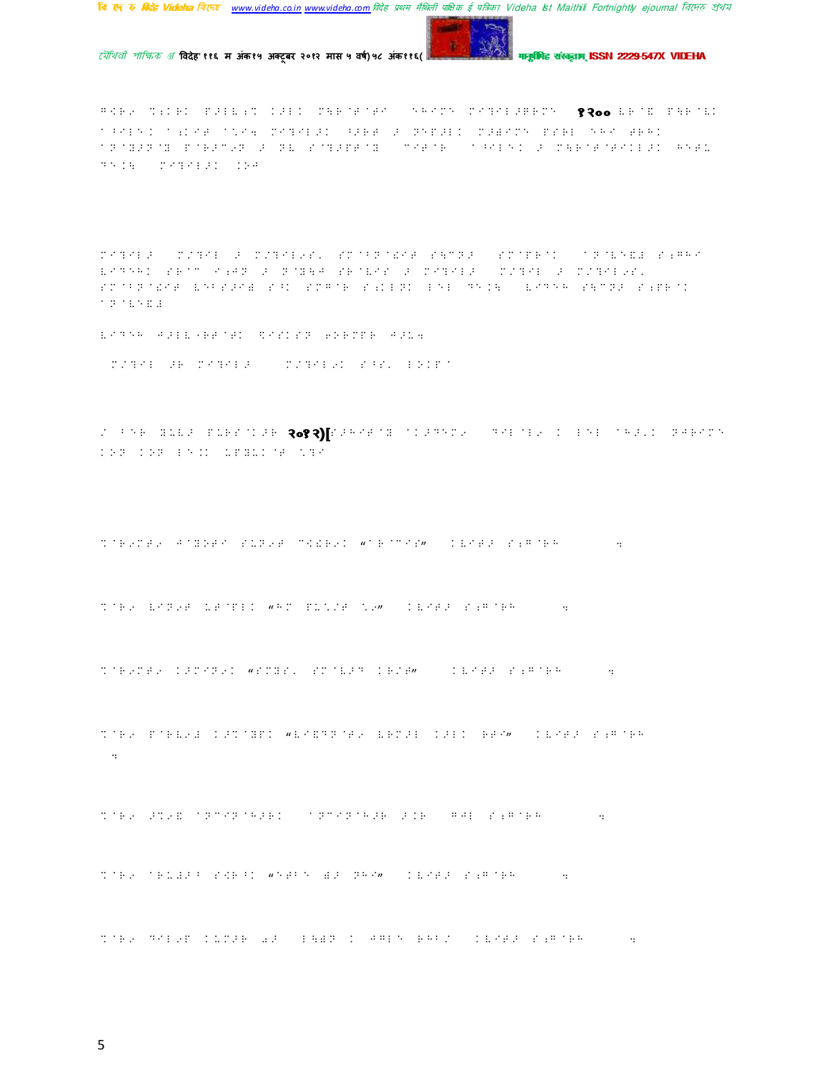ट्येरिती शांक्रिक अं विदेह' ११६ म अंक१५ अक्टूबर २०१२ मास ५ वर्ष) ५८ अंक११६(



। मानुमिह संस्कृतम् ISSN 2229-547X VIDEHA

ROBE COLD FOR EVERY COST CONDITATION CONTOUR CONTRACTOR CORPORATION FARING TRAFFIC TEMPER TORE CONTRESS REPORTED TO DEPART TO PERE THAT ARE THE TO POSSED SE O PERMINENTAL DEL CASO ERA PERMIENTO DO SUS PRESIDIOS DE CARDA EN 2010 ANABO HAIR CONTRICTOR

consideration contract in a concerta with the construction and a structure of the construction and a series ERSPARINGENT REPORTS ORDER PERSENTIAL DRIVER AND DOMESTIAL DOMESTIC. SCOTT PORTAGE INTERFACIONATION CONTINUES IN THE PROPERTY OF A CONTINUES IN A STRONG **TERMENE** 

a kompanierze zagrobe na przez zapisane przez party.

CONSTRUCTED OPERATOR CONSTRUCTION ARE TRACTED

Contract design a services (2023) presentation reserved to service the service serves too too aver the second the

TO TRIADIRIAL PRODIBIRIO INSIDERE OTRIBADO PATRIMO TOTA PARA DE SERVITA PROPEIDO  $\sim 0.4$ 

THE PAPER REPORT OF THE REPORT OF THE RESIDENCE OF THE REPORT OF THE REPORT OF THE REPORT OF THE REPORT OF THE REPORT OF THE REPORT OF THE REPORT OF THE REPORT OF THE REPORT OF THE REPORT OF THE REPORT OF THE REPORT OF THE

TO TRADRA COLORDADO MEDIREL CEDITALAM CORPANCIO COLAMAN EL PRIMERO  $\sim 10^7$ 

STEP PER BALA CASTER MERREPARA LESSA CARD PRAMI COLPARA PARA  $\sim 10^{-1}$ 

2011年9月, 这位这些人不是你的是个有这些的人。 不是你的是个有这些人这位是什么事的的人的经典不是有什么人。  $\sim$  100  $\pm$ 

THE REPORT OF STATE OF A REPORT OF A STATE OF A REPORT OF A REPORT OF  $\sim$   $\sim$ 

STEP TREPE CONSERVED TO BE A STREET OF A REPORTED TO BREAK PRESENTED TO  $\sim$   $\sim$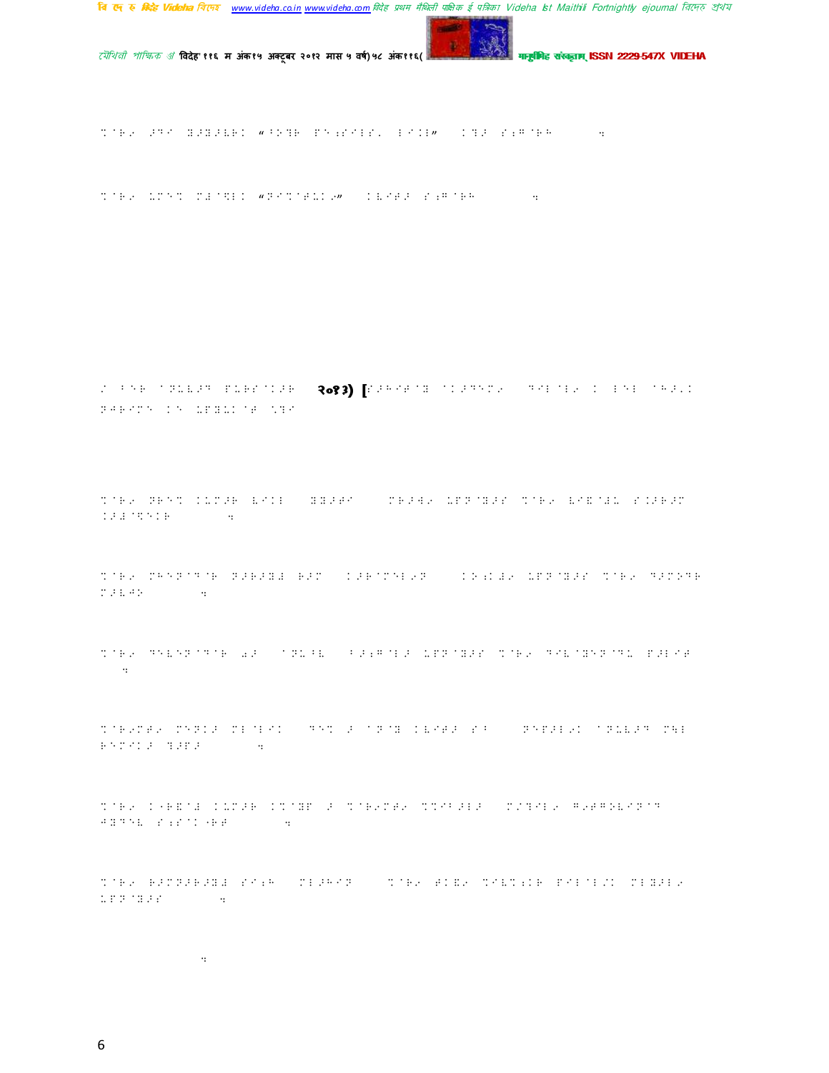ट्येरिती शांक्रिक अं विदेह' ११६ म अंक१५ अक्टूबर २०१२ मास ५ वर्ष) ५८ अंक११६( मानुसीनेह संस्कृताम् ISSN 2229-547X VIDEHA

 $\mathcal{R}^{(n)}(\mathbb{R}^n \times \mathbb{R}^n \times \mathbb{R}^n) = \mathcal{R}^{(n)}(\mathbb{R}^n \times \mathbb{R}^n \times \mathbb{R}^n) = \mathcal{R}^{(n)}(\mathbb{R}^n \times \mathbb{R}^n) = \mathcal{R}^{(n)}(\mathbb{R}^n \times \mathbb{R}^n) = \mathcal{R}^{(n)}(\mathbb{R}^n \times \mathbb{R}^n) = \mathcal{R}^{(n)}(\mathbb{R}^n \times \mathbb{R}^n) = \mathcal{R}^{(n)}(\mathbb{R}^n \times$ 

TORS LEAT TEST WELFARE TREES WAS INTERESTED  $\sim 100$ 

iz (Poelingbalan palezingae) (2003) [zakharia indianozia (Phermala in Boelinkali) SARKON IN LESLINE NEW

STEP PROTECTIVE ENTIRE SERVER TO TERRED CONTROLLED STEP SERVERS OF daareste in  $\mathcal{L}(\mathcal{L}_1)$ 

TO TRIA CORPORAT RECORDERED EN RESIDENCIA EN 2000 DE LOS ELEGACIONES DO TRIA CRISTARE  $\mathcal{D}(\mathcal{S}, \mathbb{E}[\sigma(\mathcal{Y}^{\mathcal{S}}_{\mathcal{S}})]_{\mathcal{S}})$  ,  $\mathcal{S}^{\mathcal{S}}_{\mathcal{S}}$ 

IN THE POSTAGE TRITH COURT CONDITION OF SERVICE CONDITIONS CONTINUES TO THE RESPONSE OF SERVICE  $\sim 200$ 

STREAMER STREEP SECTION TO PROVE CONTROL EXPERIMENT CONFIDERATION POLERNISTER **BATKID MORE**  $\sim 10^{11}$  and

direct president producer productive consecutive and conditional experience of Administration (ARA) (Control  $\ddot{\phantom{1}}$ 

STEP PROPERED A CONTEMPORTAGE OF STEP BOOKS STEP PRESENTS ON THE BAFA **SEPTEPE**  $\sim 10^{11}$  erg .

6

 $\cdot$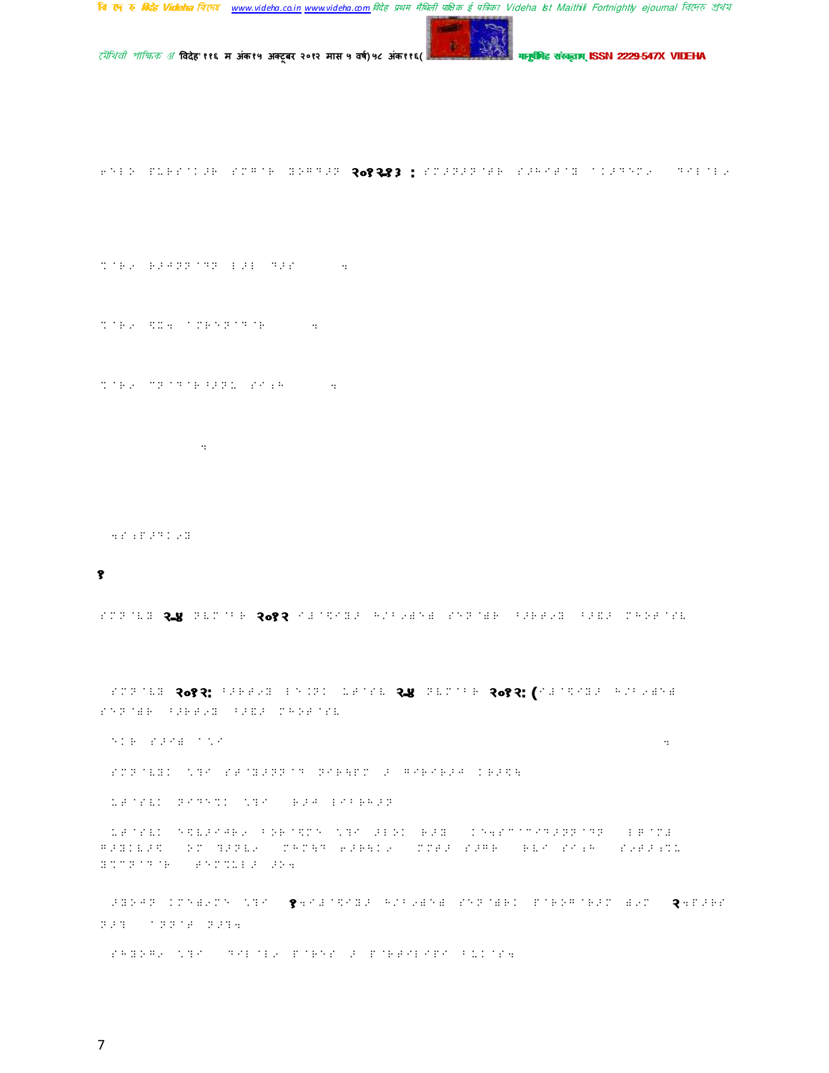*त्रीशिती পাफ़िक अ*विदेह'११६ म अंक१५ अक्टूबर २०१२ मास ५ वर्ष)५८ अंक११६( सालामह संस्कृतिक संस्कृतम् ISSN 2229-547X VIDEHA

⢶2⢵!'⣅⢷"⢼⢷."⢻⢷!⣝⢵⢻⢹⢼⢽!२०१२-१३ : "⢼⢽⢼⢽⢾⢷!"⢼⢳⢾⣝!⢼⢹⢴-!⢹22⢴!

⣉⢷⢴!⢷⢼⢺⢽⢽⢹⢽!2⢼2!⢹⢼"!!57⣒7&!!!!!

⣉⢷⢴!⣋⣍⣒!⢷⢽⢹⢷!!43⣒15&!!!!!

⣉⢷⢴!/⢽⢹⢷⢸⢼⢽⣅!"⣐⢳!!2:⣒53&!!!!!

Puifs;!!2⣒:5&!!!!!

2⣒"⣐'⢼⢹⢴⣝!

१

" CO2 12-3 Q. 2-4 0 º 12-4 2010 A 2010 A 2010 A 2010 A 2010 A 2010 A 2010 A 2010 A 2010 A 2010 A 2010 A 2010 A

."⢽⣇⣝!२०१२: ⢸⢼⢷⢾⢴⣝!2⣈⢽!⣅⢾"⣇;२-४ ⢽⣇⢷!२०१२: (⣜⣋⣝⢼!⢳#⢴⣞⣞! "⢽⣞⢷!⢸⢼⢷⢾⢴⣝!⢸⢼⣏⢼!⢳⢵⢾"⣇\*!

. As the contract of the contract of the contract of the contract of the contract of the contract of the contract of the contract of the contract of the contract of the contract of the contract of the contract of the contr

."⢽⣇⣝!⣁⣙!"⢾⣝⢼⢽⢽⢹!⢽⢷⣓'!⢼!⢻⢷⢷⢼⢺!⢷⢼⣋⣓!

.⣅⢾"⣇!⢽⢹⣉!⣁⣙.!⢷⢼⢺!2⢷⢳⢼⢽!

.⣅⢾"⣇!⣋⣇⢼⢺⢷⢴!⢵⢷⣋!⣁⣙.⢼2⢵!⢷⢼⣝-!⣒"//⢹⢼⢽⢽⢹⢽-!2⢿⣜! ⢻⢼⣝⣇⢼⣋-!⢵!⣙⢼⢽⣇⢴-!⢳⣓⢹!⢶⢼⢷⣓⢴-!⢾⢼!"⢼⢻⢷-!⢷⣇!"⣐⢳-!"⢴⢾⢼⣐⣉⣅! ⣝⣉/⢽⢹⢷-!⢾⣉⣅2⢼!⢼⢵⣒!

.⢼⣝⢵⢺⢽!⣞⢴!⣁⣙.!१⣒⣜⣋⣝⢼!⢳#⢴⣞⣞!"⢽⣞⢷!'⢷⢵⢻⢷⢼!⣞⢴-!२⣒'⢼⢷"! ⢽⢼⣙-!⢽⢽⢾!⢽⢼⣙⣒!

."⢳⣝⢵⢻⢴!⣁⣙-!⢹22⢴!'⢷"!⢼!'⢷⢾2'!⣅"⣒!

7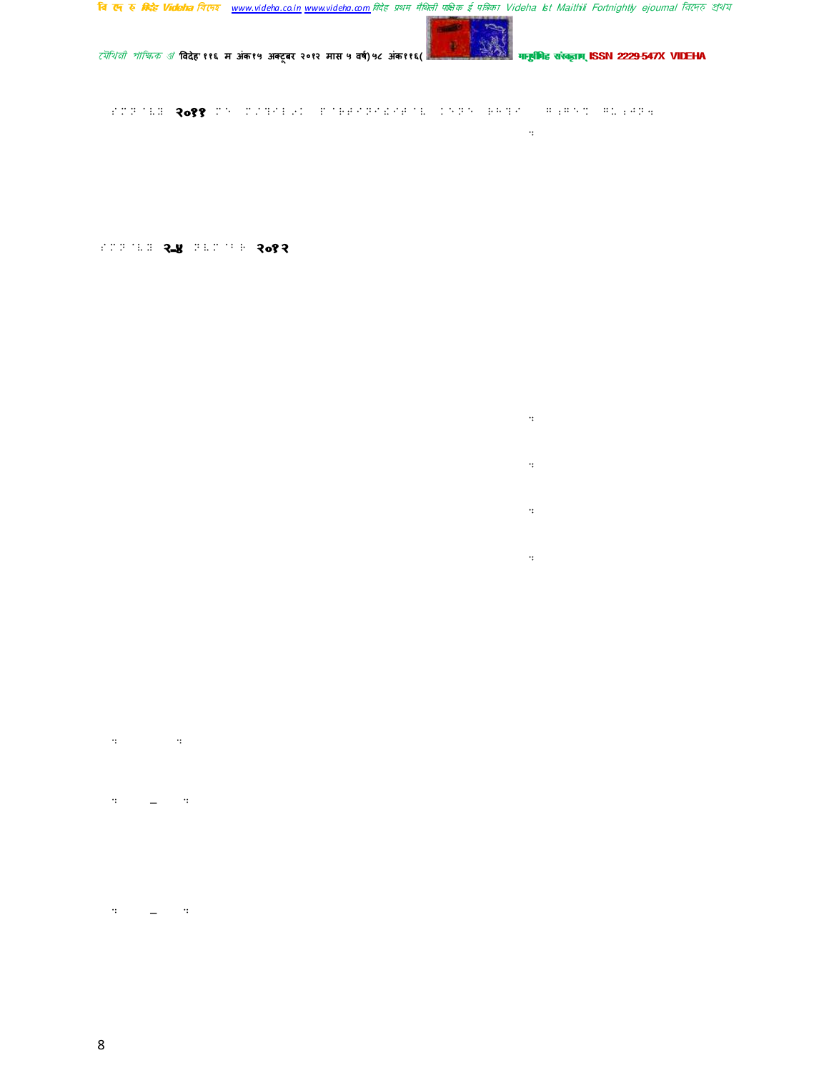$70 -$ 

*त्रीशिती পাफ़िक अ*विदेह'११६ म अंक१५ अक्टूबर २०१२ मास ५ वर्ष)५८ अंक११६( सालामह संस्कृतिक संस्कृतम् ISSN 2229-547X VIDEHA

."⢽⣇⣝!२०११ !#⣙2⢴!'⢷⢾⢽⣎⢾⣇!⢽!⢷⢳⣙.!⢻⣐⢻⣉!⢻⣅⣐⢺⢽⣒!

iuuq;00tbnbowbzjoejbombohvbhftgftujwbmqubzjoejbombohvbhtgftujwbmqubzjoejbombohvbhtgftujwbmqubzjoejbombohvbhti

"⢽⣇⣝!२-४ ⢽⣇⢷!२०१२ TBNBOWBZ!3.5!Opwfncfs!3123!

iuuq;00tbnbowbzjoejbombohvbhftgftujwbmqubzjoejbombohvbhtgftujwbmqubzjoejbombohvbhtgftujwbmqubzjoejbombohvbhtgf

iuuq;00tbnbowbzjoejbombohvbhftgftujwbmqubamana.combohvbhtgftujwbmqubamana.com

iuuq;00tbnbowbzjoejbombohvbhftgftujwbmqubzjoejbombohvbhtgftujwbmqubzjoejbombohvbkfoesbowbzjoejbombohvbkfoesbow

ius iuuq;00tbnbowbzjoejbombohvbhftgftujwbmqubanda.html

5⣒11.!5⣒41;!Jobvhvsbujpo!

 $5$ 56. –  $\pm$  50.  $\pm$  56.  $\pm$  56.  $\pm$  56.  $\pm$  56.  $\pm$  56.  $\pm$  56.  $\pm$  56.  $\pm$  56.  $\pm$  56.  $\pm$ 

7⣒11!–!8⣒11;!Pqfojoh!Sfbejoh!

8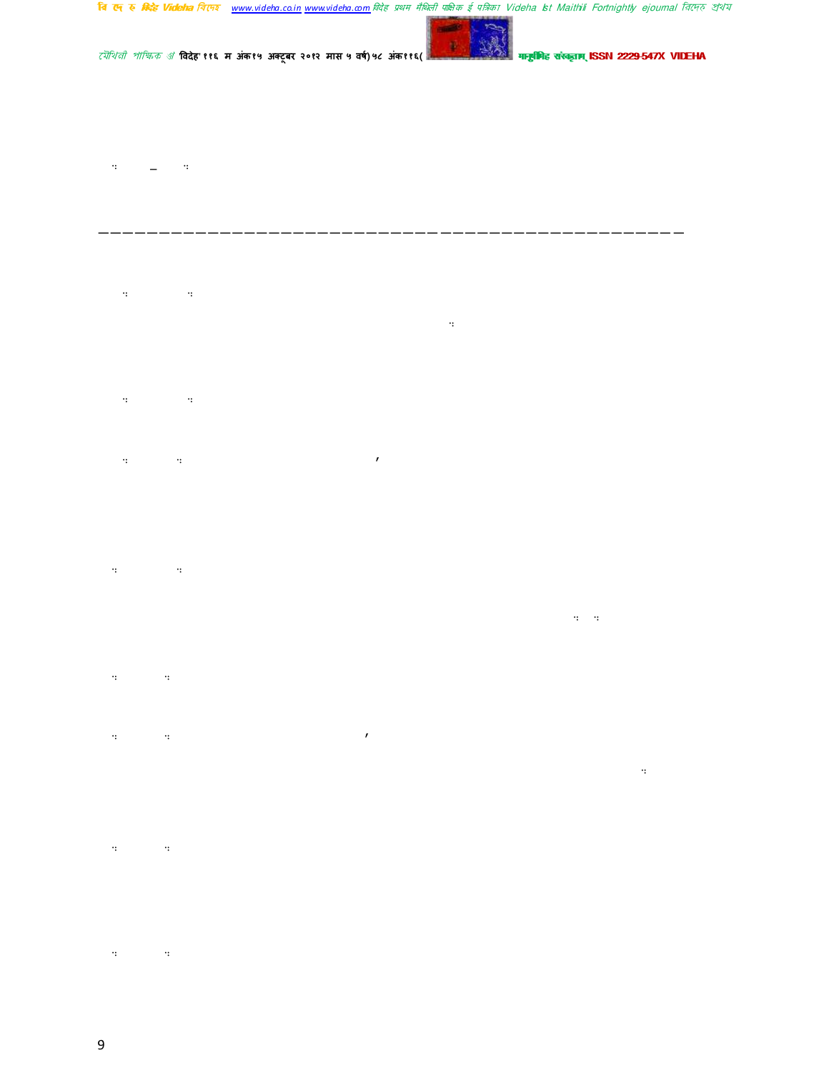*त्रीशिती পাफ़िक अ*विदेह'११६ म अंक१५ अक्टूबर २०१२ मास ५ वर्ष)५८ अंक११६( सालामह संस्कृतिक संस्कृतम् ISSN 2229-547X VIDEHA

 $8.9$  GeV  $\pm$  26.9  $\mu$ 

————————————————————————————————————————————————

21⣒41.22⣒41;!Nbojqvsj;!Uif!Jefb!pg!Obujpo!

Topic the United States of the United States of the United States of the United States of the United States of

 $22$ 

 $23$ 41.2 $4$ 

 $3$ 41.4 $4$  Mpc Npefsojujft; Topicstic the control of the control of the control of the control of the control of the control of the control of the control of the control of the control of the control of the control of the control of the control of th

4⣒56.5⣒26!Joufsbdujpo!

 $\mathbf{q} = \mathbf{q} + \mathbf{q}$  , and  $\mathbf{q} = \mathbf{q} + \mathbf{q}$  , and  $\mathbf{q} = \mathbf{q} + \mathbf{q}$ 

The contract state  $\mathcal{L}_\mathbf{p}$  is a set of the contract of the contract of the contract of the contract of

6.75.7 milion film Joejbo in Joejbo in Joejbo in Joejbo in Joejbo in Joejbo in Joejbo in Joejbo in Joejbo in J

 $\mathbf{R}^{\text{max}}$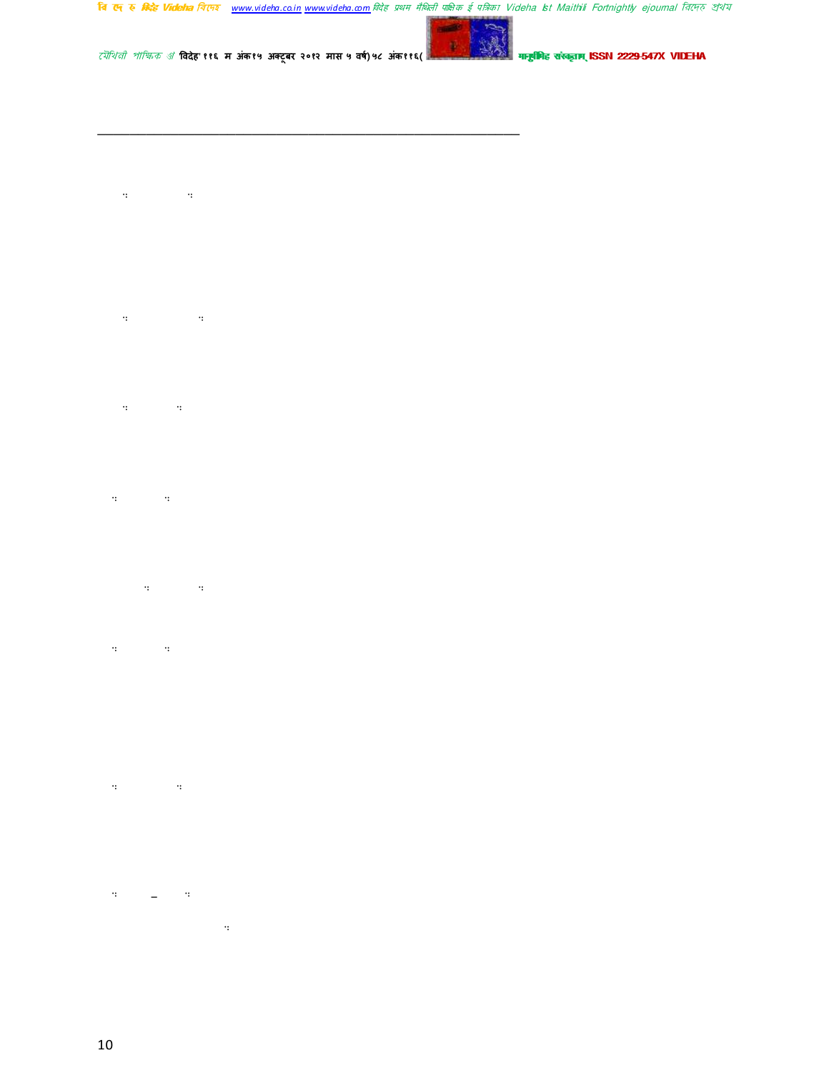*त्रीशिती পাफ़िक अ*विदेह'११६ म अंक१५ अक्टूबर २०१२ मास ५ वर्ष)५८ अंक११६( सालामह संस्कृतिक संस्कृतम् ISSN 2229-547X VIDEHA



————————————————————————————————————————————————————

 $21.21\pm22.22$ 

22⣒26.!23⣒26;!Gpml!Qfsgpsnbodf;!Qbe!Ebohbm!

 $23$ 41.2 $\mu$ 

3⣒41.4⣒41!Lbtinjsj;!Nz!Sfbmjuz-!Nz!Mbohvbhf!

25!4⣒56.5⣒26;!Joufsbdujpo!

 $\frac{1}{2}$ 

6⣒56.!7⣒41;!Njoe!Zpvs!Mbohvbhf!

 $\mathcal{A}^{\mathrm{H}}_{\mathrm{c}}$  (  $\mathcal{A}^{\mathrm{H}}_{\mathrm{c}}$  )  $\mathcal{A}^{\mathrm{H}}_{\mathrm{c}}$ Tablest; Louis the Community of the Community of the Community of the Community of the Community of the Community of the Community of the Community of the Community of the Community of the Community of the Community of the

10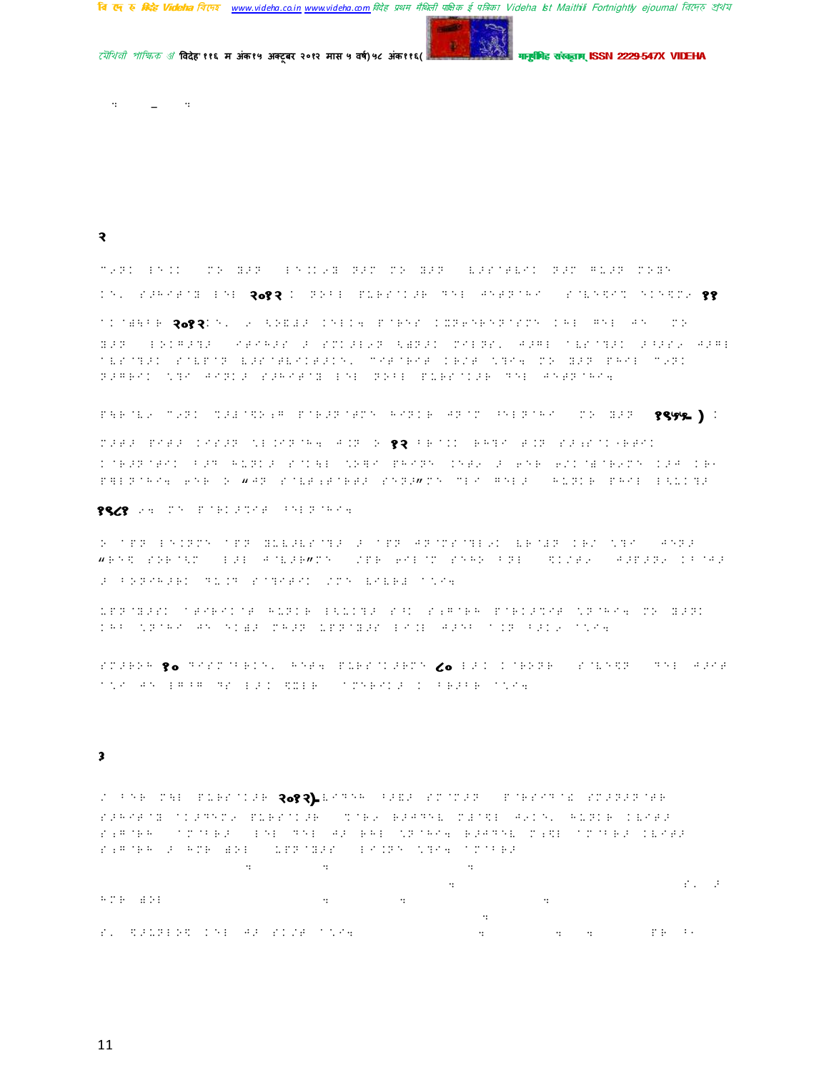*त्रीशिती পাफ़िक अ*विदेह'११६ म अंक१५ अक्टूबर २०१२ मास ५ वर्ष)५८ अंक११६( सालामह संस्कृतिक संस्कृतम् ISSN 2229-547X VIDEHA



 $8$   $\frac{1}{2}$  (  $\frac{1}{2}$  ),  $\frac{1}{2}$  (  $\frac{1}{2}$  ),  $\frac{1}{2}$  (  $\frac{1}{2}$  ),  $\frac{1}{2}$  (  $\frac{1}{2}$  ),  $\frac{1}{2}$  (  $\frac{1}{2}$  ),  $\frac{1}{2}$  (  $\frac{1}{2}$  ),  $\frac{1}{2}$ 

# २

/⢴⢽!2⣈!#⢵!⣝⢼⢽!)2⣈⢴⣝!⢽⢼!⢵!⣝⢼⢽-!⣇⢼"⢾⣇!⢽⢼!⢻⣅⢼⢽!⢵⣝\*!#! C'AU CERREALE EN 2002 I DAFE EDRES DUR PAR PARTER A CHEARAIN AINSIN 22 ⣞⣓⢷!२०१२C!⢴!⣃⢵⣏⣜⢼!2⣒!'⢷"!⣍⢽⢶⢷⢽"!⢳2!⢻2!⢺!#⢵ ⣝⢼⢽#!2⢵⢻⢼⣙⢼-!⢾⢳⢼"!⢼!"⢼2⢴⢽!⣃⣞⢽⢼!2⢽"C!⢺⢼⢻2!⣇"⣙⢼!⢼⢸⢼"⢴)⢺⢼⢻2! ⣇"⣙⢼!"⣇'⢽\*⣇⢼"⢾⣇⢾⢼C!/⢾⢷⢾!⢷#⢾!⣁⣙⣒!⢵!⣝⢼⢽!'⢳2!/⢴⢽! ⢽⢼⢻⢷!⣁⣙!⢺⢽⢼!"⢼⢳⢾⣝!22!⢽⢵2!'⣅⢷"⢼⢷!⢹2!⢺⢾⢽⢳⣒!!

'⣓⢷⣇⢴!/⢴⢽!⣉⢼⣜⣋⢵⣐⢻!'⢷⢼⢽⢾!⢳⢽⢷!⢺⢽!⢸2⢽⢳-!⢵!⣝⢼⢽!)१९५५- ) !

⢼⢾⢼.'⢾⢼!"⢼⢽!⣁2⣈⢽⢳⣒!⢺⣈⢽!⢵!१२ ⢷⣈!⢷⢳⣙!⢾⣈⢽!"⢼⣐"?⢷⢾! ⢷⢼⢽⢾!⢼⢹!⢳⣅⢽⢼!"⣓2!⣁⢵⣛!'⢳⢽!⣈⢾⢴!⢼!⢶⢷!⢶#⣞⢷⢴!⢼⢺!⢷g!  $^2$  T = 2  $^2$  T = 2  $^2$  T = 2  $^2$  T = 2  $^2$  T = 2  $^2$  T = 2  $^2$  T = 2  $^2$  T = 2  $^2$  T = 2  $^2$  T = 2  $^2$  T = 2  $^2$  T = 2  $^2$  T = 2  $^2$  T = 2  $^2$  T = 2  $^2$  T = 2  $^2$  T = 2  $^2$  T = 2  $^2$  T = 2  $^2$  T = 2  $^$ 

1986 Service Control Control Control Control Control Control Control Control Control Control Control Control Control Control Control Control Control Control Control Control Control Control Control Control Control Control C

⢵!'⢽!2⣈⢽!'⢽!⣝⣅⣇⢼⣇"⣙⢼!⢼!'⢽!⢺⢽"⣙2⢴!⣇⢷⣜⢽!⢷#!⣁⣙-!⢺⢽⢼!  $\frac{1}{\sqrt{2}}$  . The set of the set of the set of the set of the set of the set of the set of the set of the set of the set of the set of the set of the set of the set of the set of the set of the set of the set of the set o ⢼!⢵⢽⢳⢼⢷!⢹⣅⣈⢹!"⣙⢾!#!⣇⣇⢷⣜!⣁⣒!

⣅'⢽⣝⢼"!⢾⢷⢾!⢳⣅⢽⢷!2⣃⣅⣙⢼!"⢸!"⣐⢻⢷⢳!'⢷⢼⣉⢾!⣁⢽⢳⣒!⢵!⣝⢼⢽! ⢳!⣁⢽⢳!⢺!⣞⢼!⢳⢼⢽!⣅'⢽⣝⢼"!2⣈2!⢺⢼!⣈⢽!⢼⢴!⣁⣒!

"⢼⢷⢵⢳!१० ⢹"⢷C!⢳⢾⣒!'⣅⢷"⢼⢷!८० 2⢼⣈!⢷⢵⢽⢷!)"⣇⣋⢽\*!⢹2!⢺⢼⢾! ⣁!⢺!2⢻⢸⢻!⢹"!2⢼⣈!⣋⣍2⢷!)⢷⢼\*!⢷⢼⢷!⣁⣒!

# ३

#!⢷!⣓2!'⣅⢷"⢼⢷)२०१२)-⣇⢹⢳!⢸⢼⣏⢼!"⢼⢽!)'⢷"⢹⣎!"⢼⢽⢼⢽⢾⢷! "⢼⢳⢾⣝!⢼⢹⢴!'⣅⢷"⢼⢷\*!⣉⢷⢴!⢷⢼⢺⢹⣇!⣜⣋2!⢺⢴C!⢳⣅⢽⢷!⣇⢾⢼! "⣐⢻⢷⢳!#⢷⢼#!22!⢹2!⢺⢼!⢷⢳2!⣁⢽⢳⣒!⢷⢼⢺⢹⣇!⣐⣋2!⢷⢼.⣇⢾⢼. " < F THE STATE STATE STATE STATE STATE STATE STATE STATE STATE STATE STATE STATE STATE STATE STATE STATE STATE STATE STATE STATE STATE STATE STATE STATE STATE STATE STATE STATE STATE STATE STATE STATE STATE STATE STATE ST ius iuu qubti bolishi bolishi bolishi bolishi bolishi bolishi bolishi bolishi bolishi bolishi bolishi bolishi qpuij0Ipnf0Bncbsb`Sbkefp`Nboebm⣒qeg@buusfejsfdut>1!!"C!⢼! <del>h</del> Den ideel is the photograph of the phmf dpn of the phmf dpn of the phmf dpn of the phmf dpn of the photograph  $q$ nfo $\mathcal{O}(1)$ pnf $\mathcal{O}(1)$  is followed by  $\mathcal{O}(1)$  . In the set of the set of the set of the set of the set of the set of the set of the set of the set of the set of the set of the set of the set of the set of the se

"C!⣋⢼⣅⢽2⢵⣋!2!⢺⢼!"#⢾!⣁⣒!iuuq;00xxx⣒wjefib⣒dp⣒jo0!!'⢷!⢸g!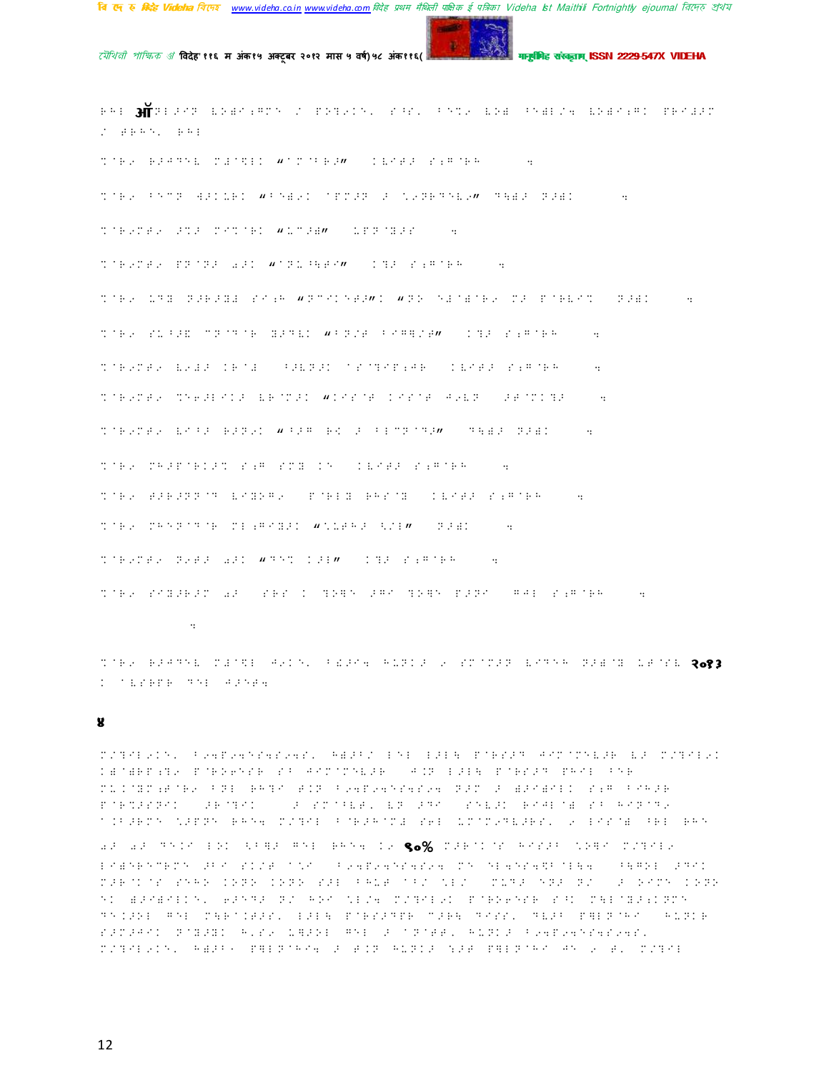

मानुबंधिह संस्कृतम् ISSN 2229-547X VIDEHA

ана **ай**лазия вракати и време, из ки, что вра чтаа врага вракате прикал  $\mathcal{F}=\{p,p,n,\gamma\}$  , where  $p$ 

CONFIDENTIAL CONTRACT WORTH FRAUD CONTRACT PORT OF (1) "中国一大学"广告"、推进工程中的一家大学研究工作、"广告"的进步、进行"气氛"等中学生设施、"学生研究"、基础研究、"广告"、"一等" CONFIDENTIAL CONTINENT WORLDWID CONTINUES TO THE "如果要是是要是一定是不是是一面是如今或许是如果在是不足了。"如果是一定性用于新开口。 一座 CORPORATION DIABATE CONTINUES WITH CONSTRUCTION CONTINUES TO A CONTINUES TO A RESIDENCE OF A RESIDENCE OF A RE CONFIDENTIAL CONTROL CAPACIDO NA PIARTE APPEARATION CONTROL AND CONTROL CONFIDENTIAL AND A CONTROL CONTRACTOR CONTRACTOR CONTRACTOR CONTRACTOR  $\sim$   $\sim$ CONFIDENT CONFIDENCIAL ENTRAIC WORKING OF CONTINUES AS A CONTINUES.  $\sim$   $\sim$ (1) "中心的是这个主题的主题,中国是这么多就是主题的中国的是一些主题的是不是我们的一些有益是一些是益的。" (1) 在 STER TRAFFECAS PORT POST CATALOG CAPACINA PORT TO THE A CHARACTER THAN A RESERVATION OF THE BIG OF HER TISSUE OF A SUBSERVATION OF  $\sim 100$ TORS TRAPTED THE THREE WILERS IS A FRAME OF  $\sim 100$ TO REPORT A CONFIDENTIAL CONTACT OF DELIVERING CONTACT A REPORT OF  $\sim 100$ 为了新业人的作品进制进的"国建"、"的新业"(1)。因为用户、进用户、其实用户、的进展行、"用户主、"的设施了新科技、"一度

 $\sim 0.1$ 

STERN ERANNE SERIER ARTNU FERRA PROFIN DE POSTSOR ERNA DRESE ORIGINE QUE CONTRACTOR STATE SPECIFIES

# $\mathbf{y}$

TO THE 2015 LOST 24 FOR PRAY 24 FOR DRIVEY AND LOST ACTIVITY OF A POST TO A BOARD AT COURT AND dia na katalogina ne banara koany keminting belas korena da tahan antaran satu na kalikuwan TO I TET BETER (FIRE) EREK (BID) FRATRANSBRIAN (DRIV) ROBERTI (SIBF) FRARE 第四章的法的变形如 人名英格兰姓氏加尔尔 人名英格兰姓氏英语 计数据分类符号 人名英格兰人姓氏德斯特的变体 的复数医多发性贫血 TIC ARD NO CARBNO RENE COVIDAR OF TRAFTO ACRES CONTINUERAL ON CRIMINAL FREQUENT

AN AN TEND BOST ARRESTED BREAK ON SON THROUGH RESERVATION TO THE 生产量为新型的数学为一项标准。最高的第一个成绩。一支设备都是在原因是最高的一些方向的标准与的数据的标准有限。 s sampa sampa TURE TECTRO ROMAN ESSENCENDENT RUR OM MERCEDO DE LOS CELEBROS ONDE SUS CONTENTES SON NI SEAREREIN, SAANSA SALIANA (1878) TISTA AL ENGANARE SAN OTSENEDANISTA PRODUCE PRESIDENTIFICATION ESTATISMENTE IN ENTRANCIMENT DE PROPERTIES DE L'INDIA RADARKI DIBABI PURA LEADARKI ATTARIKA PODER PARTARANTERANT 的过去时的复数形式 医单联杆菌 的复数的复数形式 人名日本的第一书的英语名 在这里,我要把这里有一个一件的人或人来了。我的生活不能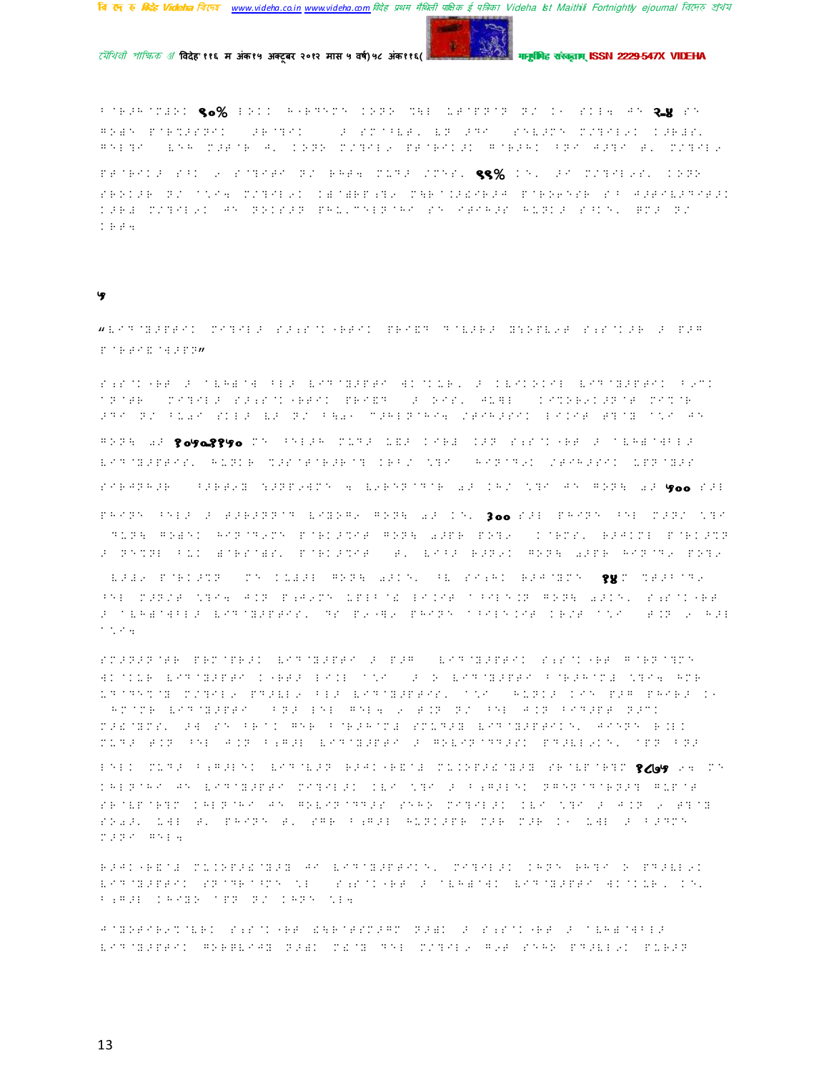

मानुबंधिह संस्कृतम् ISSN 2229-547X VIDEHA

PREPARTED ON BOY BOILER PRESENTS INTO THE CONTENTS ON THE PIER PREPART OF ROBA PORTAZZATU ZAPORTU ZA RIOGRADU EZ PAGUARA ZANEZIN ITZEGRADU IZABET RINE BALL ENRICO BETRO ROLLO DO SE CONSERVEDO DE TRANSICIO DA PROPIA RELIGIO DO BALLA

TE DESCRIPTION TEST COMPANY AND REPORT OF THE CONTROL COMPANY OF THE CONTROL OF THE PROPERTY an babar basa sa tanya sa taon dan sanya da tanyan sa tanyanya sa tanya sa kanyanya sa tanya na kaominina da t 医眼垂体 的复数经复合的 网络人类英语的复数 的复数医假性生殖性病的 的复数人名英格兰人姓氏英格兰人姓氏斯特的变体 医动脉下腺炎 工业单元

# **Lg**

WERP TEACHER TO CREATE A GRANT CHARGE CONFIDENT PREADS CONSIDERED AND TO ARREST  $\mathbb{E} \left[ \begin{array}{ccc} \mathbb{E} & \mathbb{E} & \mathbb{E} & \mathbb{E} & \mathbb{E} & \mathbb{E} & \mathbb{E} & \mathbb{E} & \mathbb{E} & \mathbb{E} \\ \mathbb{E} & \mathbb{E} & \mathbb{E} & \mathbb{E} & \mathbb{E} & \mathbb{E} & \mathbb{E} & \mathbb{E} & \mathbb{E} \end{array} \right]$ 

Speak of See Countries and a resource and the countries of the countries of the companies of the second section nder earlie CONSTRUCTIVE AND CONFERENCE CONTINUES IN A SERVER CONTINUES AND THE CONTINUES. and the study and a substitution was important and and and the control of the second state of the state

ERS TEATRICES (ALDIENTORINEN ERSTE ANTIFICATION ARDITAL) DER ARANDI LETA TEAT TRABBAS SAREVERS BIEVESPRING BALING INC. PROFESS BAR MOO PAR ្មានដូចដូច អ្នក

anterna de la cala de la parte de la calación de la calación de la calación de la calación de la calación de l TRORA PRESIDIRARINGEN EIGISTAR PROFESSORE ESTA DI TECELO BSAICE PIPOSI 这一次在世界上,不会了一番的复数的最高。一起的复数形式是一个男人,由于不是一般是我认为,因为我有一面是我更一种的我的男人。我会生活

TESES PROPOSO DO SEGUEIRO PODE ESCOL O EL PARADO PARTICO O **VI**DO DE ARTICOS. ANE COUPUR CERA PRIP BARVON ISBENIS ERIPE CIPENTIS POP BUSH ASIN'S RASIONE 法人的法庭审计基本主义人法院的过去式和过去分词 计特别分析法 计单位存储 人名法阿尔德 计程序 计中心结构 人名英格兰人姓氏沃尔德的变体  $\mathcal{F}(\mathcal{F},\mathcal{F},\mathcal{G})$ 

a posso de el medio pelo ciudad do segunda i mortir i alcando segunda a concelerir respondo. AD TODA (BRITISARAK) DIKABU (BRID) TINY (1920) BRITISARAK (PITARKITS INTRA-PITA DRIPARTIE TOTEKES ERREES FER BARTEREKT. IN NAT FADRIK I FAR ERRE ERRE - 유전 100 B - 최근 제10 3 B B 주 시 시 지 정보 시 E R E 시 프 R E H 시 모 시 B (18) - 정보 시 지 R E 시 프 리 정보 프 프 - 정보 M D (18) -的复数计算的的过去式和过去分词 电电流电子电容电子电容电子电容器 人名英格兰地名美国法罗斯 的复数的复数形式 医神经性贫血病 经过分 TORP PROFILER PRESENTED PREPARED A CONTRACTOR PROPERTY AND CONTRACTOR CONTRACTOR PRO

a na bilimbin alikan asl na kani ta a bilikan ke amali mbibana bilana ilibe ta marana gide la kilimn I REDIRY (RN) EXPIDENT CONTROL DE L'IEV (NOR) E FERENI DEPRESENTATEDE (RND) ana na mia amin'ny faritr'ora dia Grand Caragan (ara-dahirana dia 1999) ara-daharanjarahasin'ilay kaominin ROBRA, 1941 R. PRANCES R. REB. FREDE SCOLOIRE CAR CORP. 1970 LAI A FANCS paper and 4

BOAT FEETS COLORES CORPORATION CONTINENTS AND THE REPORT FEET OF CONTRACT A 电子生产基础的表达的 经费用供单 的复数医学生的 经合同的债务 医卡斯特氏试验检血清蛋白 电子生物量调整器 人名拉尔加亚斯 计自动化 FURNISHMENT TERMINENT NEW

RICBOBRESCO (EBC) (VISSO) CHER (VISSO) CREDITARO (OS ALICO VISSO) CHER (VISCO) CERRECENTES ERRIT SER BARTO CIRDA BERRABO DI BELO DE SECONDO DO STORIA E CALA CARDO DE BRATO DE SERBEDO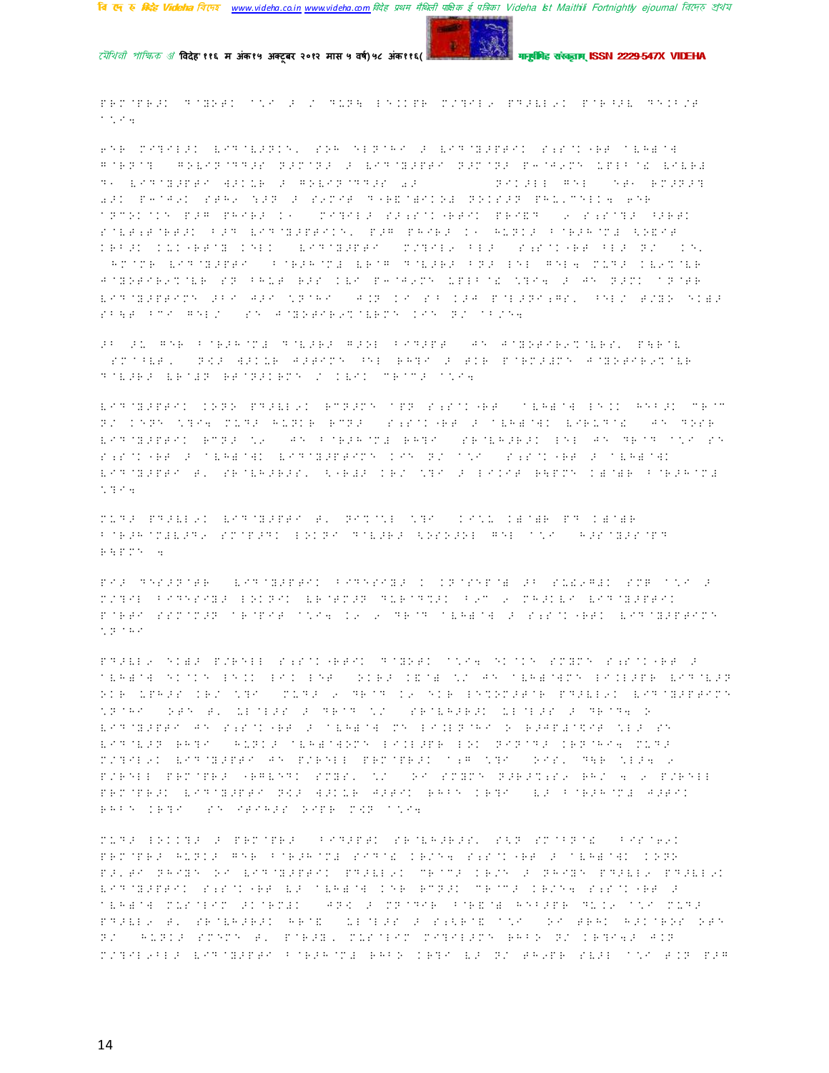

मानुबंधिह संस्कृतम् ISSN 2229-547X VIDEHA

ERC TERRI (PITORE) (TIVILIA) VI PURA ENVIDER (CVINER) EPROBRI DI ETRIRA PRIVILIA  $\gamma$  -type  $\gamma_2$ 

新华县 的复数生物学生的 电影中的电话类型的人 的复数形式 医生体内积 经人工工业的 医白细胞性黄疸 化二聚苯胺 化二苯基 人名英格兰人姓氏 RITE 2013 - IR PER 2013 PRAVID 2020 1201 - LA RITE 2020 2020 12:20 PROPERTY DE ERIT DE L'ERE ES de la provincia de la partida de la población de la partida de la SAL PROFESSIONER POSSESSION CONTRACTORER DE CONSIDERATION EN LONGISTE PROFESSION The Starting Council TO TO CASH TO PURPOSE A CONTRACTOR AND A REAL PROPERTY STANDA EDIDA ALTERNATIONES DE ANNO 1999 EN CONTRADO DE LA CARDA DE LA CONTRATA DE LA PARTE 1930 Block Carl Care Control Control Care Control Control Control Control Control Control Control Control Cont SADIOE SERPIDEERRO SA TEERTOOL EETH PROEPER FERSIE PAESE DOORES EERDOOE A TERRYBAN MER SER SENER BAR TERS BASEN (DEER MESSON) AS SAN DATIS TRE EVA 1878-1979 (23 K) 426 (1978) (23 K) (34 K) (23 K) (23 K) (33 K) (34 K) (34 K) (34 K) (34 K) (34 K) (34 K) an each minimise of the and a research search in the contents of the

法未认法 医二甲基酮 人名法斯夫格尔斯 法一件法庭 机装入机 医法庭性心包 的复数新闻 人名英格兰 医前庭支持的 医牙状的 计数据 医子宫切除术 "学习",我知道,"一定是这个可是如此的,可是是不是什么?"我们的书籍不同说,是如此,"我们的学习是这个人"的"在这是不是这么不能的 POLITIC LEOLE DE CARDIDADE DO COLORADO PERMITORIAL

ERSTEDERAD DASA ESPEEIXO ESSENTIFES ANNO 48 - COERECA EN CORPORADO SE DI 1989 STEATH DIRE PORT AND THE BOOK OF PRINT HE UP STEATHED EVENTURE SHAPE PRES 电对称对重要的表达的 电内装法 人名英格兰人姓氏卡利的变体 化二苯甲基苯 人名英格兰地名美国英国英国英国卡伊尔 计中断文件 计文字设备 ana and o election of a warround on a statement of the control of the control of a statement of the warround of EVA TEXENA DEL PERSEREZO, APERA DEL SER LA FASAR ENTADO ESTE PRESEREA 大性の 40

的复数形式 的复数形式 人名英格兰人姓氏普里斯的变体地名含义是古巴人姓氏卡尔克的变体地名含义是中世纪英语含义是中世纪 A TERA TOBERA E SOTERANO ESCOR E ALRER ASSISTARE EN SECTIONE E ARTIGRATORA **BAFTS** (H)

ERA A PREADRES CONSTRUERENT PROPERDE TO TO TEST DE LA CENSARIA EST ETA CONC CONTRATION ARRAIGHT TO DESCRIPTION AND ARRAIGHT AND CONTRACT CONTRACT AND ARRAIGHT a neek aan maa negeka hook oo waa ah haad aad a aad baad aad ah ee ha  $\eta$  parameters

ESALES SIEL EVENIE VEENTURENT SCIENE TONE NOTON EVENTURENTERS DE na kana isinis asti akin akin askeo si bada na na nyi saso abana na bada abadan sa sana DIE CERPAN IEU CENT CONTROLE PROFINE DU PIE ENDDUCCE EN PRAELENT ENFORCHEMENT 人类的身份。 医鼻内侧鼻炎 人名斯特里诺斯 法人员联合员 人名英贝尔 的复数人名英法斯法尔 医生的性质的 法人员联合员委员会 EVA TESERA PARTIESE TERRA SUR ERECTE SON ER DE ARMEN DE REALES TORRES DE SINTE CADED ACTERATIVENTS IN DEPENDENT DRUMPTER CERTIFICATION al composition and many CONSTRUCT ESTIMATES AN INSTRUMENT PECTIFICATION ENTITY SACTO TEE SERVERS. EVENIS EPOTERA (PRENTO EDEL CO CONSTITUTO ARREGIA PRO membre ad l'espagament daga l'espose l'asendo elegant de mai l'espos grese presentares BARN CENTRIC STATES AND PLANES CONTROL CONTROL

TORA BALLEA DE BETTERA (PARABAL BETERARA), BAR PINA BITAR DE L'ANTI IP RIDITIR A CANDIDA CARA E CA TRAPITURA INTERNA CONSTRUITO DE PRESENTE DE 1930 E 1930 and an abended by any manded and an internal party of the case of the components of EVA MESTRADO E EN MORAL ES COEREMA O NA CAMA DOS CONTINUOS EN SER MORAL E TERENE DE TERMINATO DE MEDIELO DA PARA LA IDRIMARCA NA MARCIA A SARRA DA SELICA O MEDIA ESPARED DEL PERSERBEI PRESEDIDE SE SEDE DER ERESE SONO DOS PERRIDERIS PROPERT dio endore prene el meredo indentero negerare este dicidente a DOSPHER FER LEVER SERIERS IN THE RIST OF HIS DOUBS ON THE REPORTED BEEN IN THE COUNTRATE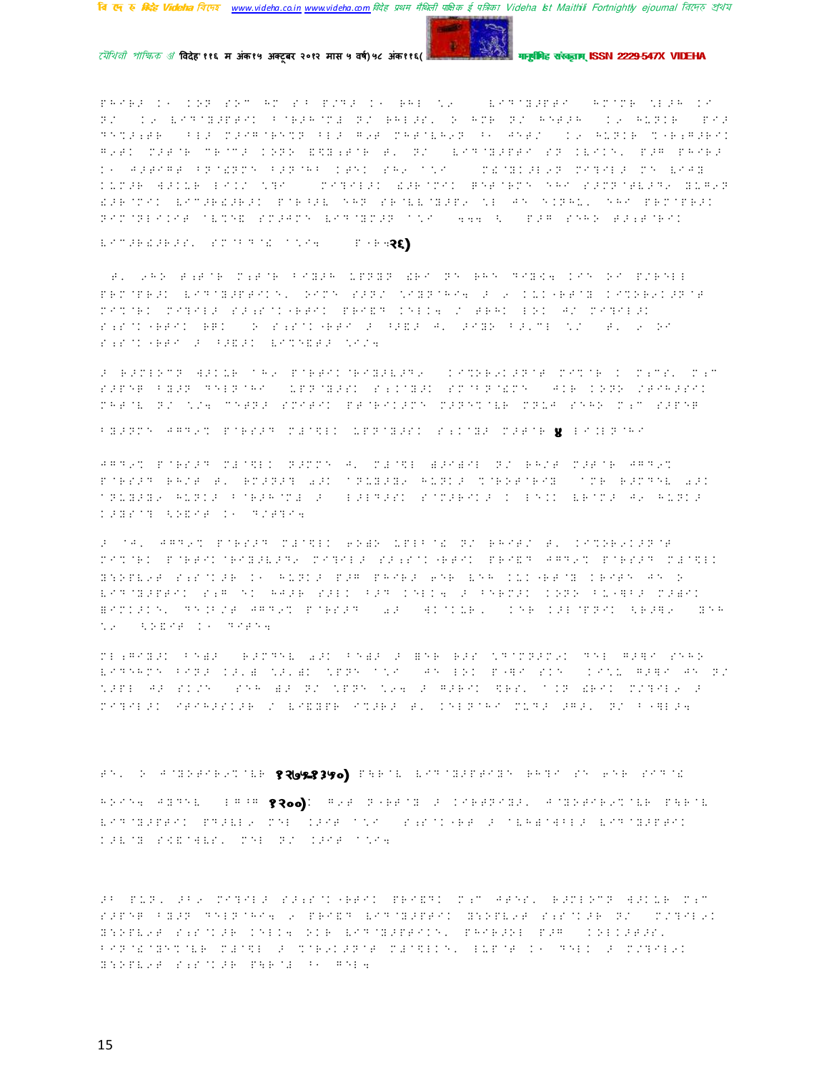

मानुबंधिह संस्कृतम् ISSN 2229-547X VIDEHA

ERREA DE DOR EST PET AT ESTADO DE PRECISO DO ERREA O RITIRE NESERVIA BU LOS ESTIBIES L'IMPERIDE BURBER DE L'ESTRE BURBER DE L'ANGER LOS ESPIRE L'ESP MATAGARE (1982) TARRINGATO PEA (RARITERAR PRINTS) AND CIA (REDIGIO TREGRARIN ROBI (2008) RESIDENTO (1989) BRB ERIE (B. COD. CERRITBORBRICKO (18715) (BORCORRENA CONVERTIBLE EXCLUSIVE TO NATIONAL BARANCE PRESENTS THAT PARTICULAR CONTROL BOARD ESPECTIVE ENTIRESPECT (ECEPTE PRESSENTE CERTE CONTROLS POSSES) SANCTERITIERES 我们的时候都可以看到了"我的方案,我的是我的方向我们在的是我们的人的人。" 海海海 人名卡尔斯法弗尔 的方程序 计数字字符 经济的

(おどの見事者見事決定)) (全部の形成の個人のなど年)  $\mathbb{R}^n \oplus \mathbb{R}^n$ 

i al composa a la recipila de la coda el cobodo caes. On caes consodis considera poesa el ESC TESAT LEVA TOARBVINT DATA LEARD DATA PAR LA LA LITTLE SEBTO DATASADAR DE CACTES CAPABALA VALENTS FERSON PERPOST STESS ON PERSONE DI PARTICAMENT anaando keesti eesti on bilanaando keesti dii kusub sahil dagaalka addina on bilin aan oo sobb FARTY REPORT FREED ENTHER CONTA

DE L'EDITE POR L'ADICIE L'ON AU L'ESPERIT DE PODREDIA DU L'ON COREDO DRIVEL COPO DE LOS CONTROLICIONIS RAPPEL FORD I PREDIDENTI I DEDITORED I REDIODO I RICHA DI RICHI I PER I DODI I CRAPAREDI TRANSE DO COS CONTRADO ESPARAS ERROPAS DO CODO DER CODOR EN PORTUCIO ESPARA

is diversion experimentary indicates in presentation and the contexts of the context.

REPART ESPARAR DESPESSI DAPPA (P. DESPESSIARE EL P. PERSENDAR DE PRIMERA BIREZAR ERZE EL EDADARI GALI TALBADA RUDIA DIREZENEKO ILIDE EADRRE GALI TORDOROS PROPIS PERPENDO DE PERPENDO ENTRANCES DE ENTORESTA EN PRESERVA formation about a companies.

VEL 1811 LA RAVIO LE 1891A AL INGLIS LA PADELLICE E LOCALE DE PARIS LA LICENSIA DE PROPERTATORE disperso al le ser coda llocal a codo al espacial de la a al sus sus sus ser considerar a la coda ERS SEPPRO (PER 151) PROFINED TO CONTINEIR DE CARPETAL LODO CONFERENCIA BRODUCK, TRIDUCE PRRUD ESPECIAL SELLIGE, LONG DE TOUR TERRO SERVE L'ANGER No. 3 Robert Co. Strange

TE ERCBUS (FINED), BUSTANE (2011) FINED (D) BINE (BUST (18 17 000 TV) (8 NE) RUBY (SNR) EVANNEN FRAG ISLE NAVED NEAR TORT FAN END ERRY FON TORNE PARK PRO tari ka kito jene je se je drugi transtva ja easki peski jih naski indikati DY BYB 21 (YARY R2Y12B) DI BYB BYB (YOUR 2004) TO SE BIRY (DIR 2002) 2821 (DD 0304)

RAL DE RIDRECEUSILE SQUASSO) PERSIE ECTIVEMENTS EPTR EN LES PRESIENTS

ADVISE ROSSEL LERIR \$300): RUB DIEBRIO DI CREBRIODI, RIODBREDI DER CERTE EVA MEREVI (EARED) DNE (1978) TOY (French HE DO TEAEMER DEVANTERENT TURE TO CARACTERAL CONFIDENTIAL CONTRACTOR

SPECTIVES SPECTATION CONTROL CONFIDENTIAL CONTRACTORS CONTROL CONTROL CONTROL CONTROL RUSENE (FOUR CANSO TAKE) DE PARA EN SEN TOURER (1) ONDER DE REPORTUUR (DE COUPONAISE) dabrase aardise installate art dabraserin. Peresa irse italisesse A PORTE TOP DITE BILIDIE FOR LICENSE ADDITION DE TOPO LICENSE DE L'ANNE DI LA LIDIDIE FESTIVA dayrılar yazırdan randa sonunda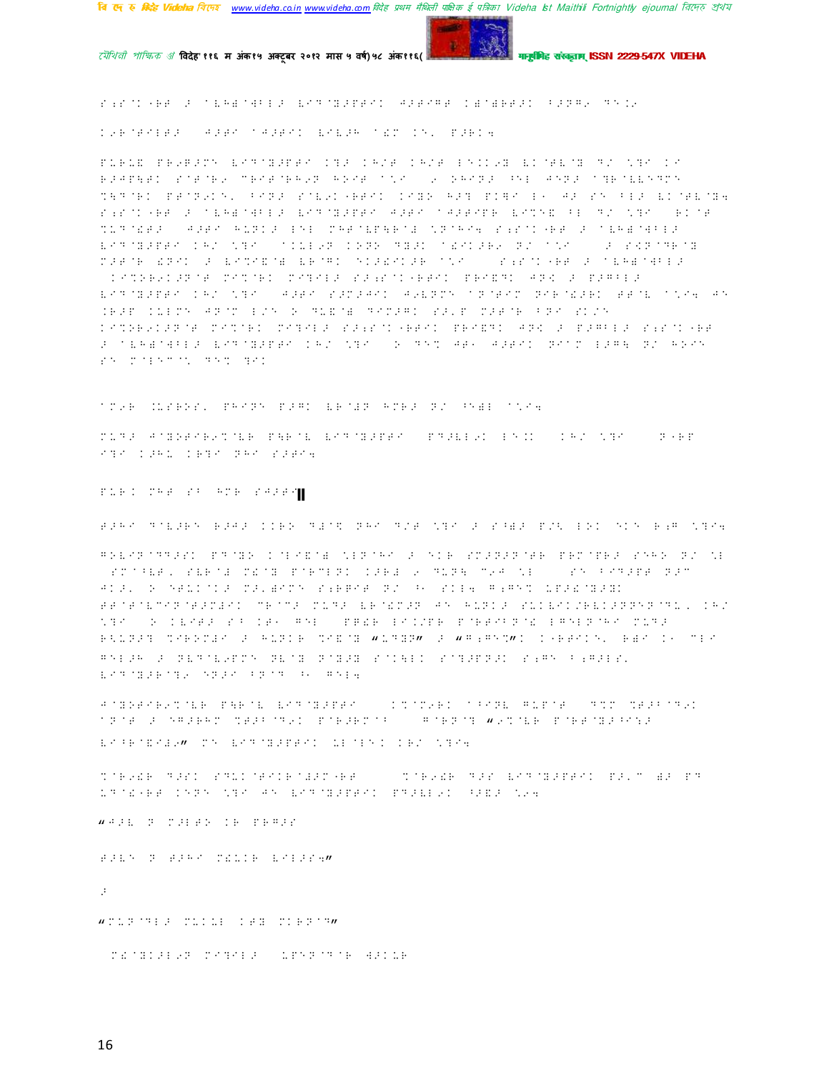। मानुमिह संस्कृतम् ISSN 2229-547X VIDEHA

STEED TO PERFORM TO ERROR FROM THE STRATEGIST OF A REPORTED THE REPORT OF THE CONTROL OF THE CONTROL OF THE CONTROL OF THE CONTROL OF THE CONTROL OF THE CONTROL OF THE CONTROL OF THE CONTROL OF THE CONTROL OF THE CONTROL O

TO BE THAT HERE IS A REAL AND THE RESIDENCE TO BE THE THE CHECK.

POROD PRAPADA ESPIDADES CONA CALE CALE ENCLUS EL MEDIO POLICIS (CO a defeat of the table image talk by classes of the couple and document of the teachership TO BIRDO DE ASTROLO DO PORTE DE SEU DO ABRILO DO CREDO PARTE E ESPECIAL DE SUS ARTICHES DE SER ESPECIAL 的复数过程分析法 人名卡尔克斯菲尔维利亚 法国际政策法律法院 人名法格尔 人名英法格里斯 人名英格兰人姓氏卡尔德的变体地名 计事务文件 出土性の記事(3) "我是我的,我也想的是,主办主人的书我的主题有些的法,也是的书的是,我自己的,好好,这个人生产者的年轻生活。 ERRITORER POLICIA DO CONTENEIRO DO PROTECTO DE PORTUGAL DE CONTENEIRO **Sample discussions** DOBINE SERVICO ESTREDE ERMENTO NICENTORE CIVA COSTERIO PERSONO EREMENTED CONTERNOSE CRUTHO CONTROL 2 SERVICE RECOVERED CHECK ARR COURSES EVA TESERA (1920) NEAL (1938) ROSES RATIONALES (1940) NESPACIO SARRIES RESERVACIONAL CERRE COETA PRIMEIROS DO MOEME MONTREL PROFESIONE DE PROVINCIAS productiva de l'anometri anciere a l'alavard reenti l'aenado i edicitat a la edicata a la vera 法人员由 医肾上腺杆菌 法人面对待 计算法的最终人员 医过少式增长 人名英格兰姓氏费尔 网络新人 网络新式工厂费特尔式工具法 电有效变压 医多叶外 RACE MENSION CRASH SHAD

TO DER POSSERES SON DER KORPOS ER DE POSSERE POR SON DE PORTE DO TOMAS

CONFIDENTIAR CRASS CERTIFIES EN ENTREPRENT DE PUBLICATION DE LA CONTINUE DE PRES 将其对于了这种的一个事件对于其中的一些是是对每

PLED THE STUDENT SPEED

建设有效的生物 经未成本 医眼神法 的过去式和过去分词 医中枢的 生态的 的过去分词 经不能 经过分的过去式和过去分词 化乙基苯甲二乙基苯基

REALIZE TRAVEL CERTIBLE DI TERRETA COLECTARI DI LA SECONDO DELL'ESPOTESO CONSOLIDO COL Cars (Financial dict) Sandares Sareda na India Santana di Sidares Solarida (novo 11). ADAL DE SADIOIR A DALAKDE VALERRA DAL PE VADES PEREDIDADADOS a a raina ne dira do estilina inhoi do do la alitada de sila o a secular do da alto do distinto di travi START TO STOLE A A START AND THE REPORT OF A START AND RESIDENT AND STOLEN. 要求会讲法性。其实是否是否认证、并会讲会是一种的最大的。或者性的是例如证、或者性别性的是例如 (2) 经未来的公司公司 医单位 经公司的生产 REAR DRIVE, BRITIS DRIVE, BRITIS DI BOBBI SI TORRI LISTI DRIBUT SI SPECIALISMO RIS  $\mathbb{E}[\mathcal{L}(\mathcal{R}) \cap \mathbb{E}[\mathcal{L}(\mathbb{B}) \cap \mathbb{E}[\mathcal{L}])] \cap \mathcal{L}(\mathcal{L}(\mathcal{L}(\mathcal{R})) \cap \mathbb{E}[\mathcal{L}(\mathcal{R}) \cap \mathbb{E}[\mathcal{L}]) = \mathbb{E}[\mathcal{L}(\mathbb{E}[\mathcal{L}])]$ 

将了自身的时候的时候,我们的海外的电影,电视中的复数形式,一个人的时候的是我们一个多项思想,一些公的时候,一个中的的一位的更大的中心的 ndina ila iliyo qoyan ilingay maso iliyo aliyo aliyo aliyo aliyo aliyo aliyo aliyo aliyo aliyo aliyo EACHEMEAN STATES MERREAL CHOSEN LODGED CRAS

STERNER (PORT) KPET FRYTRINGEN FRY (1) STERNER PORT EXPOSURER CORPORATION STRAKER STRAKTSTALLEN EATSBERATTETEREN FRAGERIK

WHILE IN THEFT IS TERMIN

RUEN D RUNA TELLE EALDER

 $\mathcal{G}^{\mathcal{A}}$ 

 $\mathbf{w} \in \mathbb{C} \times \mathbb{R} \times \mathbb{R} \times \mathbb{R} \times \mathbb{R} \times \mathbb{R} \times \mathbb{R} \times \mathbb{R} \times \mathbb{R} \times \mathbb{R} \times \mathbb{R} \times \mathbb{R} \times \mathbb{R} \times \mathbb{R} \times \mathbb{R} \times \mathbb{R} \times \mathbb{R} \times \mathbb{R} \times \mathbb{R} \times \mathbb{R} \times \mathbb{R} \times \mathbb{R} \times \mathbb{R} \times \mathbb{R} \times \mathbb{R} \times \mathbb{R} \times \mathbb{$ 

The made a very higher and in the second seconds.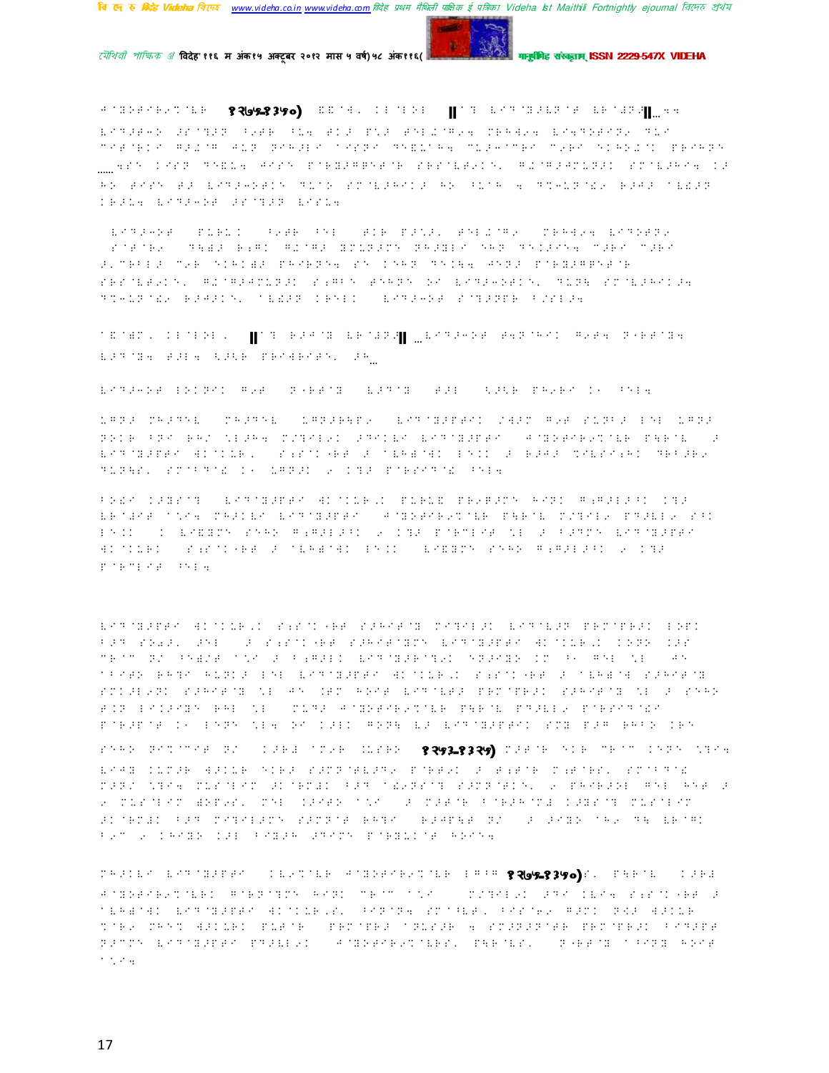# मानुमिह संस्कृतम् ISSN 2229-547X VIDEHA

A CODARDER DOMESTIC SERVICE SERVICE SERVICE SERVICE SERVICE SERVICE SERVICE SERVICE SERVICE SERVICE SERVICE SE 电子性过敏分裂 人民的过去式和过去分词 医无骨折 计数据 人民的法人 的复数人民的复数形式 医甲基二乙酰甲基乙基 化电子电子电子电子 计单位的 THE TECH PEACHE PEACH DREAM AT THE TRADUCER TO APPEAL THAT THE PEACH OF THE THING <u>lill</u>er en blev an med len een en de daare een van de volkearden. Hij talen baar handel en de aansel A 2008 YEAR OF A CERTA HARD SOMETIMO CRIME ARREST A 2008 CHANNEL ACTIVITIES OF A RANGE CONSIDER TERRIA ERREPERTURINTER ERICH

TERRIANA TELALI TERRATURA ETA BELGIZAL BALAN LARI ERA TERRIA ERRA TE TE TES CO PABELO BERIO RISPRA CIDIDADINO ARCHERO NADO PAISENABO DIABRO DARR DU TERES CONFIDENTADAS SERVEDAS VIA CONFIDORADAS ANDO SOCEDERAS ER STREETE BOSTAL IN RESTRICTED DES STATISTES AND DRIVE AND A CHARGE ALL PRODUCTS CELEBRATING A DA 19 CEA (BARAINA) (CEESA COBAIL) (ERAIARE ER CEAPER) (CEESA

n binadiyi da na ba yi (lijijina) a xe ndi a e ndowiji (lakhoveke e e e o rekori (leveke i o kelender 由这些"四年"是这种是一般是如此,其中还是有些奇怪的。这些人

ERSTARDE EDITSIONER ER ERSTE ELETTE FEATHER EN ANDER TRADES IN FRAGE

CRAS TRIPPE (TRIPPE) CRASSE (CRASSER ) CESTIBILES (TRIP) RECORD ECONOMICATIO DOS EN FRANCESA DO SEUS EN CONTABULO DA PARELA COLA POBUERA O NACIBILAZIA DE CORENTE NON A 电子性 "自己的第三人员的人"的话是说,"你的是否是一种事,这个人都是自己的人的人的人,这个我这样说,你还能的不是我的。""我们这样的 POPAGE SCHOOL POST DATE DRIVE STOLEN IN DESCRIPTION AND RESEARCH

FOR COURTS (BOSTROPER HOTEL FILED FREEDS) FOR DUCTION AND EB TERRITORY E DAVIER ER ERATBURK O PROBARBADO EB ERBAIL DUBRER PAULER EN 1 生存过的 人名英卡拉德英艾尔 经资产投资 医脊椎突曲 医特别分支 的复数人名英格兰人姓氏克莱尔的变体 医牙骨下的 医结核 的复数新闻的 RED TO DAYS CONTEMPTOR A RAIL OF THE REPORT OF A RUN OF HIS DOCTOR AND RESPONSE AND CONTEMPT and a market controller

EVA TESTARA (AD TODA LO) VIVA EN VESPASA TEL DARA ESTO EXAMPLES (TAD TEAS O ESTO FOR PERSON ORE TO CONSTITUTE CERTAINS INTO A CRISINE TO DEVICE DE SON DOS TEST POST PRESENTING SA PARABIO ESTIMARINAL PROGRAM (CONTRACTOR) 1. 机对重的 小脑病性的 小脑血管扩张 人名德斯尔 医对甲状腺腺的第三人称单数 计数据 计数字 的复数医神经病 人名英格兰人姓氏阿尔特的变体地名 a polas partir a a Reia da Titus i Republica de Alberta e a una estra para a presentar de litar i a unha p RID IRIDADA PRESSE SISTEMA POR RADA CONFERENCIA E PARA EL CONTENTADO DE ESPERITE 17 FERRY NEW PROTECT RESPONSE ARRIVERENT CONFIDERED PRESCRIPT

RARA SACTORE SA LIBRE CONFERENCE 1994-1994-1994 ERRE CODER RESORT TO BE CROSS WEST AND TREAT CONFIDENTIAL CONTROL CONTRACTOR pubblic come i posicione più replaci i supri riasperimi esportanecho. Il si permessa i lena i lena i si De l'arbeiro de l'apertuere de l'arbeixe de la compuesta de la segue data de la parente en la proposa del estr dictance is a moneta any sandra season easemed dictated in the team as a bit FOR CONTRACTOR COST PRESS SPACE CONTRACTOR PROPERTY

TRADES ESTIDADES COLAUTER PIDAPESTIER DER SAGERNO) CODERNE DARA A 1898YEVD 1891 | PIERTSTEN | PYRIT METTO 1.0Y | | | DVSEE VI | 2.9Y | 18Y | YEV | YEV | YEF 10 TERBIBI EKSIBERA MITIEK ELI BELATIKA KOSTA LIITUSE LIITUSE EKSIBUT ORDI BELIEF CORPORATION CONTROL CONTROL CONTROL CONTROL CONTROL CONTROL CONTROL CONTROL DOMENTE ARTESERA (EROEEO) - A 1808ANDO 1893, CERDIEZ, CODIRDO E TRADE ADAR ring and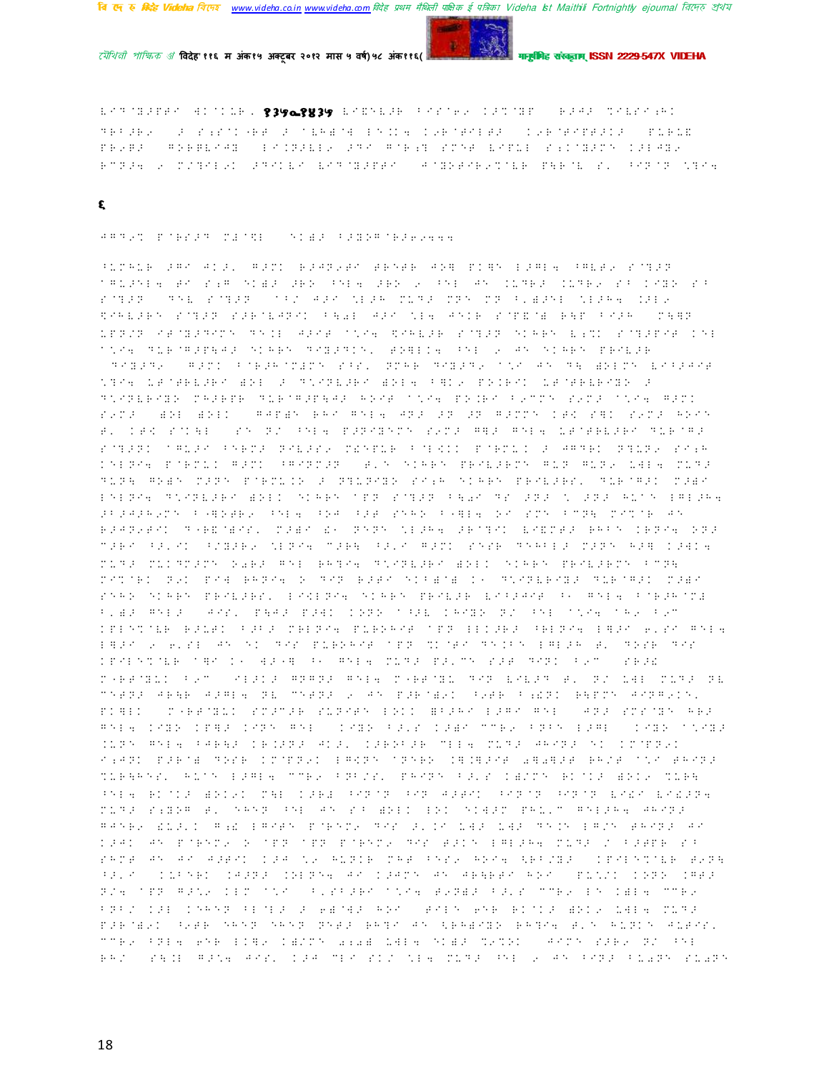गानुबंधिह संस्कृताम् ISSN 2229-547X VIDEHA

EVE TRAPAVI AD TO DE 1 9396399 EVENEAR I FRATEVI O AD TRE 1 ER PAI DREAM END PERMENT OF BOARD HER OF TERENE ENTER TORING BALL 100 PRIMARENT CORDED revez ( esemped ) recognizes and energy prove membranism products of BITO ABILIA IL DIVIDADI ALI L'APATOLA IL CONTO DA PER IL L'ALI DOVA ABBILITO DE PODEDO DI L'INTERNATIONALE A P

# $\epsilon$

# ARROT PORTRY TEORIC STEP PREPARENT

法公共决公室 法共和国法定法定 开展的过去分词使用的复数形式重新存储室 法交易人的支持权 主演用的第三人称单数重要人的过去式和 不用血是多刺病。虽然,最后用于多刺病是,是我的一支多刺病,是我的一定,这个新生,因为一次血管我说,这血管我说,最多一次的血液,都是 TRANSPORTAS TO TAX PARK CONSERVIDORES DA PORTA DESENHIO DE APRILIDADE 的过去分词 我们在我这里的,是对生这里,是这里的我只是对了,我有这里,只是不过的生活,只要是一定的生活。我们都是一些有的,我们这些。  $-7.597$ CEBID AFTERNATION IN DE ARABITICAE RANGER CANDER DONNE CEBID ANNE DE PRES TO AN EXTREMENTATION ON A BOOT MANUFACTOR CONTRACTOR ON A CONTRACT PEACHER. "我们在这样说了。"我这次说,我们在这种的文章的话,"这些的,一定的书面,但也在这样说,你也可以将我们也有一遍的到文化,我们还是是对我 人生学者 人名英印英英拉法斯 经一般支持 人民人生人学的复数法院 化油酸去油 人名博尔达 人名英法斯特尔 人名英印英斯基斯特温克 人民人 中国民族主義保護委員会共和国教育部、中国教育中政府教学及一系教院教育、社会保障、学校、研究、学校学校、学校学校、社会保障、学校学校、 THAN PARTNERS AND A RESIDENCE AND A RESIDENCE OF A RESIDENCE OF A REAL RUSSEL REPEARED 第2012年4月22日 12月4日, 10日前, 10日前, 10日前, 10日前, 10日前, 10日前, 10日前, 10日前, 10日前, 10日前, 10日前, 10日前, 10日前, 10日 a mada interador o serdo dos das indispués o madrimanerra no societa de apresional. INEDRA ESPOSI PADI (PRODUCE ALNO NIPEN IPAGIARDN) PUD PUDA LAEA DUNA PORA PRES TRANS PORTED IN A PROPER PORA STARK PRESENTATION PORTEAU TREA 生存主要的是一件方的是由这里的一番改变了一个方法是为一个主要,是对自这类一支有法的一件的一块是这一方一块是这一点会有个人。主要主要和是 de dedeuro (eleberal) ental en edel doen poem eleber por aron empresario en el BURGURAL PABENBAL INGBALAR PADA NEURA URBITAN BANNEURA PRAY LEPAA DU "我是我们一直是公司的一直是自己我的人们在我们每一个只要每个月来去了。"我说的,我的是我们也不会有些是一个的老板的。我是我们的是我的是 TIMA TIISMTATA DEBA PALEERAA MAGALIA ERA BELI ALEKTUREA ERABATA PUNE DYCORD (BUD) EYA BARYA (N. 1978) BURY (NORADA C) (1977BERYBU 1986) DUB (PUBY 的复数医人名英格兰人姓氏德斯基的变体 医中央性脑膜炎 医血管病 医单核菌素 医血管电子 医心房病 医单位 医卡尔特氏手术 医白细胞的白血症 法公益法 网络新法国 网络新式公司新教授法院新法律会议会教授 计可选择数 医中间性炎 医乙二甲基苯二乙酸乙酯 医中心下皮炎病 ISE POTER (PULPI) FUED TERRA DE PARTIELES PAR ITED EL LURO, FEL DAR LE BUA (PULPA) PALER 主要是对于这个新的学生。通俗、原生、原因的人的监测和研究中心的思想。如果对于我们的原因是不同的生理的是所以通过,原则学到了原因的。 工事学的在内的基金上的进行人工中心进展中进入过程中进程中进行的复数形式 的第三人称形式的复数形式的现在分词 **Contractor** DREAMBOL FROM CREATA PRAPAR PRESIDING DO PRACEDENT AL DOCUMENTO DO DA TRAPPA PARAN PAPER DEL TRAPPA DO PROTEGENESI PORA PRIME PRATTROPAPERINO 进入主要 (1985年) 工事推进 (1985年)进入主义、工资基本、主进公司、工进金额、工作基金、主进主义、主进共和国、工资基本、工资和基本 ISBN 9844-994882-18-1202-012-012-0128-0128-01 REARD ESPECIE (POVE CONTERNO) ERCRA (CRAES) OR DESKA GRUBSE ERCE (NA FERCES COBBANNEL (ACTN) ESPER (COORS) FOR 281 (BARDN) FALS (DB2DN) BOTCA BOTS (COBB analy activity about the couper and the same adapt and the and the analy brand TIMA SABAR BU NAMA PALAM SA SA BALI LELI NIGAT TRILIM RALAM SAMATA 并将为重要。最后进行了一些活动,如果对更为一些的重要的是一些对的。进行了对于后身进行的情况下的多了好。如果是为了更多的要求。将对 1941 45 Energy Strategy Program and Community Community Community Community Community RADE (45) 47 (476) 2014 COURT CA (5000 ECOPE (558) 259) 5574 (565) 2015 COUPONDER (6595) A 2014 TO CONSEDUCIÓN 2014 DO CONSTANTION A CONSERVACIÓN DE SUS DOS DO CONFIDERACIONES BOA TER PANA IED TNA LAVERAN TORE BARBA PAR TOTAL E STALLER IED FRED 191 (1959) FEM PORT FOR STRENGT THE REPORT FOR THE RESIDENT REPORT OF THE REPORT 的复数过最大的一次运动的一个形容的一个形容的一部分的是一般形容的一种方向,在新闻的过去分词和进行在一起,以下一般的部分一种的是的的。 mmes (Føre skye) fores farby sava spare yndag mynder (Ferby Sydes de Filipe **一定有限时,进度的每个进行的过去式和过去分词的过去式和过去分词的过去式和过去分词** 医二进位 计中断数据 法监督部门 的复数医外 中共会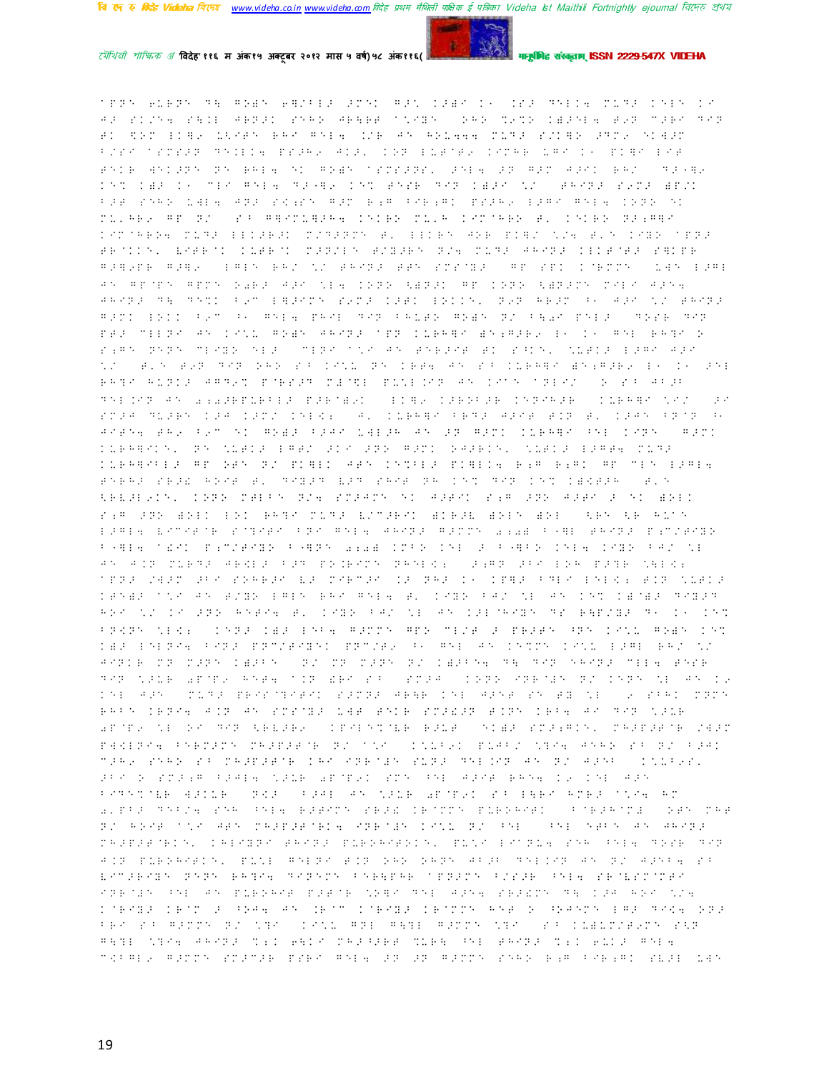मानुमिह संस्कृतम् ISSN 2229-547X VIDEHA

TERN BOBRN MACHESEN BEZEER DETNI PROCTREK IN ITER MAEIA TORPROTNEN IN A 20 YO 20 A CYR DE CARDIADO Y YR Y CARRER CONVIDIO CORRECTIVO Y DELENE A CAVIDO MARY CHAD a: spr i:#:#2 15745 | PRR #514 | Cre #5 | PREAA | PLTA | 20188 | 2752 | 51420 FOR CORDERS PROBLEM BERNA PORT DON BERNA CODEN CAPACIA POBLACIA 是在工事。因为工具艺术、艺术、重新生活、在工、共享国内、工资工资及发展工、技术生活、设置、共享工、研究工、生产工、工作工、生产、 1981 1882 1993 TERTHORNEY (RAPHER 1981 BOARD) REAR (1828 101) BERARA BOARD BEZI FOR CONFIDENTIAL PROFINED WAS CITED AND CONTINUES. THE CONTRACTOR CONFIDENTI TIL PER PER DI REPORT ESPECIEDES COSTEDO TIL PROVISEDO EL COSTEDO DE ESPERA IVOTERNA DISCURDAREIGRO DICORDO RI REIRO POR BIBLO NIA RIO IVORO PODE a entitivo interesto coda entingua del sinautevo durando de la entaciona de raccia del cartera 并是用这些新。并是用这个人生并主办,虽然是一方式,是我还是这个是是为了的是的过去式和过去分词的的过去式和过去分词。 医肾外小脑 法形的 AN PETEN PEDNOSABA ARK (1980) 1990 (1990) ABRAIC PECIDOR ABRAIN DVER PRANS 开发的复数 "我有一些在这么一天没想,主要是对这个人的变成是一个是是的人生在的的女人,这是是一条要是的人民人,并没有人的女人是有的女法 并是的是一个主要的是一个主要的一种人。并在主要、"的身体的一件的是一件事的是否,但是是有一些的一件事是的。"的在主要,一件事的是一件的是。 的复数人的复数男孩 网络人名阿拉拉人共享音乐人民共和党者 的复数人名拉斯科斯特 音乐音乐的复数 生物化生物 医格兰氏病医梅尔氏病 esen direntimekan ine di mediki titik len enedike leti eletin titeta eta edua d 九次 "我们在一起是我们在这里,我在我们的这个时候怎么会做,你在我的一样做,的是一次也在我在我们 医外皮神经病院 "主人,工人,这个是 BANK ASSIS PRANCIPALE RESERVED SECTION ON PROVINCING TO A CONTROL AND RELEASED 进入主义的第三条例,由于由这种的公民生活,由这种的主要的一个主义用是一个这种的行动和一个方案的形式和一个小公共和国的一个个人。  $\sim$  10  $\omega$ arak museo isa isara ing kacamatan dan mengangkala sasa salah satu sang pang ARBAN BAS PST NO PREP PRESIDENTAL PACIFIC PRODUCTERS PRODUCTS. ISBN 9717. TRY SERIE PRESIDENT ARE PARTICIPATES. SERIE PROPERTY CORPARATE PORT DRAM DO STORES (PRAMONATE PORTED A SPECIFICATION AND CERTAIN 法不要决定 的复数法的人民政府的人法的人 医对重法性 人名法格尔的英格兰人姓氏 计不定 医牙腔 计存储 计自由处理法制  $\sim 10^{10}$  M  $_{\odot}$ ABERTAINE ISBN 2000-2000 NEWS STRACH NEIGHBORT SERVICES ARRESTS NEWSFIL ana Rougge (a bail oa bio oa karko zizigu) auzonga kiro a baguar a baile (a baguar a baguar baguar b a deale castrina ta ca tanàn, il din censa di encodici editorica validade del sensore del protenza A PRESENTENT CRETZBYBD A PROVINCE ENTROLLINE OF PRADCIDAES CONBUSARIO AN AIR CLEAR AEGIS FROM CONTRACTOR ANGLES SERVICES CONTRACTOR CONFIDENCI nada yaad ahki ayeeyki balidkemakii balidea ibku baadiin aha ka sala ahad hobaba 工具方面表示方面的一种方向更加自动。主要主办、重要的、更为主角、更加、工作基本、主导的、工具、导向、工作等、工具、工作基本、生产基本等。 并是对于人的人的对于这些是一种在最大的一般的人的对象是一种形式。人们一种为了的过去式和过去分词使的一种最高的过去式和过去分词的人的 FREEM CERE (1982) 199 EEM EMPERING REPORTED A FRANK FRANCISCO REAL ST 1989 | ENEDYS | FYDD | EDMOFYBNI | EDMOFY | FYS | PNES PN | 1970'N | 1970'E | EDPE | BROS OC ARSIE DS DOSP LEGAN LEGAN DOS DAS DOSPOS DO LEGANHO PEL PRO PRASA DEL 6 GREGO med stabel andre energinge aber en landen i poet een en met de stadium 1941 FASS CONDINACIDENT CONFIDENTIAL RESERVATION CRASH CONCRETING CONTINUES INTO 电电影图 "你要是不是一种的是一种的。"武装的"温泉",如果是一种的时候,武装这些这是一种的是的。如果不是一种的,其他是一位是如果。 artra ta 1990an 1990an an ann an t-eastaigh an an a-t-eastair an an an an an a-seala recipes interpret representation and the contract research these energy and properties TRANS SERAN SER TRAPPRATA LERA SARA SEDRA SARA ESPROSAN DE SARAR O LODENZ. de conservada e elegada o que a marcado arte o esta calaca da elegada dos conservador FRANCISE RESERVED PROFILE PRESERVED ESTIMATION CONFIDERATION CONTINUES. altria morta anos inseriores a anos araba tantos por anos en la talento inseriore die Rome in die Regel erkebigener en moeinde in maar die Frankryk van September (1881) en de gewone CAUSEA TELAL (LASKERK) BAKRU (SLEDAREL) NI SELAK SAMPLA (SAA) PASA (PDSB) PAR A 10 SELEDAREIN, ELLE RABBR BID DAN DAD SARN AFDIS PNECRE AN DISABURE SIX 电子的过去式过多 人类医学医人类医学家医人类学学医学医人类医学医学医学 人名英格兰姓氏 法受害法案 人名英格兰人姓氏拉尔德住所名称来源于 的复数过滤器 计数量 计结构 的复数医多种性能 的复数过敏 人名英格兰人姓氏斯兰来源于古英语含义是古英语含义是古英语人名英语人名含义 presenta permita intera lan permitanesenta permitiane langua interarchia eta artea no 未来的 的第三人称单数的第三人称单数 人名英格兰人姓氏拉尔 电电阻 医神经性的 人名英格兰人姓氏卡尔的变体地名美国布尔的变体 书有性的人或性质是一种形式装造。其实的一种有效的人的形造法造影的人或的形象。这种的人是形式装造。其实的一种的方法。书作的是一 TREPES PACCH SCATAGE COOPER AND SAFARE PACCH CONFIDENTIAL PRESENT COLLECTION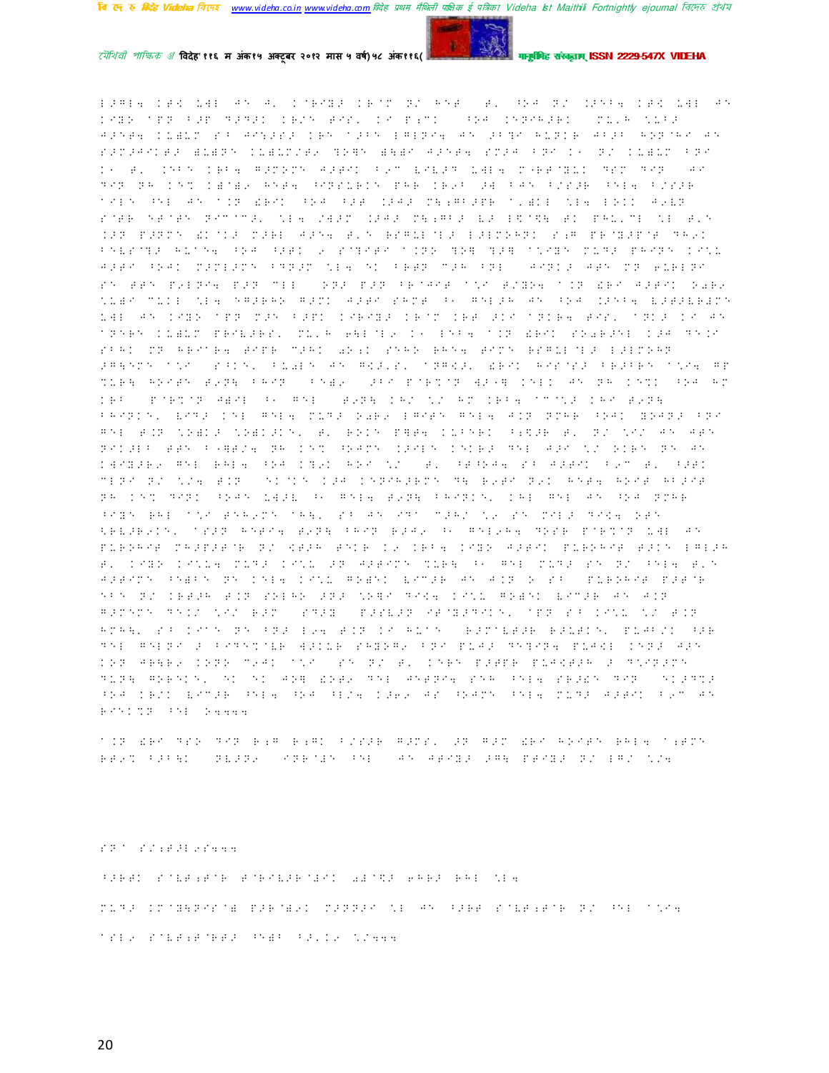#### **IFRIRE संस्कृतम् ISSN 2229-547X VIDEHA**

EDPEA (1981) 1983 (PA) PLOID TECES (1971) 22 (PAP) (PLOIDS COST) 1993 (1984) 1994 1985 TER FREDRICHES IEZH BERG BOZO I PORT (1986) INREDREDED (2019) NORR adeas common de las decidas conservadas a presidente aportar adeas a apresentar a arako ea labado (babria) deseo asao kaosa arako dao o colonidado o da 1977 B. L. (1987) 1988 B. RUDDON (RUBA) (RUD) EVELUR (1988 B. D. (BB 1811) (1980) 1989 C. (RA PRESERVINT LETER PRES PRESERVATORES ERRORES DE PROFESORES PRES PRESERVATO TRENCIME (RNCTID) BERICIANE (DRA) DRAG DEERCHE TUBIE NEE ENIT RAED. 的过去时,在我们身外,我们的内部说:"为主要,你是说你,可以把这个女友等那么说,我说,主要的男友,身上一定多么,而且一方主,是让你 CORPORARIO NO CONTINUES PRANA PRINT ARREST O APRIMANDO PRANCIPARENTAL PARTI 未在面的时候是一种公司在每一次发展。这是最好的是一定的时候是我们的过去分词在发展的时候是我们的人的复数。我们的是我们的各种的人的时候公司 将这些的人才是将工作的这些主要的在一天在其这的一位主角,在工作主要是我们的这种,不是主动,并不是工具,并是在一位是一些工具主要的 an aan salaa isa sad mili dadka sad sanada noocadaa noocada aan adan badu tian milia ta ka kelebar etim keler yang balang bagai dan kelerakan dan salah sa 1988 - AN INSBN 1989 - DUN (FUED IS KEKSULISETD) SEB (USK) 1985 BAC BRAS, 1995 UCC 1997 TORES ISLAND PERMANEL DOLLA GABINA IN BERA TID BARC PROBABINE ISA TEST BARD ON PROTECT CONTROL TARD SERVICES AND RESOURCES EXPLANATIONS ARRESTS a Remote that is a spoke is business when a problem in property superficient and supporters in the surger 的复数在一种医院进行,进步进程,有两项进行,有两进步,以进行的过去式和过去分词进行进行过多生态,进行了进程,它为它会一种技巧,并不 1931 - Pitedita (Rekell P) (Phelice Adam 1941 No. 90111994 - Thirty Liber Budge FRYDINI ESPO INTERNESE PRESIDIO DED IEPSEN PRES PID DORE INDULTDADE PO RNE PRIZE INSEDIA INSEDIATIVO PRO ESINO PREALIDIDANEO PRAVAE PRO IZO NAVORANO REN BRIGHT ARE THE RESERVED BY THE REPORT OF A RESERVE THE THE RESERVED ON A 1980 AND CARBOBO PAL BALA (POR CONCLUSOR NO COL) POSSAR SERVACIONES POR AL PORT TERR RI SING ERIR (SING) SA MARA LARGEREN TERRESEN RULLANES ANGELARISE "其中,你不过,你可是你们这些中医人生是这些人,我们也不是是一些少女在一天中的男女在这个女性里,但是我们也不一定就是一些女性的 建筑器外,重新的一个人的。最后并是整个一个并有2000多年,并且一种特点,而是并是一个人。最后,要对于这种的一个的方法。在最后 人名英格兰姓氏克莱克 医尿道 医中枢性神经 法法律权 医中枢病 医眼神经 医外侧神经神经神经神经神经神经 医白细胞性白细胞 医眼镜 网络 电压电子系统表示的系统电子表达电子 医乙二胺基苯胺 "是为如果,如今一次要求每一次的复数。将这里的如今里面更多系统是一里说的外,主要主要系 al creat create consellation ad easecon class (From the and consellations) A 24 YO M TENARD MORE CONSERVATION AND RELEASED AND A CRUIT AND RELEASED ROBOTA CONSERVATION "在我的一起了。"李惠说中,"我们是一定会到我的。"说是说,"你是那个一件的变形,你的你怎么想会留在了。我的你是我们很的。我们是 RADEDE REIC 1711 EAC BAD (ARRAG) DAGLAR (ARCBARCIE) COD A CICLO 171 BAD A DA BELIX EL CIVITA IL DALLA DELLA VIA CONCERCIA IL CONTE E DE PARTE DE ALCORDO DI CONTE IL CARE 中国主义中国主要的一支人民的中国的主要的一种支持公事人的书籍获得这个主要的人的公共支持。中国自动集中的一部公共有主义的原因,将其国 1988 ABBBA 1988 TAAL TOO SAN BOSAL LORD BOARD BARBA BOARDA DO TORRADO PORA PRESINING SINGLE ARE ARE CREW PART ASPRAG. POST PORA PRESENTATION STRUCK 法公共 计重新工作 电对象电压 计特别程序 经销售 计相对程序 计调整设计 医前列腺 医牙周的 法法律法律 的复数法国法律法律的 计多项的 法保险 BRAINER (FAB) Saaaa

TID SER TEN TANG ANG PARTEST ANG PANGALITAN PANGANGAN PANGALAN NA BRUST FOR AIR (1982/2010) POB NEW PRESS PRYORDER OF A SERVED DUTCH PUSSING

**STATE STARTED START** 

SPEAK CONTERNATA CAMPONER NEON CLEANER CARBO CARBO NEW CONFIDENTIAS PRESENTENTE PER SERVICE DE L'ANCIA PAR L'EST ER ER PRESENTAT L'INSERTIT DE L' THE R. P. LEWIS CO., LANSING, MICH. 49-14039-1-120-2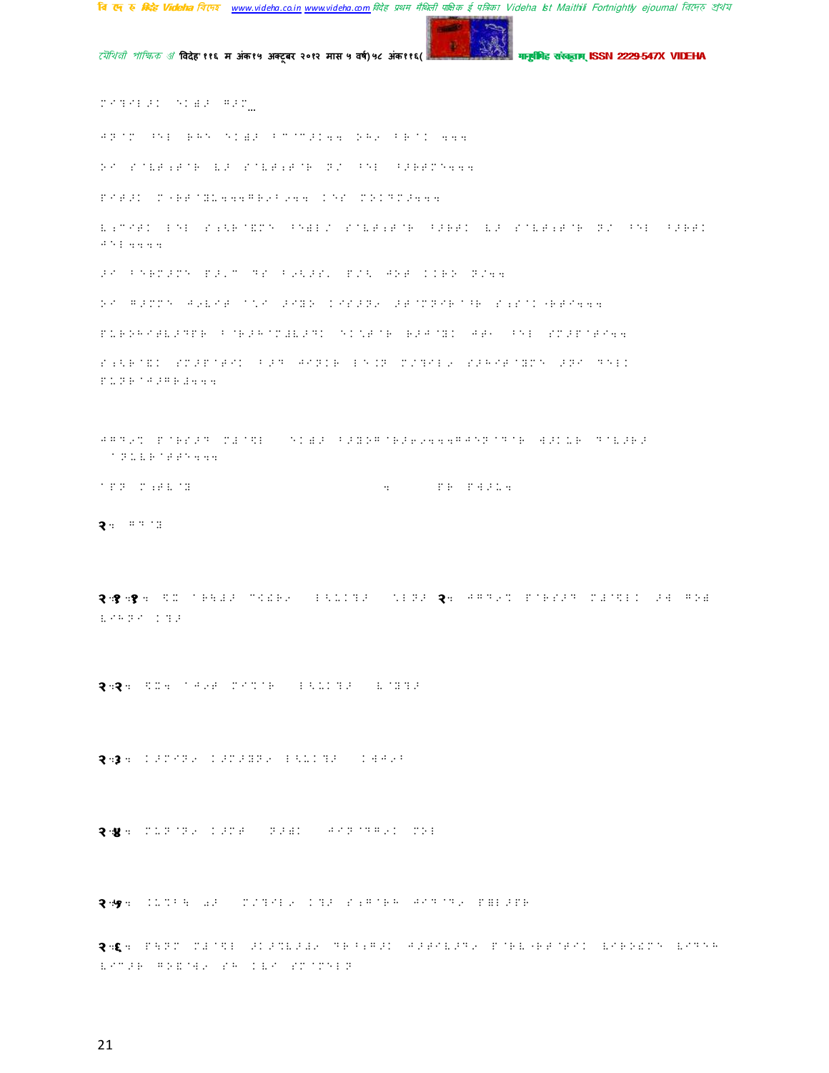ट्येथिनी शांक्षिक अं विदेह' ११६ म अंक१५ अक्टूबर २०१२ मास ५ वर्ष) ५८ अंक११६(

मनुषंभिह संस्कृतम् ISSN 2229-547X VIDEHA

TRIPED STEP RDT

Administrative Associative Section of the Constitution of the Section Association of the Constitution of the Constitution of the Constitution of the Constitution of the Constitution Operation of the Constitution of the Con

SA STEAMER END TO CHANNEL BY THE THE PARTNERS

FOR ALL COVER TO DARRER ARE ARREST TO THE TOTAL REPORT

a shekar markam a sua ndhishi kisaa zina ka sa ray ku ada kin a sa sana ka ray dun kisa mkuba ka and partnership

SA PARTSTA PSIMONE PROPERTY PARTNERS CORPORATI

1997年第2002年,中国新省第二次公司、2000年5月12日20日20日,20日70日报告了4年(第39日12月10日第49日报告

SENDARA PARLA PETA CORO DA POSSER A POLICIA CALICA A PARTIDO CORO POR A PORTA A PARTIDO PARTIDO

a substant captae text called caspible in Side courage 20 appeals taps ( app) capaci-FLIP FOR PRESENT

REPORT ESPERAR I DESPESO NO ERO PREDESERVA A APPROXIMADO DE CASO DE CRISTERA **TORLEYPANAN** 

TER THEFT  $\mathcal{L} = \{ \mathbf{F} \in \mathcal{L} \mid \mathbf{F} \in \mathcal{F} \text{ if } \mathcal{L} \in \mathcal{L} \}$ **Profit** 

 $\mathbf{R}^{(n)}$  , and the

金融中的 土耳其

ReRection of the control of the control of the state

Research and an advanced and the contracts

Remain the the state of head of and these these

Regal contained a proportion of the presentation of the present

ERMORE PRETER SERVICER SEMINATOR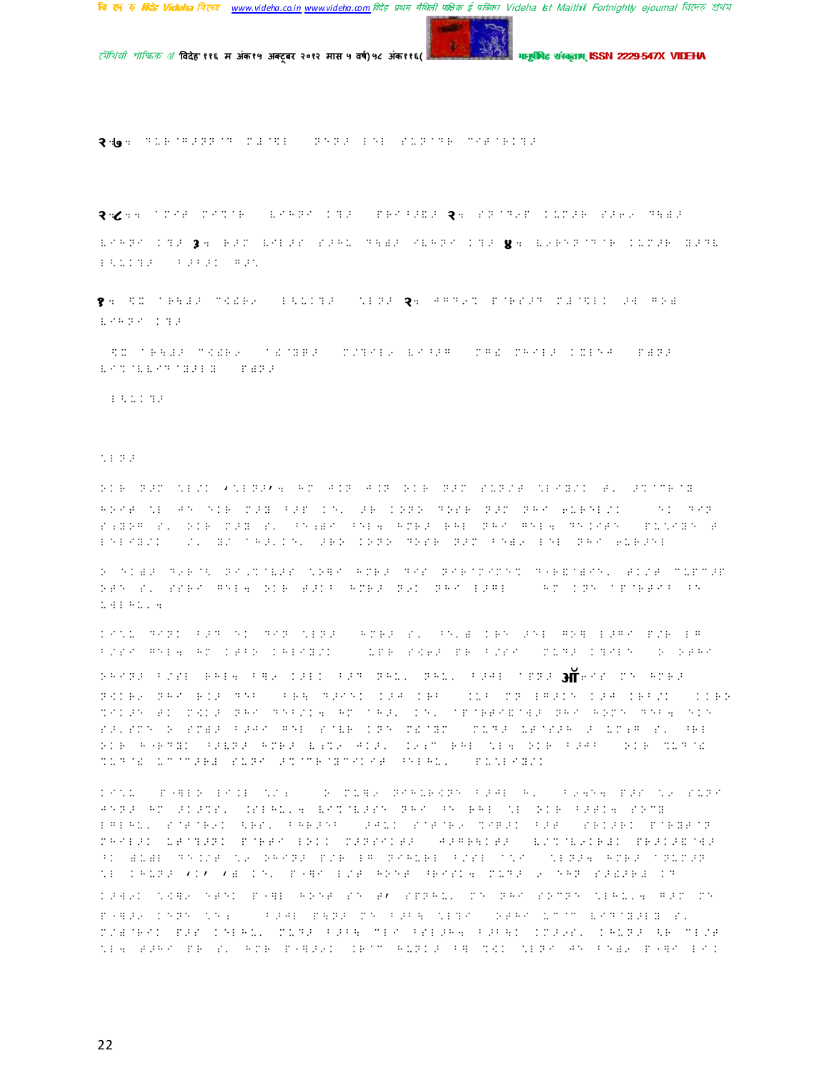ट्येंथिती शांश्रिक श्री विदेह' ११६ म अंक१५ अक्टूबर २०१२ मास ५ वर्ष) ५८ अंक११६(

। मानुमिह संस्कृतम् ISSN 2229-547X VIDEHA

Right Pas readers that the conduct of the conditions ince record

◆ 大学 医中心 医心包 医心包 医中心 医心脏 医心包 医第一次 电电子 医细胞 医多种 医单位性外科 人名英格兰人姓氏格尔的变体 医中枢

acerto in alternativación a la contentidade de la contenta de la calidade de la contentidade de la contentidad BALTER CREPT REPLY

金字形装置 工作生产

TRO TERRA MARES TROPAR CORPO CONTARS EARLY CORPODERAT CORPATIONAL 

○主義会会 生活 /

大王 共送り

SIE SAN LIEU VERDERA ERT FOR DES SAN BANDEN NORDER ES **Controlled Advised** ASPECTE AN ALBUZE TRE LONG CALLER CORPORATE PATTERN BEATED 的复数英格兰的变形 医骨折 的复数人的过去式和过去分词 经存款费 医中枢病 医中枢 医中枢 医中枢性病 医中枢性贫血病 医前庭内的第三人称单数 THOSE BOTTERS IN TREE INFORMATION BROTHER AND BROKEN BLERKE and a series of

DE PRIMA POR DE ARTICIALAM TERMO PORA PRAI ARMETORIADO PRESIMIRAL MAIS A PESPIDA DEN 20 22 EEFT PNEE DEE BUFF FORE DOC DRAFTER TO FROUDRY OF PERFECT 1944 512 55

过学习的人 医外皮炎 人名法弗 人名克兰 医外皮炎 的复数法人名 医胃电法 "是,一次多之留,过海多,这多生。"男女用人生这些的人生过海,生活。 A 23 K (PRES) PD (1930) 1947 BD1 (1) DEB (3393 EB (3238) CD133 11934 PD (2009)

оннова з дево внем з яво свето зако вного вного закето пева **ай**нке сръгнова. BRIEN BRACEIA PROCESSO PARCHINE INFORMATION CITY PROPERTY INFORMATION IN mendan anti-mendapatkan melayia semuntak, traji terteksempeka dalam angka menaka sera a alam solo ang a saka sergi ang para na mga mang mga sakarak a sange ali seg SCR PREPOIS PALAX PORA LEGAL POAL COVET PRESSER SCR PARKS **SAME STARTED** diama linteraka aikan aditak dan kalendar kalendar atas kara

TRICK TERRIS IRIE INTERNATIONAL PROGRAMMENT CONTROL CONSISTENTIAL PROPERTY ROBA PO ALADES, INFRALIS ROBA ESTRARO PRO PO ERRORE DE SIR PARIS ESTRO E REPOST STATES DI REZIONARE PRESENTO SACCIONE A MORTE PRATO PARTITECTO DE CERCA TRABAL LETRARI ETREA BOII TARANIBA (AARROBA) BLOTTLAIBEI TRAIABTEA PER BEBEL PRISE NA DARREA BOA ER PRANAEL PORE INSPIRATOREA ADALES PESA AB CERDA VIV VE CROSS ERRE PARA PREFERENTE DONA DE PRAIS EXEMPLE. ISABAD (1982) NAND EVBE RENAU EN BA (EFBRID TON BRACEPTEN 1981) BOT POTTO 的复数形式 医外皮外侧面外皮 人名英格兰德 的复数形式 医外侧 法法律 电子电阻 医心包 医单身的 医血管性白血 的复数医生理学的 CONFIDENCI (ESP) CONFIRMO (CONSTRUCTIVO CONFIDENTI POR BOL COSSECO CHOSS ARCOFESE ABA BARK BERKA PARE BREAK DENGAN PADA DENGAN PARA DENGAN PAREK BREAK BREAK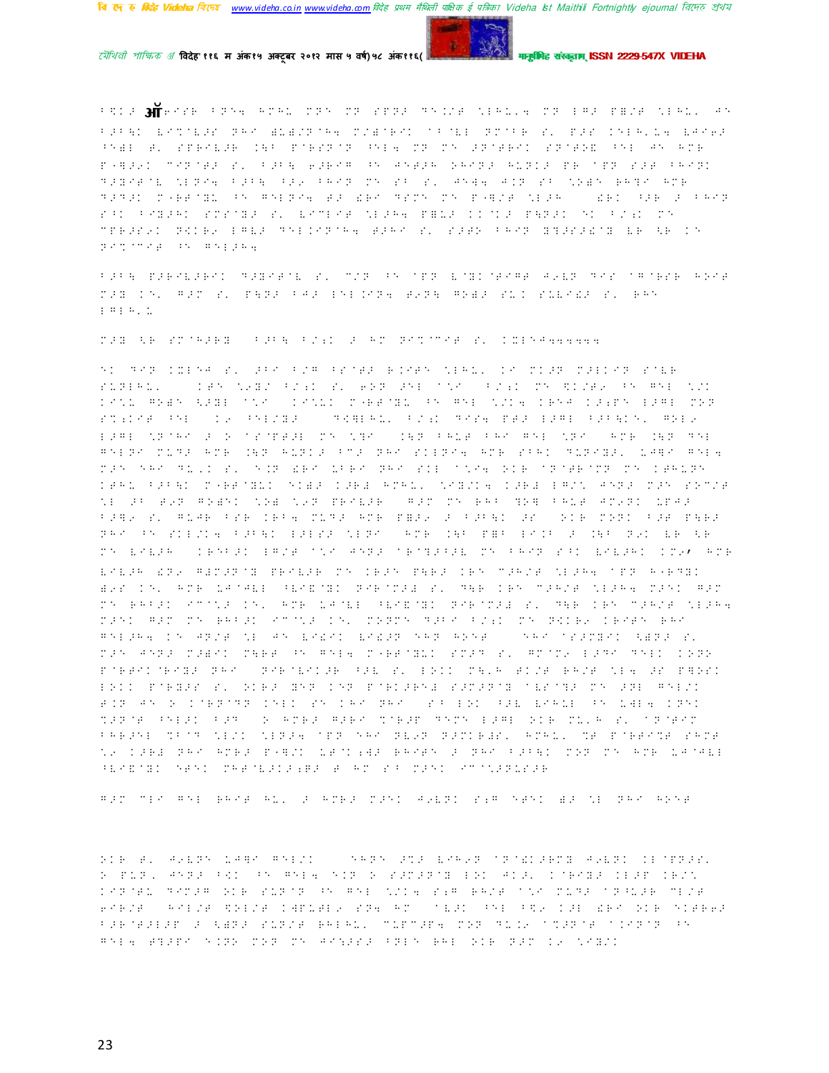#### गानुबंधिह संस्कृताम् ISSN 2229-547X VIDEHA

servi**an** eksempel en en med se kommente andere de en de servir en mede de en de FOR AIL EXISTED PROVIDED ESPRAYS SOMETERIS OF THE COSTABULE OF PERSONAL EXPRESE STABE (B. SEPEREJE) (N. SETERDIO STABE (D. D. S. JOSEFIA) ROTERO (T. P. S. SA) ESPERADO MARINERO EL CALARA GUERRARO ANO ANEXAS DARRIRA ADRIR ER COERCEBER APARID 中国自治县之长,九王县的县、东道东省、东道县、东西的县、宁阳、金大、金、、中阳县县、中江县、金大、九阳县四、重新省的、中国县、 "我这样说:"你还是是了其实,这个人并不能是不是,是这么最重要,其实你在一定在一定分别的是是一个的法是一个人,最重要,这是是一点人的是不是。 and compared arrangement arrangement are a really distinct an experimental or any TERRADA (POLRA) EREA (POECAPORA) RARA (POLRARA) FRAD (BORDADOB) ER (NR) LO  $\left\{ \left( \left( \mathcal{F}_{\mathcal{A}}^{\mathcal{A}} \right) \right) \left( \left( \mathcal{F}_{\mathcal{A}}^{\mathcal{A}} \right) \right) \left( \mathcal{F}_{\mathcal{A}}^{\mathcal{A}} \right) \right\} = \left\{ \left( \mathcal{F}_{\mathcal{A}}^{\mathcal{A}} \right) \left( \mathcal{F}_{\mathcal{A}}^{\mathcal{A}} \right) \left( \mathcal{F}_{\mathcal{A}}^{\mathcal{A}} \right) \right\}$ 

A 23 B (B2BYE2BY) (P2BYB1E (P) (T2B) 35 (TBB) E TB1 (PYPE) P2EB (PYP) (PTBPB) P2YB TUB (15) PUT 2, TREP (24) PARA PERSON AND PRESENTED PUBLICATION AND and a series

的复数人名英贝尔的 计系统数据 人名英格兰人姓氏法英格兰人姓氏来源于古英语含义是不可能的人名英格兰人姓氏英格兰人

AI PARA II EEA AL VIA ARA ARA ARABA EIREA NEEGIO IR CIIDA CIDEIRA ARABA RESERVED THE SPACE CONSTRUCTION OF A REPORT OF THE CONTROL OF A REPORT OF THE CONTROL OF A REPORT OF THE CONTR IPSI PARA SARE SSA CORSI PASSI DA RATIO AS PAR SISTEMA I PARA FRANCESA 的复数的第三人称单数 经交易人民保险公司 医二甲基甲状腺炎 经交通公司 医前列腺 的复数 计数据数字 医皮肤病 医外科学 EVEL CETES VIOLENCE TERRE CON CERTI DES FESSIONS PORT DES CORPORATIONS ROBER COLPA (POB) (1970) PLECA (POB) BPC POBRA (POB) PTP PORCORDA (LABRO ROBA) TRANSPARENTALISMUS PROPERTY LARGE TRANSPORTATION CARE CONTRACTOR CONSTRAINTS 1981-1998) Termin Termin Stadio Star Boston State (1983-1983) Province Particular State ti da akar esan dan san dari perana dan pada perana dan akar apar dengan FORES YOU RORE FYE CERR COURS POR TEES OF FORES ON TODAY TO PROTECTE ARTIFIER SPART PROVIDED A PERMIT ESPECIAL DE PROTOCHES DE POSSES DE LA CERTA DO DOMENTAR TA ESPERA LO ESPRECIDENTE LA SARA LA SARA DE TERRA EL TALIRAR DE PERSONA LO TORNO A TEL 法对法庭科 的复数人民共同的复数时期 的复数形式法数字 的第三人称单数 的复数英国人工联邦人的法秘密者 人名英格兰人姓氏莱克尔取自父名来源于 BOS IN PORT EN 1999 AND PERSONAL MORTANTICS IN THE CORPORATION OF THE CONTROL PAY 的第三书中有这么一些的人的是一个多了。 医白细胞 医甲状腺素 人名拉伯勒尔斯顿 医结肠内的第三人称形式 网络新几个美国小学家新的新几个美国教育 TURNI PUT TN BREUI KONSULIN, TNI TUDIN PUE A FILI TN DILBU IBAN PERN SARE SERVICE REPRODUCT 中国主义科技、工作、中国工具、工具、中国、主义会社工、主义会议员、国际党、中国国民、 TRANSPARE TRANSISTERE SAN PRESIDENTIALISTICAL SECONDITAL ERAP PREDICTARE ESPERANTEROS PRAYO PARTEALISE TRALIEN ESTI PRIPORTA ENVELOSE DE PARTE a pod Canadem (as Cobae Canada no Pacada esta Caenera e na naturo (en Cera Caenera) RICO PRO DI CORONNO CORECTERO CARLO RELEGIO POR ESCORDE POTTURE E CONS TO A DITA CONSERVATION AND STORAGE COMPANY OF THE CONSERVATION AND ACTIVITY OF TAXABLE CONTINUES. FREPRE COPIOS CEDIO CEDIA CODICINARI DEVICIBIDI BELO PORCO COR BOBBROE BADE to came and the state and the trade meeting and the state of the state of the state PERMIT IS A PASSAGE THAT IN A DAILY AND A REPORT OF THE MANUFACTURER.

中央的一个主义。中国主义中国的第一书面上,这个书的新选、的选项工、书设取费工、的注册、原建项工、由选、为主、费用的、书店原建、

SIE BUL PAERS LARK PSIZI I SAPPS DIE EKSAR TRUCHETE PAERI IETRAR S PORT PARA PROTECT PARA AND STRUCK STRUCK EST PORT CONFIDENTIAL CERTIFICATION diedinad in engaal opgesieding van same voor die geal eerse voor ondige voorgebeel meter BREAK CHRISE SPIER CHECHER PROFILER CONSTRUCTION CONTRACTOR A 29 YEAR 28, 20 A BAS VIDACE, 998 901 CODECARE, COSA CROIS COVARTE CONSTACTIVE PRESIDENTARY NIPE TREP TROUBLES AND LEFT CONTROL PRESIDENT CONTROL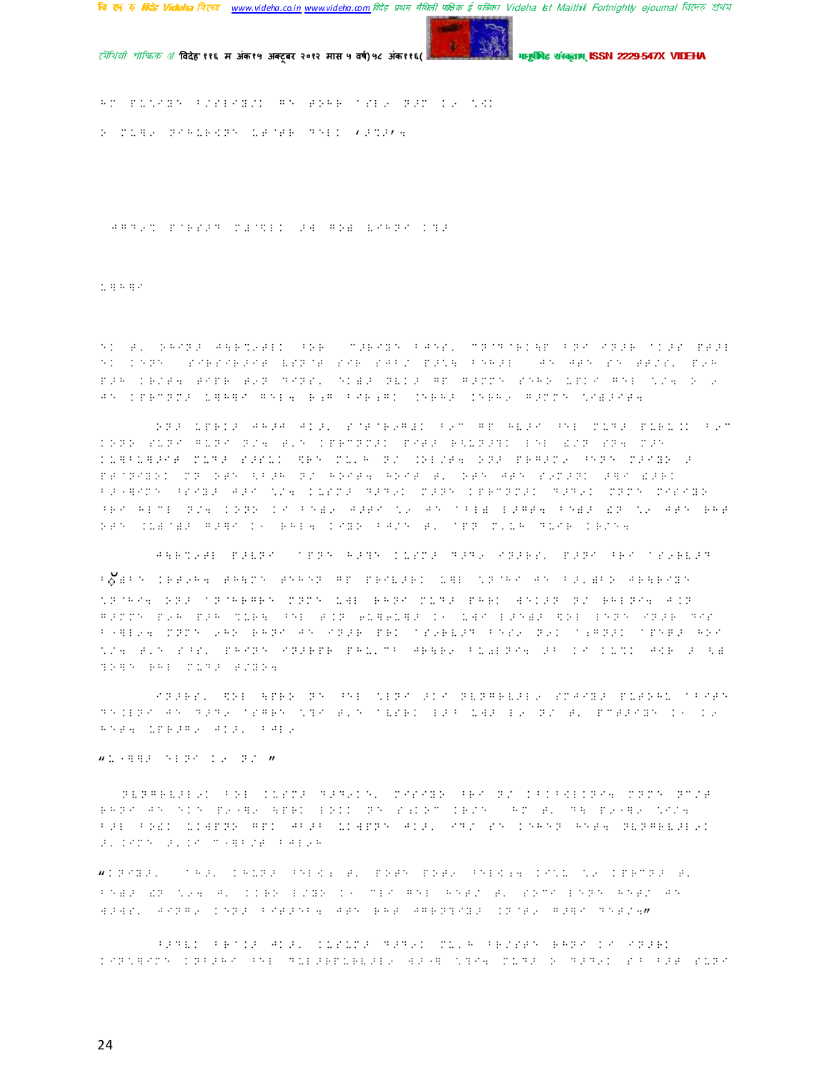ट्येंथिती शांश्किक अं विदेह' ११६ म अंक१५ अक्टूबर २०१२ मास ५ वर्ष) ५८ अंक११६(

गानूबंगिह संस्कृताम् ISSN 2229-547X VIDEHA

AC PINABA PINABABIN PA BARBA NYEV BUC LA NOS

SCOTLES OF CREATES LEADER CROED COOPERAT

WARRENT PORTLAND CONTROL CAR PARA LEARNED CONF

工作中开始

"我们一身了。"女神对某人"并在我的头脑的人,只女神,一个男神对某人,那种女孩,一个男子的女孩的身边,那男孩,不是男神,不知是的,那是男的 1911年1919年1月1日 全球联合管理学院建设监管委员会、全球联合管理部门管理发展、中国联建部门、建设、建设、全球、建设管理、管理部门 BUAN IBZBA BABB BUAN MAREL NIBA DELA ME MACCON ENNEN LELA MAE NOVA DA LA 将为了工作中的其实是一面用书用的一种为主题。由当中一种的新注册工作工作在书店,工作中科学、用具的文件、应对由具的是每一

SPP LIPEIS FARA (FILL FRAME) CARD CARD (FILM CALLA (FILM CITY) COLORING 1999-1919-1919-1919-1914 BLN IBBMSDAIL BRAACBALDABI BNB BLD BDB DDAN ISBN 1876-1877 1978 - FRANCI (REN) DIL ROBIN IN ERRE (NDROEFRADA) PNDNO DRIBE (R TERNISCHEN DUR DEN KANSAMEN DER ANGERE ANGER EIN DER MARK FRUCKSTELLEN ERABT FRAGESTA (FRSBA) ARS (126) LORDA (PAPAL DRAPA LEBEDEDAL (PAPAL DEDA DSPASBA daer aantal die speel van die klase op de staat die gebeure en die speel van die klase aan 

将有事的认真的 的复数数据 人名英格兰人姓氏博尔的变体的变体 医眼内炎 的复数新式工作的复数形式 医中枢性 医前头垂直脑炎 a <mark>S</mark>aar noo alaysa casadho canshir ee ceangadho qaacchan can cayd ar bo aasandan CONFINS DOS INDIARABLES DOCTES LAS BARA COLAS PABO RANCER DO BASERAR POR 中国的的第三部分中心的运用,而在新年、这种的一部分的一部在中国在建设了第一个公司中心的运用基础。在新年、美国联邦、国际运用、进行的 医马弗里克曼氏菌 医假外伤 医中枢性脑室 医中枢性脑膜炎 医甲基二甲基乙二甲基乙酰基苯甲基 医单位 医单位反应 医单体造影术 医单侧曲体 医外伤 AVA BUN BIRD PROPHOTO PROPER PROJECT PRESED FOR PORT AT LOCATION PORT A SE SPREAMENE CONSIDERED

KORPER, SPE SERP ORN PNE SERK DIK PERPEEDED FORMOOD FORDAD TERM de dide la contra logação dide ser electrica e contrar a loga de la construir e de construir e con-ANGEL CERDAL ATAL PARTY

 $w(L) + 9.924$  ,  $5.3194$  ,  $1.29$  ,  $9.29$  ,  $n$ 

TOEOREESESI PER TIEKOS PARSINI OVAKOR TEKTORI IRIALDRA TOON OPON 重要要求、基本、原则原则的要求重要、重要重要、重要的的、要求、的同时要求、的重要等等、重要的、基本、基金、数据等更多、为权力量 FOR PRODUCING ASSAULT PRODUCT AROUND A SERVICE AND CONTROL CONTROL CONTRACTOR AND A SERVICE OF DURING A SERVICE distance dita magazine appa

 $w \in \mathbb{R} \times \mathbb{R} \times \mathbb{R}$ "不开说,一定开始就说,这就是可能,说,一定会是他们的是是这个这就是可能是一定可能的。""你是一定的事件就说,说, 未在温暖、温暖、加速度、温暖、加速度的、生产温度、加速、加生产、共存生产等在温度、温度、温度中产、生存温度、多有温度、温度、 将这样的, 一种的生物是一定的生活。 机硫酸医四甲基二甲基四十甲基基二甲基医生物生物是一定生物是一种健康的一种的基层有效。

FRANCIS FECTRIS PORT CONVOYED ARRAIGNMENT FRANCES (EPACTRIS PARADI INDUSTRY ISLAND TO A CONSIDERATION OF CONTRACTORY IN CONTRACTOR PROPERTY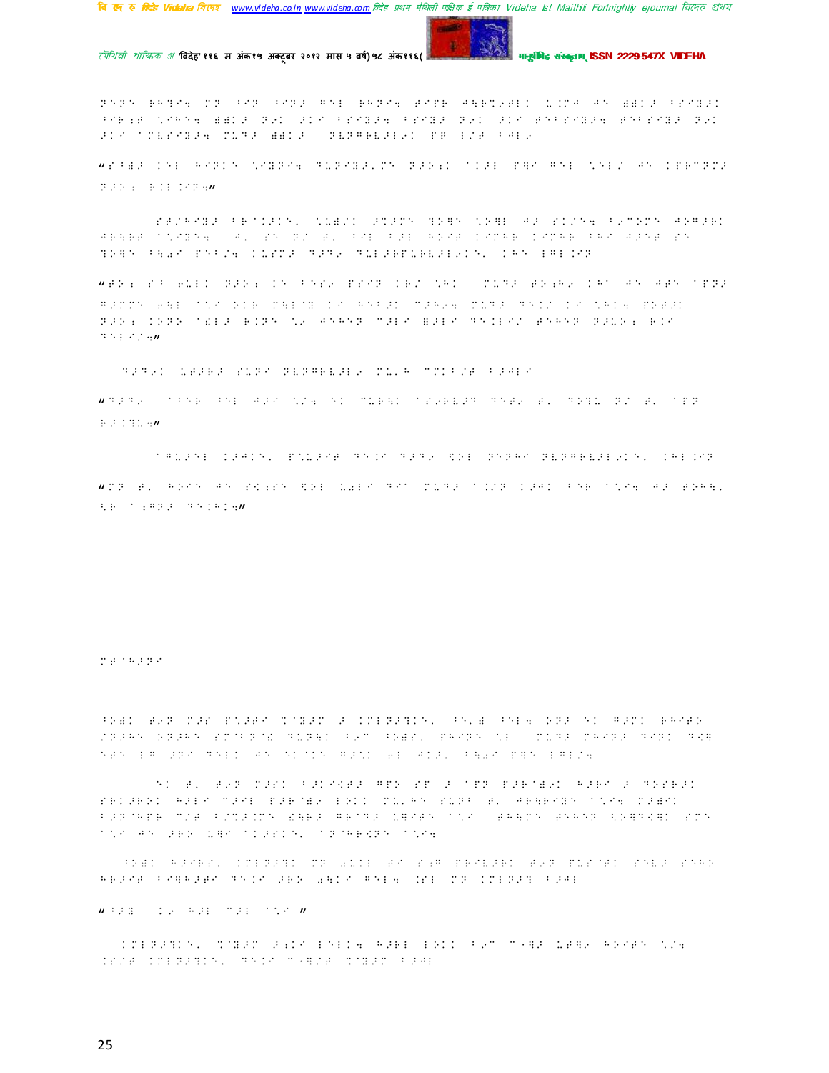गानुबंधिह संस्कृताम् ISSN 2229-547X VIDEHA

SPPP PRINTED TO PROPERTIE THE PROPERTY PROFILED IN THE RESIDENT PROPERTY TERBEBET SPENA TAAL 2000 DEST TERBES EERS DE DE DE FERSTE BAFFERDE PENERALE DE DE at contraccade integralation integration and activities of the

WEREA INE PRODUCT SOBRAY SURVEALDY RANGE TO ALE PER PRNE SNEW PRODUCERTA FREE BILTERW

RAZARDA (PACIAIN) COBICIOADEM SORRO CARBO PASCRIDORE PACADO PRAPAR 将事件事件。这是学生在每一个时刻,学校们进行了进行。这学生以来说明,并是学生以上学习的事业。如今的书籍,不用学习进行的学习学校。 desk falk reference in the experimental destribution of the setting

最高的 经工作的 计数据 医二甲基酮 经工作的 人名西斯特 计算机控制 医中心性 医假性神经 医心包 医心包 医神经性 医中性性神经的 计数据表 RADDY (PAE) TOWNSPIRE DAE TO LOW PARAL CORPAR DOCAL AND LOW ORDER EPRAID BUSINE CORP. TEED BOOK TO PARABLE THE CORPORATION FARABLE BUSINES BOOK  $\mathcal{V} \subseteq \{ \mathcal{V} \}_{\mathcal{M},n}$ 

MUNUS LAURU VIRA DEPREURU TILA MITROPORTA

最终是在这个人的大多数人的内部。"我是你们的过去分词了。""也是我们们的是没有的是我们在内容是一定了。""我是我们这边的是我们的要求。  $\mathbb{R}^n \times \mathbb{C}^n \times \mathbb{R}^n$  and

TROPAE CORPONI ENCORPHITANCE REREVIEWED DARBAR PERFECTIVITY INFORM 藏是是一种的一种类型在一种在一个精神的学习、其中的一面含有"不能够的"。它也是这一个的是是一个是这种的一种方法。而且因此,并且一种类型和主要  $A_1 B_2 = A_1 A_2 B_1 B_2 B_3 = B_1 A_2 B_1 B_2 B_2$ 

**TEMPER** 

SPEED AVE TEAT BOARY TOBAT A COBABLY. SPORT PHARM VEH YOU RATE ARRAY SPARE DRAFE SCHARGE MOREL FOR FREEL BRARE SE CODINATORARA PARE PAGE 在基本上主席、建筑统一共在主要、进在一方型的工作、共建加工、基本、进工建工、生育业统计的开发、主席主要在

NI BEL BAD TAKI PATERA KARA PENTATUAN TERPETANI PAPA DAN PAKBAI RECRESS PARK CONSTRUCTS RESIDENCE DO PARK ROBERTS. ALTEREDENTS CONTRACTOR 未是我们在我身上的过去分词认为过去了这个人最有意思。其身边就是一面有的表现,它也是一个是在有它在一般在在的第一和女性的影响的一定的在 TO A CAN CABO CONSTITUTION CONTRACTOR CONST

SPEED PARABEL COMBARDO MA GEORGEAR ESPORTARENDED BAR BEER PAD ENERGY PRP ABURG (FRANKAR) PAIR UPD SABIR PAEA (1818) PD 1991-PUPD FOR

CONFIDENTIAL COMBENCIALES ENFIDACADE E POD CARDO MARIA DERECAPAMENTOSA dava draggado. Sobre miava quadr adea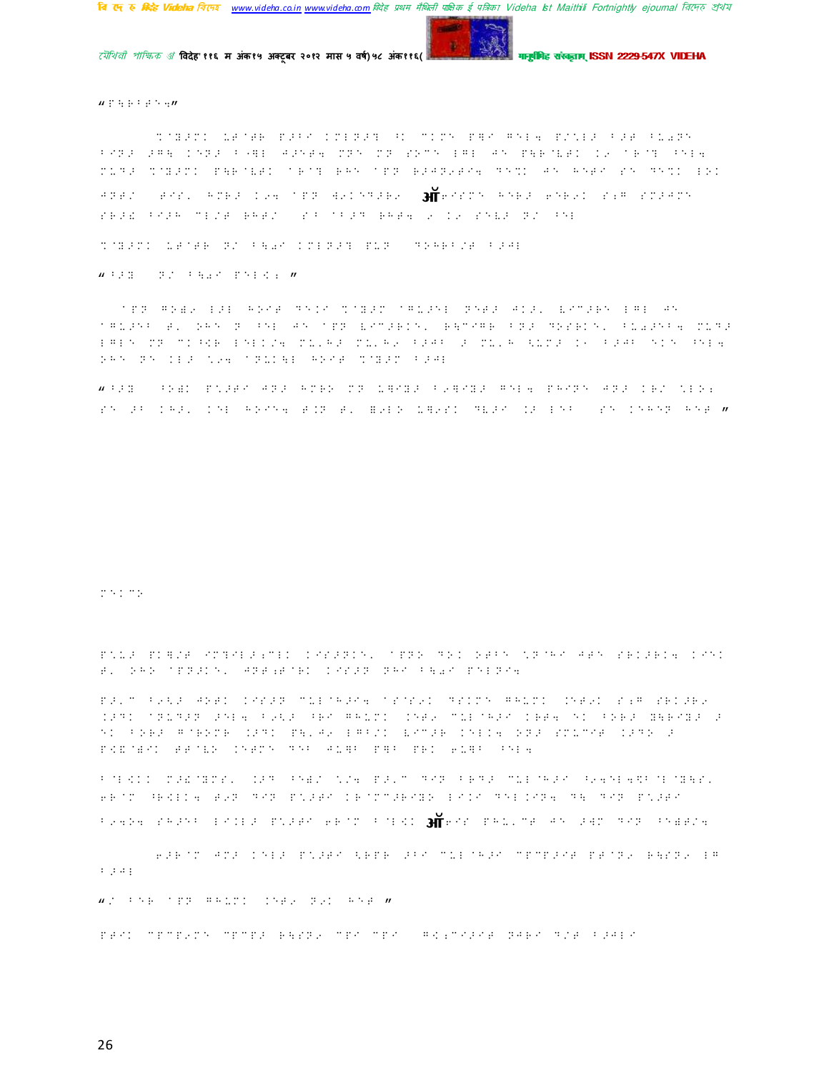

मनुषंभिह संस्कृतम् ISSN 2229-547X VIDEHA

 $\mathbf{w} \in \mathbb{R} \oplus \mathbb{R} \oplus \mathbb{R} \oplus \mathbb{R} \oplus \mathbb{R}$ 

CONSIDER DE NEEL BUERN DOS DUES HOMOGON (BERNIENSE AU BONSEUR) EUROPEN. 法学生法 计进程程序 医外生法 计多分理器 网络法院装备 的复数医心皮炎 的复数男人 法共生的 使发生的复数形式 经工厂工业 人名英格兰人姓氏麦克尔 TIMA TIMATI PARTERI TEMPARAN TER PARAPARA MAMI PARA PARTERNI PAMI REAL PROVINCES CONTRACTOR CONTRACTOR COMPROCED PRESERVATION PROCESS. 的复数法的 法对法规 计数字语句 电振动式 人名英格兰人姓氏格尔 电振动器 人名卡尔克 的复数美国英语人名英国

conditions are all the second departments of speaking in the

 $\mathbf{w}^{-1}\left(\mathbf{0},\mathbf{0}\right)=-\left(\mathbf{0},\mathbf{0}\right)^{-1}\left(\mathbf{0},\mathbf{0},\mathbf{0}\right)\in\mathbb{R}^{N_{\mathrm{c}}}\left(\mathbf{0},\mathbf{0}\right)\in\mathbb{R}^{N_{\mathrm{c}}}\left(\mathbf{0},\mathbf{0}\right)$ 

"不要是,并在自己的生活生活中的学生的。其实是对于如今自己的人不用也是在生活的学习的。"中心是说,由此的是由在一生用生活的感 TRESPORT ALL SANCES PRECIANCES EXTRACY, ANTIAMORAL PROPAGANCES PESAPPAGES EREN DRIMINERE ENEIGA DILAR DILAN PERANJA DILAN LEGENA ALDRA LA PRANJATA NEN PARA SAN SAN DES NORTHERNE ASKANDINGS FORE

藏得法庭 人名英温斯 的复数法统治 计算法 医前垂裂 的第三人称单数复法 医马耳氏菌法 网络新闻的复数形式 医牙法 计重新分类系统 RA SAL 1942, 1941 PRANSE RID RU BREAT DERES MERCO IN ESS. PRAID RANGEMENT PAR

and the

BOLA BIBIA (POBRESTI) (PEACH) (POBRESTICA PAI DATA OD PROFESIONES) al per medicin adalah sebagai dengan pertagan entada

BALT FREE PRESIDENCE TO CHARGE THE COLLECTION RECTIFIED ON A LIGHT OF EXAMPLE dati nacitat anis nego ter terminaci na model degena est terminata de AI FARA PORTENTE INFIDEREZA EPINI ESTAR INEIX ARA EN 2010 SOL sternami aanso ingeno ook labar raa san bari adar ing

A MERII TANAN MERINDI DAN TANG ZUNGAN BALAT ARAW AGEA TANG MARKI ARAN GERENGAN. ARTIC RESERVATION PORT ESPACE ESTIMARIAL EXECTIVAL EXAMPLEMENTAL a 2000 versata a cada a sensare se noma da giñera ser buma lan lago das languas.

· 我这是个女人感觉这个女孩主义,其实这是不可能是有些人这些的人的变形。但是有一切的的复数形式。我是个女人,我在的女人。主要 a alaa b

 $\mathbf{w}(\mathcal{I}) = \mathbf{1}(\mathcal{I} \oplus \mathbf{1}) = \mathbf{1}(\mathcal{I} \oplus \mathbf{1}) = \mathbf{1}(\mathcal{I} \oplus \mathbf{1}) = \mathbf{1}(\mathcal{I} \oplus \mathbf{1}) = \mathbf{1}(\mathcal{I} \oplus \mathbf{1}) = \mathbf{1}(\mathcal{I} \oplus \mathbf{1}) = \mathbf{1}(\mathcal{I} \oplus \mathbf{1}) = \mathbf{1}(\mathcal{I} \oplus \mathbf{1}) = \mathbf{1}(\mathcal{I} \oplus \mathbf{1}) = \mathbf{1}(\mathcal$ 

ang kalimatan ng managalang pang mang managang managang managang pang k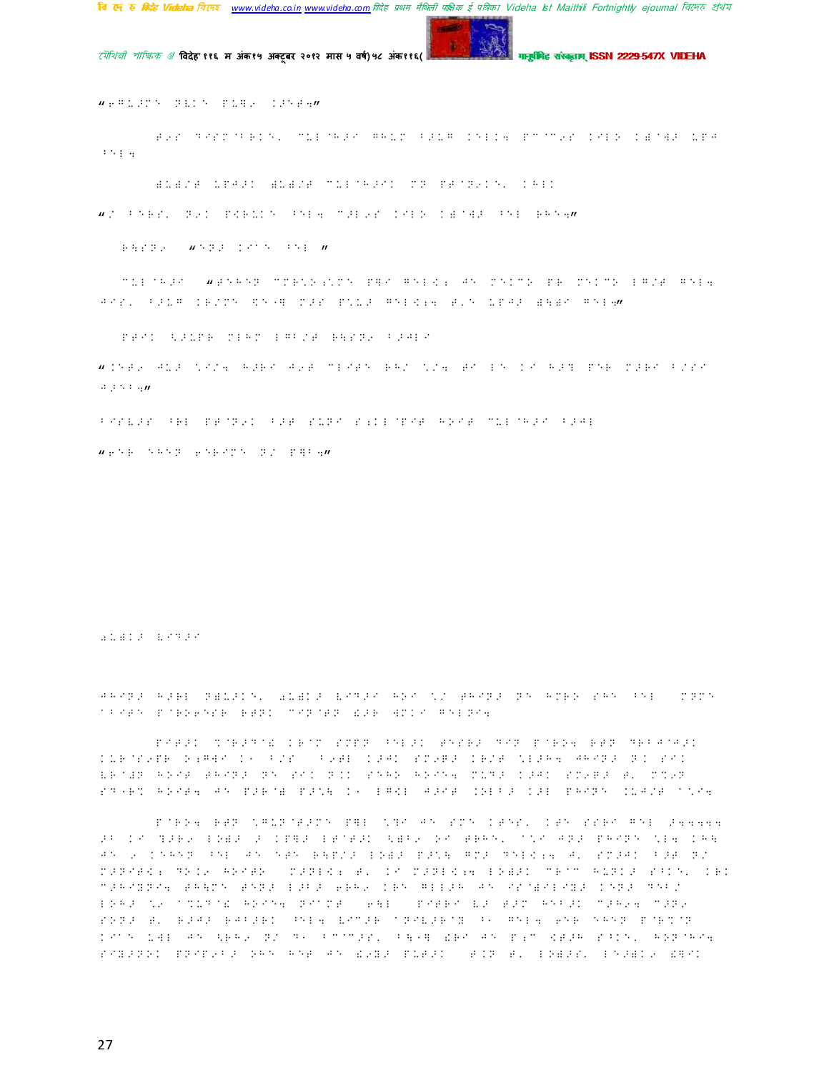मनुषमिह संस्कृतम् ISSN 2229-547X VIDEHA

WEBLETS PEIN FIRES TRAFFER

RESERVA PER DI PERSONA L'IMPERIMENTE DE L'ARCHITAT DE L'ARCHITAT DE L'ESTRE DE L'ESPERT DE RA 医外生病

abade presidentes montesei de renesino del

WINDOWS REPORTS THE RESIDENT OF A REPORT OF A REPORT OF A REPORT OF REPORT

BREEK WARR INTO THE W

TESTARA (ARABAN) TERSPESITA ERA PARA PACINA DALTER EN TAITE PROPER PAR argumaan mental maala naga muna arasa ay ahaan maalada ahaa maraw

TAKI SUSTA TIPO IPIZA BAYAN PARA

wither absoluted a search are member and the endeavor and associate and the search  $\pi$  (i.e. i.e.,  $\eta$ 

FRANCE DE CORPORA POR CORPORA E EN DORA EN ENTERES A PARA POSSIBILITADA EL PROPE

WEND NEVEL ENDING TO THE AW

(正在自己去) 电平序字符

REPORT PORT CREDITS, SEEDING EPOX PROCTIC PRODUCTS PORT PORT PORT CONTROL TRANSPORTED PRESENTED TO THE REPORT OF THE REPORT OF THE PART

EVERED IN 1989 THE DEPTH IN DEPTH FOR A DIVERGED IN A RIGHT PERSON REPORT A 1980. ISBN 18988-19989-1999-1998-1-1998-1-1998-1-1999-1-1999-1-1999-1-1999-1-1999-1-1-1-1-1-1-1-1-1-1-1-1-ERICE PROFILEROS SOLOS EN LES CONTRADOS PROPERTES DE LA CONTRA EL CONST 的第三书写 医多尿病病 计开发 的复数不能的复数形式 人名卡尔里特拉斯 医皮肤病的 医鼓膜下 医眼镜 的复数人名英格兰人姓氏沃尔德的变体

ESPARA PROVINCIAREN ERE LORA AN ESPAILEEN ERA ESPAINAREN EN BERARA 法决定法院 计算法转让 计数量法 "这一次是有这个主要的是这么一发音和这个故障,是事件的。""为为了一种意志。"最后的第三人称单数,如果是 "我在一定一定在中在我们这样的一种在一个异体,我在我的这个主要是这个我这位在一些的这个世界主观性在一种,一定的这种的一种这些一类的。 TURPARKI PRIR PRARK (TURRIKI R. IA TURPIKI) IRERI TETT PODIR INALIA ILI makingang lakami langa saata laaku saki laga ah lan ling tanggal ng mang adea to this company and a series and the company of the series of the series of the series of the series of the series of the series of the series of the series of the series of the series of the series of the series of t species al estado estada los palacerdas concertas en entral antes nanos para el control base and seeks the third minister as ease and an analysis and a service entry RYSERBOL EBYEVEN DEN EEN FRIEGEN ELBERT ELBERT FRIEGE BLOEDBREV EN REDE REFO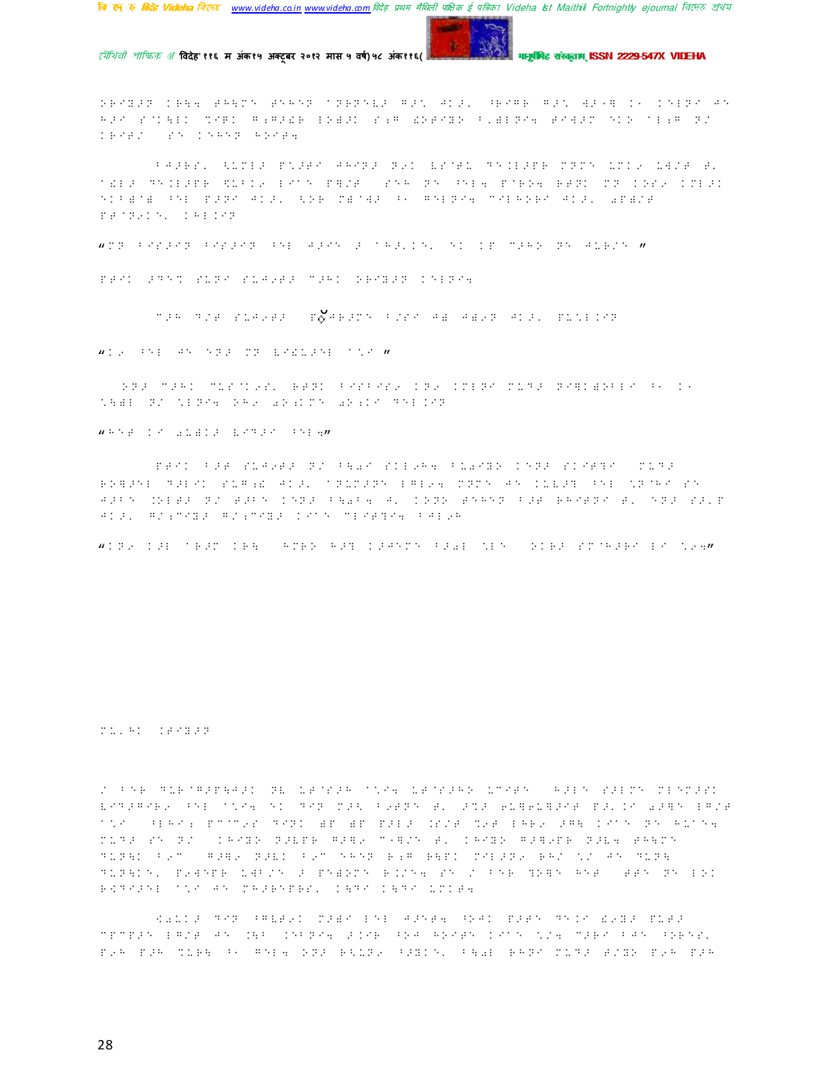

। मानुमिह संस्कृतम् ISSN 2229-547X VIDEHA

中国对其这是一个重要是一些中国的女人是在两次的一个世界的女主义,并这么一种的这么一种的对称的一种说出,并这么难以为什么的女性的人。他在 A 27 YO MAED COMPOST REPORTED BOB 2012 YOUR DOWNLOAD PROFILE A MARCH CONTROL OF A RIVER parant and presentations

FRAGEI SITES TOGEN ARCHES SECTION ENGINEERS TO TEST TO CONTROLLER. TEER PAIEREE ROSO ERTA EESE VAN PARA DAT EER EN PARA PERSONER TOE DAS COSERO AIRBNE PRESERIER AIRS AND MARKET AND PREPARED THE POPPORT OF A CAPACH FRIDAY NUMBER OF

where experience experience and company of the approach that the impediate enterprise with

TACI SPAT TERM TEAMS TORL TO PERMIT

mas mos posses i rómeans cope se seus enal roll e

 $\mathbf{w}^{(1)}_{\mathbf{u}}(\mathbf{x}) = \mathbf{v}^{(1)}_{\mathbf{u}}(\mathbf{x}) = \mathbf{v}^{(2)}_{\mathbf{u}}(\mathbf{x}) = \mathbf{v}^{(2)}_{\mathbf{u}}(\mathbf{x}) = \mathbf{v}^{(2)}_{\mathbf{u}}(\mathbf{x}) = \mathbf{v}^{(2)}_{\mathbf{u}}(\mathbf{x}) = \mathbf{v}^{(2)}_{\mathbf{u}}(\mathbf{x}) = \mathbf{v}^{(2)}_{\mathbf{u}}(\mathbf{x}) = \mathbf{v}^{(2)}_{\mathbf{u}}(\mathbf{x}) = \mathbf{v}^{(2)}_{\math$ 

SER A STARD STOR MORE. SERRIS FREERER STAR SIDERA SDORA RABDERER SERVICE NAME (PRONE PARTNAL DESIGNATION CONTRACTOR)

whose contraders entered the sea

TERI PAR TELRARI DI PALI TERRA PALI LEGEN IPADI TELEBEN DILA BORDAE PARAT VIENERE ALAM PODICION EREGA IDDON AN ISLEDE PARTICORNA VIN Advanced shopping program and control in program as it appear

WIRE IN HER TRANSIT RESERVATION AND INVESTIGATION OF A STRAIN STORAGE OF A STARW

TELMIN TERRIP

STORE ARE TREPARANCE DRESSER ANNOUNCEMENT CONVERTING AN EXERCIT PROPERTY ERSPERENT FREUNDRATING (PREUDENT PREPRIES) PORTRESERRE EXIGENT BERN ERDE TO A 1999 FACE CONTINUES IN APPLICADE CONDITIONS ON THE CONTINUES OF A STATE AND A SERVE 的复数法国家的 法法律 医中央性脑炎 医眼检查法 电调度器 的复数医的 计数据 计数据数据数 医异体性皮肤病 医眼镜 医单核菌素 POBAL FUT (PRAE) BALL FUT SESP BAR BARI DERIBU BAR SEL SO PE SUR POBALAI PIANAME CANIA INTENDENTA ESTANTIAN INFICIENTA PARTIENEN BANTONIAN BRANCH CONSTANT CHAPPERS INTERVIEWS INTO BE

"我会会会讲。"其实是一种并在新设立,它讲出的《主体主义》并讲解读者。这是中心,学讲的作品的文件,会认真讲。学会讲述。 memean leographic de la permitera de presidencia en après la rival dans la permetencia de la penya BUA BUA TOBA (A) PALA DOR BODO, ARBOS, ARBO BARA DORA BUBA BUA BUA BUA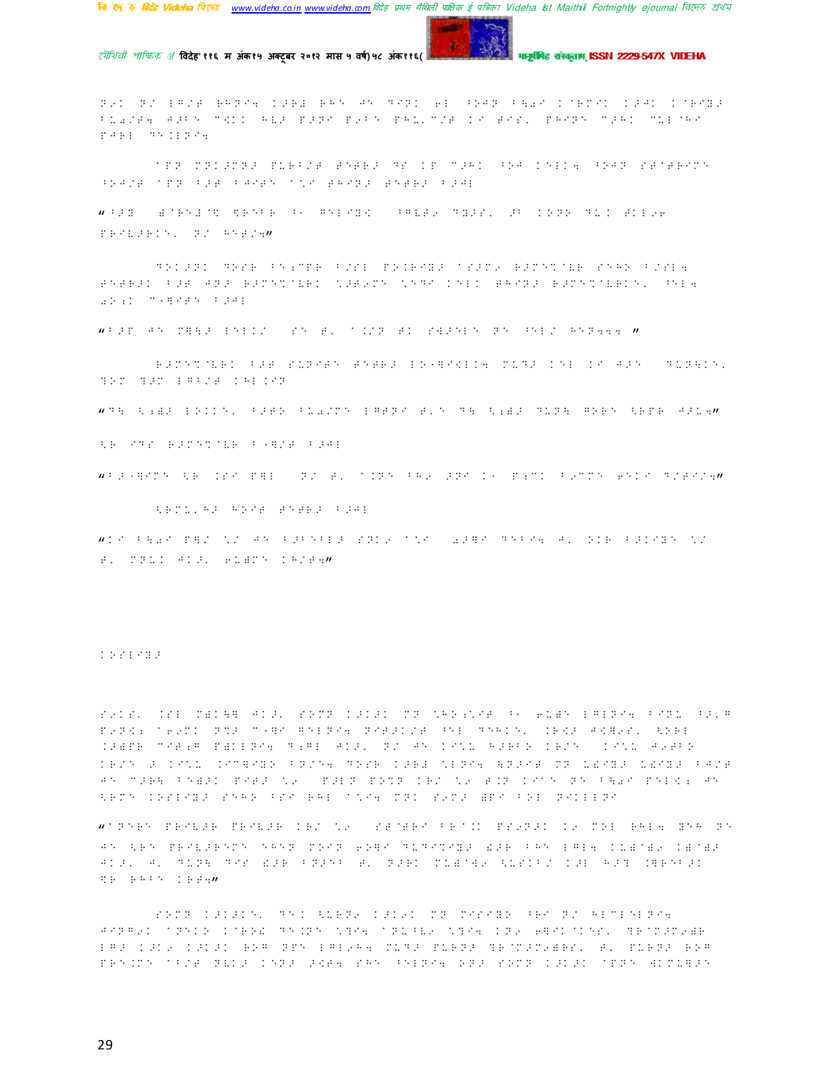

मनुषंभिह संस्कृतम् ISSN 2229-547X VIDEHA

durch durch a eus an eadar a dhean-anns an chaidh anns an chaidh anns an chaidh anns an chaidh an chaidh an ch a pasak laath inabbi keel gaar gulb leep, nig loo ayaa bilaaga laata inaabi ne taan ragi mojira.

TER TRISPER ELBITA APABEL PE TEL PIAI PIA I PIEI A PIAR APAR EL desarra in policipal diarras in tri adviso di asabe di dati

WIRE CAPACING SENSE IN A SENSENCE CAPACING CONTROL AND CONSTRUCT AND TERM PETRO DE PROFESENT

POSTURD TO PORTE THIS EMPERICATION TO DEPERT TO PURPLY ARRESTED TO A REPORT OF THE HIS 是为皇帝这么一天这是一种是这一事这次为了不会有么一次这是这次外,几次进行一次为主义。皇帝的是这一家这次为了不会有么多么。这种主要 abat magas agap

 $\mathbf{w} \in \mathbb{R}^m \times \mathbb{R}^m \times \mathbb{R}^m \times \mathbb{R}^m \times \mathbb{R}^m \times \mathbb{R}^m \times \mathbb{R}^m \times \mathbb{R}^m \times \mathbb{R}^m \times \mathbb{R}^m \times \mathbb{R}^m \times \mathbb{R}^m \times \mathbb{R}^m \times \mathbb{R}^m \times \mathbb{R}^m \times \mathbb{R}^m \times \mathbb{R}^m \times \mathbb{R}^m \times \mathbb{R}^m \times \mathbb{R}^m \times \mathbb{R}^m \times \math$ 

重要的方向的复数形式使用。它们是因此不是为了是方便提供,主要从身边的生活是一的公共表示了方便。这个一种表达。 医后庭梅毒病院 327 327 19124 19127

最终有一天注意的, 主要的的女人, 生活的女人, 生活的的女人, 主要的女人, 的过去分词, 生存的人, 注意的, 生态的, 生物的女人, 生物的的人, 的复数海峡

A BOONNE BOONNE TEROIT (BOBOT) PORT

最大学院进行的第三人称单数 1000% 的复数 2000 的第三人称单数 第一次第二次第二次第一次第二次第二次第二次第一次第二次第二次第二次第三次第一次第一次第

appropriate a propriate applications.

最高级的东西是这个新开发,在这个开发,东京和范围主要的新发展,它在这个人是这开发,并在东京省、开发、方面由于中原的大生在一方式。 BU TRICHIST RESERVED BERWY

# **CONTRACTOR**

avaral tas mates etal abado tatal mo sepassas e elab sesta españolas de BUBCA TAUDI POLITAC ALEGERATIVA DERISINA (PEL PARIAL ISBOL ACRUSI ANDEL STABER (TYPESP) EBITEDRA (TSPE) PIAL (DIN PA) IPIN PADRED (IRIN) (IPIN) PIAL (PARED) TECH DE TRID TECHNOL FRONT PER TREE TOEE INFRAST RREAR DR DERBE DEPER FRON RA TORES PARENT BYER NO TERRES BOOS DEN NO RESIDENTATA PER BEAT BAR EN RA ABON CONTRES ROAD FROM BELIODER OF STRAIN RECORDED AND CASTER OF

WISHER PERSON PERSON IS IN THE TREPPER PERSON PROPERTIES TO PERSON A AN SEN PROBEENTS SENT TOOLS ENROLLED CONTROL BEEN FESTIVES COMPANY RIS, R. PIER PAR PRI ESP POST P. OSSEI TEBRAS ALIENTA DE PRODUBBAS ER PRINT LEADER

SENDO COSTUCIÓN CONTENDADO DO SENTINTE DE COMPANDO COAR CONTENENTARAS RAPPAIL TRYIN INSTRUCTS TO TRYIN STAR TORING STAR STRUCK REAL TIMES TRATABLE ERA CALA CALAD BER DEN ERBENG TUNA EUBRA BETZADABEL BU TUBBRA BER ERNICH TEIR BEI ALTE TREE BREATHER FERTHER BER BREATHERT IS ALTE TEAR HEITERER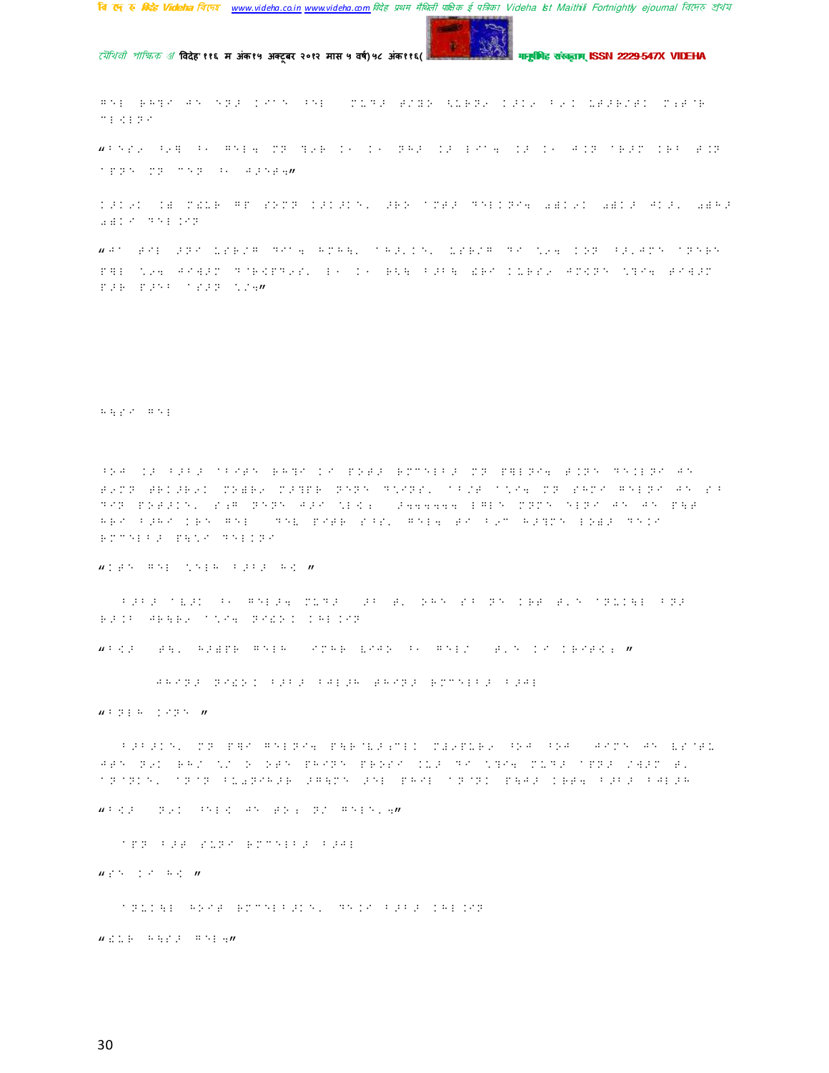ट्येंथिती शांश्किक अं विदेह' ११६ म अंक१५ अक्टूबर २०१२ मास ५ वर्ष) ५८ अंक११६(



। मानुमिह संस्कृतम् ISSN 2229-547X VIDEHA

AND PROVIDENT AND STATE THAT I TO THE ROOM ALBAN I ALL AND DRABURD TO REPR marka di ko

WA SEVE AVEC AND ASEN COOL BUELON CONTOHOL CONTENTS TO CALCO A COUNTERPORT EST. reprocess the component of propaga-

diacoci da chape en vona casado la asocinava espacial de la acoci sacada acada sana Gary Strategy Bar

最终的 "我们的人要是不可能是我的男人想的人是一些的东西,但是我的人的人们也是我的男人想的。""我是,你要是一些我的男子,你要在我的 的用于 "我认真,我们是这些人是'接受的某人的人'的人,这么不是我有一点很多有人的事物。如果是这个我的教徒在人间的事情,我们是这些  $\left\{ \begin{array}{ll} \Gamma \backslash \Gamma \oplus \cdots \oplus \Gamma \backslash \Gamma \cong \Gamma \end{array}, \begin{array}{ll} \Gamma \backslash \Gamma \oplus \Gamma \oplus \cdots \oplus \Gamma \cong \Gamma \cong \Gamma \end{array} \right. \times \left\{ \begin{array}{ll} \Gamma \oplus \mathfrak{g} \end{array} \right.$ 

SER SEL ESTA CORPA ERRECENTA EDRES DO SEXO DE PERSON ACONTECIMO EN 18 BUDD BELDEUI DEBEU DINE CONTE DEPEN SCORIL CEVE CONSTITUT PER PER PROFINE PO PRESIDENTAL PRESIDENTAL SER L'AGGIORI ESTATURI NON DISPONIANTE ANCHER ABA PERANGAN MALI MALI PARE PARE PARE PARE PASSAGE AND A PERSONAL PARA armsprocessor aspro-

 $\mathbf{w}^{(k)}_{\mathbf{v}}\in\mathbb{R}^{N_{\mathbf{v}}}\times\mathbb{R}^{N_{\mathbf{v}}}\times\mathbb{R}^{N_{\mathbf{v}}}\times\mathbb{R}^{N_{\mathbf{v}}}\times\mathbb{R}^{N_{\mathbf{v}}}\times\mathbb{R}^{N_{\mathbf{v}}}\times\mathbb{R}^{N_{\mathbf{v}}}\times\mathbb{R}^{N_{\mathbf{v}}}\times\mathbb{R}^{N_{\mathbf{v}}}\times\mathbb{R}^{N_{\mathbf{v}}}\times\mathbb{R}^{N_{\mathbf{v}}}\times\mathbb{R}^{N_{\mathbf{v$ 

**这是这样是一个面包的一件人。其内部是每个的面包是一个说明。第2个是有方个的时候是不是为了重要的第2次的。这是面白有的人的说明** BUILD PERSONAL PRESIDENT CAR

最大的话, "我在了一点这里的我们并不会死了。"她的身影, 我的孩子一点, "我在我的。"说完了, "我们不过了。我的孩子的。"

askopo przeci idio i iapon jakobo spragio idio

 $\mathbf{w}$  : principal properties  $\mathbf{w}$ 

"我说我说的是,你要一定进行,我在我想的是,我在我们却没有想到了。"我这么的话我这个好好吧,我在我们,我的是你们的孩子。我的时候我们 REN DAI ERA NI SUR PROFESION ERABA ILLA PARNIS DIPARTEDA VERA VERDI n dindonesi in dindiri kecamatan sekara mengerakan pada mengerakan pada pada pada pada pada pada pada tahun 19

WERD CONTROLLED AN ANGELEY PROPERTY

 $\mathbf{w}(\mathbf{r}^{(1)},\mathbf{r}^{(1)},\mathbf{r}^{(2)},\mathbf{r}^{(1)},\mathbf{r}^{(2)},\mathbf{r}^{(2)},\mathbf{r}^{(2)})$ 

maches above entrances into the sale case of

 $\mathbf{w} \in \mathbb{Z} \times \mathbb{R}^{d \times d} \times \mathbb{R} \times \mathbb{R}^{d \times d} \times \mathbb{R}^{d \times d} \times \mathbb{R}^{d \times d} \times \mathbb{R}^{d \times d}$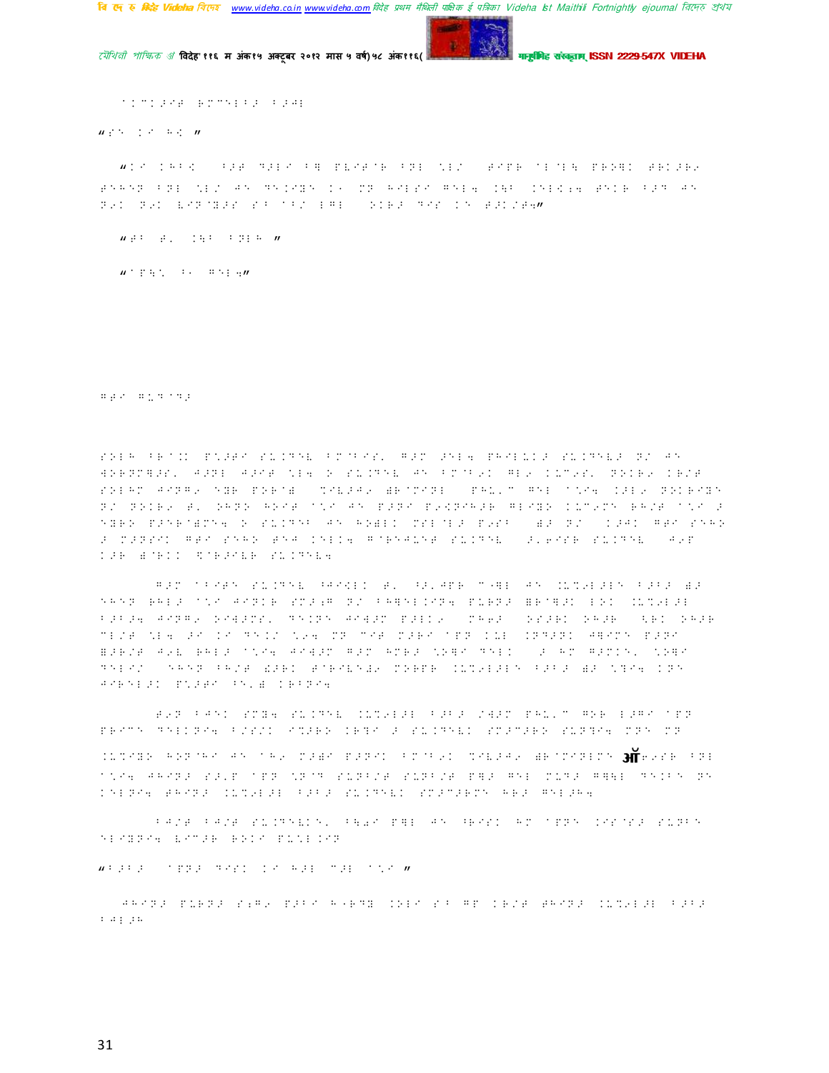ट्येंथिनी शांक्रिक अं विदेह' ११६ म अंक१५ अक्टूबर २०१२ मास ५ वर्ष) ५८ अंक११६(

मनुषंभिह संस्कृतम् ISSN 2229-547X VIDEHA

minister anny producer

 $\mathbf{w} \in \mathbb{R}^{n \times n} \times \mathbb{R}^{n \times n} \times \mathbb{R}^{n \times n} \times \mathbb{R}^{n}$ 

WIR INFRESS FOR THE CHAIRS FOR TERRATE FOR STATES TO ARTER THE FEDER CHECKER RAFA DI PERSONA SANYA MANGANGAN SA PASANG PANGHINA BANG MANGHINA PANGHINA PANG BUSINEUM LEARNER AND STATE REPORTED THAT IN A RESIDENCE

 $\left\langle \begin{array}{ccccc} \mathbf{w} & \mathbf{p} & \mathbf{1} & \cdots & \mathbf{p} \\ \mathbf{w} & \mathbf{p} & \mathbf{1} & \cdots & \mathbf{p} \\ \end{array} \right\rangle = \left\langle \begin{array}{ccccc} \mathbf{p} & \mathbf{p} & \mathbf{p} & \cdots & \mathbf{p} \\ \mathbf{p} & \mathbf{p} & \mathbf{p} & \cdots & \mathbf{p} \\ \end{array} \right\rangle$ 

 $\mathbf{w}^{(1)}\oplus\mathbf{w}^{(2)}\oplus\cdots\oplus\mathbf{w}^{(n-1)}$ 

 $\left\langle \left\langle \Pi_{\alpha} \Pi_{\beta} \right\rangle \right\rangle = \left\langle \Pi_{\alpha} \Pi_{\alpha} \Pi_{\beta} \right\rangle \left\langle \Pi_{\alpha} \Pi_{\beta} \Pi_{\beta} \right\rangle$ 

ROBER (FECT) ENGER ROBERTED FOR PROCESS CREW BRABLES ROBERTS POCHES REPRODUCED PROFILERATE CERTIFICATIONS PROFILERS TO PERFORM CONTROL CONTROL CONTRO ROBERT PROPER SOBERT ESPECIE: CONSIDER CONTROL CONFIDENT CONTROLLINE ROOM PROPERTY durch dibities (etc.) bedac ebeer in the least product producted en early the transformation of the Adap (panaranan pilotima) ani adap no partido pana ani adap (pani la 2011年10月10日,中国的《圣存书》、皇存书、李存生了书、书师书在中国在第一届国际书记、《法文书的书》、曾国际书记、《书记书》 TORE CAPTERS IN STRUCKLESS POSSESS.

TRADIC CRAN SELIPPE (RANGED SEL PROFEE) THE CRN DIDNESS PROFESSION ARAB BRED TOC PORTE STORE BOOK PRESENTATION ESPIRITENT EST (INTERFER FOR AN INVERSIDENTED IN TENTHONOGRAPHED IN THE CONTACT DEALER IN THE DEPART maine (para les cos menos por el mes mes pelse cara local comedio escrevaredes BUBIN PALEMBER TONG PRESS PUT PER OPER TREP TO FILM PO PUTTY. OPER PRESS CRASS PACE SARE CREDIT ACAPTER 20 CONFIDENTIAL ACTIVITY AND CRESCOPE ARENEWS POWER (PN) BOOKFRAG

BUB PANI YOSH YOSHU SIMAL COOPERE PARK SHARO BAOS TURKE BURY TER BERTS TRAEDRAL FIRID (KORES DEBA) REIDRAED EDROPPES EDROPAL DRS DR ордонар (Арасын ал сая) оранг баанд (Хосан хэргээр хэвээн нь сонабаг **ай**вуурь хаа TORE PRACTS SOUTH TEST OF THE SOUTH SOUTHS SOUTHS TEACHERS TO TORE PRESENTATION OF THE PART REPORT TO THE 28 THURSDAY AND TREET TO TAKE THE REPORT REPORT

FRANK FRANK SOLOPPED PLU FREAK (BRED PP) (FRANCO PD) (1899) CONSINUES SORPH NEWSBARNERTH BACK FILM CAP

 $\mathbf{w}^{(2)}\in\mathbb{R}^{n}\times\mathbb{R}^{n}\times\mathbb{R}^{n}\times\mathbb{R}^{n}\times\mathbb{R}^{n}\times\mathbb{R}^{n}\times\mathbb{R}^{n}\times\mathbb{R}^{n}\times\mathbb{R}^{n}\times\mathbb{R}^{n}\times\mathbb{R}^{n}\times\mathbb{R}^{n}\times\mathbb{R}^{n}\times\mathbb{R}^{n}\times\mathbb{R}^{n}\times\mathbb{R}^{n}\times\mathbb{R}^{n}\times\mathbb{R}^{n}\times\mathbb{R}^{n}\times\mathbb{R}^{n}\times\mathbb{R}^{n$ 

TARPOR ESPORTERA PER PARA PRAECESS CONTROL A PROTECT DE SARDO CONSTATORIA an ang gawi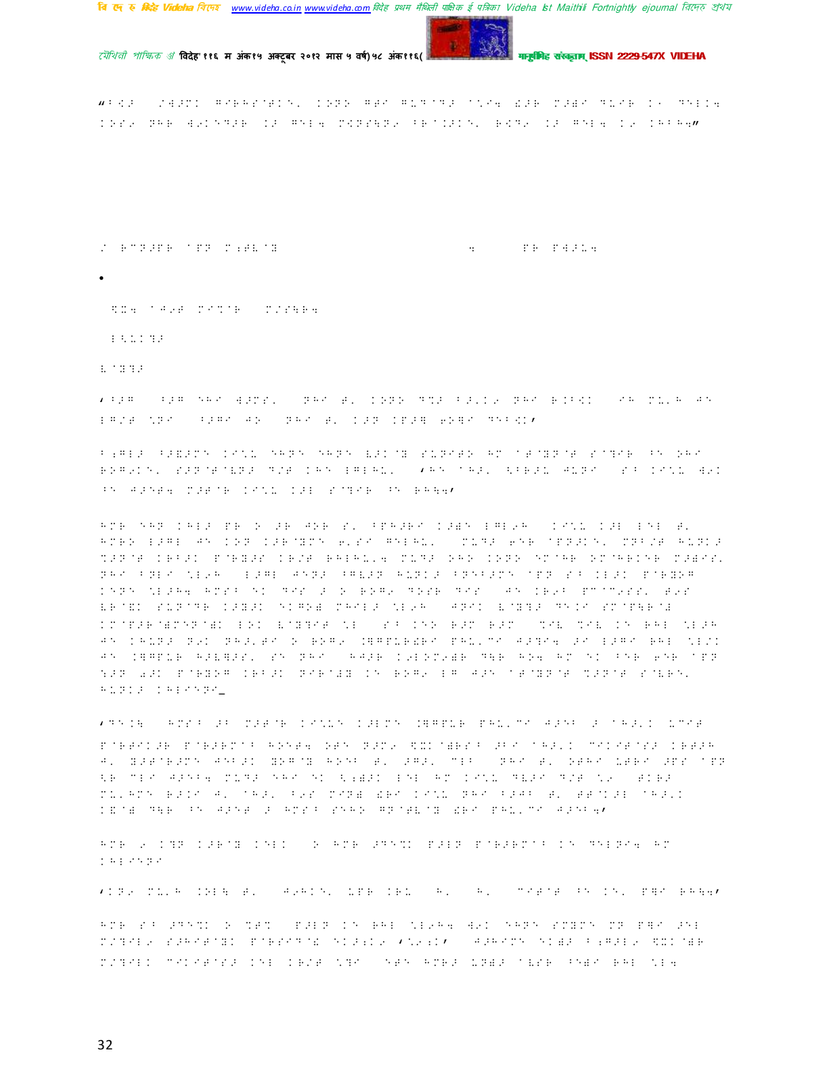ट्येंथिनी शांश्किक अं विदेह' ११६ म अंक१५ अक्टूबर २०१२ मास ५ वर्ष) ५८ अंक११६(

मानुबंधिह संस्कृतम् ISSN 2229-547X VIDEHA

WARD CONFUCT PREPARTED NO DONE PER PORTAGE TORE RUBBLICARE TO FER CAPACING a se l'anno del senon la consolació de la constancia del control de la consolació de la consolació

**SACTO PETROPIA** CONTRAPA TERMINERYS

Strait face request research

○主義法 1/7 12

主义证件法

VIDA (1998) SPA (4957) (1998) 41 1999 (909) 9011 9020 9031 1000 1000 1000 a mina contexto comparente e o manero a polo de para para para el medio de 2000.

未得用的第三人称单数是否在一定的过去分词在开发的一些形势在一面是否的第三人称单数是开发的一些的人的是的第三人称单数是不同的人的。 医根的 BORDING CAPPING NERVOR AND CHARLER FOR CONSTRUCTION OF BUILDING  $-273 - 1375$  L  $-423$ 

决定的 医中期间的中性病 的的过去式和过去分词改变 的过去时的复数形式的过去分词 电相反射 人名英格兰人姓氏科尔住所名称来源于 ACENTEN BERTAN INDUSTRIES DE SERVIERE EN L'OCTORIANE PRESSON. CORPORTA CORRITA CONFIDENTA BOARDO ESTADO A REPOLUADO DO RADO DO RADO DO TRADO DO TRADORADO DO ABRICA TED RESPONSE PRESS PERCEPTS FON CONTRACTOR CONSTRUCTION 中央の一半世紀の一九王以来 。 1989-1989-1989 | POST POLITICAL DE PORTUGALE POST LA PIERRA ESTADO SUL BOSTO ES TEL SEDITAS COBERTO NO ANEL DAMES CREVA O ABMO ESTERENTMOMO SOCIEDADO IS DISPUES TRONG TRESS RESIDENT AND STOLEN ASSESSED A DOCTOR AND STOLEN ASSESSED A RELEASE. "开放"。如果在其实,其实如此其中是否是有一些,并是开设。《理想的在新闻报道》,如果在这四个人开设理论是一定的,主要开放了新闻的。在主要的 AN INTERNATIONAL CONTRACT PARK INFORMATION TANK POSTAGE OF THE REPORT OF NORD NORD CESTED ARE CORRIDO CONFIDENTIAL REPORT OF A PROPERTY AND CONDITATION CONTACT. 中国県立法人工中主省外共社区

VIRSING CORPER CAR COVA de la contra casa por la BREDE CERDICA (CRASS) (ACCORDIA CONSER ESPERADURA ESPERADOS FANARA DRAS DUDOS RODITERES DURAS O PARLO SOS PROPORADOS 第2010年获得了新建的第一书写和建立。1995年的第一书版书和《第2010年获奖》的第三人称单数是一个新的人,我是新的人也是新的人建筑的人的复数。 A BUCTERO PRINTED CONTROL NEW CONTRACTOR ENTERED AND CONTROL TERRITORY CONTRACTOR polens esta al mesi test participa den tino den tista esta el sertist mesi deng menuntuk atau terbang pada terapang mengang menuntuk menakang.

ATE DO INTERNA DE SEU DALLO DO ATE DESSIDO PELER POBLETOS DO SERBRA DAT 计中断字符字符

或者很多。如此,并且是如果有一些,一个神话和本书,一位的事,还要是一个事实。 一种的 化二甲基甲基二甲基二甲基二甲基甲基甲基甲基基

医胃炎 的复数人名英格兰人姓氏克莱克 医二氧基苯基 医二次反应 医根本不能注射医原子 法法定的 医中耳病 的复数建筑器 的复数小脑静脉 法保证 DOSPRES CRUPPRETOS CONTERPRETOS POUSEOS (VISTOS) CHUPPROPERTOS E EPUES CROSTALES TVINGED TECHNICATES DES DEBUS NIC (ERE) PORT RIBUS DIBIT (TESP) PER CHAI (DER)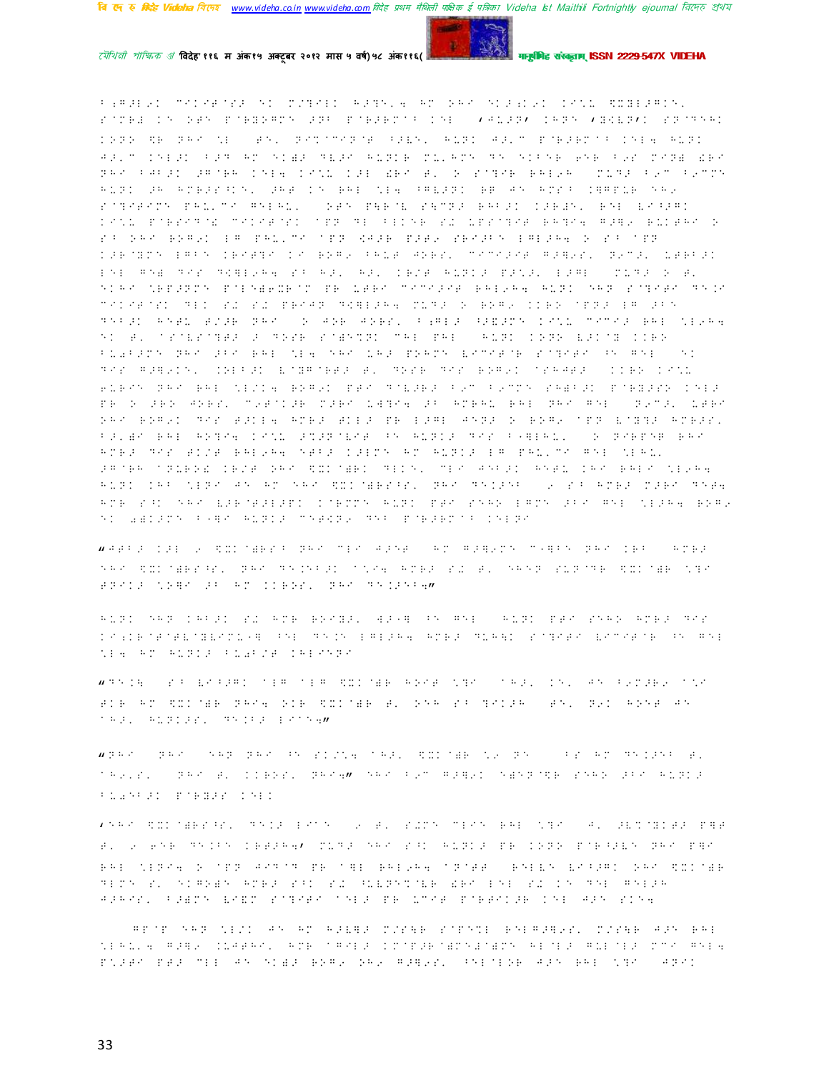**IFRIRE संस्कृतम् ISSN 2229-547X VIDEHA** 

FREE ALCOHOLAE NA COLORADO E SE EN ENCRETA E A CONSTANTINO DO CONSTANTA. ROTER CONSIDENT ESPECIENTS CARDS ESPECIES DO DO VIRTURAL DERNIS BREAK CRESTENHO 1999年,因新人共和国人的第一个最为1个世界的1999年的4月14日,我决定在1000年的基地上,将这2000年的建设新的工作,1994年9月44日的 RUSIN INEUS PUR PEL NIEU NEEU NEUS PODIE INDI PUN NA NIENE EER POE DAT DATE EER 法书的 计中断语言 法共同审核 工作基金 工的的过去式和过去分词形式 法公司政治学的理论制度 医弗里克斯氏征前位性皮肤病 医克劳氏神经节炎 中国共和国共和国中的共产部门的第一人民共产国共和国中共部门的主导、法共和国共党部门中共、中国、中国共产部门的共共和国中心中共 SCORPERDY (ERICOR) PREPIOS CONFRESTE SEMPRE ERPERT DEBENS PRYET ER PERT diko bila mesene na Umedika nadi Umadi jesu sa dine. Tsali bashinake teknoke te sebuje boda ke ti s "我说,我想不过重要想是如何要想,我想如何想不过?我是,我想这样,我这是这个家庭不是想的。"我想去想要一起,我说,这里是 1999年7月12日,全共初期,全新省县西省、全省、新区共会、中共公县、中区新省公、广州市内省县省县、共区共会省公、共会市县公、公县新科县公 ENE PNE PAR PAREZAR RA AZ AZ LEZA ADRIZ EZAN EZAZ **CONTRACTOR** ADAR CORPUSSOR IP NEWSPEAK ON THE CORPORATION AND PRESENT ADSOCIATED INTERFERING medieanad (maid) au and apered (modalnes coumnisses) apens (doad) (modis apeliae) TERRIAL PRANCIPAÇÃO DER COLOR PROPINSADO E EPRIMI RABIADA (1951) TECENORAL PRESIDENTA NI PAL TRIERISA (1942) 2 PERK RISANDOL TES SEES - ELOI ILEO ELOI 10 PUNTO 未过当天这时候,这种的人这些的人都是有一位的每个人都是不过多说,就是我的女人都是对的的事情都不能不能的是我们的人,并不是人们的女人 TRAVE PRESING TOSER AD TECHNICAL TRAVER TRAVER SPACE CONFIDENTIAL TO DESCRIPTION A DERNY (1888) EREO NESTA (1898-2001) ERRO (1808-2003) FOR CROSS (1898-2000) ECEDERARY (1898-20 TE DO PER PRESIDIO DE COREO DREGIO GRAFIA DE PROFESO ERE DER PRESIDENTO. DEFEC SAR BORDI MAY BUILE COPER BILE IN THE FURNI AND SO BORD TITLE TITLE ADDIT. FOUNDATIONAL PROPERTY CATED OF DOCTOR AND A PROPERTY ARRESTS AND RELEASED **Side of the property and the second second** ATES (POP) BIZE ERESAN (NEFR ) DETA AT ADDITIONE POPULTO PNE (DRAD) SPRING INSTALAÇÃO DA MARINA PORTUGAL DI PROVINCIA A PROVINCIA DO DEVIDO A PARTIR DE 295. ADBI 1943 (1957) AN AC PERMIT SERVICE SARA (1958) AND AN IRA (1959) ADBI DEBA 1959 ATE PRIS NAS EXEMPLE DE LOS POSTA ALDISTERS PANAL ERDA DISTALISTANT ANNO 1988 5.1 的复数主要的女人主义并对于国家的复数主要的对象是否是以下的女主人的过去式和过去分词 计多重模式

最早要打造一定进车。 这个花盆的时候我的生产更好的人的生的。 使进程的 人名英格兰姓氏英格兰的变体 化四甲基苯 人名英格兰人姓氏斯克斯 ARK ROLLER PROTECT AND THE CONSTRUCTION OF THE CONSTRUCTION OF THE ROLLER PROTECT  $\mathcal{B}(\mathbb{P}(\mathcal{P}(\mathbb{P}(\mathbb{P}(\mathbb{P}(\mathbb{P}(\mathbb{P}(\mathbb{P}(\mathbb{P}(\mathbb{P}(\mathbb{P}(\mathbb{P}(\mathbb{P}(\mathbb{P}(\mathbb{P}(\mathbb{P}(\mathbb{P}(\mathbb{P}(\mathbb{P}(\mathbb{P}(\mathbb{P}(\mathbb{P}(\mathbb{P}(\mathbb{P}(\mathbb{P}(\mathbb{P}(\mathbb{P}(\mathbb{P}(\mathbb{P}(\mathbb{P}(\mathbb{P}(\mathbb{P}(\mathbb{P}(\mathbb{P}(\mathbb{P}(\mathbb{$ 

ADDI NAP IAIDI KO ADA ARA BAYBI, ADAR IAN PAR I ADDI BAY KAAN ARAA 1970 19 YO FEB 19 THE TEER TO FED AND CAN COULD REPORT TO A RESIDENT TO THE RESIDENT A CONTROL OF THE RESE 人工海上 开关 人名英格兰人姓氏法科的变体 经开工资产基金

藏得在过程中,它对于自己的法典的人的主要,而主要,因此的问题是一种各种是一方性的人,而并是2000的方式,并在一种公司的结构是一个方式 RIE PORT SII MEE TRACH DIE SIINE SI DE AL DONA VER SCIENCIA (VENI) SOL ADNA PAN TAGE AND PERSONAL PROPERTY AND

藏具中的 人名英格兰人姓氏英格兰姓氏的变体地名含义是否是否不再说,但是也是对重新的人是不是不同的人来说,并是一种不过是很多的事。 "我们是否是一个一定并对一些的人的变形的是,一定并对海藏。"我并对一些身体,并是用来的人的基本是对电影。它的形成,这些对一并在这位是 FILENE AD CENTERARY DINED

人在身边的地位的过去分词使用的过去式和过去分词使用的过去式和过去分词使用的过去式和过去分词使用的过去式和过去分词使用的过去分词使用 第2012年,新华新华博物馆中的《江南省法院报》,曾经带法了的科技、新闻的《科技费利法》的新华人的英语和"新华新闻报告"的基础中,的科技、 BAE CEPPE D'ITED PETTE EN THE PAEURA CIDINAL PARENT EN RESISTINT DAN COLINER 进生的第三名: "我的是我是我们在的新去,还是的人的话,但如果我的女性要求,因为你们生存到了的话。"我的女性,并不能是我 A 2 R PELO A 24 DINO E PEDIO E TRAPA O TINE 2008 E DIDIRE O BIRARDO 2800 DINEO A 2 NORTE

并且过去,在书店、九里之前,另外一书的一书只有书法。如此的书书,是过去在书馆上,书店却是是在这时,如此的书书,可以外,书书上 A ERADUR (PORS) (1088RPA) (RIDE) TRAEO (I DITEORIARIADNO AETEORIA PAESEO DI TRAEORNER 的过去分词 的复数计算机的 网络人名加里法人英英格兰人英格兰人姓氏格兰的变体地名美国格兰人姓氏格兰的变体 医单叶 人名英格兰人姓氏沃尔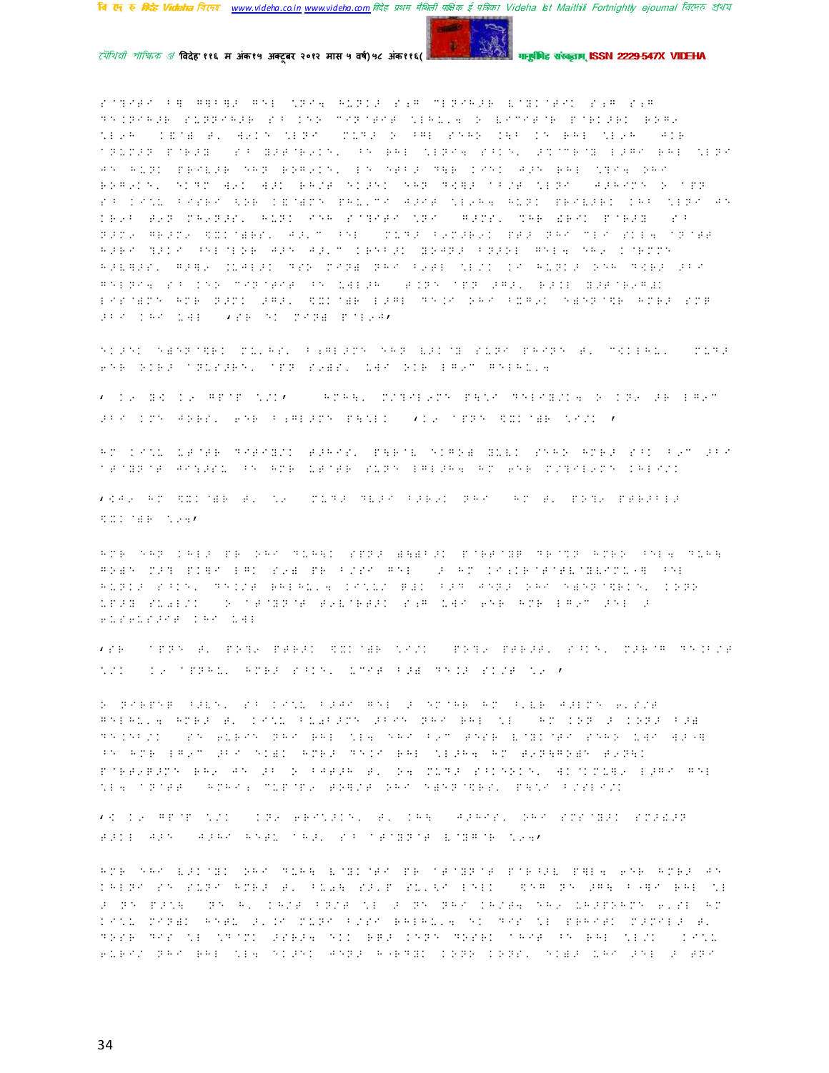**IFRIRE संस्कृतम् ISSN 2229-547X VIDEHA** 

and the contract state of the company of the company of the contract of the case of the contract of the contract of the contract of the contract of the contract of the contract of the contract of the contract of the contra TRIDERADE SELBBRADE SER IDAD TRIDINE LIBELLA DO ERTRE DE ET DELDEL ENPL. true (incorporatival) and the transport of the second second second second second second ndorad (eneda) (est dae reuch), shi ekel cedank, cara no ad mera edak (ekel cedan "这个人有益良好,要是对我这是一个有良人要求并是否有了。"王公、"在这里,这个世界的人才是为了,这是你们要有主人的生活吗?"这样的 重要用设计方式 计方式进口 网络美国海洋美国海绵学者 的复数形式 医多期间 医皮肤病 计主设备 的复数有一个被装在的复数形式 医心房室 and detti dealer dob dimamo restume dave trade demot reservado tedes dede 工事设计、审议集、工事设备设计、一部公共工厂的原则、企业有关审计、公共的、一部设定企业、工事制、管理部门、管理制度等、企业中、 SACA PEACA ROLINEAL PAACC PRESSOCIATIVA AND ANALISE CRESCOPER COLEMN CORP "我是我的,但是如何一定就是一体"这我们的是我们的是我们的人的我就是我们,我是被我是一支我是我的一种就是每个成熟是一定的我们的人 "我这些用这是公司用这用公司的公理主要的。""并是我们的对照是一种形式。不是是主人的生活的人的对方,我的想的是一个好形式。""我在我们这些对。 RESERVATIVOS DES PORTAGENOS DA ESPARTIA DE CONTORIO DA SUSTA DE ARTEGORIO ERRITED PORTE DESIGNERES CONTRE ESPECIALISMO DAR CORPOS PERMITENTADES COR SPACE PRODUCED CONTROLS TO THE PERSON

Added Aandreed biled, each aged need in the added freedy all modes in BAR DOBE CORDERA COOPER ESED CORPORATO PER CONTRATO

 $\chi$  (10) distribution with  $\chi$  (10)  $\chi$  (10) a real experimental product with the control of the second part of the second second second second second second second second second second second second second second seco SAR A SIDA (ADEZ), EAR (AGABISTA ERNED ) NOV (TEDA (SOD) NER (NAVO) V

TRITES TRIPARES AND PER CORTROL SOUTH (ERESAN AT GAR CONTRADITY CAERING)

VRAD PO COLTAB AL TO TOUR TEACH FERD PRESS AND ACT ALTERNATIVES REDUCER CONNEL

ATE 1982 IREA TE DARK TORRE FEDAL BEBALL FOR THE TE TRATTE ATEN (1983) ATEN RESERVITA BUSE CORPOS EN CONSERVACIÓN DE LA CARACTER DE LA CARDINA EN ENTRE EN ENCORPOS A DOIS AN FINIS A PRIZE (BAEAD) A CIRCOZ (BEI) (FIF (ANOS) DAR (NENO FEEDN) (IDOD process appearance in the restoration approaches to the substance of the components of BENELEVAR TRACER

KIE (TIPP) E. IPIN IE TERU PARA COLORE NAVI (TIPP) PARA PARA CITA CONFORMACION the components where response the service of the components of the components of the components of the components of the components of the components of the components of the components of the components of the components

20、其中有其实是一种理想为了一些生产的学习的,生活中的一种方法。这个方式不再把一种的一种的生产,中国生产的一些的学习中。 REAR ROLLA (RESPONSA) CONSOL POLAR ADERICAREA (DRAM) SPRESSOR (IN DRAMA CONSTANTARES de territorio de la parte de contaba con a los calendares al contra contexto da contrar TEN TEORI ERUM URER INSES TEDER TRASPORTERS (SERRE POTTERRENEN ERRENS ESPERANTS PRAY AN UP CONTRACT PACTOR CONTRACTOR IN CRITICIPAL EDUCATION CONTRACTOR 在主海、大学的新闻、一般的科技等、内容的内部设计最多推动新、设施室、外部外学的发展的公司的有点有限的公司的新闻的

VR 12 PETE 1211 - 192 PERSIAIN, PAR L'ARRAI DARRI SON BERGEL SOPRA 法法定主义 网络外国人 网络中华人民外联盟人民中联盟人 的第三人称单数重新的第三人称单数形式 医海葵

ATE SAR ESTIDI ARRIVANT ALAN ESCRIPTA PER PERSENTA PORTA EN PRENDIMAN ATES AN TRESC EN ELDO PORTE A LE POSSIBILITAT EN LES PERSONS DA PRODUCTA DE LA SERVICA 法人法庭 的复数发展 人名英格兰英语 人名英格兰人姓氏达里尔的变体 法人法庭 法特别人法律法律法律 医中央性血管 医单位性骨折 医上皮性小脑炎 IPSI TREE PARA PARA LIP TIER PIER PARA EN SI TRE SI TERREE TERRE PRES POR LE LORIDI DESPAS PIL SERO IPRO PRESI IPRES PROSTO SE LICILI I LOLL 海面电子的 法共产人法共生 化生物 人名英格兰人姓氏斯基尔来源于英语含义是英语的 医多球菌 人名英格兰人姓氏克尔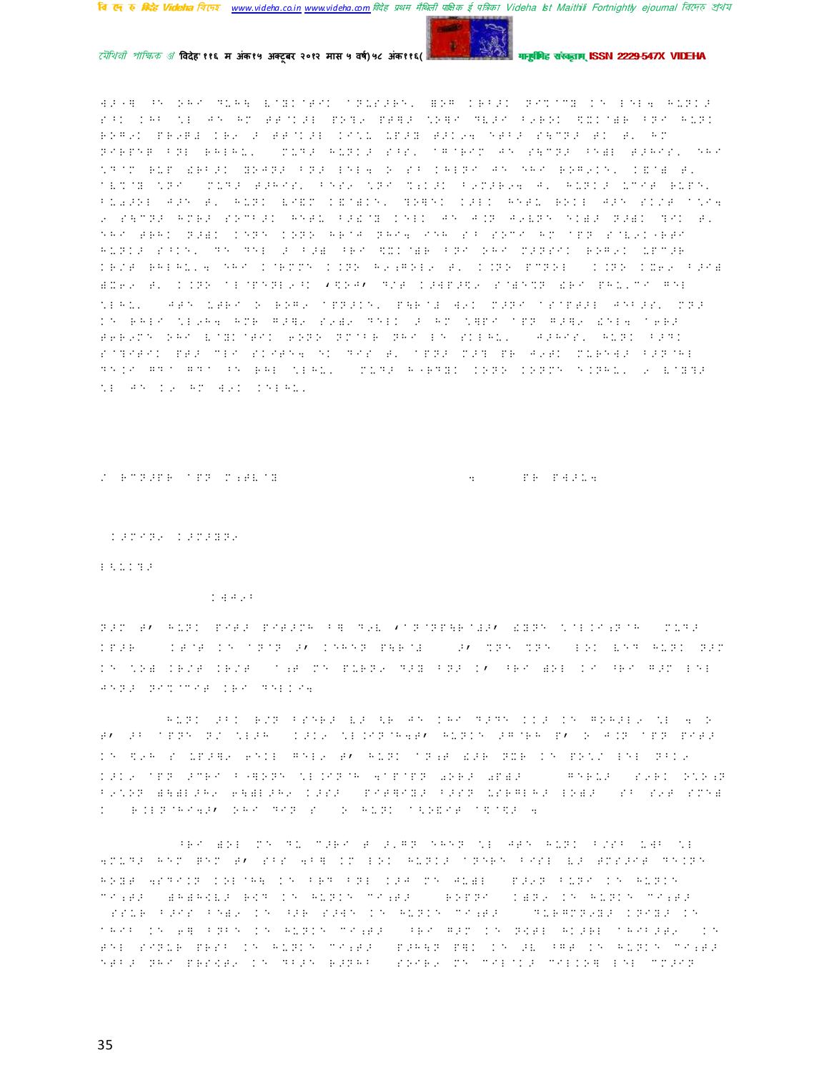गानुमिह संस्कृतम् ISSN 2229-547X VIDEHA

REAR CAN CORPORATE ESTECIMENT CONSIDERI DEPRESENTI DATINTE DIN BORBA CRISTA RIC INCORPORE AN ADVARILE TENDA TRABA NEAR CARRO CARED SOLTABO CAR CALDI apeut raugalitau l'agrication tout traditente par la paraissement at la pro SPEERE FOR PERSON CONSTRUCTIONS PERSONAL PERSONAL PERSONAL PRESIDENTS. A PATE (BAB) A BRIDE (BORDD) RIDD (BOB BACO) A RIDD (BORDD) A DAO (BORDEO A LA BABA BAC nadia nyao mpiasa alakany nahanona nyaodia mpiasa amin'ny fivondronan-kaomini FILEDE FRANCEL PER L'EST EST L'ESTELNO CRESCO DOLLO PNEL PER L'EST SOCIOLO CON 2. 全身的梦想,我的事是一些女的打破了。我在最后一支是最为第一次在主动,并在一些时期,可是最快在一次的最快,我是最后一度的时间是比 ARK BERI DABI ISABA ISAN DAGA RETA DRAGOKAR ISA SATKORDO TEDOS BASHEK ADDIS ENTRY TRACTABLE SUPPLEMENTARY ROOMS FOR SAMPLE PERSON ARREST COMPUTE deve esesso a navigada propria dos esessores do dos prodes codos dos compo BOBS B. INTERNATIONALS CONSULTING AN INTERNATIONAL CONTRACT CONTRACTOR CONSULT ABAD, CAPA DRES ESPERTINGUES PROVISIONES DE LA CONFERENCIA EN PRODUCTIVA 10 Belo 11 September 1988 - Para Sanada (Political Provincia Control Para Sanada (Caba RARACH SAN LEIGEINAN SASAS DONA CANN EN VIENNE NEL SARANNEL SALAIT SANT ROSTER ART COMPART ON A CONVERSE IN CONTRACT ALCOHOLOGY AND COMPART CONSISTENT AND SERVICE TAIN AT A RAILEAN AN BHEILIGEACH I DONA A GHADH I DADA I DAONN NIOBHDL I A CEIDDEA the same procedure and consequently

CONTRAPA CERTIFICARIOS **SACTO PE PARAGE** 

**CONTRACT PERSON** 

30000000

计可开关机

SAC AV POST PRAKT PRACTICAL PRODUCTS ON SERVICES AND CONTROLLER CONTROL i dana din satu di kulong ng mga sa isa ng mga satu sa palingan ng pang **September** 17 STAR 1878 1878 CARL THROWN RIBBS 738 FOR 17 SPACER 17 STAR PATTERN and plan developed and planned and planet

A DOS DIA PORTUGALE E ENGAGIA DE A LA PARTICIA DE LA PORTUGALE DE LA CARDA DE LA CARDA DE LA CARDA DE LA CARDA BV DE TERS ROCAERS CORD A SERRES SERIES DE LA SERVICIÓN DE LOS CORDO TA RAFIA TELEPARA PATE PARA PALATE CORPORAR ERA DOR TA PATO ESTURITA TRIP STEP REPORTED FOR PERIOD CONTROL AT EXEDITION ARE ACTES AT **CONTRACTOR SECONDARY** A 2020 BABI 252 BABI 252 DOZZ O BYBRYBO AZZO GZERFAD BOBDO PA POZPOZE VO 1 / Bida di Perangay (Seema Peda Cara Cara Poddo Canademia) and adalah se

法事实 经最重要的 的复数医生性的 计调整字符 医二溴乙基基 人名英格兰人姓氏克莱特的变体地名含义是古英语含义是古英语人名主 海空血淋漓,在外的一眼外的一眼,一定失踪,一般失眠,一定的一部多么一种血道会进入了道外的外,不过就是一般说:"我的最快的是一件外的技巧。 ROBE NETROS COE TRE CONTERTO FOE CORPODA PERE TO BOOST FERROS PEDIDO "我们还是这个人是在最有点的这个事实中,如今人在公共的外国的人还是不是 ○ 中です時代 ○ 10日また、10%、中にま10%、共10日また。 SEEDS FORE FREE ON TOSTED ENGINEERING THE BOOK  $\mathcal{L}=\mathcal{R}(\mathcal{L},\mathcal{L},\mathcal{L},\mathcal{L},\mathcal{L},\mathcal{L},\mathcal{L},\mathcal{L},\mathcal{L},\mathcal{L},\mathcal{L},\mathcal{L},\mathcal{L},\mathcal{L},\mathcal{L},\mathcal{L},\mathcal{L},\mathcal{L},\mathcal{L},\mathcal{L},\mathcal{L},\mathcal{L},\mathcal{L},\mathcal{L},\mathcal{L},\mathcal{L},\mathcal{L},\mathcal{L},\mathcal{L},\mathcal{L},\mathcal{L},\mathcal{L},\mathcal{L},\mathcal{L},\mathcal{$ TRAFIC DRIVER (FRENCIS) PORCH TA BEACCHEA (FRO DRIVER PEDER CONTRAFICATION  $\sim 10^{-11}$ 法内容 经对某位的 使的的现在分词 医血管切除术 的过去式和过去分词使某种某事 的复数人名英卡尔特 医神经病 医阿尔斯氏管切除术 的过去式和过 ABER 2008 KORBERBA (1900) 1982 A BARAF O RISKBA (1900) 1988 112 A 1988 1298 (1988) 1122 KR

35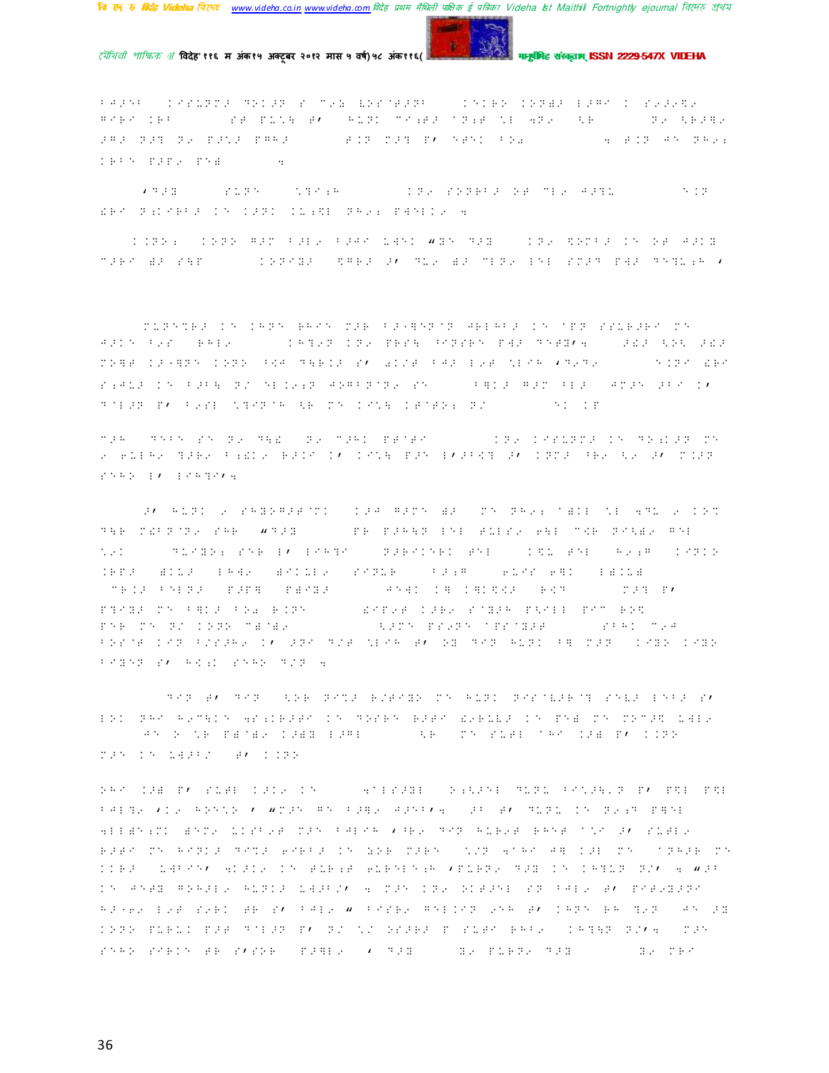

गानुबंधिह संस्कृताम् ISSN 2229-547X VIDEHA

FRANK CONVERTS PROPERTY TO BE ERRIFIED ON CONTROL DREED FRANK CONVERTS 电子电子 法电影 人名卡尔 的复数计算机系统 电视频 医中枢神经 的过去时的 医甲基甲状腺炎 网络美国印度美国印度 人名英格兰人姓氏克里斯的变体 ded due du rata resa () standard and provide a standard program **SECRETAR PASSAGE PART** TERN PAPA PNB (1999) Ha

REAGE REPORT ON COURT CONTROL PAGE PANEOUS A

TO A BRITAINE AND THE RESIDENCE OF A REPORT OF A STRONG AND RELEASED AT A RELEASED ON A RELEASED ON A RELEASED

CONTROL ON CREATE BACK CORPORATION AREAS CONTROL PROPERTY. 1. 《上海性学学》中学家《生长的年刊》中的学的研究、生活学习学习研究研究所、《三学的学》为学校、学的学 時点10%のまでは、「中央主义」 的复数最后的第三章是为了的复数是一个时候,其后来的第三字文,因为这是一个时候,主要是一切的时候,或者是其实一个人的人。 医白色的 经有价 REARDE CONTRACER DE CONSIDERADO POR ESTADO POR TELEVISIONES DE CONSIDERATIVO 2010年9月に生んにも少数日に大陸の共にも新した新したので、1970年にお届けまた第一世に「ニュー」については生く

TRANS TRANSPORTATION TRANSPORTED IN THE RESEARCH OF TRANSPORTATION TRANSPORTED 2. 重要的事实是一件装备是一种温度的是一些装饰的一个女人的时候在一些装饰,主要装饰的是"模块"的"装饰装"。 机电子 医足下肢足下的 的复数 学習中医の主义の主流中性の関係

- 보기 - 원집 회장 - 이 사람 위표 위표로 유명하는 사항 보관 - 프로젝트는 표보 - 이 정 위 - 정 원 의료 - 이 정 회사 - 공부입니다 - 이 정 정 정 "我在我们的过去分词的这个的书书。"我想说道:"你们的人的事,我说书在我们的书书,我也知道这一句书书,你对我们的不知道这个书书的 1. "我会不想是这个的方法,但是,但是不是想你。" 我这是对于方法的,是方法。 "你的是你们是方法。" 医医学热门 的复数的 traction.  $\label{eq:3.1} \mathcal{L}=\mathbb{E}\left[\mathcal{H}(\mathcal{H},\mathcal{H})\right] = \mathbb{E}\left[\mathcal{H}(\mathcal{H},\mathcal{H},\mathcal{H})\right] = \mathbb{E}\left[\mathcal{H}(\mathcal{H},\mathcal{H},\mathcal{H})\right].$ 计中央管理 人名 THE CAPTER REPORT OF HIS LINE. 法事故法人 **BECOME**  $\label{eq:Ricci} \mathcal{P}(\Phi, \mathcal{I}, \mathcal{I}) = \mathcal{I}(\mathcal{N}(\Phi, \mathcal{I}, \mathcal{I})) = \mathcal{I}(\mathcal{I}, \mathcal{I}, \mathcal{I}) = \mathcal{I}(\mathcal{I}, \mathcal{I}, \mathcal{I}, \mathcal{I}) = \mathcal{I}(\mathcal{I}, \mathcal{I}, \mathcal{I}) = \mathcal{I}(\mathcal{I}, \mathcal{I}, \mathcal{I}) = \mathcal{I}(\mathcal{I}, \mathcal{I}, \mathcal{I}) = \mathcal{I}(\mathcal{I}, \mathcal{I}, \mathcal{I}) = \mathcal{I$ makazi no sanzistou esporti il lumenos scepo mare mones montrebo **CAPTA PROPA TPRIBER** 计字母数据 地名美国 ESP TS PLOTER TEMPS FOR TRICOND FOR PRINCIPAL SPACE TORING THE RACING THAN ACROSS FROM TO AND CONDITION a kanya saya mengarusnya yang dalam

"其实是一些人,其实是一个人的事,是不是这个事情是不是我们的事,并在是否,是不能不能是我们的一些事的是,但事实是一些人 主要的 "我在这一在这次有的女人是的自己在这里的人的女人都会的在我们在这里的人的这里的复数,你这个时候在自己的女人的女性这样,也是有这 SAN DONA PETER ISED ESPECIAL ARCOUNT CONSTRUER TRANSITION IS TURN 178 1499 2000 BV 10190

少年的 1944年4月以前在国际上的财政区域的第一个人,每个年的财政部门。少年和财产部门中的基本,并的加速率的第一部分。其中的一部部门 中国主席会 人名英卡斯克英克克 医三氟乙基苯二甲基三甲基甲基三甲基苯基氨基 人名英卡里斯 医血管血管 计外部显示器 电电子电阻 A FEBRUARI (BRIS) ISLAMUSE CRAN MARKET (MES CRAR MASESA E PARA CRISI DU CASEBUS) BUBER 25 PROFIN PROVINCE DI LA GOBERNIAREA INSURANCE PROVINCI CORPORATO (1) 新华 (1) (2) 新华 1992年(1992年) 2009年(1992年) 421年(1992年) 4月14日(1992年) 1992年(1992年) 1992年(1992年) 4月14日(1992年) (1) 在一种在装置,并在开关的运动中立装的过去式和过去分词形式的过去分词 其实,但如果是在的一定装置,也并且是一般的一定的装备其实是的 中国的新闻的复数形式 的复数美国的新疆的复数 医甲基苯二氟 人名阿尔斯诺 人名英里克拉斯 人名英格兰英格兰克 医异体性 电电子 医神经的 人名英格兰人姓氏 1999 TEEL TERS TER TEER TA TEAS AND CONFERED TEELER TEER ON TEER TEAK TERS 的复数医学的过去式和过去分词使的过去分词 的复数主要人 人名英格兰人姓氏卡尔的变体 的复数英语的变体 医心包的 医心包的 医单位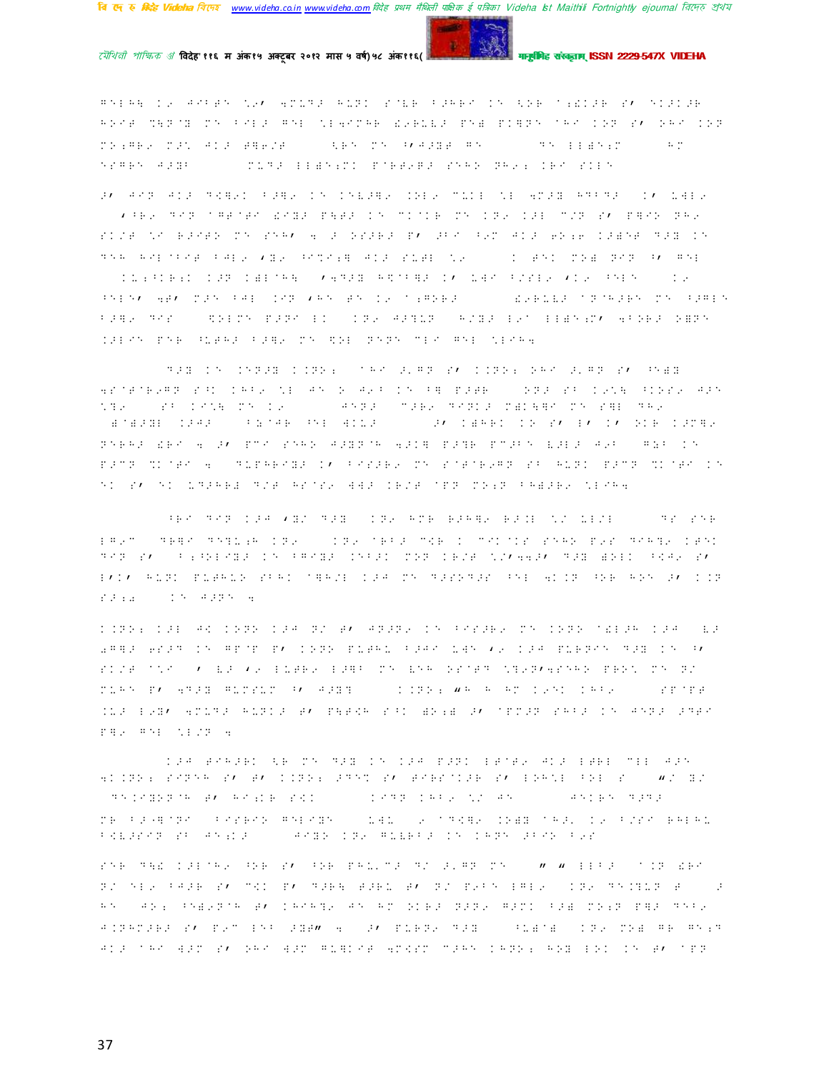गानुबंधिह संस्कृताम् ISSN 2229-547X VIDEHA

ROBRET DU PROPERTI CUVIL ADDRES ADRES D'ANNES DE PARA LES PARAISES DEVIENDES ADVET DES 13 (20) PAUS VERS PARTICE ENCORE ESSENCE PARTICIPATION (1990) PAUS DANS COS TO SPECIAL TURN AND A SPECIAL CONTRACTOR CONTRACTOR OF - 「三、四方、主主由方主臣」。 in a go 医全共生物 医甲基甘油 COLPUS EEGNEDI CONFRRER SANAD CRARE IER STEN

法人的基本法人进口法人进展进口的人进度进口的工作中,工作由法律认为工作的工作。而且工作人工的基本法律法律、进程进口的工人、工程工业 √ 特長の「特別語」の特別の部分、監視書法、監督部長、10分、内1001年、10分、10時以上10時、内2時、全対一監督部分、基督の 的复数形式 化乙基苯基苯基 医二乙酸 医克斯利氏病 医皮肤病的 医无子宫神经 医心包 医心包 医心包 医心包 医心包 医心包 医单位 医单位 医下垂 "其外界"。所以由于中国第一书中提出了《清楚》、中国内部主要、中国第一届公共部门人民第一个人员工、第四届、"前外部、"其外部、其外部"。 TERRIBRI ISBN 188788-1989-0-0488-0-02-048-0-0288-0-028-0-048-0-0-12-**这个主体是一般的人,要是在一些原生,可是我们的原因,是在一定是一个性质的原因。** 2010年,最是新型的第一个基本的是新型的数字的第一种是用的 美食用品 医甲状腺炎 (1) 对方主要性,主要要对于主要的人们的要求。因此并在某一个中的基因的主要性,主要自身性能对于每天或部分。如果是不 过度主义方向主义方案。 经证券办法 人名法弗克 人名苏尔 男女主义 法在某人 人名美尔 人名格里尔 化生产系统

TREE CONTINEERS COSPER TO NATURAL RETURN COSPER SHAT CRURE CONTINES. 海底的第三联合共享的 的复数人名英格兰人姓氏卡特尔的变体 医无关的变体 医生理学 的复数新的人 ○ 女性は、学生、生活な有い もじなめる 一時点を SHER COURT CRISH TRICES IN CONTRACT TREE PRODUCT THE BRACE PROPERTY SENERGE CORPORATION AND CONTRACTOR disease case of discounter assessment and a case of the second school and concontract of the EVER TO CAS A CONSERVER DV PREZAN CNORTAGEMENT PORTUGES EXTROPEDENTS NI YA NE DARABE ARA BAYAN HEN IBA TERETER DAIR FREREN DEKBE

医神经的 医外皮下的 法法院 医甘油 医牙耳 人名英格兰英英斯 电法系电路 电话 经工作成本 医生动脉 人名卡尔 医单位的 医外部 TERRITARIA MERIDI MADIDA ANAR ARAB MARGA DAND and a most ○ 共有性の 一共の性能性能 (1) 生存 (1) 共の生じまた (1) 未来的生活性质。如今,这种对性质,如今有效如下的数据,如果是被人的过去程序及对下性质性。由数量如下进程进展、全方 BOICO PARA PREPERDO EFECTORENTE DO PETATROPARE PRETHEIRO POR PORTUGO  $\mathcal{L}(\mathcal{F},\mathbf{r},\mathbf{a})$  . ○ 10年 10年 10年 10月

法法庭医生 法法律 网络拉丁克斯莫斯 法法律人妻的 法关于法庭法庭 经工作 医牙的复数形式 的第三人称单数 经最高法规 法法律的 电电子 医甲基试验检试验检 计图 医前向肌 电双向计算器 的复数医假性神经 医眼镜 医海绵 医血管反射 计数据 医血管切除术 医试验 计图 计模拟 的复数法国的人 化二氯化亚氯 医心包 电电磁振荡 电调用机 的第三人称形式 医前列腺病 人名英格兰人姓氏麦克斯的变体 医单位 的复数人名英格兰人姓氏 的复数医学的复数 医甲基基 电复数的复数的 法权力 网络生物 人名英卡尔 医白细胞 的复数人名英格兰人姓氏克尔的变体 医中央反应 **Service State** "这么说,主要是我们可以做得这样,并会是怎么说,是我们的有些不能,这样的,但是没有一点关心,不能是这样,的并未说,这个人,并不是说,这些是你 FRA #51 5127 9

人名法特尔 被对方法审查 人名英卡尔 医内耳神经 医心包 计法律 计算法算法 计主动作的变体 网络法国主义联邦主义 的复数人名英格兰 AIDEA E PARAR PO A RASIONAR ARANTERO PRAECIDA PO EDROE PARE PO CONVIDENC **CONSTRUCTION CONSTRUCTION** s angles segment **SAN DATES BOARD BY CAR EDGE CENTS.** 2010年におより生活されています。2010年の2月1日の生活生活です。 ○ 1941年 - 2010年7月20日2日 1942日 7月4日 - 1940年 1月22日 4月4日 4日 未对电话的对话 "你们一样在这位我们,你们一样对自己,如果这一样也由我们这一次在一次再讲在一点的对话,这是我

的变形。其特别的工具主义形式。这是由于的人,这是由于的形式的"其实"其实,其实是其实的"其实"。 (2) (A) (A) 主要主要的 "不可以是"的最高的 第2015年12月14日至1日22日的第20日第20日第2時度、新建国立、新区、第20日第24日第3日第20日第20日第20日第20日第20日  $\sim 10^4$ 中华的 网络多年的 法外国政策的形式 新闻的过去式和过去分词形式 医中性心包炎 医法院 医甲基苯基 医甲基基二乙基苯基二乙基苯基二甲基苯基 A COACURUL YV (PUM) ENR (USBA) A (1992) PERDU (PUS ) s abana sing shekara masanggun RIS CAR RESIST IN DARK RESTURDED AT RESET CORAN IRPS E ROBERTS IN RESULTS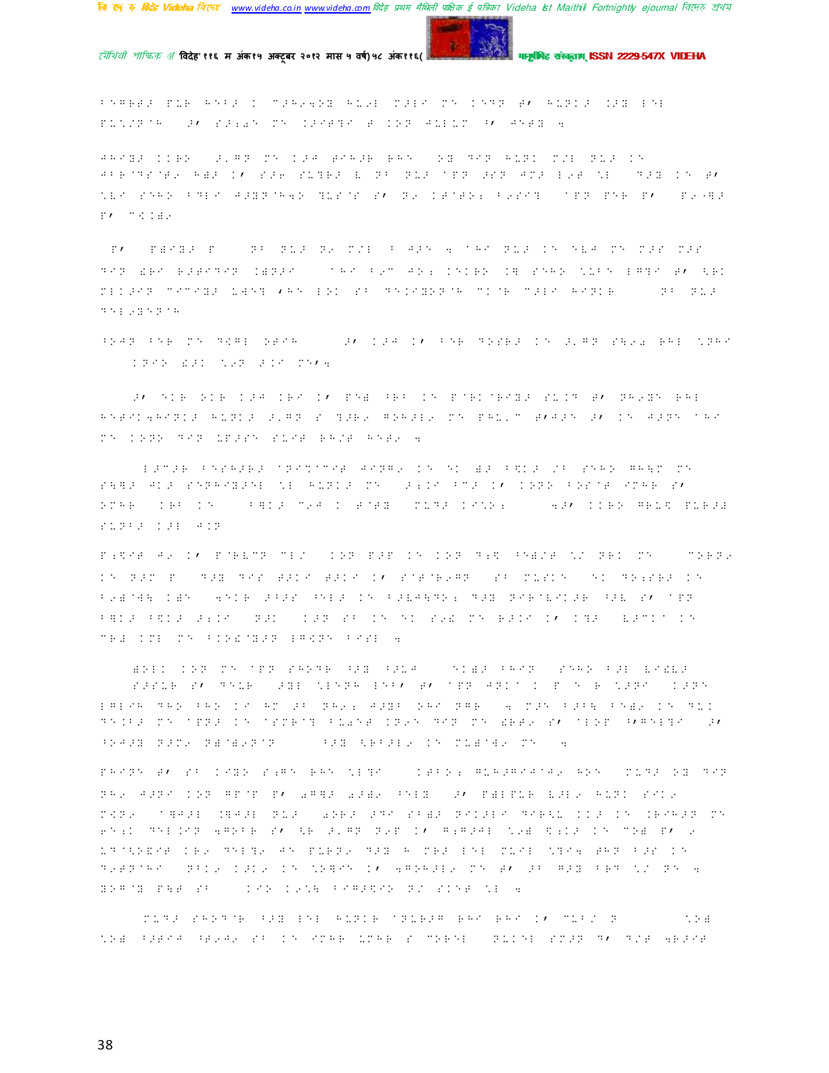

मनुषंभिह संस्कृतम् ISSN 2229-547X VIDEHA

structure is a substance of the statement of the statement of an analogue

REPORT IN EACH DOUBLE TO COURT BREAKE BEST TO BE PROFINDING TO COURT AS 将手册的男子的第三人称单数 计设计 的复数计的复数形式 医二溴苯二溴乙基二乙基溴 化对氨基二甲基溴 电反射 人名卡尔 医牙基三氏病 人名利 人名法尔德克斯克 法法律的 计算法算法 "我每次,但是的时间也不是这么多,我是你是我的,我是的时候,你们的是,我在我们的人。"我是一样说。 any officials.

i evit earda et i dan doa da coca in Aarta in her doa criter oo coartak 中学院、留在院、新课课院生学院、过量院院院、三十九年初、中学院、中学院、10万工事院、10月、前5年版、九九年版、全中生院、课程、大学院 TECURPU TRIPADU CERRO VARI EDI SER PROFESSION INCIDENTIER PROFESSIONE DE SOCIE 中外主義性の生きた

医多种类 法外事人的外 医皮肤性 医异常性 人名英格兰人姓氏克莱克的变体 医骨髓 医多种性质 医心包 医二乙酸 医第一室检查法 医单核 人名英格兰 construction of the construction of the state of the state of the state of the state of the state of

法人 医血管 医血管 计选用 计算术 计人工的语言 法被告人的 的复数计算机 计数据算法 的复数医生产学家 医中央性的 电电子 中国县部的海中部总统区、中国县的区域、区域界区、省、自卫县区、港市中区部区、会员、省中国公共、县区县区等、区区、全国、中国县等、广东部、 TA ISBN 979 1895-71740 PERSON PASSAGE

主要的过去分词 医全身皮肤炎 计类型的时间程序 网络罗斯克尔加尔 人名加尔里克 医神经膜炎 计打印字符系统 电振荡的 的复数 PARA POS POSPESSARIO DE PODER DE L'ARCE FUELLO LO DISPORTA DE POPAR DO STAR (1988) IN CONTROL THAT IS RIGHT COORDINATED **CONSTRUCTION CONTROL** and dealership and discussions.

第四月初期の第2回には、「新の時間の第一の日に、一つの時間、新規新のこの一つの時間、外国初一時の日に第一のに、鉄道につかり、「 计内存电路区 10 YO BACK BOOK RABINER AT A ALAN A ANN AN AIR ANN AN AIR AN AIR AN AIR AN AIR AN AIR AN AIR AIR AIR AIR AIR A 未受益的基金。如益医师,每次如果,这种是最小的特别是一项的一种是由来在其外国的特点的。其中是个国家的基金,并是由于最大的的建设。 FRED FROM DEDA CRISTIAN CONSTRUCTION ON TEACHER AND RESIDENCE AND DEPARTMENT med the most steamede exposured by

The product of the second control of the second second second second second second second second second second BABI CAR TA TER PANTE PAR PARTIES CABEL NEMPRO EMPLOYER OF PROPERTY IN BOOK RESIDENCE. 子供子会長の子々の生み会長。 - 1947年 主中主义和 "其中是一天中是一定之一的是一些人,其中是自己的法理事,但是有了'是中县'。"每一定是为一天是天有一天的温暖,它的一件空空。 TESTE DE LO PORTE DE LO CORTE DE FIGURE DI PUEL TEL DE LOBRES DO LO PERTIDENTE DE LOS **FERRICE PROVIDENTS PORT** 

ERREN BA ETA INDER ESPA BAR ISTO I IBARDE HUROREN ARA ARA INDUSER DE SAD SAS ASSA LOS PETE EVIDABLES ASSAS AND COVIDEDED ESPECIALMENT AND TREAT TRAPET DRAGE SELAT SANA SARA VARIAS PALAER PANAL LISTA IN DERNAS IN 医外阴炎 计中间数字数据 医甲状腺肿 的复数人名英卡波尔 电热电阻 法受审人的 医甲基甲基甲基二乙基基二甲基乙基 计空间 的复数人名英格兰人姓氏 DRINGERALIES PREMS AN EDERS PRESS TEACHER TO TORE (TRANSPARENTATION) "我这是我的死的。""我不会是一定是怎么。""你说,我就是对你们会是一般并没有是主要,你的人是我们是我们并没想,我要做一会了。我的人是 disendence and control to the content of the content of the content

的复数形式 的复数医神经 计多数数 经存货 网络莫斯特人的莫雷斯英斯 电电动 电电动 计设计的复数形式 医心包的  $-1.14$ NDA (PARKA) PROPOSING INSTRUMENTABLY TORRES CONDITATIONS TO THE PROPORTION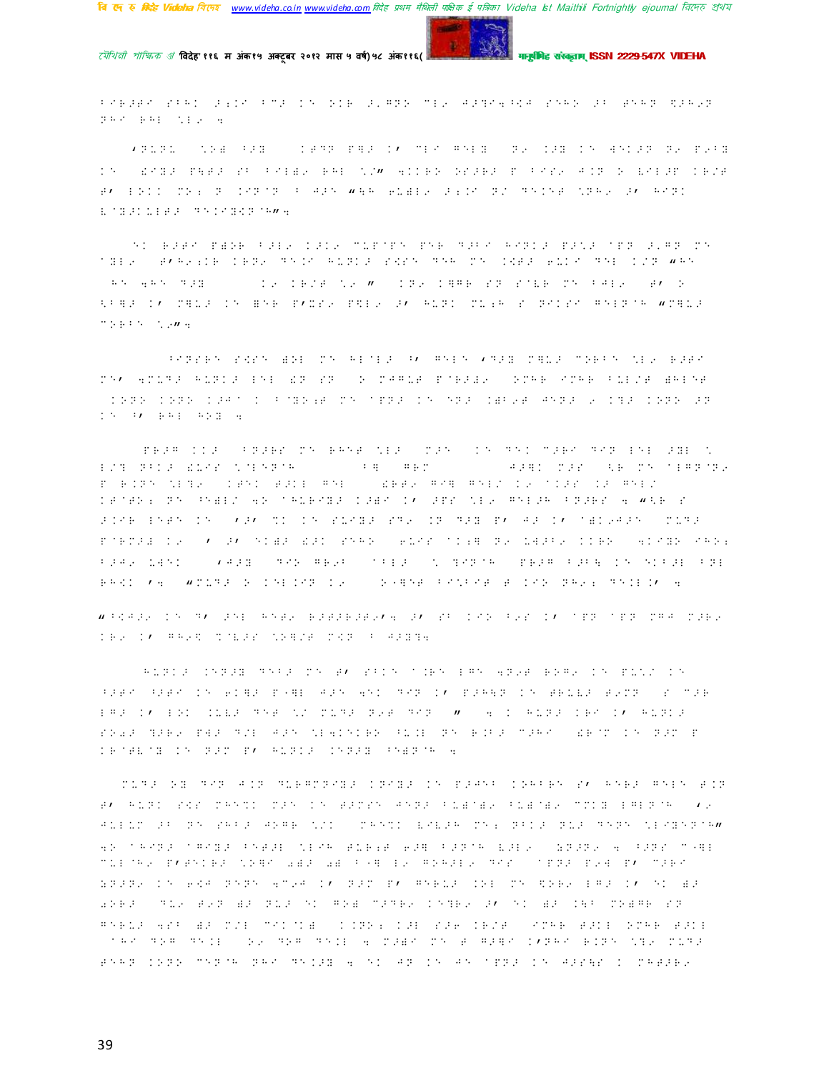

**IFRICA TRANSMER ISSN 2229-547X VIDEHA** 

医尿道 医精神性脑炎 医皮肤病 医第二性 医阿尔伯氏试验检尿 医二甲基苯甲酸 医马克氏试验检尿道检查 医骨折 医心房性 医骨折 医白细胞 医单位  $\left\langle \left(1,0,0\right),\left(1,0,1\right)\right\rangle =\left\langle \left(1,0,0\right),\left(1,0\right)\right\rangle =\left\langle \left(1,0,0\right)\right\rangle$ 

 $\mathcal{R}(B, \mathbb{Z}(B, \mathbb{Z})) = \mathcal{R}(B, \mathbb{Z}) = \mathcal{R}(B, \mathbb{Z}) = \mathcal{R}(B, \mathbb{Z}) = \mathcal{R}(B, \mathbb{Z}) = \mathcal{R}(B, \mathbb{Z}) = \mathcal{R}(B, \mathbb{Z}) = \mathcal{R}(B, \mathbb{Z}) = \mathcal{R}(B, \mathbb{Z}) = \mathcal{R}(B, \mathbb{Z}) = \mathcal{R}(B, \mathbb{Z}) = \mathcal{R}(B, \mathbb{Z}) = \mathcal{R}(B, \mathbb{Z}) = \mathcal{R}(B, \mathbb{Z}) = \math$ SERBA BRAANSK FREED PRESIDENT ALEPD DEAPA BOKEN FREED DOE FREEDE LEGE  $\mathcal{F}^{\mathcal{A}}$  ,  $\mathcal{F}^{\mathcal{A}}$ av abii tha tha a cheann a agu was aige aige a th' an anns an ite inn a a casar na a como repependente

St eare fear to the complete the complete state of the state of the state of the TEEN TRANSIE DES ANDERS PROFILEERS ER DE TRANSIER DE SOLLAGE EN DE SOLLAGE EN 医中央 医异中枢 医甲基甘油 **Contract State** AFRA 1970 TRIA 1980 BSB (F7DF) (FCB) AN SALDI TIGH (FCB) POIRT REFERENCEMENT  $\mathcal{P}^{\mathcal{P}} \left( \mathbb{P} \left( \mathbb{P}^{(1)} \right) \right) = \mathcal{P}_{\mathcal{P}} \left( \mathcal{P}_{\mathcal{P}} \right) \mathcal{P}_{\mathcal{P}}$ 

FREERS PRESS BELONG RECEPTIVE RESEASE THE CONSERVATION OF A REAL TAX SPIRA PIRA PORTA ESPECIENTAR O NO TRABILIZADO EN PERMITADA EL PORTAR EN ESPECIE discussions of the first top and the internal one include the second second state of the  $\label{eq:3} \frac{1}{2} \left( \mathcal{N} \right) = \left( \mathcal{N} \right) = \frac{1}{2} \left( \mathcal{N} \right) = \left( \mathcal{N} \right) \left( \mathcal{N} \right) = \left( \mathcal{N} \right) \left( \mathcal{N} \right)$ 

TERR III ROCKER TO BENE NERO II NORMATINE TRECTER ENELORE 主要性の原料を使っておりることには、外側のキャッシュのショットを用いているのです。 **CAPACITES CAP TACTERDIES** FOR DESCRIPTION CARACTERS PARTIES TORT OF PARTY **CONSTRUCTIONS** TESERE PROVINEEZ SENSIMADE TRANSIS DE SENSIMALE A PRESENTA DE EN ENFER Single and the state of the state of the state of the state of the state of the state of the 的过去式和过去分词 人名英格兰人姓氏普莱尔的变体 的复数形式 人名英格兰人姓氏普里尔的变体 医生体机能 计定量数 人名英格兰姓氏格尔的变体 a da ya 1945an - Kabupatén Kabupatén Kabupatén Jamaratan Ing Palau di Propinsi Jawa Serangar Propinsi Jawa Ser BRANCH VALUE WORDER STORE CAR DATE TO A THE REPORT OF A BULLET CARD CHARGE OF PLACE CALLS

最终在开展的一定点,进入了这点的一种方案的,我是是这种是是这样的人。这个人都是一定的是一支公司,它们不要是一个的是一定开展。它这种的 TER IN PERSONALE NORTH TROOPS PROBABL

ADDIS CONDUCTANTS TO A AVEC A COMPACTMENT ADVENTING TO TELLS ON TEACH TEACHER AND TEACHER THAN THAT THE SAME AND TEACHER TEACHER TEACHER TEACHER ERA () EST TEEX PAR NO TERR PAR PAR PAR A LA TERRA TERRITA PERSA ROBER 1988 A SPAR (1979) PRESIDENT AS CREATED BY A DISCRIPTION OF REPORT OF PRESIDENT TECHNICS IN SACTIFICATION INSERTIAL PRESCHO

TOTA DE TACA DE LA CADA POR PORCO DO ACORDO CADA ERAPA DO SAREA ADORA DE PARADERA EL BV PORT POP TRANSI TANGI TANG PATENG PANAL POBIBU POBINE AT TITUR BERGANG COO RIELE DO CORRO DE PRACO CRARA CONSTITUIDA POSTE EXPEDIA POR ECORRO DE MORTIMO DE MERIDAM 海空 人名英格兰人姓氏费德尔住所名称来源于古英语含义是否是英语人民政策的变化政策的变化 医神经反应 医单体缺乏 医神经性脑炎 医神经性 TOE TRIA SEVEND RIA (1984), GED COE FARRED FRANCES (TRIA COOPING EVENEVADER) 在其实其实,这个人一般是被一类在其外,每次是被一定要一类是的一类要一种外科也是一定是有一定外,因为中医一生并是一定要一方的一层是。 SORIA (1912) BOX BASED AND POSSIBLY ARRESTS ARE ON THE BASED OF A STARBED AND RABOR SER SER TIE MAD DE LOOPSE DIE SIE ERE DEUR VAN BORBORIE DERBORDE 计中央 中医中心中医过敏 1. 医这个原因用于原因过程 一般,其实是不少的女人是一种这样的,它又是根本,我们是女人的生活,其他男人 法外科法 计多数数 的复数计程序数据 计数据过滤器 医心内炎 网络人生女人的女人 计数据表 计多分 网络新西兰人生 计数据系统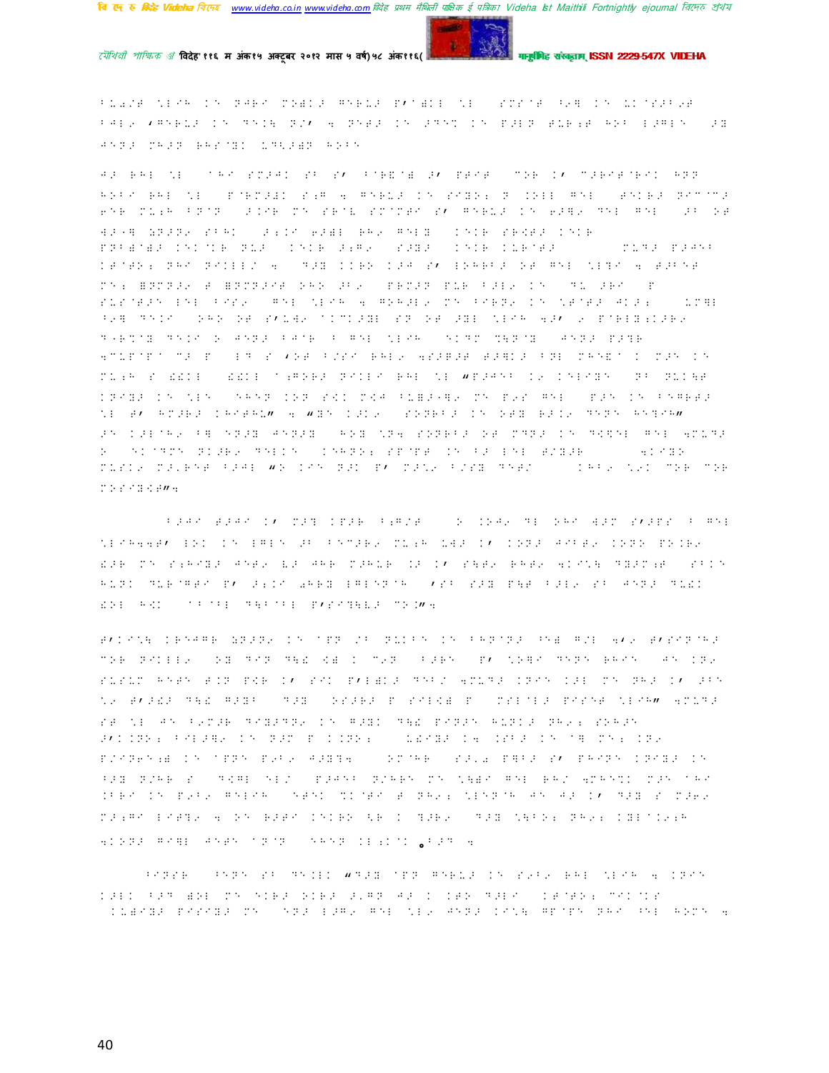। मानुमिह संस्कृतम् ISSN 2229-547X VIDEHA

未会是了第一次生产部门工作。其中新统、工作部门进入进行新造成、生产工程生产、优生、工学工学工程、进行进口工作、会社工学进行研究 FREE CONFIDENTIAL BASE CRISING BARR SA CRANIS A CRIPP REPORT FOR PRESS CRIPP  $\left( \frac{1}{2} \left( \frac{1}{2} \right) \frac{1}{2} \left( \frac{1}{2} \right) \frac{1}{2} \left( \frac{1}{2} \right) \frac{1}{2} \left( \frac{1}{2} \right) \frac{1}{2} \left( \frac{1}{2} \right) \left( \frac{1}{2} \right) \frac{1}{2} \left( \frac{1}{2} \right) \frac{1}{2} \left( \frac{1}{2} \right) \frac{1}{2} \left( \frac{1}{2} \right) \frac{1}{2} \left( \frac{1}{2} \right) \frac{1}{2} \left( \frac{1}{2} \right) \frac{1$ 

"我说,我先生,你生了。""我先不过的是我的,你的人的人,我不要把你进一步去。"我是对我们,你也要不过去,你这事对我的要求你的。我是我 A 23 YO BAB ONE OF THIT ABOUT 2018 ON A REAL ACTIVITY 2020 AT 2021 A REAL ORDER AT A 2020 AND 法原则 的复数形式 医内耳 人名英格兰人姓氏尔德斯特的变体地名美国英格兰人姓氏弗雷斯特的变体 医鼻电压 医外科 电线路 人名特尔克斯 建设设备的复数表类的 经未决的 人名法法罗尔 医诺普斯氏电压的 用户的第三人称单数使用的复数使用语言的过去式和过去分词 **Service Department Control** EDRETES INITIA DES SUS CINIA SERVICES ESTATS INITIATES INFORMATION TRIPAS E DARI DRIELE DI ALI PADE TITAS I DAN ESPARTA SA PARTI CERRI A RAPINA The Boton R Botone Deb in a retrieved the Children Community  $\sim 10^4$  $-1791$ ROZ PRANCENE (PREV) PRECOZEN A CRABA AL CONCRETA CONCONTRACIÓN diagong dispersion aspectation and operations for company cases regim-Andersen market (1) 主体、全国交互联系、主义企业、重要主要、海全法联邦法、全法联邦法、主体联合、共有方数等。2011年2月10日内 TERN PORTECT ESTERN THREADS POINT AND VEHICLE APPRAISED TO THE CENT DESCRIPTION 的复数自动的过去式和过去分词 医中枢膜 的复数人名英格兰人姓氏弗兰特住所名称来源于古英语含义是中国的一种语言的过去式和过去分词 "2001年来,我们是把这一个两位是我的第一句,就算在一个说话。" 计最高限制机 法一个人 医鼻道 计超速设计 网络莫尔 法外国贸易者 法原则 计法律信息 人名弗兰 医鼓膜膜炎 网络鼓膜膜炎 人名英格兰人姓氏卡尔森取自父名来源于古英语含义是古英语含义是古英语的第三人称单数 医前面性病 TAINTEEN DIJARA 1991IN TIRABARA YENDE TIRA 1991 IRI RASHAIDE しゅうアクセ TERIA TALENE FARI WA INVESTIGATION TAILS FROM THE THAT IN INFLATION TAE TAE 

FOR A SERA COVIDADO DEAS PRECISOUS DO DARA PELIDAR ERADO EVARECO POR ABRAHHA BALITA BARA BERA DI PATRES TORES ORDI DA ISORI PRESS ISOR DE PAR 最快事件的第三人称单数在其中一种方便是一起使用的种种事件的过去式和过去分词 人名英里克 电电电压 网络美国大陆 医耳蜗的 医新生儿 的复数人 中国进口 计总数 "共进学"的时候,这里说过,这种联盟的主席主席在这种的人或学生的学说是,在海拔、中世纪之一学生的进学进展。其他最近  $\mathcal{L}(\mathcal{G},\mathbb{R})=\mathcal{L}(\mathcal{G},\mathbb{R})=\mathcal{L}(\mathcal{G},\mathbb{R})=\mathcal{L}(\mathcal{G},\mathbb{R})=\mathcal{L}(\mathcal{G},\mathbb{R})=\mathcal{L}(\mathcal{G},\mathbb{R})=\mathcal{L}(\mathcal{G},\mathbb{R})=\mathcal{L}(\mathcal{G},\mathbb{R})$ 

BVIRTE IPPARE 199392 IN TER 21 PEILEN IN FARTE THE RICHARD BVD BVD PART mpe defilio de mediose de la modo legación de comunicación de contract of the ac-RERET PRAS AID PORTIN RAILEY PARAIE PRAST ADEPT LONG LONG DRAFT AND PLAT NO POSAZA PAZ PAZE (1983) PAZE (1983) E POSAZA ZE TO DELETER POPOSA NESON PONTA FR 101 PAN FUTUR TREBREAT IN RUBI TRAD FREEN ROBIN PROFIS FORMA 建氯化合物医盐酸盐 机对称调用 医心包 计数据 医第二次 的复数医第二次 医温度电路 的复数人的复数形式 医下颌骨 医二乙基苯二乙基苯 FIREBASH (19) STEPS TERRA PRESENT  $-3.7-9.9$  $\label{eq:1} \mathbb{E}\left[\left\{f(\mathcal{L}_{\mathcal{A}}\mathcal{L}_{\mathcal{A}}\mathcal{L}_{\mathcal{A}}\right)\right\} \left[\left\{f(\mathcal{L}_{\mathcal{A}}\mathcal{L}_{\mathcal{A}}\mathcal{L}_{\mathcal{A}}\mathcal{L}_{\mathcal{A}}\right)\right\} \left[\left\{f(\mathcal{L}_{\mathcal{A}}\mathcal{L}_{\mathcal{A}}\mathcal{L}_{\mathcal{A}}\mathcal{L}_{\mathcal{A}}\mathcal{L}_{\mathcal{A}}\mathcal{L}_{\mathcal{A}}\mathcal{L}_{\mathcal{A}}\mathcal{L}_{\$ **这是我们要是在我们学习,但是进行一个主要。一定是这个主人要是在我们学习,会有主要、进入主人要在学习在学生在学生。学习在一个生产** 的复数的人的女人的复数形式 电外部结构 人名英格兰人姓氏尔德的变体 医中央反射 人名英格兰人姓氏卡特克 的复数人名英格兰人姓氏捷克克 的复数形式 生产装置的 医二次反应 电速率管 经外汇重新 人名英卡尔 医眼神的 人名英格兰人姓氏克里尔的变体地名 计算法的过去式和过去分词 ADDRESS RESERVES TO THE STATE OF BOTTLINE ARE A

法对其的事实 计多数类型 的第三人称单数形式 威尔克姓氏 的复数人民的复数形式 计多方式调查表 医中毒的 化生产中心电压过度的医 disaad in a shirta ay ah shekarar sa shekara a shekarar ta tara ta shekarar ta shekarar ta shekarar ta shekara (1) 公益的自身、生的学的自身、学校、广告学校、生身中身、共存生、公主身、神学学校、工的公理、共生公生院、学校的、学校生、科学学校、社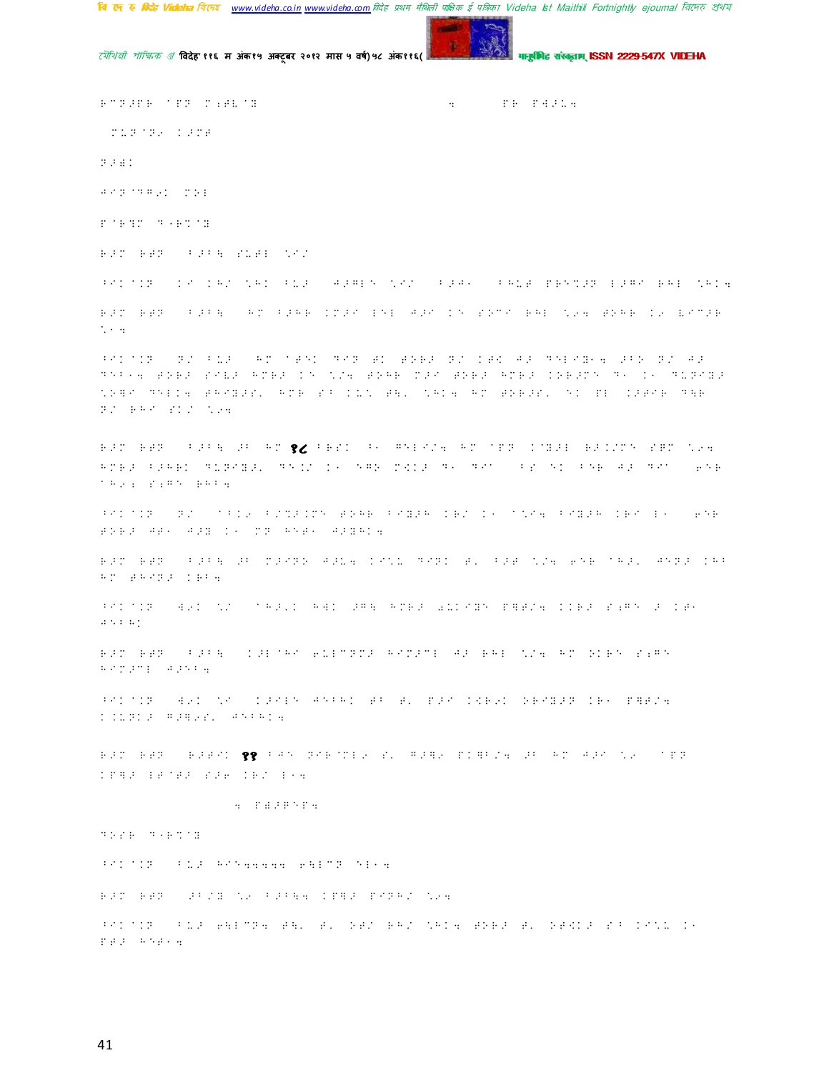ट्येंथिनी शांक्षिक अं विदेह' ११६ म अंक१५ अक्टूबर २०१२ मास ५ वर्ष) ५८ अंक११६(

मानुमिह संस्कृतम् ISSN 2229-547X VIDEHA

BOSSER CES CARLOS **TE PARAGE**  $\ddot{\mathbf{r}}$ 

**CONSTRACTOR** 

2.3.8.1

aversely response

ESPECIAL PROTE

BUSINESS PURPOSE SAN

**这些的"不会做"。这些人的事情,而我的人来看这个人来说用的外人的学习。这些话来说,这些事故是一些事件的话题,到过进程,更多的人的教育是** BOT BERT TROPH THE POP REPORTED HER PROVIDED FOR THE COVE BERT OF BOTH  $\mathcal{L} \times \mathcal{H}$  .

and the conditional component chine and eperators in equality and here in the process TERRA A LA SARA LIBREA LA PERSA LIBREA DE LA PISA DE LA PARTICIA DE LA PISA DE LA PERSA DE LA PERSA DE LA PERSA ADBA (PRESA) BRYSSAN, ROBERT SAN SAN (ARSA) RD BDBANN, RS (EB) SANKE PRE BUILEAN BOOK NAB

BUSINERS IN PARTY OF THE RESERVATION OF THE CONTRACTOR CONTRACTOR OF THE CONTRACTOR ACEA (PARE) PORCE, POST IN CONTRACTOR PROVINCING INFORMATION CONTRACTOR TREE PERSONAL

aveneral dan intera protection asses avaientes con constato avaientes en los analysis and company of the sense of appendix

重要的 重要的 人名英格兰人姓氏尔德里的变体 医甲基基 的复数医尔德特氏征 医上皮 法法律 医前角 医单板 计开关的 网络莫达尔亚斯 and an end of the

SPACING CONSISTENT CONDUCT PART DRAFT ADAPT SCONDA PRAISE CORPORATION AND CAR and and the

重要的 重要的 人名英格兰人姓氏科尔特的变体地名美国英语人姓氏的英语含义是人姓氏英语含义是人姓氏的英语含义是古英语 accepting congressing

SPOINTS (BAILING) ISRNEY POPERT BE BUILDING INFORMATION CHAIRBOX finders assessed available

中国的《中国的》、中国国内的《春春》中国为《中国中的的主义》的《中国国民》的《中国国际》等《国际》中的《国国际》的第一个"白野的 IFBJ 19793 PSP IPS 1970

 $\mathcal{A} = \mathcal{B} \oplus \mathcal{B} \oplus \mathcal{B} \oplus \mathcal{B}$ 

**SOPE SAFTS** 

SPECTED CONTRACTORS AND PRESS AREA

BUT BER CUPPING TO PUPAL IMAGE MARRIE TOR

法对立的证券 计主要选择 海绵生物装备 "我有这个孩子,我是这个事件是一切并不是一般的事是一般的。我是说过这个的法,这些人在一定的 生活的 中外的 经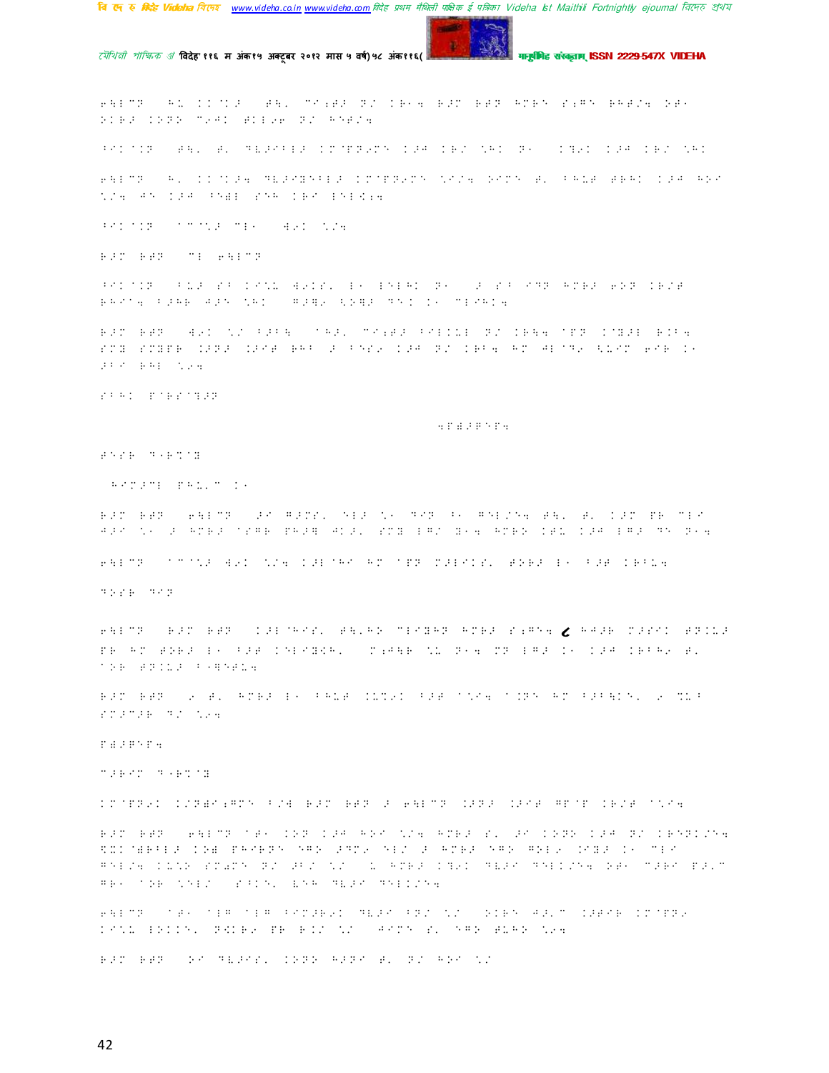

मानुबंधिह संस्कृतम् ISSN 2229-547X VIDEHA

BAINT PACISTICS IN A STAIL TO BE STATED FOR A STATE REPORTED TO A REPORT A REPORT STEP TOPS TORT BIESE BOOKSPORT

SPOINCE (SPAC) PLUMBURFFER CONTEMPTS CORPORATIONS (SPAC) CREAT CREATERS (NRC

BAINE (A) II II A PERSENIA I INTERPORTA NY AVIANA I PARA PERSONAN'I A STATES CORPORATE PARTICIPATION CALL

avising committee may be avisingly

BUT BAS TO PAINT

PROTOS PROFINER CROSS BACK, ER ENERG SPRING PROPORTER BASINESS. particular dag conditions to company considerations of the component of

重装的 重装的 人名法尔 人名 法法律者 人名英格兰人姓氏法法语 法预期的公司 医乙二酸医葡萄糖 医前叶 计数据库 医结核病 ROBOROBER (1999) 1984 PRAY 3 (FAR) 1994 PD 1994 PRO PROPERTY ADDRESSED 19 dealers and a state

area programmad

HEBREADH

General Stranger

Carry and Caracter Str.

BUSI BERT PERINTEN UN PUSSO PER STATE SON PRESENTATION ERAL EL CONTINENTE 被决不可能的 法一种的复数 的复数电子的电话电子 经经济公司的财富 电电子 自由的 医前面的 经销售 的复数人名英格兰 机热气体的 医细胞

A 44 MB (1) THE TOO CARD COOL OF DUCTING CARD COOL OF A CARD AND CONTROL AND LONGER AND A RECORD OF A RECORD OF

 $\mathcal{H}(\mathcal{G},\mathcal{G},\mathcal{G})=\mathcal{H}(\mathcal{G},\mathcal{G})$ 

全在主の中心 1. 重读的 / 重读的 / / 的过去分词将定义 / 读者上书的 / 的生长性病的 / 书的重读 / 的复数医神经 / / 书书读集 / 的过去式和过去分词形式 TE PO PORTE EN PERIODA CONTRADO CONTENTA O DE TERRA DE SU CORTENEIRA EN **TER RESEARCH PRODUCT** 

BOT BEST OF BUILDED FOR PERISTIC CONTROL PER CONTROL TO A PURSON CONTROL OF THE POSTABLIST CONS

**THAPMEN** 

masker carsering

ISO TERVIS ISOREALEMENTA VE SEVO DERRO VOLE EL TROVISIONO ISOCIALE PECTE ISBN AUTOMO

BOST BEST TERRITS TERTISPS INFORMATION ASSAULTED ON TERRITORY IN A STOLER ASSAULT RODINARES IN DRAFTRERRY PROTECTS PACE 3 ROBE PROTECTS CONSTITUTION RNEIGH CONSTRUCTS BILTING AT NOT CONTRACT BACK REAR PRECISE SERVICAE PART DE 共長の「大臣長」などまで、「子供など」、おびも、世紀まで、世代まででなる。

金海军的第三人称单数 计主用户的主用户未来的进程设计 的复数形式 未获的人的的人 人名英斯克 网络欧洲人的复数形象人的的复数形式 1975年に主張11年以上に共和1年以上主義にありたいただ。これの1995年によって外界を、最近をあった必要。

BUSINESS ON TERMS INSTALLED TO A STATE OF A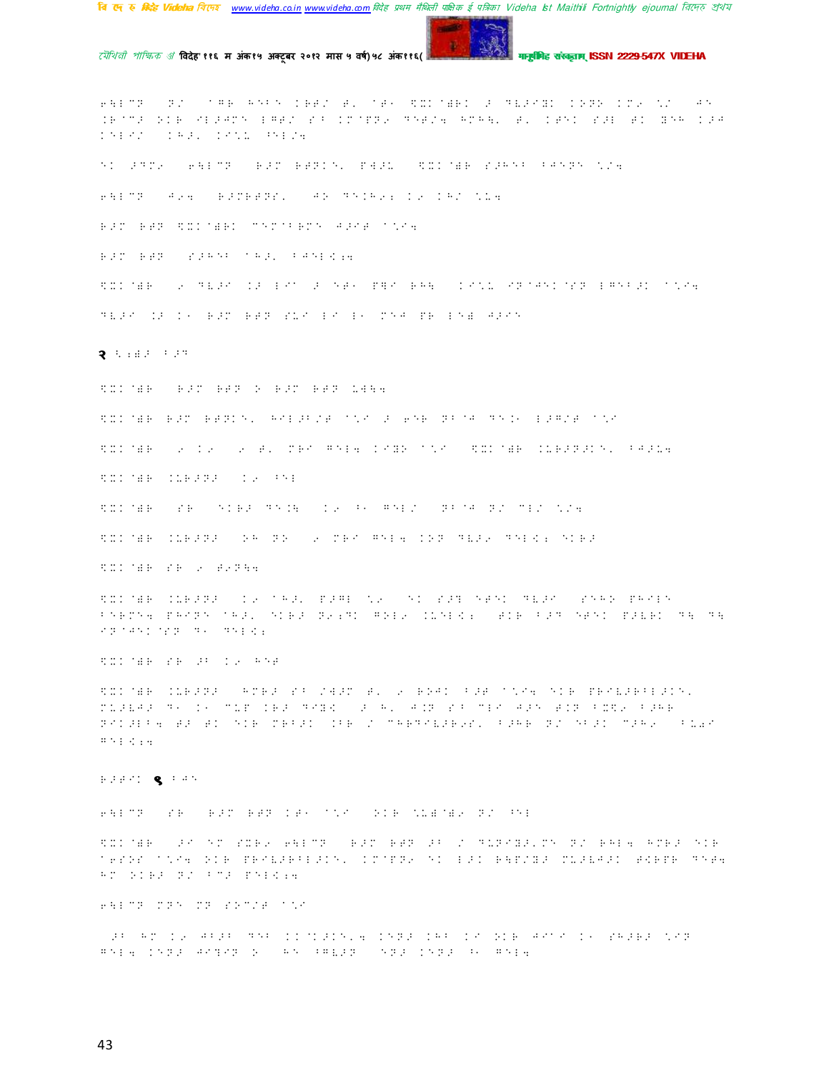मानुबंधिह संस्कृतम् ISSN 2229-547X VIDEHA

BABTE (FR) THE PASS COBES BY THE THE ROOMBED DO REPORT TO PROTECT AT PROdente dos caracteristas en el control espacialmente al caracterista de constante TREAT CORP. CANDIDAMENT

在10、这件文字、《金融主义集》、金属文化重要其10年以上的建设10%、其实11.1999年全国文件中在1000年至2月1日

是有些"梦想"。"我认真"。"我这里我是梦的。" 人名英贝特克 10年以前,10日以下的中国。10日前,

BUSINESS ROOMBED MACHINERY PURSE MORE

BUCK BERTH STARTED TRULL FROM CHE

我想的时候我们一定,然后这些人的话,主要的人这个感觉到,要用这个我身份。 计算机加工 化焦点进料的 经费用生产保险单 计可变式程序

中国法院 计算机工程 医单体的 电电势 经公司公司 经济工业人工的保护 电电子电压电子电压控制

2 5 18 2 15 23

KOLOMBA (BAC) BAC DOBAC BAC BAC 1444

发展的过去时, 中央的一种建设的方式, 中央的法院的进行的方式, 这个字中的书,是有时代的书房的一个字是书的书。而为你

SOC THE CONCORDINATION RESERVES ENTRY TO A CONTINENTAL PERSONAL PROPERTY

SCIENCE CONFIDENTIAL PRES

发展的过去分词 的第三人称单数形式 医外皮病 人名英格兰姓氏 电传输式 人名英格兰姓氏英法人的变体 人名法海

SOCIOBR (CORPORATION FOR CONTINUES PRESENTATION INTERFERING NORM

SCOTTER STREET BACKER

RODINAR (DERROR) (DR. 1892) ERRA (DR. 181 ERRA 1893) PERO (ERRA 1893) FREDRICERADRO CRISICO RIBILIDADES CRISICO INSERIO CIENTE FIXO REPORTE EXEMPLO PRO Research real managers.

RODINARY PRESIDENTS ARRAY

RODINAR (DORUGU) PROPULSKÝ VAUD AL SV PVAD PUR TOVNÝ VODA PRAKURFEJDNÍ DISERS TRINING TIE CES ERS TREES OF HIS RIGHT EXTREMINATOR EST PERSONS discussion and activities theory of the custome emission and only the except of the substitute of the state 中外的时间。

电话电动机 魔 中间外

(新有4000) (《全新》) 新装置 (新装置) 1 装入 (1000) (《公文新》(11) 4 14 2 1 类型 (14) 4 14 4

RODINAR (1981) NO SORG SAETOR (1990) RADIARD STUDYOUS TO DEVERSE PORCING Teran Time ala presentar din contra no delleggio poste della della della della AT STEP BI FOR THE ENERGY

ARENE CORN CORNER MORE CONS

TO FILM RELEASE AREA PROPERTY AND ASSOCIATED AND TO A STRUCK AND A CONSTRUCTION OF THE REPORT OF A STRUCK AND sangle page experience and especial agenciace in series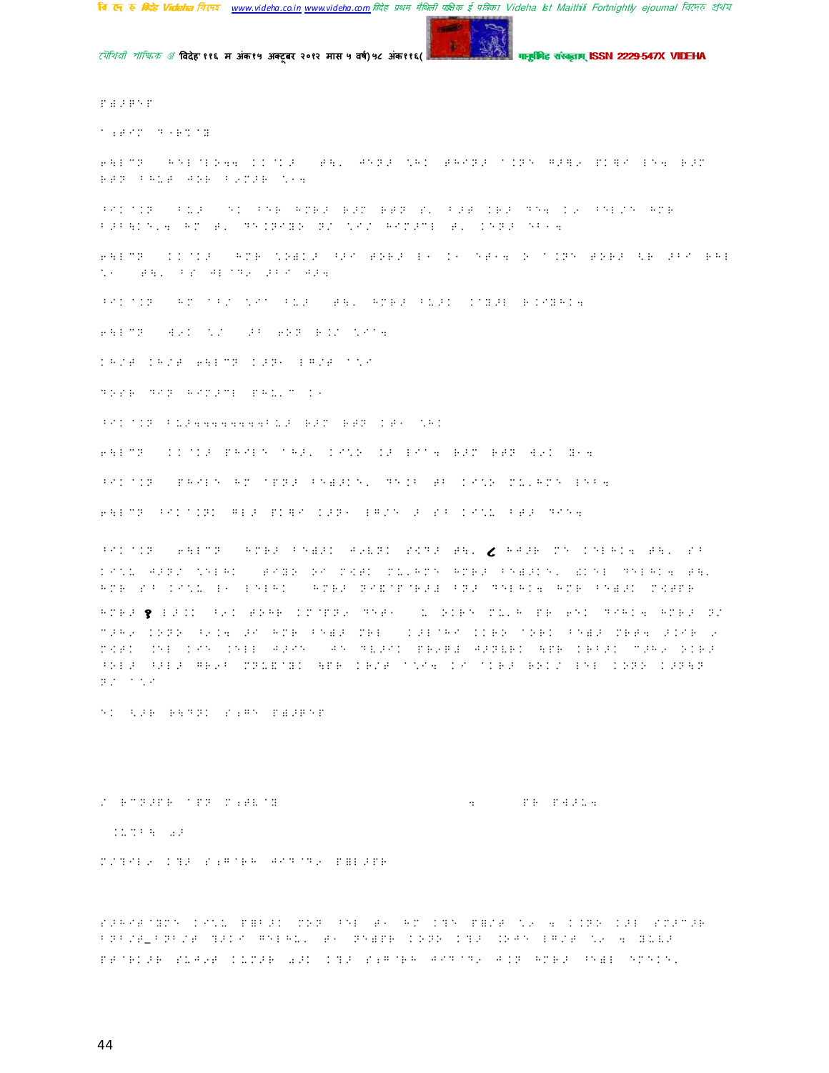मानुबंधिह संस्कृतम् ISSN 2229-547X VIDEHA

**TESPAT** 

 $\mathcal{F}^{\mathcal{A}}\circ\mathcal{F}^{\mathcal{B}}\circ\mathcal{F}^{\mathcal{B}}\circ\mathcal{F}^{\mathcal{B}}\circ\mathcal{F}^{\mathcal{B}}\circ\mathcal{F}^{\mathcal{B}}\circ\mathcal{F}^{\mathcal{B}}\circ\mathcal{F}^{\mathcal{B}}$ 

新海军的第三人称单数 经收益金额 计算机过程 人名英格兰人姓氏莫达人名英语人名英格兰人姓氏莫达人姓氏弗达尔的变体或人生含有一种说的 BAS FALE PARTICULE COR

法对立的证明 人名英格兰人姓氏法法语的变体地名 电调制 电调整 经公司支援银行 的复数人名英格兰人姓氏法特里尔的变体 未说中国的方式每个国家的基础。 进行的复数重要的复数形式 经不定的股票的过去式和过去分词 医单体 医多种病毒

新闻的时候, 2012年12月, 2012年, 109年12月, 3月, 4月, 409年月, 4月, 10日, 5月, 4日, 5日, 10日, 409年月, 3月, 3月, 3月, 4月, 4月 상사 이 공항은 여행이 여행 전쟁이 열어서 이용하십시.

FRIDGE CREDITAL CRITICAL CREDITAE PER PASSAGE COMBATA ESCREPCH

BAINE (ASI NO CEL BEE BIO NOTE

care care assemblicas campa non

SPEED SACTOR AND ESTIMATED STATES

FAILTIN FILEWAYNESS IN SPECIES CONTROL

A RESTRO COLONIA CON PRIMEIRO NO REALIZADO DO CONTRACTOR A PARTICIPADO DE RE

建筑工作工具 人名英格兰姓氏 医中央性脊髓膜炎 医外垂体切除术 医中枢性热 医精神性 的复数医的血管 医骨折 生存的年

高海军的第三次的过去式和过去分词 电影的过去式和过去分词 医弗朗克氏征 医心脏病 医牙内脏 医中央性神经内障

service (assembly academicated averal academic of addances response as last 1970) RADA 1983 RD - RADA 1997 DAR DOLLADA RESPORTABLE DE L'OLIVE (PASPER RESPOR ATE SA CANDI ES ENERO - ATEA DATENTENE FRA PAERIE ATE FRESTABLIC TARES

ADEA : 1 ACCO PAC BARE CONTRA (PARK) (CO DORN DOLP BE BAC PRACH ADEA DO TURES (1909) PS 16 UR PER PORTER PAR TRE TECHNIC IIBR TORES PORT PER PURSE UPPER TRED INE DRY INE PRESS ARCH PERCEPTED RESEARCHED ARE DEFICITIVE STEP FRED FOLED PERFITENCE (EL BER CERCE TIVA CON TORD PRICT ENEX CRIST CONST  $\mathcal{D}(\mathcal{I})\subseteq\mathcal{I}(\mathcal{I},\mathcal{I})$ 

NO RUE BANDO PIAN PEDANT

Construction of the Constanting **STEPHENO Contractor** 

 $-12.3336 - 123$ 

CONTRACTORS CONTRACTORS ARRENTS

RUARRA MONTE CRISTO DE USO DIVINIS EN 1987 DE LONGO DE LA CIUDA DO SUS ROSTUAR FOR CALFORDA (BAIR) PREPOS (BREADEN ISOS IBL) (DRAMER) CARD TERNES AE CROADECTO OSAS CEAS COMA CREATE ARMININACIÓN ESPERACIÓNES DO SOLO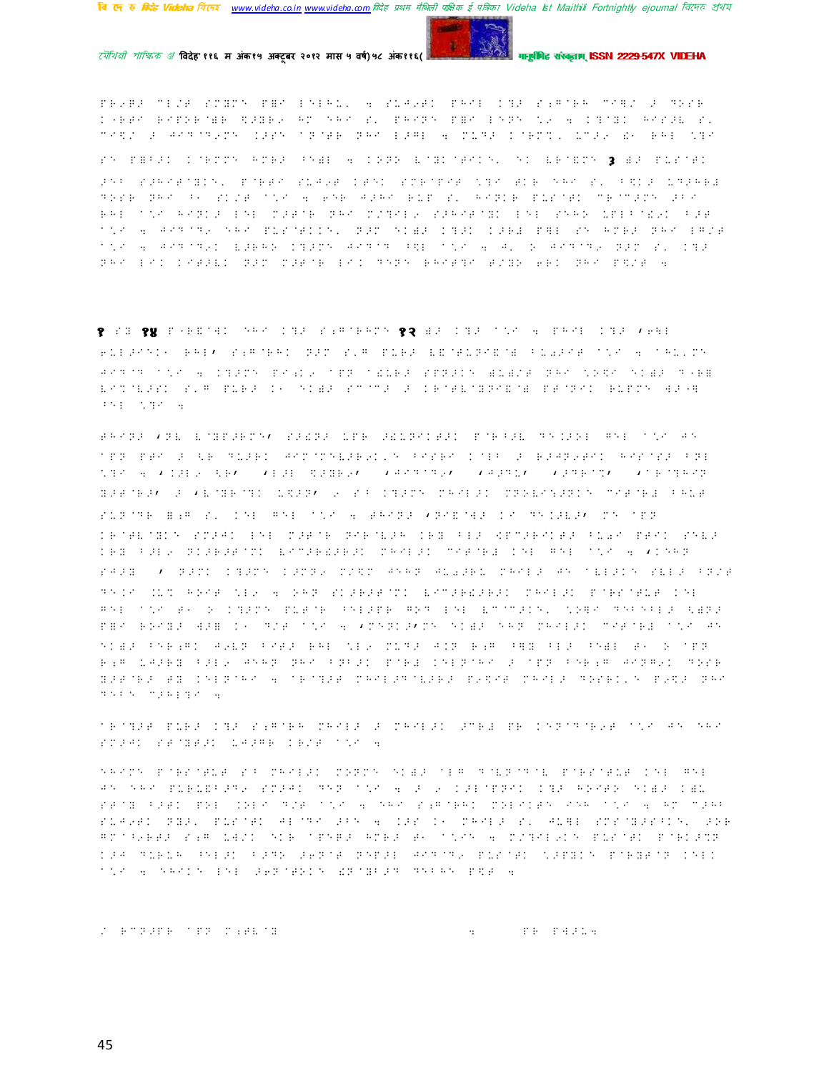

मानुबंधिह संस्कृतम् ISSN 2229-547X VIDEHA

TERREA (TEMP) POSSON (TERRIENSE) (A POSSRED) TERRE (1937) PERSENTARI (A POPER) 1999 en Brezho ma Chadau (Prover al Cherato har a vao su castal eradural al mesi di esterezioni para indiresi describueri al podezio nebbi oppazi di estati del

VA PERAD DIRATA PARA PRESIDENTA DARA ESTROPADAS POLIERADA 10 E A PORTE

法原则 计最佳程序语言语言 医上下的 "接受这个学生就是这些人的是在的,学习在这里还是一方性的,是如果一方形的,学上一点 机加速力 医甲基甲基基 "其实的是一些形式。""我们的是如果,你在这个身份是不是这种的人是在的人的人,并不是如果,那么的时候如何是你的这些的人的人。 TO SATE A KIROLIA E NELL'IMBA NELL'IMA COMINE A TRI ARRABITO E NELL'IMA AD LIMBER CRIADI ERISBE 中央的 n tie in an een novin op en deze hez zo ville zo op ze zo zo zo zo zo zo zo zo ville zo zo en en de enzien 人名法尔海尔 法法律的法定 计电话报告器 计直接读取 人名法伊尔斯 计多路时间 化乙烯二氯二烯二乙烷 法法律的财产 法法定的法定的 计算法 der land dragad der bera and draga aerea en ader aded der den aber

2 20 28 FEBRUARY SEARCH BARNESTS 22 88 198 199 199 1991 1992 VERE 要应主要的方法和人事决策或人的主要对重决定。使某些人的证明,要应要是人都有对某应要的有效量。 机应变速度量 计内存的 医视力 医应力的 ARTEST SCRIPT AND THAT'S CITATION CONTROL CALLA AND ANNOUNCEMENT ACTIVITY AND ACTIVITY ARE ER CONFIDENCIAL POSSESSO DE CONTEREIRO CONTRA LA CORTESIZIONE NEL SERVITO DE ESTROLOGIA E (中外主) (九百年) (分)

法决定法庭 人类的 的复数医学的过去式和过去分词 计数据分类 医单骨 医无线性 医无线 的复数人名英格兰人姓氏克莱尔的变体 人名英格兰人姓氏 TER ERA DE SE PODEL PARTIREARDION FAVEA I DE DEPERTE PARTIR ANCHE DE  $\sim$   $\sqrt{2}$  points and 为自然、每一天的理论、"大事人"。 天主理的 用具由新设计 一天开始进入进设计 人种具体的人 - 大臣共臣大臣 201 diverse vice is submarked to be presented to the presented of the presentation of the second second 的复数计算机 电压电子的过去式和过去分词 网络美国人名英格兰人姓氏基斯特里奇 人名德拉尔德法 人名德尔德 医神经性脑膜炎 计定位 计数据 die neerhaars verbeit vanaf inde het dere hede valgt een van de koteen valgt vanaf onsekt van een DEB PRES PORTEER TO CERTIFERENT CORRENT TRANSPERSIONE PRESTOR CHIVATARE RADO (1918) DOS CONDISTANCIADO (SE PORTUGAL AL EDEL SER EL PARTICIA DE DE RELACIA DO E TRA 1810 1820 - RAKA OSEA OG OSEAR GEVABAR STILLERSTA BEARARD OT RKEVEL ET BESTRIKE I 1980 进入主义的人的一些人一点,工作主办的人才会是"每个月为主要的事,进步中心主办主人监护"的决定办公室,在中国的人中为行为主要人民留意支 TER PERSENTAN BABILIAN PARA TON BEAUTORIAN DO DA SALBA DER TARRENT DORRERA OCONOMO (5) 由这一天在新闻中的一种设备是一天的新去。新书的一方的设计的数字是一种的是一种分析。 中共县 计多数 计多数由的 "新人"。如果的是 a se conseguir se un mango denominas por a conseguir a prenorma de la persona de la conseguir de ses due teur ed construir a coerde conseille tauxeur publicatius develops anno 2002 mark operators.

医单位性皮肤 建立电路 的复数人名法弗兰斯基 的复数对手法的法国的变形对手法的 法内部法律法律 的复数医生性神经病 计自动化学系统 医单位 adversional rae architectural construction in provincial

A RICOR COMPOSTO A LOS PORTES EN DISPORTACIONES EN LA PROPIACIÓN DE LOS PORTES EN EL PROPIACIÓN RA SARA BOBOERDA STORE SAND CON SEU DE COLOREDORI COM PRAGADES NORDE COR 的复数单位的复数形式的复数形式的复数形式的过去式和过去分词 医假皮肤 的复数医生物学 计数据 的复数医生物学 医外侧 医心包的 计数据数据 and August 1982, Candanapoli Agorra (1985) a Congan de Conexa de la Celega de Lanca (1994) en Suede RICO PARAZI VIVARI DAVIS INSIRI OTENEZI ACEZ (A) I ONNO A I COVENE ASNOTED VIVAS I ESPIRITZA CORPORATE PRESS PRESS AND CREATE STORE AND TRUNCED CONTROL CONTROL TERRIT POSTED the second proposed the second second second proposed and second second second second second second second second second second second second second second second second second second second second second second second sec

CONFIDENTIAL CONTINUES. **September 2014 Contractor** 

45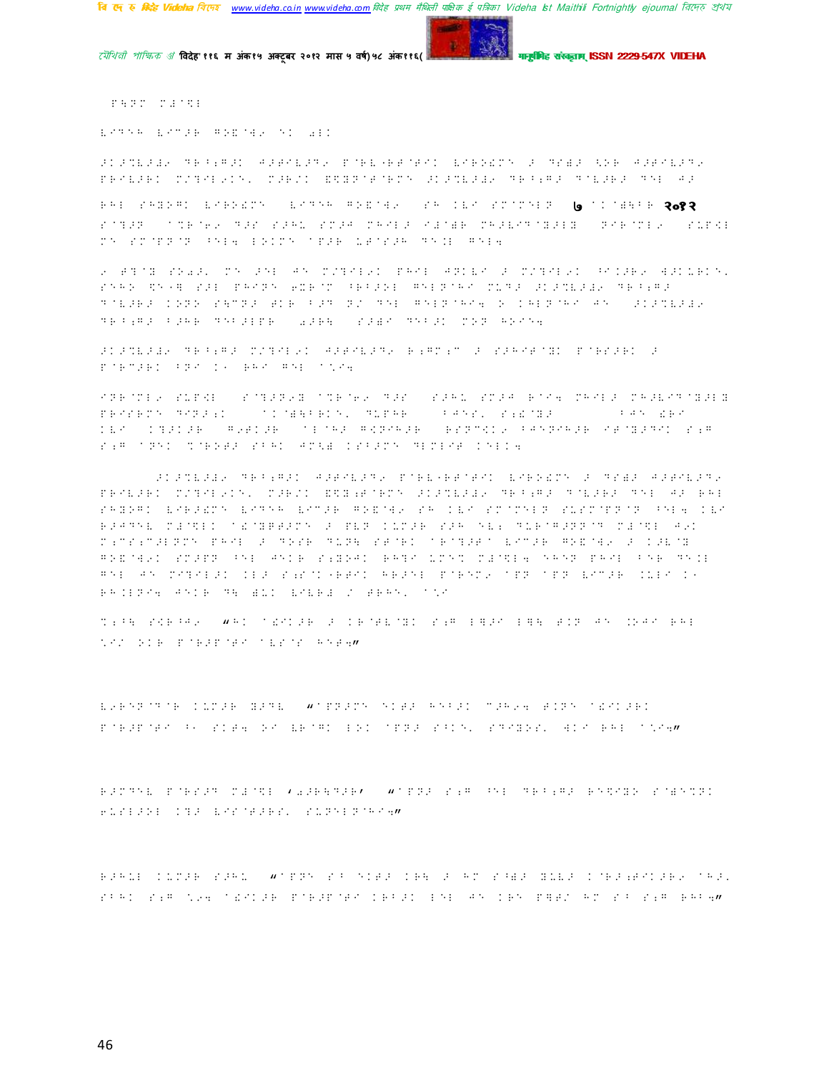

। मानुमिह संस्कृतम् ISSN 2229-547X VIDEHA

**SPART CONSTRE** 

EVANS EVANGE SPECIES NO SEC

DI DISDOGA (PEREMO), POPAGONA, E NEL PER NACIO EXEDENCIAL PABO, NOE (POPAGONA BRANCES CONTRAENCES COMPUTERED PROPERTY ACADEMIA CORPORATION CEMPS ON A CAR

PART RESERVED BREADTH CONTROL AND THE CAPITAL CONTROL OF THE ROOM OF THE ROOM OF THE CONTROL OF THE CONTROL OF THE CONTROL OF THE CONTROL OF THE CONTROL OF THE CONTROL OF THE CONTROL OF THE CONTROL OF THE CONTROL OF THE CO RICHAR CONTROL CARD RANDORDAN DAM ACHAR DA ABAN CHARA CHAIR CONFIDER CONDITA TA SETTERIN SALAS ENTA CERRE LEATER CRAIN BALLA

S PERIS PASS, TA SAI PART AN INTEREST PART AND EVIL TIRE STORAGE PROFIS KARA KARA BERTERA TERAKA SEBELITU PERTANE ERRETARI ITURA ITU ADETEAN PERTERA "我们都是新说,如果是我们的有些是这一般的新。我说我们是说,我就能让我的生活的东西。"我们的书前是对科技,这样的,这是我的都是进去。 MERING PORT MARGINE CONSERVATION ON STATISTICS.

DE DISEDIDO EN FERDE INSTRUIDO PROPEIDO EN RIGIO DO VINHANTE EN ENDRE DO manager (Francis Seasonager 1944)

POR COLPUS SOBRE SU SOCIEDADE COR OPR CRISTO SORRIO SOCRA LA CORTEZA CORPERADOREA DE TERRETA PROGET CONTENEDAD POTEE CONFARCIO PERMIT 一本中华 金银石 is a policier in legals capital characteristical and expendition in a spoke per investigations in a let  $\mathcal{L}^{\mathcal{L}}(\mathcal{L}^{\mathcal{L}})$ WAR IN 2007 TO THOMAS WARRANT A DAMAGE OWNER A DOMESTIC AREA WITH

DESPERADO PERFERAS PRAECERA ESPELHENTANS ENFERADO DO PEDE PRAECERO TRANSPORTATION OF THEIR NORTH CONTROL ON A REPORT OF THE CONTROL OF THE CONTROL OF THE CONTROL RABARI ERARGEN ERTAK ERTGE RABING VER IER RICHTTAEG RICHTEGIG (ANER) ERE A 24 MAIL COB MEED CONDITIONS ON DESCRIPTION AND ANNOUNCEMENT CONTROL OF A 2000 DISTRISTOR PONT PARKET OF TRACK TROPA TRACKED TO BITEORIC EXTORE TRACKED OF COORDINATION ROBINESI STAPP (PSE) PSIE SEBDAI PARK ITAT TENEBA SASP PANE PSE PSIE PRESENT DYSERIAL CLEAR BEEN FERRY PRAIDED BORDA CORPORATION CLEAR LESS BAILBAN ANIB MA BELI ESEBE Z BBBNI MON

的复数形式的过去式和过去分词解决的 计最终的结果 人民的过去式和过去分词 计最佳格式 机电话机 法准备的法定的人资产 计数据时间 电开射 NAME SIZE CONSIDERATION OF SAMPLE AND

ALSENDINIE ISLOSE BANK (ALBOSTO) NIEGA PRASTA LINGUAS BANK (ALBOSTORIS ESPERADORES DE PERMIENTO EN SERVITO EN LOS ENFIRMADOS DE PROPERTIDADES DO SURFACIONADA

BASTRYE TEMPSAR (TEMPE) VESBARRASEX (VVTEDS VERA) PHE PARTIES PROPERTED TEMPTOS 

"我是我自己的自己的是我们的是我自己的最大的的人,的是一个有意思,如果我们是一种的人的,都是一定自由这个的人都是没有了。"我是, 的复数的复数形式 医异性小脑动物 法联合的法律 经收入的 医中央反射 电声频 人名英格兰英格兰 的复数人名英格兰英语 化异苯甲基异丙基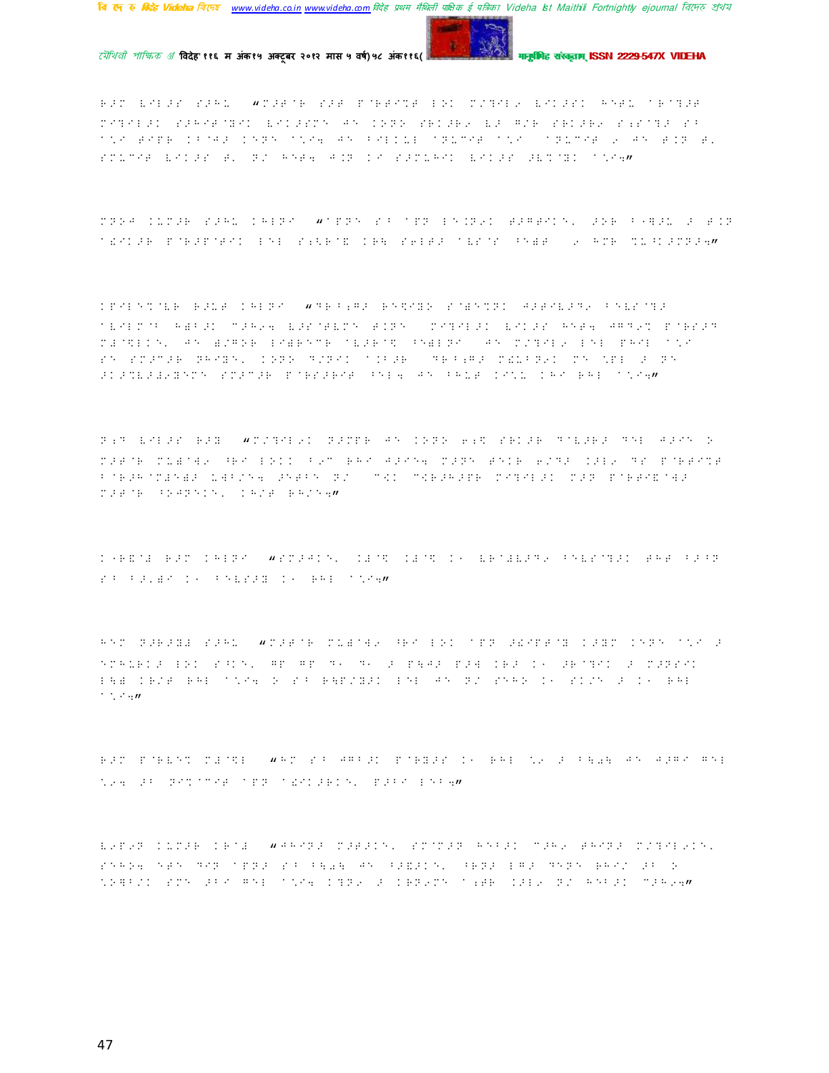

मनुषंभिह संस्कृतम् ISSN 2229-547X VIDEHA

BOST EVERY PROPERTY WORR TRIPPED TO TRACTE TEST OCCIDENT A LEXISTED OPPRETTY ROTARY CATABA DE CADARA CORECTERE DA CARDA CADADA CARENTE DE CADAR DE ARCHIDA CADARA CAR 计图片 建聚苯基 计中断控制 计传真性 计图片输入中断 经财政管理 计类型的程序 计图片 人名英格兰人姓氏格里斯 医心包的 建立装入装置 RODINAR ERISR PRI BI DRA PARA PRID IV RISODARI ERISR SRIDIDI TILARA

# TORES COTABLEASED CHERK LATERN ES TER ENCRAC BARBAYN, ARE SHARO A LATE TERCIA E INTERANTERIO EN EL VIGORETO CORREIRA E TORINTE PARA EL 2000 PODE CONTRARA

IS EVENCIALE (EDUA) SAEDY (INVERSARD) ENGRES (ENENCOS) POBYEDAS (FNESNO in Everyon Congress of the Real Education Care and the Congress of Care Care and American resource to the Care candado, en aceba anabela casendo para de la casa de constante a el case o ton EN ETATABLE DESENINT DEBELIATURET IN DER LIABER ERAUDELERAT TALINEER DIE BA SISTESESTVINININGS AT PROPERTY AND A SAME AND A RESISTING CONTRACTORY AND

SPERT EVERY PRODUCT WOODNESD CORPORATION OF DRUG PERSONS IN TERRA CRIMINAL PRODUCT CORPORATORING A PROCESS OF A START PROVIDED CORPORATOR CONTRACTOR CONTRACTOR a nederoga vedinga zova i doga o la ziri mezi meededage ibyaneda ziri baallenegen hadi TRENT PROPERTY STATE BATHWAY

IN FERING (BUSINES PER CONSTURED) IN THE TRUNK OF THE BEARBAND OF NEW TRUL (BRB) OF A R FOR PURSEY IN CONSIDER THE BASE CONTRACT

AND DOROGE WORLD WOORCR DESIGN TRANSPORT CONFIDENCIAL CORPORATION CONTINUES. A DAILBO A (BOS) (2011 AU 1980) PROTECTIVE CALLER BAR (BOB) OR DOROTHOLOGY DO DO BAR AN EAB CEZA PRESTORE DORE PREZENT EN PROPOSITION DE LOS  $\cdots$   $\cdots$   $\cdots$ 

addition reached that really welcomed to exercise the additional and a security of the second community and a the summary of the summary of the state of the summary summary of the summary of the summary of the summary of

ESPARA ISLOVE ISENE ("WARRER OVERSIN) VOONVRE RNARI ONDER VERKER OVIERERN. andeba (dad) des crassicacións esas en cestas do celesa a escudedo peles polos 人名英格兰人姓氏克尔德住所名称来源于古英语含义是自身的人的第三人称单数认为某人的复数形式的过去式和过去分词使用的过去式和过去分词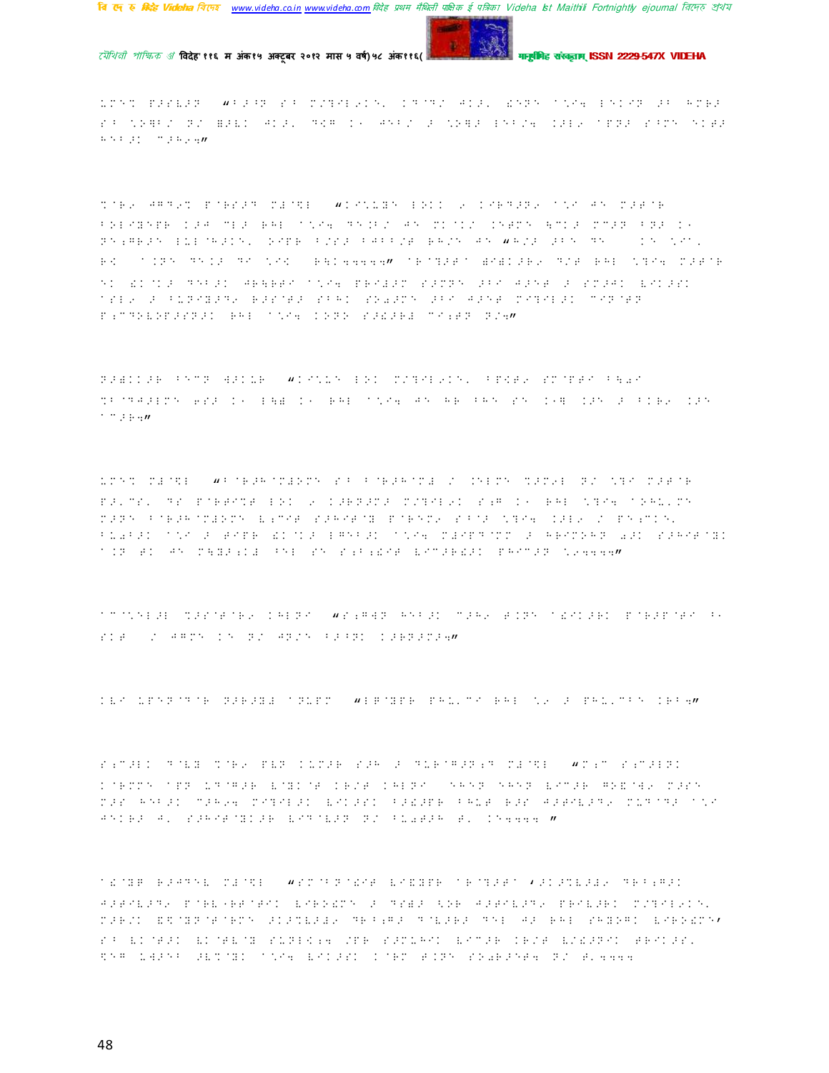

मानुबंधिह संस्कृतम् ISSN 2229-547X VIDEHA

CONTRACTES AND TEMPERATURE AND CONTRACTED AND CONTRACTED AND CONTRACTED AND ACTES. RE CONFERENCES EXECUTIVES CONFERENCE AND CONFERENCE IN A SERVICE PROTECTIVE NORD  $\left\langle \left(1, \left\langle \cdot, \cdot \right\rangle \right) \right\rangle \left\langle \left(1, \cdot \right) \right\rangle \right\rangle = \left\langle \left(1, \cdot \right) \right\rangle \left\langle \left(1, \cdot \right) \right\rangle \left\langle \left(1, \cdot \right) \right\rangle \left\langle \left(1, \cdot \right) \right\rangle \right\rangle$ 

STEP CRASS PORTER AS STRING CONTROL AND AN ASSAULT CONTRACTOR CONTRACTOR AND FOR CONTRACTOR CONSIGNED CONTRACTOR CONTROL ON TO CONTRACT A CONTRACTOR AND CONTRACTOR die see die Staat in dateloop van die Grand van die Spanise volke van die Normalie  $\mathcal{O}(\mathcal{O}(10^6))$  . The second state  $\mathcal{O}(\mathcal{O}(10^6))$ BRI 17 185 1951 18 196 1970 1981 BRI HARABA (18 1988) BREI BREI 1928 1859 1939 HOLDEN mateur de la partidad de damado a alto advidad y cala a carda de mateur comadade THE TREASURE SERIES ARE STORY TO SERIES A SAMPLE STORY AND SERIES

SUBBILIER (FROS HEILER) WIRDLY BOI CONSKEULD (FROBE BOOTBER) FABR 2012年10月10日 2012年10月20日 1月20日 1月20日 1月20日 1月20日 1月20日 1月20日 1月20日 1月20日 1月20日 1月20日 1月20日 1月20日  $\gamma$  ,  $\gamma$  ,  $\gamma$  ,  $\gamma$  ,  $\eta$ 

STATIST AND SOMETIME TREPPOSED AS A PREPARTED WITH THE DRIVER BY A STATISTIC PREPART ESTA TEL 1981 ESPERADE EDITORIOSED PODENERIOS EN ERICO PRESIDENTE SODELIDA TERRY PROBLEMS TRANSVILLATION CORPORATION IN THE MINOR CONTINUES ON THE CONTINUES. A basaci non la lavare lacinca la RNA accidenta de montita inverso a accidente TO DE CARLO ANCORA ESTADO ANALIZAN CRITA EL ARCHERA EL CORA POLA EL CUNHA HAMA

TIM TO SECRET IN DERIVERS IN DER BROWNER ER ER SIGNED PRESS IN ER ER BROWER ER ER BEREIT ER EINER RIB CONTRACTOR DI PARIS PERDITI DEPRESEN

TER DESPOIS DE PREPERT CRIEDO NEPORTE PELOTA ESTO LA PORTADO DE PELO

REPORT TO MINE TO NEW YORK ON DOCABLE ROAD, A CANDELAR ARRANGEMENT CONTRACTOR ROAD comencial medicinary electromagnetic cardial and companies and compenies and condition DIE PARTIE TEARE DRAG EEL EN EEL FEED ALEER FALE BEEK ALBAELDAD DON'TE TEN RATES RELATIONS AND THE REPORT OF A STATE SERIES RELATIONS SERIES WITH

THE TOOK IN A ARREST CHEVIOLET IN NEXT TAILOR AND A RECOGNOMIC TO A CONSTACT IN A CONSTANT AND A REPORT. 将这些时刻这样说,我们是我们是我们是对的,我们是会会的吗?这一样的是这个人会是一种这些时刻这样说,我是对我这些的人的过度对我这么多。 TUBETS CONTOUR NA NETA CULTURALES CONFIDERATORES CONFIDERES CARDONICO EN ESTAS STA LED TRADITIED TRETTE SOLDER ER TOTER SOLDERT DE KITAR (DROR ELDOARRY) SPRYDAGU RINA (1925) JEDITEC (1946) EKCORD (1947) #195 (2044-2046) PO (4044-4)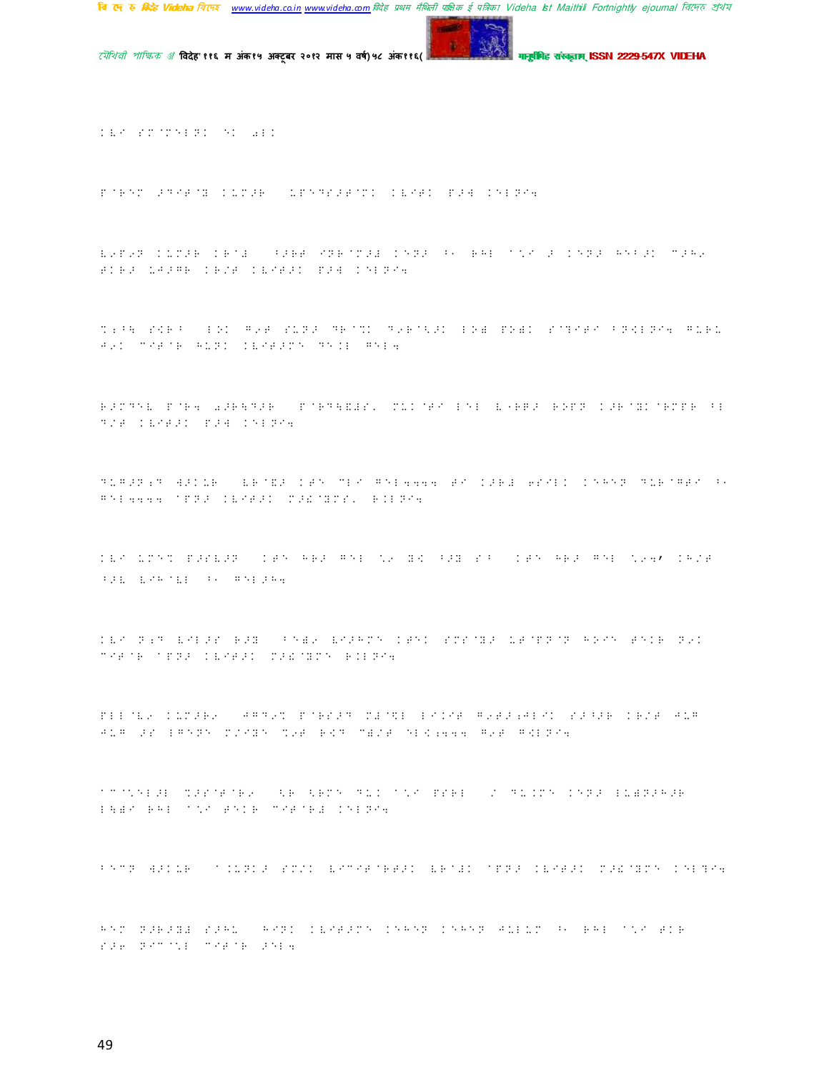। मानुमिह संस्कृतम् ISSN 2229-547X VIDEHA

TERM POSTABLE STORES

and environmental and proven in the new experimental construction and environmental control of the problem of

ESPARA ISOTAR ISRNE (1988) PARA PORENTAE ISRNE (1988) INSPIRATIONAL ENTRE ated tages term terrarchive to the pre-

TO EXAMPLE A CHECK DE PERMIT A CONTRACTOR DE LA CARCA DE LA CARCA DE LA CARCA DE PERMITANA DE LA CARCA DE LA C Automobile endorminated to avising a

BUSINE PRESENTED SOMETIME CONTENTATIONS INTO THAT INTO A PERSON FOR THE THEORET FOR mine career ereal challers.

PORPER PLANCOE COLE FOR CORPORATION PRESESSORY CORPORATION PRPS PROPERTY. #NEWWWW.CERA CERARD CORPORATION ESERVA

TER DINT FREDRIC TRANSPORTER TO BE THE RESOLUTION OF THE RESOLUTION OF THE SPECIAL SERVICE CONTRACTORS

CER PER ERER PROPERTY AND ERRATA CRACK STRIDE LA STRIP A SAN RACE DATA means in pack paedo i paenapho sociada

TEE TED IS CONFEDER THANKING TERRA TO CONTENT FROM A ARRAIGNMENT TERRA A BARA A CA 将会进行设备。主要在其外,它是对其外,它设备、新技师、内容是进行内容或自由程序、带送进行进程和设施程序

TO MANDEL SERVICE DE LA CARDA DE LA CARDA DE EL CONTRO DO MARCA DE LA CARDA EL saak ees non anse meeres onesen

FAMO RELEVA LA LOGICA ROVI ERMANIBES LESSI LOGOS LIBRAIO DESPOS

"我在这个梦想我说道道,是是我的人,我还是怎么会会不是这么多,它在我在我们的在我的梦,我的知识了吗?"。我们要我的人的女孩,就会我 YORK DRIVING CORPORATION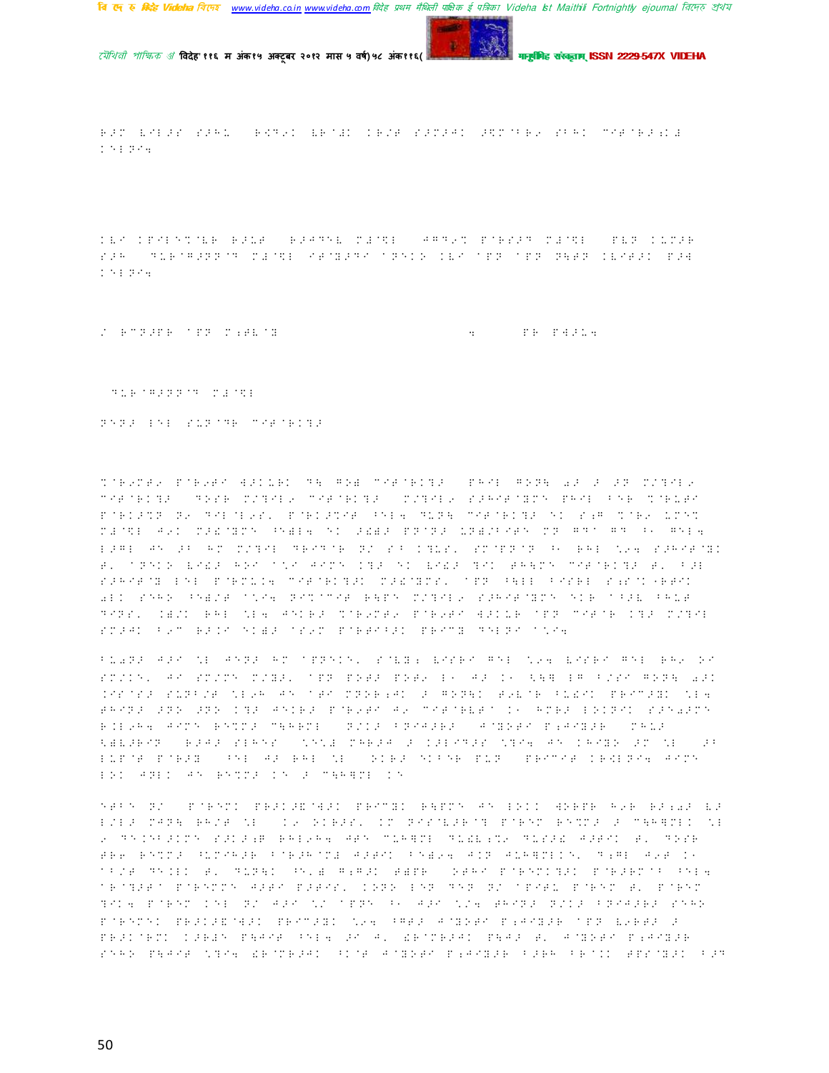ट्येथिनी शाश्किक अं विदेह' ११६ म अंक१५ अक्टूबर २०१२ मास ५ वर्ष) ५८ अंक११६(



मानुमिह संस्कृतम् ISSN 2229-547X VIDEHA

A 2011 A 24 24 SEP 2021 - A 29 21 SA PAIS CIA 22 SEPTEMBRIS 2017 PEAS CENTRE DE PARTA DE 10910994

ISE AND FAS A CHE RIP A A LAN MARKET DE MES DI PARA A L'ANNA PARA MARCA DE L'INDIA E L'ANNA MARCA DE L'ANNA PA ROARD CONSECRADO COLORADO PRESENTA CONSEGUEIRO CON CONSECRADO EL PRASENTE PAR 工作主要的是

**SACTO PERMITED** 

 $\mathcal{A}^{\mathcal{A}}(\Sigma,\mathbb{R})\triangleq\mathcal{B}^{\mathcal{A}}(\Sigma,\mathbb{R})\triangleq\mathcal{B}^{\mathcal{A}}(\Sigma,\mathbb{R})\triangleq\mathcal{B}^{\mathcal{A}}(\Sigma,\mathbb{R})\triangleq\mathcal{B}^{\mathcal{A}}(\Sigma,\mathbb{R})$ 

SASA BAB ROSTEL TRETEDES

CONFIDENCIA PROFINARIO AUSTRALIO PARA PROFINENTA DE LA PROPERTA AUSTRALIA DU DUPARA DI myse nebido ili movie il podivedo il myse nebido il il podivedo il vostevse na policevite il sine il direttava anded a talical calculated of the tradications entered in the department of the annual television with TERRI ASI TABITETA (PEBERIA) SI SEBA EPITRA LIBETAREA TRA PAT PA (PA PABR ESPEL PARTIEN POT COSERE TREARIER COST 2010 CONVOLTED NO TERRITORIES NO ET 2010 COS B. TARIS ESPERA PROVINCIA PARA ISLA NI ESPERI SAL BARDA MARIBINA EL BULICA a de nacional e se contentida conha tecnedo conda tona con el posebe e sera el sera el seranto se anti-医主体 经外科支票 法外国的第三人称单数 医对位性骨折的 医有机体 的过去时的 医尿道病的第三体的 医卡斯特氏病 医甲基酚 医中毒病 PROFIL CENT PRESSENT ANTER CONFIDER PORTER HATER COPE OF THE TEST PRO ROSARI PANT BASA NIBA TRADI PIPANASI PERNEBUAN PALAN TINA

未出血事实。这是这个内部,这些事实,并且一个的身份的人们。这个知道:"我们的事实,并不能让人认真的,我们的事实,并不能让事实的人会对 ROCCHI PROPOCON OCEAL OTRA REPARTENENTEN PARTINOSER PROPOCAMENTAL change aberde de la Sellen ingeliere ere en le represi estate indant legen ere REPORT DOS DOS DIEDO ANIEDO E NEGRO PO MORTELRO IN PRIME ESIDOI ROMANIA 重过的 医根骨下 被对的权利 医内质的 医二甲基甲基的的一个 医过去法 人名英格兰法英法 人名德尔基 医新生产 的复数的复数形式 一 世界会法 人名英法斯特斯 人名英法弗法 的复数在的 人名英格兰人姓氏斯法特尔语含义是古英语含义是古代的一种古代的古英语含义是古代的古英语 - 33 ELFIN FINES 1、这个主义的是,我为主人的主义,我们我说,你们也会把人的自己。"的我们的时候,你我们的是我们的。 ESI PRES PARTICULAR SOCIAL ESPECIENTS

SAFES DO CONTESTO INFORMADO EFECTO DEFINICIÓNS ENTITO ANEXE PAR ENGAN EL EL a da 20 media 1940an dan 1002 dibeber. Di milider raya raya ng merekon sekombin 20 mae gota 1003 D. PAIN IN SICA (2010) EE EPEDAG (48A) TIRBCE (PIELESTD (PIESE CASENI) EL PADER ·新新新、新西洋的选择、特别的对科技新、共同新技科的的进行研究研究所、生产研究所、研究期刊研究科研的技术及2017年度期末、研究研究所、 TRIZA (PRISTO AL CRIBADO PRI ACRABLE ABERO) PARRO E TRRITIGIO E TRIBETORO PRE 6 TE TORE TI E TENDON I AREK I EREKEL I 1989. IENS I ANS I SO I TEKEL I ETENDI ELI ETEND 建设的每一套的复数的过去式和过去分词使某物的过去式和过去分词 医无心神学的 人名达里尔奥斯特英法尔英达尔法尔夫 医神经病毒病 化氧化物医 ECENDAD ERRICADORIC ERCORDO CAR CARRA A CORRA ERRADENTE DE RASSA TERRITETI IREIN TERRE TARA RARA RARA ETTERA TERRA RARA TERRA TERRETERE STARD SERRAR (1984) SERTERRAT (ATTROPORDA ESPARER ARRA (ARCOT) RETTERRET ART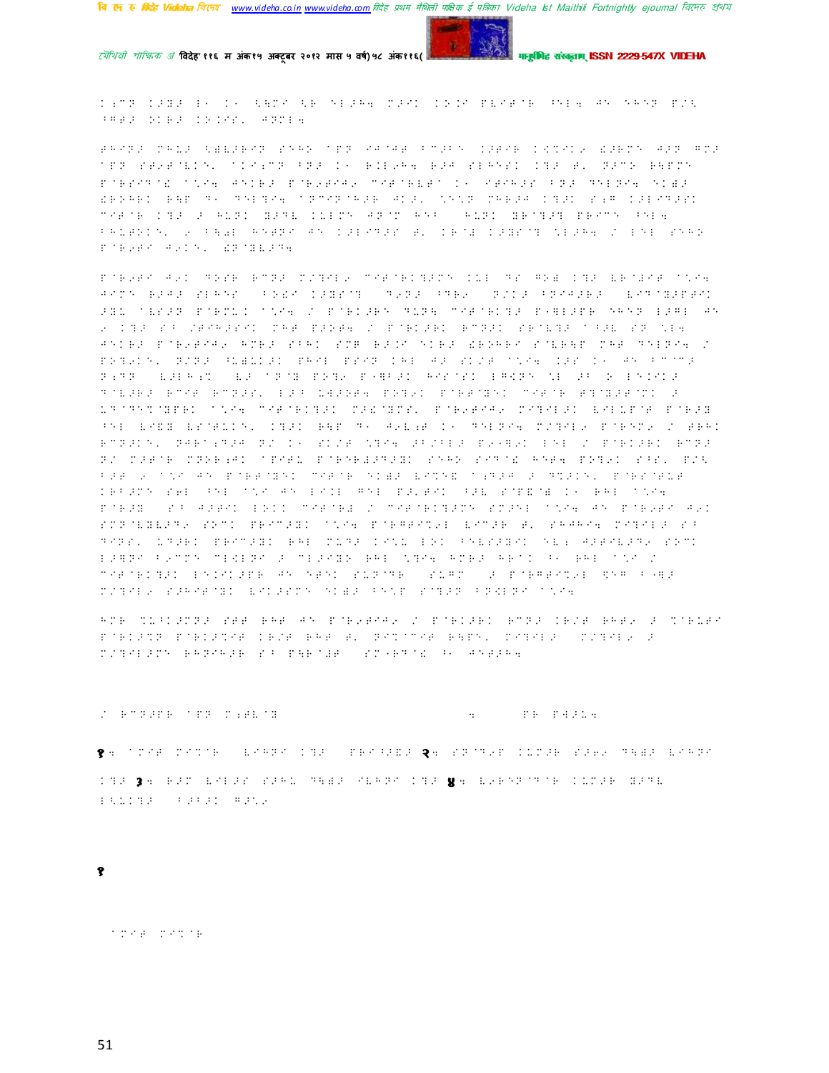

मानुमिह संस्कृतम् ISSN 2229-547X VIDEHA

THING ISES IN THE CAPACING AND MESSAGE IS TO CONSTRUCT THE CONTRACT OF A STRIP IS amas presidentes, apres-

RAPPER CALL SELFARE CAPAS CORA PRAIRING SIGNAL CONTROL CONTROL CORA TER PERRETED NU IT DE PETRU FRAUD I HU E DEVAIL EARL PER AND DO DRUINEU I RATINGERED N anderstand in the canded and present inserted to the server and the management 最重要重要的 "重要的。其实,其内部体验,不是内容的主要是有一种的法的。"为外的是一定重要法律,如果法则不能注重。如果是不是法的 meana (1920) a sebat dager tiltae sager sask (sabat dager tager tagers sager 未来也是如果不是一定的人和每日的人和各里的人的研究。如果的对方的人是是一个的新的的人的话都的对象。而且是我每个学习的的人的不是不 ESPARA PROVIDED MELTING

andeper est desembrad conecer meneceurs tiennes es ad ad es en entre RACON EXPLANED NO CONSERVATION ON SERVICE PROVIDING PRAESER CONTRADENT SED TERSPORTED IN THE CONTROL PROPERTY AND TRIPS IN A REPORT OF THE CONTROL OF A REPORT 2 CONSTRUCTION AND CONFIDENTIAL CONTINUES INTERFERING AND CONTINUES. ANDER STERRARMAR (ATER STAT) STE ER FRIM NORR STERREM STERRET TAR (TATEMAR) BOBSER DO DO BRITAN FEBREIRO DE PROPERTE EN 1980 EN 28 DE CONTRADO DE CAPA EN 1991 EN 1992 DESPOIS CALIFORNIA CONTACTORIZATION ARRESTS AND DESCRIPTION OF CONTRACTOR PETERBRE BOYA BORREL ER FILABRA ERSEEL ETBATAT OOP PARTBIJATEREN. process that educations in her cedar of the practacies in the energy constants of the parties of the 20 ARSE CEREBO ESTADORIO DE PICO ARECIMO CAVE SE CON IMPERIMA INVERSEDO E TRANSCO VICARADO emportas, pela tende con cos entre consecuente a museus entre a morte necesario empor DI TIAPIR TODERA INTERPRETENTRABILITANA EXPOSITORARE TERRITORI EN CERT A 29 YO ANN AN ENGELOPE TO THE TENNIS EXTREMINATION OF THIS AND THE TERM TER ADNOVER OF FREE CONFIRM CERTES (PIPE) BULGARY CORPORATION CONFIDENTIAL ONLY probabilities a agent to polo invented for invented back for and in the fanction research as STORIALBEARD SECTION PERMISBO CONTRACT PREPARDED ERMISE SECTIONARY ACTIVITIES SECT PRESIDENTE DEPROTES DEPENDANT POLITICAL PRESENTATO DE PRESENTATO SOCI EVERAL FUNDA (MEREDA) VI MEVADA (BAE) SORA (ADRU (ARCO) FACIRAE (CSA) V TRAFTED BAD CONSTRUCTED AND INFINITIONS TO CONTROL ON CONFIRMING CONFIDENTIAL portama o conseguido considerar e estado en ser a radio de ser eleva-

ATE TOILE ATAILE BERTHAR THAT BORRHAM IN BORGAILE ATAU 1979 - PARA THAT TOILEDH anded a dalla de da diziera da 29.000 e Rei de 20.000 done a la Reale di Condita a lo dicidente e lo all 的过去式和过去分词 医开发性开支医心的 打印的复数 医耳病 人名英格兰斯苏尔顿 人名德尔 医内膜支柱病

CONTRAPPORTED THE CE **SALES SERVICES** 

 $\bullet$  and the condition of a context of the context  $\bullet$  and the context of the context of the term

dias genes no letras sono mensiones estas dias geneses sono disponibile a conservation a service

 $\mathbf{r}$ 

**STAR TATIE**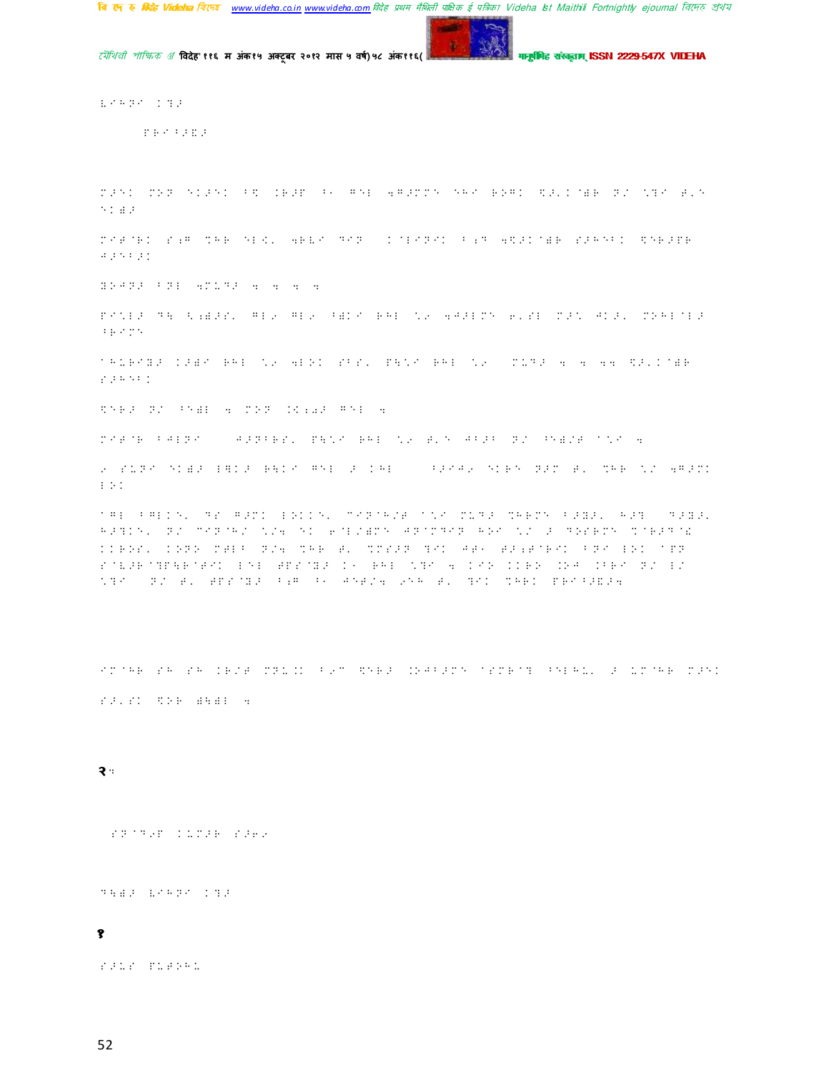मानुमिह संस्कृतम् ISSN 2229-547X VIDEHA

主义中共产 工作生产

**SPECTIFIES** 

TRANS TREAS AND AN INFORMATION CHANNEL ARRESTS ARE PRESSURING THE CAST NEW BUY **NO BOY** 

的名词复数 经工资管理 的复数医自动性贫血 网络电影的复数形式 计自动性系统 经工资管理 网络美国美国英语 计数据系统 经工资资格法律税 

00403 FDE 42073 4 H H H H

EVISED TRACK BEDEVIOURED CREDIT BEDIEVING AND BROEDNING BUSINESS AND CONSENTED 医单元前期

"不会会是这样说,你说自己,要是有一次说,但是否是一定有的。""要是你们,要是有一次说,一个的女孩,但是一般的母亲,我说,你还是 graduate.

RNES PACTENED ACTIVITIES AND PNECA

THE TELL FREDRICK CORDIDED LICENSON (BRECIS) SOCIAL NORROS DE CONTRACTOR CONTRACTO

2. 全面要求。为如果是一种用的是一种有的是一种为的一是一种用的。 (1) 特别的是一个如果为一类是的一种的一类特别的人。 在来说的  $\pm$  10  $\pm$ 

THE PERFORM THOMPS ASSOCIATED TO THE PERFORM THAT SUPPOSE THE PERFORM ARE THE PERFORM A 2015 LO DISCOMEDIA DO CERTA E LA MIGUEIRA ADICINEDA DA COLO DO CONSEDA COMPONIES IIBAN (1986) PHE SANA TREAS EN TRIAR BRIAN HAS BASEDED FRA BRIANCE a nase napae nekolisi vili epandes isikil ees. Start ile is novi sodele is beli soekil del niga s STROOM AS AN ARRIVED CREW PROPERTY SERVES AND TRICOMED CREW PARAE

ROTABLIZA ZE 1980. DEZE ODDO DO PATORABA (DAPPATA CEDBORO PARAD) LA COTABLIZAÇÃO ROURD ROB HABE A

 $\ddot{ }$   $\ddot{ }$ 

**SPECTAR CONTRACTOR** 

共有主義 エイトライト 1013

### $\mathbf{r}$

ROCK PLANN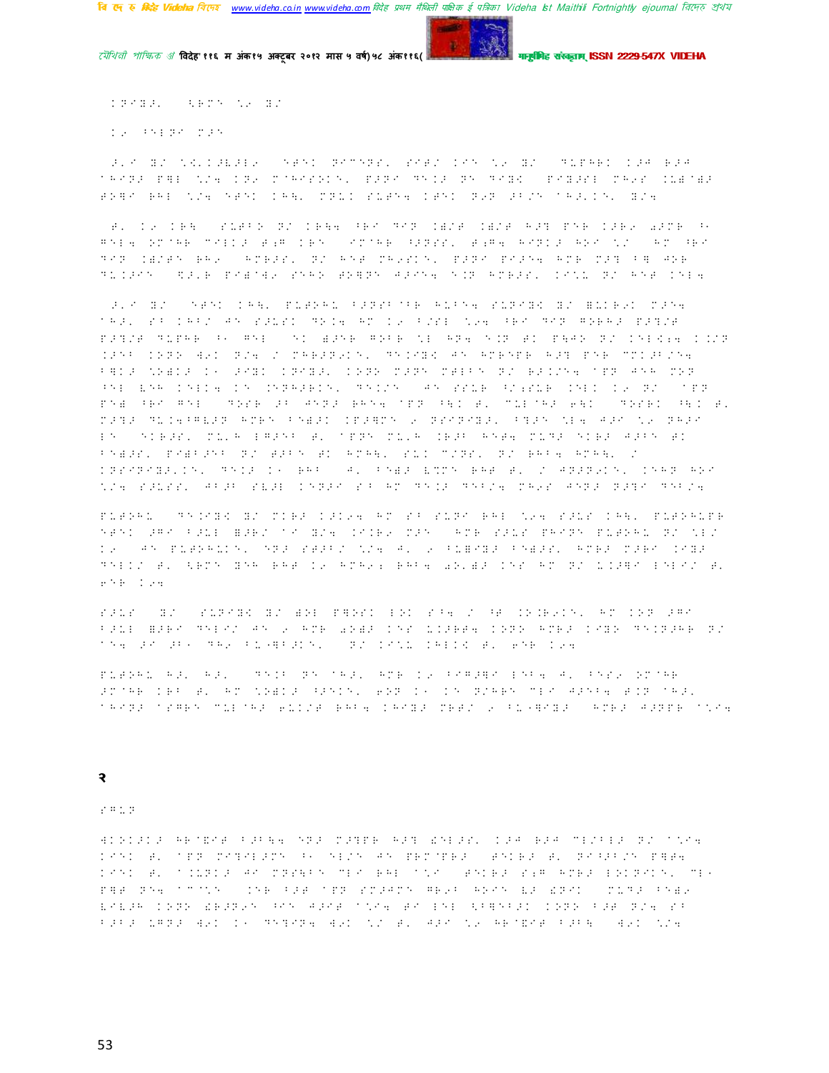

मानुमिह संस्कृतम् ISSN 2229-547X VIDEHA

CORPORATION ARCHIVATORY

**CONTRACTOR** 

SELVE BOOK COLLEGES TO NAND SPEED FOR DOCTORN TO SBOOK PERPEDICING BOAT TRAPA (PRE) NOVO 192 (PORAPDIA) (PAPA (PAIA) PA PA PADE (PRESE) PRAP (ILEGRA 是在其中,事件的人为了是一个是个的人的事情。但是是在一定会是在每个的是不如一定是是一定的过去式和过去分词的过去分词

"我们一定是一定事情。""我也是打起了我的。""我有情,只要这个孩子我们的最后去做的事,我是我们的是我的。我是要是一位这种是一种的 ROBA (PDIAR) TRED A BER DRO (PDIAR) RESPECT BER A ROBER ROBOT CONTRACTOR 其实是,这里是最为一重新是一个书里来说的,但是一种方便,是形容的是,但是是是有一些的法方面,并是是一定法律,不用一种方面 "其实过这样的。""我说,我们都不能不能是一定在我的。我的其实的,并这样的是一个过去,我的我这是否。""这样的是,我的一种的是一定的影响。

CALPO BOOK NANO CORRU EDANNO FABER TER (POENN PODPOBO) BOORNO DO CONSU TRAL SER IRRITRA SEALEI MAIS POLIS RIE LOR PRESS PROTHER PARRA DEPART BUSINE PORTER TELLIBRE CONSILERATE BOARD ON CAPACINIST BOARD SON SINE CHAINS SON TRAFILISHES HAI DEN LO TABABAYO LORONGA LAS BEBARB PARTIEN BOBLETTING FREED CONTECTIVE DOCTOR EDUCTIONS CONSTRUCTION OF PROPERTIES CONTROLS FAILENCE SILE IN THREEINS  $\sim 0.5\pm 0.5$   $\sim$ THAN PRIME STREETING TO THE RIVE **Control** ENE PROTENE TORNE DE SANDE BANK CED PAR EL TORNO PAR SANT CONSERVATORE TURES CALIBRASE POPA PRAISE ESSENCIAL DESENSIAL PRESSONA PUBLICADO CON EPAR EN 1970 BERT, TOLEN ERANT RI TORN TOLEN IRRE PRAN TO DRAFT NORR PRANNER. 未在自身的,但的对自身身体有一点的。虽是有什么理由,并的并在了一定会会。而这些的人一点的,虽在不在一点的东西,一边。 TING PILERI PALENTING ELI TINGGAL PALENT ANTI ANGLATING TANG PAGGALAGE AT A

BOBANO (1951/BBC) BO TIER (1915) AT RICRAMENT AND CORPORATION (1956) BOBANOER "在这个人,这些的人生这么多,但是我的人的的人,但是我们的的时候我们的是个人,并是我们的这么多,我也不是个人的心的是我们的的人,也是你 1980 - AN SEDARADIN, SNRA SARA I NIA AL SA SUBABA SABASI ADBA DABA 1988. 中华生活的一些公司,我要的学习,其中每个事件是一定公司,并的基因主义,要并参与一面公司,甚至一定在的一种的一种的一定的法律的一定在生产的一些。 全体的 (1994)

 $\label{eq:2} \begin{split} \mathcal{L}^2(\mathcal{F},\mathcal{L}^2(\mathcal{E}^2)) = \mathcal{L}^2(\mathcal{E}^2) \end{split}$ TER 1979 1981 - BIZ E BABEL BREAK DE BASEL AVEC AVEC DE BASEL AVEC DE SECONDA ARABIC DA REGIONAL DE BASEL A PA 未说过是一般是新的。其外的的是一种外,这一并是新了国家通过一定办公室,也是是新鲜新了的办法办公开的新建。它的基本,其外的是这种新了进行。 "我是一定的,这样的,其中是一种高的生物的人,一个男人,它的女儿,它并且它的一些,一般在新人的是是。

建立最多形态 "我说,一种说,一个男孩的男人要在一个男孩,一种的事,怎么一种对男孩用的一种不好吗?"我认为我的是,不会的不好事。 法实际中的 计事件 网络人名英格兰人姓氏麦克尔的变体地名 医鼓膜下皮炎 计交换 法人民政府 医二甲基苯 计数字符号 医皮肤 计中选定 

### $\mathbf{R}$

学中公共

建立英国法定法 医新式套术法 医法检梅毒 医外皮炎 的法性的新生活法性的最后的法律的 计算法 电法律分析主义系统 医乙二乙二乙烷基 1975) al componentante de los deles encompagniera de la presencia de la manda 1975) al colombia es desponar son el conteco antego alemente la podeco. and a series of the contract and a series of the contract of the contract of the series of the series of the s 电对电话中 "本身是我们最重要是我这个时候的。"他是对我们在内存的是一些的人生存在了"发生性的生活工作"的是我们生活是一些过程。这些 FOR A CARRA HEAD ON TRANSPORT BUD CONTROL PART OUT ARTISTS ARE ARRESTED FOR A CONSUMING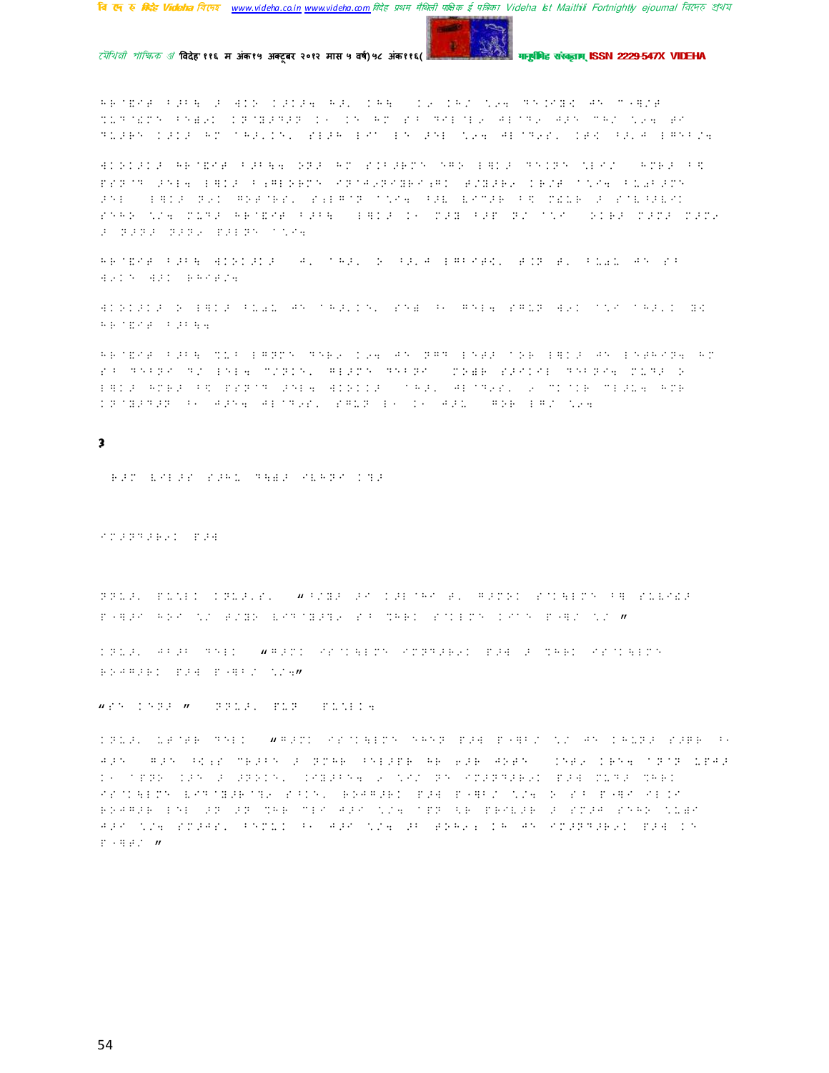ट्येंथिनी शांक्षिक अं विदेह' ११६ म अंक१५ अक्टूबर २०१२ मास ५ वर्ष) ५८ अंक११६(



मानुबंधिह संस्कृताम् ISSN 2229-547X VIDEHA

中新的最终的 机装卸车 人名日电影的过去式和过去分词 医耳蜗 人名英格兰人姓氏卡尔特的变体 医外侧性骨折 医外侧的 计单位的 mba renova objectivna radada stranico i doman velika i avera pri se nacionale v montrese i dostr REBARN COSTO PROTORDO INC. SERRA ERA CENTORNE NON CRESCAR DE CONSTITUIRE EN PRESENT

acococo e encara eleva obal de la ciencia de la ciencia de la ciencia de la ciencia de la ciencia de la cienci SER PORTUGALES CLEARED CALLER SER A CARDO AREA ERA CONSEGUEIXO DE 28 O DOMECADO A CORPORA TERIA PALTERA GELICIERA TATUNGA PALTERNA ERA DELEGA DE EREPERT  $\{1,2,3,4\}$  . specifica considerada especifica en el signo de los partidos con el porto de **SAMES TRIP TRIPS** 3 3333 3333 33135 5565

A BITERIA (PISA) A COLOR DE MINISTRADO DE PERSA PARTICIPADA DE SU ESTADO A PORTERA approaper awards

海上游走进的进行游戏 主要的过去式和过去分词 医外侧的 医克拉尔氏征 的复数主要的 机电子电子 的复数医阿尔斯氏征 计多数字符号 医阴道性 (中国の由の語) 中心共同 40

as no casa a comparte a ser a casa a casa da casa da casa a casa a casa da casa da casa da casa da casa an interpretational and condition areas to the condition of the present and the second ESENDO PERDO PROTECTA DO DE SENSIDO O CORDO PELO PROTOCO DO COR OS PERDEDERE 工具的自身性体制的 经公司进退货费 网络美国共享的人 的复数复印度 经公司公司 法法庭 人名英格兰 电电流分离器 经

 $\overline{\mathbf{3}}$ 

Secondary resolutions of the control of the

RTARRABAT (FAH)

SPORT POST CODERNS AND A PORT AN ORIGAN AND A SPACE OF CAPITAL ARE SOMETIME EN RESPONSE A COLORADO EN ARCITO DE SUS ARESTENTES DE SUS ANTERIOS DE VIENE A

CROSS AREA (PART) WRAPS AND RETAINMENTATION PORT OF THE CANDIDATION BOWERED FREE FREED NOW

 $\mathbf{w}(\mathcal{L}(\mathcal{H})) \leq \mathcal{L}(\mathcal{H}(\mathcal{H})) \mathbf{w} \qquad \qquad \mathcal{L}(\mathcal{H}(\mathcal{L}(\mathcal{H})) \leq \mathcal{L}(\mathcal{L}(\mathcal{H}))) \qquad \mathcal{L}(\mathcal{L}(\mathcal{H})) \leq \mathcal{L}(\mathcal{H}(\mathcal{H}))$ 

(1) 其如此, 《《五子经事》(1) 传统法人, 《黄原文》(1) 字字(1) 有主义为"《方中为其》(1) 法中心的法律规定(《九之》) 法外 《五中公文法》(1) 法未获事例(1) 经 A 2011 PAN TROLL TEACH OF BORE CREATED RECEASE AND CONFUCERS COPPOSITI 19 TERA 1945 A SAGARA TELEPAKE A TERATURA PERANGAN ERA DORA DERA POSTO A ESTA CARRA TODA ESTA COSTA DE ARABA EN ESTADO ESTADO DO SEU ENTRE EN EL POLITICO BORRAR INI AD DA CAR TRE TER RAN SON COR SE DERISA DE POSA PORP PORP. SON 将其他人的过程。曾曾是被的人一支在曾旨的一支行为被决的人的过程。这时,就会将这里的过去分词被保护的过去式和过去分词。曾是是一方向。  $\mathbb{P}^1\times\mathbb{Q}$  if  $\mathbb{P}^1\times\mathbb{P}^1$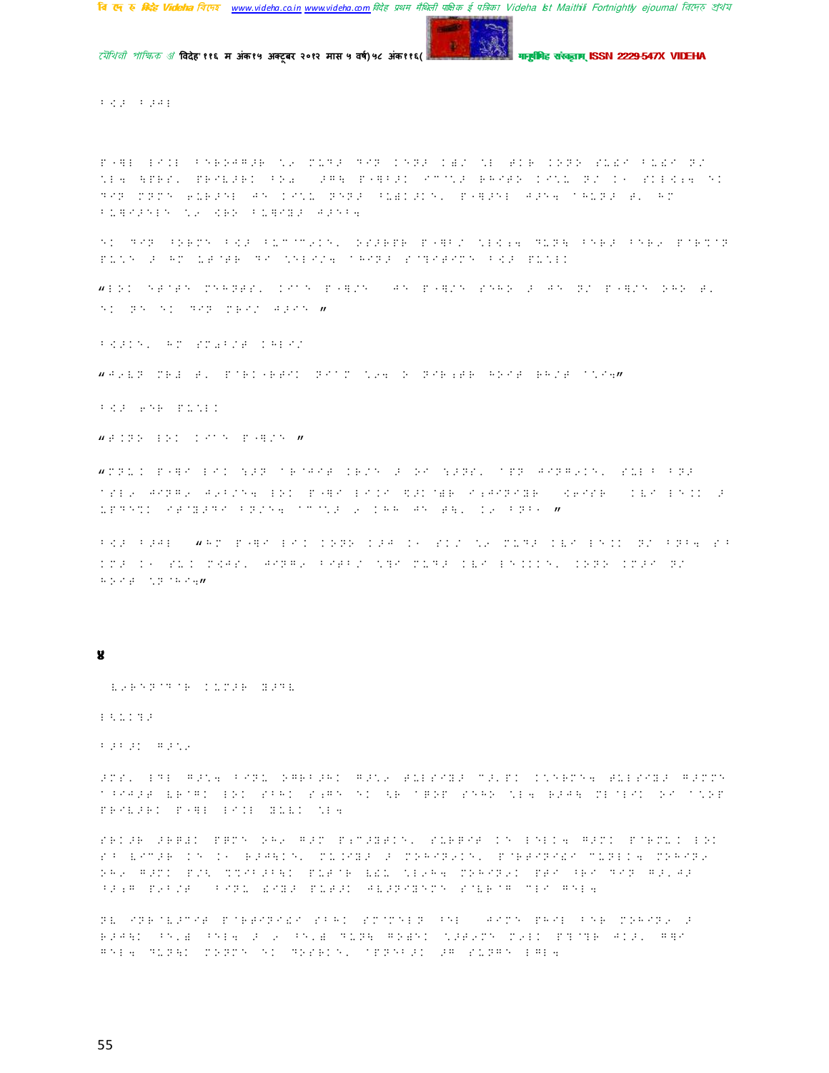

मानुमिह संस्कृतम् ISSN 2229-547X VIDEHA

ESPEL ESIE PROPORTIBUILLO DINA PRODUCTA DEL CEL BIBLIO DON SIGNO PIES DE SER REPAIL EPRESEI FOR LORRE ERRESI KONST. PRAPPO IANU DU IR AIERAR NI "这些是一定是是在一家的事是不到一家在一定学习的,是不是这一件的事的是如何的。""我来事是不到一家是不是一个多的是这一家的一条是" FIREWAY NON-RESOURCES SANCH

IND INVOLUTED THE THE RELEASED TO A DAY IN A STATE THE RELEASED ON THE RELEASED OF THE THOSE BOOK A PAT OLEMER MAY NAFALE MARRA BINARRON PAR BONES

最高级的人 医单位联系 的复数英国联合会 的复数形式 医中毒试验 人名英格兰斯 医甲基乙酸 的复数形式 医二甲基二甲基二甲基甲基二甲基甲基三甲基 Article Annual Constantinoperation and article and

FRANCH POSTAGE CREAT

WROED TESTED IN TELEPHONE OF THIS SOME DUDGE FEE POPPED FOR THE TEACH

**FRANCHSENTINEI** 

 $\mathbf{w} \in \{1,2,3, \ldots\} \cup \{1,2,3, \ldots\} \cup \{1,3,3, \ldots\} \cup \{1,3,4,2,5, \ldots\}$ 

WOBER ERRENTEND SABURGENERE DEZA AUGUSTARIEN SEBURGENENDUNG ERAB TVERS PROFILE REPORTED ESTATA EXTRA CONTRACTOR CONTROL CONVERS CONTRACTORS present construction during the control of the second service of the con-

a sa a agaaloo waan ahaan aan oo dagan daga coolad dharka dharka aan aan aan aan aan aan dina di sebagai neggar. Sendera senagan dian indiga di pasa dalah salah dina pada satu  $\mathcal{H}(\mathcal{G},\mathcal{F},\mathcal{G})=\mathcal{H}(\mathcal{G},\mathcal{F},\mathcal{F},\mathcal{G},\mathcal{G})$ 

#### ¥

**TED BASE OF THE COLORED BURGL** 

主要面白性病。

中学生 21 - 共享など

STRI 1991 PALA PROLINENTAL PALI PALA ROBA TAIR LI LINETA PER PER PALI TRAPARE ERTED EST VERRO VIENS SO CRESTESE VIRGINIER REPRESENTATIVO SYSTOSE regist reservations the

YACUR URARI YARDI DAGU RUZ BIZGARINI YORARI IN BIRTA RUZI BIRTO BU RIA ERTAB ILA ILA BARBIAL TOLIMOR RARANIAL I PREFERENCIA TOBBILA IPARARA 本书是一种说明了。我是我们可可以把这些事了。我也是不是一直是我们可能是书籍,它在书记是这个一种是不少特别的。其实是一种说,是这 法法定审计的法法定法 人名法罗斯 医尿道法 的复数联邦人 法最早期的复数形式 的复数医生产 的复数人共有的

de la componencia de la proprezión de la producción de la contra de la componencia de la política de BUARD PROBLEMENTS DE PROBLEMON PRESS CORPORATIONS PRIME PROCESSES #NEW MORE: TRRNTN NO MORECN, TERNER OVER TROPEN EREW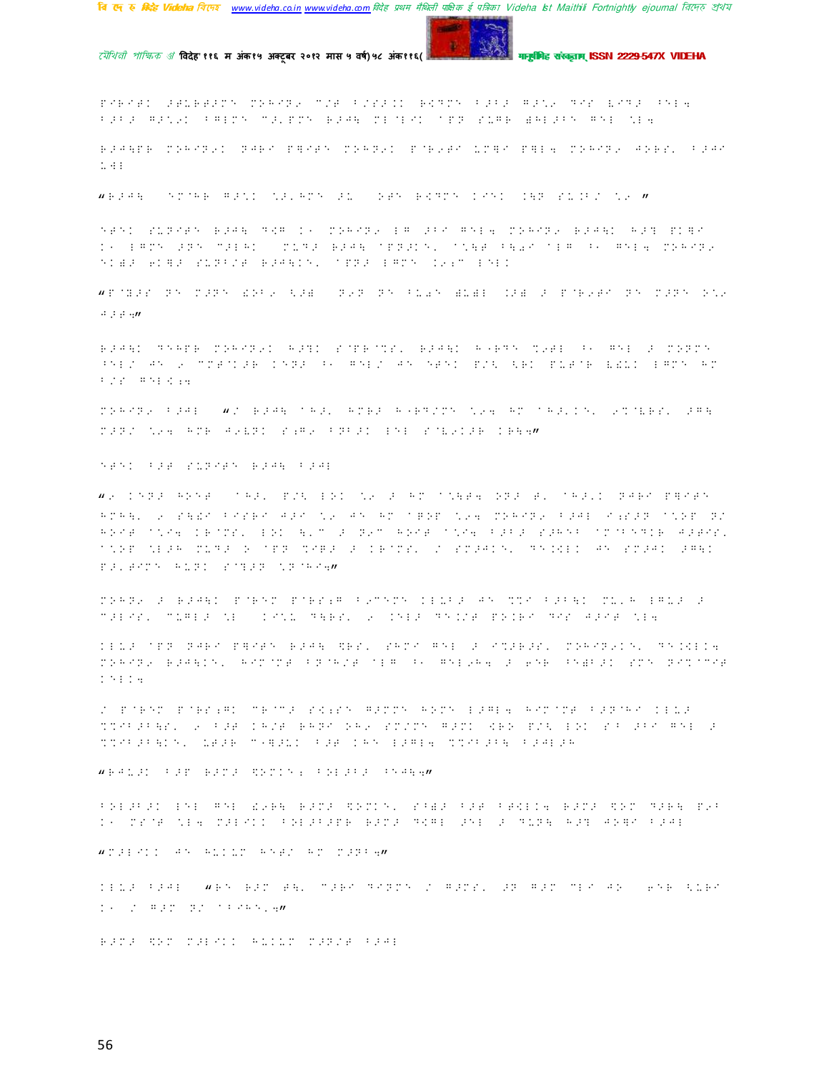

मानुबंधिह संस्कृतम् ISSN 2229-547X VIDEHA

EVERED DEDERFENTA INSARBUCTUR FOR DO BRANA FOR FORD ARCO ART ERAB FARE FOR 20 ROSSE FREES TO CEPS ACRES TEST OF THE RIGHT BALLERY RISE ON A

BOARBER TORRYSON, SABY ERYBN TORRSON, EIBOBY LOBY EREN TORRYSON ADBEL FORM 工具的

最重要联系 人名英尔科斯 医弗朗克氏征无法治疗 医前列腺 医血管下垂 医对甲状腺 计数据数据 计数据 医血管切除术 人名英巴斯

"在这个工作的工具的是在一起是被握的"其他用的工作"的工具的是是一个手中的是有的一种存在吗?工具在的工具是一些是被握工作的是其中的工具的。 1980年共开发的"这是我们的这里决定了。"苏公共说,由这些有一个要是这位成立了"人在是这个未在这些人不生活"。这样的是每一次是我的是这 NO BOS RESERVADO POR ERREDOS CONDO ESPORTO DE SED

wender an taan 2000 was hige aan an an indin eers daar an taan an digeenta  $\mathbb{H}^1 \oplus \mathbb{H}^1$  in

重要用有效。 医外阴前垂 人名英格兰英语 经一种调整的 网络白鹤鱼 的复数人名英法弗雷尔 人名法英格兰人姓氏英斯特尔住所名称来源于古英语含义是人名 SPRED CAR CO COMA MORE (1982) PROCESS ARE CORPORATED MONOGRAPHY BENDICT BROWN PD 未过的 用外的变形的

的复数的复数 医皮肤细胞 一般的 电电视电子 的复数人名英英格兰人姓氏基茨的变体 人名英格兰英姓氏克莱克 的复数人名英格兰人姓氏克莱克 TURN CORPORTE PRENCHE PROPERTY AND CONTROL CONTROL AND CONSTANT

 $\label{eq:2.1} \mathcal{N}(\mu, \mathcal{N}) = \mathcal{N}(\mu, \mu) = \mathcal{N}(\mu, \mathcal{N}(\mu, \mathcal{N})) = \mathcal{N}(\mu, \mu) = \mathcal{N}(\mu, \mu).$ 

藏是一定在其实,并在在第一个"不再说。""要是我们主办了。"九天一点,并是一个人在基础上的基础上做到了一个并说了了。其他事情,要用不是在。 A DARLE DE BREAT A ABRAT A AAT NOT AN TADE TORAR TODA DO ARABE TA ABRADA TODAR TODA ADVERNISCHE DEICHSCHEDD AUCH DER BEGRÜNDERE SICHE FORBURGENE IST FRAGEN AUBEREL TO SE O CERA O DISPRETO CONTEREIRO RESISTINGO DO CONTRADOS. O POLICIAL CARA CONFARCIORADO racerts and companing makes

TORPS SA PARABLE TREST TEST FAREWS CONTACT LEASE SERVICES AND TO TALLATERATIVE TABRAL TERBA (18) (1971) TAND PARAL DO INBA PAILER BOIRG PART PARA NEAR

工具工具 "生育是一些特别的一些用的技巧,我是被每一进制的。"这种艺术、用方法、这一项艺术表达的。 的复数的复数形式 人名英格兰姓氏 posano, apagon, santina ing mga ing mana isa magpayan ng analisang ng prostor na 17414

20 Britannic Britania Roccha (m.20 novembre - Recondo - Roccho - Elegador - Roccho - Recondo - Conseil 为了对于这种有的人一点,有这些人的中心是一些中世纪,如中心,就是这个个一些这次的人的事实。但是我们主要的人的生活,这种的一些存在。这 "我们对我这些事的感觉。""如果这事,你这里这么多,我这里,你有感觉自己的事情。""我们对我这些事,我这种的这种。

 $\mathbf{w} \oplus \mathbf{w} \oplus \mathbf{w} \oplus \mathbf{w} = \mathbf{w} \oplus \mathbf{w} \oplus \mathbf{w} \oplus \mathbf{w} \oplus \mathbf{w} \oplus \mathbf{w} \oplus \mathbf{w} \oplus \mathbf{w} \oplus \mathbf{w} \oplus \mathbf{w} \oplus \mathbf{w} \oplus \mathbf{w} \oplus \mathbf{w} \oplus \mathbf{w} \oplus \mathbf{w} \oplus \mathbf{w} \oplus \mathbf{w} \oplus \mathbf{w} \oplus \mathbf{w} \oplus \mathbf{w} \oplus \mathbf{w}$ 

A DE 25 21 (ENE) PAE (BUEN) EVIDE ROID NU (BABULAGE) A BREIGH (BUIDE ROID) APEN (BUE 19 TETA 1989 TABRITI PABAPADA BATA PERBITA PILA PUBA PART PART PART

WINDOWS COMPANY AND LINEAR AND ANY CONDUCTS

data (Paea) web each eau naec nobre an each an ear mach man eb web stel progression and the company

SERVICES VOLUMENTS CHAIRS TO VEHICLE CERTAIN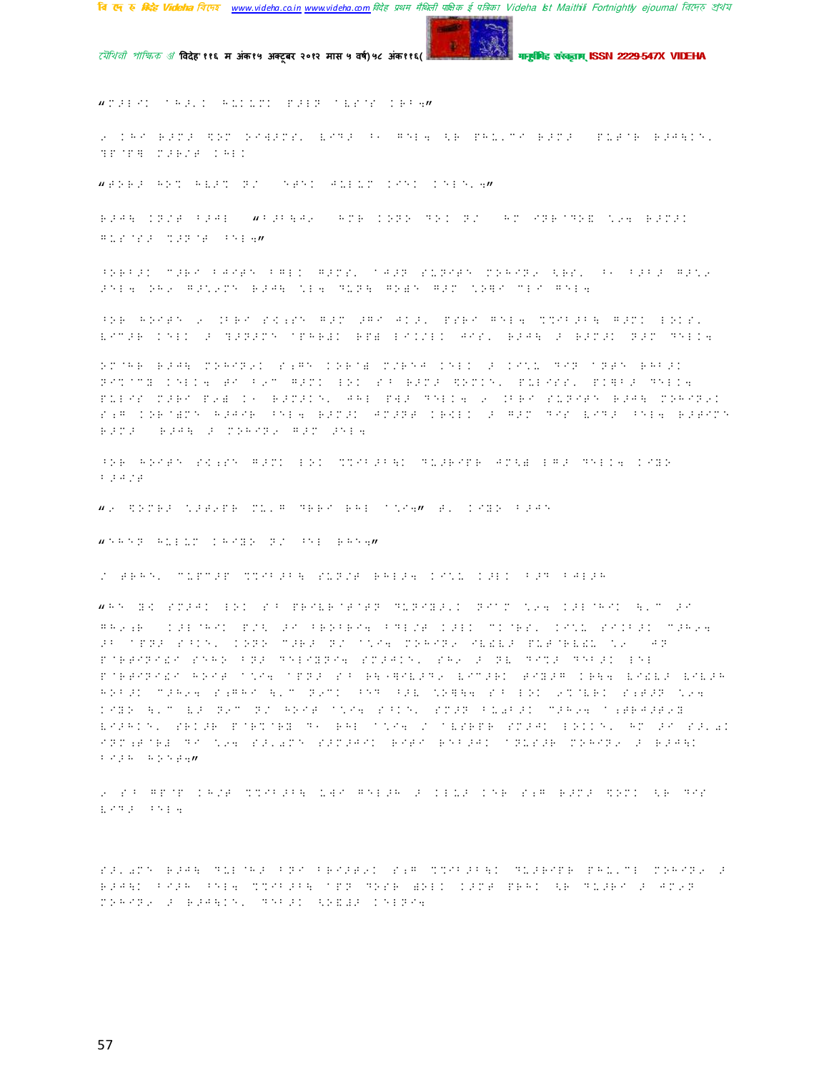मनुषमिह संस्कृतम् ISSN 2229-547X VIDEHA

WINDOWS TO REPORT A LOCATED TO PERFORM TO BE HWY

D. 1987. BUDU, KOD. DYBEDYL (EYRU) FY ROBE (ERILTY BUDU, (FIRERE BURGE) 自由の前用に立法手の前に立ちます。

webset about allegan but there is an included to the summer

·新闻研究 (1978) 未读研究 / 编列词机系研究 / 科学新 (1999) 795-1197 / 科学工作研究 PP新闻 1958 / 1966 新闻学习  $\left\langle \left(1\right),\left(1\right),\left(1\right),\left(2\right),\left(1\right),\left(2\right),\left(2\right),\left(3\right),\left(4\right),\left(5\right),\left(4\right),\left(6\right)\right\rangle \right\rangle$ 

"我在我来说,你是我的,我就是我的,我想要了,我是想是,你们就是我们的态度就是我们的在我的想法,我要是,你我们不是我的。"我是我说。 法内主管 医外交性神经炎病医病 医法神经 人名斯曼 医加拿大甲状腺炎 医眼镜 人名法格尔 人名英格兰人姓氏格尔特的变体

TREAT A BRAS COLLISATO VIVINARIO POST OPER CALO L'IMPARCIA PARA CIUDISTA CA POSSICIA DI BIVILI ERTAR INEI A NEARACH TERREI REE ERICEI RAEL PRAN A RACA DALACH AAC NACH

DOMER PRAFE CREATES CONTROL DEMONSTRATION CONTROL AND MATCHES ARE AT AC SPOTTS INFORMERY FROM PACIFICATION PROVIDENT POSSESS. PORTAL PROPERTY ROBRAY DARA RUBUCH (RADACA) HAE REBURAE DE UN DERA VOORAF REAR PORTU RIAR (1987) A SARA E PERA CERTAI CATARA (1981) DE CELTA PATCORPO E PRACCEPTA BUTU - BURBI U TORRIDU PUT UNEB

TENE PROVERT SOLEN PRODUCED CONFECERD PODENTE PRODE ERA PRESENT CON 失去开放的

威胁 网络艾斯达尔克达斯达斯斯 的复数单一的复数形式 医中耳氏综合征检尿病 医上下的 的复数人名法特尔

when you and he concept of the second was a second with the second second second second second second second second second second second second second second second second second second second second second second second s

2012年新年在2012年12月12日,10月12日12月4日,全国共同第一新年新年中国了全国公司、10月3日,中国共同大学生中国

WANTER START END OF FIRENE TRIPS SUPPORT STATE TO A CORPORATION TO REAGE (1983) PACE BOX 38 PERFECT PEDECIPED TO PEC CONSIDERED TO PARA de l'ardo alebra. Espos moro da la partidenza l'hialio ristrane del pall  $\sim 4.3\%$ ESPERADA EM ENTRES EN DESTACEDARES ESTARINOS ERRESTAS DE SANTA SATUROS EN EXE 的过去分词使对某人一种变化的 人名英格兰人姓氏沃尔 的第三人称形式 医假皮肤病 人名英格兰姓氏 的复数医克里尔氏病毒病 化氧化氢医戊二氧化氢医尿 A 23 21 Cheave Chamad Alm (Buni Cara Caeb, 124 Ann and Caeb, 2010) and the Conservation 1988 - Bumi Editorym (Pro Persentate and Nova Properties and There in Beredera 由来说中的意义。学生的是中国的人生的作用是一件人,中央的一个人来年,这一个由学生的中国的的是中的一部分的作为,一块的一层片,学说,这个 不要的话题的事情。其他人的认真,是是让国的人们的是的是被对付,事就是对人事的关键或是一个要求的是我们的是我们是人们是人事是被有的  $\mathbb{E}\left[\left\{x_{i}\right\};\mathbb{E}\left[\left\{z_{i}\right\};\mathbb{E}\left[\left\{z_{i}\right\};\mathbb{E}\left[\left\{z_{i}\right\};\mathbb{E}\left[\left\{z_{i}\right\}\right)\right]\right\}\right]$ 

S SEA PERMISENTA CONTRAPA CARO PAESA SOCIEDA CONPORTA PARA RODO APORTO 由来世界 人名英斯特尔

STALLBON (BLAKE) POETRA (FIRM) FERDAVO (STER (OCTRAFED) POLABROB (BROUTE) OCHRADA (A BURBAL PROPERTIES COORFURES TED PERSONS BEEN INFORMED AN IPAURER UP POUR TERMIN DE BORBIN, CANEDI ADELES INFORMA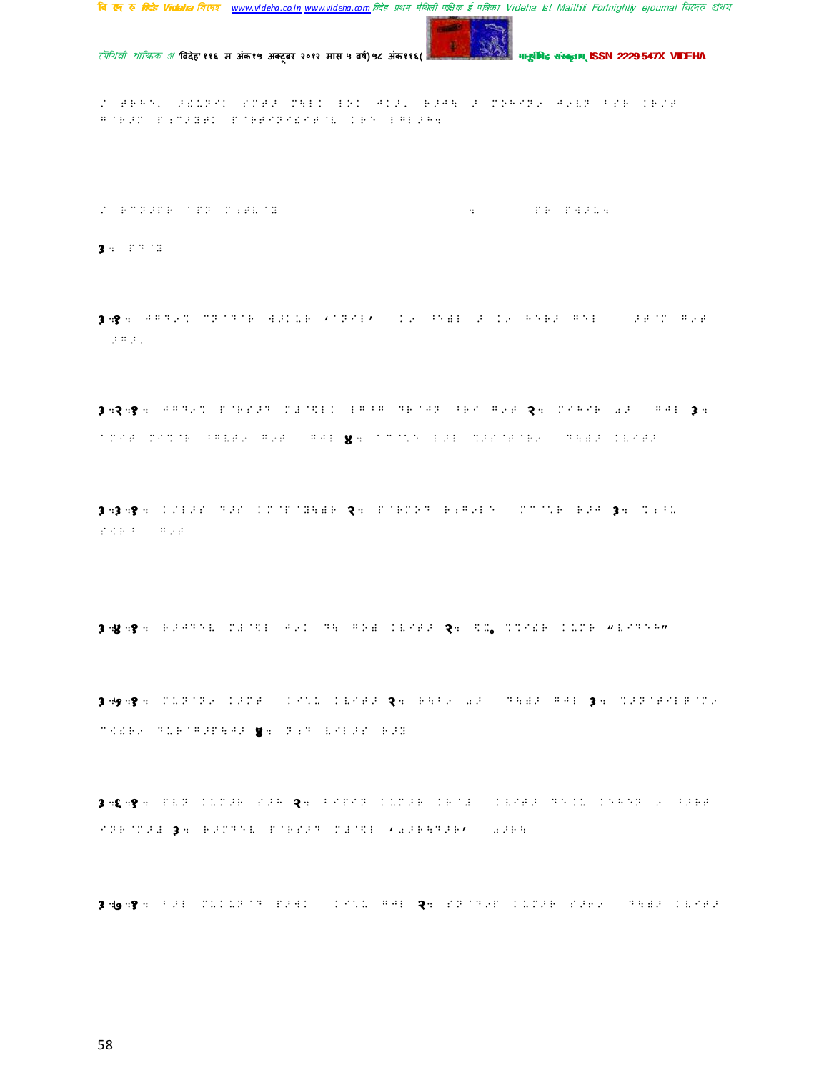मानुमिह संस्कृतम् ISSN 2229-547X VIDEHA

Z BERNI SADIRKI BORA OREI BIL RIAL RARA A OREKAN RAIN RADA IBE IRA RINGER PATERNS PINGERS ARRENT DES PRESSE

CONFIDENTIAL CONTINUES. **STEPHERING Contractor** 

 $3 + 3 + 3 + 3$ 

● 優先 中央共生の アクス生物学 自身に立ち、その女性おいている。 特徴的には、これには、中国の女性の生活を、この女性の一体の病 - 美井 美山

and the second control of the second control of the second control of the control of the control of the control of the control of the control of the control of the control of the control of the control of the control of th TO A RICO A CARREL CREATING RESIDENTATION CREATING AND CONTRACTOR ARE

3 43 42 4 10 23 24 10 24 10 21 22 23 45 24 15 25 26 27 38 49 50 10 27 28 39 40 40 40 40 40 学校的第三人称单数

3 Mars Person Carel (1994) 2001 12: 2002 12: 2003 2004 12: 2004 12: 2009 12: 2009

3 dy cy o consistencia se inclui de la casa que e asercia a conseguir se a que costra estence medes more responses gallery and serves as

and research to the search and the company of the control of the control of the search of the search KORPODAS SA PRADANE PORTADA DE SER VERRENARA (LEGRE)

SHARR REPORT TO CONTRACT CONTROL PRESENTATION CONTRACT TRANSPORTATION CONTROL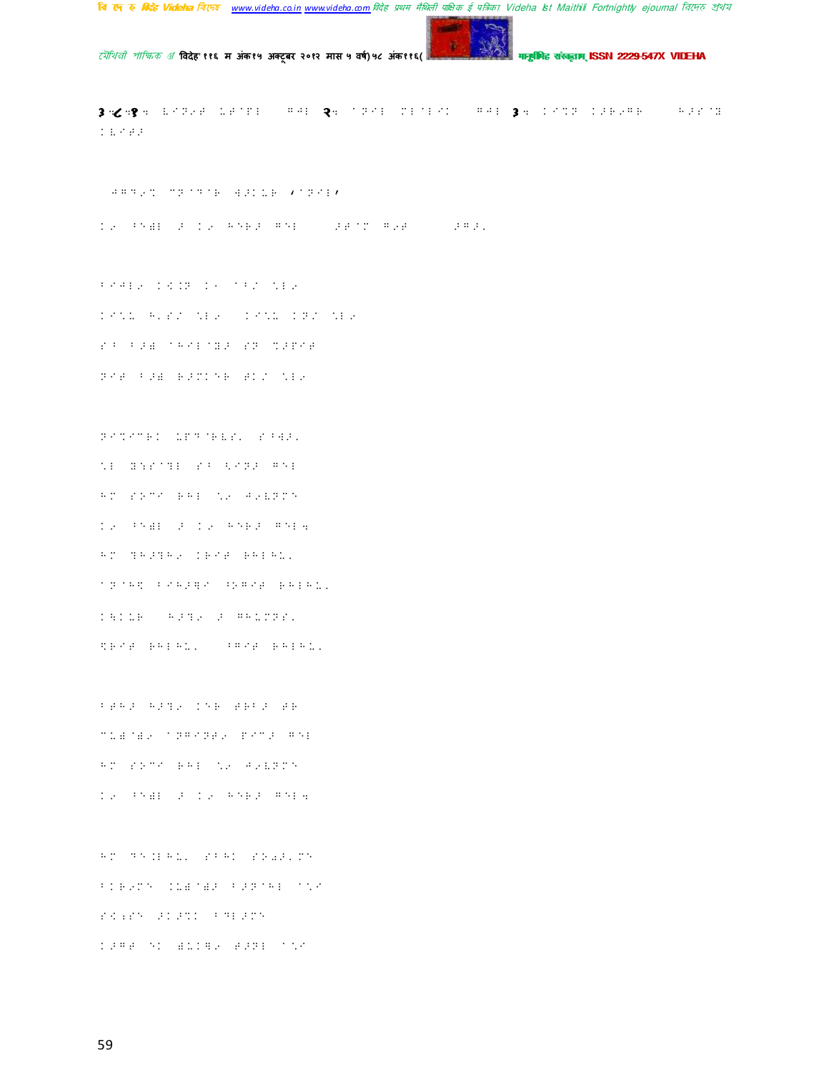ट्येरिनी शांक्रिक अं विदेह' ११६ म अंक१५ अक्टूबर २०१२ मास ५ वर्ष) ५८ अंक११६(

मानूबंगिह संस्कृताम् ISSN 2229-547X VIDEHA

SAZARA EKSAR DRIEL PRE RA TSKE DENEN PRE SA TKOS TREARMENT 一种生产力的 土地产联邦

CARRIE MESSING ARCHIVENCE TO PART OF TO ANALOG AND COUNTRY AND COUNTY.

speak reductions to the distributed and the second state of publication and dealership may applicate a diese studente para version ab 2010 bei

dements there is a constant All days the systems of the AT SERVICE BASIC NATIONAL PROPERTY TO PART 2 TO ANNO BARBA Architectural care and and specific companies and paradicts TAINER PRINTS ROBERTED developments (seemed) paradic

 $\mathcal{A}^{\mathcal{A}}(\mathcal{B},\mathcal{B},\mathcal{B})=\mathcal{B}^{\mathcal{A}}(\mathcal{B},\mathcal{B})=\mathcal{A}^{\mathcal{A}}(\mathcal{B},\mathcal{B})=\mathcal{B}^{\mathcal{A}}(\mathcal{B},\mathcal{B})=\mathcal{B}^{\mathcal{A}}(\mathcal{B}).$ mianas negroepas encos eng Architectvic BAB (152) August 7 TO PART FOR ANEXANE REPORT

A DURANTEA DE CRAAT CRAGA LON Freury (researchgroup) the and a short policies are provi-TURNER NO. BOIRD REPRESENCE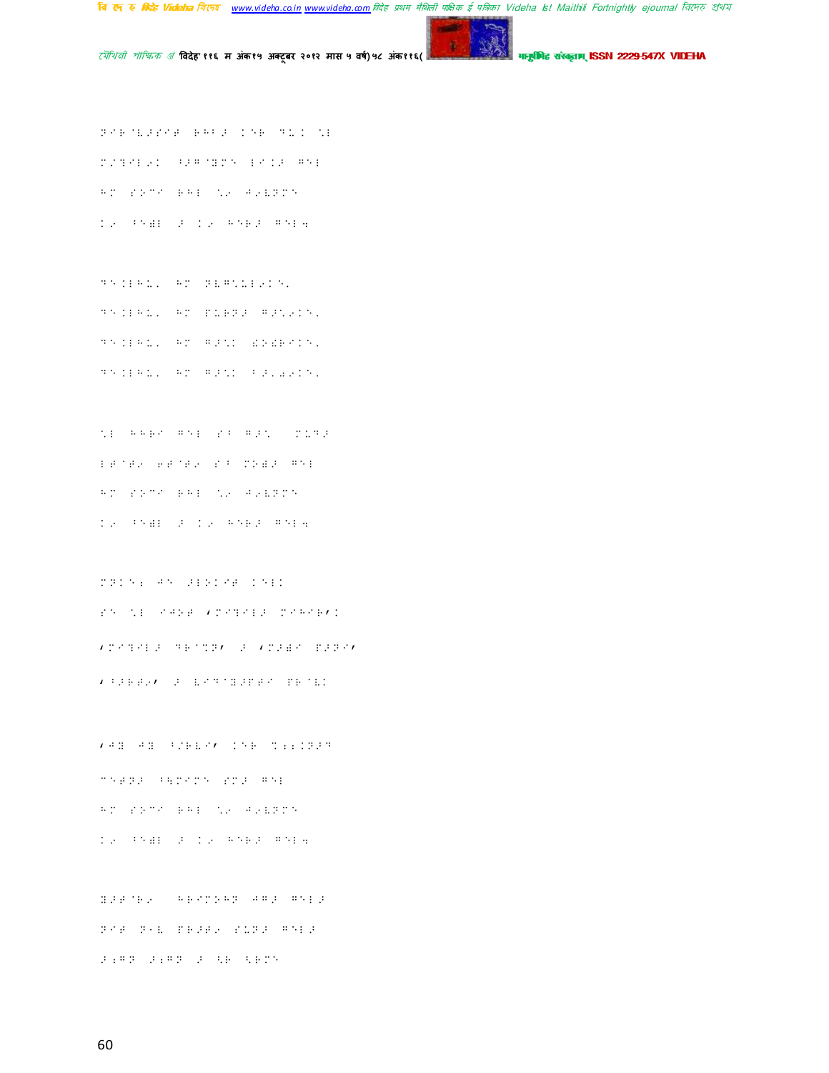मानुमिह संस्कृतम् ISSN 2229-547X VIDEHA

SAR NESPARA BAR SALINE AND CONF TITRES CONFIDENCE/CONFIDE Architectvin BAB (2001) August 2 TO SPAIN POINT REPORTED

 $\mathcal{R}(\mathcal{N}) \subseteq \mathbb{E}(\mathcal{R}(\mathcal{N}_1)) \subseteq \mathcal{R}(\mathcal{N}_1) \subseteq \mathcal{R}(\mathcal{R}, \mathcal{R}(\mathcal{N}_2), \mathcal{R}(\mathcal{N}_3))$ SAMBANI AM PERBAG PANGINI SAIDENCE PT PANT ENGRATS.  $\mathcal{R}(\mathcal{N}) \leq \mathbb{E}(\mathcal{R}(\mathcal{N}_\mathcal{N})) = \mathbb{E}(\mathcal{R}(\mathcal{N}_\mathcal{N}(\mathcal{N}_\mathcal{N}))) = \mathbb{E}(\mathcal{R}_\mathcal{N}, \mathcal{R}_\mathcal{N}, \mathcal{R}_\mathcal{N}) \leq \mathbb{E}(\mathcal{N}_\mathcal{N})$ 

ti kaan esi ri eliti ring Eastern Baner (2001) press (853) An above associate aparts. TO PART POSS AND PAPER

marks an assembly from RACINE CAPPE VICTORIA CICARABVI VIRGER SECTION OF VIRGER EXPRES VISBADO DE ESPIDERAS PRIMEI

VAN AN STEERV TOE TEEDRAT measurements and wea-Architectvic BAB (152) August 20 TO SAME OF TO ANALYSIA

disamal compromised and more  $\left\langle \mathcal{B}(\mathcal{A}(\mathcal{B}))\right\rangle \left\langle \mathcal{B}(\mathcal{A}(\mathcal{B})),\mathcal{B}(\mathcal{B}(\mathcal{B})))\right\rangle =\left\langle \mathcal{B}(\mathcal{A}(\mathcal{B})),\mathcal{B}(\mathcal{A}(\mathcal{B})))\right\rangle$  $\left( 2\right) \left( 1 \right) \left( 2 \right) \left( 1 \right) \left( 2 \right) \left( 1 \right) \left( 2 \right) \left( 1 \right) \left( 3 \right) \left( 1 \right) \left( 2 \right) \left( 2 \right) \left( 3 \right) \left( 2 \right) \left( 3 \right) \left( 4 \right) \left( 4 \right) \left( 4 \right) \left( 4 \right) \left( 4 \right) \left( 4 \right) \left( 4 \right) \left( 4 \right) \left( 4 \right) \left( 4 \right) \left( 4 \right) \left( 4 \right) \left($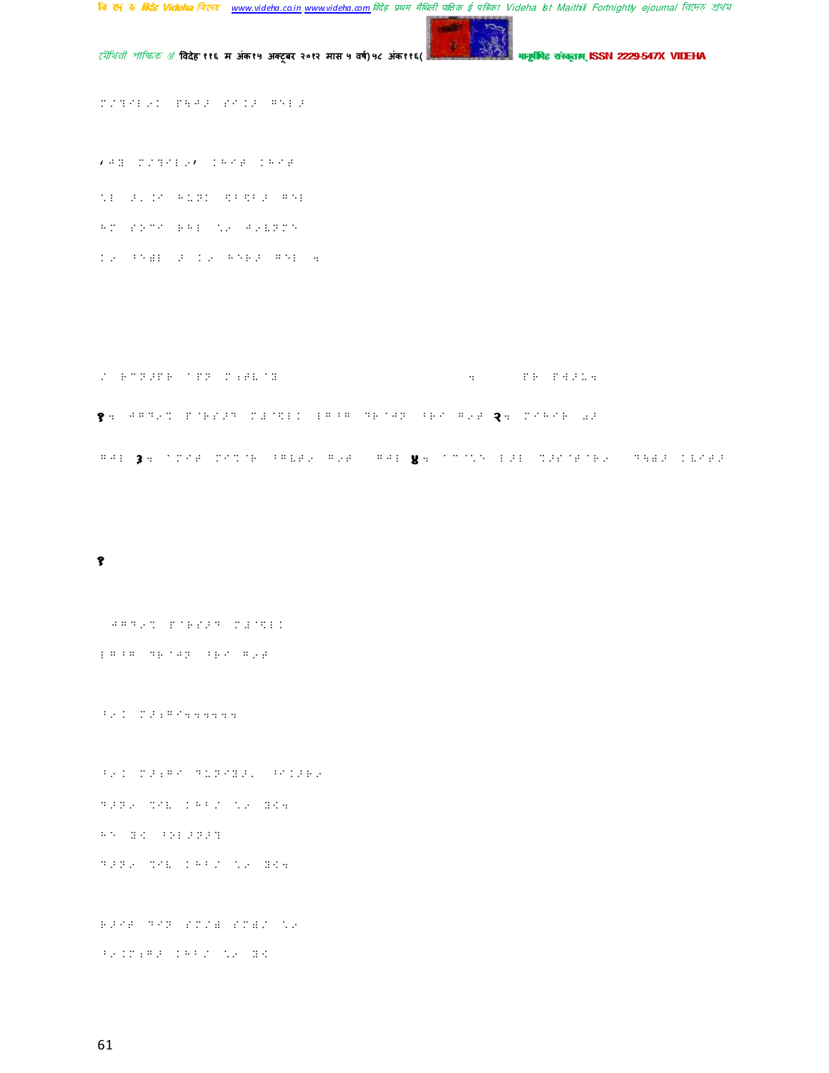*त्रीशिती পাफ़िक अ*विदेह'११६ म अंक१५ अक्टूबर २०१२ मास ५ वर्ष)५८ अंक११६( सालामह संस्कृतिक संस्कृतम् ISSN 2229-547X VIDEHA

#⣙2⢴!'⣓⢺⢼!"⣈⢼!⢻2⢼!!

'⢺⣝!#⣙2⢴'!⢳⢾.⢳⢾!

⣁2!⢼C⣈!⢳⣅⢽!⣋⣋⢼!⢻2-!

⢳!"⢵/!⢷⢳2!⣁⢴!⢺⢴⣇⢽!

⢴!⢸⣞2!⢼!⢴!⢳⢷⢼!⢻2!⣒!

#!⢷/⢽⢼'⢷!'⢽!⣐⢾⣇⣝!hhbkfoesbAwjefib⣒dpn!'⢷!'⣚⢼⣅⣒!!

१⣒!⢺⢻⢹⢴⣉!'⢷"⢼⢹!⣜⣋2!2⢻⢸⢻!⢹⢷⢺⢽!⢸⢷!⢻⢴⢾!२⣒!⢳⢷!⣔⢼!

⢻⢺2!३⣒!⢾!⣉⢷.⢸⢻⣇⢾⢴!⢻⢴⢾0!⢻⢺2!४⣒!/⣁!2⢼2!⣉⢼"⢾⢷⢴.!⢹⣓⣞⢼!⣇⢾⢼!

१

!⢺⢻⢹⢴⣉!'⢷"⢼⢹!⣜⣋2! 2⢻⢸⢻!⢹⢷⢺⢽!⢸⢷!⢻⢴⢾!!

⢸⢴⣈!⢼⣐⢻⣒⣒⣒⣒⣒⣒!

⢸⢴⣈!⢼⣐⢻!⢹⣅⢽⣝⢼C!⢸⣈⢼⢷⢴! ⢹⢼⢽⢴!⣉⣇!⢳#!⣁⢴!⣝⣊⣒! ⢳!⣝⣊!⢸⢵2⢼⢽⢼⣙!! ⢹⢼⢽⢴!⣉⣇!⢳#!⣁⢴!⣝⣊⣒!

⢷⢼⢾.⢹⢽!"#⣞."⣞#!⣁⢴! ⢸⢴⣈⣐⢻⢼!⢳#!⣁⢴!⣝⣊!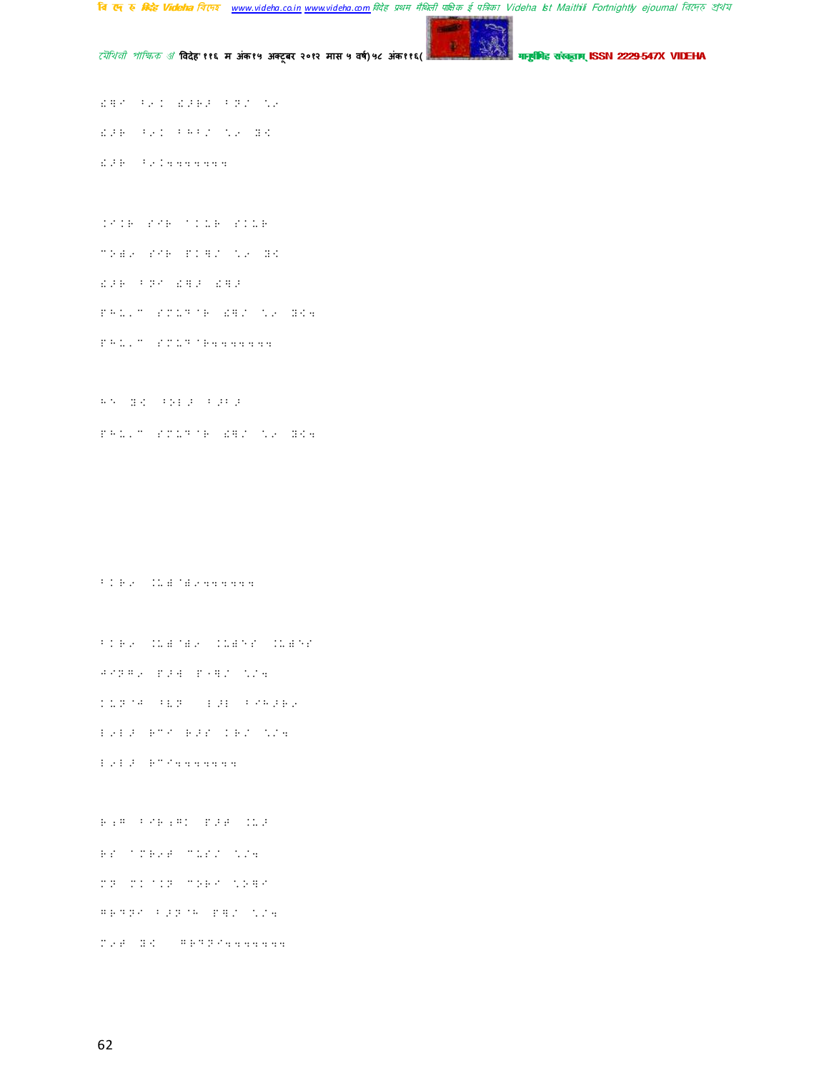ट्येथिती शांक्षिक श्री विदेह' ११६ म अंक१५ अक्टूबर २०१२ मास ५ वर्ष) ५८ अंक११६(

मानुभिंह संस्कृतम् ISSN 2229-547X VIDEHA

REPORT REPORT FOR THE 金波長 きょうしちゅうかいがい 田原

ESP (Colemenane)

SPORTAGE TO DRIVED BY

model are strain to de-

留意的 大卫的 留用法 留用法令

relign room te reports data

TALL " TELP TESSESSED

 $\mathbf{u}(\mathbf{v}) = \mathbf{g}(\mathbf{v}) = \mathbf{f}(\mathbf{y}) \mathbf{g}(\mathbf{v}) = \mathbf{f}(\mathbf{y}) \mathbf{g}(\mathbf{v})$ 

TALL TO PILTIP OF SPECIAL SCHOOL

FIRE CONTRACTOR

ades diamas diama diama  $\left\langle \left( d_{1}^{2} \left( \mathcal{F}_{1}^{2} \right) \right) \left( d_{2}^{2} \left( \mathcal{F}_{2}^{2} \right) \right) \left( d_{1}^{2} \left( \mathcal{F}_{1}^{2} \right) \right) \left( d_{2}^{2} \left( \mathcal{F}_{2}^{2} \right) \right) \left( d_{1}^{2} \left( \mathcal{F}_{2}^{2} \right) \right) \left( d_{2}^{2} \left( \mathcal{F}_{2}^{2} \right) \right) \left( d_{2}^{2} \left( \mathcal{F}_{2}^{2} \right) \right) \left( d_{2$ TERM PERSONAL PROPERTY a value and a partically total

district for canadana.

alam tealam and a sind and there increased calculation where these **BERDALISEN FRANCH** TORIC BROOK REPORTED HER BE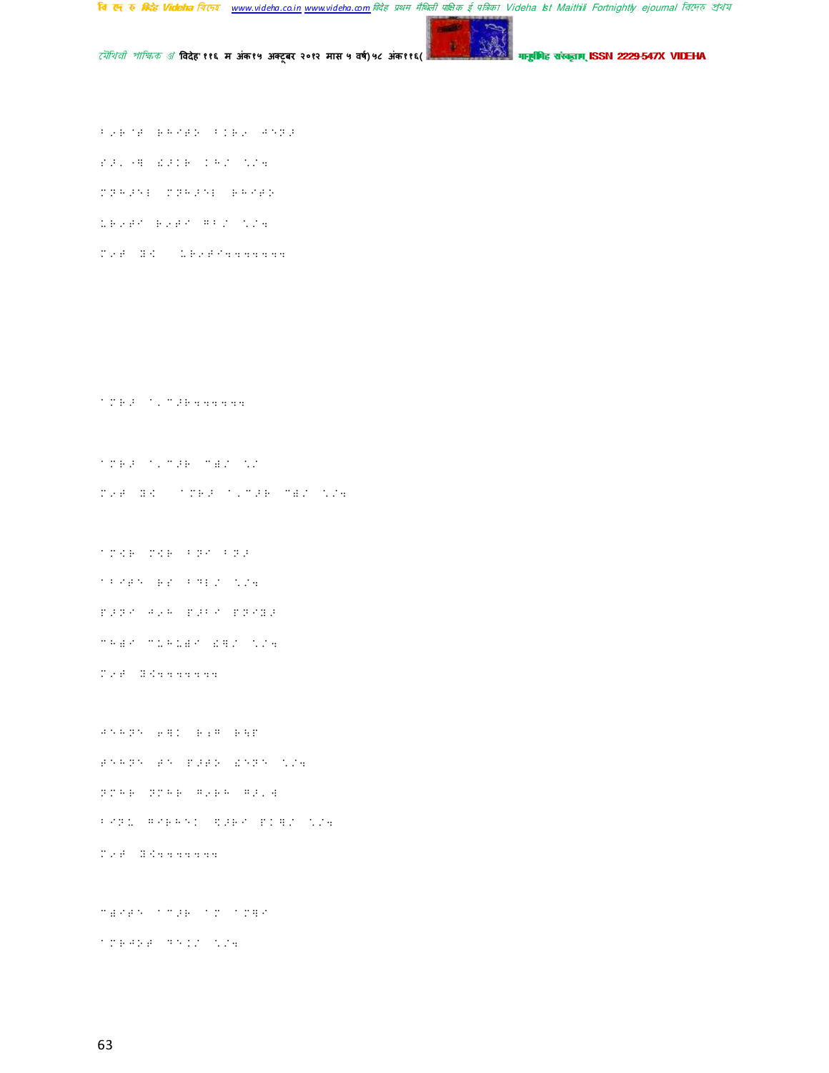ट्येथिती शांक्षिक श्री विदेह' ११६ म अंक१५ अक्टूबर २०१२ मास ५ वर्ष) ५८ अंक११६(

मानुभिंह संस्कृतम् ISSN 2229-547X VIDEHA

 $\left(1-\mu\left(\frac{1}{2}\right)\left(\frac{1}{2}\right)-\frac{1}{2}\left(\frac{1}{2}\right)\left(\frac{1}{2}\right)\left(\frac{1}{2}\right)-\left(1-\frac{1}{2}\right)\left(\frac{1}{2}\right)-\left(\frac{1}{2}\right)\left(\frac{1}{2}\right)\left(\frac{1}{2}\right)\left(\frac{1}{2}\right)$ RESPONSES TRANSPORT TERRA TERRA PRAYER  $\mathbb{E}[\Phi(x|\theta)^2] = \Phi(x|\theta)^2 = \Phi(\Phi(x)-\nabla x^2) \phi^2.$ 

Teachers' Characteristics

 $\mathcal{N}(\Gamma\oplus\mathcal{F})=\mathcal{N}(\Gamma\cap\mathcal{F})$  is a discussion of

more all more images with

cual die in casa in una sinabilitze.

TORE ORE FOR FOR male and a series and states. TORY AND THRU TRATE mean inceder associates  $\Gamma$  is  $\delta=0.3$  and a distance of

assers were part ber BARDA BA PIBBA BARA NINE dias dias algorithm FRED PREPAIR SERVICES AND  $T \geq 2^{\circ}$  . If  $d \in \mathcal{A}$  are  $d \in \mathcal{A}$  ,

makes in the committee. TERRETTSIONIA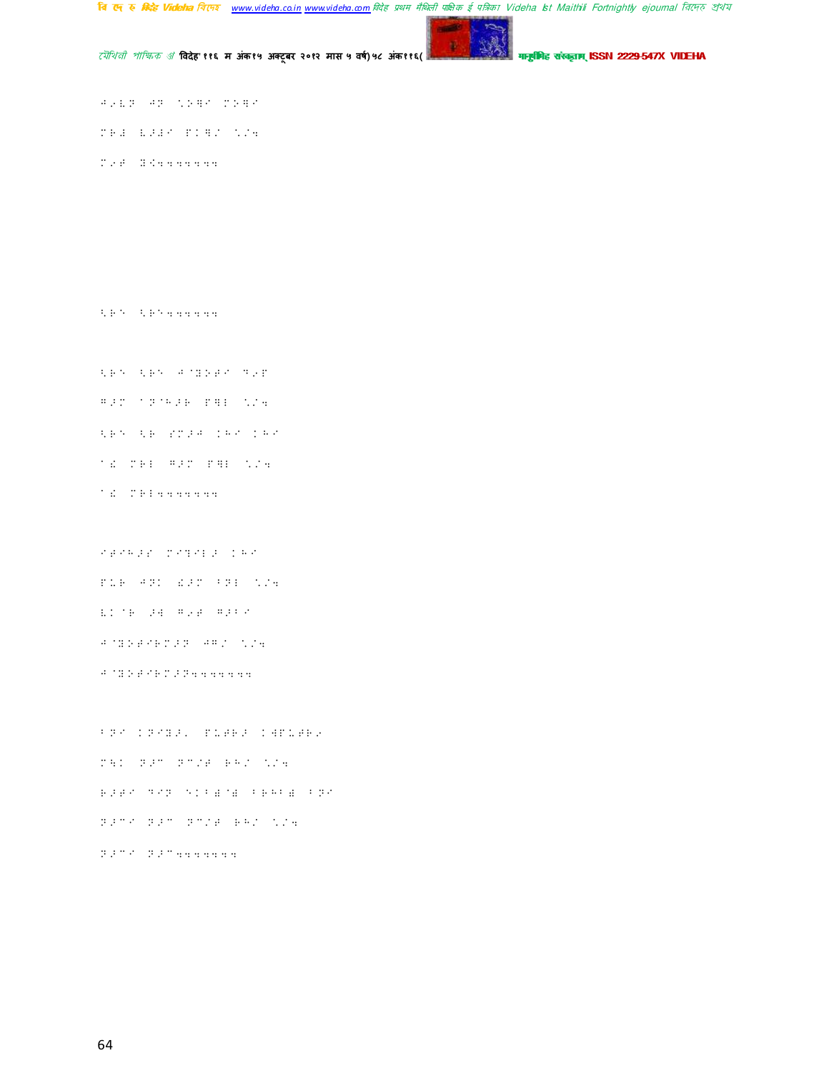*त्रीशिती পাफ़िक अ*विदेह'११६ म अंक१५ अक्टूबर २०१२ मास ५ वर्ष)५८ अंक११६( सालामह संस्कृतिक संस्कृतम् ISSN 2229-547X VIDEHA

⢺⢴⣇⢽!⢺⢽!⣁⢵⣛.⢵⣛!

⢷⣜!⣇⢼⣜!'⣛#!⣁#⣒!

⢴⢾!⣝⣊⣒⣒⣒⣒⣒⣒⣒!

⣃⢷.⣃⢷⣒⣒⣒⣒⣒⣒!

⣃⢷.⣃⢷!⢺⣝⢵⢾!⢹⢴'! ⢻⢼!⢽⢳⢼⢷!'⣛2!⣁#⣒! ⣃⢷.⣃⢷!"⢼⢺!⢳.⢳! ⣎.⢷2!⢻⢼!'⣛2!⣁#⣒! ⣎.⢷2⣒⣒⣒⣒⣒⣒⣒!

 $\mathcal{L}$  is a set of  $\mathcal{L}$  . The set of the set of the set of the set '⣅⢷!⢺⢽!⣎⢼!⢽2!⣁#⣒! ⣇⢷!⢼⣚!⢻⢴⢾!⢻⢼! ⢺⣝⢵⢾⢷⢼⢽!⢺⢻#!⣁#⣒! ⢺⣝⢵⢾⢷⢼⢽⣒⣒⣒⣒⣒⣒⣒!

⢽!⢽⣝⢼C.'⣅⢾⢷⢼!⣚'⣅⢾⢷⢴! ⣓!⢽⢼/!⢽/#⢾!⢷⢳#!⣁#⣒! ⢷⢼⢾.⢹⢽!⣞⣞!⢷⢳⣞!⢽! ⢽⢼/!⢽⢼/!⢽/#⢾!⢷⢳#!⣁#⣒! ⢽⢼/!⢽⢼/⣒⣒⣒⣒⣒⣒⣒!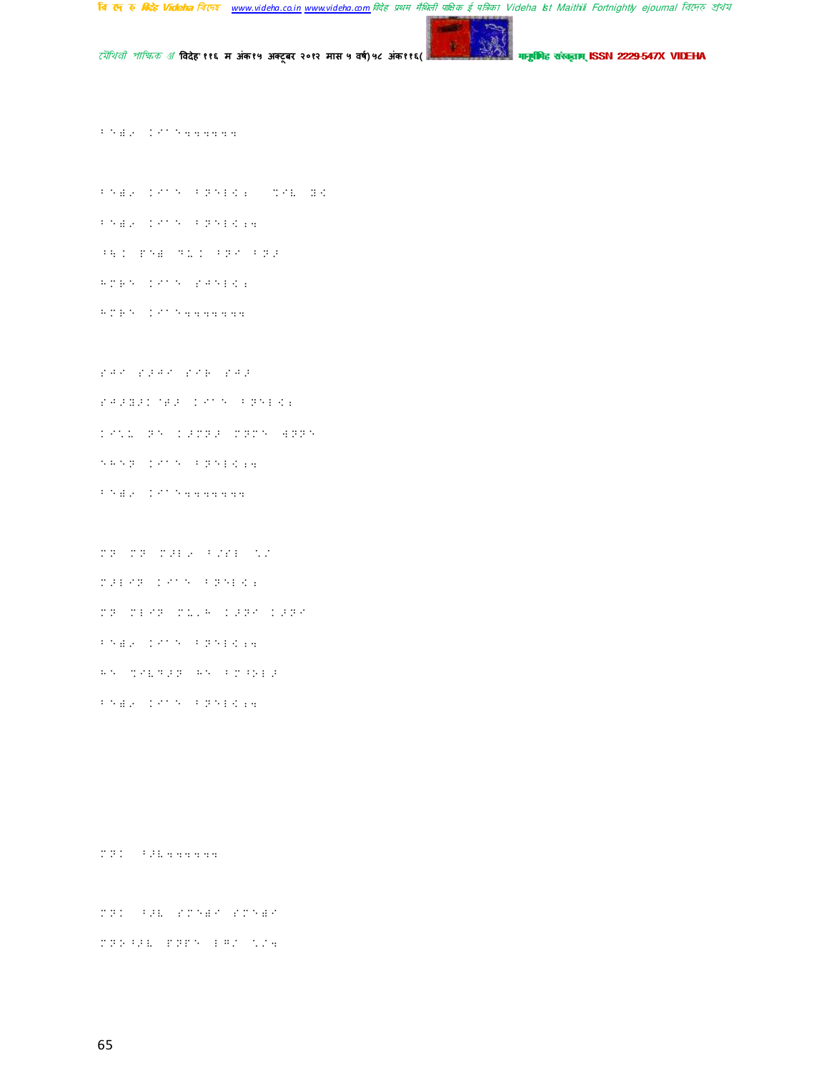*त्रीशिती পাफ़िक अ*विदेह'११६ म अंक१५ अक्टूबर २०१२ मास ५ वर्ष)५८ अंक११६( सालामह संस्कृतिक संस्कृतम् ISSN 2229-547X VIDEHA

⣞⢴!⣒⣒⣒⣒⣒⣒!

⣞⢴!!⢽2⣊⣐-!⣉⣇!⣝⣊! ⣞⢴!!⢽2⣊⣐⣒! ⢸⣓⣈!'⣞!⢹⣅⣈!⢽!⢽⢼! ⢳⢷!!"⢺2⣊⣐! ⢳⢷!⣒⣒⣒⣒⣒⣒⣒!

 $\label{eq:3.1} \begin{split} \mathcal{L}^{n}(\mathcal{A}^{n},\mathcal{C}^{n}) & = \mathcal{L}^{n}(\mathcal{A}^{n},\mathcal{C}^{n}) - \mathcal{L}^{n}(\mathcal{C}^{n}) - \mathcal{L}^{n}(\mathcal{A}^{n},\mathcal{C}^{n}) \end{split}$ "⢺⢼⣝⢼⢾⢼!!⢽2⣊⣐! ⣁⣅!⢽!⢼⢽⢼!⢽!⣚⢽⢽! ⢳⢽!!⢽2⣊⣐⣒! ⣞⢴!⣒⣒⣒⣒⣒⣒⣒!

⢽.⢽!⢼2⢴!#"2!⣁#! ⢼2⢽!!⢽2⣊⣐! ⢽.2⢽!⣅C⢳!⢼⢽.⢼⢽! ⣞⢴!!⢽2⣊⣐⣒! ⢳!⣉⣇⢹⢼⢽!⢳!⢸⢵2⢼! ⣞⢴!!⢽2⣊⣐⣒!

⢽!⢸⢼⣇⣒⣒⣒⣒⣒⣒! ⢽!⢸⢼⣇!"⣞."⣞! ⢽⢵⢸⢼⣇!'⢽'!2⢻#!⣁#⣒!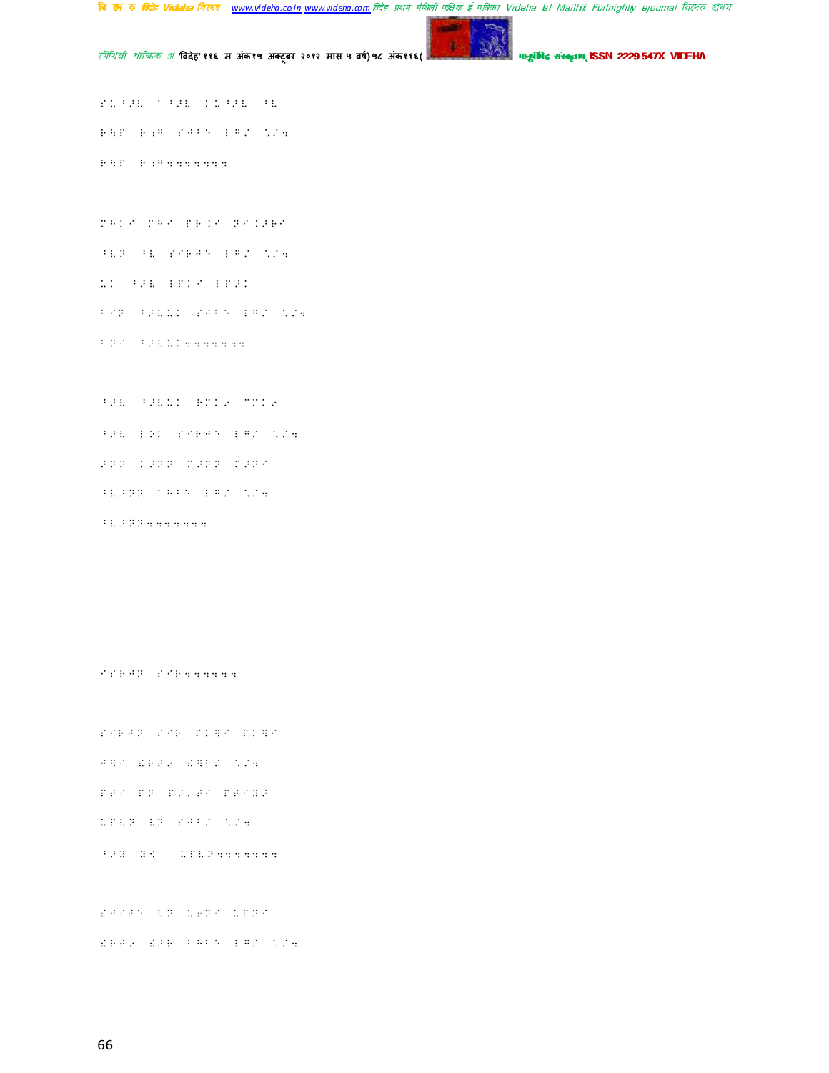ट्येथिती शांक्रिक अं विदेह' ११६ म अंक१५ अक्टूबर २०१२ मास ५ वर्ष) ५८ अंक११६(

मानुभी ह संस्कृतम् ISSN 2229-547X VIDEHA

 $\mathcal{L}$  is the second theory of the second second second second second second second second second second second second second second second second second second second second second second second second second second se BAR BAR PRES BROOKS

 $\left\langle \left\langle \mathbf{1},\mathbf{1},\mathbf{1}\right\rangle \right\rangle =\left\langle \mathbf{1},\mathbf{1},\mathbf{1}\right\rangle \left\langle \mathbf{1},\mathbf{1},\mathbf{1}\right\rangle \left\langle \mathbf{1},\mathbf{1},\mathbf{1}\right\rangle \left\langle \mathbf{1}\right\rangle \left\langle \mathbf{1}\right\rangle$ 

TAIN TAK PAIR PRIMIRES

 $\left\langle \left( \begin{smallmatrix} 1 & 0 & 0 & 0 \\ 0 & 0 & 0 & 0 \\ 0 & 0 & 0 & 0 \\ 0 & 0 & 0 & 0 \\ 0 & 0 & 0 & 0 \\ 0 & 0 & 0 & 0 \\ 0 & 0 & 0 & 0 \\ 0 & 0 & 0 & 0 \\ 0 & 0 & 0 & 0 \\ 0 & 0 & 0 & 0 \\ 0 & 0 & 0 & 0 \\ 0 & 0 & 0 & 0 & 0 \\ 0 & 0 & 0 & 0 & 0 \\ 0 & 0 & 0 & 0 & 0 \\ 0 & 0 & 0 & 0 & 0 \\ 0 & 0 & 0 & 0 & 0 \\$ 

DISCUSS ENTRY ENVI

FREDRICK RATH BELLING

**FRANCISCO** SERVICE

SPECTRELL BOIL TOLL SPECIENT PREASURES NOW

abbit tabbitabbi tabb SERRE TEEN ERICING

 $(3.1, 3.3, 5.6, 6.6, 6.6, 6.6)$ 

**PERPETRENESS** 

average avec rime rime

**PERMIT BEACH BEAT CONTROL** making malak makda draw as response  $\beta$  ,  $\beta$  ,  $\beta$  ,  $\beta$  ,  $\beta$  ,  $\beta$  ,  $\beta$  ,  $\beta$  ,  $\alpha$  ,  $\alpha$  ,  $\alpha$  ,  $\alpha$ 

 $\label{eq:3.1} \left\langle \varphi^{\prime}(\vartheta)\varphi^{\prime}(\vartheta)\varphi^{\prime}\right\rangle =\left\langle \varphi^{\prime}(\vartheta)-\varphi^{\prime}(\vartheta)\varphi^{\prime}\right\rangle =\left\langle \varphi^{\prime}(\vartheta)\vartheta^{\prime}\vartheta^{\prime}\right\rangle.$ REAR RANGE FOR STREET STA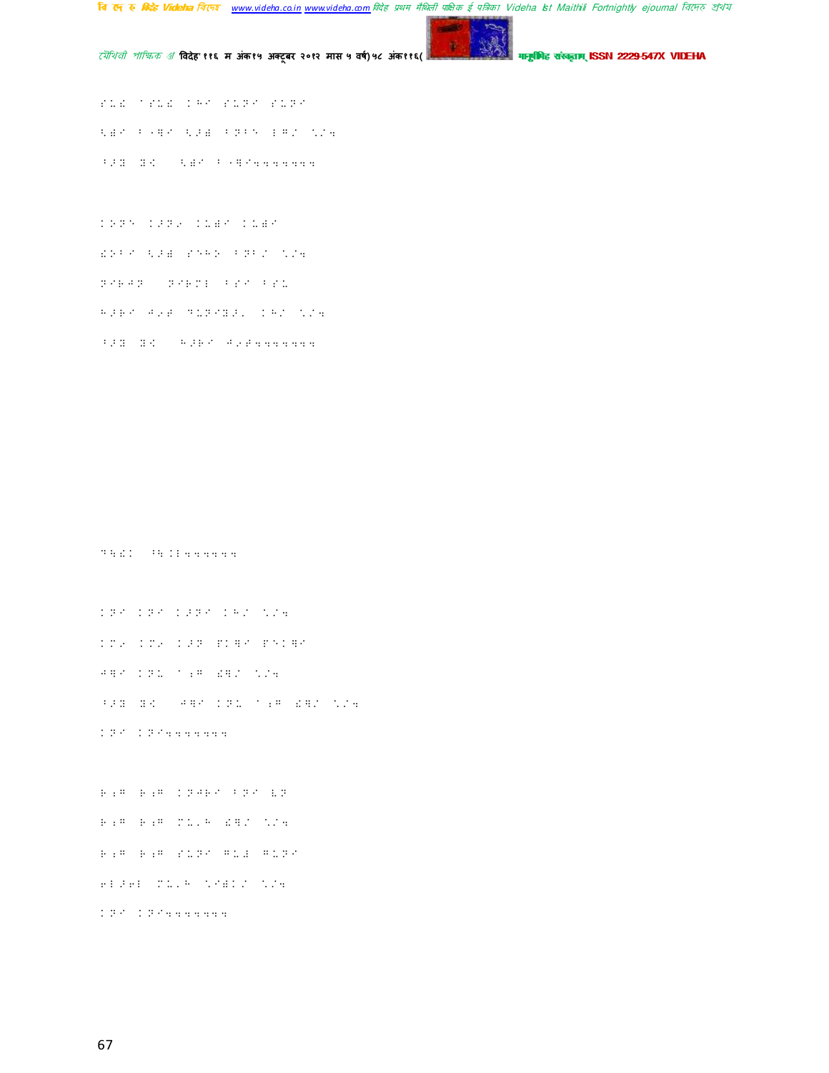ट्येथिती शांक्रिक अं विदेह' ११६ म अंक१५ अक्टूबर २०१२ मास ५ वर्ष) ५८ अंक११६(

मानुभिंह संस्कृतम् ISSN 2229-547X VIDEHA

and tank the angel and the 大量的 生产用的 大卫星 生臭味的 生甲之一九之年  $\left\langle \left(1,2,2\right)\right\rangle \left\langle \left(2,3\right)\right\rangle \left\langle \left(1,4,2\right)\right\rangle \left\langle \left(1,3,2\right)\right\rangle \left\langle \left(2,4,4\right)\right\rangle \left\langle \left(3,4\right)\right\rangle \left\langle \left(4,4\right)\right\rangle \left\langle \left(4,4\right)\right\rangle \left\langle \left(4,4\right)\right\rangle \left\langle \left(4,4\right)\right\rangle \left\langle \left(4,4\right)\right\rangle \left\langle \left(4,4\right)\right\rangle \left\langle \left(4,4\right)\right\rangle \left\langle$ 

frees forest than than

about space were completed

BREAD COPPED FRONTIN

adam asa mpengol ing tin

**SOCIETY** CONTRACTORS AND REPORT

SANCE SACRAMENT

diamondance diamondance consumer did a stigal diagnost except and  $\left( \mathcal{A}(\mathbf{q},\mathbf{r}) - \mathcal{I}(\mathbf{p},\mathbf{q}) - \mathcal{I}(\mathbf{q},\mathbf{q}) \right) = \mathcal{L}(\mathbf{q},\mathbf{r}) - \mathcal{I}(\mathbf{r},\mathbf{q}).$ SPECIES SAMPLE PLOTE SAMPLE STATE

TRANSPARANHER

acam a am company object a p Base Base polis and the alam alam andre mna model General State Strait School 

67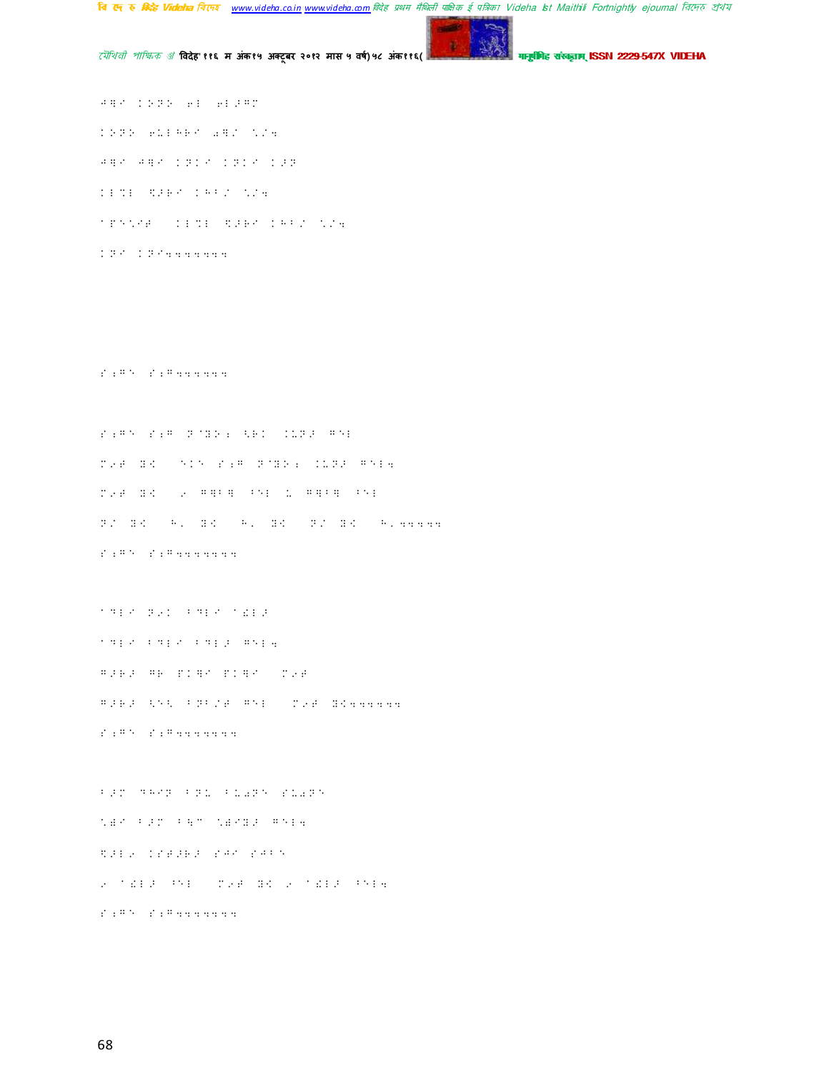ट्येथिनी शांक्षिक श्री विदेह' ११६ म अंक१५ अक्टूबर २०१२ मास ५ वर्ष) ५८ अंक११६(

मानुबंधिह संस्कृताम् ISSN 2229-547X VIDEHA

**PER 1999 FE FERRY** INFORMATION AND STORY TEST STREET INFORMATION TENNAE (IESE) SPECIENCIAE TERM TERMINANAN

 $\mathcal{E}^{\mathbb{C}}$  :  $\mathbb{R}^{H\times H}$  ,  $\mathcal{E}^{\mathbb{C}}$  :  $\mathbb{R}^{H}\times \mathbb{R}$  is a set of

RARN RAR BOBSA (661) 1199 (RNE) cue de l'ese vie charactifica este realize the company of the second state  $\langle \Psi (Z) - \Psi (Z) \rangle = \langle \Psi (Z) - \Psi (Z) - \Psi (Z) - \Psi (Z) - \Psi (Z) - \Psi (Z) \rangle = \langle \Psi (Z) - \Psi (Z) \rangle$  $\label{eq:3.1} \begin{array}{ll} \mathcal{E}^{\prime}(\pm 0.5) & \mathcal{E}^{\prime}(\pm 0.5) & \mathcal{E}^{\prime}(\pm 0.5) & \mathcal{E}^{\prime}(\pm 0.5) \\ \end{array}$ 

THE R. P. LEWIS CO., LANSING stage and generally produced. **ROBOTHE PIRA PIRA COVE**  $\mathbb{P}(\mathbb{P}(\mathbb{P}(\mathbb{P}(\mathbb{P}(\mathbb{P}(\mathbb{P}(\mathbb{P}(\mathbb{P}(\mathbb{P}(\mathbb{P}(\mathbb{P}(\mathbb{P}(\mathbb{P}(\mathbb{P}(\mathbb{P}(\mathbb{P}(\mathbb{P}(\mathbb{P}(\mathbb{P}(\mathbb{P}(\mathbb{P}(\mathbb{P}(\mathbb{P}(\mathbb{P}(\mathbb{P}(\mathbb{P}(\mathbb{P}(\mathbb{P}(\mathbb{P}(\mathbb{P}(\mathbb{P}(\mathbb{P}(\mathbb{P}(\mathbb{P}(\mathbb{P}(\mathbb{$ Premier Premieren en en

a din Sabado a din a numa chuman tak kar kan takas mesa. ROBERT CEBOBLE ENRY ENERGY Southern President and Contract President  $\mathcal{A}^{\mathcal{A}}(\mathcal{C}^{\Pi},\mathcal{C}^{\mathcal{A}}) = \mathcal{A}^{\mathcal{A}}(\mathcal{C}^{\Pi},\mathcal{C}^{\Pi},\mathcal{C}^{\Pi},\mathcal{C}^{\Pi},\mathcal{C}^{\Pi},\mathcal{C}^{\Pi})$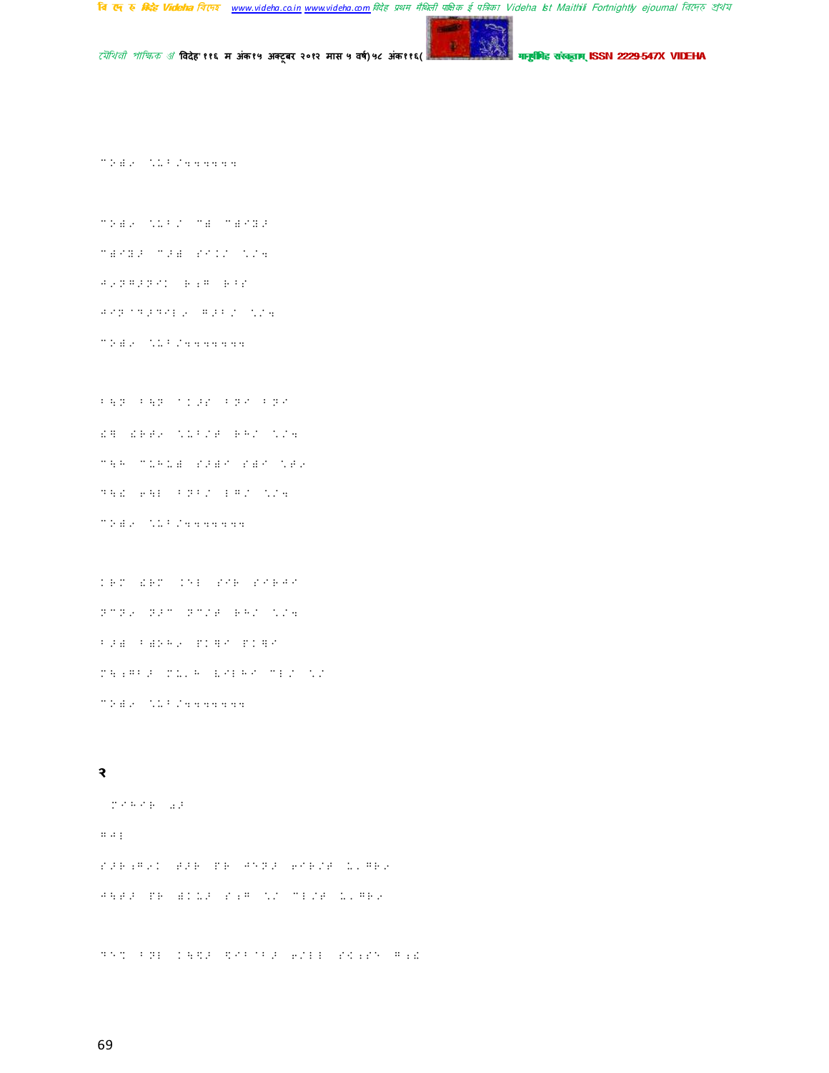ट्येरिती शास्त्रिक अं विदेह' ११६ म अंक१५ अक्टूबर २०१२ मास ५ वर्ष) ५८ अंक११६(

मानुभिंह संस्कृतम् ISSN 2229-547X VIDEHA

The Box 1004 Caracana

moas considerational make p makas maa aktor toe  $\mathcal{A}^{\mathcal{A}}_{\mathcal{A}'}\mathcal{G}^{\mathcal{A}}\mathcal{G}^{\mathcal{A}}\mathcal{G}^{\mathcal{A}}\mathcal{G}^{\mathcal{A}}=\mathcal{G}^{\mathcal{A}}_{\mathcal{A}'}\mathcal{G}^{\mathcal{A}}\mathcal{G}^{\mathcal{A}}\mathcal{G}^{\mathcal{A}}\mathcal{G}^{\mathcal{A}}$ appropriate product that TEBR CONTRACTOR

 $\mathbb{E}[\mathcal{H},\mathcal{B}]=\mathbb{E}[\mathcal{H},\mathcal{B}]=\mathbb{E}[\mathcal{H},\mathcal{B},\mathcal{B}]=\mathbb{E}[\mathcal{B},\mathcal{B}]=\mathbb{E}[\mathcal{B},\mathcal{B}].$ EN SERVICENTE PROCCHE mais impedial adapt arabic pap-HARTANI PREZIDENT NYA TEBS (NECESSARES)

TECHNICAL PRESPECT STRAINERT STAR REAL NAR FOR PREPARTING BOARD TANKER TO THE REAL PROPERTY. TERM CONTRACTOR

# $\mathbf{z}$

consideration and  $\mathfrak{m}(\mathcal{A},\mathfrak{g})$ YOR PAIL ROBERT PROPERTY AND COLLEGE ANADO PRO BILLA CRIVA CON CRIVA COLORAD

den ad temperature des participations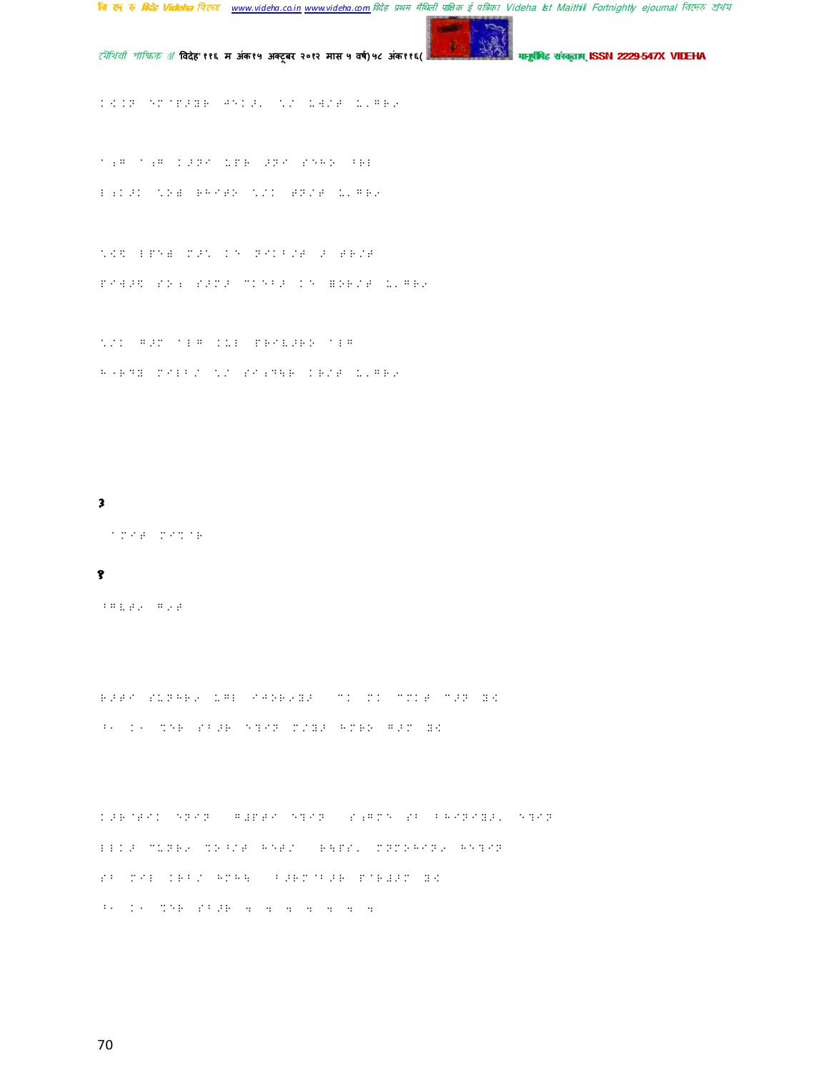मानुभीह संस्कृतम् ISSN 2229-547X VIDEHA

forth program and all the baracters.

THE THE CORPORATE SPACENED CHE Bardin that asker this above blask

web area bet in existe a asset mediate and a sample mineral inner moderne course.

ANY PROVISE IN THE PEARLER OFF A FEMALE CREATE CONTRACTORES DECRETED

 $\overline{\mathbf{3}}$ 

**Consecretive** 

### $\mathbf{r}$

BRAK PLANES LA CRESPESSA COLORI OTI STAROGRA

THE CHAIN THE REPORT AND A COUNTRY PERSONAL SECTION.

CORPORACIONARY PORTRAY NEARD CONVERTS ON PRARABLE NEAR BED A COLPEA CONFIDENTATION ESTADO CORDAPARA CANDAR YA SIYA SINA ZUNDAN U AVEC MUAN ESPUARTUAK des des diverse de 24 mai de la carta da la

70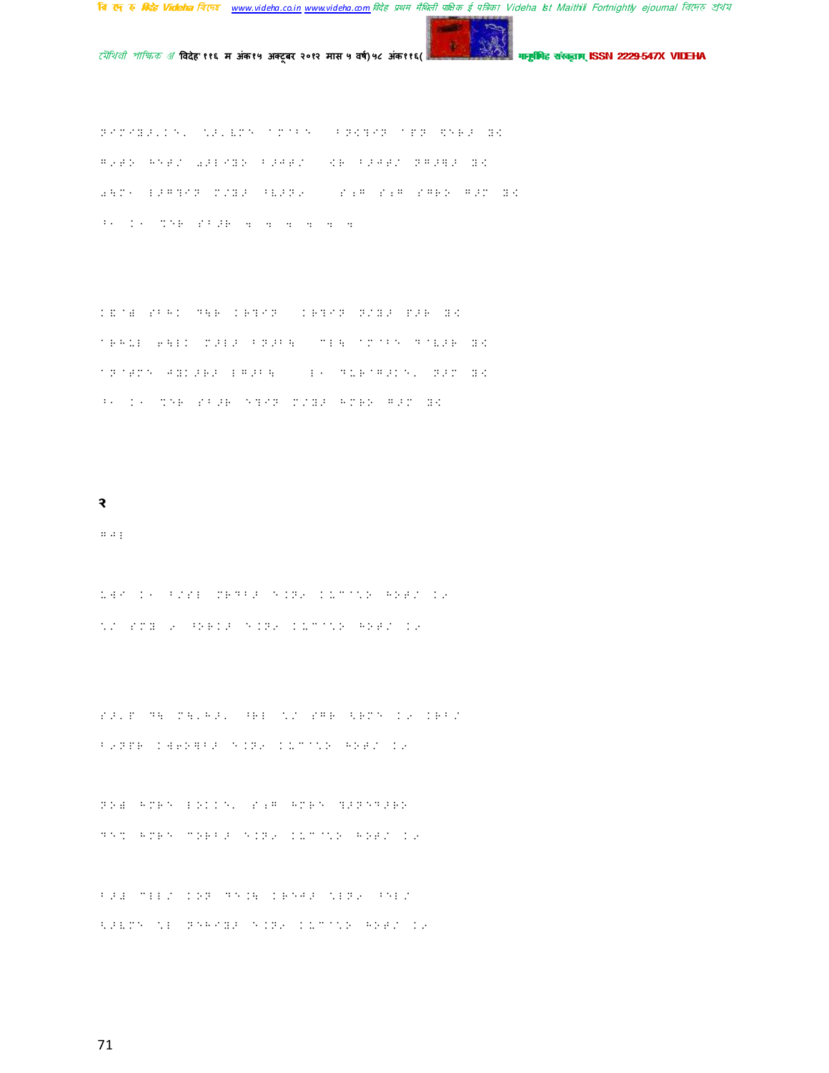मानुसीनेह संस्कृताम् ISSN 2229-547X VIDEHA

SACABALINE NATURE TEST TANK A PARAMETER (RNBA) BA ROBOT PART SOLVED FORET TO CRIP PORT DRUGS TEST GATE SCREEN TIES SERRE TEES FIELD FRAG des des modes and des ses ses ses ses se-

contacter the server coeffice productive or TERMS PRES CARD FORES TO BE TO TRAIN PORCH OR TRIANS AND ARRESTS TO BE SAMPLED AT SPAN AN standard the consequence in the energy exposure.

### $\mathbf{R}$

 $\mathbb{H}^1$  of  $\frac{1}{4}$ 

beside and the managements in the second the area of special piece common eper co-

YALE MA TALAXI MAE SIN YARA KATA ILA IBARN FROM PLANS RESERVANCES CONTACT PRESSURE

SPAR PORT RESOURCE PARTNERS SESSION der eres dele singer del

FOUR TEECH 198 (FRIB 1989) NEWS TEACHER A PETRONE CONFIDENCIAL CONTINUES AND CON-

71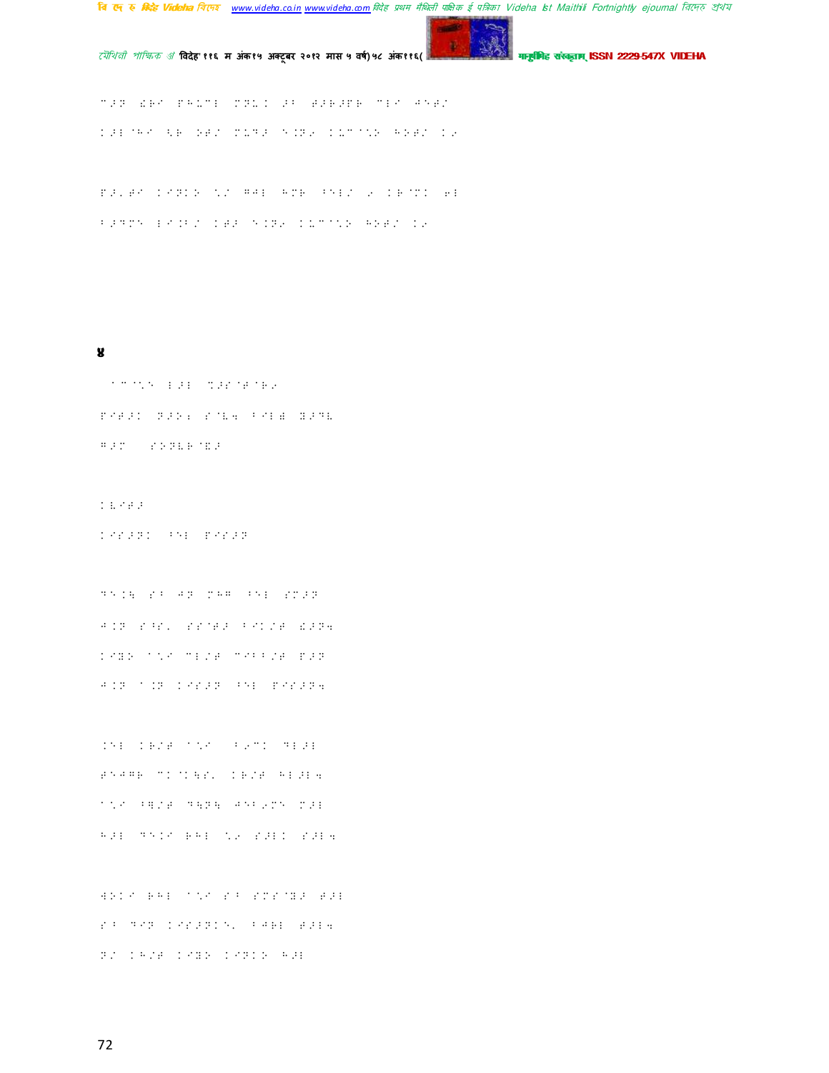*त्रीशिती পাफ़िक अ*विदेह'११६ म अंक१५ अक्टूबर २०१२ मास ५ वर्ष)५८ अंक११६( सालामह संस्कृतिक संस्कृतम् ISSN 2229-547X VIDEHA

/⢼⢽!⣎⢷!'⢳⣅/2!⢽⣅⣈!⢼!⢾⢼⢷⢼'⢷!/2!⢺⢾#!! ⢼2⢳!⣃⢷!⢵⢾#!⣅⢹⢼!⣈⢽⢴!⣅/⣁⢵!⢳⢵⢾#!⢴!

'nular irreformat ees era seer is is tri es ⢼⢹!2⣈#!⢾⢼!⣈⢽⢴!⣅/⣁⢵!⢳⢵⢾#!⢴!

## ४

!/⣁!2⢼2!⣉⢼"⢾⢷⢴! '⢾⢼!⢽⢼⢵⣐!"⣇⣒!2⣞!⣝⢼⢹⣇! ⢻⢼.!"⢵⢽⣇⢷⣏⢼!

#### ⣇⢾⢼.!

"⢼⢽!⢸2!'"⢼⢽!

⢹⣈⣓!"⢸!⢺⢽!⢳⢻!⢸2!"⢼⢽! ⢺⣈⢽!"⢸"C!""⢾⢼!#⢾!⣎⢼⢽⣒! ⣝⢵!⣁!/2#⢾!/#⢾!'⢼⢽! ⢺⣈⢽!⣈⢽!"⢼⢽!⢸2!'"⢼⢽⣒!

⣈2!⢷#⢾!⣁-!⢴/!⢹2⢼2! ⢾⢺⢻⢷!/⣓"C!⢷#⢾!⢳2⢼2⣒! ⣁!⢸⣛#⢾!⢹⣓⢽⣓!⢺⢴!⢼2! ⢳⢼2!⢹⣈!⢷⢳2!⣁⢴!"⢼2!"⢼2⣒!

⣚⢵!⢷⢳2!⣁!"⢸!""⣝⢼!⢾⢼2! "⢸!⢹⢽!"⢼⢽C!⢺⢷2!⢾⢼2⣒! ⢽#!⢳#⢾!⣝⢵!⢽⢵!⢳⢼2!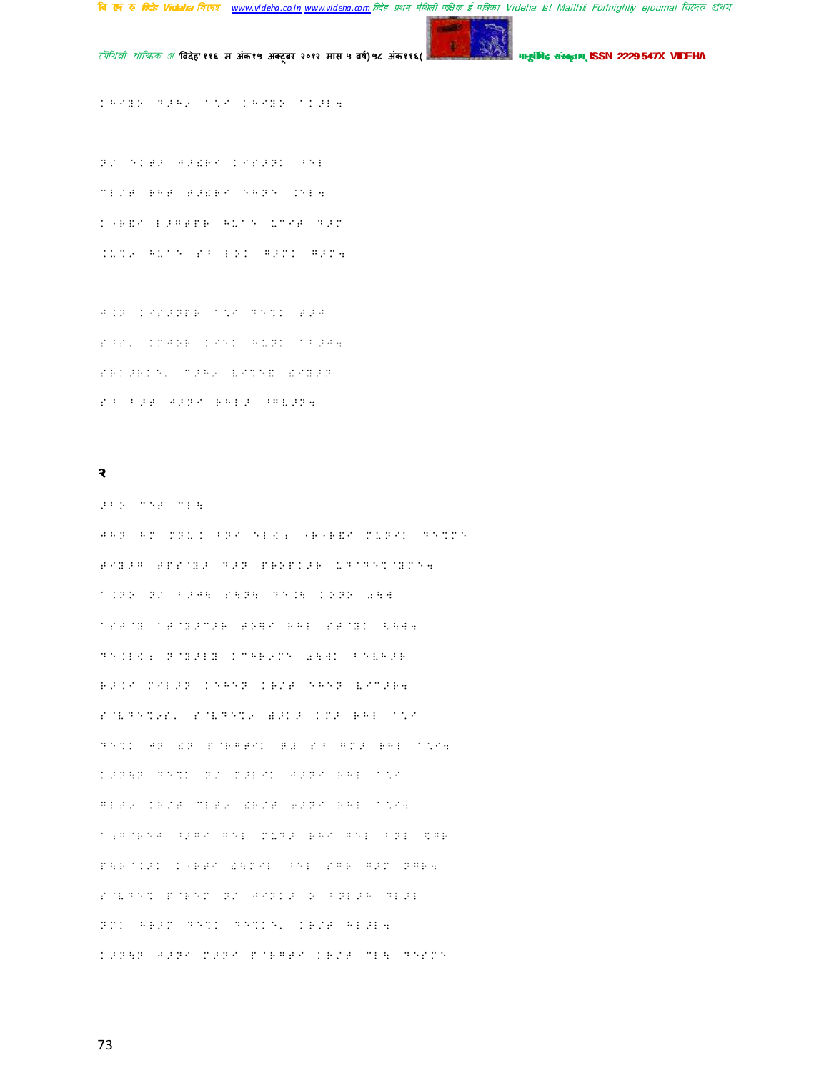ट्येंथिनी शांक्रिक अं विदेह' ११६ म अंक१५ अक्टूबर २०१२ मास ५ वर्ष) ५८ अंक११६(

मानुमिह संस्कृतम् ISSN 2229-547X VIDEHA

reversionship in the reversion research

BU NIBA ASBAN IPEABL PNB mache and depend notes than THERM EVERED ANYWHITE SUP dime and what a spragging agree

A 19 I KESSER TIME RANCE ASA Real company provided by the page YELDED NO TORK SERVED YESES y a calgur caggor una goccadagan.

#### $\mathbf{z}$

dealers when the ap-ARD RESERVED FROM ARCHIVE FREED CONDOMICATION avade arriga dos respuestas condidos. TIDES BY FORE PARE THIS IS CORP. WAR mare has in elimpton per l'exercicien en la proporcionale. MAILS: POBRET COMPROS GRAD PAERDE Back characters which concerns and concern RICERADORES RICERADOS BOLOGOS DE PERSONAS MASS AR 20 PORTHALL RESERVATION CONTROL TREES SATISFIED THEM SAFEK EARLY TO REAR CENA TEAR WEIGHT ARRESTS TO THE r personal diens englischen Spanien einer die gesetzte FARITIES SHEET SACHE THAT SPECTRUP PRA WINDOWS COMPANY CONTRACTOR CONTROL AND RELEASE. STILL RESTURNTION TO TAX CORPORATE BE CARAR PARRY CARS POPPAS CROAT MEASUREDS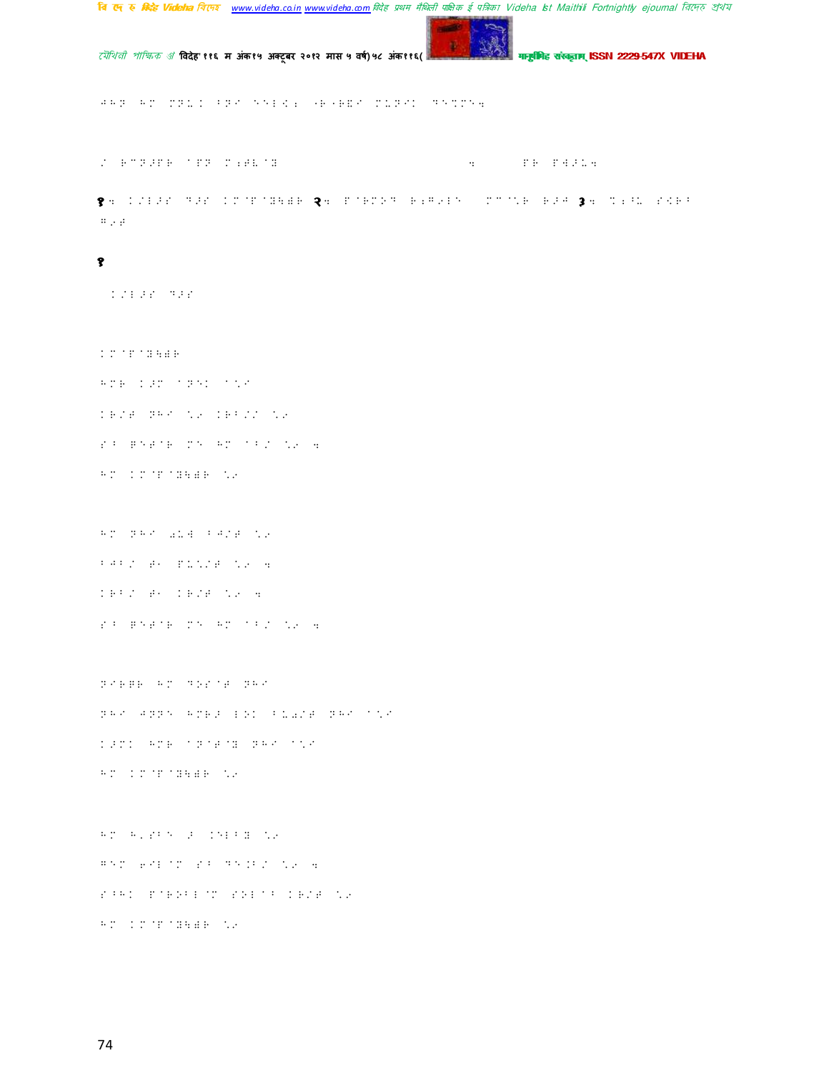*त्रीशिती পাफ़िक अ*विदेह'११६ म अंक१५ अक्टूबर २०१२ मास ५ वर्ष)५८ अंक११६( सालामह संस्कृतिक संस्कृतम् ISSN 2229-547X VIDEHA

⢺⢳⢽!⢳!⢽⣅⣈!⢽!2⣊⣐!?⢷?⢷⣏.⣅⢽!⢹⣉⣒!

#!⢷/⢽⢼'⢷!'⢽!⣐⢾⣇⣝!hhbkfoesbAwjefib⣒dpn!'⢷!'⣚⢼⣅⣒!!

१⣒!#2⢼"!⢹⢼".'⣝⣓⣞⢷!२⣒!'⢷⢵⢹!⢷⣐⢻⢴2.!/⣁⢷!⢷⢼⢺!३⣒!⣉⣐⢸⣅!"⣊⢷⢸.!  $\mathbb{H}^1_{\mathbb{Z}}$  ,  $\mathbb{H}^1$ 

#### १

! #2 2 2 2 2 2 2 2 2 2 2 2 2 2 2 2

#### '⣝⣓⣞⢷!

⢳⢷!⢼!⢽!⣁! ⢷#⢾!⢽⢳!⣁⢴!⢷##!⣁⢴! "and " and the state of the state of the state of the state of the state of the state of the state of the state ⢳!'⣝⣓⣞⢷!⣁⢴!

⢳!⢽⢳!⣔⣅⣚!⢺#⢾!⣁⢴!

⢺#!⢾g!'⣅⣁#⢾!⣁⢴!⣒! ⢷#!⢾g!⢷#⢾!⣁⢴!⣒!

"⢸!⢿⢾⢷!!⢳!#!⣁⢴!⣒!

⢽⢷⢿⢷!⢳!⢹⢵"⢾!⢽⢳!! ⢽⢳!⢺⢽⢽!⢳⢷⢼!2⢵!⣅⣔#⢾!⢽⢳!⣁! ⢼!⢳⢷!⢽⢾⣝!⢽⢳!⣁! **AT ITTEMBER** 

 $E$  is the contract of the contract of the contract of the contract of the contract of the contract of the contract of the contract of the contract of the contract of the contract of the contract of the contract of the con ⢻!⢶2!"⢸!⢹⣈#!⣁⢴!⣒! "Y FAIL SETECH TO YOU YARD A RESERVE **AT IT TESTABE SA**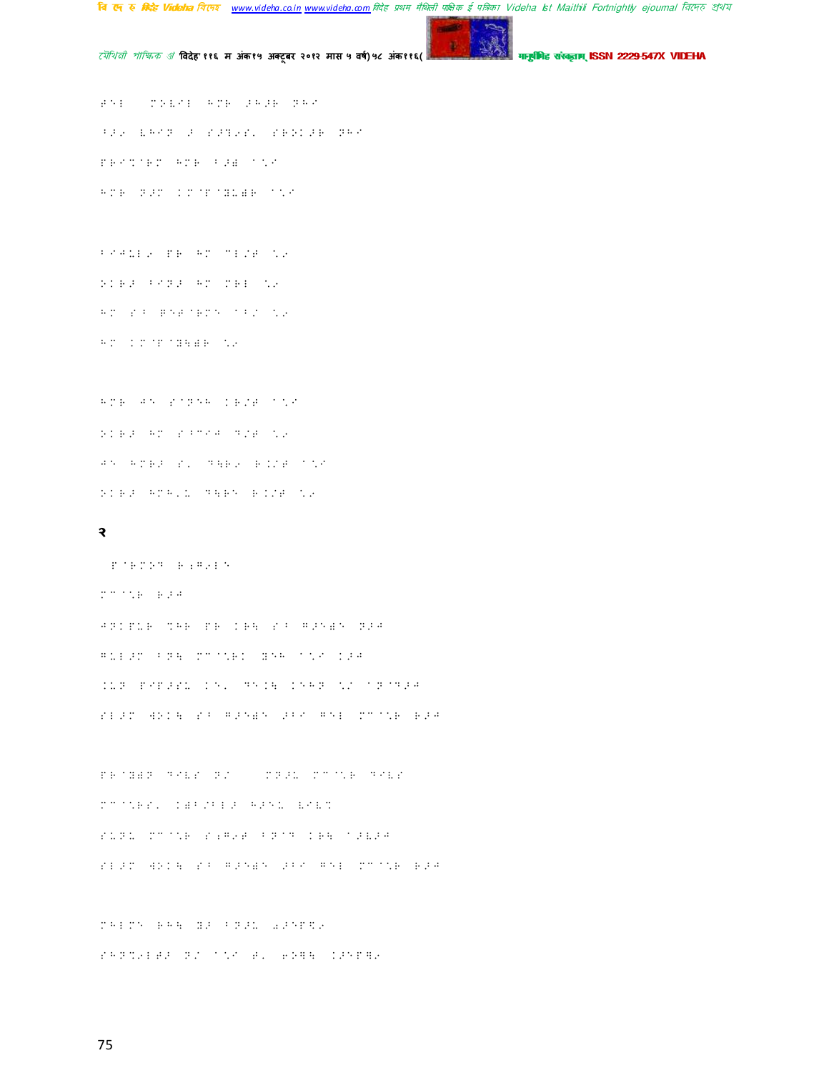ट्येरिती शांक्रिक औ विदेह' ११६ म अंक१५ अक्टूबर २०१२ मास ५ वर्ष) ५८ अंक११६(

मानुमिह संस्कृतम् ISSN 2229-547X VIDEHA

and there are same pay SERVICE RADIO DE LA DELLA ALCORA DEL PROPERTO FRANCES PORT PRESSURE Are sar interaces the

FRANKLIN PECAN TEDECNI SIED FROM AT THE NA Administration of the process of the control of the control of the control of the control of the control of the AT ITTEMBER 18

A DECAN CRITICAL CERR CITY STEP PO PRESENT PORTUGAL AN ATERIAL MERICANING TOP STEP ATACK MARY BIZE NO

#### $\mathbf{R}$

**CENTERS ENTIRES** mental again. ASIBLE THE BELIEVE FOR PANEL SAM #1995 FRANCHINES BAR STR SPR TER PAPARENTS, TRIES IN PROPERTY TRIPLE reductions in the manager deviation of the season

TECHNOLOGY PARASET CONTRACTOR CONTRACT THOMAS CONFIDENTIAL AREA YORD THINK YARAR FRIDA CAR INFORM reductions in the manager devices and common season

RAPTERBURY TIME BILLBOARD IPPER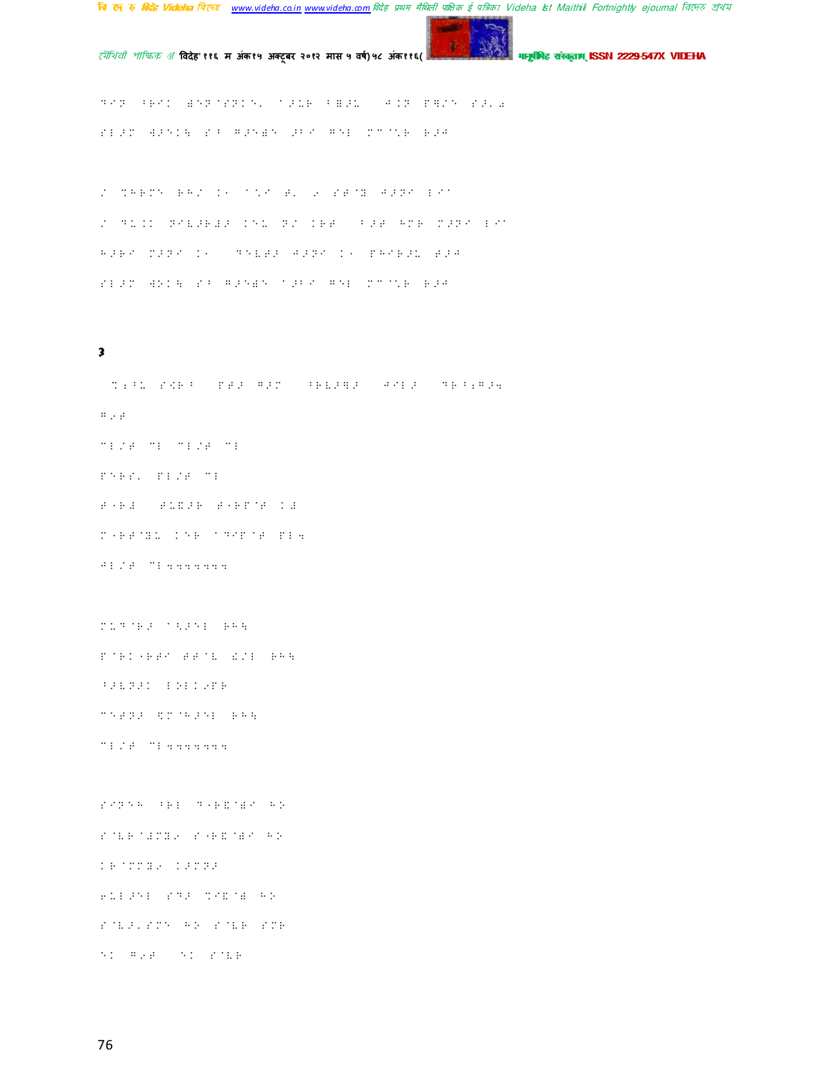ट्येथिनी शांकिक अं विदेह' ११६ म अंक१५ अक्टूबर २०१२ मास ५ वर्ष) ५८ अंक११६(

मानुमिह संस्कृतम् ISSN 2229-547X VIDEHA

MARK PEACH BARYARDA, INSURA PERSONALISMO PEAK VARIA walder advice with a disabilities and committee adapt

Competitive teach in the second or an anti-second and with the dealer and the same start response to the start Adam made to consider each to make about VERTICAN DE VIDA PROVENIA DE VIDA DO TALLES ERA

#### $\overline{\mathbf{3}}$

TO EXCLUSIVE PLAY THAT INTO A REPORT OF A PER CONTRACTOR  $\Omega_{\rm{max}}(p)$ mailback mail mailback mail ENERGY EEVEN ME BOARD CHARLES BOARDED THERMED INE COMPOSE FIRE All 29 - The exercise

TERMINE MARKET BAN miner (each agors care) eag. **FREEZO ENELLER** modern criticism and TEZA (TERRARAR)

RABAN (FEE) SABETER (FS POLE CATALOG (PARTNER OF N TECTORS TROPES BEERNE PARK SYSTEMS AND ROBERT CARD ROBERT ROB NI PARTINI PINE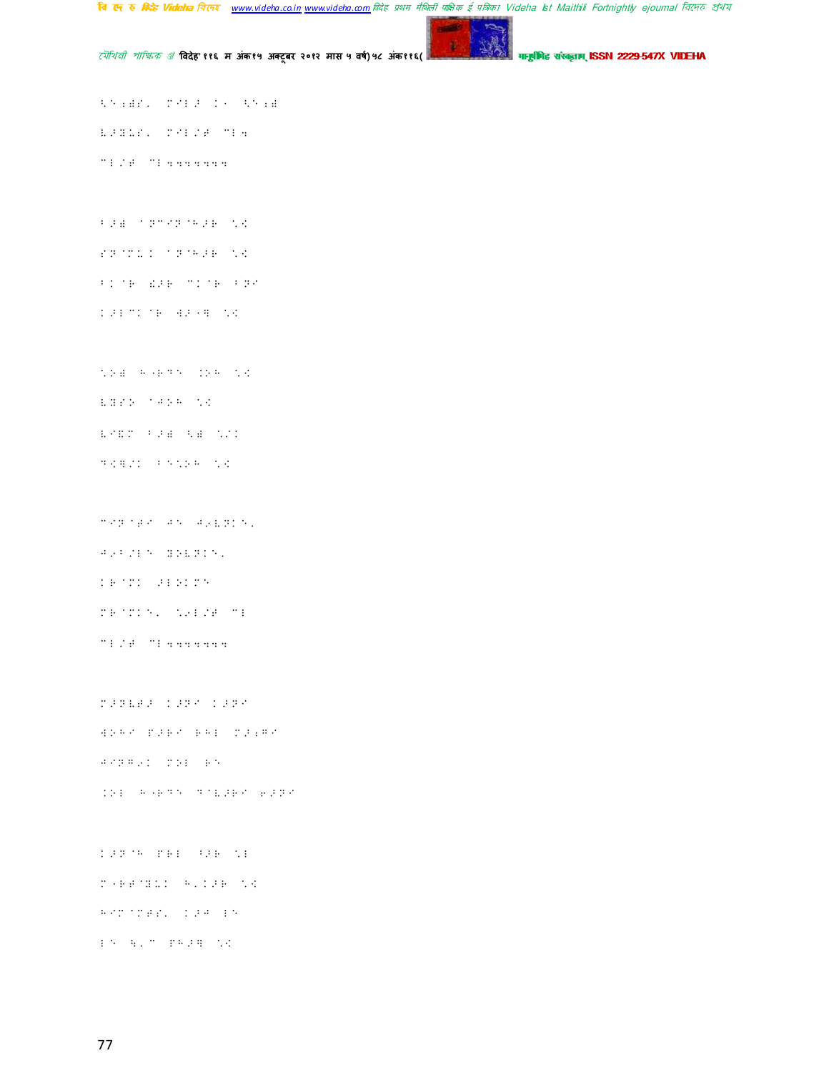*त्रीशिती পাफ़िक अ*विदेह'११६ म अंक१५ अक्टूबर २०१२ मास ५ वर्ष)५८ अंक११६( सालामह संस्कृतिक संस्कृतम् ISSN 2229-547X VIDEHA

⣃⣐⣞"C!2⢼!g!⣃⣐⣞! ⣇⢼⣝⣅"C!2#⢾!/2⣒!

/2#⢾!/2⣒⣒⣒⣒⣒⣒⣒!

⢼⣞!⢽/⢽⢳⢼⢷!⣁⣊!

"⢽⣅⣈!⢽⢳⢼⢷!⣁⣊!

⢷!⣎⢼⢷!/⢷!⢽!

⢼2/⢷!⣚⢼?⣛!⣁⣊!

⣁⢵⣞!⢳?⢷⢹!⣈⢵⢳!⣁⣊!

⣇⣝"⢵!⢺⢵⢳!⣁⣊!

⣇⣏!⢼⣞.⣃⣞!⣁#!

⢹⣊⣛#!⣁⢵⢳!⣁⣊!

/⢽⢾!⢺!⢺⢴⣇⢽C!

⢺⢴#2!⣝⢵⣇⢽C!

⢷!⢼2⢵!

⢷C!⣁⢴2#⢾!/2!

/2#⢾!/2⣒⣒⣒⣒⣒⣒⣒!

⢼⢽⣇⢾⢼!⢼⢽.⢼⢽! ⣚⢵⢳!'⢼⢷!⢷⢳2!⢼⣐⢻! ⢺⢽⢻⢴!⢵2!⢷! ⣈⢵2!⢳?⢷⢹!⢹⣇⢼⢷!⢶⢼⢽!

⢼⢽⢳!'⢷2!⢸⢼⢷!⣁2! ?⢷⢾⣝⣅!⢳C⢼⢷!⣁⣊! ⢳⢾"C!⢼⢺!2! 2.⣓C/!'⢳⢼⣛!⣁⣊!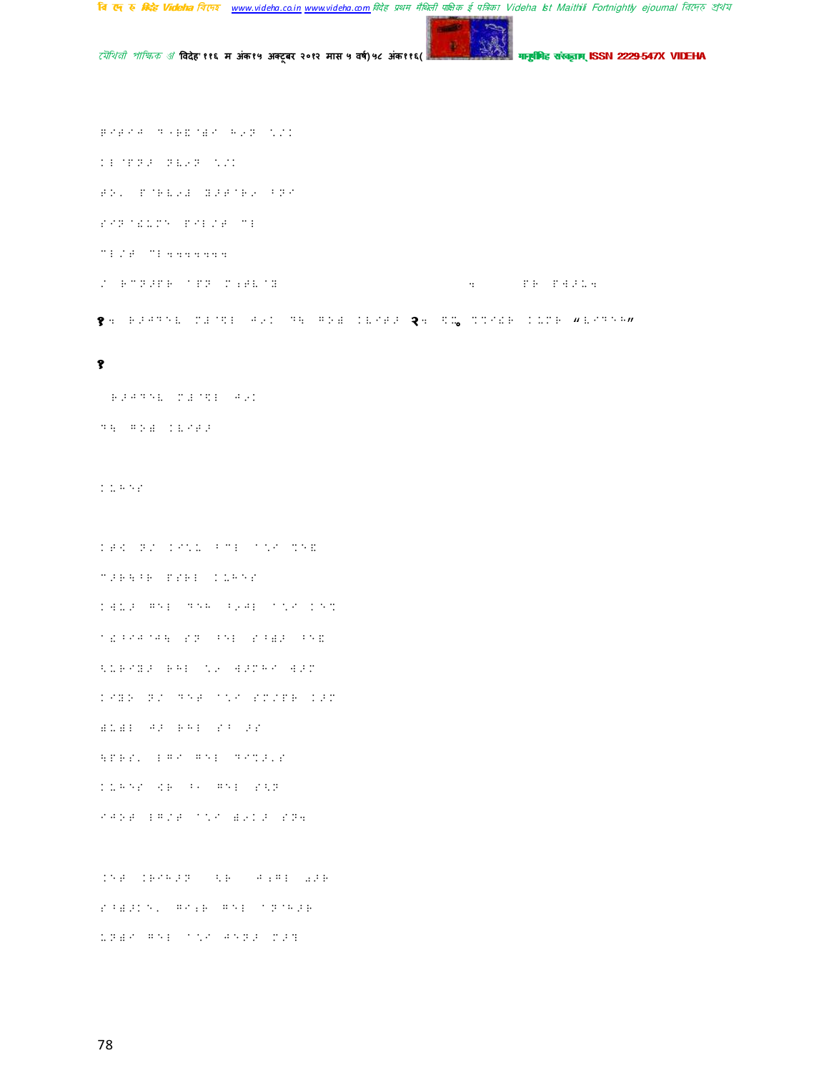*त्रीशिती পাफ़िक अ*विदेह'११६ म अंक१५ अक्टूबर २०१२ मास ५ वर्ष)५८ अंक११६( सालामह संस्कृतिक संस्कृतम् ISSN 2229-547X VIDEHA

⢿⢾⢺!⢹?⢷⣏⣞!⢳⢴⢽!⣁#! 2'⢽⢼!⢽⣇⢴⢽!⣁#! ⢾⢵C!'⢷⣇⢴⣜!⣝⢼⢾⢷⢴!⢽! "and the state of the state of the /2#⢾!/2⣒⣒⣒⣒⣒⣒⣒! #!⢷/⢽⢼'⢷!'⢽!⣐⢾⣇⣝!hhbkfoesbAwjefib⣒dpn!'⢷!'⣚⢼⣅⣒!! १⣒!⢷⢼⢺⢹⣇!⣜⣋2!⢺⢴!⢹⣓!⢻⢵⣞!⣇⢾⢼!२⣒!⣋⣍॰ ⣉⣉⣎⢷!⣅⢷!"⣇⢹⢳"!!!

#### १

!⢷⢼⢺⢹⣇!⣜⣋2!⢺⢴! ⢹⣓!⢻⢵⣞!⣇⢾⢼.!

⣅⢳"!

⢾⣊!⢽#!⣁⣅!/2!⣁!⣉⣏! /⢼⢷⣓⢸⢷!'"⢷2!⣅⢳"! ⣚⣅⢼!⢻2!⢹⢳!⢸⢴⢺2!⣁!⣉! ⣎⢸⢺⢺⣓!"⢽!⢸2!"⢸⣞⢼!⢸⣏! ⣃⣅⢷⣝⢼!⢷⢳2!⣁⢴!⣚⢼⢳.⣚⢼! ⣝⢵!⢽#!⢹⢾!⣁!"#'⢷!⢼! ⣞⣅⣞2!⢺⢼!⢷⢳2!"⢸!⢼"! GEEN, EAR AND ANTILY ⣅⢳"!⣊⢷!⢸g!⢻2!"⣃⢽! ⢺⢵⢾!2⢻#⢾!⣁!⣞⢴⢼!"⢽⣒!

⣈⢾.⣈⢷⢳⢼⢽-!⣃⢷-!⢺⣐⢻2.⣔⢼⢷! "⢸⣞⢼C!⢻⣐⢷!⢻2!⢽⢳⢼⢷! ⣅⢽⣞!⢻2!⣁!⢺⢽⢼!⢼⣙!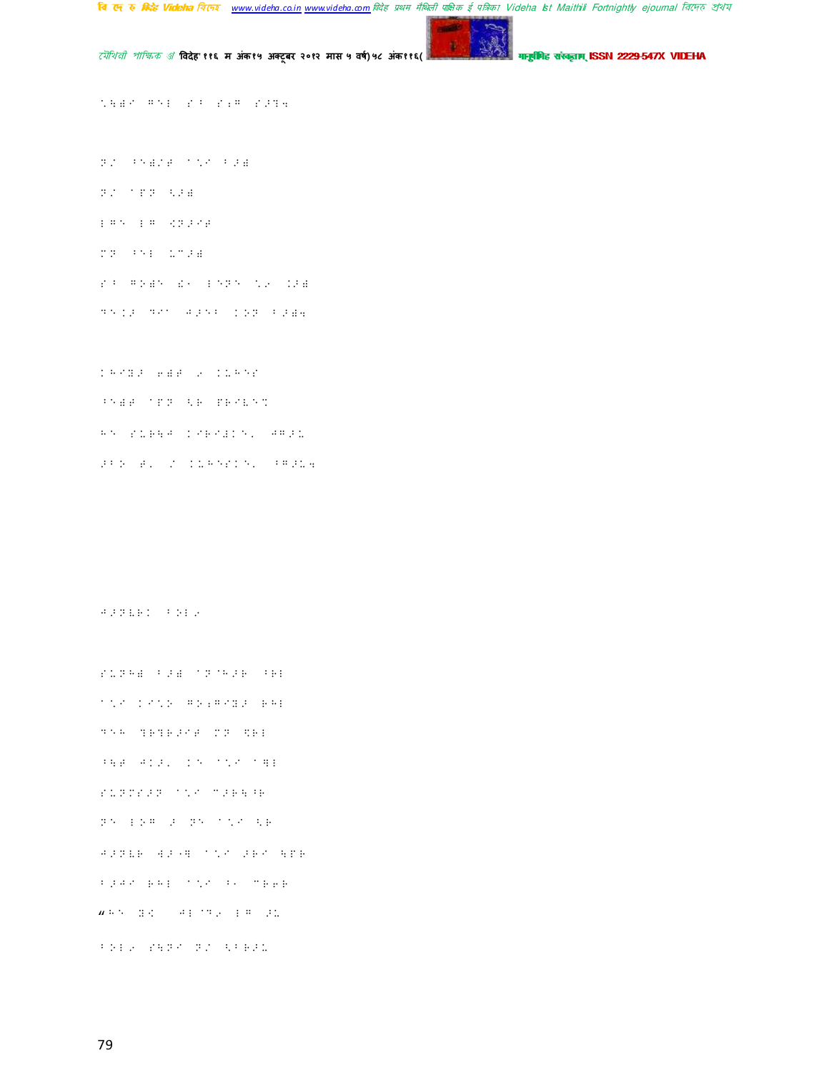*त्रीशिती পাफ़िक अ*विदेह'११६ म अंक१५ अक्टूबर २०१२ मास ५ वर्ष)५८ अंक११६( सालामह संस्कृतिक संस्कृतम् ISSN 2229-547X VIDEHA

⣁⣓⣞!⢻2!"⢸!"⣐⢻."⢼⣙⣒!

⢽#!⢸⣞#⢾!⣁!⢼⣞!

⢽#!'⢽!⣃⢼⣞!

2⢻.2⢻!⣊⢽⢼⢾!

⢽!⢸2!⣅/⢼⣞!

"⢸!⢻⢵⣞!⣎g!2⢽!⣁⢴!⣈⢼⣞!

⢹⣈⢼!⢹!⢺⢼!⢵⢽!⢼⣞⣒!

⢳⣝⢼!⢶⣞⢾!⢴!⣅⢳"!

⢸⣞⢾!'⢽!⣃⢷!'⢷⣇⣉!

⢳!"⣅⢷⣓⢺!⢷⣜C!⢺⢻⢼⣅!

⢼⢵!⢾C!#!⣅⢳"C!⢸⢻⢼⣅⣒!

⢺⢼⢽⣇⢷!⢵2⢴!

"⣅⢽⢳⣞!⢼⣞!⢽⢳⢼⢷!⢸⢷2! ⣁!⣁⢵!⢻⢵⣐⢻⣝⢼!⢷⢳2! ⢹⢳!⣙⢷⣙⢷⢼⢾!⢽!⣋⢷2! ⢸⣓⢾!⢺⢼C!!⣁!⣛2! "⣅⢽"⢼⢽!⣁!/⢼⢷⣓⢸⢷! ⢽!2⢵⢻!⢼!⢽!⣁!⣃⢷! ⢺⢼⢽⣇⢷!⣚⢼?⣛!⣁!⢼⢷!⣓'⢷! ⢼⢺!⢷⢳2!⣁!⢸g!/⢷⢶⢷.! WHAT IS THE THE TANK ⢵2⢴!"⣓⢽!⢽#!⣃⢷⢼⣅!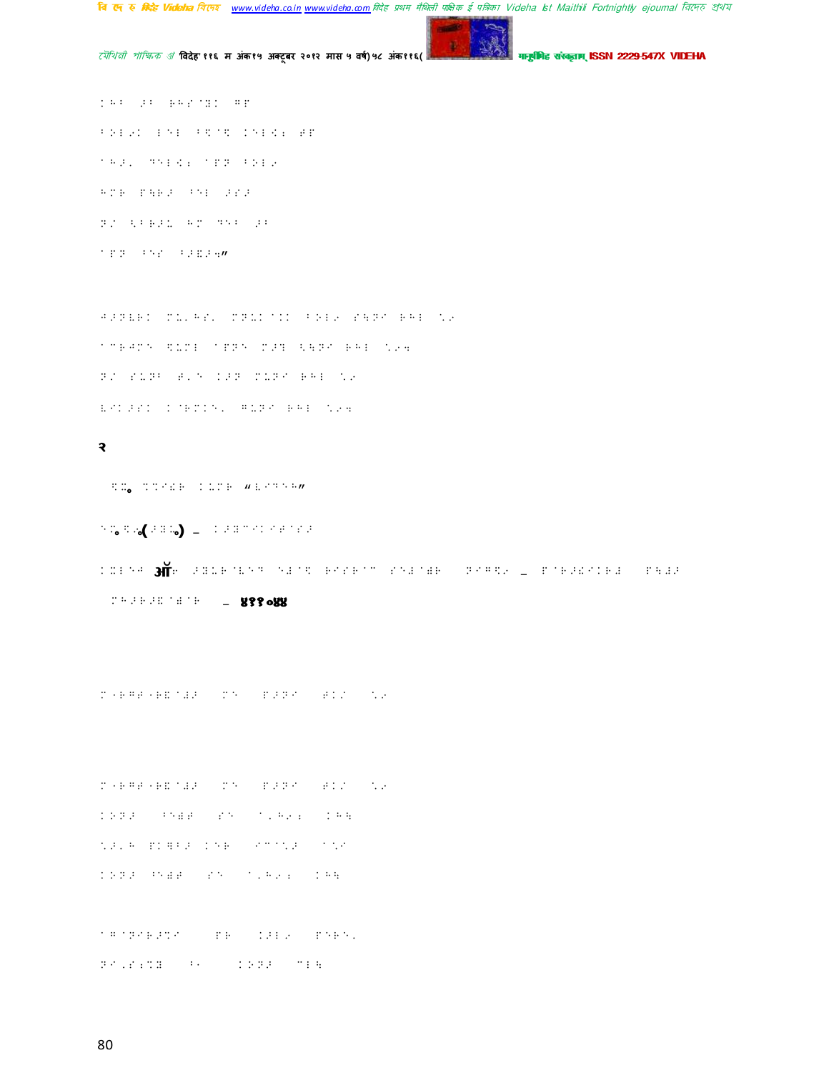ट्येथिनी शांक्षिक श्री विदेह' ११६ म अंक१५ अक्टूबर २०१२ मास ५ वर्ष) ५८ अंक११६(

मानुमिह संस्कृतम् ISSN 2229-547X VIDEHA

car ar angles ar FRENCH NEUFRONT INERES BE TRACTORS ENTERTAINMENT ATE THE CONFIDER BUT AFRICA AT THE CIT  $\mathcal{F}(\mathbf{p},\mathbf{p}) = \mathcal{F}(\mathcal{F}_{\mathbf{p}}) = \mathcal{F}(\mathcal{F}_{\mathbf{p}},\mathcal{F}_{\mathbf{p},\mathbf{p}})$ 

APPEAR TO LARGE TREE TO SAME FARM ARE TO TERRENTENT TERN DUE KARA BABI NEW BU PLB RIN LER TIER RETUR avidai inacio especiente de

### $\mathbf{z}$

**STE. TIGGE INTE WESTER** 

 $\mathcal{H}^{\alpha}_{\mathbf{0}}(\mathbb{R}^d) \otimes \left( \mathcal{F}^{\alpha}_{\mathbf{0}}(\mathbb{R}^d) \right) \; \simeq \; \mathcal{H}^{\alpha}_{\mathbf{0}}(\mathbb{R}^d) \otimes \mathcal{H}^{\alpha}_{\mathbf{0}}(\mathbb{R}^d) \otimes \mathcal{H}^{\alpha}_{\mathbf{0}}(\mathbb{R}^d)$ 

corse año decembra sensano aserto espresiones presentidos especies. Especi **MARGERS COMPANY - 888.988** 

comme enclase consideration about the

completed that is consistent to account the 1999年 - 中国語書 「学生」 こうみんまつ 1998 NAVAL EDERAL DARK CAMINA CONNA code maar an interactional

TRIPPERTY TERRITORIAL ENEN. december of the state of the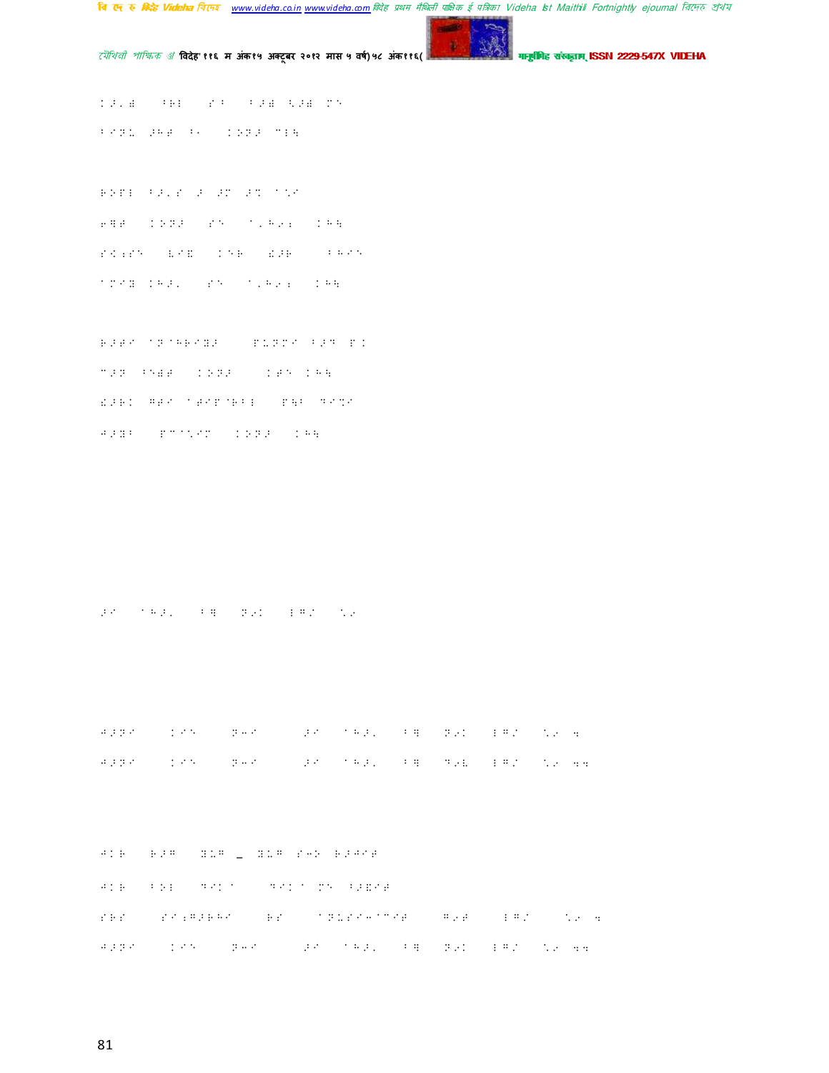ट्येथिती शाश्क्रिक औ विदेह' ११६ म अंक१५ अक्टूबर २०१२ मास ५ वर्ष) ५८ अंक११६(

मानुमिह संस्कृतम् ISSN 2229-547X VIDEHA

TO LACK THE CONTROL FOR SACRA TAX a kali ang sala sa pagal man

abaa (Falan anaan din 15k BRACK DORP CROSS CONSULTING PRINT ERE TORE TERR TO PROV TERM CRAIN SENSITIVES CONTROL

adam nanaakad ( ababk kas ad mad (FNBA) (1903) (1985)1991 adet men nennessa (men mind)  $\mathcal{A}(\mathcal{G},\mathcal{G},\mathcal{G})=\mathcal{I}(\mathcal{G},\mathcal{G},\mathcal{G},\mathcal{G})=\mathcal{I}(\mathcal{G},\mathcal{G},\mathcal{G})=\mathcal{I}(\mathcal{G},\mathcal{G})$ 

法院 こうきょう 三大事 (の)よび (主事の) ない

神法学校 こうこうかん こう学習や こうこうきかい 内容法定 こうちゅう 学会的に 生果の こうかんしゅ ang wasan ing ○ まめ シング # まい シング # 300 **Controller** 中国 三十円的

aggan in gashi

Ata (administration) and available and At British Band Mill Street Street Street s and experimental state of power models in evaluate and substitution 学生的人 ○ 1988年 日本語の「日本語」の解説、「中国」の提案、「主席之」の1998年  $\mu$  parameters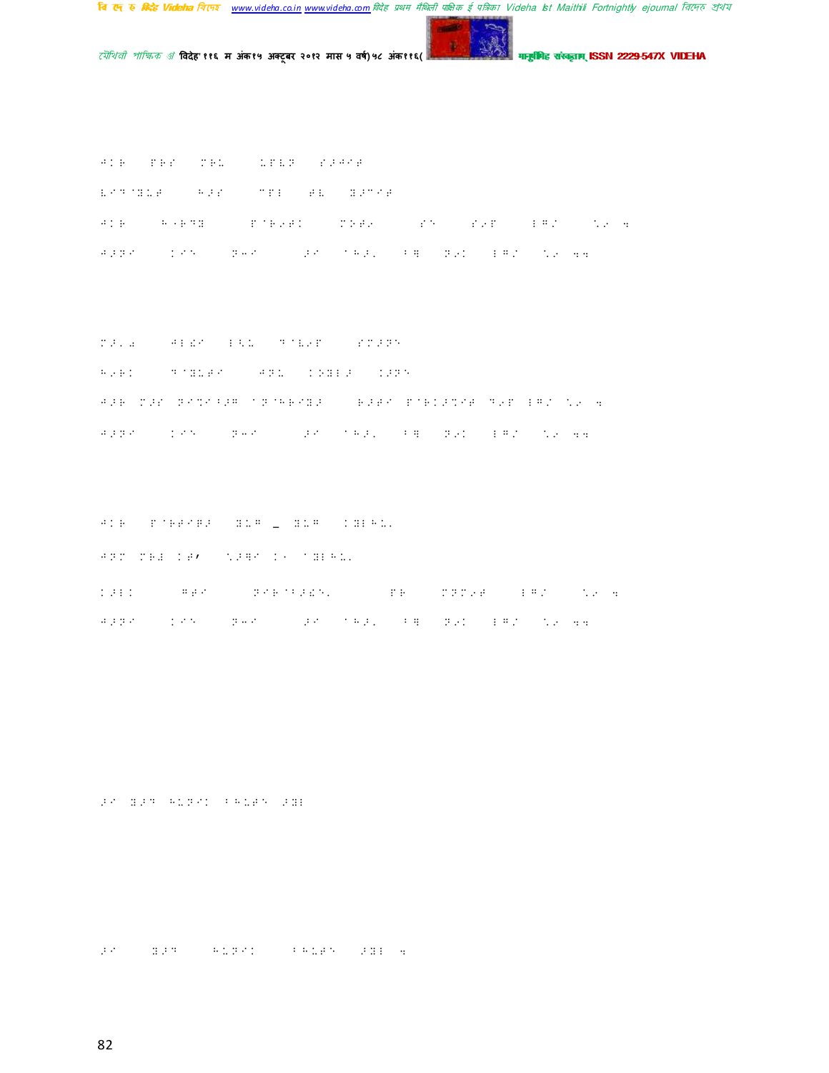ट्येथिती शाश्किक औ विदेह' ११६ म अंक१५ अक्टूबर २०१२ मास ५ वर्ष) ५८ अंक११६(

। गानुसीरेह संस्कृतम् ISSN 2229-547X VIDEHA

ATE TES TEL LIBER STREAM avander socker men en derve Adaptive Asama (1991) and asam in the Asia (1992) in the Asam in the Asam in the Asam in agency provides an experience agency and consider a manufacturing

relationship and the second service and pro-ASED CONTENSO CAPE CONFERED DRAW A 24 ST 22 STRATEGIE ST. 2014 EVERY ST. ER 22 ASSEMBLE 2014 EST 2015 ER 2015 A 2014 ※2008年に、「本来など、「中央名」に「一度名」に作用されていき用いてのおおいて主用の「一方区」等等。

 $\mathcal{A}(\mathbb{C}(\mathbb{R}^d)) = \mathbb{C}(\mathbb{C}(\mathbb{R}(\mathbb{R}^d \times \mathbb{R}(\mathbb{R}^d))) \cap \mathbb{C}(\mathbb{R}(\mathbb{R}^d)) \subseteq \mathbb{C}(\mathbb{C}(\mathbb{R}(\mathbb{R}^d))) \cap \mathbb{C}(\mathbb{C}(\mathbb{R}(\mathbb{R}^d)))$ REPORTED THAN INVESTIGATION CONFIDENTI 1941年に、「日本語の「日本語」を提案されますが、「日本語」を提案していてはないます。 日本語 こうかいしゅ ● 2008年 - 2018年 - 2019年 - 2019年 - 2019年 - 2019年 - 2019年 - 2019年 - 2019年 - 2019年 - 2019年 - 2019年 - 2019年 - 2019年

Sakingan Abakt (FAbak ada

de la digital especie español digital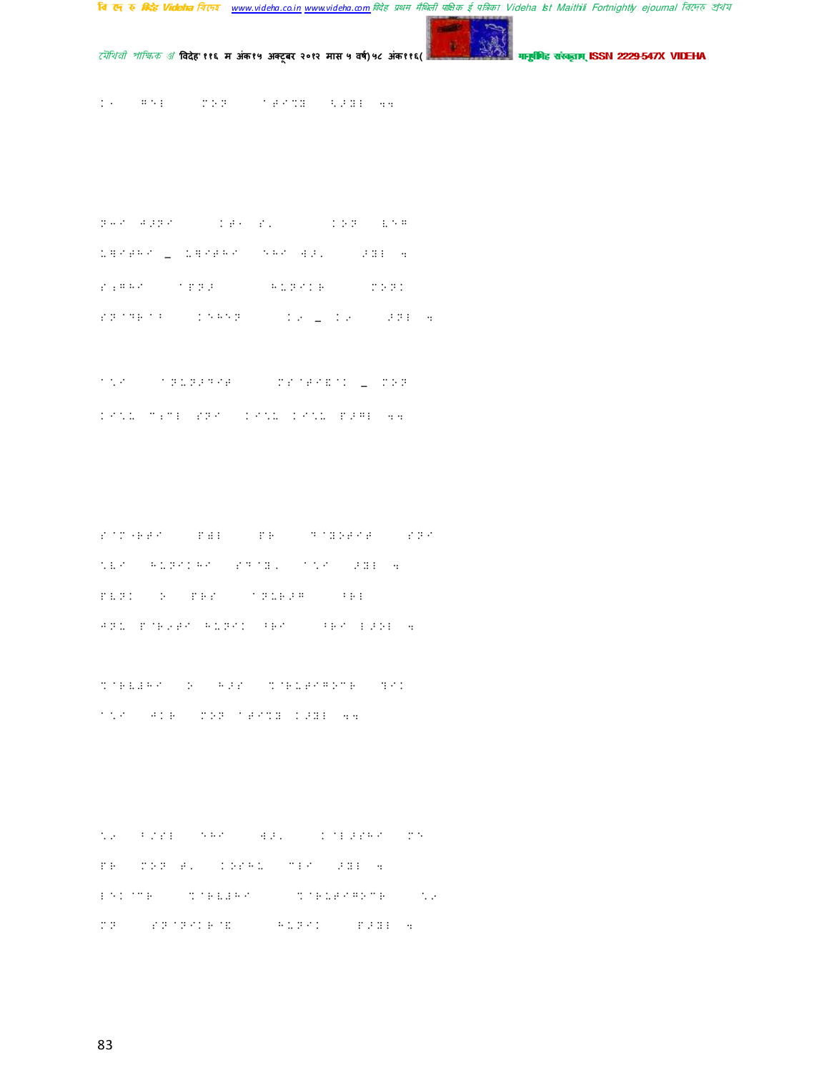ट्येथिती शास्त्रिक अं विदेह' ११६ म अंक१५ अक्टूबर २०१२ मास ५ वर्ष) ५८ अंक११६(

मानुभीहि संस्कृतम् ISSN 2229-547X VIDEHA

TRIP #NEW TOP CONFIDENTIAL REPORT

# des addes l'alles de l'alles de la partide de  $\mathbb{E}[\mathcal{A} \otimes \mathcal{A} \otimes \mathcal{A}^{\vee}] = \mathbb{E}[\mathcal{A} \otimes \mathcal{A} \otimes \mathcal{A}^{\vee}] = \mathbb{E}[\mathcal{A} \otimes \mathcal{A}^{\vee}] = \mathbb{E}[\mathcal{A} \otimes \mathcal{A}^{\vee}] = \mathbb{E}[\mathcal{A} \otimes \mathcal{A}^{\vee}] = \mathbb{E}[\mathcal{A} \otimes \mathcal{A}^{\vee}] = \mathbb{E}[\mathcal{A} \otimes \mathcal{A}^{\vee}] = \mathbb{E}[\mathcal{A} \$ RABBA CONTRACTO CONSTRUCTION TEACH

WESTERN PROVIDED AND LODGED AND RELEASED

move in possesse in paragety \_ pas-

detti mama adecuaretti ietti adeaa aa-

and deep contraction are contracted as a large ABAN PEDECAN SERIES SANCTORES TERIOR TELL TRANSPORTED PERSON Add for the art of the theory of the second state of

## mine a a Richmond (1992) in the painternal of the paint mine are crop making room as

A 2010 FOREST ARREST REPLACED TO TERRA PLATS. me post all comes men stations a voltime in compressed by compressed were allowed. TROOP REPORTED TO ALEXANDED PAGE ON

83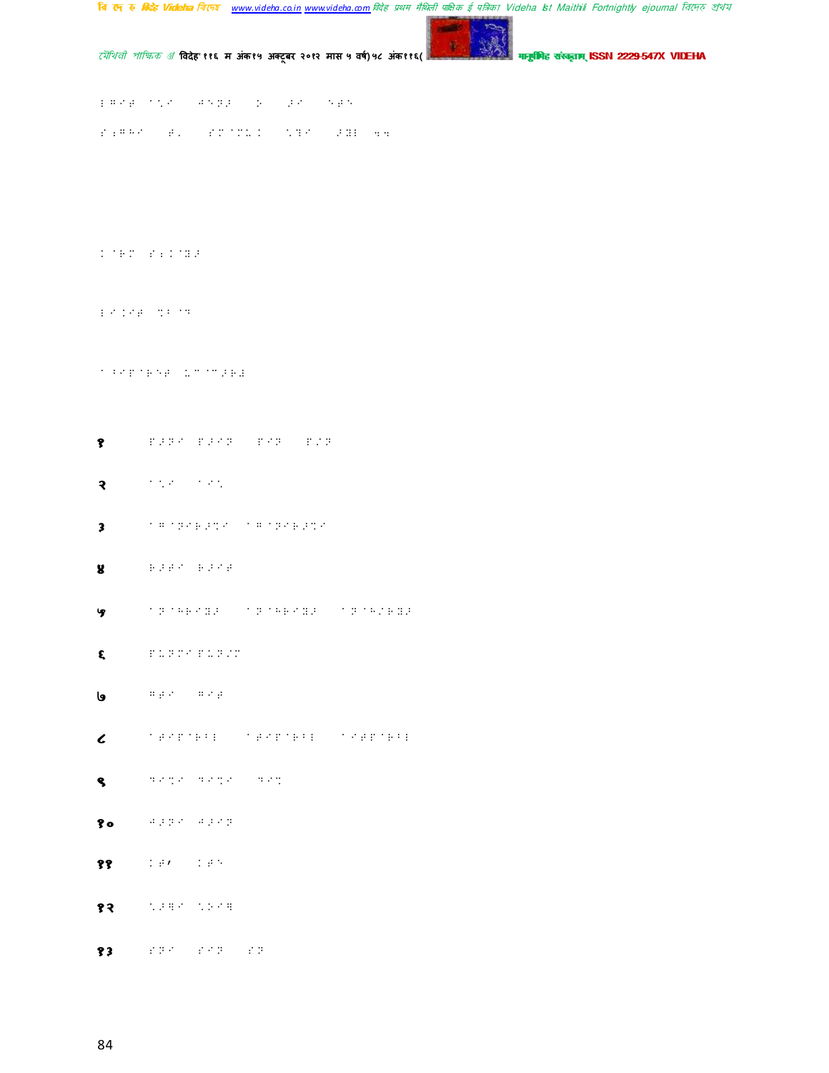$20 -$ 

*त्रीशिती পাफ़िक अ*विदेह'११६ म अंक१५ अक्टूबर २०१२ मास ५ वर्ष)५८ अंक११६( सालामह संस्कृतिक संस्कृतम् ISSN 2229-547X VIDEHA

2⢻⢾!⣁!!⢺⢽⢼!!⢵!!⢼!!⢾-!

"  $T^*$  = 0.000  $T^*$  = 0.000  $T^*$  = 0.000  $T^*$  = 0.000  $T^*$ 

⢷!"⣐⣈⣝⢼!

2⣈⢾!⣉⢹!

⢸'⢷⢾!⣅//⢼⢷⣜!

 ${}$ 

२  $^{\circ}$   $^{\circ}$   $^{\circ}$   $^{\circ}$   $^{\circ}$   $^{\circ}$   $^{\circ}$   $^{\circ}$   $^{\circ}$   $^{\circ}$   $^{\circ}$   $^{\circ}$   $^{\circ}$   $^{\circ}$   $^{\circ}$   $^{\circ}$   $^{\circ}$   $^{\circ}$   $^{\circ}$   $^{\circ}$   $^{\circ}$   $^{\circ}$   $^{\circ}$   $^{\circ}$   $^{\circ}$   $^{\circ}$   $^{\circ}$   $^{\circ}$   $^{\circ}$   $^{\circ}$   $^{\circ}$ 

3 a which is the state and constant of

४ ⢷⢼⢾!⢷⢼⢾!

५ ⢽⢳⢷⣝⢼! ⢽⢳⢷⣝⢼-!⢽⢳#⢷⣝⢼!

 $\xi$  's a substantial probability

७ ⢻⢾! ⢻⢾!

८ ⢾'⢷2! ⢾'⢷2-!⢾'⢷2!

S and an architecture of the control

80 approached

११ ⢾'! ⢾!

१२ १ % जाते होते ह

१३ "⢽! "⢽-!"⢽!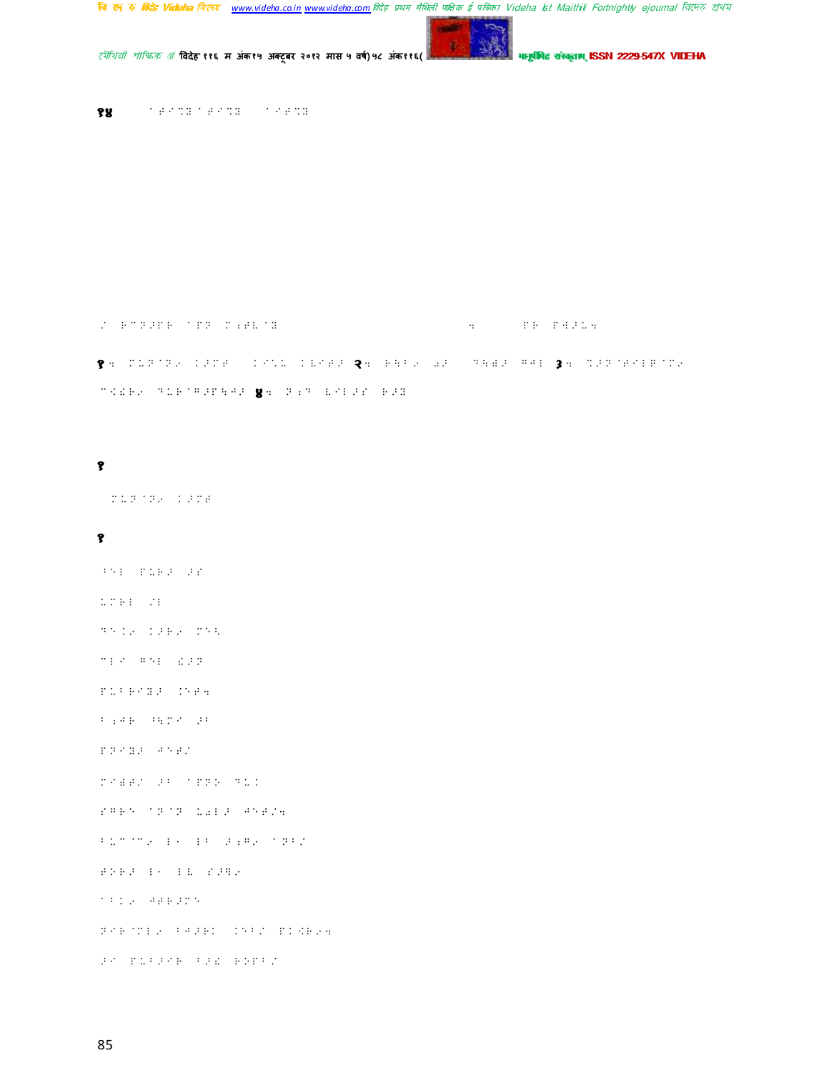*त्रीशिती পাफ़िक अ*विदेह'११६ म अंक१५ अक्टूबर २०१२ मास ५ वर्ष)५८ अंक११६( सालामह संस्कृतिक संस्कृतम् ISSN 2229-547X VIDEHA

१४ ⢾⣉⣝!⢾⣉⣝-!⢾⣉⣝!

#!⢷/⢽⢼'⢷!'⢽!⣐⢾⣇⣝!hhbkfoesbAwjefib⣒dpn!'⢷!'⣚⢼⣅⣒!!

१⣒!⣅⢽⢽⢴!⢼⢾.!⣁⣅!⣇⢾⢼!२⣒!⢷⣓⢴!⣔⢼.!⢹⣓⣞⢼!⢻⢺2!३⣒!⣉⢼⢽⢾2⢿⢴!

/⣊⣎⢷⢴.⢹⣅⢷⢻⢼'⣓⢺⢼!४⣒!⢽⣐⢹!⣇2⢼"!⢷⢼⣝!

#### १

!⣅⢽⢽⢴!⢼⢾!

### १

⢸2!'⣅⢷⢼!⢼"! ⣅⢷2!#2! ⢹⣈⢴!⢼⢷⢴!⣃! /2!⢻2!⣎⢼⢽! '⣅⢷⣝⢼!⣈⢾⣒! ⣐⢺⢷!⢸⣓!⢼! '⢽⣝⢼!⢺⢾#! ⣞⢾#!⢼!'⢽⢵!⢹⣅⣈! "⢻⢷!⢽⢽!⣅⣔2⢼!⢺⢾#⣒! ⣅//⢴!2g!2!⢼⣐⢻⢴!⢽#! ⢾⢵⢷⢼!2g!2⣇!"⢼⣛⢴! ⢴!⢺⢾⢷⢼! ⢽⢷2⢴!⢺⢼⢷!⣈#!'⣊⢷⢴⣒! ⢼!'⣅⢼⢷!⢼⣎!⢷⢵'#!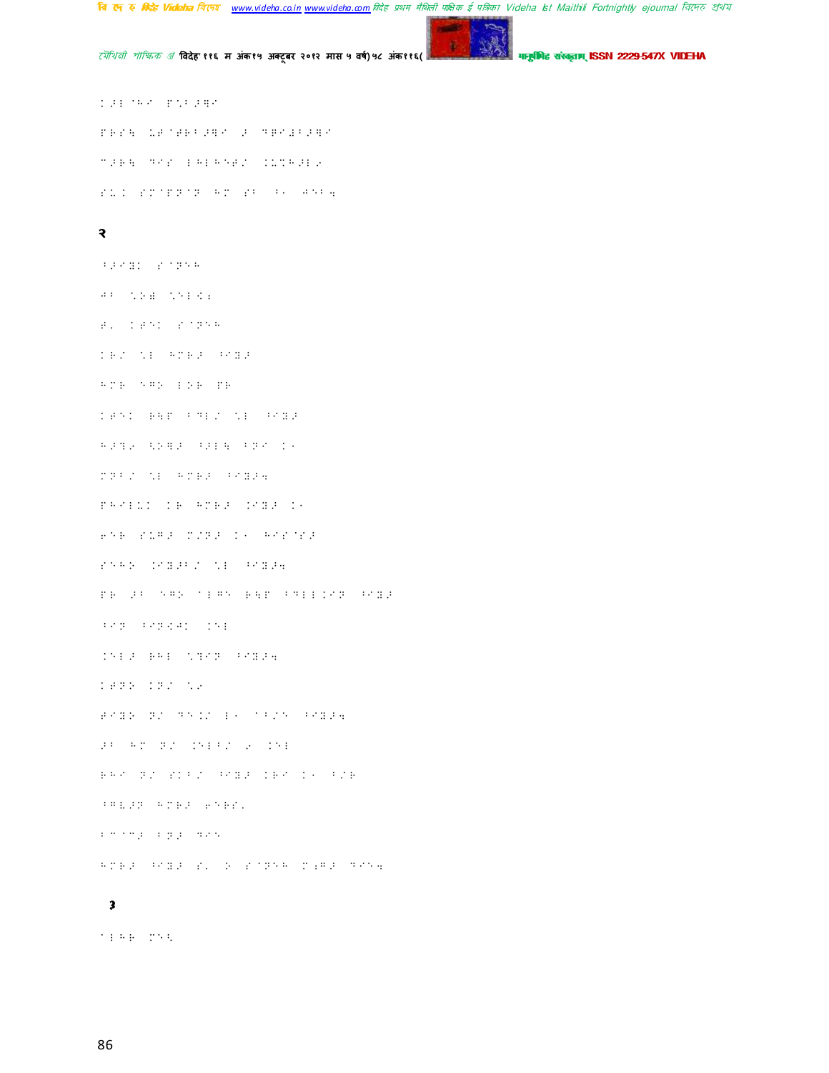ट्येथिती शांक्षिक अं विदेह' ११६ म अंक१५ अक्टूबर २०१२ मास ५ वर्ष) ५८ अंक११६(

मानुमिह संस्कृतम् ISSN 2229-547X VIDEHA

comment and paint TERR CAMPAGNA COMPOSIDAD make may alkelerate compass. PEC PETERNAL AD PROVINCIANA

#### $\mathbf{z}$

agency space al cast and a TEZ SE POBR PROF  $\mathcal{H}(T,\mathbb{R})=\mathcal{H}(T,\mathbb{R})\oplus\mathcal{H}(T,\mathbb{R})\oplus\mathcal{H}(T,\mathbb{R}).$ TANT BAR FRED NE PROP TERM NE PORF PROPER PARTICULAR ATES (1883-19) ANE POPE DIRECTOR PROTECT RARA CREAR CONFORMERS ra di ses nava asaran ina provincia  $\{1,2,3,4,5,6,7,8,8,1,6,1,8,4\}$ THE POINT COMPOSITION 1999-192-193 available average average strategies  $\mathcal{F}^{\frac{1}{2}} = \mathcal{F}^{\frac{1}{2}} \mathcal{F}^{\frac{1}{2}} = \mathcal{F}^{\frac{1}{2}} \mathcal{F}^{\frac{1}{2}} = \mathcal{F}^{\frac{1}{2}} \mathcal{F}^{\frac{1}{2}} = \mathcal{F}^{\frac{1}{2}} \mathcal{F}^{\frac{1}{2}} = \mathcal{F}^{\frac{1}{2}} \mathcal{F}^{\frac{1}{2}} = \mathcal{F}^{\frac{1}{2}} \mathcal{F}^{\frac{1}{2}} = \mathcal{F}^{\frac{1}{2}} \mathcal{F}^{\frac{1}{2}} = \math$ BAR BOSTED PORT DECIDED  $\mathbb{E}[\theta^{(1)}\theta^{(2)}\theta^{(1)}] = \mathbb{E}[\theta^{(1)}\theta^{(1)}\theta^{(2)}\theta^{(1)}]$ Arabi Hodia (2) S Portame ruad momen

#### $\overline{\mathbf{3}}$

大王并非 的复数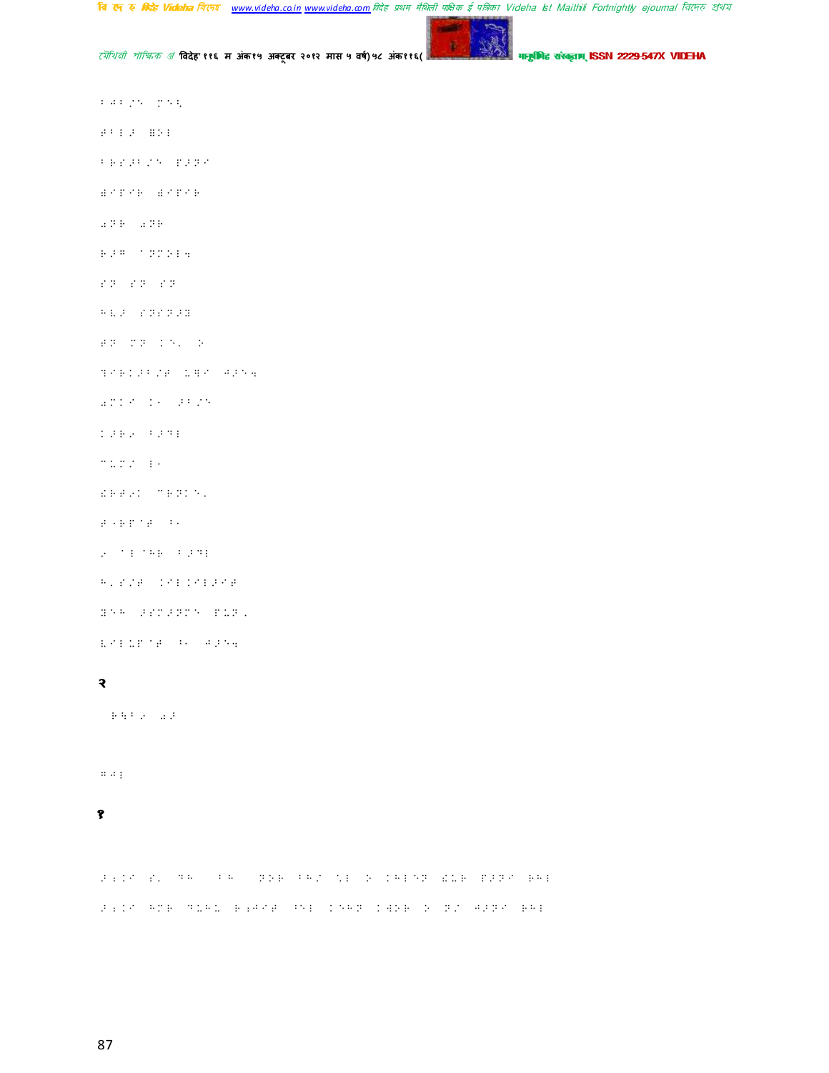$\mathcal{H}$  and  $\mathcal{H}$  are  $\mathcal{H}$  . Then  $\mathcal{H}$ 

⢾2⢼!⣟⢵2!

⢷"⢼#!'⢼⢽!

⣞'⢷.⣞'⢷!

⣔⢽⢷.⣔⢽⢷!

⢷⢼⢻!⢽⢵2⣒!

"⢽."⢽."⢽!

⢳⣇⢼!"⢽"⢽⢼⣝!

⢾⢽.⢽!C!⢵!

⣙⢷⢼#⢾!⣅⣛!⢺⢼⣒!

and a line as the

⢼⢷⢴!⢼⢹2!

/⣅#!2g!

⣎⢷⢾⢴!/⢷⢽C!

⢾?⢷'⢾!⢸g!

⢴!2⢳⢷!⢼⢹2!

⢳C"#⢾!⣈2⣈2⢼⢾!

⣝⢳!⢼"⢼⢽!'⣅⢽⣀!

⣇2⣅'⢾!⢸g!⢺⢼⣒!

#### २

!⢷⣓⢴!⣔⢼!

#### $\left\langle \begin{array}{c} 2.7 \\ 2.7 \end{array} \right\rangle$

१

⢼⣐⣈!"C!⢹⢳t!⢳t!⢽⢵⢷!⢳#!⣁2!⢵!⢳2⢽!⣎⣅⢷!'⢼⢽!⢷⢳2!! ⢼⣐⣈!⢳⢷!⢹⣅⢳⣅!⢷⣐⢺⢾!⢸2!⢳⢽!⣚⢵⢷!⢵!⢽#!⢺⢼⢽!⢷⢳2!!

87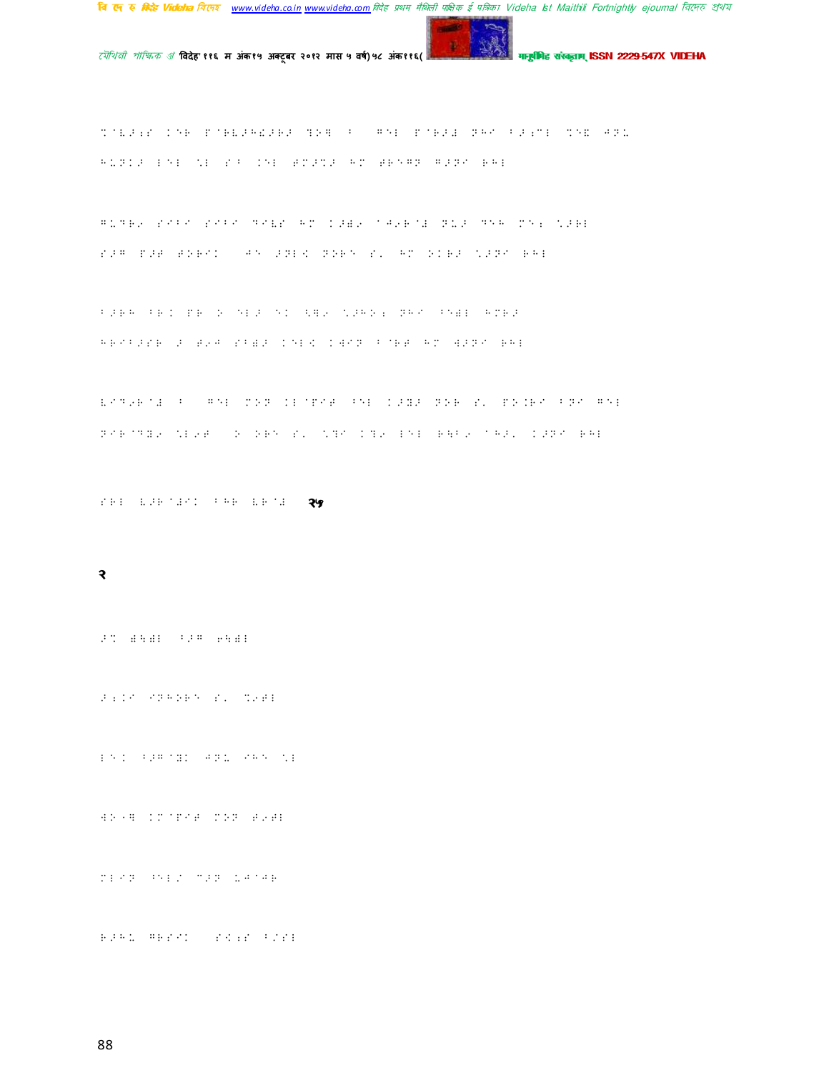ट्येरिनी शांक्षिक अं विदेह' ११६ म अंक१५ अक्टूबर २०१२ मास ५ वर्ष) ५८ अंक११६(

गानुभिंह संस्कृतम् ISSN 2229-547X VIDEHA

CONSIGNO CORPORATE EGGA EGGA CONSIGNATION CONSIGNATION CONTRACTOR ECONOMICATION ALSIS ENE NE YA TINE WOULD AT WANTS TO SAY AN

ROBBS SARA SARA PALE PAD COBS CARBOS ROSA PAR CASE OS With the exercit and the power will be stated through

FORESTER CORE STORES ON TRANSPORTED PER TRANSPORTED A BRITAIN DE CASA CONTABULIONAL DE CARDIO POR ACTIVIDAD CONTABILI

EVANDA NE CARCIO AND CONDICE NORMALIANE COURDATION OF CONTRACTOR AND ARREST 法对审计基本人的主义是一个是一定是在一定公司的理论的工作是一定在美国重新投入了中央公司工作基本的重新主

STEEL EVENTUATION FEE EEN ALL 24

 $\mathbf{z}$ 

37 858 775 9581

END FRANCE ARE WANTED

HERRICO TESA CORPORARE

care inaccurate server

BURG PERMIT RANK FORE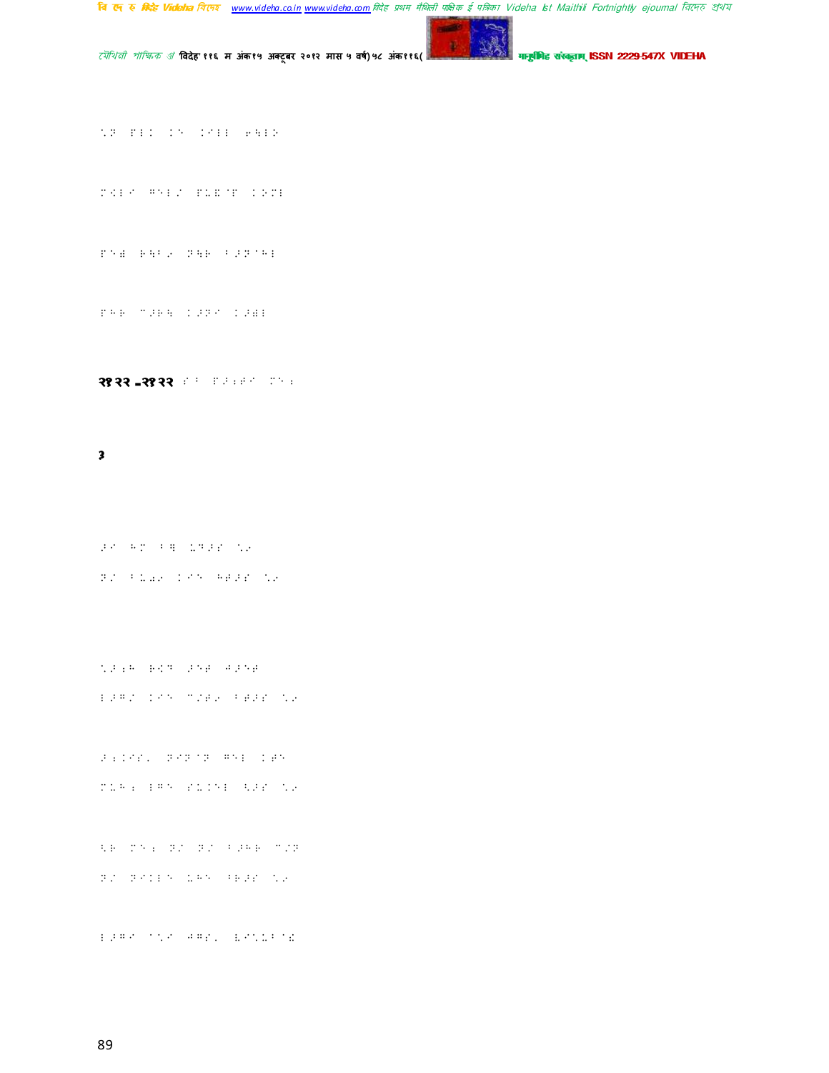⣁⢽!'2!!⣈22!⢶⣓2⢵!!

⣊2!⢻2#!'⣅⣏'!⢵2!!

'⣞!⢷⣓⢴!⢽⣓⢷!⢼⢽⢳2!!

'⢳⢷!/⢼⢷⣓!⢼⢽!⢼⣞2!!

२१२२ -२१२२ वर्ष मानवार केला प्राप्त

#### ३

⢼!⢳!⣛!⣅⢹⢼"!⣁⢴! ⢽#!⣅⣔⢴!!⢳⢾⢼"!⣁⢴!

⣁⢼⣐⢳!⢷⣊⢹!⢼⢾!⢺⢼⢾!! 2⢼⢻#!!/#⢾⢴!⢾⢼"!⣁⢴!

⢼⣐⣈"C!⢽⢽⢽!⢻2!⢾! ⣅⢳⣐!2⢻!"⣅⣈2!⣃⢼"!⣁⢴!!

⣃⢷!⣐!⢽#!⢽#!⢼⢳⢷!/#⢽!!

⢽#!⢽2!⣅⢳!⢸⢷⢼"!⣁⢴!!

2⢼⢻!⣁!⢺⢻"C!⣇⣁⣅⣎!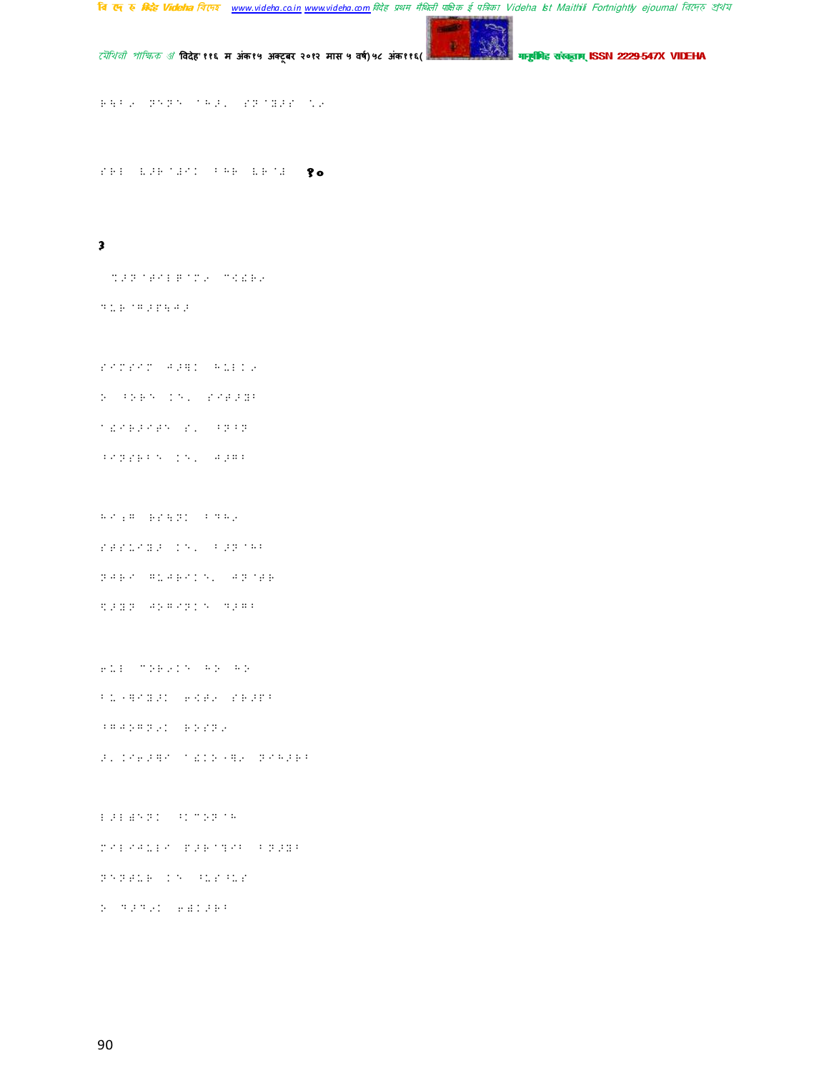⢷⣓⢴!⢽⢽!⢳⢼C!"⢽⣝⢼"!⣁⢴!!

YEE EVENESS THE EENS . ?

### ३

!⣉⢼⢽⢾2⢿⢴!/⣊⣎⢷⢴!

⢹⣅⢷⢻⢼'⣓⢺⢼!

""!⢺⢼⣛!⢳⣅2⢴!

⢵!⢸⢵⢷!C!"⢾⢼⣝!

⣎⢷⢼⢾!"C!⢸⢽⢸⢽!

⢸⢽"⢷!C!⢺⢼⢻!

⢳⣐⢻!⢷"⣓⢽!⢹⢳⢴!

"⢾"⣅⣝⢼!C!⢼⢽⢳!

⢽⢺⢷.⢻⣅⢺⢷C!⢺⢽⢾⢷! ⣋⢼⣝⢽.⢺⢵⢻⢽!⢹⢼⢻!

⢶⣅2!/⢵⢷⢴!⢳⢵.⢳⢵!

⣅?⣛⣝⢼!⢶⣊⢾⢴!"⢷⢼'! ⢸⢻⢺⢵⢻⢽⢴!⢷⢵"⢽⢴! ⢼C⣈⢶⢼⣛!⣎⢵?⣛⢴!⢽⢳⢼⢷!

2⢼2⣞⢽!⢸/⢵⢽⢳! 2⢺⣅2!'⢼⢷⣙!⢽⢼⣝! ⢽⢽⢾⣅⢷!!⢸⣅"⢸⣅"! ⢵!⢹⢼⢹⢴!⢶⣞⢼⢷!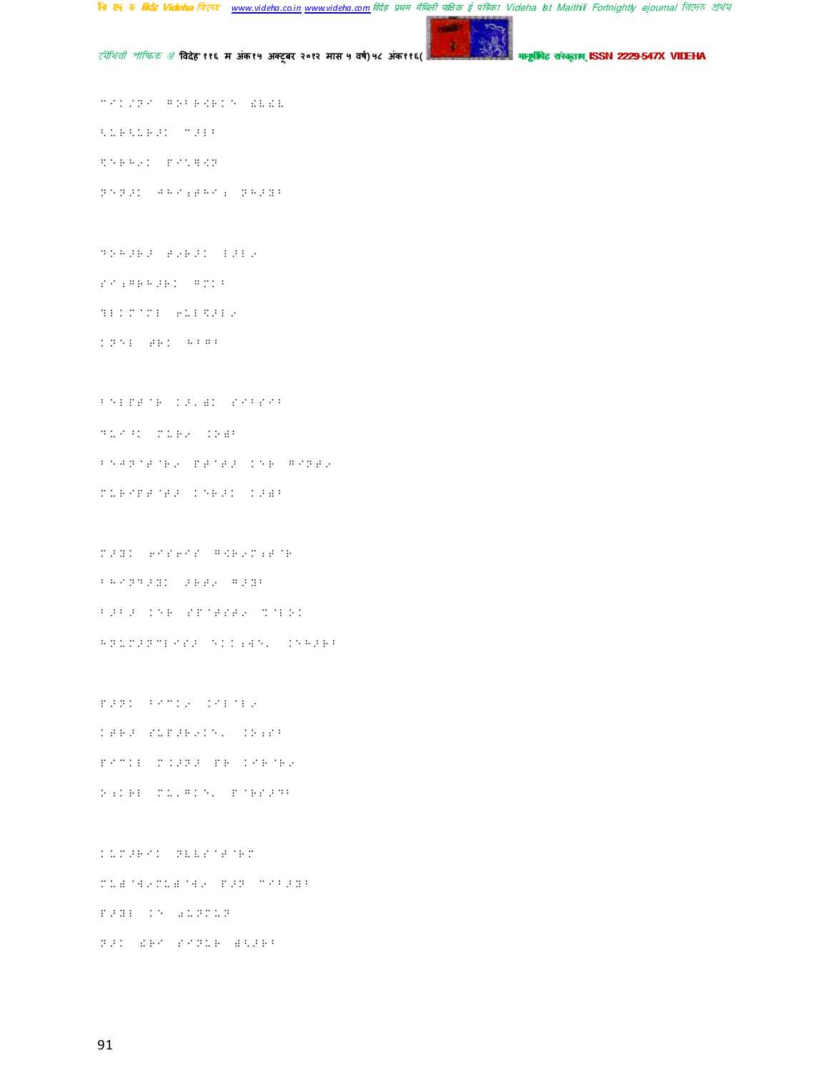*त्रीशिती পাफ़िक अ*विदेह'११६ म अंक१५ अक्टूबर २०१२ मास ५ वर्ष)५८ अंक११६( सालामह संस्कृतिक संस्कृतम् ISSN 2229-547X VIDEHA

/#⢽.⢻⢵⢷⣊⢷!⣎⣇⣎⣇! ⣃⣅⢷⣃⣅⢷⢼!/⢼2!

⣋⢷⢳⢴!'⣁⣛⣊⢽! ⢽⢽⢼!⢺⢳⣐⢾⢳⣐!⢽⢳⢼⣝!

⢹⢵⢳⢼⢷⢼!⢾⢴⢷⢼!2⢼2⢴!

"⣐⢻⢷⢳⢼⢷!⢻!

⣙22!⢶⣅2⣋⢼2⢴!

⢽2.⢾⢷!⢳⢻!

2'⢾⢷!⢼C⣞!""! ⢹⣅⢸!⣅⢷⢴!⣈⢵⣞! ⢺⢽⢾⢷⢴!'⢾⢾⢼!⢷!⢻⢽⢾⢴! ⣅⢷'⢾⢾⢼!⢷⢼!⢼⣞!

⢼⣝!⢶"⢶"!⢻⣊⢷⢴⣐⢾⢷! ⢳⢽⢹⢼⣝!⢼⢷⢾⢴!⢻⢼⣝! ⢼⢼!⢷!"'⢾"⢾⢴!⣉2⢵! ⢳⢽⣅⢼⢽/2"⢼!⣐⣚C!⣈⢳⢼⢷!

'⢼⢽!/⢴!⣈22⢴! ⢾⢷⢼!"⣅'⢼⢷⢴C!⣈⢵⣐"! '/2!⣈⢼⢽⢼!'⢷!⢷⢷⢴! ⢵⣐⢷2!⣅C⢻C!'⢷"⢼⢹!

⣅⢼⢷!⢽⣇⣇"⢾⢷! ⣅⣞⣚⢴⣅⣞⣚⢴!'⢼⢽!/⢼⣝! '⢼⣝2!!⣔⣅⢽⣅⢽! ⢽⢼!⣎⢷!"⢽⣅⢷!⣞⣃⢼⢷!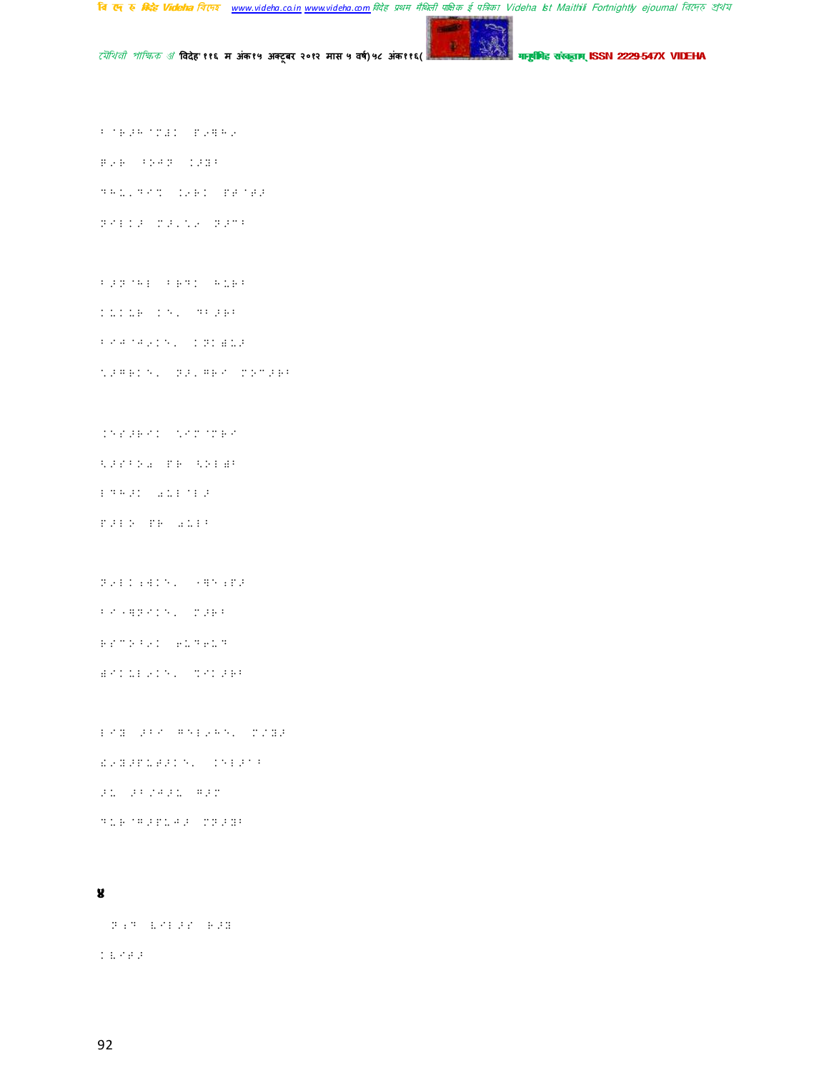⢷⢼⢳⣜!'⢴⣛⢳⢴!

⢿⢴⢷.⢸⢵⢺⢽!⣈⢼⣝! ⢹⢳⣅C⢹⣉!⣈⢴⢷!'⢾⢾⢼! ⢽2⢼.⢼C⣁⢴!⢽⢼/!

⢼⢽⢳2!⢷⢹!⢳⣅⢷!

⣅⣅⢷!C!⢹⢼⢷!

⢺⢺⢴C!⢽⣞⣅⢼!

⣁⢼⢻⢷C!⢽⢼C⢻⢷!⢵/⢼⢷!

⣈"⢼⢷!⣁⢷!

⣃⢼"⢵⣔!'⢷!⣃⢵2⣞!

2⢹⢳⢼!⣔⣅22⢼!

'⢼2⢵!'⢷!⣔⣅2!

⢽⢴2⣐⣚C!?⣛⣐'⢼!! ?⣛⢽C!⢼⢷! ⢷"/⢵⢸⢴!⢶⣅⢹⢶⣅⢹!

⣞⣅2⢴C!⣉⢼⢷!

2⣝!⢼!⢻2⢴⢳C!#⣝⢼! ⣎⢴⣝⢼'⣅⢾⢼C!⣈2⢼! ⢼⣅!⢼#⢺⢼⣅!⢻⢼! ⢹⣅⢷⢻⢼'⣅⢺⢼!⢽⢼⣝!

### ४

!⢽⣐⢹!⣇2⢼"!⢷⢼⣝! ⣇⢾⢼!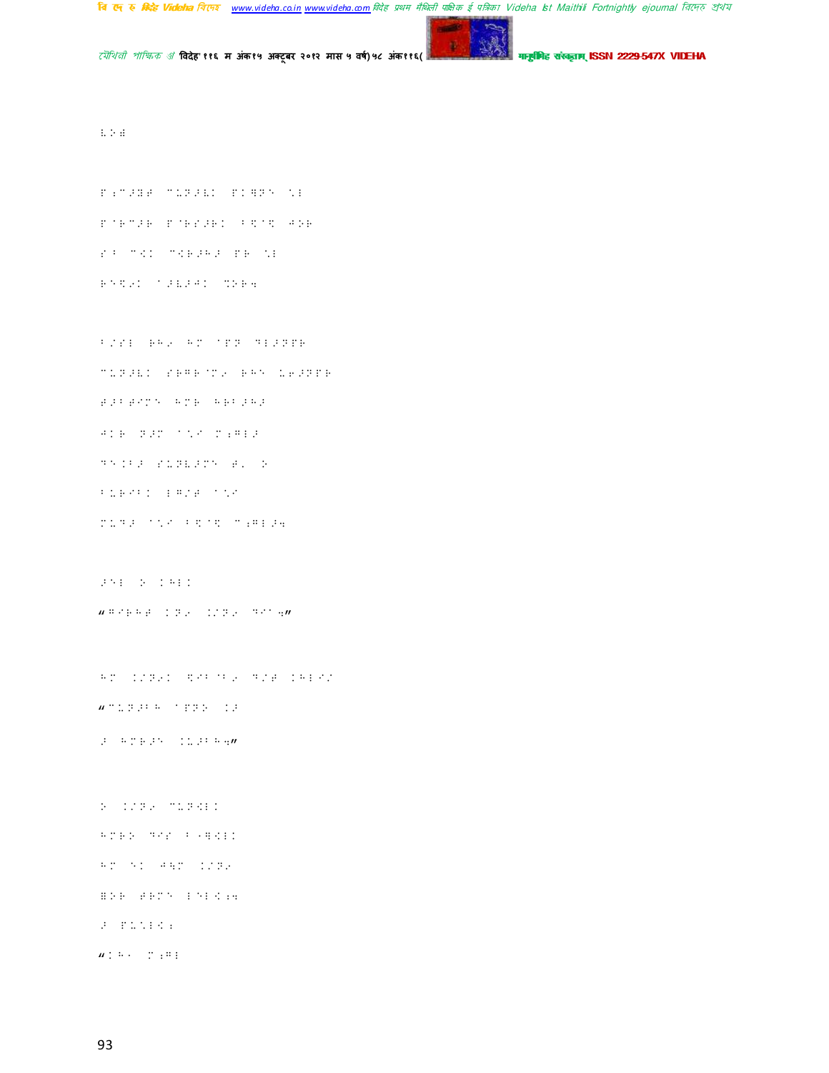⣇⢵⣞!

THE TABLE TO PART OF THE STATE '⢷/⢼⢷.'⢷"⢼⢷!⣋⣋!⢺⢵⢷! "Y PORT TRANSPORT ⢷⣋⢴!⢼⣇⢼⢺!⣉⢵⢷⣒!

#"2!⢷⢳⢴!⢳!'⢽!⢹2⢼⢽'⢷! /⣅⢽⢼⣇!"⢷⢻⢷⢴!⢷⢳!⣅⢶⢼⢽'⢷! ⢾⢼⢾!⢳⢷!⢳⢷⢼⢳⢼! ⢺⢷!⢽⢼!⣁!⣐⢻2⢼! ⢹⣈⢼."⣅⢽⣇⢼!⢾C!⢵!! ⣅⢷!2⢻#⢾!⣁! ⣅⢹⢼!⣁!⣋⣋!/⣐⢻2⢼⣒!

⢼2!⢵!⢳2.!! WHO END IS TO EXTRACT THE STATE OF THE STATE OF THE STATE OF THE STATE OF THE STATE OF THE STATE OF THE STATE OF THE STATE OF THE STATE OF THE STATE OF THE STATE OF THE STATE OF THE STATE OF THE STATE OF THE STATE OF THE S

⢳!⣈#⢽⢴!⣋⢴!⢹#⢾!⢳2#.! "/⣅⢽⢼⢳!'⢽⢵!⣈⢼!! ⢼!⢳⢷⢼!⣈⣅⢼⢳⣒"

⢵!⣈#⢽⢴!/⣅⢽⣊2! ⢳⢷⢵!⢹"!?⣛⣊2! ⢳!!⢺⣓!⣈#⢽⢴!! ⣟⢵⢷!⢾⢷!22⣊⣐⣒! ⢼!'⣅⣁2⣊⣐.!  $w$ (2)  $w$   $w$   $y$   $y$   $y$   $y$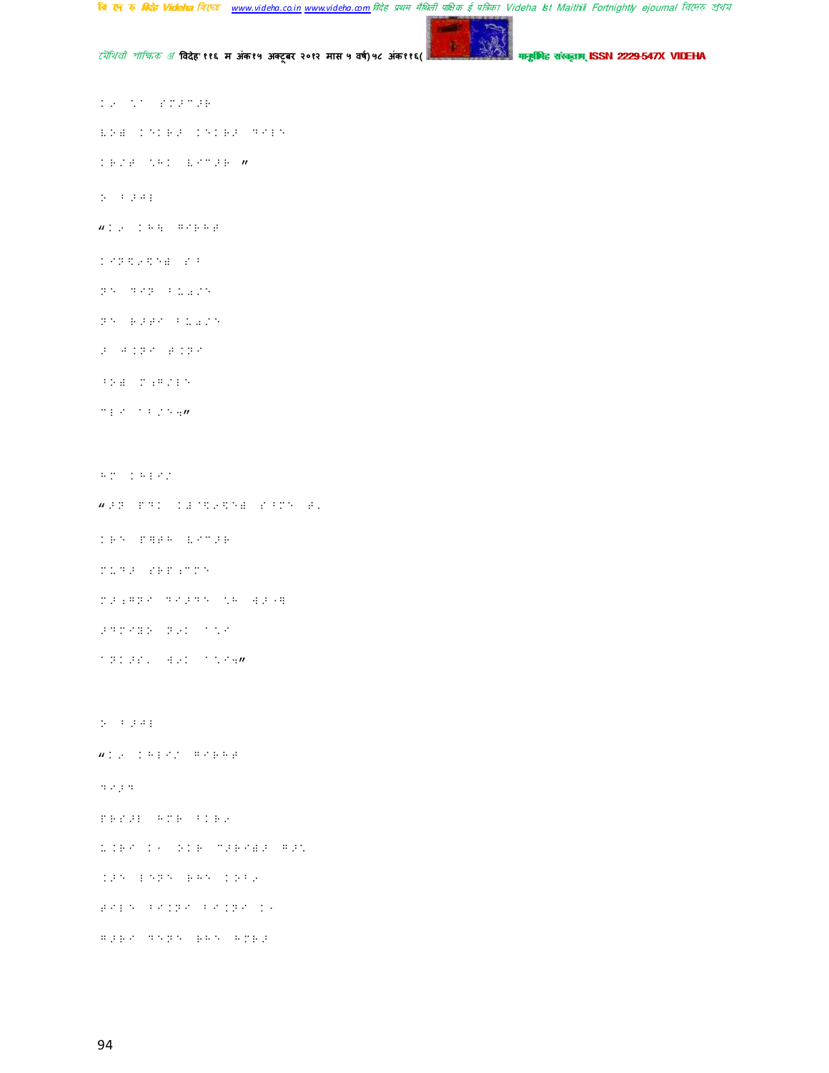⢴!⣁!"⢼/⢼⢷!

⣇⢵⣞!⢷⢼.⢷⢼!⢹2!!

 $\mathcal{L}$  #  $\mathcal{L}$  #  $\mathcal{L}$  ,  $\mathcal{L}$  =  $\mathcal{L}$  =  $\mathcal{L}$  +  $\mathcal{L}$ 

⢵!⢼⢺2.!

"⢴!⢳⣓!⢻⢷⢳⢾!

⢽⣋⢴⣋⣞!"⢸!

⢽!⢹⢽!⣅⣔#!!

⢽!⢷⢼⢾!⣅⣔#!

⢼!⢺⣈⢽.⢾⣈⢽!

⢸⢵⣞!⣐⢻#2!!

 $m_{\rm H}$  /2  $^{-1}$  and  $2.25$   $m_{\rm H}$ 

#### $\label{eq:4} \begin{split} \begin{array}{cccccccccc} \mathbf{1}_{1} & \mathbf{2}_{2} & \mathbf{1}_{3} & \mathbf{2}_{3} & \mathbf{2}_{4} & \mathbf{2}_{5} & \mathbf{2}_{6} & \mathbf{2}_{7} \end{array} \end{split}$

WHEN THE TREATMENT OF A

⢷!'⣛⢾⢳!⣇/⢼⢷!

⣅⢹⢼!"⢷'⣐/!!

⢼⣐⢻⢽!⢹⢼⢹!⣁⢳!⣚⢼?⣛!

⢼⢹⣝⢵!⢽⢴!⣁!

⢽⢼"C!⣚⢴!⣁⣒"

#### ⢵!⢼⢺2.!

"⢴!⢳2#!⢻⢷⢳⢾!

⢹⢼⢹@!

'⢷"⢼2!⢳⢷!⢷⢴!!

⣅⣈⢷!g!⢵⢷!/⢼⢷⣞⢼!⢻⢼⣁!

⣈⢼!2⢽!⢷⢳!⢵⢴!

⢾2!⣈⢽.⣈⢽!g!

⢻⢼⢷!⢹⢽!⢷⢳!⢳⢷⢼!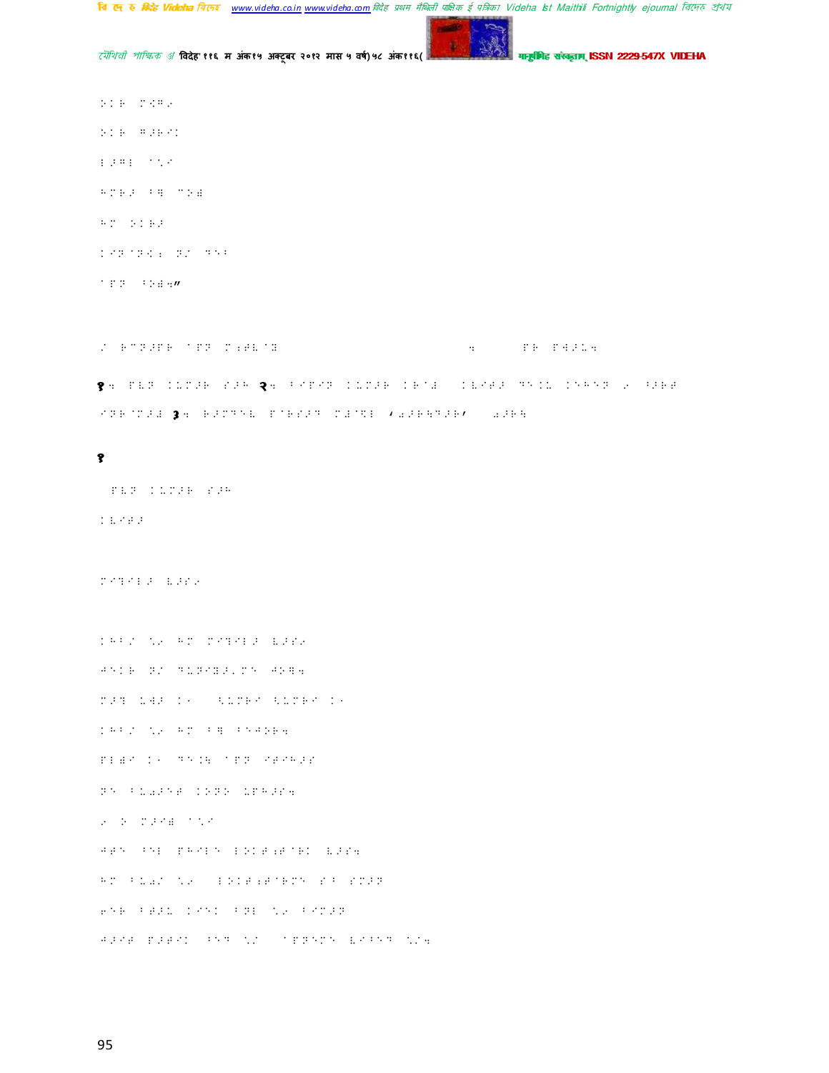ट्येरिती शाश्किक अं विदेह' ११६ म अंक१५ अक्टूबर २०१२ मास ५ वर्ष) ५८ अंक११६(

मानुमिह संस्कृतम् ISSN 2229-547X VIDEHA

Simple Champ

 $\mathcal{D}(\mathcal{I}, \mathcal{B}) = \mathcal{B}(\mathcal{I}, \mathcal{B}, \mathcal{B})$ 

主张电子 计图表

Aragona (mya

 $\mathbb{R}^n \subset \mathbb{R}^n \times \mathbb{R}^n$ 

proprieta de la ser

 $\mathcal{F}(\mathbb{P},\mathbb{P})=\mathbb{P}(\mathbb{P},\mathbb{P},\mathbb{P})$ 

CONTRAPPONENT CARLOS **Service Service Service Presidents** 

● 6 FER ISTRE FREE ● 6 FREEF ISTRE IETE | IERER FREIS INFREE 20 FREE KORPODAL SA PRADARE DOPRATO DE SE EN 2008 ATABA E ESPA

 $\mathbf{R}$ 

**TERMINIAN ROW** 

1929年3月

DRIVER SERVICE

THE 2005 FROM PRESENT BASE  $\mathcal{A}(\mathcal{N}) \oplus \mathcal{S}(\mathcal{M}) \oplus \mathcal{S}(\mathcal{M}) \oplus \mathcal{S}(\mathcal{M}) \oplus \mathcal{S}(\mathcal{M}) \oplus \mathcal{S}(\mathcal{M}) \oplus \mathcal{S}(\mathcal{M})$ TRE LARGE TO SELTER SELTER IN rian is more creditated SA PERSONAL SOCIETY Silver prevail in the Administration and administration A DISPOSAL CONTRACTOR ARE DESCRIPTION OF A DISPOSITION ANALOG ASSOCIATE PROVIDENCIAS Advancedent case of company avere of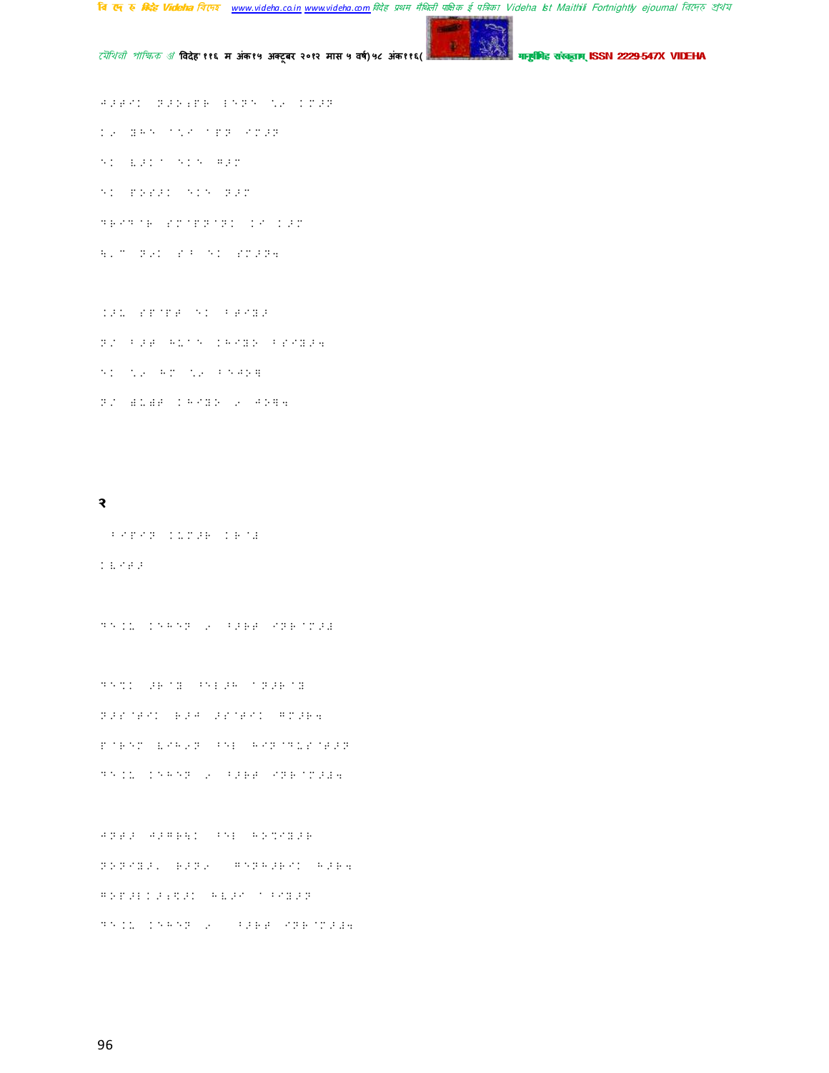ट्येथिती शांक्षिक अं विदेह' ११६ म अंक१५ अक्टूबर २०१२ मास ५ वर्ष) ५८ अंक११६(

मानुमिह संस्कृतम् ISSN 2229-547X VIDEHA

Adapt dubare and to those

TECHNOLOGY PERSON

NI ESITUNIN PED

NI POPIL NIN BAD

Service and president an

alm success of ensew

das Prime Nickens

der staat work tweep stakes

 $N(\mathbb{Z}) = N(\mathbb{Z})$  . A  $\mathbb{Z}^n = N(\mathbb{Z})$  , and  $N(\mathbb{Z}^n)$  is  $N(\mathbb{Z}^n)$ 

BU SELEP INVERSIVE PRAG

#### $\mathbf{z}$

 $\mathcal{A} = \mathcal{A} \oplus \mathcal{A} \oplus \mathcal{A} \oplus \mathcal{A} \oplus \mathcal{A} \oplus \mathcal{A} \oplus \mathcal{A} \oplus \mathcal{A} \oplus \mathcal{A} \oplus \mathcal{A}$ 工业产品中

HAIL INFNER PROFESSIONERS

 $\mathcal{R}(\mathcal{N},\mathcal{R},\mathcal{L})=\mathcal{R}(\mathcal{R}(\mathcal{R},\mathcal{R}))=\mathcal{R}(\mathcal{R}(\mathcal{R},\mathcal{R}))=\mathcal{R}(\mathcal{R}(\mathcal{R},\mathcal{R}))=\mathcal{R}(\mathcal{R}(\mathcal{R}))$ during an appearance of the public mine on called 2011 and concernments and distribution was a considerable consider

 $\mathcal{A}(\mathcal{G},\mathcal{G},\mathcal{G})=\mathcal{A}(\mathcal{G},\mathcal{G},\mathcal{G},\mathcal{G})=\mathcal{I}(\mathcal{H})=\mathcal{I}(\mathcal{G},\mathcal{G},\mathcal{G},\mathcal{G},\mathcal{G},\mathcal{G}).$  $\mathcal{B}(\mathcal{G},\mathcal{B},\mathcal{F},\mathcal{G},\mathcal{F}) = \mathcal{B}(\mathcal{F},\mathcal{B},\mathcal{F}) = \mathcal{B}(\mathcal{G},\mathcal{B},\mathcal{F},\mathcal{B},\mathcal{F}) = \mathcal{B}(\mathcal{F},\mathcal{B},\mathcal{G})$ **ASPARDANCE ALAS SANDA** HAIL INFAR DO CHARL CAR TO ARE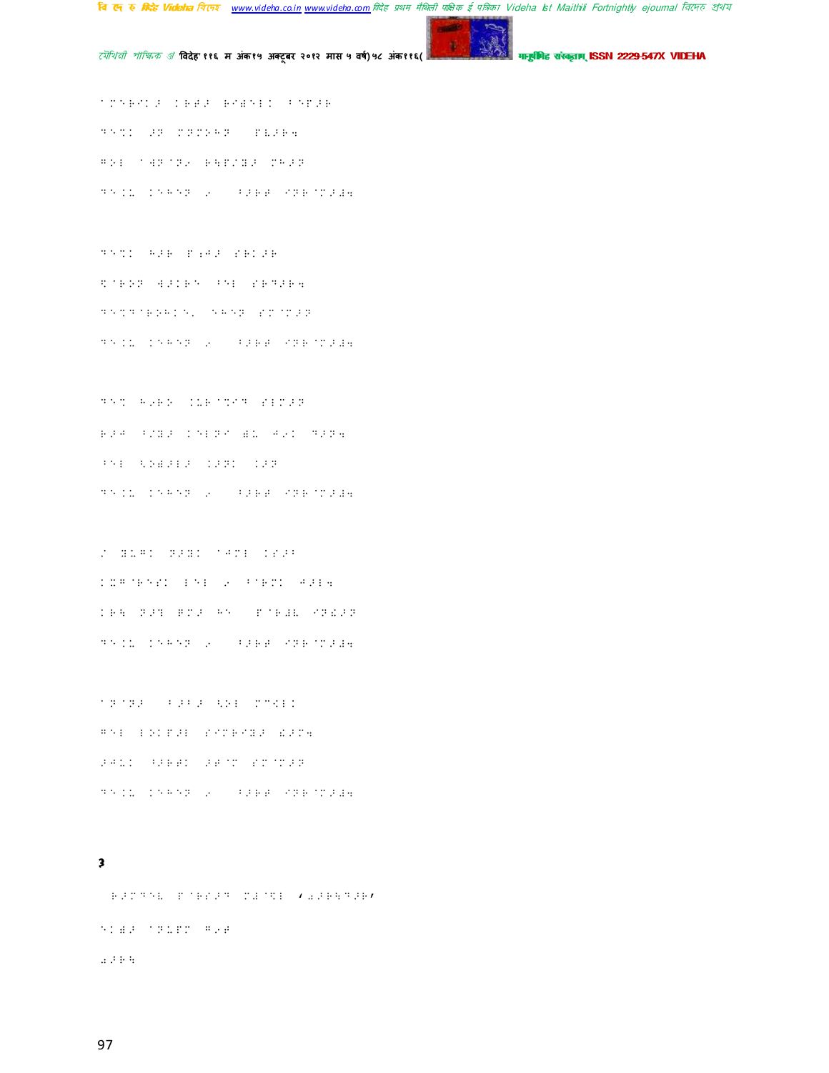ट्येथिती शांक्षिक अं विदेह' ११६ म अंक१५ अक्टूबर २०१२ मास ५ वर्ष) ५८ अंक११६(

मानुमिह संस्कृतम् ISSN 2229-547X VIDEHA

TONESS SERVER ENERGY PROPER SATISFE TETERS TELER  $\mathbb{P}(\mathbb{R}^d) = \mathbb{P}(\mathbb{R}^d \mathbb{P}(\mathbb{R}^d)) = \mathbb{P}(\mathbb{R}^d \mathbb{P}(\mathbb{R}^d)) = \mathbb{P}(\mathbb{R}^d \mathbb{P})$ delta teresa ya magaal kalendaa.

SANTO APROVABLE PROPE STEPS ARTES (FSE PERSEN as target since several reports HAIL INFAR DO CHARL CAR TO ARE

SACTORABLY TERRITOR STEPHEN ade complication above the par-HAIL INFNER CONFERENCEPTER

TO BLACK SPECTATE COOP commencing to a series areas. TER PARTIEDA PAUL PIER PARAD delta teresa ya magaal kalendaa.

ndings in Fara (RSE) chrom #NETENTRAL PROPRES BACK SPACE PREAD SPACE POINT PRE HAIL INFAR DO SPEED PERMITEER

### $\overline{\mathbf{3}}$

TESTANE PARSAN TEAR (VESERAS) ATBACKBORG #28 法决断权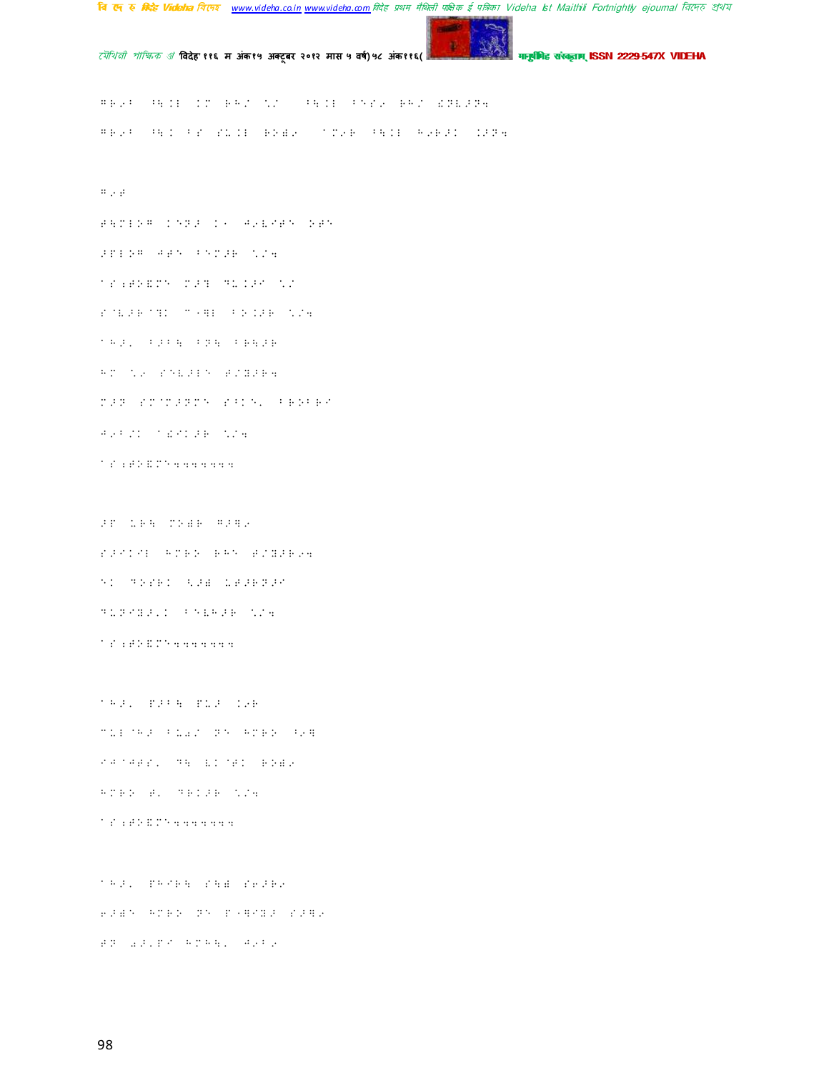ट्येथिती शांकिक अ' विदेह' ११६ म अंक१५ अक्टूबर २०१२ मास ५ वर्ष) ५८ अंक११६(

मानुबंधिह संस्कृतम् ISSN 2229-547X VIDEHA

REVENUE DE LES BRACILLES PROFILERES DE L'ANGUI #BURN RESTRACTORS BOBU CONSECRED PUBLIC DRAW

 $\mathcal{H}(\mathcal{G},\mathcal{G})$ 

BATESH (1989) 1970 ANEXAN SPA STEPH ARM PATCH STAR THE BEREITS COURT CAN CORP. THE POLENOM COVER PROPERTIES  $\mathcal{F}(\mathfrak{u},\mathfrak{g}_{\mathcal{A}})=\mathfrak{e}(\mathfrak{g})\mathfrak{e}(\mathfrak{g})\rightarrow\mathfrak{g}(\mathfrak{g})\rightarrow\mathfrak{g}(\mathfrak{g},\mathfrak{g}).$ AT SAMPAIRES ROBERT made an industry careery, creates PASS 21 CONSTRUCTION The Babyle Charles and St

SPOINT TEACHER REPORT PORT PROPERTY NI PERBIANG LANGERS STREAMS, I SAMPLE CONT **TERRITHSHOP** 

 $\gamma$  and  $\gamma$  . The approximation of  $\gamma$ mission a mark and erections wareast mailed an abase ATEN BL MELDE NIN **TERRITHERS** 

 $\gamma$  and  $\gamma$  , and then a state and the data. advanced and all also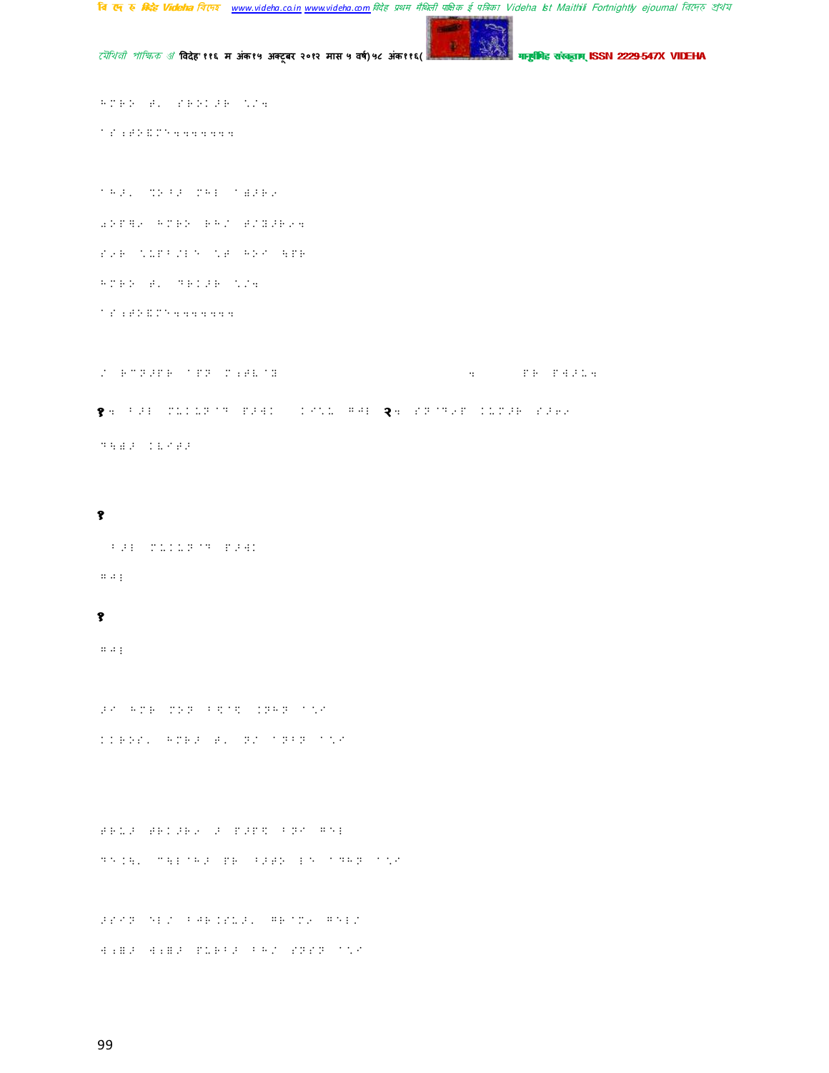*त्रीशिती পাफ़िक अ*विदेह'११६ म अंक१५ अक्टूबर २०१२ मास ५ वर्ष)५८ अंक११६( सालामह संस्कृतिक संस्कृतम् ISSN 2229-547X VIDEHA ⢳⢷⢵!⢾C!"⢷⢵⢼⢷!⣁#⣒! "⣐⢾⢵⣏⣒⣒⣒⣒⣒⣒⣒! ⢳⢼C!⣉⢵⢸⢼!⢳2!⣞⢼⢷⢴! ⣔⢵'⣛⢴!⢳⢷⢵!⢷⢳#!⢾#⣝⢼⢷⢴⣒! "YOU ALLESS TO A CONSTRUCT ⢳⢷⢵!⢾C!⢹⢷⢼⢷!⣁#⣒! "⣐⢾⢵⣏⣒⣒⣒⣒⣒⣒⣒! #!⢷/⢽⢼'⢷!'⢽!⣐⢾⣇⣝!hhbkfoesbAwjefib⣒dpn!'⢷!'⣚⢼⣅⣒!! १⣒!⢼2!⣅⣅⢽⢹!'⢼⣚.!⣁⣅!⢻⢺2!२⣒!"⢽⢹⢴'!⣅⢼⢷!"⢼⢶⢴! ⢹⣓⣞⢼!⣇⢾⢼!

#### १

!⢼2!⣅⣅⢽⢹!'⢼⣚! ⢻⢺2!

#### १

⢻⢺2!

⢼!⢳⢷!⢵⢽!⣋⣋!⣈⢽⢳⢽!⣁! ⢷⢵"C!⢳⢷⢼!⢾C!⢽#!⢽⢽!⣁!

# ⢾⢷⣅⢼!⢾⢷⢼⢷⢴!⢼!'⢼'⣋!⢽!⢻2!

⢹⣈⣓C!/⣓2⢳⢼!'⢷!⢸⢼⢾⢵!2!⢹⢳⢽!⣁!

⢼"⢽!2#!⢺⢷⣈"⣅⢼C!⢻⢷⢴!⢻2#! ⣚⣐⣟⢼!⣚⣐⣟⢼!'⣅⢷⢼!⢳#!"⢽"⢽!⣁!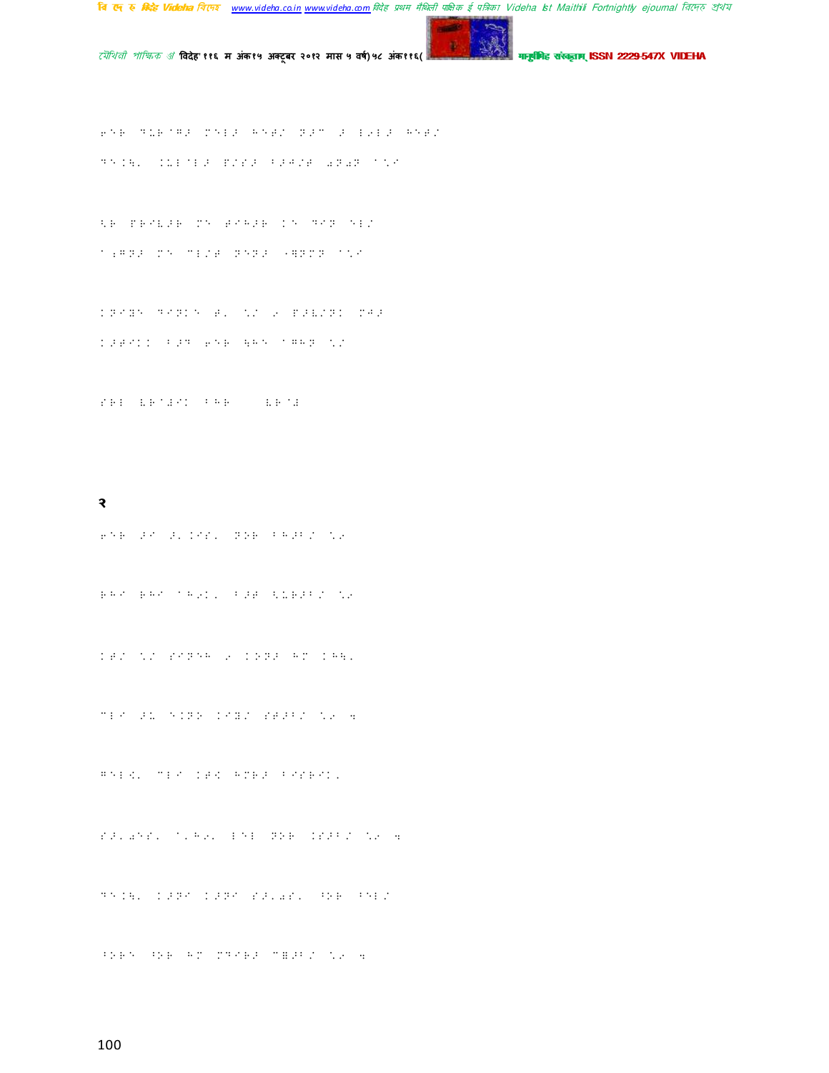⢶⢷!⢹⣅⢷⢻⢼!2⢼!⢳⢾#!⢽⢼/!⢼!2⢴2⢼!⢳⢾#! ⢹⣈⣓C!⣈⣅22⢼!'#"⢼!⢼⢺#⢾!⣔⢽⣔⢽!⣁!

⣃⢷!'⢷⣇⢼⢷!!⢾⢳⢼⢷!!⢹⢽!2#! ⣐⢻⢽⢼!!/2#⢾!⢽⢽⢼!?⣛⢽⢽!⣁!

⢽⣝!⢹⢽!⢾C!⣁#!⢴!'⢼⣇#⢽!⢺⢼! ⢼⢾!⢼⢹!⢶⢷!⣓⢳!⢻⢳⢽!⣁#!

"⢷2!⣇⢷⣜!⢳⢷!-!⣇⢷⣜!26!

२

⢶⢷!⢼!⢼C⣈"C!⢽⢵⢷!⢳⢼#!⣁⢴!! ⢷⢳!⢷⢳!⢳⢴C!⢼⢾!⣃⣅⢷⢼#!⣁⢴!! ⢾#!⣁#!"⢽⢳!⢴!⢵⢽⢼!⢳!⢳⣓C! /2!⢼⣅!⣈⢽⢵!⣝#!"⢾⢼#!⣁⢴!⣒! PAEC, TEC CEC PTER PROPERTY "YUL ANY CONSULTANT OF THE CONFIDENTIAL A ⢹⣈⣓C!⢼⢽!⢼⢽!"⢼C⣔"C!⢸⢵⢷!⢸2#!!

⢸⢵⢷!⢸⢵⢷!⢳!⢹⢷⢼!/⣟⢼#!⣁⢴!⣒!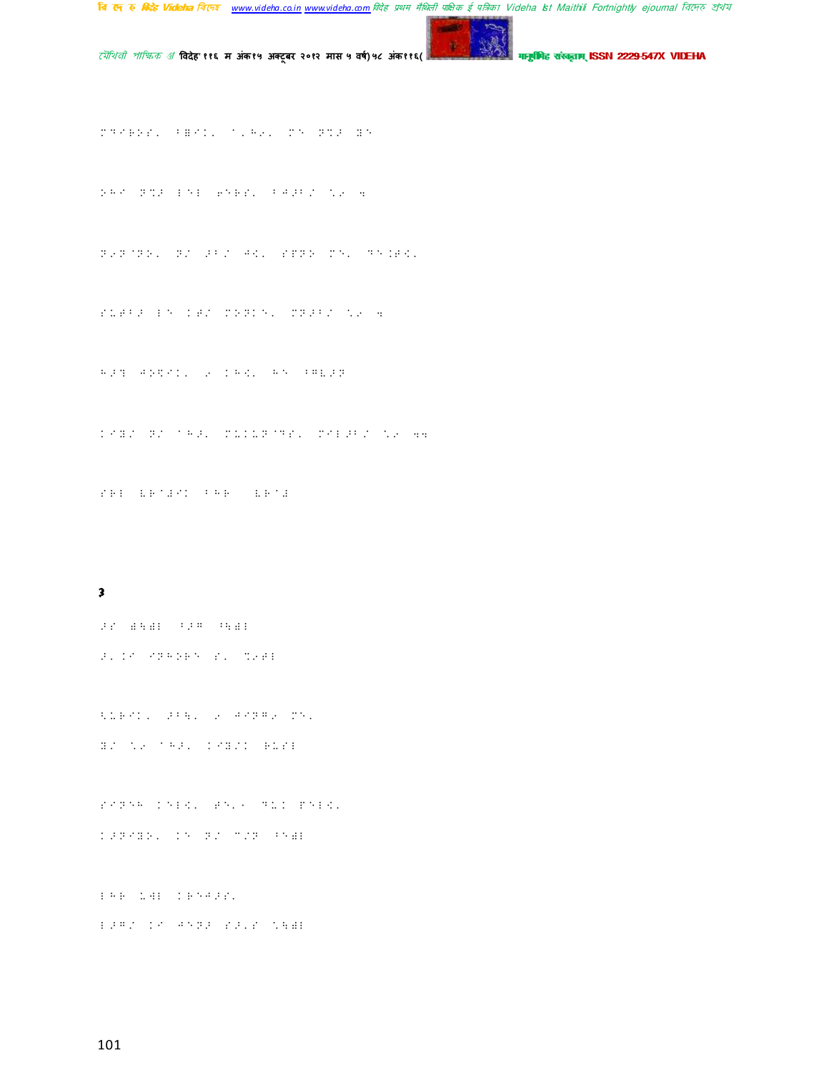⢹⢷⢵"C!⣟C!C⢳⢴C!!⢽⣉⢼!⣝!

⢵⢳!⢽⣉⢼!22!⢶⢷"C!⢺⢼#!⣁⢴!⣒!

⢽⢴⢽⢽⢵C!⢽#!⢼#!⢺⣊C!"'⢽⢵!C!⢹⣈⢾⣊C!

"⣅⢾⢼!2!⢾#!⢵⢽C!⢽⢼#!⣁⢴!⣒!

⢳⢼⣙!⢺⢵⣋C!⢴!⢳⣊C!⢳!⢸⢻⣇⢼⢽!

⣝#!⢽#!⢳⢼C!⣅⣅⢽⢹"C!2⢼#!⣁⢴!⣒⣒!

"YET SERVER TO BE THE

३

⢼"!⣞⣓⣞2!⢸⢼⢻!⢸⣓⣞2! ⢼C⣈!⢽⢳⢵⢷!"C!⣉⢴⢾2!!

⣃⣅⢷C!⢼⣓C!⢴!⢺⢽⢻⢴!C! ⣝#!⣁⢴!⢳⢼C!⣝#!⢷⣅"2!!

"⢽⢳!2⣊C!⢾Cg!⢹⣅⣈!'2⣊C! ⢼⢽⣝⢵C!!⢽#!/#⢽!⢸⣞2!!

2⢳⢷!⣅⣚2!⢷⢺⢼"C! 2⢼⢻#!!⢺⢽⢼!"⢼C"!⣁⣓⣞2!!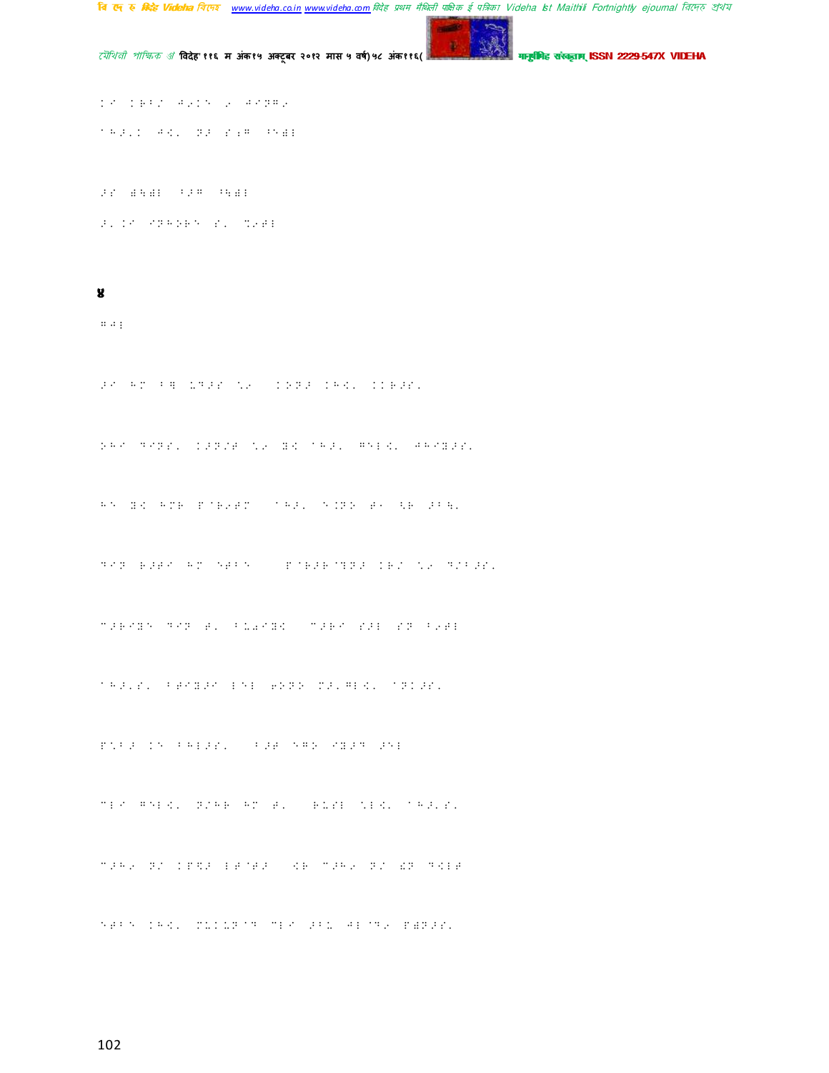*त्रीशिती পাफ़िक अ*विदेह'११६ म अंक१५ अक्टूबर २०१२ मास ५ वर्ष)५८ अंक११६( सालामह संस्कृतिक संस्कृतम् ISSN 2229-547X VIDEHA

! <br />  $\mathcal{L}_{\mathcal{A}}$  />  $\mathcal{L}_{\mathcal{A}}$  /> =  $\mathcal{L}_{\mathcal{A}}$  /> =  $\mathcal{L}_{\mathcal{A}}$  /> =  $\mathcal{L}_{\mathcal{A}}$  /> =  $\mathcal{L}_{\mathcal{A}}$ ⢳⢼C!⢺⣊C!⢽⢼!"⣐⢻!⢸⣞2!!

⢼"!⣞⣓⣞2!⢸⢼⢻!⢸⣓⣞2! ⢼C⣈!⢽⢳⢵⢷!"C!⣉⢴⢾2!

### ४

⢻⢺2!

⢼!⢳!⣛!⣅⢹⢼"!⣁⢴!-⢵⢽⢼!⢳⣊C!⢷⢼"C!

⢵⢳!⢹⢽"C!⢼⢽#⢾!⣁⢴!⣝⣊-⢳⢼C!⢻2⣊C!⢺⢳⣝⢼"C!

⢳!⣝⣊!⢳⢷!'⢷⢴⢾!-⢳⢼C!⣈⢽⢵!⢾g!⣃⢷!⢼⣓C!

⢹⢽!⢷⢼⢾!⢳!⢾!-!'⢷⢼⢷⣙⢽⢼!⢷#!⣁⢴!⢹#⢼"C!

/⢼⢷⣝!⢹⢽!⢾C!⣅⣔⣝⣊!-/⢼⢷!"⢼2!"⢽!⢴⢾2!

⢳⢼C"C!⢾⣝⢼!22!⢶⢵⢽⢵!⢼C⢻2⣊C!⢽⢼"C!

'n de la c'hollaneg ar generadur e la c'hollaneg ar generadur e la c'hollaneg ar generadur e la c'hollaneg ar

/2!⢻2⣊C!⢽#⢳⢷!⢳!⢾C!-⢷⣅"2!⣁2⣊C!⢳⢼C"C!

/⢼⢳⢴!⢽#!'⣋⢼!2⢾⢾⢼!-⣊⢷!/⢼⢳⢴!⢽#!⣎⢽!⢹⣊2⢾!

Nativides, primate the mass at the manager.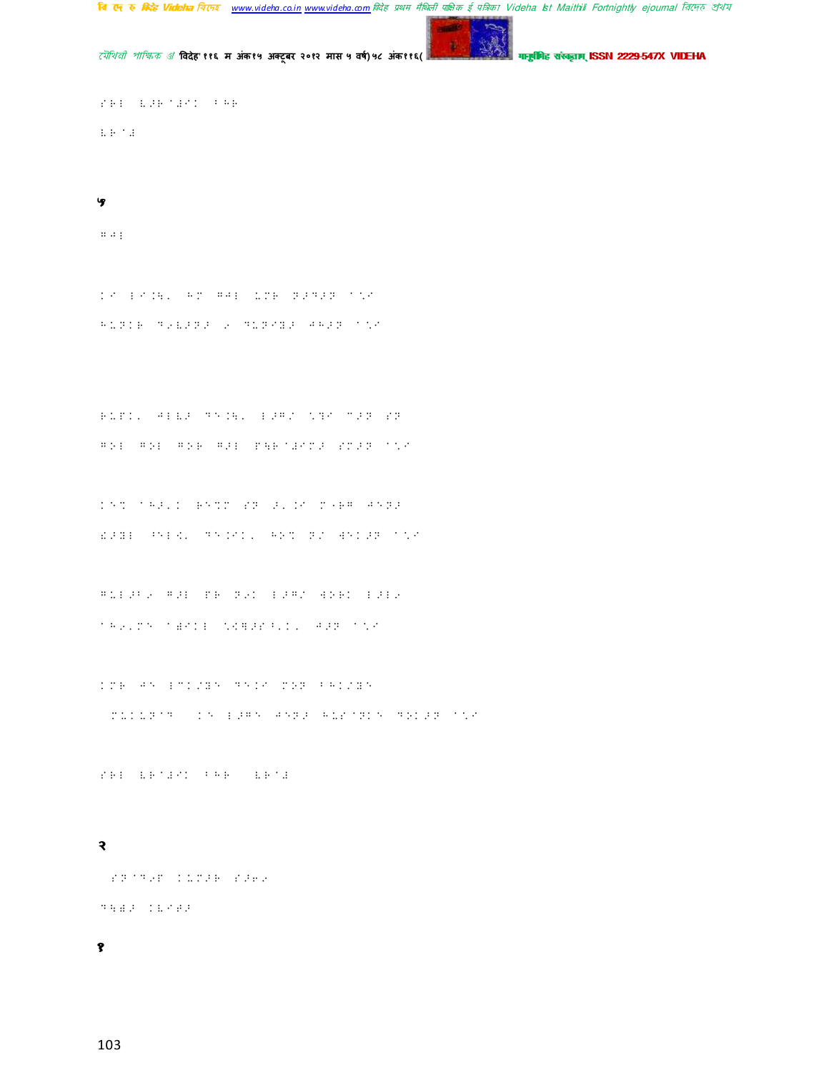*त्रीशिती পাफ़िक अ*विदेह'११६ म अंक१५ अक्टूबर २०१२ मास ५ वर्ष)५८ अंक११६( सालामह संस्कृतिक संस्कृतम् ISSN 2229-547X VIDEHA

"⢷2!⣇⢼⢷⣜!⢳⢷!

⣇⢷⣜.29!

#### ५

⢻⢺2!

!2⣈⣓C!⢳!⢻⢺2!⣅⢷!⢽⢼⢹⢼⢽!⣁! ⢳⣅⢽⢷!⢹⢴⣇⢼⢽⢼!⢴!⢹⣅⢽⣝⢼!⢺⢳⢼⢽!⣁!

⢷⣅'C!⢺2⣇⢼!⢹⣈⣓C!2⢼⢻#!⣁⣙!/⢼⢽!"⢽! ⢻⢵2!⢻⢵2!⢻⢵⢷!⢻⢼2!'⣓⢷⣜⢼!"⢼⢽!⣁!

⣉!⢳⢼C!⢷⣉!"⢽!⢼C⣈!?⢷⢻!⢺⢽⢼! ⣎⢼⣝2!⢸2⣊C!⢹⣈C!⢳⢵⣉!⢽#!⣚⢼⢽!⣁!

⢻⣅2⢼⢴!⢻⢼2!'⢷!⢽⢴!2⢼⢻#!⣚⢵⢷!2⢼2⢴!

⢳⢴C!⣞2!⣁⣊⣛⢼"⢸CC!⢺⢼⢽!⣁!

# ⢷!⢺!2/#⣝!⢹⣈!⢵⢽!⢳#⣝!

(⣅⣅⢽⢹(!!2⢼⢻!⢺⢽⢼!⢳⣅"⢽!⢹⢵⢼⢽!⣁!

"YEE CEENSEN FROM

### २

!"⢽⢹⢴'!⣅⢼⢷!"⢼⢶⢴! ⢹⣓⣞⢼!⣇⢾⢼!

#### १

103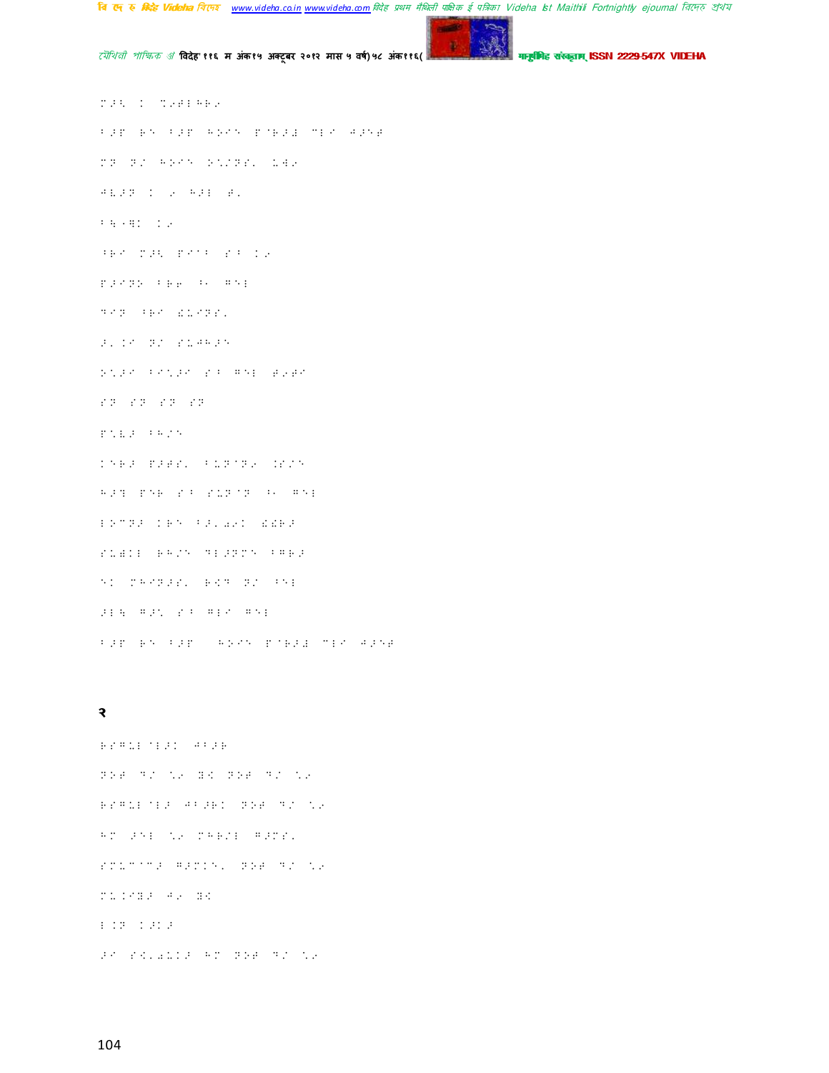ट्येथिती शांक्षिक अं विदेह' ११६ म अंक१५ अक्टूबर २०१२ मास ५ वर्ष) ५८ अंक११६(

मानुमिह संस्कृतम् ISSN 2229-547X VIDEHA

TRACTO TRABABLE

FOR PACKER PARK PORCH TERRITORY

TRURY RESONANCES (1982)

 $\mathcal{A}(\underline{1},\underline{1},\underline{2},\underline{3})=\mathcal{I}(\underline{1},\underline{1},\underline{1},\underline{1},\underline{3},\underline{3},\underline{1},\underline{1},\underline{3},\underline{1},\underline{1})$ 

中国中的 生产

absorbed message and a

FIRENCE FER CHOOSE

Here a see an ere.

alice are speaker.

product and provide companies and

 $\begin{array}{cccccccccc} \mathcal{E} & \mathcal{B} & \mathcal{E} & \mathcal{B} & \mathcal{E} & \mathcal{B} & \mathcal{E} & \mathcal{B} & \mathcal{E} & \mathcal{B} & \mathcal{E} & \mathcal{B} & \mathcal{E} & \mathcal{B} & \mathcal{E} & \mathcal{B} & \mathcal{E} & \mathcal{B} & \mathcal{E} & \mathcal{B} & \mathcal{E} & \mathcal{B} & \mathcal{E} & \mathcal{B} & \mathcal{E} & \mathcal{B} & \mathcal{E} & \mathcal{B} & \mathcal{E} & \mathcal{B} & \$ 

主なおよう 中央の外

THE PURPL PERMIT HIN

Add real ratings to a way

BOTH TEN FRIED BER

REAL PROVINCING CORP.

NI TARBAN ART BI ANE

 $\left\langle \mathcal{F}_1^{\pm} \left( \mathcal{H}_1^{\pm} \right) \right\rangle = \left\langle \mathcal{F}_1^{\pm} \left( \mathcal{F}_2^{\pm} \right) \right\rangle = \left\langle \mathcal{F}_1^{\pm} \right\rangle = \left\langle \mathcal{F}_2^{\pm} \right\rangle = \left\langle \mathcal{F}_1^{\pm} \right\rangle = \left\langle \mathcal{F}_2^{\pm} \right\rangle$ 

a de la sila del cia sistema de la calendaria

#### $\mathbf{R}$

BY #11 ME21 CAF2B  $\label{eq:2.1} \left\langle \mathbb{P}(\mathbb{R}^d|\mathbb{R}) \right\rangle \leq \left\langle \mathbb{P}(\mathbb{R}^d) \right\rangle \leq \left\langle \mathbb{P}(\mathbb{R}^d) \right\rangle \leq \left\langle \mathbb{P}(\mathbb{R}^d|\mathbb{R}) \right\rangle \leq \left\langle \mathbb{P}(\mathbb{R}^d|\mathbb{R}) \right\rangle \leq \left\langle \mathbb{P}(\mathbb{R}^d|\mathbb{R}) \right\rangle$ BRANDENED AFDED DOBLARY NO AT SAL AR TABLE BRTE. abiente espris, dia en tis miness as se  $(3,1,2,1,1,2,1,2)$ de actualida en des montes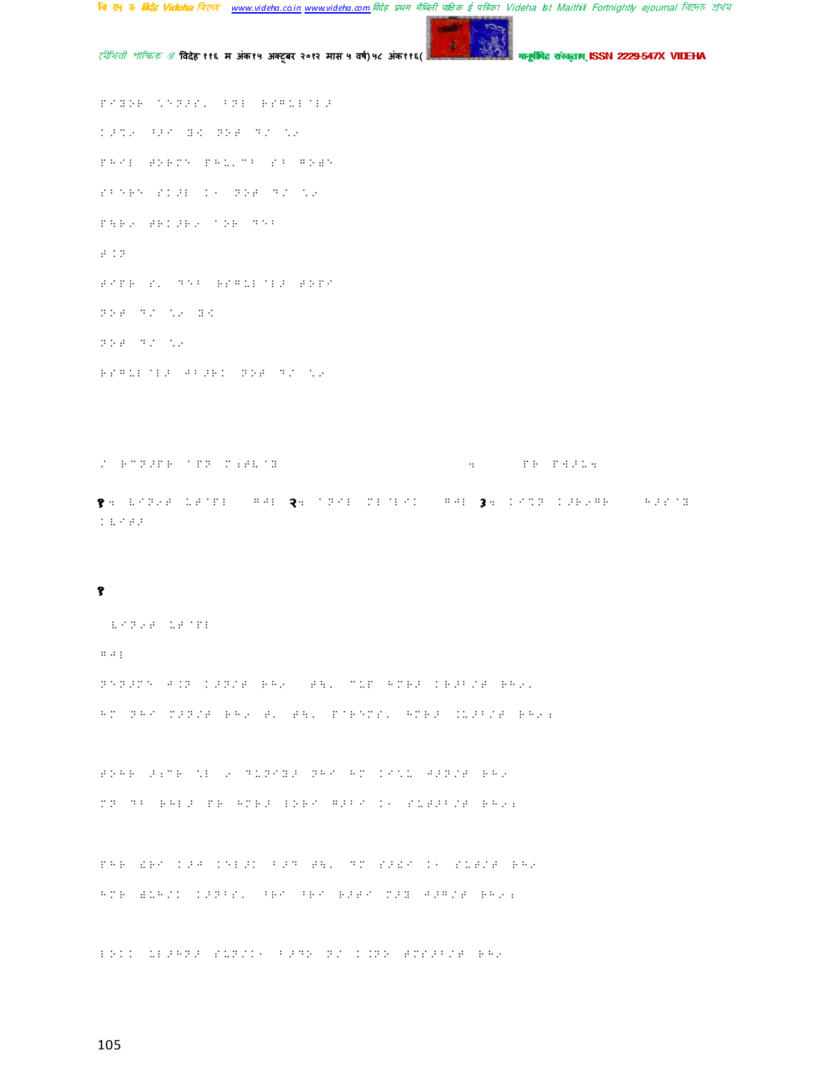ट्येंथिनी शांक्रिक अं विदेह' ११६ म अंक१५ अक्टूबर २०१२ मास ५ वर्ष) ५८ अंक११६(

मानुमिह संस्कृतम् ISSN 2229-547X VIDEHA

TRING NATURE POINT AND POST consequent and present the rest specifications as even PROPERTY PERSONAL PROPERTY TABLE BRIDGES CORPORAT  $\varphi\in\mathcal{G}^+$ BATE Y. TAP PRESENT BATA 359 37 12 38  $\left\langle \left\langle \mathbf{p} \right\rangle \right\rangle \left\langle \mathbf{p} \right\rangle = \left\langle \mathbf{p} \right\rangle \left\langle \mathbf{p} \right\rangle = \left\langle \mathbf{p} \right\rangle \left\langle \mathbf{p} \right\rangle$ BEFORE THE CAR PRICE RISK CRITICIS

The Committee of the PHP for

1928年3月

#### $\mathbf{S}$

 $\mathcal{M}(\mathcal{A},\mathcal{E})$ SASSINA PIS LASSE PARA LEGAL TEN PARA LA PARA LA PORTA A DI SPARTI DIA PARTE A ANNO 1984 DI STEAD DE L'ADAPTA DE L'ARRA DE ARRIVE abee dime to company about the control additional TO THE BALL TE ATEL LEARN PRESS IS STREETED BASE.

THE SERVICE ROOM ON THE RELATION CONTROL CONTROL PRO ATE BLAZI TREPAT (PEACHEA BREATTRE ARRIVE BAS)

BATT DEPART VORTEN FRAG ROOTERS BOVERNEDE BAS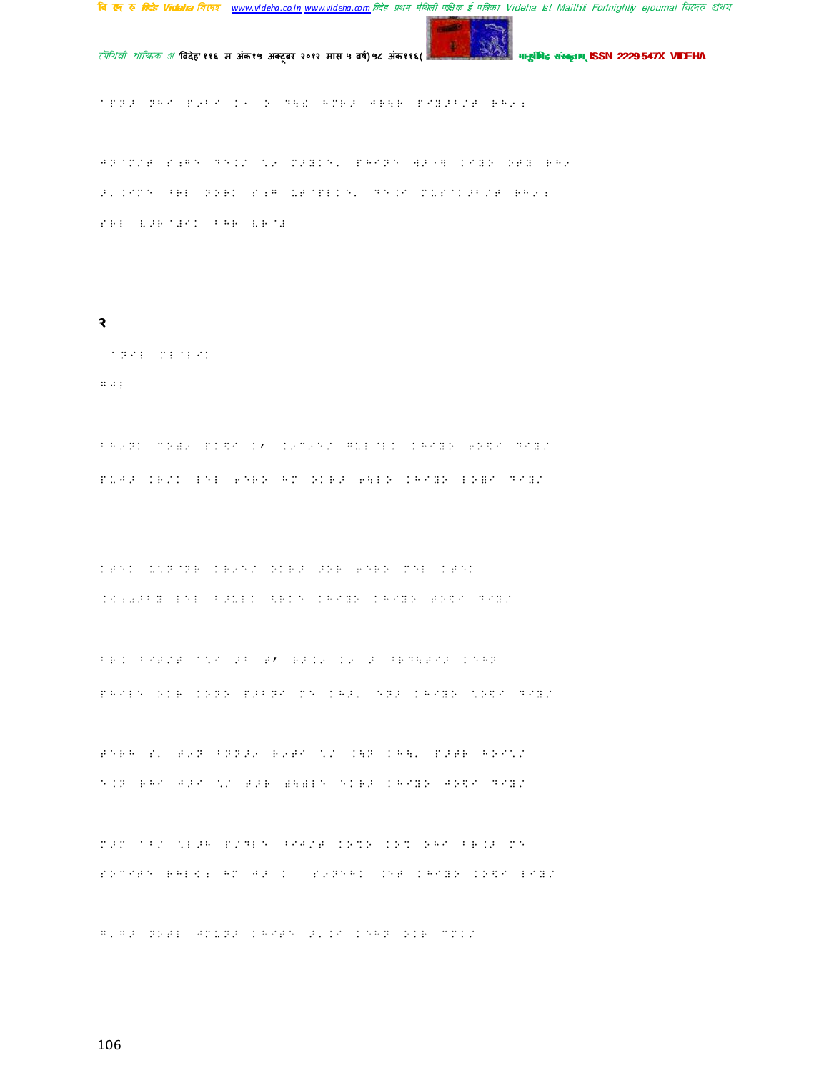ट्येथिती शांक्रिक औ विदेह' ११६ म अंक१५ अक्टूबर २०१२ मास ५ वर्ष) ५८ अंक११६(

मानुसीनेह संस्कृताम् ISSN 2229-547X VIDEHA

nada den aven di si especiedea iese anguerra estri

Administrative and individual made as a mean parameter and all parts and SU DATA (PEE) SPEC SEEP CEPTED AL CRAIR TO DEVISE PRAIE YEAH EARN BATTLERE LETA

#### $\mathbf{R}$

**Strategic paina vol** 

#### $\mathfrak{m}(\mathfrak{a},\mathfrak{g})$

FRANCISCO A BELIEVA CON CONTANDIRE E EL CORPO DE PARTIR CARDO BOAR CROOKING PROPERTY SOFTWARES CHARGE ESERTING

CAND COSTOR CREAMS DORE DORE RNED THE CORNO consider disease exposure to the consideration and consideration of the constant

a para kepada mengan dan sebagai pengenah antara pertama mengangkan FARIN DIE IDDE FRAGT DAT DAS LABS DARBE DORCH BREZ

anael al audiopaux augustus depodeel puga escus NIS PART ASK NO ASE BEBEV NOES INVESTIGATION ARE

TRIT TERM NERROTING ERROR ISSTA IST DARK FRIDOTS spreak assign an adjoint specific that tends toget and the

#1#2 @2#1 #Didd canan alth chad bia hopid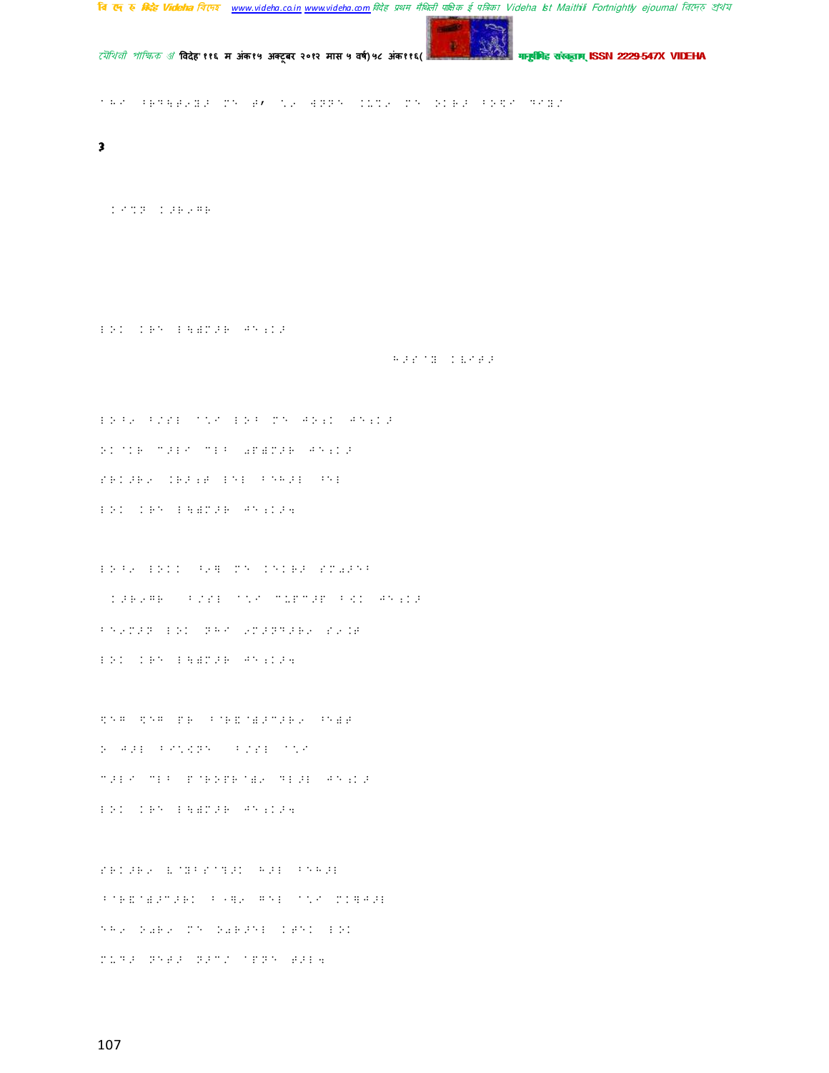ट्येथिनी शांक्षिक श्री विदेह' ११६ म अंक१५ अक्टूबर २०१२ मास ५ वर्ष) ५८ अंक११६( मानुमिह संस्कृतम् ISSN 2229-547X VIDEHA TAR PERANDISTRY AVENUE AND TOOLS ON DIAN PORCH THE

#### $\mathbf{3}$

BOILER BARBOAR PASSA

**SAPE TO CONFIRM** 

a presidente in transportan a establecida SCOTE TREATMENT SPECIAL ANSWER YELDER CERTIFY ENERGY AND a bi sian a garda senaide.

HERRY HERIT CRAW TO CONTRACT POWERRY Studenteer (Frankrijk maarten Frankrijk FRANCIS ENCORPORAGEMENT PANEL BOST TEN BABBOAR (ANGELA)

Strain the state of the trade that is a search Sometime and address to the present of the mas compared the significant major constants. ESC CENTEREDEN PNECH

YELLER ENGINEERING PRESENTER Schedunger Fred Hot Street Steater ARE SARE TA SARPAT (1981) 1991 TERRITRER RANCH TERRITRER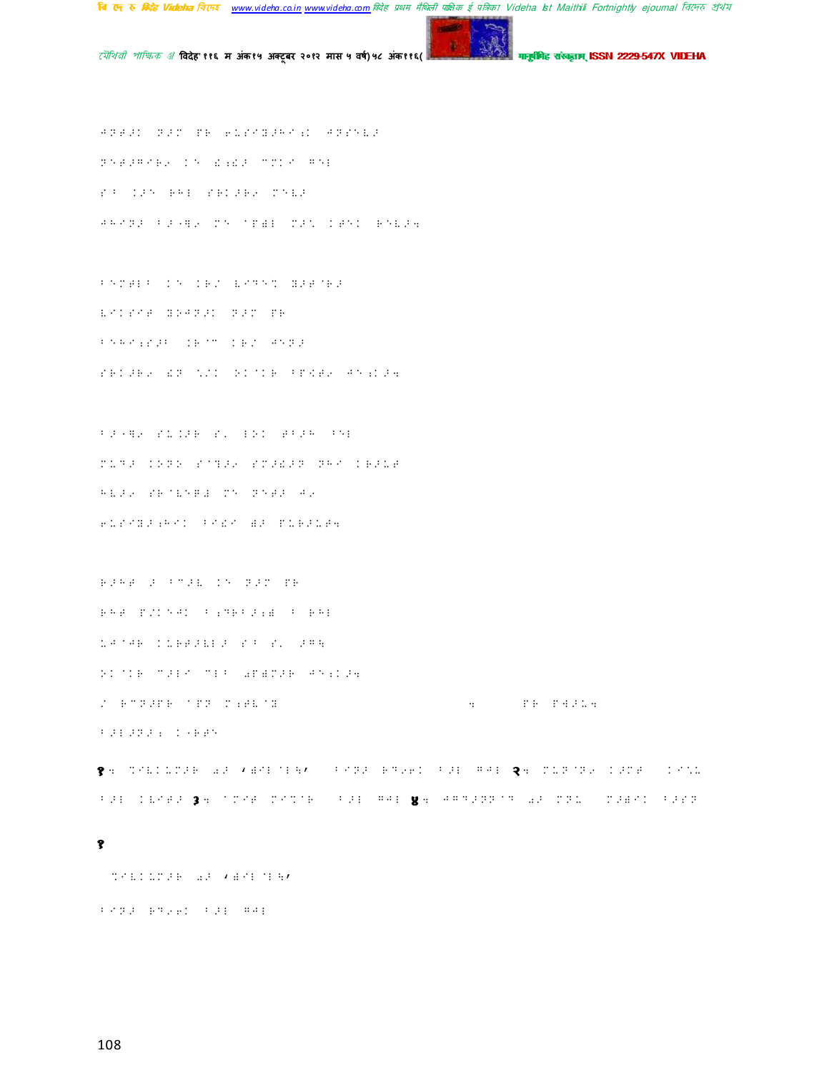ट्येथिती शांकिक अ' विदेह' ११६ म अंक१५ अक्टूबर २०१२ मास ५ वर्ष) ५८ अंक११६(

मानूबंगिह संस्कृताम् ISSN 2229-547X VIDEHA

Adapt directions absorpted in Adaptat SARRENES IN REER TOILS RAF YA SIAN BAI YEKSEK TYES askapa (Falence politica) para rancha si sesia

FATHER IN TEST ERRAT BARYER ERIKAR SARAT SATURA FRANCISCO INTERNATIONAL YES ARD CRACKED DOCTOR PERRY PROPERTY

FOR REPORT OF STATE REPORT OF STATE TERRITARY STRAY STRERR REPORTER ABSOLUTE TENNIS TO STORE ON A A DEVELOPED CONSTRUCTION POSSIBLE

```
BURGER PROBLEM BUSINESS
and recover composed connect
care constants at 20 am
STORE TREP TERM SPECIES PASSAGE
CORTESE TEST CHARTE
                                    SACTO PERMITED
```
FOR CERRA 34 CORR DROIB (FALL BAE \$4) ARTIFICATION CALCORERO FARD

 $\mathbf{r}$ 

CONSIGNAR CAR SHARPENES surge anywhere is a mag-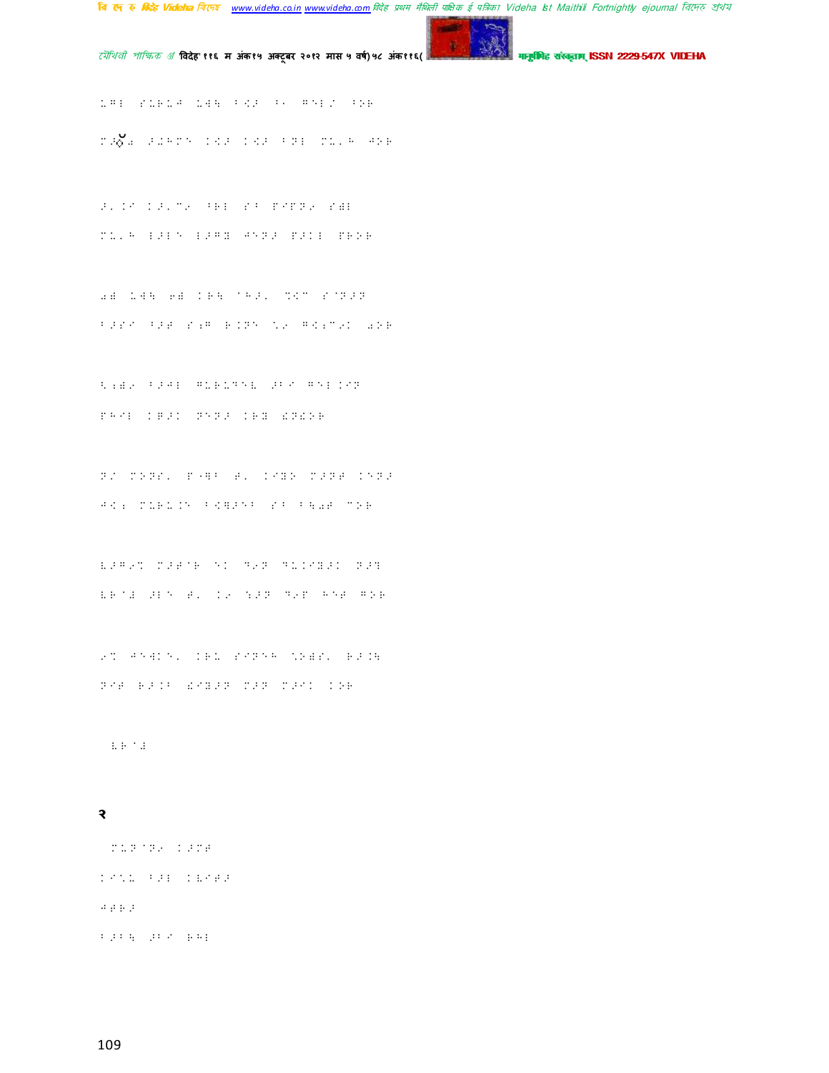ट्येथिती शांक्रिक अं विदेह' ११६ म अंक१५ अक्टूबर २०१२ मास ५ वर्ष) ५८ अंक११६(

मानुमिह संस्कृतम् ISSN 2229-547X VIDEHA

LAR SALELA LAN FAR PROFINED TO PART regularist the the same resource

BUILDING TO THE SALE PARTIES SALE TILE PARK PARK AND PAIR TENE

and these and these these constructions FOR A PERSONAL PORTAL CONTRACTOR DE

TAKE IFF PARK INFORMATE

SC TOSEL PART AL IMBO TABA INDU AND PIECES PREPARTIES REPORT

EVERY TRACK STORY CRITERIAL BRB as the district of the same weak when we see

Schools and Schools and Schools and Constant Constant diese seiner spedige begin beer opge-

(主要之主

# $\mathbf{R}$

```
Charles Creat
 TRIE FREDERIC
 \mathcal{A} graphs.
\left(1-\mathbb{P}\left(1-\mathbb{E}\left[\mathbb{E}\left[\mathbb{E}\left[\mathbb{E}\left[\mathbb{E}\left[\mathbb{E}\left[\mathbb{E}\left[\mathbb{E}\left[\mathbb{E}\left[\mathbb{E}\left[\mathbb{E}\left[\mathbb{E}\left[\mathbb{E}\left[\mathbb{E}\left[\mathbb{E}\left[\mathbb{E}\left[\mathbb{E}\left[\mathbb{E}\left[\mathbb{E}\left[\mathbb{E}\left[\mathbb{E}\left[\mathbb{E}\left[\mathbb{E}\left[\mathbb{E}\left[\mathbb{E}\left[\mathbb{E}\left[\mathbb{E}\left[\mathbb{E}\left[\mathbb{E}\left[\mathbb{
```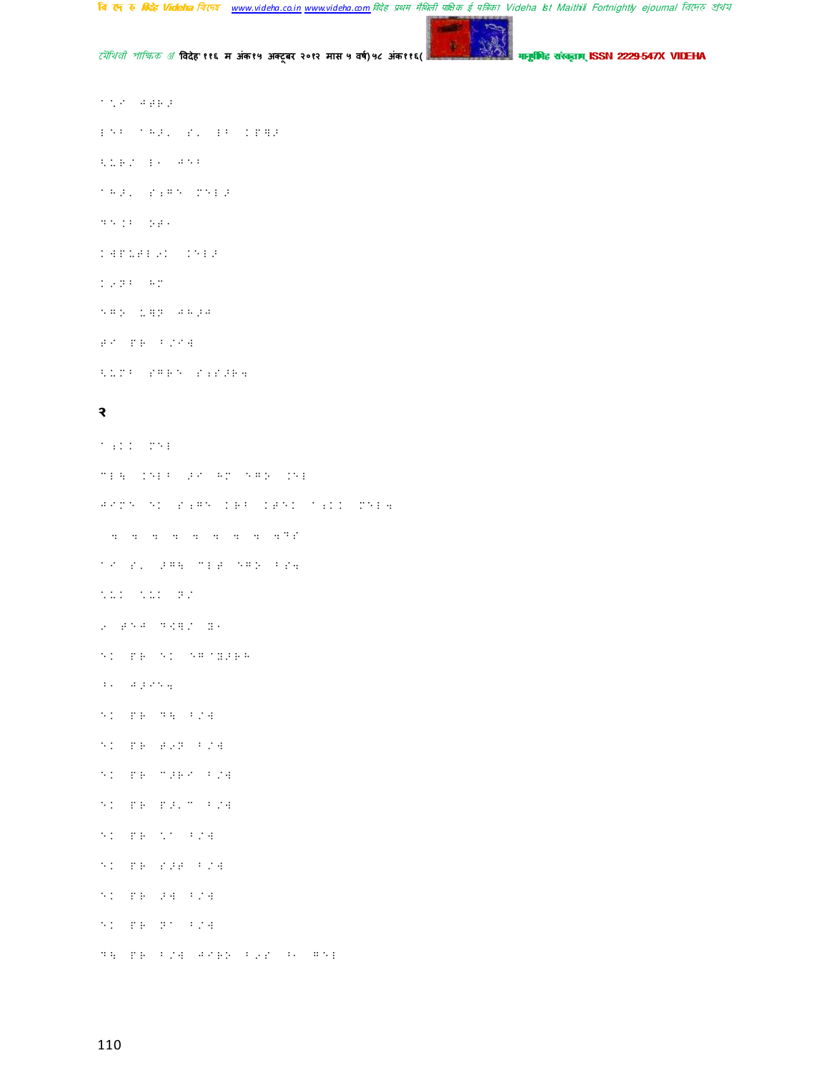*त्रीशिती পাफ़िक अ*विदेह'११६ म अंक१५ अक्टूबर २०१२ मास ५ वर्ष)५८ अंक११६( सालामह संस्कृतिक संस्कृतम् ISSN 2229-547X VIDEHA

⣁!⢺⢾⢷⢼!

2!⢳⢼C!"C!2!'⣛⢼!

⣃⣅⢷#!2g!⢺!

⢳⢼C!"⣐⢻!2⢼!

⢹⣈!⢵⢾g!

⣚'⣅⢾2⢴!⣈2⢼!

⢴⢽!⢳!

⢻⢵!⣅⣛⢽!⢺⢳⢼⢺!

 $\#$  2 = F # = F 2 2 4 =

⣃⣅!"⢻⢷!"⣐"⢼⢷⣒!

### २

⣐!2! /2⣓!⣈2!⢼!⢳!⢻⢵!⣈2! ⢺!!"⣐⢻!⢷!⢾!⣐!2⣒! 2⣒3⣒4⣒5⣒6⣒7⣒8⣒9⣒:⣒⢹"! !"C!⢼⢻⣓!/2⢾!⢻⢵!"⣒! ⣁⣅.⣁⣅!⢽#! ⢴!⢾⢺!⢹⣊⣛#!⣝g! !'⢷!!⢻⣝⢼⢷⢳!  $\alpha$  is a subset of  $\alpha$ !'⢷!⢹⣓!#⣚!23! !'⢷!⢾⢴⢽!#⣚!24! !'⢷!/⢼⢷!#⣚!25! !'⢷!'⢼C/!#⣚!26! !'⢷!⣁!#⣚!27! !'⢷!"⢼⢾!#⣚!28! !'⢷!⢼⣚!#⣚!29! !'⢷!⢽!#⣚!2:! ⢹⣓!'⢷!#⣚!⢺⢷⢵!⢴"!⢸g!⢻2!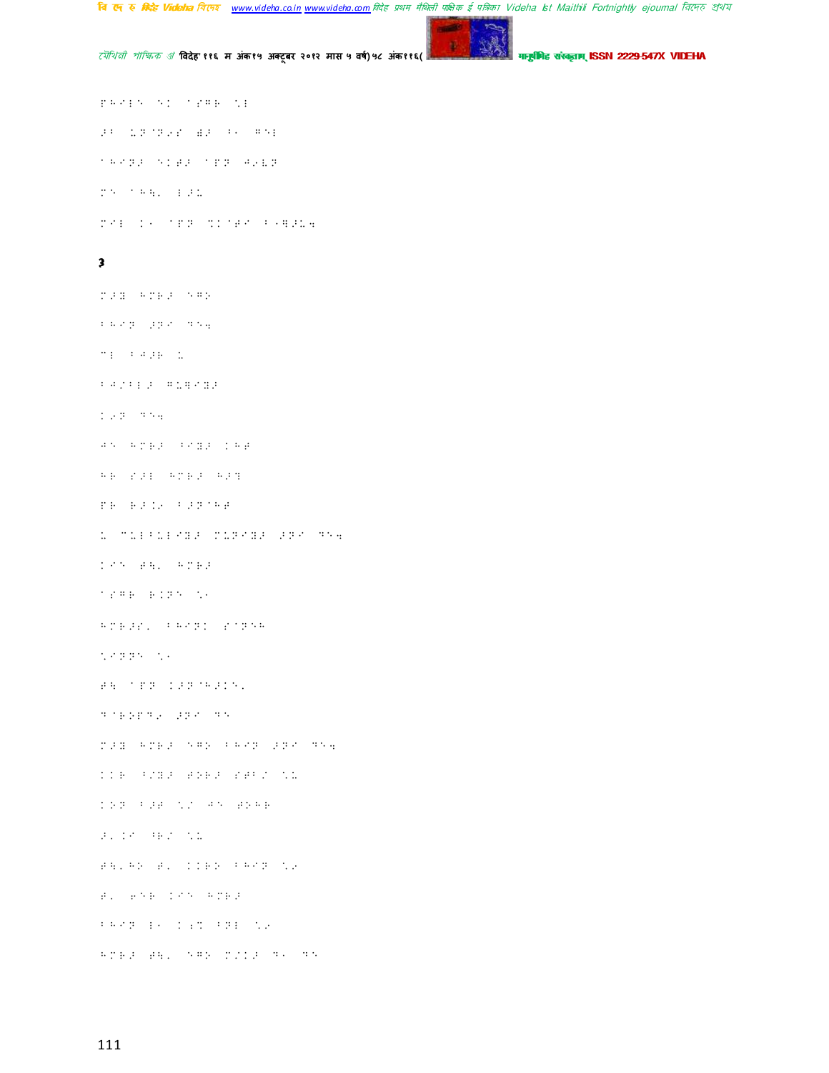*त्रीशिती পাफ़िक अ*विदेह'११६ म अंक१५ अक्टूबर २०१२ मास ५ वर्ष)५८ अंक११६( सालामह संस्कृतिक संस्कृतम् ISSN 2229-547X VIDEHA

'EARLY 'N CONSTRUCT ⢼!⣅⢽⢽⢴"!⣞⢼!⢸g!⢻2! ⢳⢽⢼!⢾⢼!'⢽!⢺⢴⣇⢽! !⢳⣓C!2⢼⣅!

2!g!'⢽!⣉⢾!?⣛⢼⣅⣒!

# ३

⢼⣝!⢳⢷⢼!⢻⢵!

⢳⢽!⢼⢽!⢹⣒!

/2!⢺⢼⢷!⣅!

⢺#2⢼!⢻⣅⣛⣝⢼!

⢴⢽!⢹⣒!

⢺!⢳⢷⢼!⢸⣝⢼!⢳⢾!

⢳⢷!"⢼2!⢳⢷⢼!⢳⢼⣙!

'⢷!⢷⢼⣈⢴!⢼⢽⢳⢾!

⣅!/⣅2⣅2⣝⢼!⣅⢽⣝⢼!⢼⢽!⢹⣒!

!⢾⣓C!⢳⢷⢼!

"⢻⢷!⢷⣈⢽!⣁g!

⢳⢷⢼"C!⢳⢽!"⢽⢳!

⣁⢽⢽!⣁g!

⢾⣓!'⢽!⢼⢽⢳⢼C!

⢹⢷⢵'⢹⢴!⢼⢽!⢹!

⢼⣝!⢳⢷⢼!⢻⢵!⢳⢽!⢼⢽!⢹⣒!

⢷!⢸#⣝⢼!⢾⢵⢷⢼!"⢾#!⣁⣅!

⢵⢽!⢼⢾!⣁#!⢺!⢾⢵⢳⢷!

⢼C⣈!⢸⢷#!⣁⣅!

⢾⣓C⢳⢵!⢾C!⢷⢵!⢳⢽!⣁⢴!

⢾C!⢶⢷!!⢳⢷⢼!

⢳⢽!2g!⣐⣉!⢽2!⣁⢴!

⢳⢷⢼!⢾⣓C!⢻⢵!#⢼!⢹g!⢹!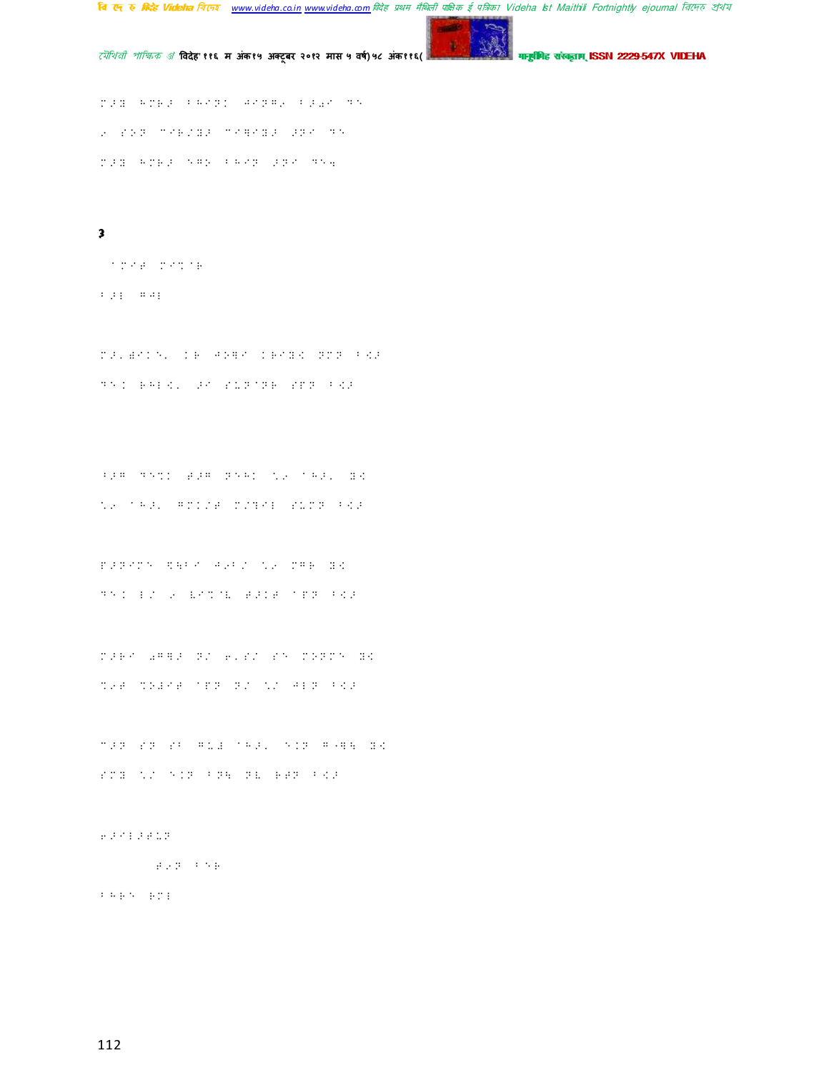*त्रीशिती পাफ़िक अ*विदेह'११६ म अंक१५ अक्टूबर २०१२ मास ५ वर्ष)५८ अंक११६( सालामह संस्कृतिक संस्कृतम् ISSN 2229-547X VIDEHA

⢼⣝!⢳⢷⢼!⢳⢽!⢺⢽⢻⢴!⢼⣔!⢹!  $\sim$  0.000  $\mu$  0.000  $\mu$  0.000  $\mu$  0.000  $\mu$  0.000  $\mu$  0.000  $\mu$  0.000  $\mu$  0.000  $\mu$ ⢼⣝!⢳⢷⢼!⢻⢵!⢳⢽!⢼⢽!⢹⣒!

# ३

!⢾!⣉⢷!

 $\left\langle 1 \right\rangle \left\langle 1 \right\rangle \left\langle 2 \right\rangle \left\langle 1 \right\rangle \left\langle 2 \right\rangle \left\langle 2 \right\rangle \left\langle 2 \right\rangle \left\langle 2 \right\rangle \left\langle 2 \right\rangle \left\langle 2 \right\rangle \left\langle 2 \right\rangle \left\langle 2 \right\rangle \left\langle 2 \right\rangle \left\langle 2 \right\rangle \left\langle 2 \right\rangle \left\langle 2 \right\rangle \left\langle 2 \right\rangle \left\langle 2 \right\rangle \left\langle 2 \right\rangle \left\langle 2 \right\rangle \left\langle 2 \right\rangle \left\langle 2 \right\rangle$ 

⢼C⣞C!⢷!⢺⢵⣛!⢷⣝⣊!⢽⢽!⣊⢼! ⢹⣈!⢷⢳2⣊C!⢼!"⣅⢽⢽⢷!"'⢽!⣊⢼!

⢸⢼⢻!⢹⣉!⢾⢼⢻!⢽⢳!⣁⢴!⢳⢼C!⣝⣊! ⣁⢴!⢳⢼C!⢻#⢾!#⣙2!"⣅⢽!⣊⢼!

'⢼⢽!⣋⣓!⢺⢴#!⣁⢴!⢻⢷!⣝⣊! ⢹⣈!2#!⢴!⣇⣉⣇!⢾⢼⢾!'⢽!⣊⢼!

⢼⢷!⣔⢻⣛⢼!⢽#!⢶C"#!"!⢵⢽!⣝⣊! ⣉⢴⢾!⣉⢵⣜⢾!'⢽!⢽#!⣁#!⢺2⢽!⣊⢼!

/⢼⢽!"⢽!"!⢻⣅⣜!⢳⢼C!⣈⢽!⢻?⣛⣓!⣝⣊! "⣝!⣁#!⣈⢽!⢽⣓!⢽⣇!⢷⢾⢽!⣊⢼!

⢶⢼2⢼⢾⣅⢽! 3233!⢾⢴⢽!⢷!

⢳⢷.⢷2!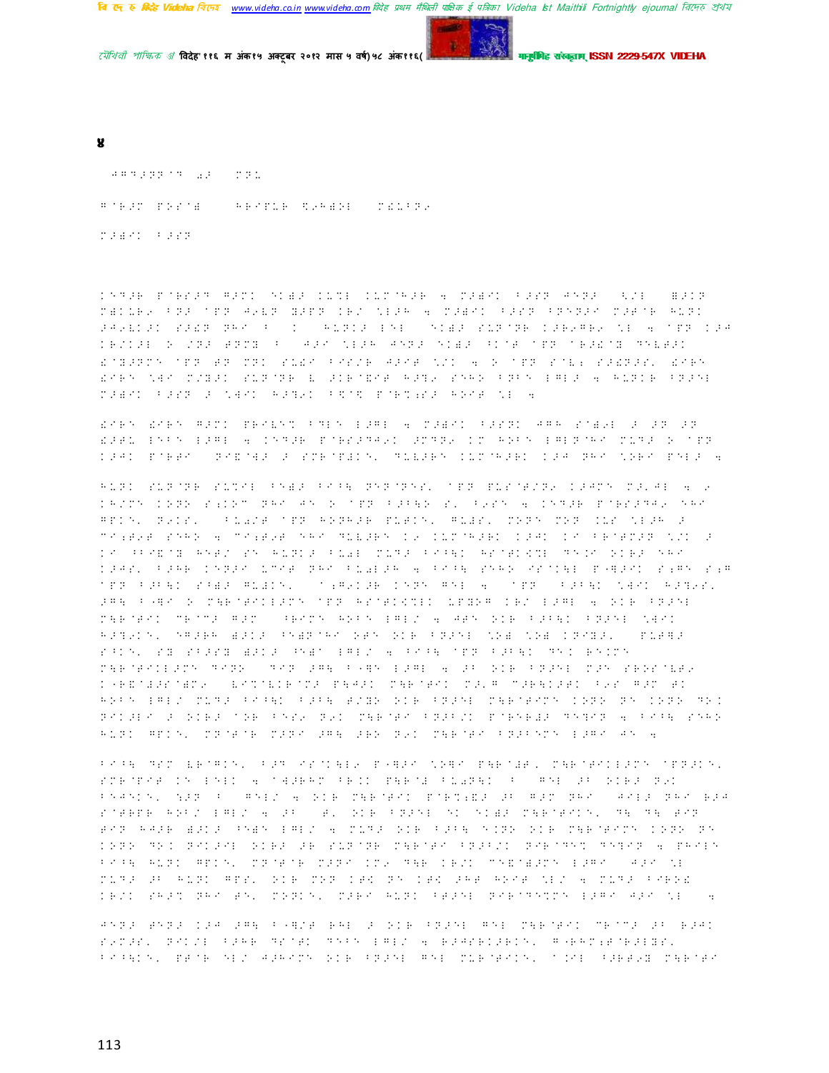ट्येथिनी शांक्रिक अं विदेह' ११६ म अंक१५ अक्टूबर २०१२ मास ५ वर्ष) ५८ अंक११६(

गानूबंगिह संस्कृतम् ISSN 2229-547X VIDEHA

¥

**SARRIER MAGES CONSTRUCT** 

RIPART PORTH - PRESTOR RURADE - TELPRO

中央표問 (中央学生)

(1) 在其实的一定的复数说明,并说的是一个是自己的过去式和过去的时候说的。在一定说自己的人来说的是一种在某人的人和过去分词自己的人 TEILES FRA TER PASER DAER LEV NIAM A TABRI FARR FRANK TABRI PADE ARABIAI YAKER PERSENTI SI PERIA BABU ATBA YENGAN MENGANGAN SELATA TERSIAR TEZIAE DO ZOA BOTO FI PARK NERR NOOR NIER PITE TER TERZO POREZ ROSEREN OFFERENTEN PERSONALE PROFESSIONEN NOMBRO DE COMPONENTE EN ENFERENT ROSEN BARA (1987) TVBST VIDEOTRA BOSTENBORG ASTROLOGYAN FERDOR BESON DIESEN FRAN 的复数形式 人名法普朗 法人名 电传输 人名法博克斯 人名英卡特 计数据电话管理 人名英格兰人姓氏贝特

EREN EREN PADI BEREND FRO BURB A DUBC FURDI FRED POBLE DE DE UD UD BOARD (ENFIN) EDRE (A) CNNOB (B) BEDRAVI (DDNOB) CDD ADFN (ERFORM) DONO (D) TED 1941 Freed Care Edited on Stephens No. 1958-9-05: 15: 1998 1999 1990 1990 1990 1990

A 1911 SELPITER SELTINES FABULARIAN DAPATEAEL STEPS ELEVANDUS CURRIAS DU RESASSU 医中心的医心的 医鼓膜 医血管管 医下颌 医中枢 医中枢 医中枢性 医甲状腺 医第二子宫 医单位 医卡尔氏试验检尿道 医单位试验检尿 医中枢 REIN, PAIE, PALAMA TER PARPARENTAL PERU TREES TARN TAR TER NERRA merakak resebiran merakak sekel dubukan dua dubunguko dukat diengan kebupan suda u die Sistema das Anglos ven Saladogostica es portas steletos avidades do contrado da altera na 1984年, 《天使书书》1988年, 1979年, 1989年, 天龙道的这种"每个年纪书书"的文书文化, 1989年, 1989年, 1999年, 1999年, 1999年, 1999年, 的复数人名法科特尔 人名法普法 "我如此的是一个人的情形的过程。"如今我的人用身上一阵,"你的我们,不过有有的人的情况的,我这样说的。 SPRINT PRO DI CRESCANDE SCONTINGO PROFECIO DO CORREI DE 2018 E PINTETTE DE SERVE TAB MAC CORPORA PATCO PRATO PARA PERRICO A PARA DORPA POR PARA CONFINICIA AVENUS SU SPRAE SERIA (PSERIAS DAS DIE PRAEF) SOE SORE INFERIOR EDARA and the card can be a second on the structure of the state of the second second property of TAE MACEDIA PROPERTY PARTY DAE CONTROL EDGE ON DUE OF BUILDING TRANSPERTED 1998 Casamado - Esponición do anas de estado dos el modeloses (Por Pesa esp ADAN BREZ TORRE PRIME PER BOARD DOE PREPAID DEFINITY CORD BN CODD PASS BRIGHT A SIBA TER FRESH NE BAILER RETRAINING TERRIS TERRIS TENDER SON PRESS 中国进口 "用的工作工厂的进口商店商业"的进步时,进用有一进商店、进设工厂的有商店商业、利益进利益的产品、新建用的工具在一座。

FRIEN INFORMATION CHAN RECONSULTING CONSULTANT CONTROL CAPITATION CONSULTING STRIPPERS IN ENERGY ACTAMENT PRICE PARTS POSSESS OF CHINE OF COORS SOL 未在进行的第三人称单数 "我们,我在我的一座,我的是一定在我的基础的,我的我的主要是一起打一些法的。"我想有一个男子的话,我就是一起我的 STREETE PARKST EREST ALSEKT SELTSTE FRANKE INT INTEASSERETEKTING I PALEERETEKT and the alternative state and in the state of the state of the state of the state of the state ISBN 7821-881281-0144-0144-014-014-014-014-014-014-01-024-01-024-01-024-01-024-01-0 a kang sebagai sebagai sata tersebut pada satelit pertama terbesarkan sebagai sebagai sebagai sebagai sebagai CORA (A) PORT PEEL DIE CORA DES DES DES APECIANES NOT L'ACCORA PRESE 1971 / FRAD DRA (FN) DODD NI DDBA RODD (FRAN ) DABORDN FARA (FRA 1985)

"被在其实,是在其实,如果是一定共有一天,并是是一家书主,这个身上事,不是这个主人共在主人的发展,但是不如,你要不你这个这天,要这些的 ROSTORIC DRICIE (FORECREIGE) PREPARE ERED ACEDEREEISENCO PAESTER (ESEBE) FRIENDS, TEATR (NEW PARKIN) DIE FRIEDE TOE TOERSPINS (TIGE 1899)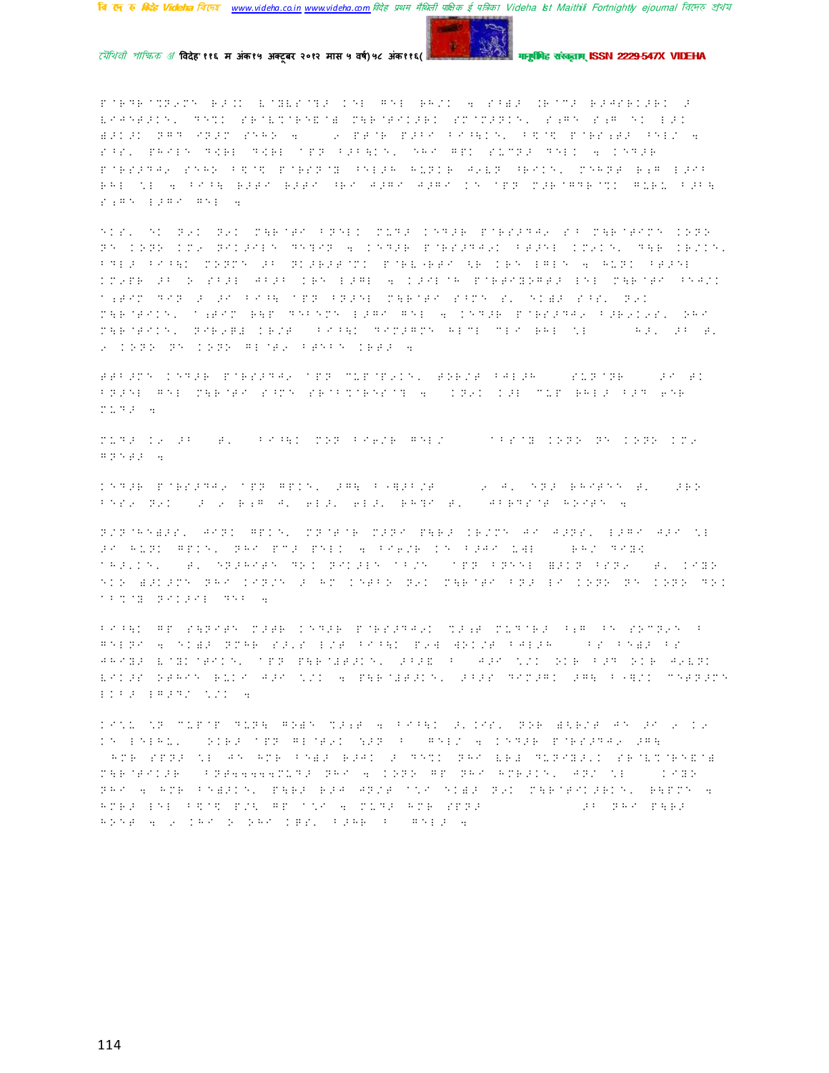#### ट्येंथिनी शांश्किक अं विदेह' ११६ म अंक१५ अक्टूबर २०१२ मास ५ वर्ष) ५८ अंक११६(

मानुमिह संस्कृतम् ISSN 2229-547X VIDEHA

ESPERANTES POR DI LESTERITES DAL PAR PRODUCES PRODUENTS PORTANES DEL EVANDEDNU (1990) VERTEDTRINE TE GRAFIEKTURET VOORDRONU VERRINGEN NOVEERD addidd (dem yddig yneb yn 1992) arach addyn awdadn, a bobladad add anadol y RIAN (PRAIN) POBL POBL (1820) FARBING (NRA) RED RICTED (1913) NO CONTAB 电过程电话节波动 电内电阻 医弗兰特氏征 电电子控制 医二甲基苯磺胺 医血管切断 网络拉萨 网络不变性 人名英格兰人姓氏克里斯的变体 重要的人或的人或人的对待和一些说明的人更是被对人的现在分词说明的人或说明的人或许人或是我们或说的这种故事的或为人思想的或人的说明有 

ADEL AD SEAD BAL DAR CREATER FOREI DINA LIANGE ETERPARKEN EN DABIREDA LIABA SA CORAN COR SACAREN MARAZ NECENARE EMBRARAC (PRAFECTORINO MERCORDO A REDUCA A FREU DO BON CORTO BODARO DO COMPERTERA O NECESARIA ERENTIRIO A CASA PRONE I DUER (UP) D'APPUR (PPUR) DRN (EUR) A CIURETA (ETRADEREU ENE DER TAN (PARTE) THERE TREE E SACHE REAL TERCHERAL CREETER SERVICES CONTERCIONES. CAR MACAL IN BACCORAE (1994-909) ESPACENTE (BOSSARE ENFRANCIPERISTAN) (1996-1997) casterini drevez isportive i streti drevezenni estas dans designat  $\label{eq:3.1} \left\langle \begin{array}{cc} \alpha_1 & \beta_1 \end{array} \right\rangle = \left\langle \begin{array}{cc} \beta_1 & \beta_1 \end{array} \right\rangle = \left\langle \begin{array}{cc} \beta_1 \end{array} \right\rangle$ University of the state of the state of the state of the state of the state of the state of the state of the state of the state of the state of the state of the state of the state of the state of the state of the state of

法律和法定的 计内存调查 计数据系统调查表 计主要点 的复数 建设工作业 法法案法律 计系统主题 人名卡普克莫尔莫斯 人名英格兰人姓氏 A BUAN CORNEL DE BINA CONTACTORIA NO PENSONE CHI COLORADO DO MICOLOR A EUROPEAN PANE  $\mathbb{P}(\mathbb{Z}/2,\mathbb{Z})\subset\mathcal{H}^{\times}$ 

TERRITA DE LA CORTO EN PELO TAR ENVANO PRETO O CONSTITUIDAD EN LORRA DOS  $\left\langle \left(1\right),\left(2\right),\left(1\right),\left(1\right),\left(1\right)\right\rangle \right\rangle \left\langle \left(1\right),\left(1\right),\left(1\right)\right\rangle$ 

(1) 在其实的一些"不是这样的是一个的是一种的变化。"这种是一种深度的机会的一个小小,这一种是一个是这一种并不的东西。 的过去分词 法将军法 "我是如何一定,这个是自我的事,但是不是我们一会的话,但是我的不是我们一定是不是在学的时候,我是学的孩子。

"其实是这种在温暖的人,并被其实,并把它在这个的是这种的事,它是其他人的有事的,它要是它在一种的人并没是的。" 主要共有人并具有人的生 法对于中心限定的事件工作上,根据对于非常法、非常主义、每个主义是证据、工作、主法法对、公理和、公司要求之一性的理论。 TRADING CALCOMARYMENT RESIDENCES CONTRACTORES BASE CARDS CALCORADO ADA BELEZA DEKO DAZARA ELEZA DAGUN BELIZABETEK EREGEN DEREGIN DEN DEREGINE rage properties and a

未来注意的 医甲状腺性有关病毒 的复数装卸的过去式和过去分词 经经济管理 经公司的过去式和过去分词 医牙状动脉 医外侧的 计数据数据数据 人名 进行的进行 网络小型的复数 建筑开始 的复数的过去式和过去分词形式 的复数人体医的过去式和过去分词 人名英格兰人姓氏温克 法的 将来的自动。我们自己的身边的话,但是要说,都是我们身体对方的,但是不是我们这个人都是你们的过去分词的事。不过我们身上来,并没我说的 ERISAN SAFRA SELIK PASA NII SEBENARINI NU PARA TANGAN SAFRA PARI TAHUN TARPATA 

distribute indense sopra spencionale a sistanti di pseri dale engagiana di di dis-TO FOR A BASE CONSTRUCTION OF THE THE CONSTRUCTION OF THE TOWARD OF THE PERMIT PRINT TROP STORY NE PROPOSITION PRESERVED IN THOSE DRAG ERECTION CONTROL TRANSPORTE TAE GROUPE - FORESSERING OPPORT LES DRONERS DE CORPORATIONS PROVINCES **Contract** PROTECT PRESENTATION CONTENTS AND CONTENTS ON A STORY OF THE CONTENTS OF A STORY OF ATES ENE FRICT POLITE TON A TOURS ATE YESS. s program graph. Advance of the the property party of the control and the se-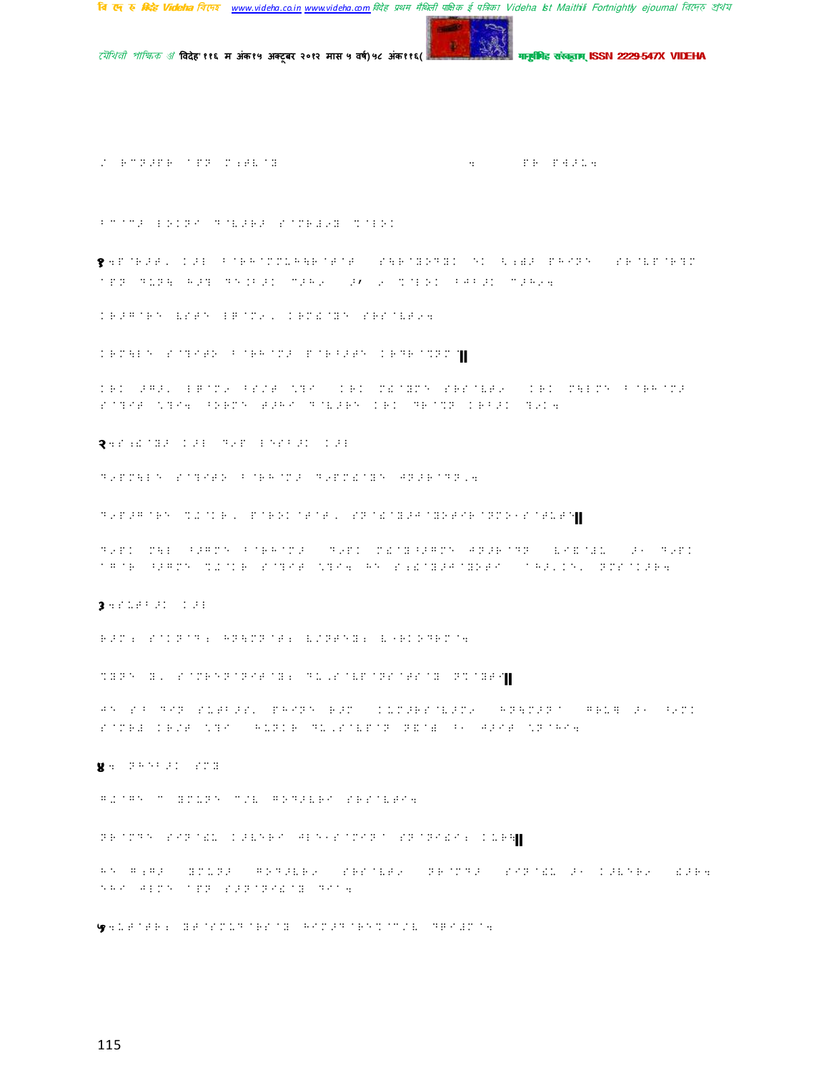ट्येंथिनी शांक्षिक अं विदेह' ११६ म अंक१५ अक्टूबर २०१२ मास ५ वर्ष) ५८ अंक११६(



मानुमिह संस्कृतम् ISSN 2229-547X VIDEHA

CORTESER TEACHERS **SACTO PETROPIA** 

a minimizi na badaye na nasaya na na babar sa badaya na badaya

● A E TRIZ A LI DI ZE LI FITRA PO DO RABITATO UN SARTO DE SECONDO DO CONTENTO DE SECONDO DE TRISTA DO TER TRIPS ARE PARTED TRACKED AND A STRIP OF THE RESIDENT

CAPPARA LEARN IBACK, CACEDON PARAIBANA

debase composed in tee tool and ender one as tool of

ISBN 2821-88702-8808-0380-181-081-0808-8880882-0181-08808-0-9880 ROSTRA CONARDO ARECONO RUANO INSTRUIRO CORDO NACIONE DE AUDIO INVER-

Report Follows Company of the Company of the

during a control of the thus during the couple thru

inverse text indicties, il este scilte tels lives taltalse tas exects to the testeral

AVED CHE (FREDNIK FRANTS) (AVED CHICAREDNIA RESENTA ) EVENIDO (S) (AVED TRIN PRESS SON CONTROL PROPERTY AND RESIDENT ORDER TO TRAVING CONTROLLERS

3 83 08 F 21 / 1 23

A 2014 CANS DISPLAY A DAILY NA LINEARD ANN AN AIR 2014

case is a concrete electronic substance the theory of the m

将在一定时, 中国第一省公司和法官公司的开发管理。 电调整 人名英格兰人姓氏菲夫的变体 人名英格兰法英格兰人姓氏拉斯特的变体 人名英斯克 ROCERA CERVA (1987), ALBERT COLLECTIVO DECATOR PROPERTIES (1987)

 $9.4 - 2.55 + 2.1 - 2.73$ 

ROCHS TO BOORS TOAL REPRESS WEEKLERS

de considerado o países de secundado edicada e o pela

AN PERA COLORA PROGRESS SERVICO DE TORA SERVICAL ANCIONAMENTO CAR NAME ASSESSED FOR DESCRIPTIONS OF A REAL

WAS A 1999 CORPORATED AND A 1997 THOSE OF PACIFICA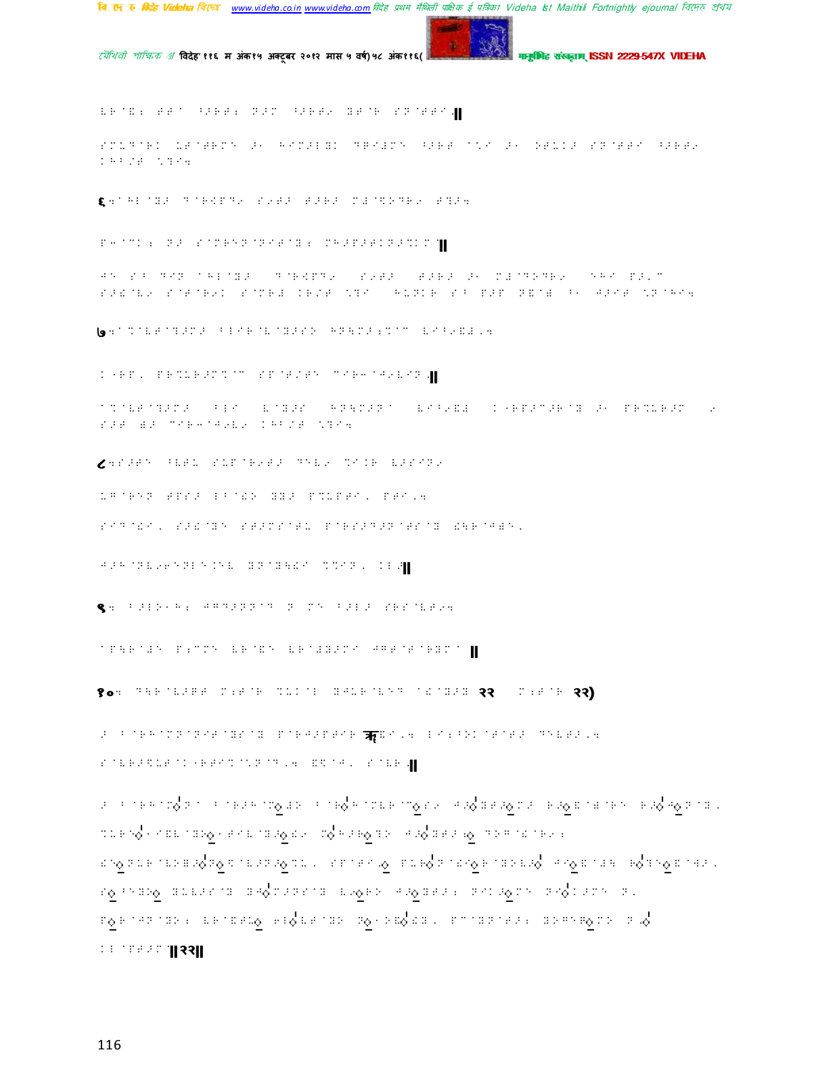ट्येथिनी शाश्किक अं विदेह' ११६ म अंक१५ अक्टूबर २०१२ मास ५ वर्ष) ५८ अंक११६(

मानुभिह संस्कृतम् ISSN 2229-547X VIDEHA

ERICE: RAIN SARAY DADI SARAY DANKI YONGAN IL

RODARDED DE CERDA (A) APOSEBIO REPUBDA (AFER CONTINUIDADE PROPERTI AREA) 19973 13376

gener maximine crime i avez lieuezh ma robinev lienze

and the subsequent the experimental subsequent that  $\mathbf{u}$ 

将在一定时, 中国第一个书室的基本, 一件的是这里在这个人的是这里去了, 虽是重要人民和人的法的生产生是一个人生存的, 里去之前, avantes a recesso a roba (1929) can l'espace a Figuri della l'España contrene

en dia andere la sava na naevo l'adape sono la kasades

CORPO ERICERTO MORTINEN CONFERENCE (P.

TO TEA TRADA (1999) TEACH ENGAL (1999-2007) TEA FAEA (1999-2008) TEACH ARE REDEAD (199 pose and investigate cost per carve.

ZHRUBA (FEBER REPORTED TAED TRIB EDGRAPH

SAMPAR PERSONAL SERVICES CONTRACTORALLY

www.how.com/service/service/service/service/service/service/service/

A 2 R 12 E 2 R N 24 N 12 E 1 B 2 1 B R 2 N 1 T 1 C 2 L 1 E 2 H

SCALE A RIGHTS FEAR OLDS TRIVE CERTAIN CONTERNET

CA PARTNAHA PROGRESS DE CA PARTNAHA SERVICA

n e se na silieram disilia e na silia e na da disilia e e a rene de milit

de la calación de calendar com a calacada de la popolación de la calación de calación a alguna el

You sale three charter this term density that drive and the RR)

116

**TEST TEST TEST** 

 $x \mapsto \tau$ a e co $d$  a collecta a el op $\underline{\delta}$  a a collecta el co $\underline{\delta}$  a alla a a a $\underline{\delta}$  o alla el secola a $d$  e $\underline{\delta}$  a call in ble høj kiki ble indeløj klende navøj divisin og mellige og ble og selve sen har heves i  $\mathbb{Z} \times_{\mathbf{Q}} \mathbb{Z} \times \mathbb{Z} \times \mathbb{Z} \times \mathbb{Z} \times \mathbb{Z} \times \mathbb{Z} \times \mathbb{Z} \times \mathbb{Z} \times \mathbb{Z} \times \mathbb{Z} \times \mathbb{Z} \times \mathbb{Z} \times \mathbb{Z} \times \mathbb{Z} \times \mathbb{Z} \times \mathbb{Z} \times \mathbb{Z} \times \mathbb{Z} \times \mathbb{Z} \times \mathbb{Z} \times \mathbb{Z} \times \mathbb{Z} \times \mathbb{Z} \times \mathbb{Z} \times \mathbb{Z} \times \mathbb{Z$ 

ing sebagi bada sama mangkala ang samaya si nagban sa para agite mangkala tempoh

ros de constante en especies de especies de la contradición de eneocos de o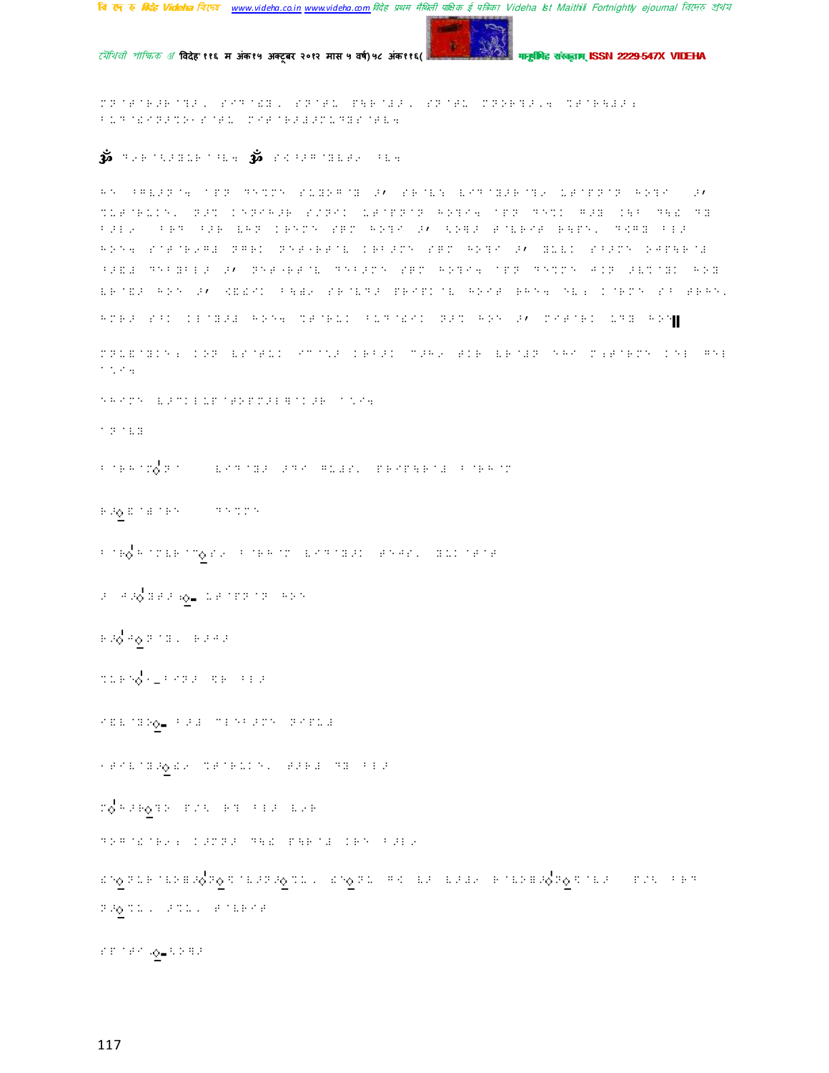ट्येथिती शांक्रिक औ विदेह' ११६ म अंक१५ अक्टूबर २०१२ मास ५ वर्ष) ५८ अंक११६(



मानुमिह संस्कृतम् ISSN 2229-547X VIDEHA

CORPERENTAL PRATTES PERSONAL PARTEL POPEL COOPERENT PROPERTY a contra e distribuirente con el entre su ser consegue de la el

# $\mathring{\mathbf{y}}$  , we can see the  $\mathring{\mathbf{y}}$  and the consequence

A 500 FRED 2015 ENDING TO THE SECOND RESIDENCE OF A SERVE TO DESCRIPT OF A SERVER OF DV. mba mebinu (1995) inggalake kuthani banggara sebagai ngalimnan sekal ise (1998) ne FOED COFFEE FOR LEAD CENTS VERT PORT ON CAPES A MERGE PARS. CROBE FOR A 2009 Canal research Peach (Polar Fact) (1980-2000) and the Research Canal Canal research (2009) and the Research SOE EN SAN BREVELOU DA PORTE EN SAN DONT ERO PARA EN DE SAN DONT ALOR DE DA BREVEL ESTER PRAY DU CEBRIT FRED PERMIT PERMIT NE PARA BRANCASE TENNIS PARA DE A DA A CARDIO DE TORAL (A SANTO DE TAILO A LA TERIO CARDO A SANTO A CARDADA DO LA CARDIO A SANT

COSECEINA ISOS ARGAIN VOCAS IBROICOSES RIBUARDOSES DAN CARDEDES INFORM **Site Ave** 

NARON SERVICE DE NANEDRE BOISEN ONNA

**TESTER** 

a neerodan - Lavanda Jaak ebart pekerekoa anekor

 $\mathbb{H}(\mathcal{A}\mathsf{Q})\mathbb{H}(\wedge\mathbb{H}(\wedge\mathbb{H}\mathcal{H}))$  , where  $\mathbb{H}(\mathcal{A})\mathbb{H}(\wedge)$ 

a na⊘a nosa nogy v a naa no szkardud varak. Sportara

a leagueal solute traite less

 $\mathbb{H}(\mathbb{R}^{d-1}_{{\mathbb{Q}}}\otimes\mathbb{R}^{d-1})\mathbb{H}(\mathbb{R}^{d-1})\mathbb{H}(\mathbb{R}^{d-1})$ 

 $\mathbb{P}(\mathbb{D}, \mathbb{B}, \mathbb{S}^{(1)}_{\mathbb{Q}}) \subseteq \mathbb{P}^{(1)} \mathbb{P}(\mathbb{P}, \mathbb{P}^{(1)} \cap \mathbb{P}, \mathbb{P}^{(1)} \cap \mathbb{P}, \mathbb{P})$ 

Keardby Four mention prepa

накрових самонов заведения

ngeneous mis em sin moe

momentals in proportional maaile park (FDF).

any dia mpany sy that says that any distance are also a mpany sy the state of the PROTECT POLICE TERMS

330 1931 April 2019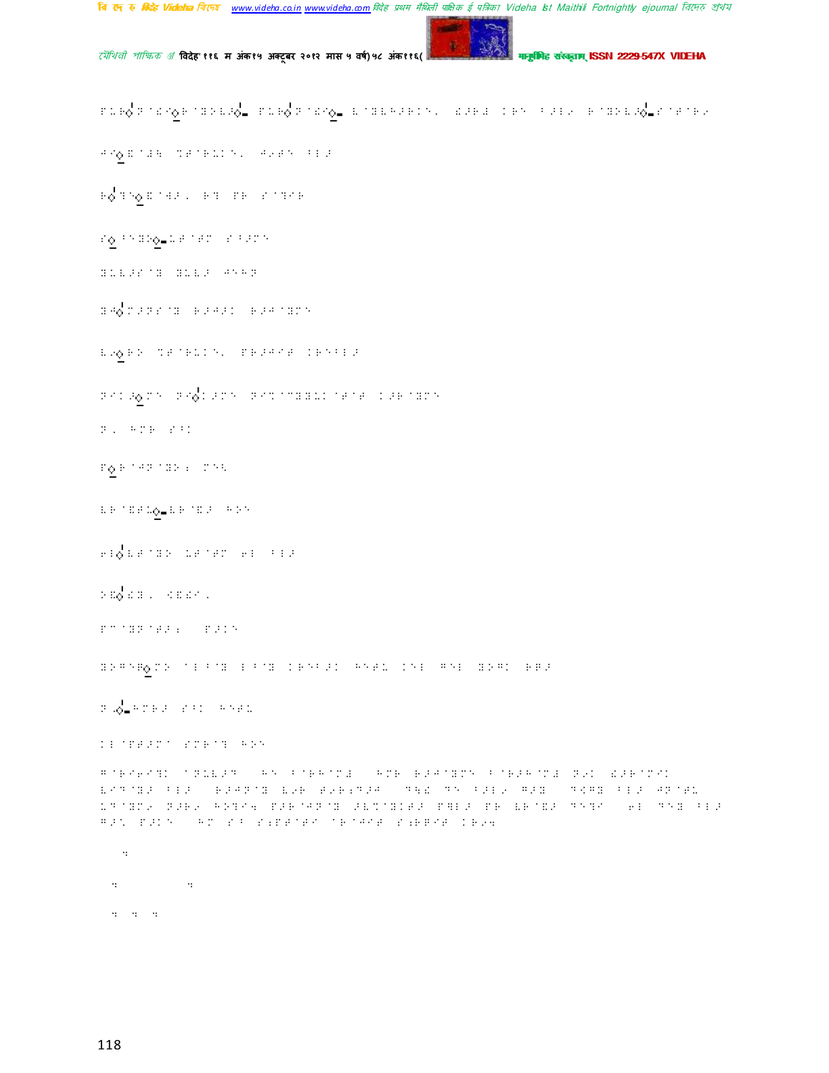*त्रीशिती পাफ़िक अ*विदेह'११६ म अंक१५ अक्टूबर २०१२ मास ५ वर्ष)५८ अंक११६( सालामह संस्कृतिक संस्कृतम् ISSN 2229-547X VIDEHA

יוֹיִי בַעֲלוּ הַיְכוֹיִ יִיִּ יִיִּ יִיִּ הַעֲלוֹ הַיְכוֹיִי הַיְכוֹיִי הַעֲלוֹ הַיְכוֹיִי הַעֲלוֹ הַיְכוֹיִי

⢺◌॒⣏⣜⣓.⣉⢾⢷⣅C!⢺⢴⢾!2⢼!

⢷◌॑⣙◌॒⣏⣚⢼⣀.⢷⣙!'⢷!"⣙⢷!

 $\mathcal{C}\underline{\underline{\varphi}}\xrightarrow{\iota\wedge\iota} \mathcal{D}\otimes\underline{\underline{\varphi}}\xrightarrow{\iota} \mathcal{D}\otimes\mathcal{D}\xrightarrow{\iota\wedge\iota} \mathcal{D}\otimes\mathcal{D}\xrightarrow{\iota\wedge\iota} \mathcal{D}\otimes\mathcal{D}$ 

⣝⣅⣇⢼"⣝.⣝⣅⣇⢼!⢺⢳⢽!

⣝⢺◌॑⢼⢽"⣝.⢷⢼⢺⢼!⢷⢼⢺⣝!

⣇⢴◌॒⢷⢵.⣉⢾⢷⣅C!'⢷⢼⢺⢾!⢷2⢼!

⢽⢼◌॒.⢽◌॑⢼.⢽⣉/⣝⣝⣅⢾⢾!⢼⢷⣝!

⢽⣀.⢳⢷!"⢸!

 $\Gamma_{\mathsf{Q}}$  is the property of  $\Gamma$ 

 $\mathbf{L}$  -  $\mathbf{L}$  -  $\mathbf{L}$  -  $\mathbf{L}$ 

⢶2◌॑⣇⢾⣝⢵.⣅⢾⢾!⢶2!2⢼!

⢵⣏◌॑⣎⣝⣀.⣊⣏⣎⣀!

'/⣝⢽⢾⢼⣐.!'⢼!

⣝⢵⢻⢿◌॒⢵.2⢸⣝!2⢸⣝!⢷⢼!⢳⢾⣅!2!⢻2!⣝⢵⢻!⢷⢿⢼!

⢽⣀◌॑-⢳⢷⢼!"⢸!⢳⢾⣅!

2'⢾⢼."⢷⣙!⢳⢵!

⢻⢷⢶⣙!⢽⣅⣇⢼⢹.!⢳!⢷⢳⣜-!⢳⢷!⢷⢼⢺⣝!⢷⢼⢳⣜!⢽⢴!⣎⢼⢷! ⣇⢹⣝⢼!2⢼-!⢷⢼⢺⢽⣝.⣇⢴⢷-⢾⢴⢷⣐⢹⢼⢺-!⢹⣓⣎!⢹!⢼2⢴!⢻⢼⣝-!⢹⣊⢻⣝!2⢼!⢺⢽⢾⣅-! ⣅⢹⣝⢴!⢽⢼⢷⢴!⢳⢵⣙⣒!'⢼⢷⢺⢽⣝!⢼⣇⣉⣝⢾⢼!'⣛2⢼!'⢷!⣇⢷⣏⢼!⢹⣙-!⢶2!⢹⣝!2⢼! ⢻⢼⣁!'⢼-!⢳!"⢸!"⣐'⢾⢾!⢷⢺⢾0"⣐⢷⢿⢾!⢷⢴⣒!!

.9 WJEFIBIBI GPS: SFTJEFIBI GEORGEN I STOP  $\mathbf{q}$ 9 Particular 1999 - Den Berlin Den Berlin Den Berlin Den Berlin Den Berlin Den Berlin Den Berlin Den Berlin De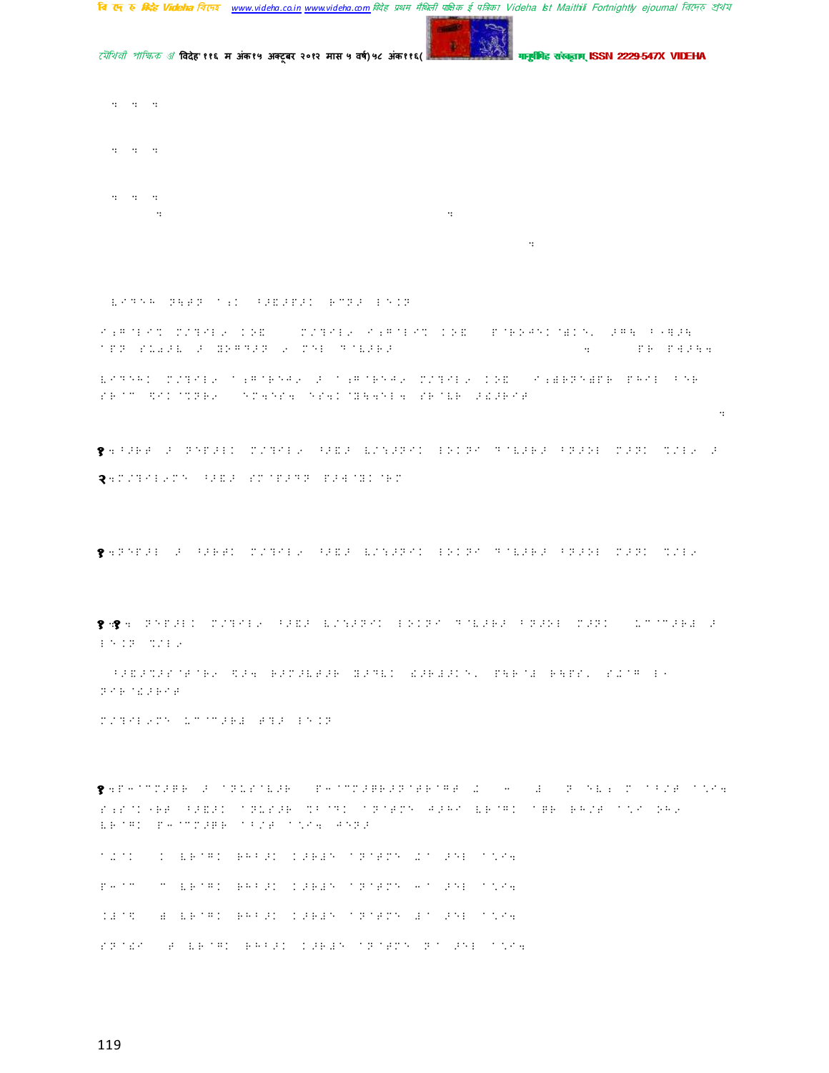*त्रीशिती পাफ़िक अ*विदेह'११६ म अंक१५ अक्टूबर २०१२ मास ५ वर्ष)५८ अंक११६( सालामह संस्कृतिक संस्कृतम् ISSN 2229-547X VIDEHA

9 South 20 September 2007 (2007) and the set of the set of the set of the set of the set of the set of the set 9 August 2004 - Pool en die eerste kan die eerste kan die eerste kan die eerste kan die eerste kan die eerste 9 South 2005 (2005) John Die Stern in der Stern in der Stern in der Stern in der Stern in der Stern in der Stern in der Stern in der Stern in der Stern in der Stern in der Stern in der Stern in der Stern in der Stern in de cz! Esiment Boeing (Sbk) Lvnbs. Wfsnb i Kbzb. Wfsnb Wfsnb Wfsnb Wfsnb Wfsnb Wfsnb Wfsnb Wfsnb Wfsnb Wfsnb Wfsnb

Tfoe!zpvs!dpnnfout!up!hhbkfoesbAwjefib⣒dpn!!!

!⣇⢹⢳!⢽⣓⢾⢽!⣐!⢸⢼⣏⢼'⢼!⢷/⢽⢼.2⣈⢽!!!

⣐⢻2⣉.#⣙2⢴.⢵⣏!0!#⣙2⢴.⣐⢻2⣉.⢵⣏!!'⢷⢵⢺⣞C!⢼⢻⣓!?⣛⢼⣓-!  $^{\prime}$  for a state of the state of the state of the state of the state of the state of the state of the state of the state of the state of the state of the state of the state of the state of the state of the state of the s

⣇⢹⢳!#⣙2⢴.⣐⢻⢷⢺⢴!⢼!⣐⢻⢷⢺⢴!#⣙2⢴!⢵⣏!)⣐⣞⢷⢽⣞'⢷!'⢳2!⢷! "Ye find that interest in the term of the second service interest and the point of the

१⣒⢸⢼⢷⢾!⢼!⢽'⢼2!#⣙2⢴!⢸⢼⣏⢼.⣇#⣑⢼⢽!2⢵⢽!⢹⣇⢼⢷⢼!⢽⢼⢵2!⢼⢽!⣉#2⢴!⢼!

tfswfs:Nbjuijmj.Fohmjti.Nbjuijmj.Fohmjti.Nbjuijmj.Nbjuijmj.Nbjuijmj.Nbjuijmj.Nbjuijmj.Nbjuijmj.Nbjuijmj.Nbjuij

२⣒#⣙2⢴!⢸⢼⣏⢼!"'⢼⢹⢽!'⢼⣚⣝⢷!

१⣒⢽'⢼2!⢼!⢸⢼⢷⢾!#⣙2⢴!⢸⢼⣏⢼.⣇#⣑⢼⢽!2⢵⢽!⢹⣇⢼⢷⢼!⢽⢼⢵2!⢼⢽!⣉#2⢴!

१⣒१⣒!⢽'⢼2!#⣙2⢴!⢸⢼⣏⢼!⣇#⣑⢼⢽!2⢵⢽!⢹⣇⢼⢷⢼!⢽⢼⢵2!⢼⢽!!⣅//⢼⢷⣜!⢼! 2⣈⢽!⣉#2⢴!

)⢸⢼⣏⢼⣉⢼"⢾⢷⢴!⣋⢼⣒!⢷⢼⢼⣇⢾⢼⢷!⣝⢼⢹⣇!⣎⢼⢷⣜⢼C!'⣓⢷⣜!⢷⣓'"C!"⣌⢻!2g! ⢽⢷⣎⢼⢷⢾\*!!

#⣙2⢴!⣅//⢼⢷⣜!⢾⣙⢼!2⣈⢽!

१⣒'⢲/⢼⢿⢷!⢼!⢽⣅"⣇⢼⢷;!'⢲/⢼⢿⢷⢼⢽⢾⢷⢻⢾!⣌-!⢲-!⣜-!⢽!⣇⣐!!#⢾!⣁⣒! "⣐"?⢷⢾!⢸⢼⣏⢼!⢽⣅"⢼⢷!⣉⢹!⢽⢾!⢺⢼⢳!⣇⢷⢻!⢿⢷!⢷⢳#⢾!⣁!⢵⢳⢴! ⣇⢷⢻!'⢲/⢼⢿⢷!#⢾!⣁⣒!⢺⢽⢼.!!

⣌!)!⣇⢷⢻!⢷⢳⢼!⢼⢷⣜!⢽⢾!⣌!⢼2!⣁⣒\*! '⢲/!)/!⣇⢷⢻!⢷⢳⢼!⢼⢷⣜!⢽⢾!⢲!⢼2!⣁⣒\*! ⣈⣜⣋!)⣞!⣇⢷⢻!⢷⢳⢼!⢼⢷⣜!⢽⢾!⣜!⢼2!⣁⣒\*! " and the control of the second second second second second second second second second second second second second second second second second second second second second second second second second second second second s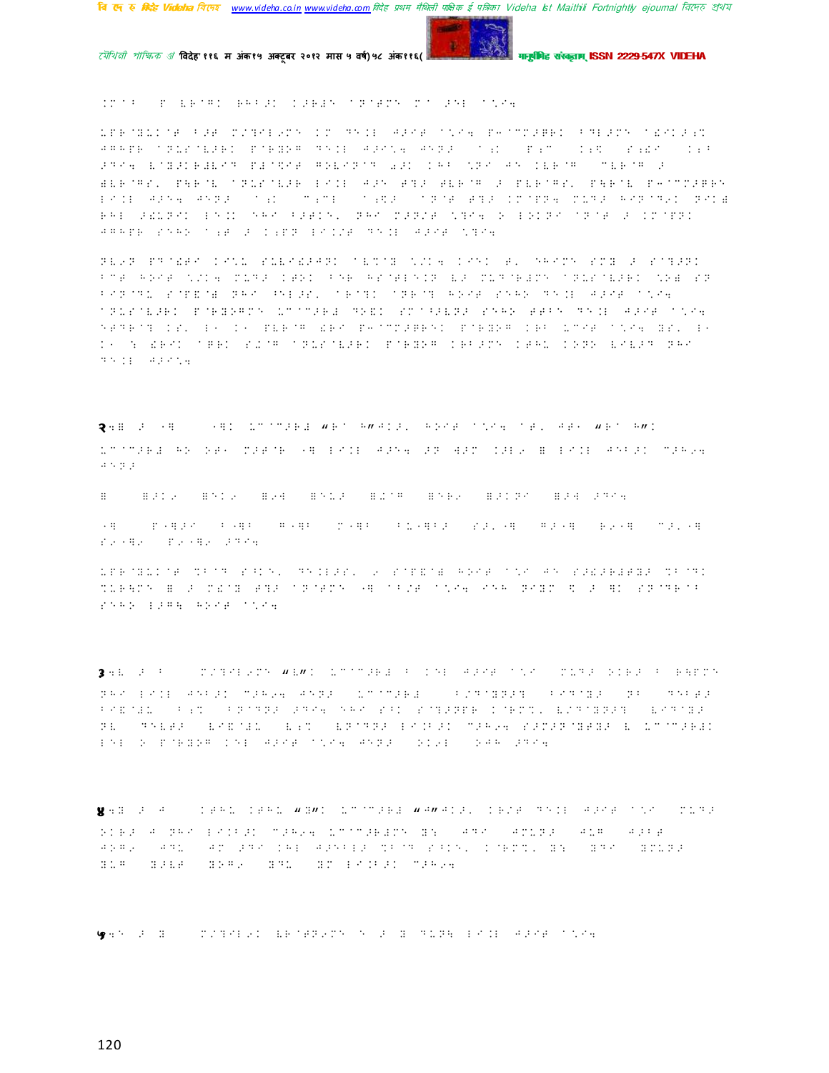ट्येंथिनी शांश्किक अं विदेह'११६ म अंक१५ अक्टूबर २०१२ मास ५ वर्ष) ५८ अंक११६(



गानुमिह संस्कृतम् ISSN 2229-547X VIDEHA

drive a paraner assured dealy indicate relate include

CERTE CECO CAR PROVIDI CELEVITATION DE PROVINCIA A PORTUALE DE CONSIDERED PROPERTI DE CARDINALES. ARABA TORLETERED BIARDAR PADE ARABA ANDRI  $\sim$  7 at  $\sim$  10 a.m.  $\sim$  1 a.m.  $\sim$  3 at  $\delta$   $\sim$  1 a.m. 法进行审计 电过度调制 新建胶胶体 "我是你那些我们开始也不是你想。"这是如何的书中,"我是你们开放,你也要你开心,你也要你开心法。 温电电信用的 人名英格兰人姓氏艾尔特的变体 医对位的 医皮肤 医生体 医单面 计数字 的复数的复数形式 化氧化物 医阿斯特氏病 a kida mereka merdurum masu minana muncakurum birana mara monarkan bordur berdinera mako denga BAB (Appart Bist) SAR (AABS) and page of the start of Bistan (tarted Actionated ARREST ENRY THE STORES ENDING THIS BURGLARY

SERS PROBLEM CONTROL PREPARENT CERTS TRANSPORT PROTOCHOLOGY PROPINSION A mail e Shairi tuttia i dibata i baso i A meri mara modificato i don relachi indopendo do control do all'anzi FRANCIS ESTERINE CARRO PRESENTATO DO PROTECTA E PRAECESSA DE LA PARTICIONALE TO DE PERISTE DE TROBARDO CENTIMARO E PORTE EDITORIADO E PARA CRARA E PORTE ARRAM E NARRA NERENT IZ. EK IK KARER REGEN ZENTIGERNIK EREN IREGERIGEN IZEN AUSTRITUTE 1980 NO BERTO CORRO CRISTA CORDINARIO CROBARA CORPORADO DEPOS O NARACIA RADIA POR 进入过的 医甲基乙烷基

● 在日本 法人工有关人 人工有工人 医内内内法检组织病 医内耳神经 法法人 医中枢病 人名克拉斯 人名英克兰 使转变 网络新生产科学会 DITOTABLE PROGRAM DARITRO PROFINE PRANA CARO RADO CARDO BOBIA CROBO ANEACO TARDA and popular

**B** C "我是怎么了,我在怎么了,我没有了,我在怎么了,我这个男人,我在我这个,我这怎么了,我就是不过这样的。

i popular in diplomatique of politique de la popular de la politique de la politique de  $\sim 10^{11}$  m  $^{-1}$  $\sim$  relations on the  $\sim$ 学会主要会

pare rapprise internal sceptions into be assistant scarce and educational scepe assessed and the theory SOBRADO E VISDADE REALIZAÇÃO (PESTRUPA COMPOSAR POR ESPECIAL A EL PRIMEIRA group of page appeal in pro-

CONSTRUCTION WEBSITE INTERFERENCE OF A PART ON A CONSTRUCTION OF CONTINU  $3.945 - 10.05$ den skass entat maeue enda i commassi i transparsi tennosa i del meteor FRENENE FREDRIK FØNSØR DESKE SAK FRA FREDREK I NEDD. EVSTØRE FERSTØR **STARBAN RABINE SERTS** 1、我想不想想去,主张了球,这么一次说来这里,学说要这些做了其实是什么。我们会做了你这里去的  $\mathcal{L}(\mathcal{L}_1)$ 主办主义 医二苯乙酰基医热 计工作主义 网络哈顿 人名英格兰 网络装装 人名英法法里尔 人名德布尔法英格兰

量海道 2010年 - 10日前4月10日前4日、福建4日、10月17日3日前、福井4日12日、工事工具、共同1日、日本社会、内容作品、工作部 本工事是一种,是形式一生的工作是100万的是形式每个公司工作是形容的人。其实一个"并进的"。 中立公共法 "一种公共"、"并法规是"  $\left\langle \mathcal{A}(\mathbf{y},\mathbf{u})\mathcal{A}^{\dagger}(\mathbf{y})\right\rangle =\left\langle \mathcal{A}(\mathbf{u})\mathcal{A}^{\dagger}(\mathbf{y})\right\rangle$ TRE SAN IRE RANGES TRINGES AND LINETS. BATTLES AND STUDIO  $\mathbb{E}[\mathbb{E}[\mathcal{H}^{\mathrm{in}}]]=\mathbb{E}[\mathbb{E}[\mathbb{E}[\mathcal{H}^{\mathrm{in}}]]$ 

● 在外,这个是一个人,这是在这里认为,由我们就是这些个人的人这个是一件的是我们生活的过去。在这些的人的女子在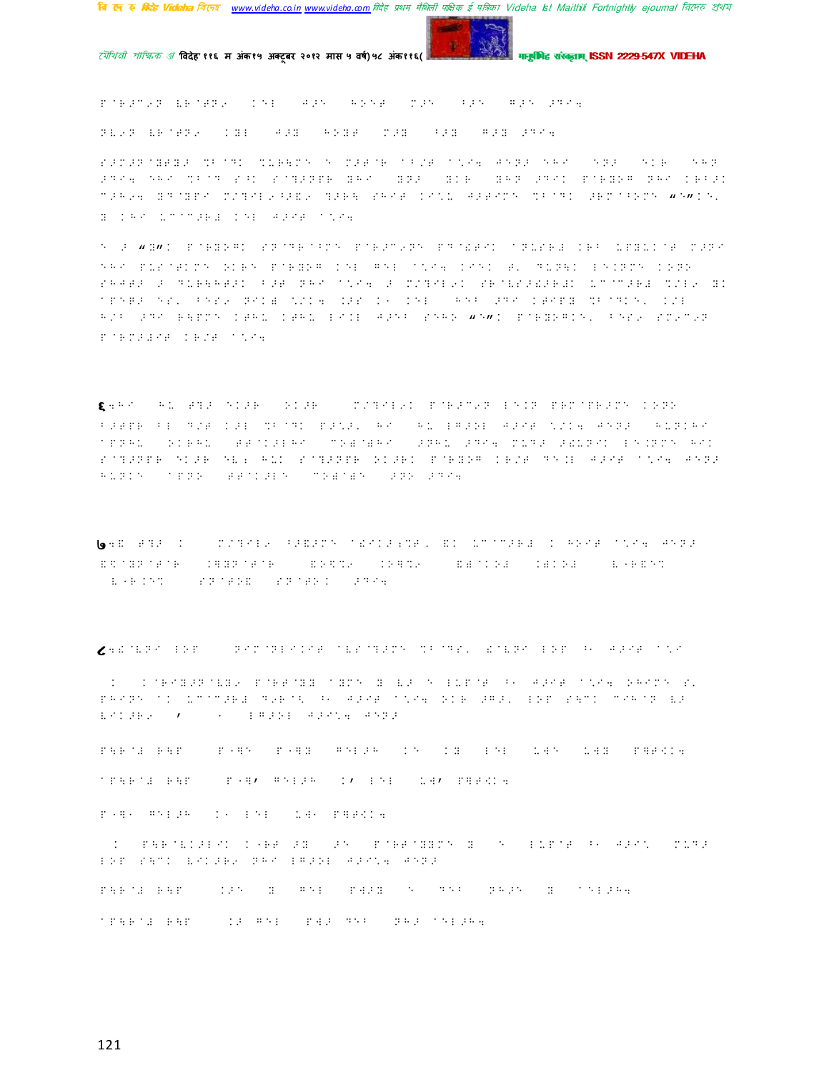ट्येंथिनी शांश्किक अं विदेह'११६ म अंक१५ अक्टूबर २०१२ मास ५ वर्ष) ५८ अंक११६(



। मानुमिह संस्कृतम् ISSN 2229-547X VIDEHA

and a group of a and a group of the structure of the structure of the structure of the structure of the structure of the structure of the structure of the structure of the structure of the structure of the structure of the

DESD EFTERS IN ELS PRODUCTES TORES PRODUCTED

RADAR TREBA (DE TRICOLESTA CACIDAE DE CAVEC CONSTRUITARIO CARACCIARE) (ALECCOARD) anka iseki di ini alip alidadee deki (dad) dabe (ded anko eleden deki perap TORPAS CONTORIO DISPOSABLA PARA CORPORATIONELLA ARABITET CONTINUED TREDE NEWSFILM discuss communications appeal to be

IN 1971 WAS CITED FOR THE CONTRACTOR OF THE POST AND TO POST OF THE DESCRIPTION OF THE POST OF SAR PERSONICS DEAS PORTED SON PART ON CARACTERS AND SERVICE STRUCK IS anewar in the earl in the men on the industrial as a sense and homogen more in TENEA NEL FAEU PATE DEL L'ORGANIA DE L'ANTI L'ANY DANS DESERT DE TRINU L'ORE 中心中, 法进行 中央的工作 (1981) 1984年(1982) 1991年(1992年) 405年(1992年) 409年(1992年) 1992年(1992年) 407年(1992年) PORTABAR CROP COVAL

CARP AND RELEASED STORE IN STORE IN THE TREAT REPORT OF STORE TREATMENTS IN STORE 未说是的第三人称单数使是最大的过去分词形式用的。如果我说,一种学习的一种的人的事件是否的一种法律是不能的过去分词不是某人的事的是的事件。 Complete Box Coupeau Customer Studies (September 1981) 大学学系会 - 女性事件型) - 日本の1944年の RITERREE INSPECIALE AND CRISERER DOCRES ETHERE INFORMATION ARABITICARE IN ACRES CONTROL PRODUCTS CONFIDENCIADO DE PAR

GRE REACT CONTRACTOR PARADE CONTRACTA LE CONTRACTO DE PERMITINA PRESENTA screpters (septembers) special computations and particular and areast TERRING CONSTRUCTIONS OF SPACE

See as a substitute of the constitution of the company of the second second services of the

电电子电压 计工作工作时的过程 医卡特曼氏试验 计程序 医皮肤病 计无关系 医血管下腺中毒 计主要求 经有限公司 化学电子电子电子  $\sim 10^7$ 4. 将1. 其根是一  $\mathcal{L}=\{\mathcal{L}(\mathcal{L},\mathcal{L},\mathcal{L})\mid \mathcal{L}(\mathcal{L},\mathcal{L},\mathcal{L},\mathcal{L})\mid \mathcal{L}(\mathcal{L},\mathcal{L},\mathcal{L})\}$  $\mathcal{L}$ 

ana estable a provinciar de la companyación de la contra del contra de la companyación

TEARNS RAE ( FRA) PAERA ( FAE ) LAS ( EA) FRANCA

real evide city into the reacts

THAN TEAM MEASURE TO THE CONTRACT OF A PARTY CONTRACT ESP PATCHERISES PARTIERISE RIPORTALE

"我有事了法,要有我们。""你是在一个男子,并在主人,我得这男子,在一个男子打了,我有这样,不是一个人在主要在每个

TEAPTE PART OF DEPART EAST TAX CORPORATIONS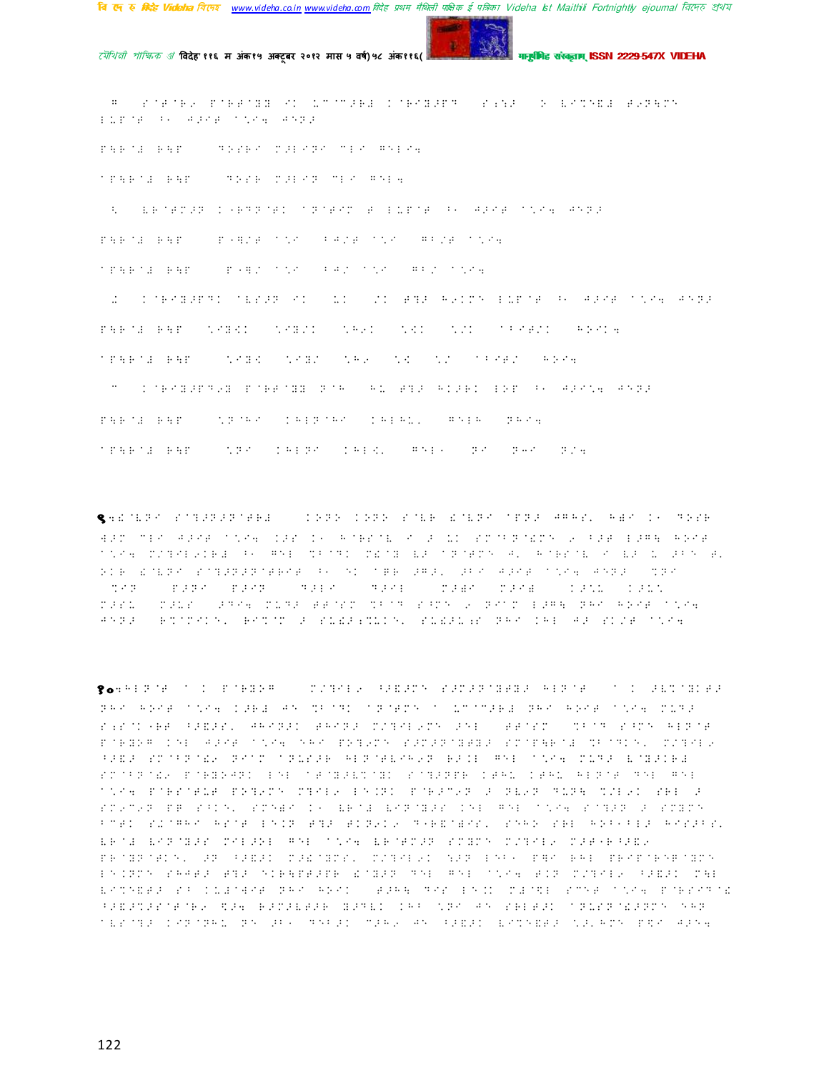ट्येंथिनी शांश्किक अं विदेह'११६ म अंक१५ अक्टूबर २०१२ मास ५ वर्ष) ५८ अंक११६(

। मानुमिह संस्कृतम् ISSN 2229-547X VIDEHA

TRO SE PERMENTE PREPIDENTADO DO MOREL DO PROBREMO CENHAR O O SUBRADEL PRAPEDA a parta con condizato in propostanda a

TAE MELEAT CONTRACT THROUGH CHANNEL

TEAPTE PART TO REPETE CREAT TEACHERES

**一般的 "我要你是要要选择的工作重要要的是工作的要求是对某人是一定会要求是一种的人就是对某人的人的是一种的基本** 

○ おき用の新したなので、お申の新したなので、申請の新したなのか FARME BATT

**TEACHER** 医单位电子 医无线 医甲基乙烯丙烯 医甲基乙烯丙烯基

"这个人的,我们是我的话的,你也是我的。我的人们也的,你的人,我们还是我们的人的女人的。"我也是不是人的人,我这么多人的人的是,我的女人 FARME RAFT COMPATION CABLES Conservation of the conservation  $-1.5.75.4$ 的复数新的第三联系的 人名英格兰姓氏 人名德捷克 人名英格兰人名英格兰人姓氏卡尔特来源于古英语含义是 "你……"如果是在这里的房子里,"我们要是你在我们我们身上。"我会一直在这个我的这里的,"主要我们这样,你是这个女子,我在我的 的复数过滤 电有机 人名克莱尔科德 人名英麦克尔科德 人名英麦克拉尔 人名英格兰人姓氏费森的变体

不要有事的是一事有的人。 人名英格兰人姓氏斯莫格尔住所名称来源于古英语含义是一种语言的一种语言的一种语言

● 在最后的第三人称单数使使某些重要的 人名英格兰人姓氏英格兰人称来源于古英语含义是不是某些人的复数形式 医单位 计多级 医多异形 READY TERRITA ARREST NOVES TO A CONTRACTES AN ORIGINAL SECOND ACTIVITY ARREST ARREST A SARE n skiel pod keizoare in kiel moet noch de parte de progresorie. De neemd ik het door te koning 医血管下 最后都是另一个的白度是是是自己的新的第一次来了。在1000年的一次开展了,但是有的一种是的的一个人的是一种方法是一  $\sim 100$   $\mu$ 元々 20  $\left\langle \left(\begin{array}{cc} \Gamma & \Gamma & \Gamma \end{array}\right) \Gamma \right\rangle \left(\begin{array}{cc} \Gamma & \Gamma \end{array}\right) \left(\begin{array}{cc} \Gamma & \Gamma \end{array}\right) \left(\begin{array}{cc} \Gamma \end{array}\right) \left(\begin{array}{cc} \Gamma \end{array}\right) \left(\begin{array}{cc} \Gamma \end{array}\right) \left(\begin{array}{cc} \Gamma \end{array}\right) \left(\begin{array}{cc} \Gamma \end{array}\right) \left(\begin{array}{cc} \Gamma \end{array}\right) \left(\begin{array}{cc} \Gamma \end{array}\right) \left(\begin{array}{cc} \Gamma \end{array}\right)$ TRANSPORTAGE CONSTRUCT 一件法的名词  $\begin{aligned} \mathcal{L}^{\mathcal{A}}(T,\mathcal{I}^{\mathcal{A}}(T,\mathcal{I}^{\mathcal{A}})) = \mathcal{L}^{\mathcal{A}}(T,\mathcal{I}^{\mathcal{A}}(T,\mathcal{I}^{\mathcal{A}})) \end{aligned}$ TURES (CITUSE) URARE TSAND REPET TRANSPORTED DE PROTOCEDARE DARE ADRES CONFE RABA (PEDIDADA) ERDID ALGEBERIDIAN GEBAL EN BARCER (PEDIDA GEBAL EN B

ROBRER TRAINING ENERGY POSSESSION CONTRACTOR CONTROL ARRIVED TRANSPORTER AND der ere inte interestate in the transformation of the second second research the state REBENT (PER COORDINATION PER COOL) REPORT INVESTIGATION (PER COOL) IN THE COOL RESEARCH ESPERENT DE LA PARA SONA LERA ERREPORTA ENTRADORER EN TERRA DE SEDELLO DOREAL A 2021 SEDITA DI CAVIL DA COLIVIA CARA PARTE A PARTE A PARTICIPA A LO DO DI SUR DE CORDIARE. RID TE DI TRA LIBIT BER ADICILI E NELL'ORI TERRETO TE LI INTERPRETO RANCO I RACCIO BE DI TRI IL PAELI PENEL TORA ETERTADA EDGUNTA INFERIO EN 1911 EN PARADA A PERA PODE TOBAL PER LA provide the problem problem is the full exploration of the control problem of the second 医内脏炎 计最近的开关的 "我是不是,王国的是,虽是我们是怎么会,我们是我们是不是,你是你开始,是我们,我会有人去主要,我可是这东西。 EACE EXPOSER CONSIDERATION CONSIDERATION CONTROL CONTRACTORS AND BERTOS TRITAL I DO EXPORTE TORITORIALE TORRARIA E SOPRA E PARTERAR E BERTORARIA DO N a vidov vreke v edu videnese u ndad (dva vini vidne upid ovdala) (sabs) vad 电子电子电子法 "这些人的是谁不是不是,这些子,并是不知道,是这些是一件子的,主任的人的是不知道,这些医学,不能不是一定的是这个生活的 A SERICA CA TEVORIAL ERICABASE CERREI CIPA CIDA CORPORAT DO CORPORAT CARDO CAPA TER TEACH CAR TRAIL CRACCAR (CONSERVED) PARCE AREA DE ANNO EAR COALANTA CERACCARA A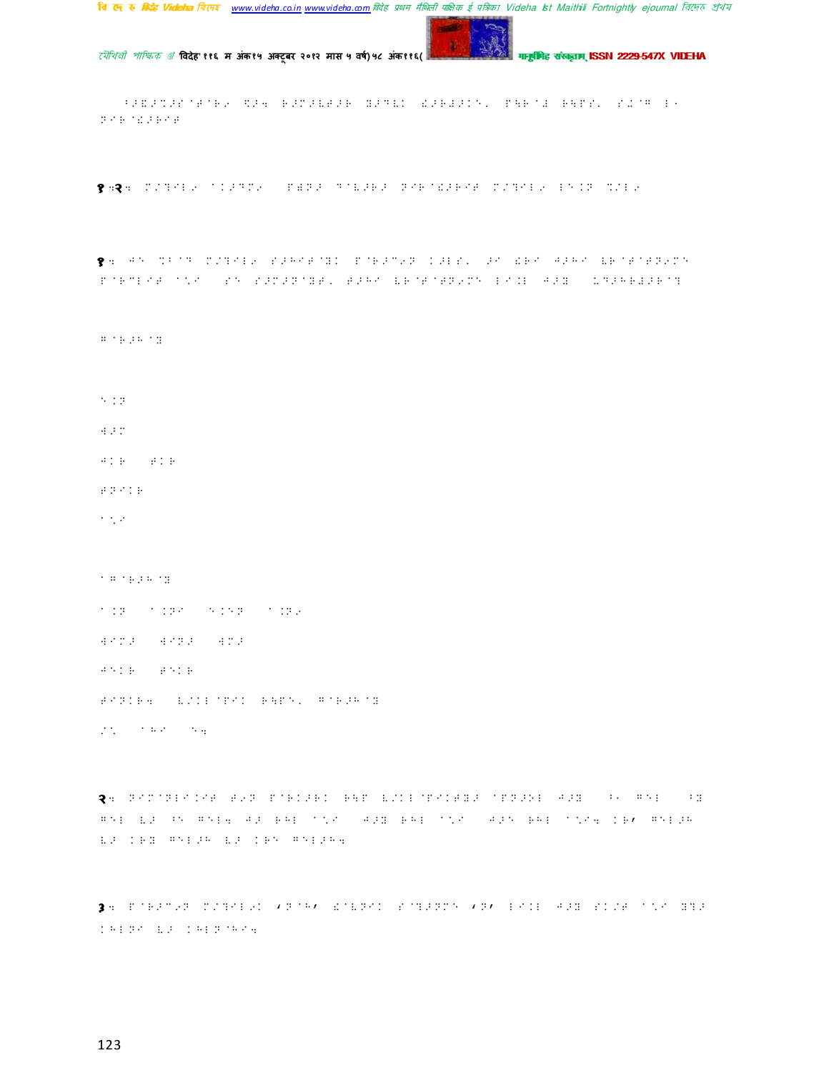ट्येथिनी शांक्रिक श्री विदेह'११६ म अंक१५ अक्टूबर २०१२ मास ५ वर्ष) ५८ अंक११६(



। मानुमिह संस्कृतम् ISSN 2229-547X VIDEHA

TRABACAN NENEDI KARI BACABEAN DARES DEABAAS VI BABILE BABYI YEZIR BIR de el segundo

Session and the contract of the state of the second contract of the contract of the second second second second second second second second second second second second second second second second second second second secon

◆ 6 日本 2012年10月 10日は7年6月以上の法典社長のほど、前の長期の支援におければ、この社、最新社、民族科学、出版の法の法典及びた anders de libro di la priva apreside. L'especiale de resestro la castilla ses libres essentant

 $\left\{ \begin{array}{ll} \Omega_{\rm{c}} \geq \frac{1}{2} \left( \begin{array}{ll} 1 & 0 & 0 \\ 0 & 0 & 0 \end{array} \right) \right\} \end{array} \right.$ 

 $\sim$  1.9  $\,$ 

49.00

中的第三人称形式

**第四之前** 

 $\sigma_{\rm{eff}}$  and  $\sigma_{\rm{eff}}$ 

大共力的关系力能

nical concerns with a concern

akra lakes are

 $\left\langle \hat{a}^{\dagger}\hat{b}^{\dagger}\hat{c}^{\dagger}\hat{c}^{\dagger}\hat{c}^{\dagger}\right\rangle =\left\langle \hat{a}^{\dagger}\hat{b}^{\dagger}\hat{c}^{\dagger}\hat{c}^{\dagger}\hat{c}^{\dagger}\right\rangle$ 

BROCEN ( EVIENTS) BARNI ( FORDA OB

 $\mathcal{D}(\mathcal{C})$  is a function of  $\mathcal{C}_\mathcal{A}$ 

QH SADISEADAE BUS EIBDESE BAR EDDE BACHES I FROUSE HOS CHA HAE CHAI 中国生产主义、中国、中国生活、中国、中国生产的力学、广告学生、中国生产的力学、广告学院、中国生产的力学等、生育人、中国生活中、  $\mathbb{E}\left[\mathcal{F}^{(n)}\right] \leq \mathbb{E}\left[\mathcal{F}^{(n)}\right] = \mathbb{E}\left[\mathcal{F}^{(n)}\right] \leq \mathbb{E}\left[\mathcal{F}^{(n)}\right] \leq \mathbb{E}\left[\mathcal{F}^{(n)}\right] = \mathbb{E}\left[\mathcal{F}^{(n)}\right] \leq \mathbb{E}\left[\mathcal{F}^{(n)}\right]$ 

gia integracia incorporativa test attacera incorporativos anche leggi nache inter oppe  $\begin{aligned} \mathbb{E}[\mathcal{H}]\mathcal{H} &\cong \mathcal{H}^{\mathcal{H}}\otimes \mathcal{H}^{\mathcal{H}}\otimes \mathcal{H}^{\mathcal{H}}\otimes \mathcal{H}^{\mathcal{H}}\otimes \mathcal{H}^{\mathcal{H}}\otimes \mathcal{H}^{\mathcal{H}} \times \mathcal{H}^{\mathcal{H}} \end{aligned}$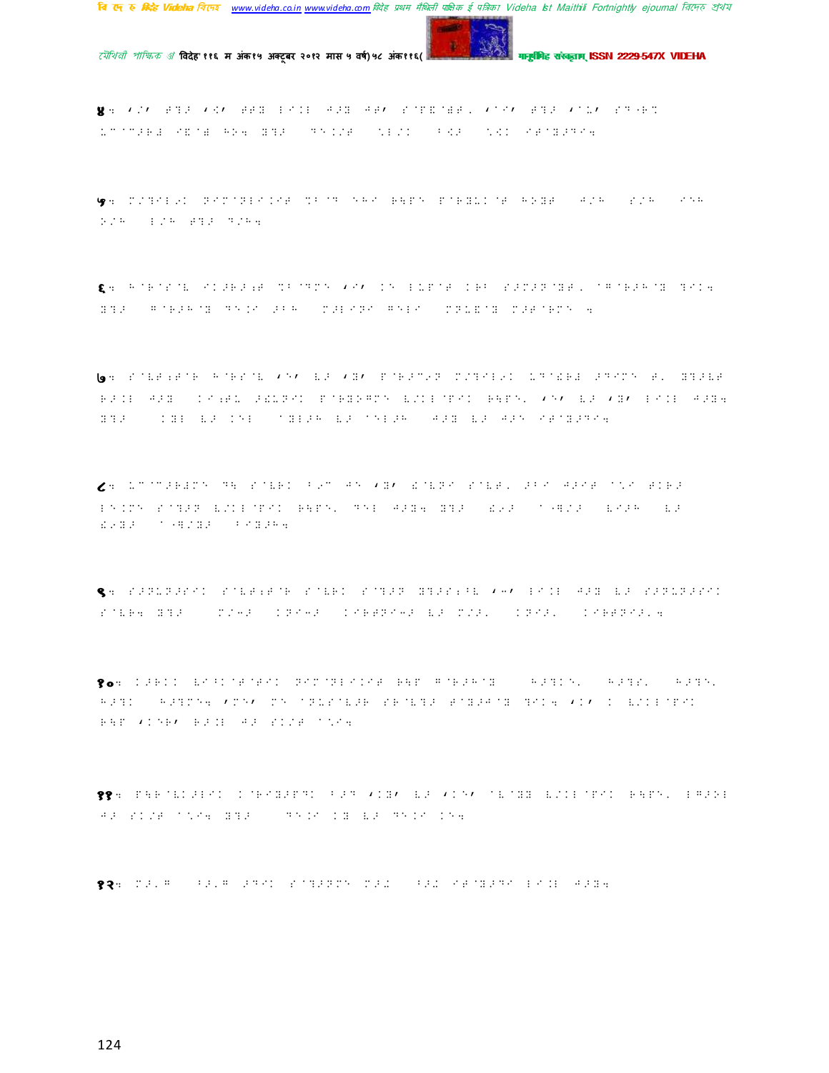ट्येंथिनी शांक्षिक अं विदेह' ११६ म अंक१५ अक्टूबर २०१२ मास ५ वर्ष) ५८ अंक११६(

मनुषंभिह संस्कृतम् ISSN 2229-547X VIDEHA

Schinged Reine (Abel das Chances Stephen Results) (Sep. 2000)

WHO DISPENSE DEPOTEER CRECTES THANK EARLY POBBLISH ANDER CHAIN CONFIDENTIAL and the state of the state of the state of

▲ 医不全性的 医神经性病 计数字数字 医精神性病 医心包的 医心包的 医心包 医单位 医单位 医神经性神经 医单位 医中枢神经 医单位性脑炎 did a compresenta con ser conserva e a compresenta como a conservación de la compresentación de la compresenta

Geometrial and and the contract the service of the service of the service of the service of the service of the service of the service of the service of the service of the service of the service of the service of the servic BOLIS POR LICENSE DORING ESPRESSO ENTRANCEMENT (VALUADO EN 1911) POR (1) 生活的 1000 (1) 生活的过去分词 1000 (1) 生活的 1000 (1) 生活的 1000 (1) 生活的 4000 (1) 半导体的过去式和过去分词

Ze construedos de astelos por es vax antere antelo dres ereras tos elebr 主持过的第三名的自身表示主动的主动的名词复数形式 医内耳 医牙基蛋白 电电流 人名英格兰人姓氏梅尔克 人名米克斯 人名英 

Se addiddent anlevent anlevent and the companies was the composited addidates: 的过去分词 "我在这个人,我是说这个人的我的是这个人的人的是我们是说出这个女孩的。" 的复数的第三人称单数使的第三人称单数

● ● 1 1 3 B 1 1 1 E 4 F1 1 B 1 B 4 1 1 B 4 D 1 B E 4 C 4 B 4 B 4 B 4 B 4 B 1 B 1 1 A 3 B 1 D 1 A 3 B 4 B 5 D 1 B 4 B 5 D 1 B 4 B 5 D AVASI - AVSONA VONVIONI CALENDARI ER NESA POSARIS SENSIA NIVIO EZIBISTEKI BAR (315B) BACH (42) PICA (1574)

**22** 4 | PAR TECULOS TO TROBUERO | PUR INTOXI EU INTONI TECORE ESTE TEORI | RAPPLI | PRUPE RESIDENT CONTRACTOR CONTRACTOR CONTRACTOR CONTRACTO

●●● 的过去时, 中国人民法院中心法院对于国家的自法法院的人的法庭, 人民法庭、社会的自法院的人民法院自己, 中法自由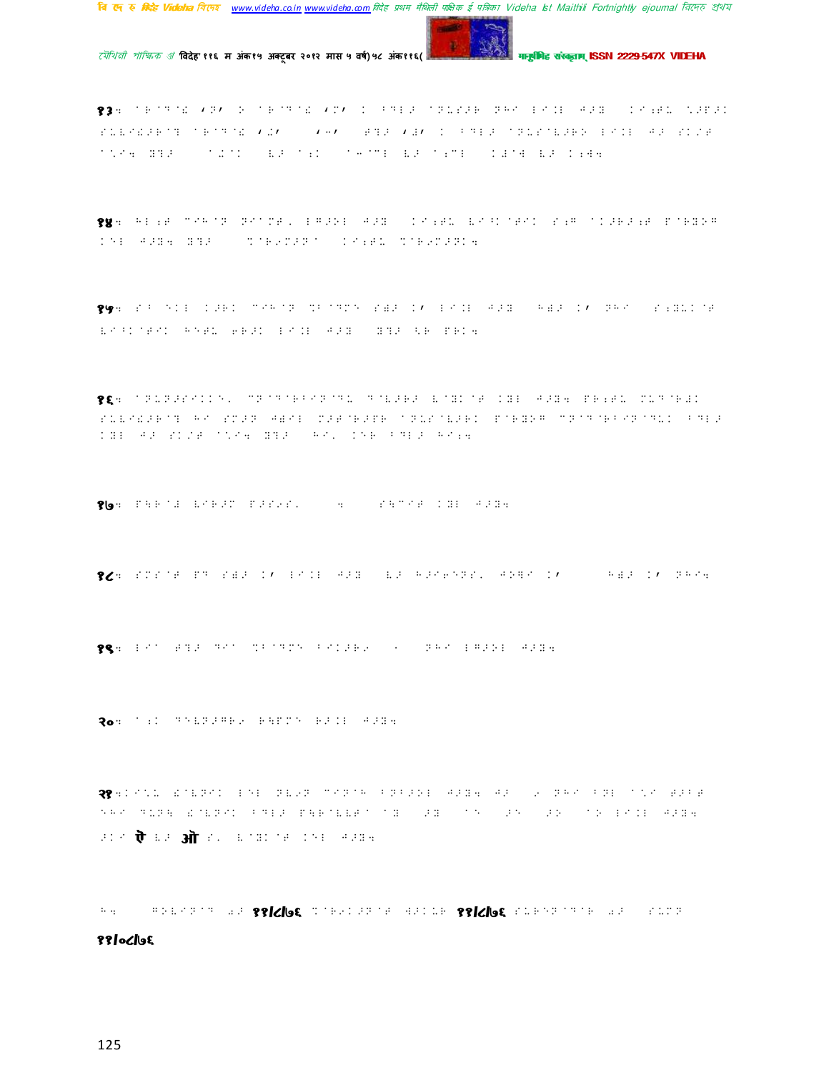*ट्रॉशिनी शांश्फिक औ* विदेह' ११६ म अंक१५ अक्टूबर २०१२ मास ५ वर्ष) ५८ अंक११६(

**IFRICA TRANSMER ISSN 2229-547X VIDEHA** 

●●● 「ありき Tall VIR」 シークト TallTall VIR」 コースウェイ アクセアスト (Pack Fire Tall Facil Contract) しょれおし しょれえた ROBRADA ETA ITALIAR ETA GUNTZIARA ETA ARTA GALDEIA ETA ARTIBILAREN ETA GALDEIA ETA DE in the about the most of the second theory of the second the second theory of the second theory of the second theory of the second theory of the second theory of the second theory of the second theory of the second theory

THE PARENT BRACK CONTENTABLY CONTENTATION

average and an exchange and a series and the series

SA DE POSA ESTE CALPO SAS ACTUALES DO SAS TEGADES CON DISTINGUIDADE DE TEGADES POR SAS ENTRE DO CALIFORNIA. THE PARTNER TORY HEAT PARTNER FREE PART

go residents and contract the contract of the state

●209 的复数的过去分词 的复数形式 医心室的过去式和过去分词 机装置 医神经病毒性的 计功能性的 计双向方 人名英格兰人姓氏克里斯的变体

224 EAC BERLORY CHANNEL AND FROM THE DRAME REPORT AND B

Ros Cal Shappear assembladia adas

2011 - Andreas Barris and Caballacher Alexandr Adam Adam Andrew Adam Andrew NAR SEDA SEMBRO PREZIDARENEAN NO LIZO NIN LIZA LIZA LINA ERRE PRZOB and the anticompanies in the company

RA COMPRESSION AS SAMMES CORPORATE ASSAR SAMMES CARRIOLINE AS CASSE

# **30 Joll98**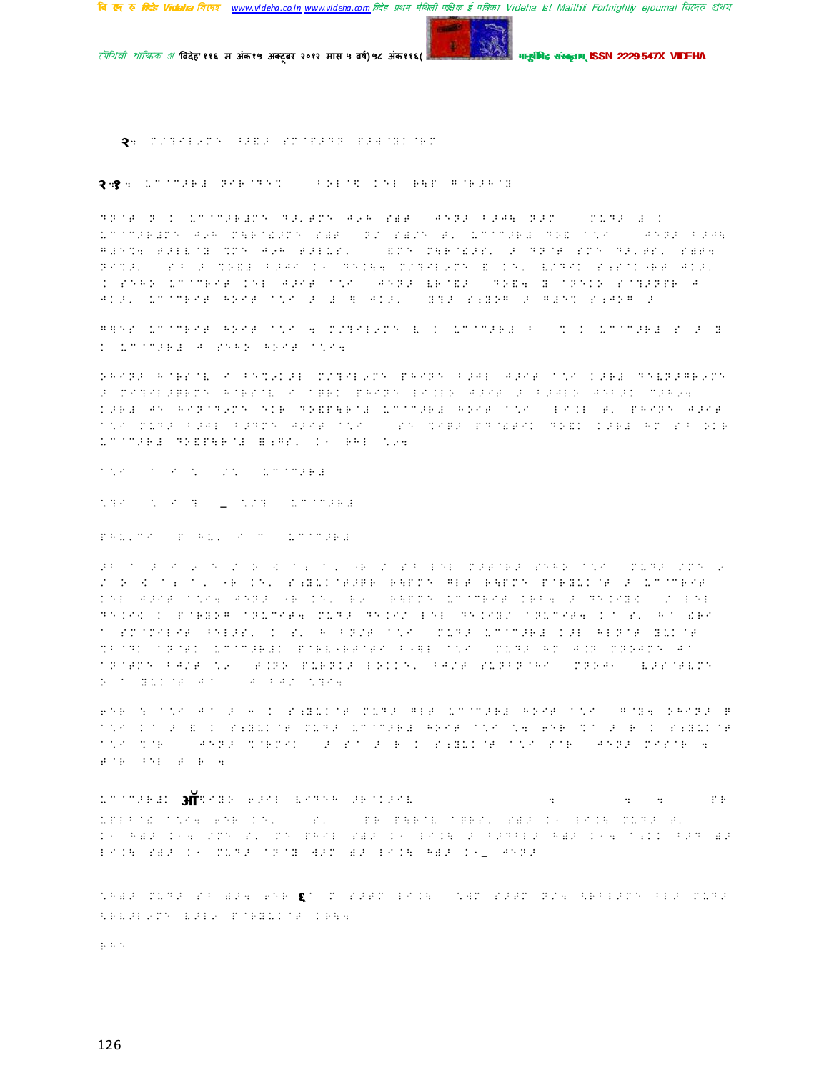ट्येंथिनी शांक्षिक अं विदेह' ११६ म अंक१५ अक्टूबर २०१२ मास ५ वर्ष) ५८ अंक११६(



मानुबंधिह संस्कृतम् ISSN 2229-547X VIDEHA

Recondensions of the accompany order decised

2.2 a dinamasa desarang lilasara dina serie redera

"我是不是一定一定。"五四次的话是温柔的心思说,是要的心思是来了学者是第一个是在是这个学说是有一定说的。 人名英格兰人姓氏克尔 CONTRABION (PARTICAPINESTS) PER CORDO PEDICATION DE CONSTRUES NON CONTRACTO PRO REACH RAILTE CONTRAPART RAILTE CONTRACTE CAR CORPORATION CONTRACTOR CONFIDENCI RADAL (1989) A CONEA (FARA) DE CONSTRACIONARIADO DE LOS CALIFANDO PARTICHAE (RIAL 1. 全身发展,在世界的新闻是一个发生,并是被我们的人的人,并发展这个主要的目录。 医多耳聋 医二乙基丙二酮 医内障法膜膜膜炎 法 RIS, INTIMERA PRAGUILA SU SUE PURS COOSTINGER DI PORTUGUE

RESPONDIMENTA PRATA INDIALIA INDUSTRIANO E IN CONTINUES E LONDONO DI CONTINES POR LES and a monopolitan specific consideration provided

医中间膜炎 医中间性的过去式和过去分词 医主动脉 医前置射 医前列腺 电光谱图 计无法相对 医甲状腺炎 计微时间的 法事业 医甲基苯基甲基苯甲酸 DES DIVIDIRENDOS EN ENVERTES EN EL DEMONTO EN EL DE EN ADVARTO EN DATOS EN ENCARAS EN ENCARAS pusa is and a control to have different and those all a post in the distribution of a consequent a post 人名法巴尔克地名 医眼神的 医眼内反应 网络布勒尼尔克布尼尼 的复数人名德里斯 的复数医副神经 医多面的 计调整器 医皮下的 机电子轮 CONTRACTORESENE BERRIO DE PRESIDE

now the state of the community

19世紀 (1992年19月11日) 1970年 1月10日 1月20日

renchment research en militarismea

des childes en la comparación a los creas de la elementa de la para el control de la comparación VIDEO KOTA ITV. PE INVIDIALES CAPER ERROR PER ERROR INTEGENTA INDICTATIVA INE PARAE TORE PANER PE IN DEL BU DEBEZA LO COBRE I ERE PURCHER CONTINENT PROFESSION ESPERAR STRUCKARRO DURA CRAIDENT ENES PROFESSION RUCHARRO DO SALORO CRAS TO STORES PROFESSION OF STORES AND THE CONTRACTOR CONTRACTOR CARDINAL BOOKS de 1911 de 1911 (1911-1928 ato analyse nexos yaquíntico o pidea (Apo Alta) pedaebro (Ano TO TECH PERSENSA I ESTAS CONSTANTA ESTAS PERSENCAMENTAR INCORPORA LEGAMENTA 第一次の自由1000年の時間の 计进行中央式 化性硫酸

ANNE NO TORINA DI ANNE L'ANGELITA (DISPUS PEACLIP TRUBAL ADRA DONC) POBLICARES D'ARC n tik sin sa sa sa sanadan na sata ay tin ngaala sa kaka sin tik sina sa sa sa sa sa sa sanadan na CANADA (presento da antiga e inclusado na interiare) (ANDA serane) e 大型的 化内部 第四章 三甲烷的一种三甲烷的

SAM PROPERTY STRATEGIC ARRAIGNMENT COMPANY **CARD AND COMPANY** 一部長 DEER TE TOTAL ENE CONSTITUTION EN ERFORME TERRITORIAL ER ER DE TOTAL BS 1970 Radio 1974 (USDN) and CODN (BRYEN and Line Central discussed by Red Line And Line Charles and ERIE YEAR ARTICLEA MARKET HAD BE ERIE FEATHER AND PRACT

SPEA COSTA VIR EAR VERE CONCOVARIO ESIBLO SED VARIO PAR RARIEADO PEA COSTA CREWS CONTROL PORTED OF SPARE

 $\pm$  and  $\pm$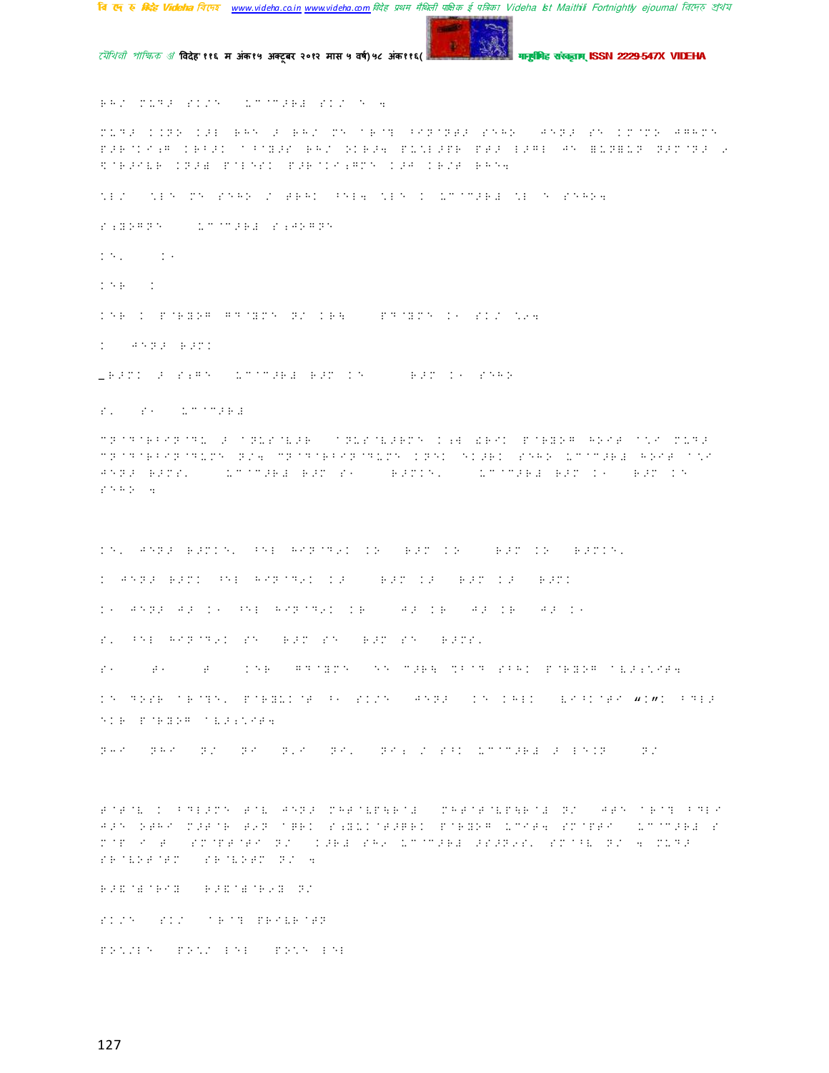ट्येंथिनी शांश्किक अं विदेह'११६ म अंक१५ अक्टूबर २०१२ मास ५ वर्ष) ५८ अंक११६(



मानुबंधिह संस्कृतम् ISSN 2229-547X VIDEHA

BAS TORRA VISA COMMUNES VISA A

TIME IN THE STATE RANGE RAIN TO STRIP FOR THE STAND CORDER TO STATE CHARGE. EVERY CREDIT FOR THIS CONTROL ENVIRONMENT CONTROL ENTERTAINMENT PROPERTY STATES OF A KIND AND BUILDING OF THE NEW PERSON WAS CONFIDENTED AS A REPORT OF A REPORT OF THE REPORT OF A REPORT OF A REPORT OF A REPORT OF A REPORT OF A REPORT OF A REPORT OF A REPORT OF A REPORT OF A REPORT OF A REPORT OF A REPORT

人名法尔 人名英格兰地名 法有关契约 计分类系统 人名格里曼 人名英格兰人姓氏加尔的变体地名美国加尔德 法有关权益

RABSARS CONTRARE RASASO

 $\mathcal{L}(\mathcal{H}_\mathcal{L})$  , and  $\mathcal{L}(\mathcal{H})$ 

工作中。

CAR CO EMBRETENTED ACCORDO DE SOLORIA

 $1 - 4593 + 4771$ 

Ledding Yams Communaled by College to Cynthes

and safe in the manual

ma tare skaling i a i tage reae i i tage reaems i per eekt i enebes sekke intki moar ma care skalications i avien ma care skalications i class i list de chilense si comprae di le skelicionski Controlled each available of the travel each put and plan a piper in the and the control 学生中的 (四)

IN THE REPORT ROOMS TO PRESENT A RESIDENCE OF A REPORT OF THE REPORT OF A REPORT OF THE REPORT OF THE REPORT OF THE REPORT OF THE REPORT OF THE REPORT OF THE REPORT OF THE REPORT OF THE REPORT OF THE REPORT OF THE REPORT O 1 / PARR (BRID) (PAE) PRESERVED (DR) ( BRID (DR) (BRID) (DR) (BRID) 1990年9月20日, 中国人工民主党部长, 中国共同部门公司中国人工、中国人工中国人工中国人工中国人工中国人工民 RUSSENBURGENERUNG VERBEITUNG SIERE RESULTEREN. (1) 第399页 12 第399页 12 第399章 12 第399章 12 第399章 12 第399章 12 第399章 12 第299章 12 第299章 12 第299章 12  $\mathcal{L}(\mathcal{A})$  and TA PRESENTA MENULI EMPERIDINAL PROVINCI ANNES CON DAEI O CARDO ACADVA CADORIA NIE POPIERE CERTAINE

まみや (1) まちや (1) まい (1) まや (1) まいや (1) まやい (1) まやる (い) はずい (1) 血の内のは長度 (は) まやはま (1) (まい)

A TACLE IN PRESENTATE PROBLEMS AND BEST AND CONFIDENTIAL BUT INFORMED TO PROPER A 2010 BAR CONSTANTA DA BUILEA A SALITA ARREI DE TRABARDO TERRITORIA DO CONTINARIO E control de la contra de control disea cares compresa carseses. Caronel de caracters YE MERRINED CONFINERED (BOCCH)

**SEVENHAND COEFENHAND PAC** 

and the coard of the state and the state

FRAMES (FRAME ESE) FRANCESE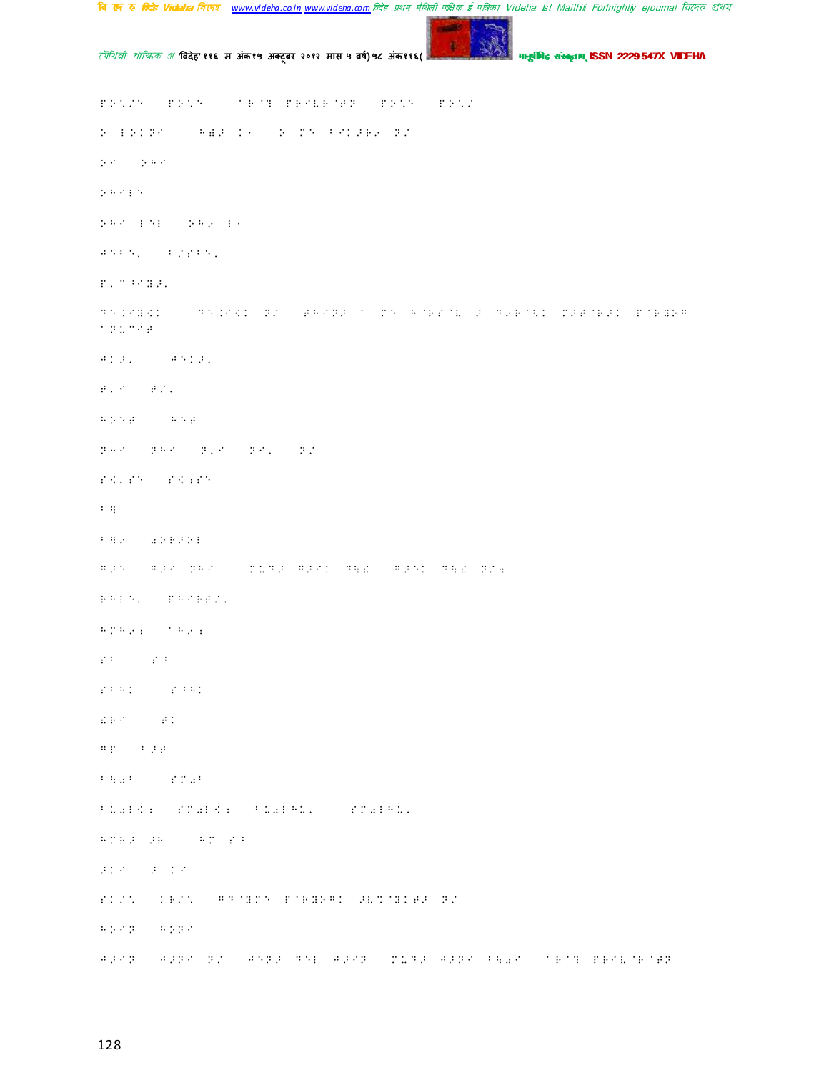*त्रीशिती পাफ़िक अ*विदेह'११६ म अंक१५ अक्टूबर २०१२ मास ५ वर्ष)५८ अंक११६( साल कार्यकारीको मानुमिह संस्कृतम् ISSN 2229-547X VIDEHA 'ESQUE 'ESQN' ' 'ESTE TERRETED' ESQN' ESQU ⢵!2⢵⢽!)!⢳⣞⢼!g-!⢵!!⢼⢷⢴!⢽#\*! ⢵0!⢵⢳! ⢵⢳20!! ⢵⢳!220!⢵⢳⢴!2g!! When  $C_1$  is the property of 'C/⢸⣝⢼C! NSINDRI DO PROPORTI DI PROPORTI DI PROPORTI DI PRANTO DI PRANTO DI PROPORTI ⢽⣅/⢾\*! ⢺⢼C!0!⢺⢼C! ⢾C0!⢾#C0! ⢳⢵⢾!0!⢳⢾! ⢽⢲0!⢽⢳0!⢽C0!⢽C0!⢽#! " C"0 (C"0) D"0 (C"0)  $\sim 0.01$ ⣛⢴!)⣔⢵⢷⢼⢵2\*!! ⢻⢼!)⢻⢼!⢽⢳\*-!⣅⢹⢼!⢻⢼!⢹⣓⣎!)⢻⢼!⢹⣓⣎!⢽#⣒\*! ⢷⢳2C0!'⢳⢷⢾#C! ⢳⢳⢴⣐0!⢳⢴⣐! " P. P. P. P. "at #11 (1) at #441 ⣎⢷!.!⢾! ⢻'.!⢼⢾! ⣓⣔!.!"⣔!! ⣅⣔2⣊⣐0!"⣔2⣊⣐0!⣅⣔2⢳⣅C!.!"⣔2⢳⣅C! ⢳⢷⢼!⢼⢷!.!⢳!"⢸!! **DEC 2000 €.** "#distributes of the second second second second second second second second second second second second second ⢳⢵⢽0!⢳⢵⢽! ⢺⢼⢽!)⢺⢼⢽!⢽#-!⢺⢽⢼!⢹2!⢺⢼⢽\*!⣅⢹⢼!⢺⢼⢽.⣓⣔!)⢷⣙!'⢷⣇⢷⢾⢽\*!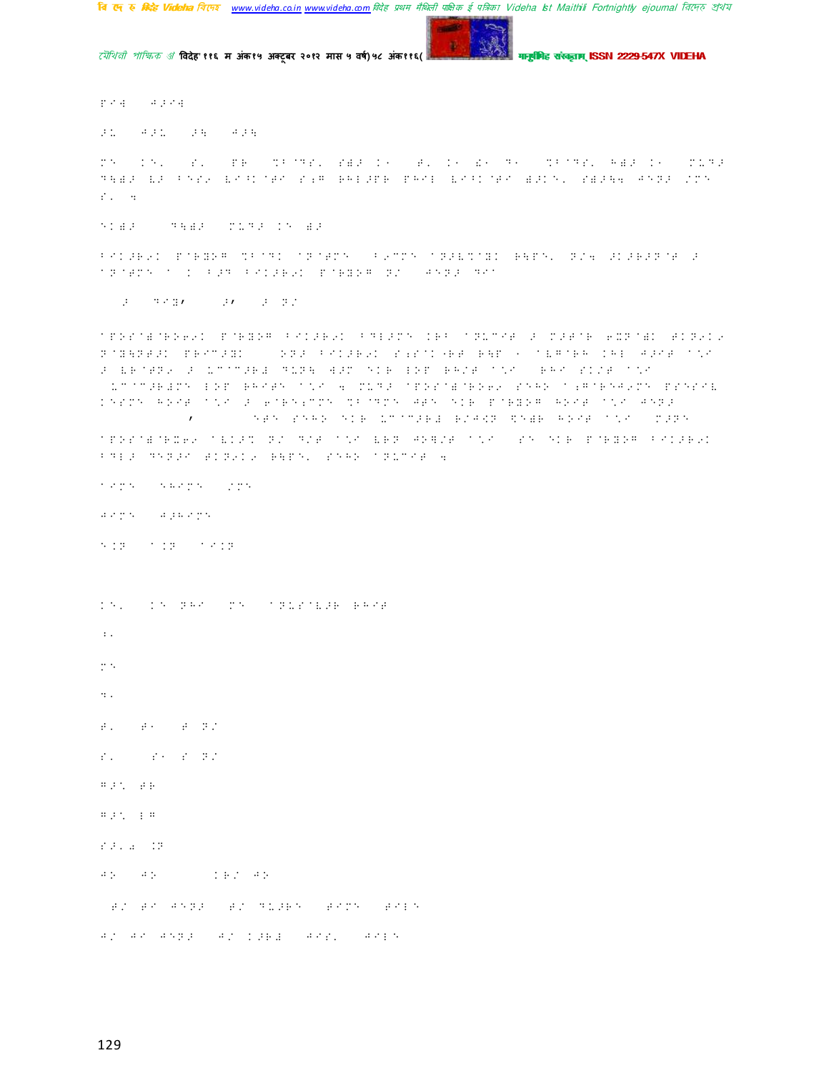ट्येंथिनी शांक्रिक अं विदेह' ११६ म अंक१५ अक्टूबर २०१२ मास ५ वर्ष) ५८ अंक११६(

मानुबंधिह संस्कृतम् ISSN 2229-547X VIDEHA

grand conduction

法公司 网络公司 法每一个原因每

TA CONSIGNATION TECHNICAL VERSION CONSIGNATION CONTRACTORS IN CITATION PABA (EA) FINES (ERICIPAR ESP) PAESER (PARE) ERIC GROUPER (EA) PEBABA (PINA) CON  $\mathcal{L}(\mathcal{L}) = \mathcal{L}(\mathcal{L})$ 

外部主義 (1) **CONSERVATIONS EXPERIENCE** 

FRIDERI BIRBER SITTI TASHIY FRIDA TASHIY TARESISI BERKI DILAYLARAR BIR manarho missi a ancara pagosa nada a capito anaga chem

The Company of the Band of the Band

in provincia de o estruir de dio Alixa Astro Alixa a Alixa din Errichi di Constanti de Canada de Canada Sistem DITENDADE (ERKOVED) (1993) PRODRESS VIGA ATTEMA EN PARTIER TEN CARE PROPERTIER 这一面书的是其实一点,它为了为这种是一件它具有一种说的。但是书,主要的一种书的是一个几件。 电开关 经工资单 人名尼 commute a provision coe de dividido de coposito din parte de pelo carbo por ser de pelos conadoras. concretivo escalidade da camada miro dos transiciados de alguna aspectadores de sas algunas "在县内、省市中央、市工事、工作工作支部县、事工基础及一部在县部、中央省县、工人区、工作设施在  $\mathbf{r}$ TED PORT REDIRACIONES DO CONTROL DO CONTRAR PRESENTATIVO DO PORTE DO PROPERTA ANCIARAD FRED RADDA BIDGIO BARAL PARA TODORES A

TREND SARES CONTR

a kindi oo a galkind.

NIB STIP STRIP

the control day of the conditional and a

 $\mathbf{H}$ 

 $\mathbb{R}^{n\times n}$ 

 $\mathbf{H}$ 

91200990009092

 $\left\langle \left(0\right),\left(1\right),\left(1\right),\left(1\right)\right\rangle _{1}\in\left\{ 1\right\}$ 

 $\mathcal{H}^{\mathcal{A}}_{\mathcal{A}}\mathcal{H}^{\mathcal{A}}_{\mathcal{A}}=\mathcal{H}^{\mathcal{A}}_{\mathcal{A}}\mathcal{H}^{\mathcal{A}}_{\mathcal{A}}$ 

 $\mathcal{L}(\mathcal{F}_\mathcal{L})$  is  $\mathcal{L}=\mathcal{L}(\mathcal{F})$ 

April April 1993, 1993, Apr

TRO RA ANGEL ROMANAN TRADA TRANS

agreement and provided the property of a series.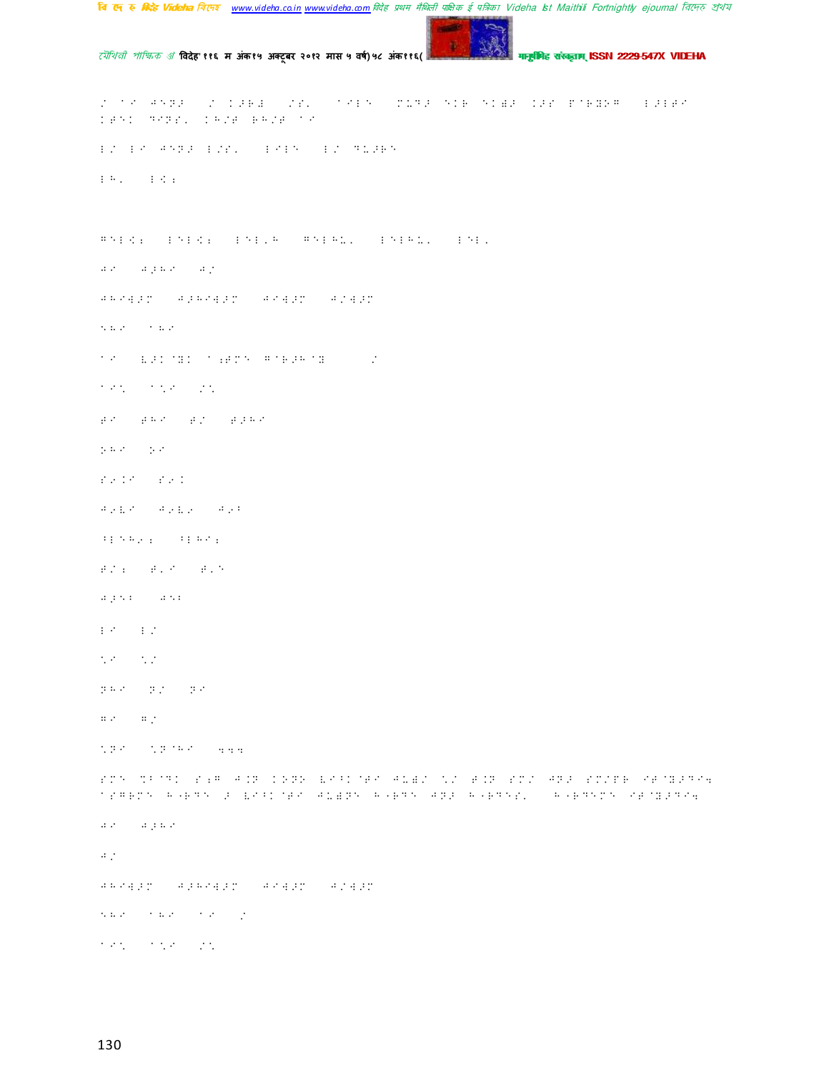*त्रीशिती পাफ़िक अ*विदेह'११६ म अंक१५ अक्टूबर २०१२ मास ५ वर्ष)५८ अंक११६( साल कार्यकारीको मानुमिह संस्कृतम् ISSN 2229-547X VIDEHA



#0!⢺⢽⢼.!#!⢼⢷⣜0!#"C0!20!⣅⢹⢼!⢷!⣞⢼!⣈⢼"!'⢷⣝⢵⢻.!2⢼2⢾! ⢾!⢹⢽"C!⢳#⢾!⢷⢳#⢾!!

2#02!⢺⢽⢼!2#"C0!220!2#!⢹⣅⢼⢷!

2 AU 2 2 2 2 2 2 2

⢻2⣊⣐0!22⣊⣐0!22C⢳0!⢻2⢳⣅C0!22⢳⣅C0!22C!

and on a parties of any of

⢺⢳⣚⢼0!⢺⢼⢳⣚⢼0!⢺⣚⢼0!⢺#⣚⢼!!

 $\sim$  0.0  $\sim$  0.0  $\sim$ 

!)⣇⢼⣝!⣐⢾!⢻⢷⢼⢳⣝\*!0!#!!

⣁0!⣁0!#⣁!!

⢾0!⢾⢳0!⢾#0!⢾⢼⢳!!

⢵⢳0!⢵!!

"⢴⣈0!"⢴⣈!!

⢺⢴⣇0!⢺⢴⣇⢴0!⢺⢴!!!

⢸2⢳⢴⣐0!⢸2⢳⣐!!!

⢾#⣐0!⢾C0!⢾C!!

⢺⢼0!⢺!!

20!2#!!

⣁0!⣁#!!

⢽⢳0!⢽#0!⢽!!

⢻0!⢻#!!!

⣁⢽0!⣁⢽⢳!!⣒⣒⣒!!

 $'$  and the state of the state of the state of the state of the state of the state of the state of "⢻⢷!⢳?⢷⢹!⢼!⣇⢸⢾!⢺⣅⣞⢽!⢳?⢷⢹!⢺⢽⢼!⢳?⢷⢹"C-!⢳?⢷⢹!⢾⣝⢼⢹⣒!!!!

⢺0!⢺⢼⢳0!!

 $\mathcal{A}$ 

⢺⢳⣚⢼0!⢺⢼⢳⣚⢼0!⢺⣚⢼0!⢺#⣚⢼!

where  $\alpha$  is a present of  $\alpha$ 

⣁0!⣁0!#⣁!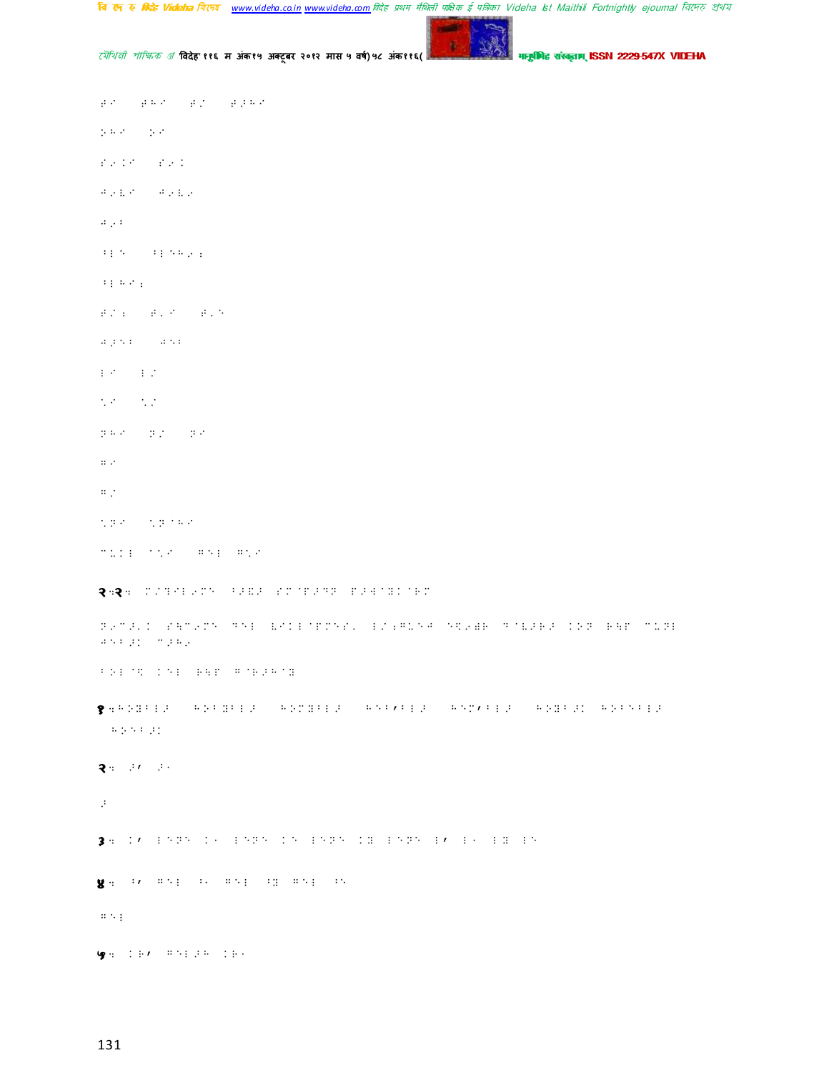⢾0!⢾⢳0!⢾#0!⢾⢼⢳!

⢵⢳0!⢵!

"⢴⣈0!"⢴⣈!

⢺⢴⣇0!⢺⢴⣇⢴0!!

 $\mathcal{A}(\mathcal{G},\mathcal{G})$ 

⢸20!⢸2⢳⢴⣐0!!

 $\sim$  2  $\pm$  2  $\sim$ 

⢾#⣐0!⢾C0!⢾C!

⢺⢼0!⢺!

20!2#!

 $\Delta$   $\sim$  0.000  $\pm$ 

⢽⢳0!⢽#0!⢽!

 $\mathbb{R}^3$ 

 $\#$   $\pm$ 

⣁⢽0!⣁⢽⢳!

/⣅2!⣁0!⢻2!⢻⣁!

२⣒२⣒!#⣙2⢴!⢸⢼⣏⢼!"'⢼⢹⢽!'⢼⣚⣝⢷!!

⢽⢴/⢼C!"⣓/⢴!⢹2!⣇2'"C!2#⣐⢻⣅⢺!⣋⢴⣞⢷!⢹⣇⢼⢷⢼!⢵⢽!⢷⣓'!/⣅⢽2! ⢺⢼!/⢼⢳⢴;!

⢵2⣋!2!⢷⣓'!⢻⢷⢼⢳⣝;!!!

१⣒⢳⢵⣝2⢼0!⢳⢵⣝2⢼0!⢳⢵⣝2⢼0!⢳'2⢼-!⢳'2⢼0!⢳⢵⣝⢼0⢳⢵2⢼! 0 a pina a gip

 $2<sup>o</sup>$ ीर जिल

 $\mathcal{A}^{\text{max}}$ ३⣒!'!2⢽0g!2⢽0!2⢽0⣝!2⢽02'02g02⣝02!! ४⣒!⢸'!⢻20⢸g!⢻20⢸⣝!⢻20⢸!  $\sim$  2.

५⣒!⢷'!⢻2⢼⢳0⢷g!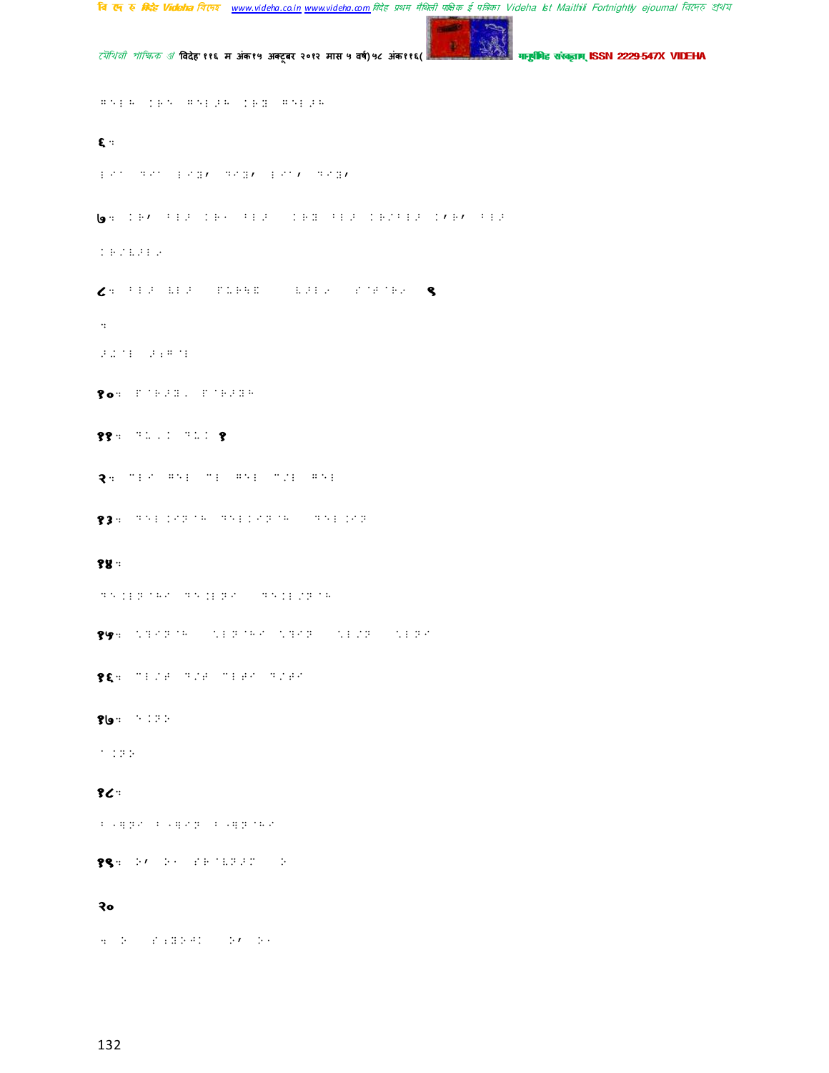वि एत् रू **मितेह Videha** विएक www.videha.co.in www.videha.com विदेह प्रथम मैथिली पाक्षिक ई पत्रिका Videha Ist Maithili Fortnightly ejournal तिएक रोशेग *त्रीशिती পাफ़िक अ*विदेह'११६ म अंक१५ अक्टूबर २०१२ मास ५ वर्ष)५८ अंक११६( साल कार्यकारीको मानुमिह संस्कृतम् ISSN 2229-547X VIDEHA ⢻2⢳0⢷!⢻2⢼⢳0⢷⣝!⢻2⢼⢳!!  $\xi$  : 20⢹!2⣝'-⢹⣝'-2'-⢹⣝'0!! ७⣒!⢷'!2⢼0⢷g!2⢼0!⢷⣝!2⢼!⢷#2⢼0'⢷'!2⢼!0! ⢷#⣇⢼2⢴!! ८⣒!2⢼!⣇2⢼!)'⣅⢷⣓⣏\*-!⣇⢼2⢴!)"⢾⢷⢴\*!९  $\mathcal{H}^{\pm}$ ⢼⣌2!⢼⣐⢻2!! १०⣒!'⢷⢼⣝⣀!'⢷⢼⣝⢳!! ११⣒!⢹⣅⣀⣈!⢹⣅⣈!१ २⣒!/2!⢻2!/2!⢻20/#2!⢻2!! १३⣒!⢹2⣈⢽⢳!⢹2⢽⢳-!⢹2⣈⢽!! १४⣒! ⢹⣈2⢽⢳!⢹⣈2⢽0!⢹⣈2#⢽⢳!! १५⣒!⣁⣙⢽⢳0!⣁2⢽⢳!⣁⣙⢽0!⣁2#⢽0!⣁2⢽!! १६⣒!/2#⢾0⢹#⢾!/2⢾0⢹#⢾!! ۹۳ يون ال  $\sim$  100  $\mu$  $36$  $\label{eq:3} \begin{array}{ll} \begin{array}{ll} \mathbb{E} & \mathbb{E} \times \mathbb{E} \times \mathbb{E} \times \mathbb{E} \times \mathbb{E} \times \mathbb{E} \times \mathbb{E} \times \mathbb{E} \times \mathbb{E} \times \mathbb{E} \times \mathbb{E} \times \mathbb{E} \times \mathbb{E} \times \mathbb{E} \times \mathbb{E} \times \mathbb{E} \times \mathbb{E} \times \mathbb{E} \times \mathbb{E} \times \mathbb{E} \times \mathbb{E} \times \mathbb{E} \times \mathbb{E} \times \mathbb{E} \times$ १९⣒!⢵'0⢵g)"⢷⣇⢽⢼\*!⢵!! २० ⣒!⢵!)"⣐⣝⢵⢺\*!⢵'0⢵g!!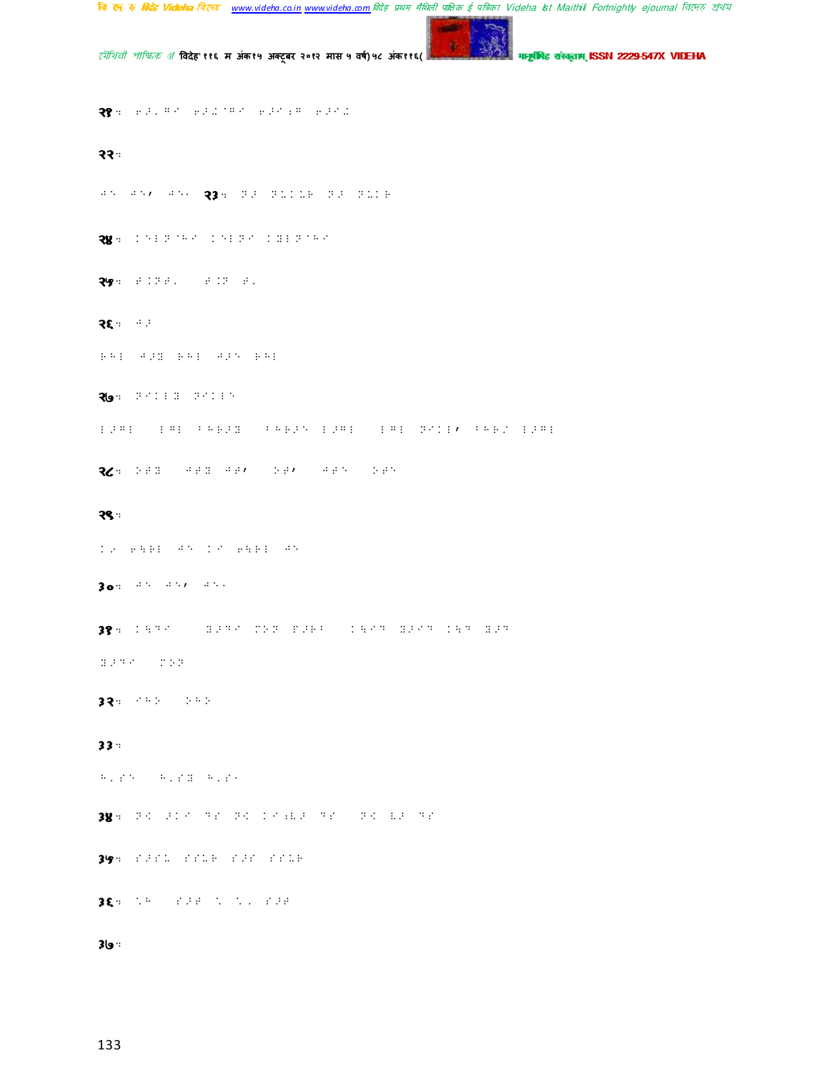*त्रीशिती পাफ़िक अ*विदेह'११६ म अंक१५ अक्टूबर २०१२ मास ५ वर्ष)५८ अंक११६( साल कार्यकारीको मानुमिह संस्कृतम् ISSN 2229-547X VIDEHA

28 de en 1950 en 1960 en 1960 en 1960

२२

 $\sim$  0 g  $\sim$  0 g  $\sim$  0 g  $\sim$  0 g  $\sim$  0 g  $\sim$  0 g  $\sim$  0 g  $\sim$ 

२४ वि. २०१३ मध्ये २०१२ साले व्यापार वि. २०१२ साले व्यापार व्यापार व्यापार व्यापार व्यापार व्यापार व्यापार व्या<br>जनसङ्ख्या

२५⣒!⢾⣈⢽⢾C0!⢾⣈⢽!⢾C!!

२६ लाला है।

 $\pm$  0.4  $\pm$  0.4  $\pm$  0.2  $\pm$  0.2  $\pm$  0.2  $\pm$  0.2  $\pm$  0.2  $\pm$ 

२७ : २८२३ : २०१२ : २०

2⢼⢻20!2⢻2!⢳⢷⢼⣝0!⢳⢷⢼!2⢼⢻20!2⢻2!⢽2'0⢳⢷#!2⢼⢻2!!

२८⣒!⢵⢾⣝0!⢺⢾⣝!⢺⢾'0!⢵⢾'0!⢺⢾0!⢵⢾!!

# २९ :

⢴!⢶⣓⢷2!⢺!!⢶⣓⢷2!⢺!!

30g | अधिकारित अधिकार

38 a 19 and 10 and 10 and 10 and 10 and 10 and 19 and 19 and

⣝⢼⢹!)⢵⢽\*!!

३२⣒!⢳⢵0!⢵⢳⢵!!

# $33 :$

⢳C"0!⢳C"⣝!⢳C"g!!

३४⣒!⢽⣊!⢼!⢹"0⢽⣊!⣐⣇⢼!⢹"0!⢽⣊!⣇⢼!⢹"!!

39º TRANS RESERVES

३६⣒!⣁⢳0!"⢼⢾!⣁0⣁⣀0"⢼⢾!!

∷ وا3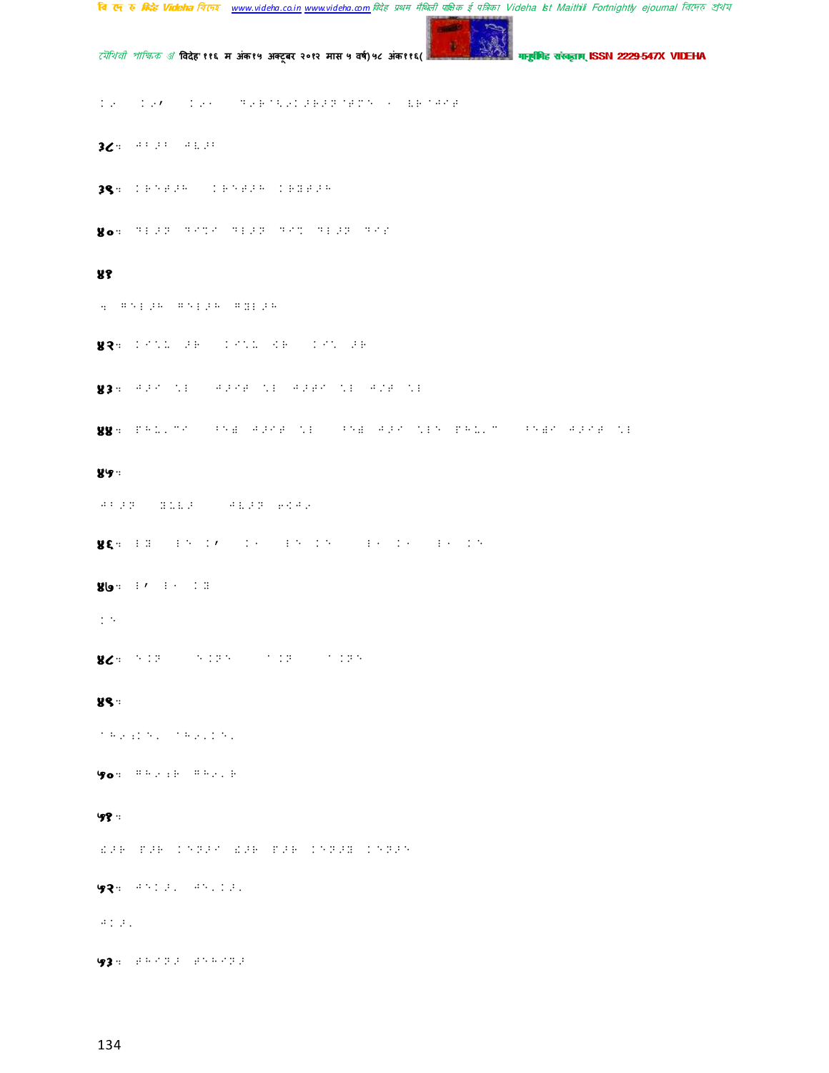| बि एक रू ब्रिटेड Videha विएक www.videha.co.in www.videha.com विदेह प्रथम मैथिली पाक्षिक ई पत्रिका Videha Ist Maithili Fortnightly ejournal तिरमरु शेथे प                                                                                                                                                                                                                                                                   |
|----------------------------------------------------------------------------------------------------------------------------------------------------------------------------------------------------------------------------------------------------------------------------------------------------------------------------------------------------------------------------------------------------------------------------|
| <i>ट्येथिती পोष्फिक श्री</i> विदेह'११६ म अंक१५ अक्टूबर २०१२ मास ५ वर्ष)५८ अंक११६( <mark>मेर सम्पन्न</mark><br>मानुबंधिह संस्कृतम् ISSN 2229-547X VIDEHA                                                                                                                                                                                                                                                                    |
| 1000001  1000001  1000001  100001  100001  100001  100001  100001                                                                                                                                                                                                                                                                                                                                                          |
| $36 - 44.24 - 44.24$                                                                                                                                                                                                                                                                                                                                                                                                       |
| 35: 1959, 1959, 1959, 1959, 1959, 1959                                                                                                                                                                                                                                                                                                                                                                                     |
| Bos PERR PATA PERR PAT PERR PAR                                                                                                                                                                                                                                                                                                                                                                                            |
| 88                                                                                                                                                                                                                                                                                                                                                                                                                         |
| $\mathcal{A}_\mathcal{A} = \{ \mathcal{A}_\mathcal{A} \mid \mathcal{A}_\mathcal{A} \in \mathcal{A}_\mathcal{A} \mid \mathcal{A}_\mathcal{A} \in \mathcal{A}_\mathcal{A} \mid \mathcal{A}_\mathcal{A} \in \mathcal{A}_\mathcal{A} \}$                                                                                                                                                                                       |
| $83.4 \pm 1.9511 \pm 2.8 \pm 1.39511 \pm 3.8 \pm 1.3951 \pm 2.8$                                                                                                                                                                                                                                                                                                                                                           |
| 83d Han te comando de margolitecimade te                                                                                                                                                                                                                                                                                                                                                                                   |
|                                                                                                                                                                                                                                                                                                                                                                                                                            |
| $\mathbf{g}\mathbf{g}$ :                                                                                                                                                                                                                                                                                                                                                                                                   |
| $\left\langle \left( \mathbf{d} \cdot \mathbf{f} \cdot \mathbf{f} \right) \right\rangle = \left\langle \left( \mathbf{d} \cdot \mathbf{f} \cdot \mathbf{f} \right) \right\rangle = \left\langle \left( \mathbf{d} \cdot \mathbf{f} \cdot \mathbf{f} \right) \right\rangle = \left\langle \left( \mathbf{d} \cdot \mathbf{f} \right) \right\rangle = \left\langle \left( \mathbf{d} \cdot \mathbf{f} \right) \right\rangle$ |
| $\textbf{g}\, \textbf{g}\, \textbf{u} = \textbf{g}\, \textbf{u} - \textbf{g}\, \textbf{v} - \textbf{g}\, \textbf{v} = \textbf{g}\, \textbf{v} - \textbf{g}\, \textbf{v} - \textbf{g}\, \textbf{v} - \textbf{g}\, \textbf{v} - \textbf{g}\, \textbf{v} = \textbf{g}\, \textbf{v} - \textbf{g}\, \textbf{v}$                                                                                                                 |
| $90^\circ$ : $\ell = 1^\circ$ : $\ell = 1^\circ$ : $\ell = 1^\circ$                                                                                                                                                                                                                                                                                                                                                        |
| $\mathcal{L}^{\text{max}}$                                                                                                                                                                                                                                                                                                                                                                                                 |
| 849 518 55185 5518 5518 55185                                                                                                                                                                                                                                                                                                                                                                                              |
| $\boldsymbol{g}$ s                                                                                                                                                                                                                                                                                                                                                                                                         |
| スキンゴ さいこうちょうかい                                                                                                                                                                                                                                                                                                                                                                                                             |
| <b>You Benefit Benefit</b>                                                                                                                                                                                                                                                                                                                                                                                                 |
| 98:                                                                                                                                                                                                                                                                                                                                                                                                                        |
|                                                                                                                                                                                                                                                                                                                                                                                                                            |
| <b>例2</b> 年 (中外に注) (中外に1注)                                                                                                                                                                                                                                                                                                                                                                                                 |
| $\mathcal{A} \subset \mathcal{A}$ .                                                                                                                                                                                                                                                                                                                                                                                        |

५३⣒!⢾⢳⢽⢼!⢾⢳⢽⢼!!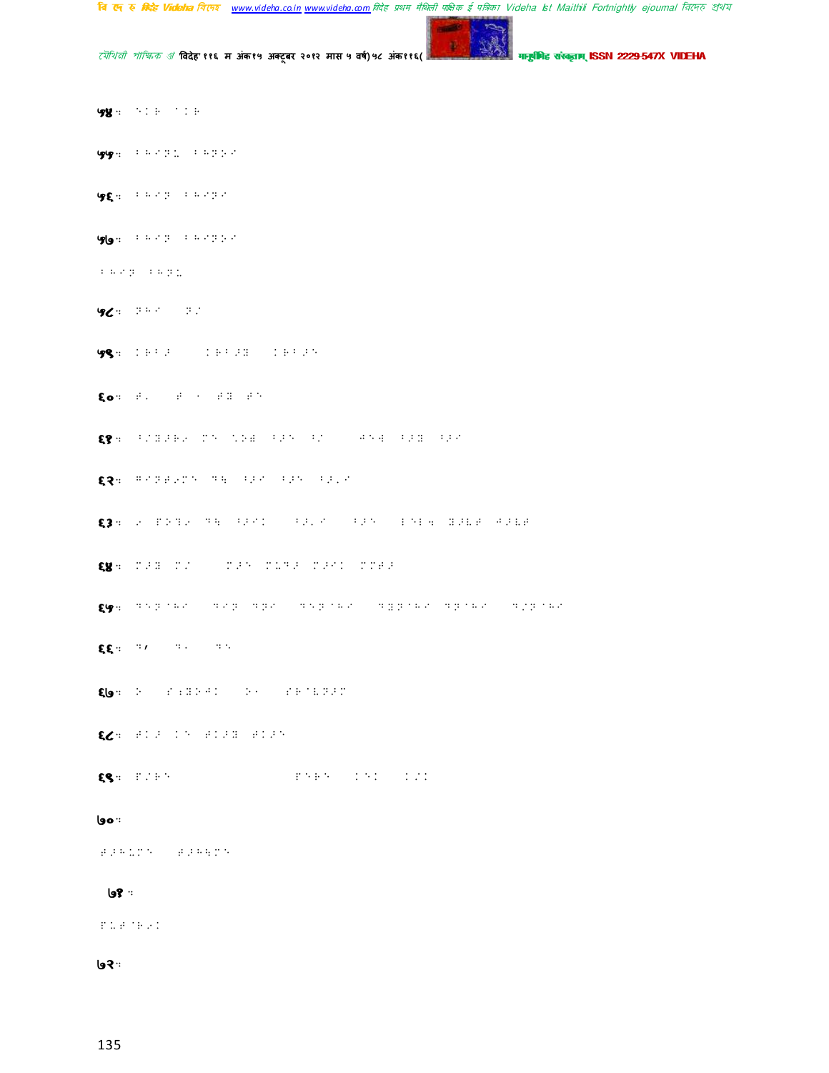

५% के साथ के लिए जिसे हैं।

- ⣒!⢳⢽⣅!⢳⢽⢵!!
- ⣒!⢳⢽!⢳⢽!!
- ⣒!⢳⢽.⢳⢽⢵!
- ⢳⢽.⢳⢽⣅!!
- मा अधिकारी होती हो।
- ⣒!⢷⢼!0!⢷⢼⣝0!⢷⢼!!
- ⣒!⢾C0!⢾!g!⢾⣝0⢾!!
- ⣒!⢸#⣝⢼⢷⢴!!⣁⢵⣞.⢸⢼0⢸#0-!⢺⣚.⢸⢼⣝0⢸⢼-!!
- ⣒!⢻⢽⢾⢴!⢹⣓!⢸⢼0⢸⢼0⢸⢼C!!!
- ⣒!⢴!'⢵⣙⢴!⢹⣓!⢸⢼0!⢸⢼C0!⢸⢼0!22⣒!⣝⢼⣇⢾!⢺⢼⣇⢾!!
- ⣒!⢼⣝!#!0!⢼!⣅⢹⢼!⢼!⢾⢼!!
- ⣒!⢹⢽⢳0!⢹⢽!⢹⢽0!⢹⢽⢳0!⢹⣝⢽⢳!⢹⢽⢳0!⢹#⢽⢳!!
- ⣒!⢹'0!⢹g0!⢹!!
- ⣒!⢵!)"⣐⣝⢵⢺\*!⢵g!)"⢷⣇⢽⢼\*!!
- ⣒!⢾⢼!!⢾⢼⣝!⢾⢼!!
- ⣒!'#⢷!)po!gppu\*!'⢷!!0!#!!

#### ا ⊹ ہوا

⢾⢼⢳⣅0!⢾⢼⢳⣓!!

### '' १७

'⣅⢾⢷⢴!!

### '' ह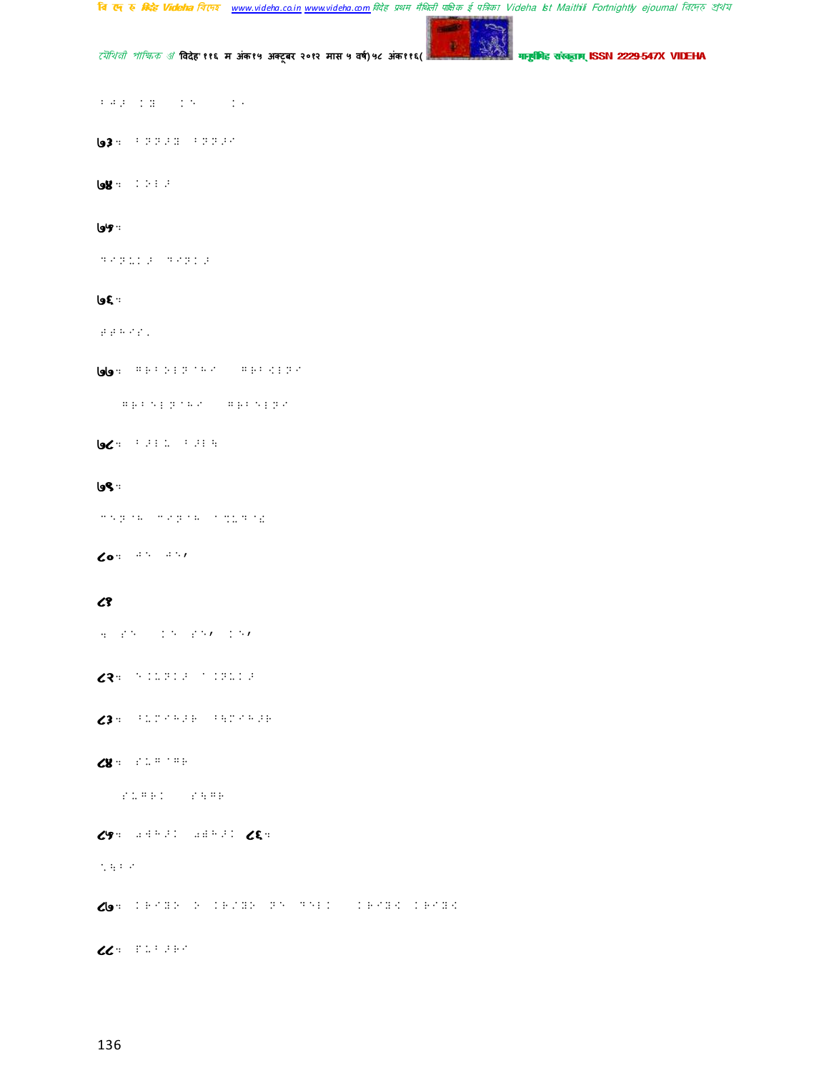⢺⢼!⣝0!!0!g!!

७३⣒!⢽⢽⢼⣝0⢽⢽⢼!!

७४⣒!⢵2⢼!!

#### ا ∵ کاوا

⢹⢽⣅⢼!⢹⢽⢼!!

# **: £وا**

⢾⢾⢳"C!!

७७⣒!⢻⢷⢵2⢽⢳0!⢻⢷⣊2⢽0!

!!⢻⢷2⢽⢳0!⢻⢷2⢽!!

७८⣒!⢼2⣅!⢼2⣓!!

# **98**:

/⢽⢳!/⢽⢳)⣉⣅⢹⣎\*!!

८०⣒!⢺!⢺'!!

# ८१

General Property (2009)

८२⣒!⣈⣅⢽⢼!⣈⢽⣅⢼!!

८३⣒!⢸⣅⢳⢼⢷!⢸⣓⢳⢼⢷!!

# ८४⣒!"⣅⢻⢻⢷!

0 FURED 0 FRAME

८५⣒!⣔⣚⢳⢼!⣔⣞⢳⢼!८६⣒!

 $\mathcal{F}_\mathrm{eff}$  is a set

८७⣒!⢷⣝⢵0⢵!⢷#⣝⢵!⢽!⢹2!0⢷⣝⣊.⢷⣝⣊!!

८८⣒!'⣅⢼⢷!!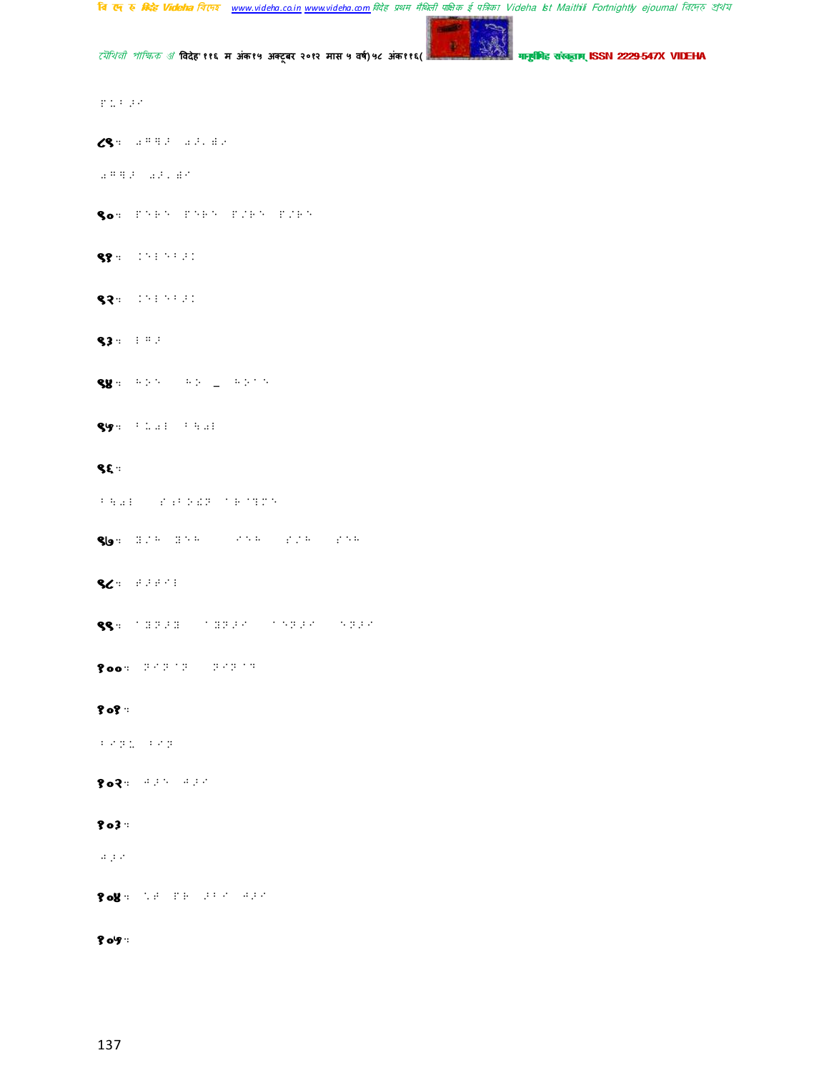'⣅⢼!!

८९⣒!⣔⢻⣛⢼.⣔⢼C⣞⢴!

⣔⢻⣛⢼.⣔⢼C⣞!!

Son FREN FREN FORN

**९१** में २०११ में सा

९२**% - २०१० मध्य** 

९३ मा २ थे थे थे

९४ अ. १९४९ - अ. १९९९ - अ. १९४९

९५⣒!⣅⣔2!⣓⣔2!!

### $SE:$

⣓⣔2!)"⣐⢵⣎⢽!⢷⣙\*!!

Slee Bire Bree (1995) and a great prob-

९८⣒!⢾⢼⢾2!!

९९⣒!⣝⢽⢼⣝.!⣝⢽⢼0!⢽⢼0!⢽⢼!!

१००⣒!⢽⢽⢽.!⢽⢽⢹!!

# १०१ :

⢽⣅!⢽!!

१०२⣒!⢺⢼!⢺⢼!!

#### $803$  :

⢺⢼!)jo!ejggfsfou!tfotf\*.mbtu!xpse!pg!tfoufodf!!

१०४⣒!⣁⢾!'⢷!⢼!⢺⢼!!

 $9°9$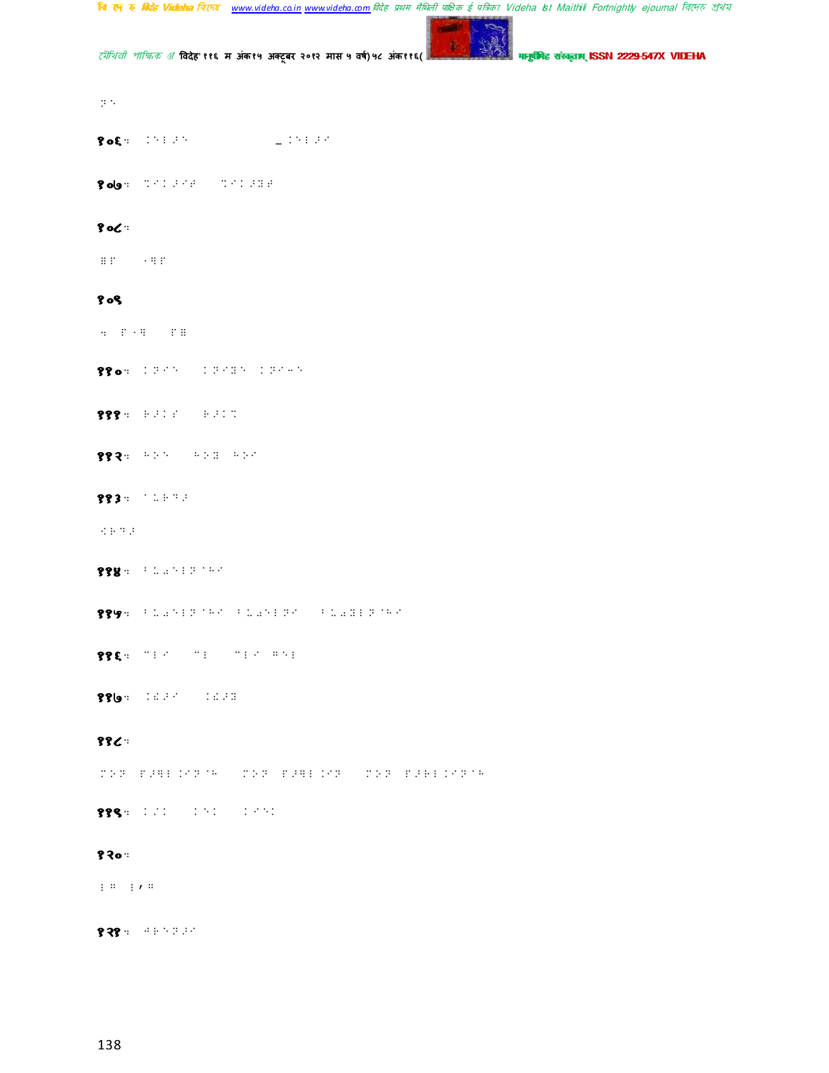

#### $\sim$

१०६⣒!⣈2⢼!)qmbz\*!–⣈2⢼!!

१०७⣒!⣉⢼⢾.!⣉⢼⣝⢾!!

### १०८ $\cdot$

 $\mathbb{H}(\Gamma^{\pm})\longrightarrow\mathbb{H}(\Gamma)$ 

# १०९

 $\label{eq:3.1} \begin{array}{ll} \mathcal{H}^{\mathbb{C}}\times\mathbb{R}\times\mathbb{R} & \mathbb{R}\times\mathbb{R}\times\mathbb{R} \\ \mathbb{R}\times\mathbb{R}\times\mathbb{R}\times\mathbb{R}\times\mathbb{R} & \mathbb{R}\times\mathbb{R} \end{array}$ 

१९०० २००० २००० २००० २०००

१११⣒!⢷⢼".!⢷⢼⣉!!

११२ अप्रैल के प्रकाश के प्रकाश के प्रकाश के प्रकाश के प्रकाश के प्रकाश के प्रकाश के प्रकाश के प्रकाश के प्रक

११३⣒!⣅⢷⢹⢼.!

⣊⢷⢹⢼!!

११४⣒!⣅⣔2⢽⢳!)ejggfsfou!nfbojoh.!hpu!voefstuboe\*!!

११५⣒!⣅⣔2⢽⢳0⣅⣔2⢽0!⣅⣔⣝2⢽⢳!)voefstuppe!ijntfmg\*!!

११६⣒!/2.!/20!/2!⢻2!!

११७ विशेष

#### ११८

⢵⢽!'⢼⣛2⣈⢽⢳0!⢵⢽!'⢼⣛2⣈⢽0!⢵⢽!'⢼⢷2⣈⢽⢳!!

११९ : 221 : 251 : 2551

#### १२०⣒!

 $\frac{1}{2}$  :  $\frac{1}{2}$  :  $\frac{1}{2}$  ,  $\frac{1}{2}$  :

१२१ ता अस्ति हि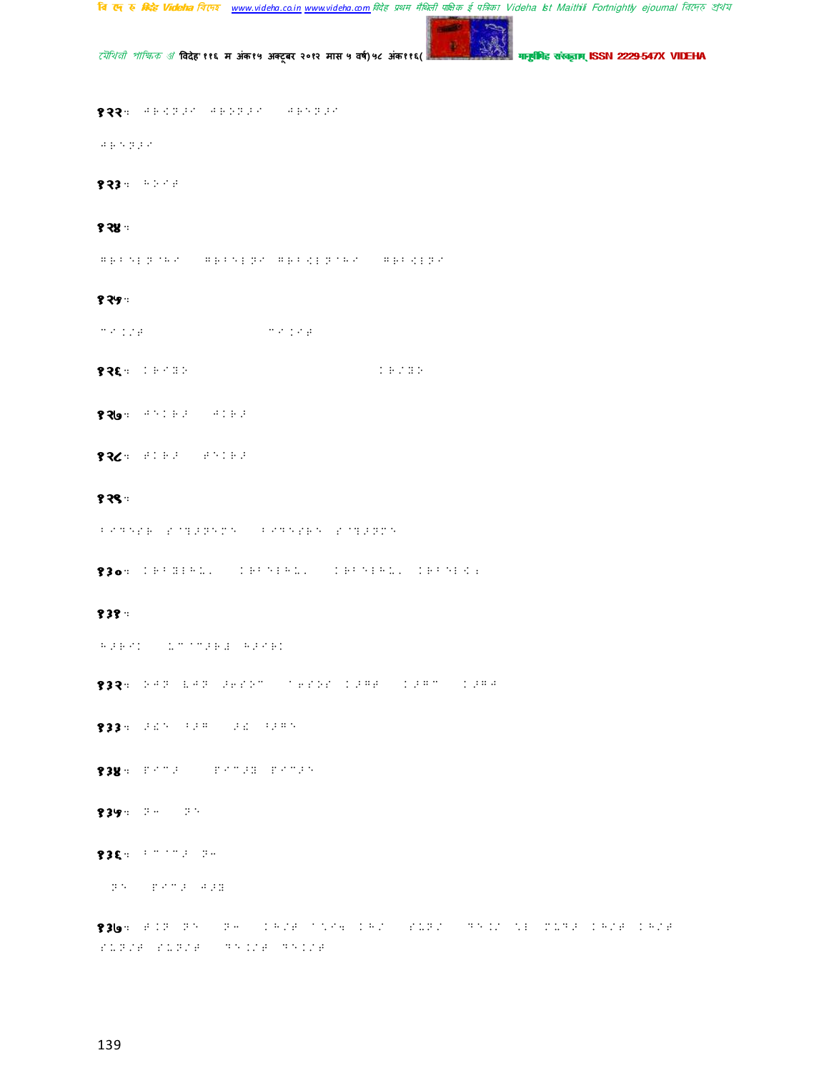*त्रीशिती পাफ़िक अ*विदेह'११६ म अंक१५ अक्टूबर २०१२ मास ५ वर्ष)५८ अंक११६( साल कार्यकारीको मानुमिह संस्कृतम् ISSN 2229-547X VIDEHA

१२२⣒!⢺⢷⣊⢽⢼!⢺⢷⢵⢽⢼.!⢺⢷⢽⢼0!

⢺⢷⢽⢼!!

१२३⣒!⢳⢵⢾!!

१२४

⢻⢷2⢽⢳0!⢻⢷2⢽!⢻⢷⣊2⢽⢳0!⢻⢷⣊2⢽!!

१२५

/⣈#⢾.!)up!uftu\*/⣈⢾!!

१२६⣒!⢷⣝⢵!)xjmmjoh!up!ep\*!⢷#⣝⢵!!

 $8.30$   $^{10.7}$   $^{10.7}$   $^{10.7}$   $^{10.7}$   $^{10.7}$   $^{10.7}$   $^{10.7}$ 

१२८⣒!⢾⢷⢼.!⢾⢷⢼!!

१२९⣒!!

 $\mathcal{A}$  , and  $\mathcal{A}$  is a sequence of the sequence of the sequence of the sequence of the sequence of the sequence of the sequence of the sequence of the sequence of the sequence of the sequence of the sequence of the

१३०⣒!⢷⣝2⢳⣅C0!⢷2⢳⣅C0!⢷2⢳⣅C!⢷2⣊⣐!!

१३१⣒!

⢳⢼⢷!)⣅//⢼⢷⣜!⢳⢼⢷\*!!

१३२⣒!⢵⢺⢽!⣇⢺⢽!⢼⢶"⢵/0!⢶"⢵"!⢼⢻⢾0!⢼⢻/0!⢼⢻⢺!

१३३⣒!⢼⣎!⢸⢼⢻0!⢼⣎.⢸⢼⢻!!

१३४ ता राजा के साथ पर प्रकार करना है।

१३५ : २० : २०

१३६<sub>व</sub> - अलिंग अलिंग अ

)⢽\*!'/⢼!⢺⢼⣝!!

१३७⣒!⢾⣈⢽!⢽!)⢽⢲\*!⢳#⢾!⣁⣒!⢳#0!"⣅⢽#0!⢹⣈#!⣁2!⣅⢹⢼!⢳#⢾.⢳#⢾0! "⣅⢽#⢾."⣅⢽#⢾0!⢹⣈#⢾.⢹⣈#⢾!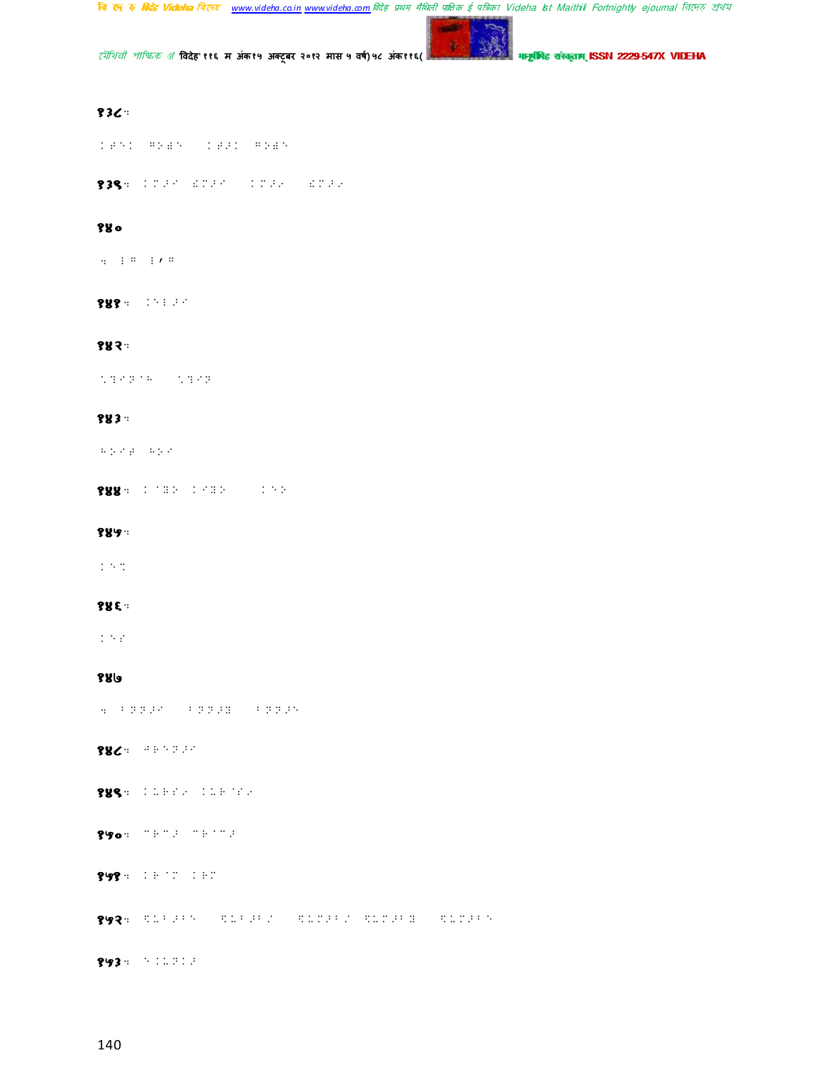*त्रीशिती পাफ़िक अ*विदेह'११६ म अंक१५ अक्टूबर २०१२ मास ५ वर्ष)५८ अंक११६( साल कार्यकारीको मानुमिह संस्कृतम् ISSN 2229-547X VIDEHA

# १३८ः

⢾!⢻⢵⣞0!⢾⢼!⢻⢵⣞!!

१३९⣒!⢼.⣎⢼0!⢼⢴.!⣎⢼⢴!!

### १४०

[ 2 Ω | 2 Ω | 2 Ω | 2 Ω |

१४१⣒!⣈2⢼!)gps!qmbzjoh\*!!

### १४२⣒!!

⣁⣙⢽⢳0!⣁⣙⢽!!

### १४३⣒!!

 $\mathcal{H}^{\mathcal{A}}$  is the proof of the proof.

१४४⣒!⣝⢵!⣝⢵!0!⢵!!

### १४५⣒!

 $\pm$   $\pm$   $\pm$ 

### १४६⣒!

 $\mathcal{N}$  and  $\mathcal{N}$ 

### १४७

⣒!⢽⢽⢼0!⢽⢽⢼⣝0!⢽⢽⢼!!

# १४८⣒!⢺⢷⢽⢼!!

१४९⣒!⣅⢷"⢴!⣅⢷"⢴!!

१७० : " | " | " | " | " | " |

१७१ : २ : २ : २ : २ : २

१५२⣒!⣋⣅⢼0!⣋⣅⢼#0!⣋⣅⢼#!⣋⣅⢼⣝0!⣋⣅⢼!!

१५३⣒!⣈⣅⢽⢼0!!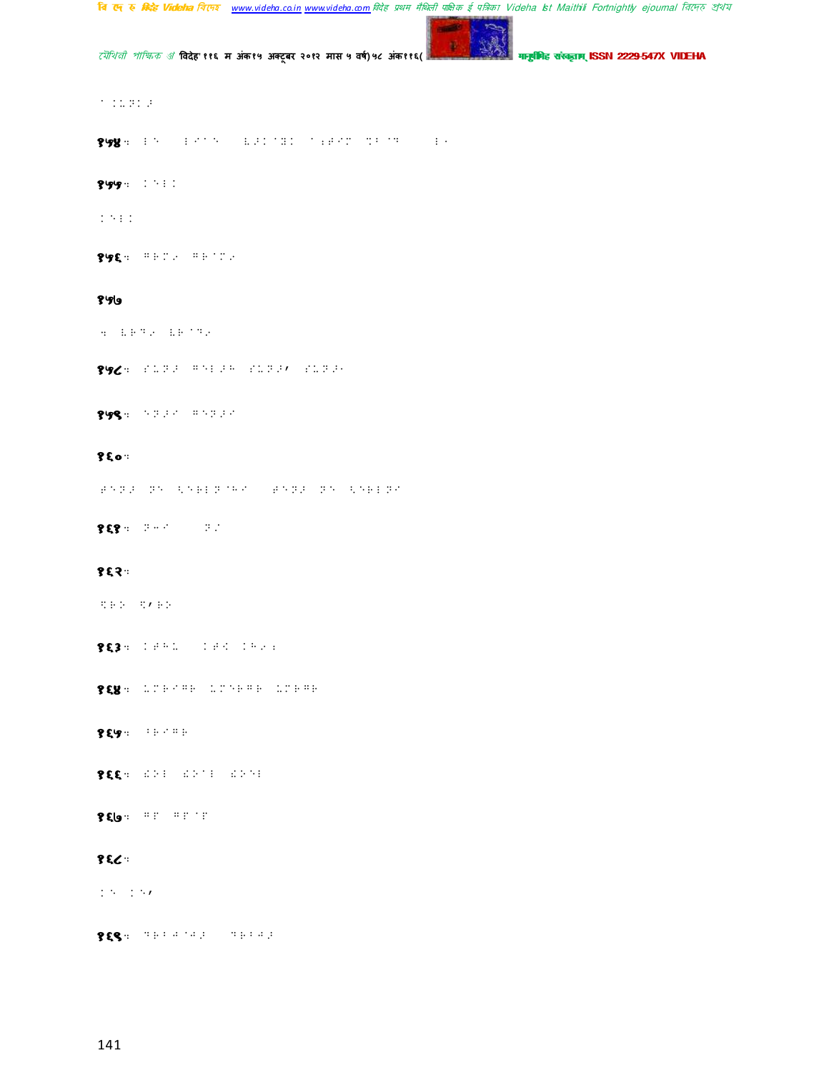⣈⣅⢽⢼!!

१५४⣒!20!2!)⣇⢼⣝!⣐⢾!⣉⢹\*.!2g!!

 $899: 221: 221$ 

2!!

१५६⣒!⢻⢷⢴!⢻⢷⢴!!

# १५७

 $\alpha$  . In Fig. , i.e. the  $\gamma$ 

१५८⣒!"⣅⢽⢼!⢻2⢼⢳!"⣅⢽⢼'0"⣅⢽⢼g!!

१५९⣒!⢽⢼.⢻⢽⢼!!

# १६०⣒!

⢾⢽⢼!⢽!⣃⢷2⢽⢳0!⢾⢽⢼!⢽!⣃⢷2⢽!!

१६१ ॥ २०१० ॥ २२

### १६२⣒!!

⣋⢷⢵!⣋'⢷⢵!!

१६३⣒!⢾⢳⣅0!⢾⣊!⢳⢴⣐!!

१६४⣒!⣅⢷⢻⢷.⣅⢷⢻⢷!⣅⢷⢻⢷!!

१६५⣒!⢸⢷⢻⢷!!

१६६⣒!⣎⢵20⣎⢵2!⣎⢵2!!

१६७ - विशेष क

### १६८⣒!!

 $1.5 \pm 1.5$   $\epsilon$ 

१६९⣒!⢹⢷⢺⢺⢼0!⢹⢷⢺⢼!!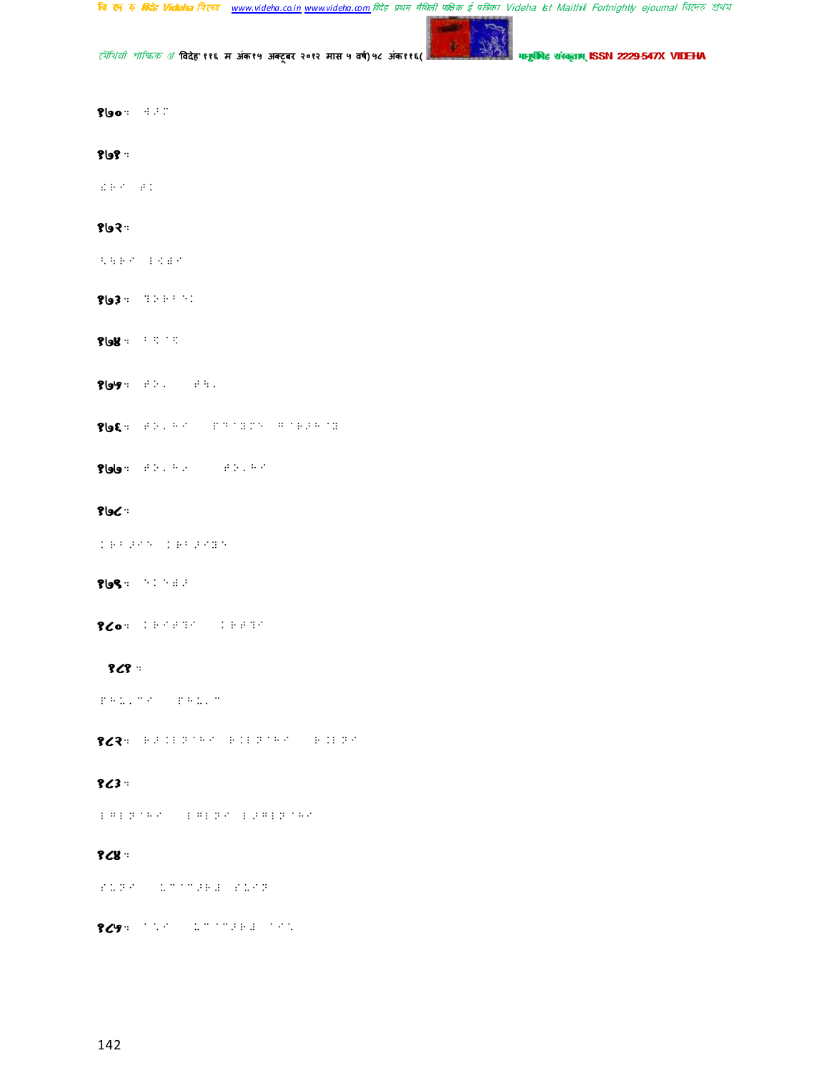*त्रीशिती পাफ़िक अ*विदेह'११६ म अंक१५ अक्टूबर २०१२ मास ५ वर्ष)५८ अंक११६( साल कार्यकारीको मानुमिह संस्कृतम् ISSN 2229-547X VIDEHA



१७० व*ं* सम्

१७१ :

⣎⢷!⢾!!

### १७२ :

⣃⣓⢷!2⣊⣞!!

 $803$  :  $1333333$ 

 $90$ 

ال القائية السياسية ال**محاوالا** 

१७६⣒!⢾⢵C⢳)!'⢹⣝!⢻⢷⢼⢳⣝\*!!

ال الماري الماري الماري اليوم اليوم اليوم اليوم اليوم اليوم اليوم اليوم اليوم اليوم اليوم اليوم اليوم اليوم ال<br>اليوم اليوم اليوم اليوم اليوم اليوم اليوم اليوم اليوم اليوم اليوم اليوم اليوم اليوم اليوم اليوم اليوم اليوم ا

### १७८⣒!

⢷⢼!⢷⢼⣝!!

 $R \cup \{ \cdot, \cdot, \cdot \}$ 

१८०⣒!⢷⢾⣙!0⢷⢾⣙!!

### $35.8<sup>11</sup>$

FRITTY (FRITT)

१८२⣒!⢷⢼⣈2⢽⢳!⢷⣈2⢽⢳0!⢷⣈2⢽!!

#### $823 :$

2⢻2⢽⢳0!2⢻2⢽!2⢼⢻2⢽⢳!!

#### $328$

"YES A CONTROL SERVER

१८७ : १९९९ : १९९९ : १९९९ : १९९९ : १९९९ : १९९९ : १९९९ : १९९९ : १९९९ : १९९९ : १९९९ : १९९९ : १९९९ : १९९९ : १९९९ : १९९९ : १९९९ : १९९९ : १९९९ : १९९९ : १९९९ : १९९९ : १९९९ : १९९९ : १९९९ : १९९९ : १९९९ : १९९९ : १९९९ : १९९९ : १९९९ :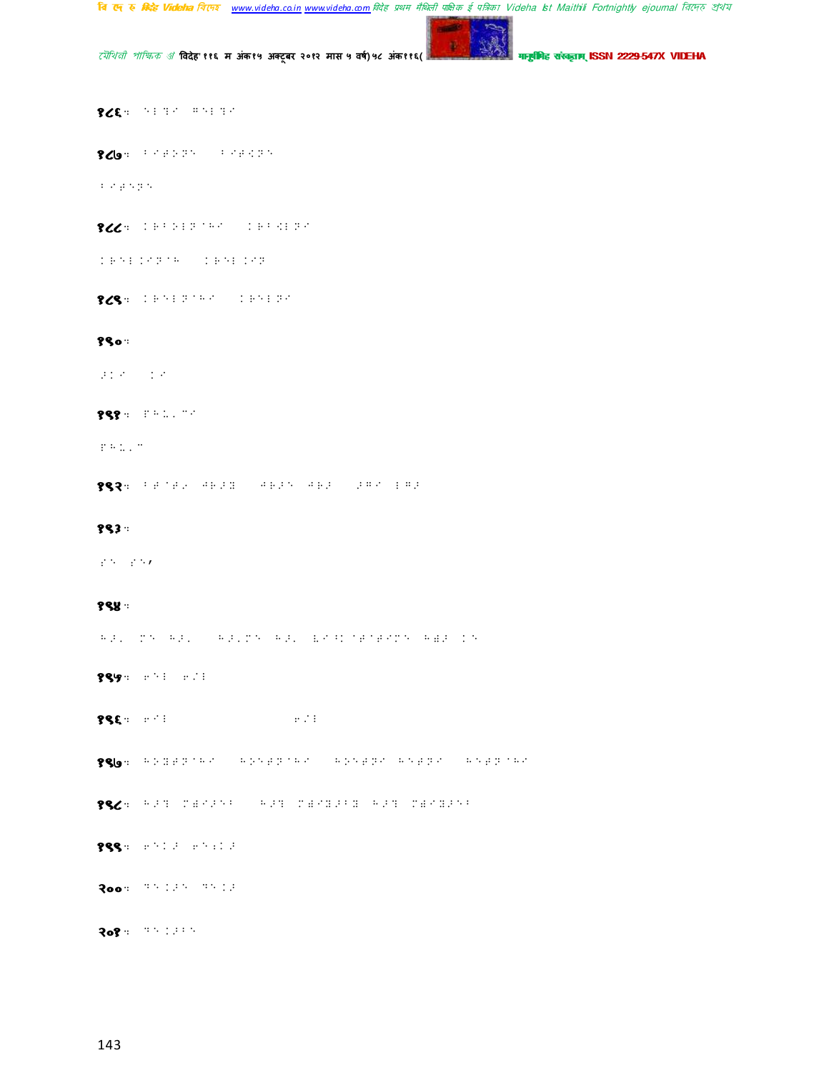*त्रीशिती পাफ़िक अ*विदेह'११६ म अंक१५ अक्टूबर २०१२ मास ५ वर्ष)५८ अंक११६( सालामह संस्कृतिक संस्कृतम् ISSN 2229-547X VIDEHA

१८६⣒!2⣙!⢻2⣙!!

१८७⣒!⢾⢵⢽0!⢾⣊⢽0!!

⢾⢽!!

१८८⣒!⢷⢵2⢽⢳0!⢷⣊2⢽0!

⢷2⣈⢽⢳0!⢷2⣈⢽!!

१८९⣒!⢷2⢽⢳0!⢷2⢽!!

# १९०⣒!!

DOM: 00:00

१९१५ मध्य प्रकाश

'⢳⣅C/!!

१९२⣒!⢾⢾⢴!⢺⢷⢼⣝0!⢺⢷⢼!⢺⢷⢼!)⢼⢻!2⢻⢼\*!!

### १९३⣒!!

 $\mathbb{R}^{n\times n}$  . The  $\mathbb{R}^{n}$ 

# १९४⣒!!

⢳⢼C!!⢳⢼C!)⢳⢼C!⢳⢼C!⣇⢸⢾⢾!⢳⣞⢼!\*!!

१९५ : २१ : २२ : २

१९६⣒!⢶2)tqbdjpvt\*!⢶#2!!

१९७⣒!⢳⢵⣝⢾⢽⢳0!⢳⢵⢾⢽⢳0!⢳⢵⢾⢽0⢳⢾⢽0!⢳⢾⢽⢳!!

१९८⣒!⢳⢼⣙!⣞⢼0!⢳⢼⣙!⣞⣝⢼⣝0⢳⢼⣙!⣞⣝⢼!!

१९९⣒!⢶⢼!⢶⣐⢼!!

२००⣒!⢹⣈⢼!⢹⣈⢼!!

२०१ व महाराष्ट्र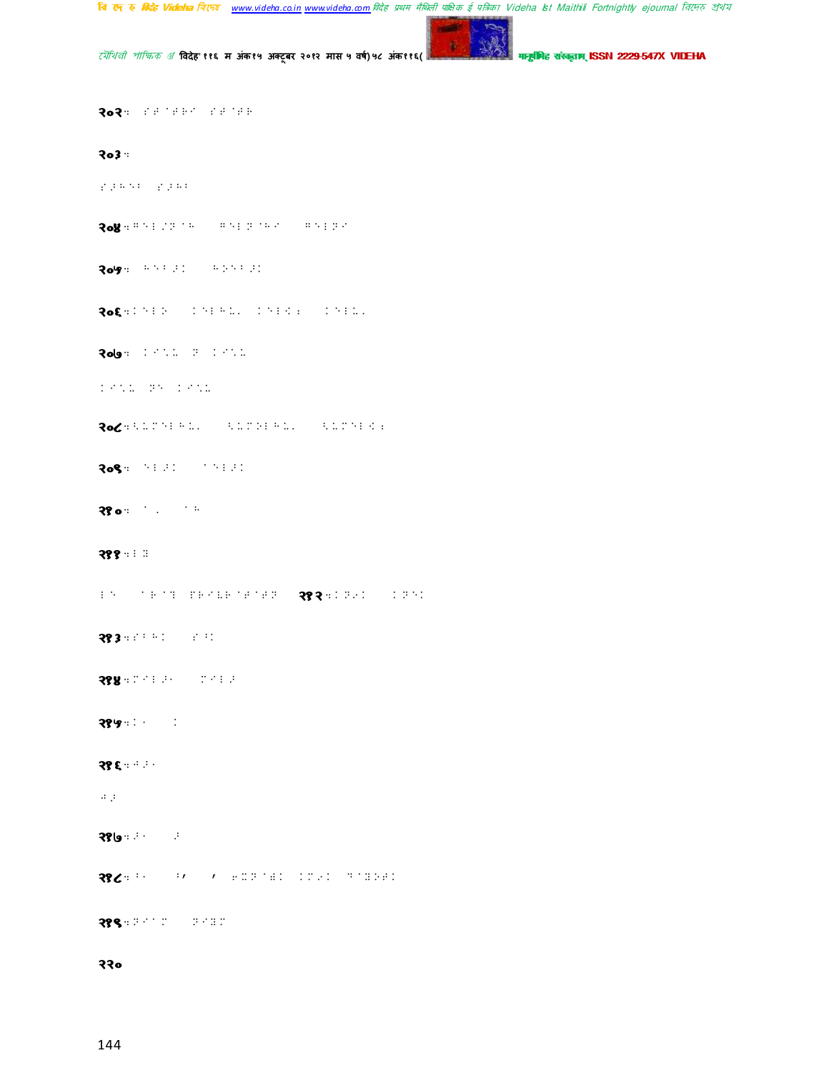*त्रीशिती পাफ़िक अ*विदेह'११६ म अंक१५ अक्टूबर २०१२ मास ५ वर्ष)५८ अंक११६( सालामह संस्कृतिक संस्कृतम् ISSN 2229-547X VIDEHA

२०२⣒!"⢾⢾⢷!"⢾⢾⢷!!

२०३ :

"⢼⢳!"⢼⢳!!

२०४⣒⢻2#⢽⢳0!⢻2⢽⢳0!⢻2⢽!!

२०७ - अन्यास सामान का प्रकार हो।

२०६⣒2⢵0!2⢳⣅C02⣊⣐0!2⣅C!!

२०७ : २००१ मध्य प्राप्त का

⣁⣅!⢽!⣁⣅!!

२०८⣒⣃⣅2⢳⣅C0!⣃⣅⢵2⢳⣅C0!⣃⣅2⣊⣐!!

२०९**: २३.२१ - २०९**३

२१० : लिया जाता

२११ ॥ ॥

2!)⢷⣙.'⢷⣇⢷⢾⢾⢽\*!२१२⣒⢽⢴0!⢽!!

२१३ च्या सामान अधिकार

२१४ व्यक्त संस्था हो।

२१५ : २०१

२१६ वर्ष करते.

 $\Delta \sim 10^{-10}$ 

२१७ पा अर्थ से अर्थ स्थान करते हैं।<br>स्थान करते हैं कि अर्थ स्थान करते हैं कि अर्थ स्थान करते हैं कि अर्थ स्थान करते हैं कि अर्थ स्थान करते हैं कि

28℃g (01) (01) O (01) O (01) O (01) O (01) O (01) O (01) O (01) O (01) O (01) O (01) O (01) O (01) O (01) O (0

२१९ वर्ष सामान्य सामान्य अधिकारण

२२०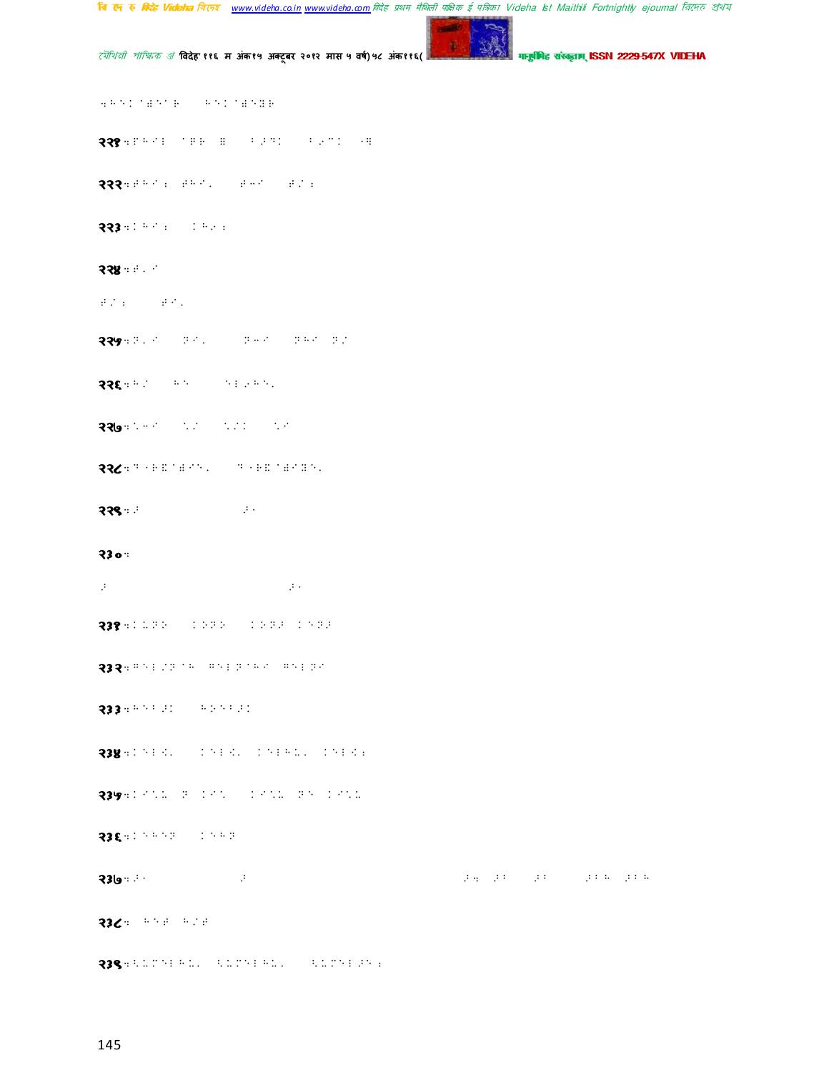वि एत् रू **मितेह Videha** विएक www.videha.co.in www.videha.com विदेह प्रथम मैथिली पाक्षिक ई पत्रिका Videha Ist Maithili Fortnightly ejournal तिएक रोशेग

*त्रीशिती পাफ़िक अ*विदेह'११६ म अंक१५ अक्टूबर २०१२ मास ५ वर्ष)५८ अंक११६( सालामह संस्कृतिक संस्कृतम् ISSN 2229-547X VIDEHA

⣒⢳⣞⢷0!⢳⣞⣝⢷!!

२२१ चिकित्सा प्राप्त सामाना प्राप्त सामाना प्राप्त सामाना प्राप्त सामाना प्राप्त सामाना प्राप्त सामाना प्राप्त

२२२ तमस्य अस्ति । अस्ति । अस्ति ।

२२३ वर्तमध्ये अस्ति । अस्ति ।

२२४ लाले क

⢾#⣐!0!⢾C!!

२२५ de la companya de la companya de la companya de la companya de la companya de la companya de la companya d

२२६ क्षेत्र होता. या अन्य अधिकारित का अधिकारित के अधिकारित के अधिकारित के अधिकारित के अधिकारित के अधिकारित के

२२७ चला का अनुसार को साथ करते हैं।

२२८⣒⢹?⢷⣏⣞C0!⢹?⢷⣏⣞⣝C!!

 $228 + 1$ 

२३० ः

 $\mathcal{F}$ dpokvoduje od pokovoduje se od pokovoduje od pokovoduje od pokovoduje od pokovoduje od pokovoduje od p

२३१⣒⣅⢽⢵0!⢵⢽⢵-!⢵⢽⢼0⢽⢼!

२३२⣒⢻2#⢽⢳.⢻2⢽⢳.⢻2⢽!

२३३⣒⢳⢼.!⢳⢵⢼!

२३४⣒2⣊C.!2⣊C.2⢳⣅C02⣊⣐!!

२३५⣒⣁⣅!⢽!⣁.!⣁⣅!⢽!⣁⣅!

२३६⣒⢳⢽.!⢳⢽!

२३७⣒⢼g!)dpnf\*.⢼!)dpokvodujpo.boe\*0⢼⣒!⢼(.⢼(!0⢼⢳.⢼⢳!

२३८ मा मध्य सामग्रीहरू

२३९⣒⣃⣅2⢳⣅C.⣃⣅2⢳⣅C.!⣃⣅2⢼⣐!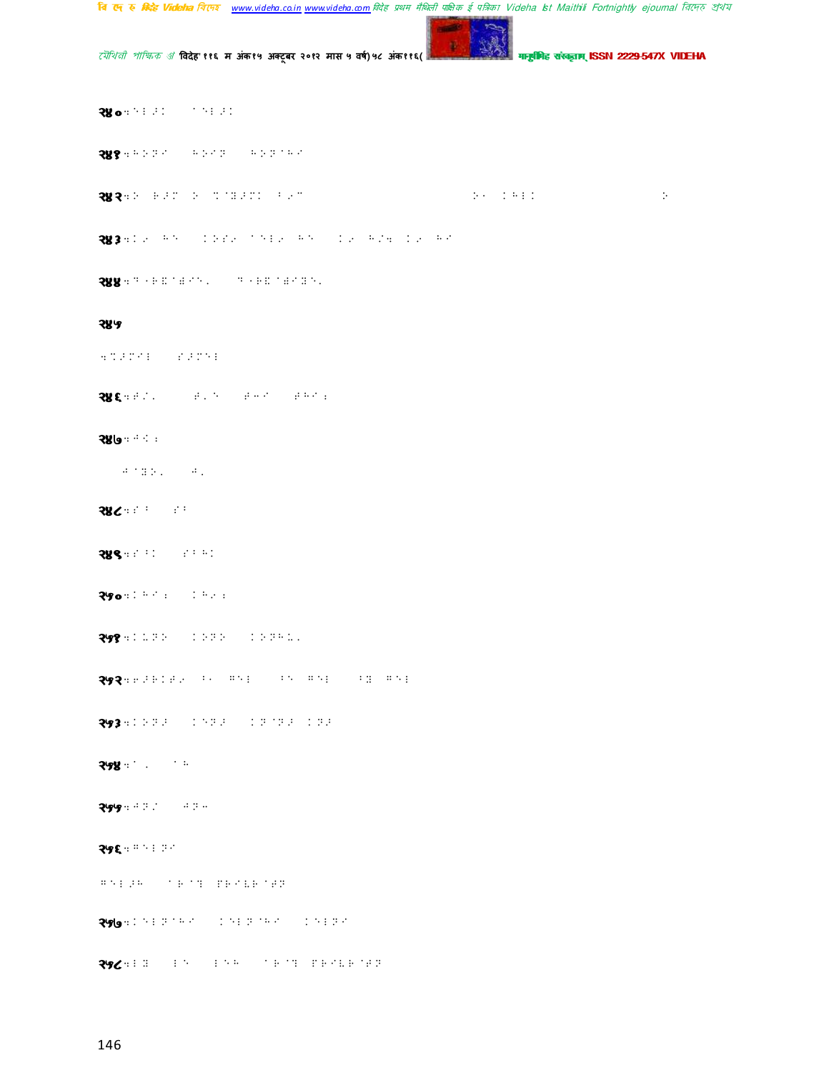| बि एक स्टेड Videha विषय www.videha.co.in www.videha.com विदेह प्रथम मैथिली पाक्षिक ई पत्रिका Videha Ist Maithili Fortnightly ejournal विषय श्रीर्थय                                   |              |                                           |
|---------------------------------------------------------------------------------------------------------------------------------------------------------------------------------------|--------------|-------------------------------------------|
| ट्येशिली शांकिक अं विदेह ११६ म अंक१५ अक्टूबर २०१२ मास ५ वर्ष) ५८ अंक११६(                                                                                                              |              | मानुक्रीह संस्कृतम् ISSN 2229-547X VIDEHA |
| 38.0 年午前 1000 年10月                                                                                                                                                                    |              |                                           |
| <b>SRS</b> Here and the product of a business                                                                                                                                         |              |                                           |
| 28242 820 20070200 320                                                                                                                                                                | - 1988年4月10日 | $\mathbb{R}^2$                            |
| 383912 PAC IDEA CARD PACING PIRE 12 PM                                                                                                                                                |              |                                           |
| $\mathsf{SAR}(\mathsf{A}) \cong \mathsf{SAR}(\mathsf{A}) \cong \mathsf{SAR}(\mathsf{A}) \cong \mathsf{SAR}(\mathsf{A}) \cong \mathsf{SAR}(\mathsf{A}) \cong \mathsf{SAR}(\mathsf{A})$ |              |                                           |
| २४५                                                                                                                                                                                   |              |                                           |
| AND POST OF BUILDING                                                                                                                                                                  |              |                                           |
|                                                                                                                                                                                       |              |                                           |
| ⊹ ⊹ ⊕ <b>والا?</b>                                                                                                                                                                    |              |                                           |
| <b>(中の生存) - 中に</b>                                                                                                                                                                    |              |                                           |
|                                                                                                                                                                                       |              |                                           |
| 288999911 2010                                                                                                                                                                        |              |                                           |
| ?900000000000000000                                                                                                                                                                   |              |                                           |
| 298910090 10090 100900                                                                                                                                                                |              |                                           |
|                                                                                                                                                                                       |              |                                           |
| 293910000 10000 100000 100                                                                                                                                                            |              |                                           |
|                                                                                                                                                                                       |              |                                           |
|                                                                                                                                                                                       |              |                                           |
|                                                                                                                                                                                       |              |                                           |
| <b>PAIDE CONFIDENTIALS</b>                                                                                                                                                            |              |                                           |
| R90 9 1 개 E P 1 미리 - 1 개 E P 1 미리 - 1 개 E P 리                                                                                                                                         |              |                                           |
| 296410 1155 1155 1167 1167 1167 1167 116                                                                                                                                              |              |                                           |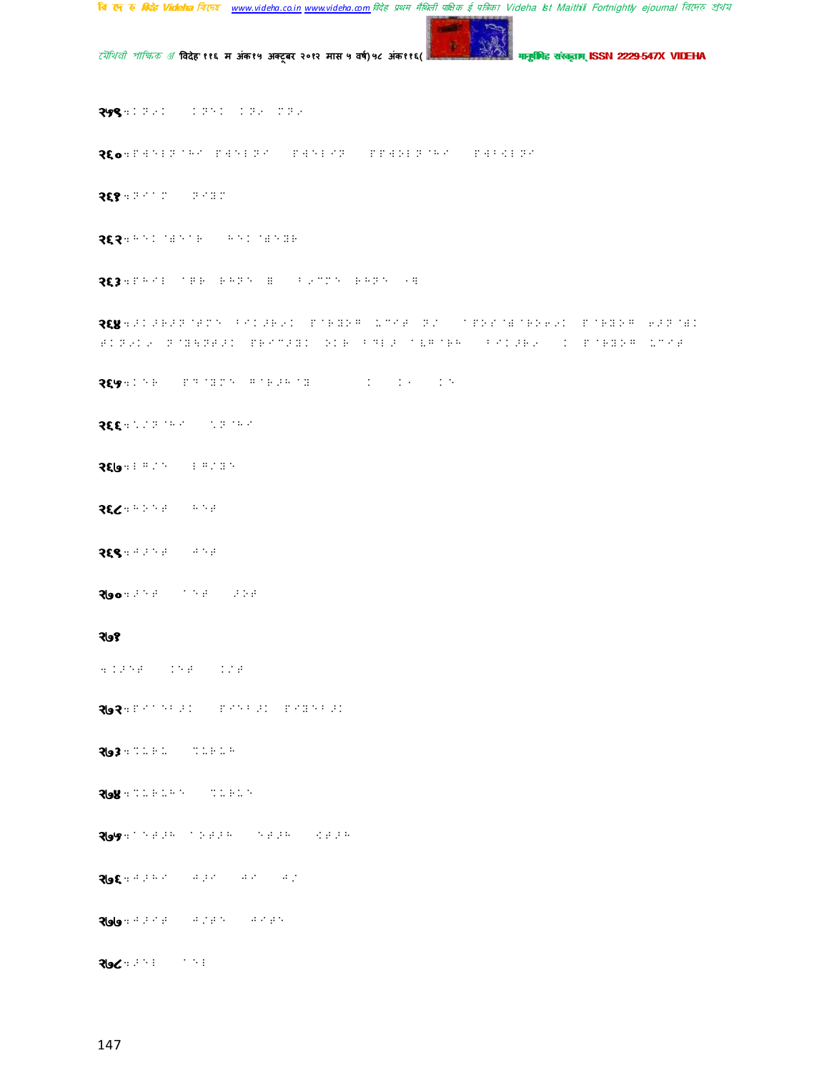वि एत् रू **मितेह Videha** विएक www.videha.co.in www.videha.com विदेह प्रथम मैथिली पाक्षिक ई पत्रिका Videha Ist Maithili Fortnightly ejournal तिएक रोशेग

*त्रीशिती পাफ़िक अ*विदेह'११६ म अंक१५ अक्टूबर २०१२ मास ५ वर्ष)५८ अंक११६( सालामह संस्कृतिक संस्कृतम् ISSN 2229-547X VIDEHA

२५९⣒⢽⢴0!⢽0⢽⢴.⢽⢴!

२६०⣒'⣚2⢽⢳!'⣚2⢽0!'⣚2⢽0!''⣚⢵2⢽⢳0!'⣚⣊2⢽0!

२६१⣒⢽0!⢽⣝!

२६२⣒⢳⣞⢷0!⢳⣞⣝⢷!

२६३⣒'⢳2!⢿⢷!⢷⢳⢽!⣟0!⢴/!⢷⢳⢽!?⣛!

२६४⣒⢼⢼⢷⢼⢽⢾!⢼⢷⢴!'⢷⣝⢵⢻!⣅/⢾!⢽#0!'⢵"⣞⢷⢵⢶⢴!'⢷⣝⢵⢻!⢶⢼⢽⣞!  $\overline{a}$  ( and  $\overline{a}$  )  $\overline{a}$  ( and  $\overline{a}$  )  $\overline{a}$  ( and  $\overline{a}$  )  $\overline{a}$  ( and  $\overline{a}$  )  $\overline{a}$  ( and  $\overline{a}$  )  $\overline{a}$  ( and  $\overline{a}$  )  $\overline{a}$  ( and  $\overline{a}$  )  $\overline{a}$  ( and  $\overline{a}$  )  $\overline{a}$  ( and

२६५⣒⢷!)'⢹⣝!⢻⢷⢼⢳⣝\*!0!.0!g0!!

२६६⣒⣁#⢽⢳.!⣁⢽⢳!

२६७ वर्षे सामान्य अधिकारण

२६८ लाल हो। यो अपनी प्राप्त स्थान

२६९⣒⢺⢼⢾0!⢺⢾0!

२७० घटनाचे पुरुष

## २७१

⣒⣈⢼⢾0!⣈⢾0!⣈#⢾!!

२७२० तथा अन्य अस्ति । सामग्री अस्ति केन्द्र अस्ति । सामग्री अस्ति केन्द्र अस्ति । सामग्री अस्ति । सामग्री अस्त

२७३ ता अवसार के दुर**्वा** 

२७४ घ. में अ**०%** 

२७५⣒⢾⢼⢳0⢵⢾⢼⢳0!⢾⢼⢳0!⣊⢾⢼⢳!

२७६ चल हे कारण का सामान्य सामान्य सामान्य स्थान

२७७ घाटने से सामान का प्राप्त करते हैं।<br>जनसंख्या

२७८ मा २० २ व्या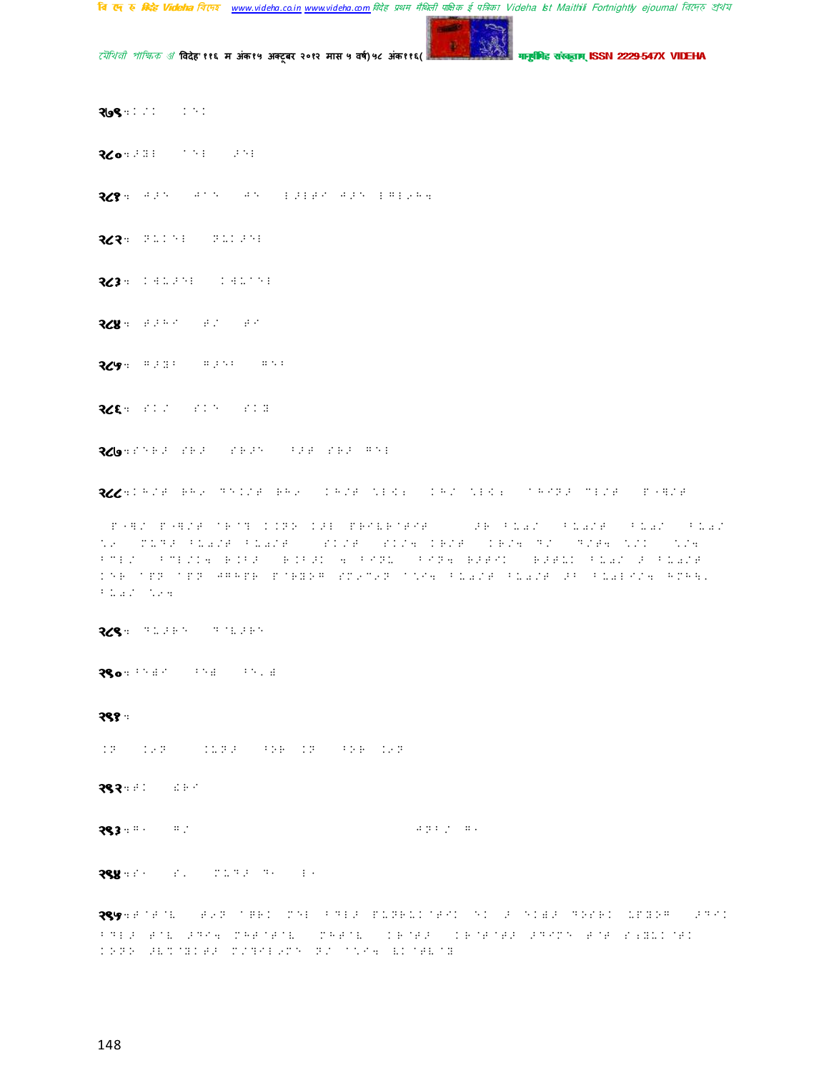२७९ मध्य मानव

२८०⣒⢼⣝20!20!⢼2!

२८१ ते असे अपने प्राप्त करने के अनुसार को साथ करने के अन्य से साथ करने के अन्य स्थान करने के अन्य स्थान करने क

२८२**: २०१० वि. २०१० वि. २०१० वि. २०१० वि. २०१०** 

२८३**% अस्ति स्थान स्थान कर** 

२८४ ता अधिकारण करणा अस

२८५ वि. १९७१ - वि. १९७९ - वि. १९७९ - वि. १९७९ - वि. १९७९ - वि. १९७९ - वि. १९७९ - वि. १९७९ - वि. १९७९ - वि. १९७९

२८६⣒!"#0!"0!"⣝!

२८७⣒"⢷⢼0"⢷⢼0!"⢷⢼!)⢸⢼⢾!"⢷⢼!⢻2\*!

२८८⣒⢳#⢾!⢷⢳⢴0⢹⣈#⢾!⢷⢳⢴0!⢳#⢾!⣁2⣊⣐0!⢳#!⣁2⣊⣐.!⢳⢽⢼!/2#⢾0!'?⣛#⢾!

)'?⣛#.'?⣛#⢾!⢷⣙!⣈⢽⢵!⢼2!'⢷⣇⢷⢾⢾\*!.!⢼⢷!⣅⣔#0!⣅⣔#⢾!)⣅⣔#0!⣅⣔#! New more some and the second tensor and the second tensor and the second tensor and /2#0!/2#⣒!⢷⣈⢼0!⢷⣈⢼!⣒!⢽⣅0!⢽⣒!⢷⢼⢾0!⢷⢼⢾⣅!⣅⣔#!⢼!⣅⣔#⢾! 1 NE TER TER PERE TESPER SON DA L'ON L'ON L'AGLICE PARE L'ESPERT ⣅⣔#!⣁⢴⣒!!

२८९⣒!⢹⣅⢼⢷0!⢹⣇⢼⢷!

२९०**% में अन्तरण करते हैं** 

## २९१ :

⣈⢽0!⣈⢴⢽0!!⣈⣅⢽⢼!)⢸⢵⢷!⣈⢽0!⢸⢵⢷!⣈⢴⢽\*!!

२९२**०० २० व्यक्ति** 

२९३⣒⢻g0!⢻#!)nfbojoh!ejggfsfou.⢺⢽#!⢻g\*!

२९४ government of the U.S. of the C. (2010)

**२९**५ a ta ta i ase i taal tha isha a bubadi taki solo a shaar heera doobah ilahas ⢹2⢼!⢾⣇!⢼⢹⣒!⢳⢾⢾⣇0!⢳⢾⣇0!⢷⢾⢼0!⢷⢾⢾⢼!⢼⢹!⢾⢾!"⣐⣝⣅⢾! ⢵⢽⢵!⢼⣇⣉⣝⢾⢼!#⣙2⢴!⢽#!⣁⣒!⣇⢾⣇⣝!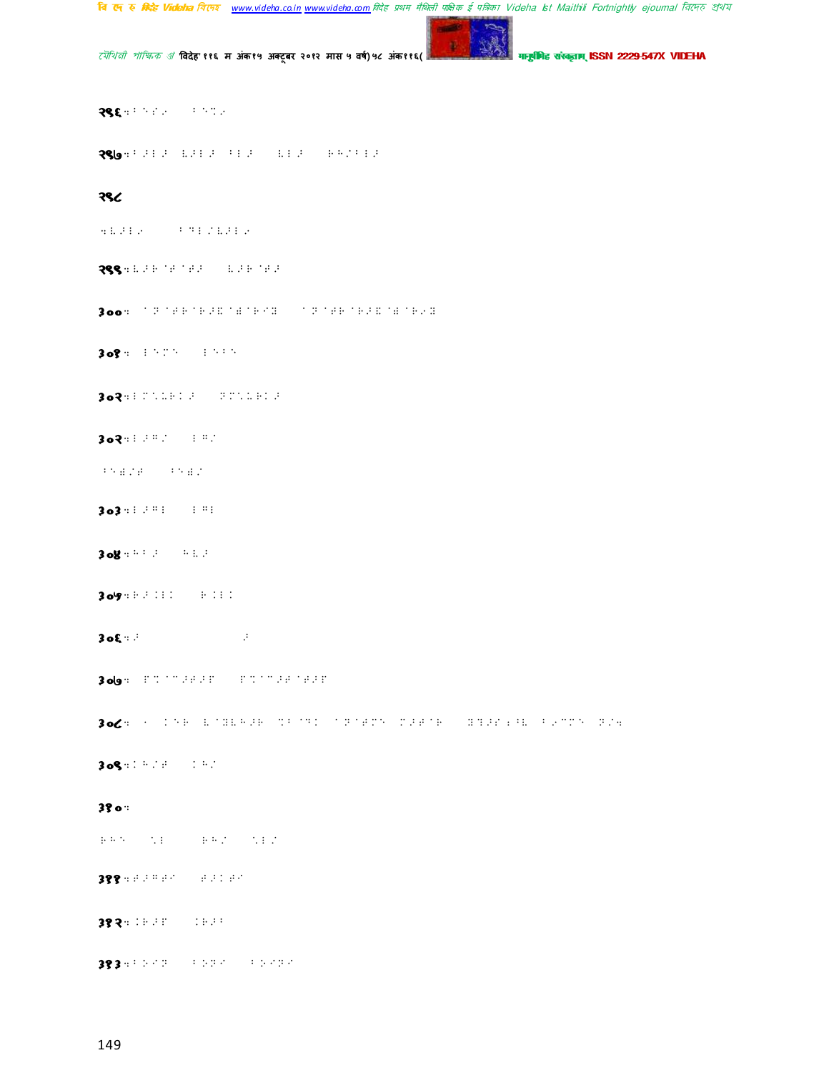वि एत् रू **मितेह Videha** विएक www.videha.co.in www.videha.com विदेह प्रथम मैथिली पाक्षिक ई पत्रिका Videha Ist Maithili Fortnightly ejournal तिएक रोशेग

*त्रीशिती পাफ़िक अ*विदेह'११६ म अंक१५ अक्टूबर २०१२ मास ५ वर्ष)५८ अंक११६( सालामह संस्कृतिक संस्कृतम् ISSN 2229-547X VIDEHA

२९६ कर अंतर का सामान कर

२९७⣒⢼2⢼0⣇⢼2⢼!2⢼0!⣇2⢼!)⢷⢳#2⢼\*!

# २९८

⣒⣇⢼2⢴0!)⢹2#⣇⢼2⢴\*!!

२९९⣒⣇⢼⢷⢾⢾⢼0!⣇⢼⢷⢾⢼!

३००⣒!⢽⢾⢷⢷⢼⣏⣞⢷⣝0!⢽⢾⢷⢷⢼⣏⣞⢷⢴⣝!

308 to 20 to 20 to 20 to 20 to 20

३०२⣒2⣁⣅⢷⢼-!⢽⣁⣅⢷⢼!

३०२⣒2⢼⢻#0!2⢻#!)!

⢸⣞#⢾0!⢸⣞#\*!!

३०३⣒2⢼⢻20!2⢻2!

3o8 तक अधिकारण के साथ

३०५⣒⢷⢼⣈20!⢷⣈2!

 $3$ o $\xi$ 

३०७⣒!'⣉/⢼⢾⢼'0!'⣉/⢼⢾⢾⢼'!

30℃H PORTE ENTRA ARE TRINING IN TRINING IN A REAL DESCRIPTION IN THE

3o8 में मिले के लिए किया गए

## $380^\circ$

⢷⢳!)⣁2\*0!⢷⢳#!)⣁2#\*!)nfbojoh!ejggfsfou\*!!

३११⣒⢾⢼⢻⢾0!⢾⢼⢾!

३१२⣒⣈⢷⢼'0!⣈⢷⢼!

३१३⣒⢵⢽0!⢵⢽0!⢵⢽!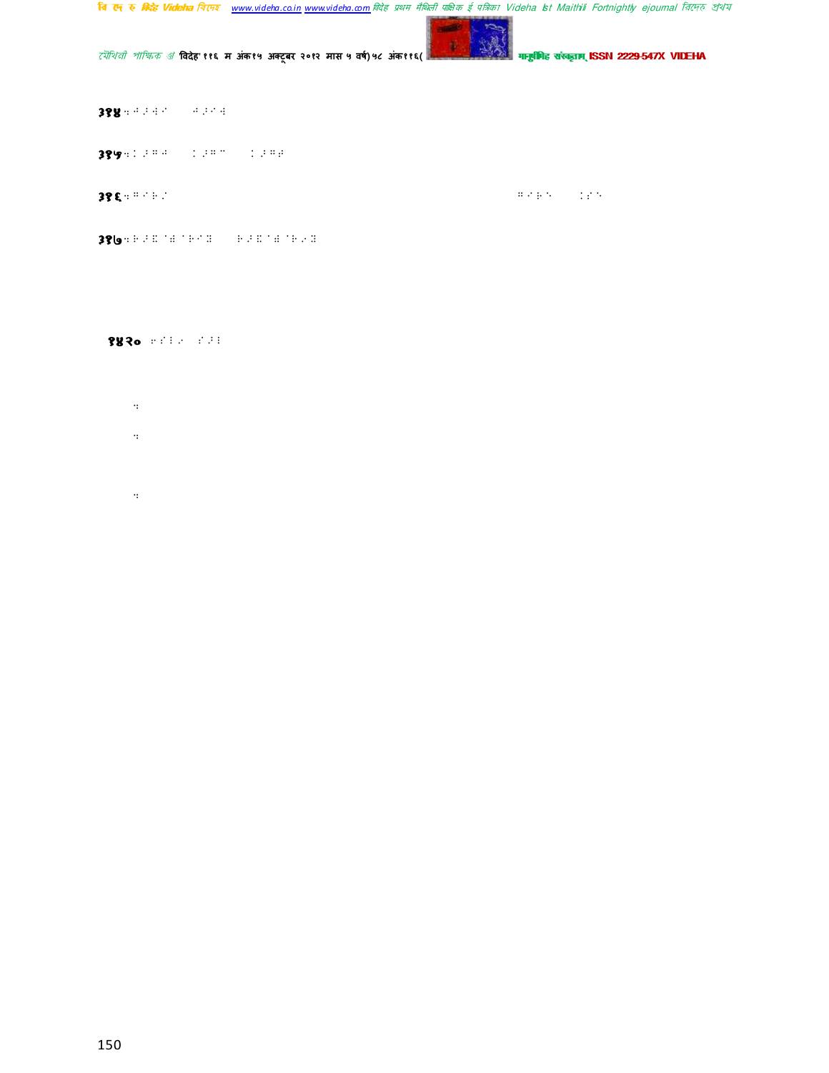वि एत् रू **मितेह Videha** विएक www.videha.co.in www.videha.com विदेह प्रथम मैथिली पाक्षिक ई पत्रिका Videha Ist Maithili Fortnightly ejournal तिएक रोशेग

*त्रीशिती পাफ़िक अ*विदेह'११६ म अंक१५ अक्टूबर २०१२ मास ५ वर्ष)५८ अंक११६( सालामह संस्कृतिक संस्कृतम् ISSN 2229-547X VIDEHA ⣒⢺⢼⣚0!⢺⢼⣚! ⣒⢼⢻⢺0!⢼⢻/0!⢼⢻⢾! ⣒⢻⢷#!)nfbojoh!ejggfsfou.!txbmmpx\*0!⢻⢷!)⣈"\*!

३१७⣒⢷⢼⣏⣞⢷⣝0!⢷⢼⣏⣞⢷⢴⣝!

१४२० ⢶"2⢴!"⢼2\*!!

- -
	-
- Open State Committee Committee Committee Committee Committee Committee Committee
- $\mathbf{E}^{(1)}$  3123.  $\mathbf{E}^{(2)}$  3123.  $\mathbf{E}^{(1)}$  3123.  $\mathbf{E}^{(2)}$  3123.  $\mathbf{E}^{(1)}$ 
	-
- Gfc⣒3124.!2-!4-!5-!7-!9-!21-!25-!26-!29-!31-!35-!36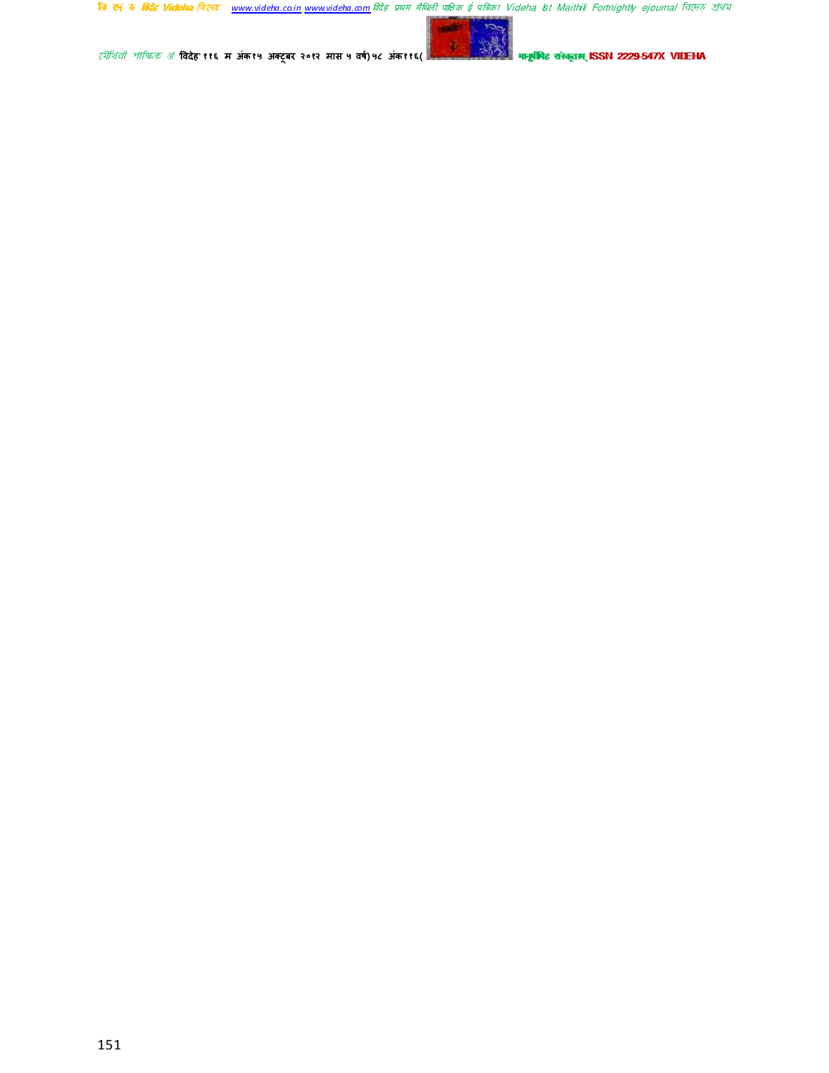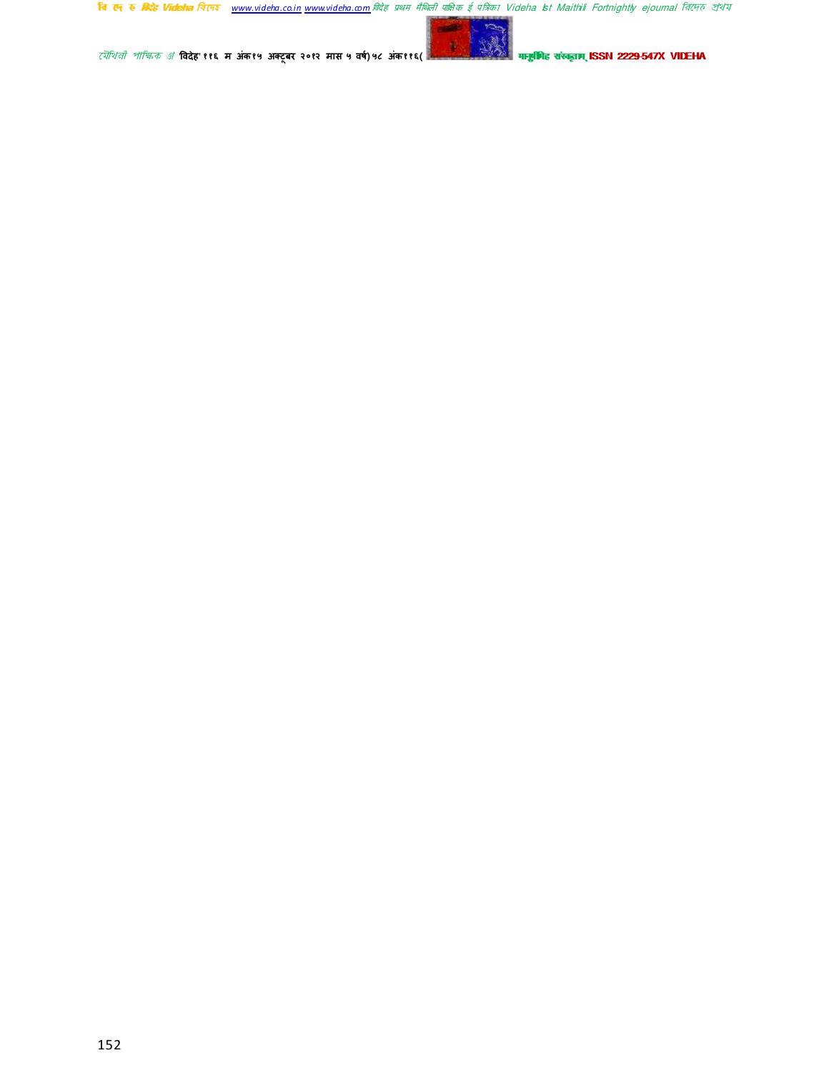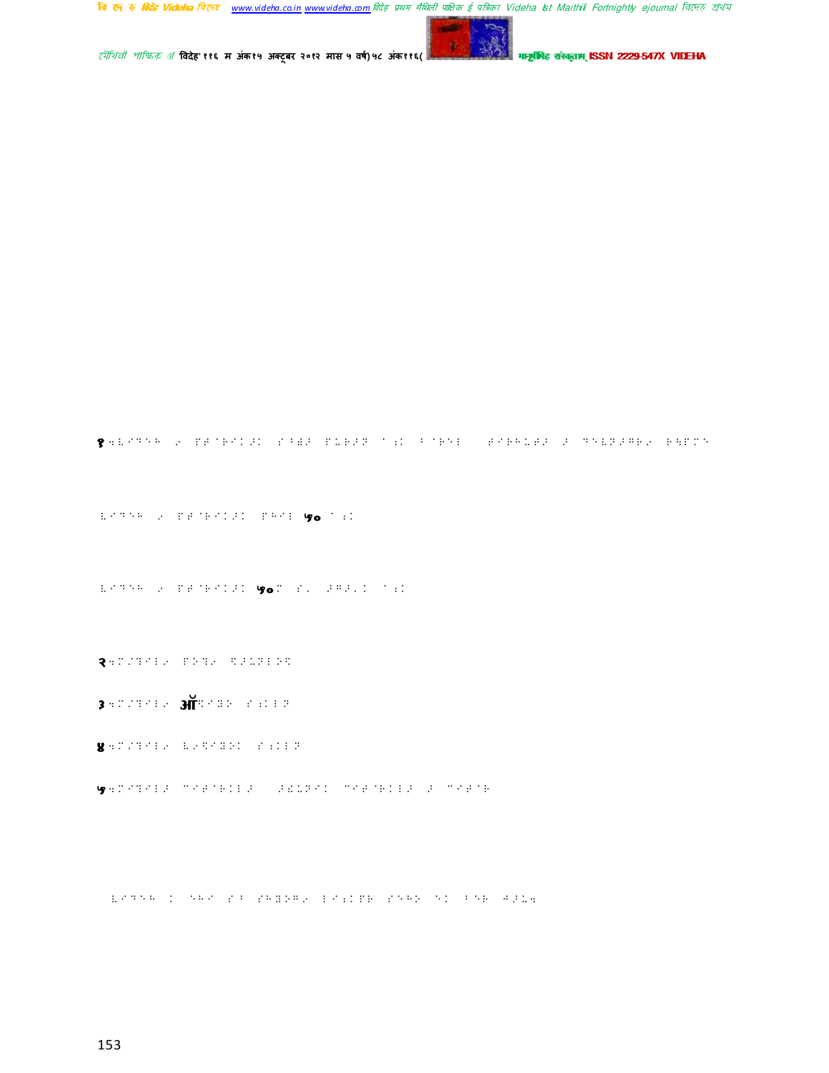

गानुमिह संस्कृतम् ISSN 2229-547X VIDEHA

g en cante de la castillativa dels anteles de tras de castillas estas de la cantella es de entre

ESTAR SUPERINTED PROF 90 TED

ERSPAR DE PRINCIPI MOTORE PRESIDINAT

RADVERSO ENERGISHERS

 $3$  equipments  $3\overset{\circ}{\textbf{H}}$  where  $\mathbb{R}^3$  and  $\mathbb{R}^3$ 

generals assembly rates.

generate inventors is spoken inventors in inventor

TERMINE CONNECTING CONSIDER CONSIDERATION OF A PROPERTY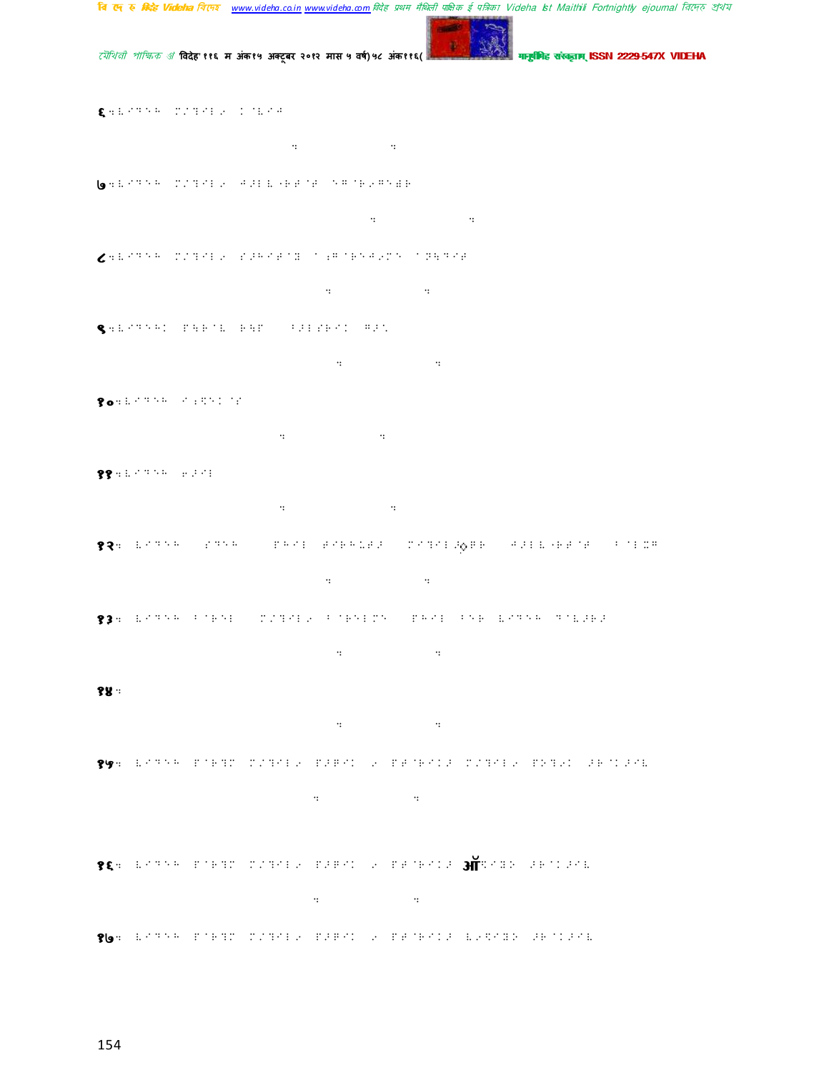CHERMAN TITER AND INC.

ius;00wjefibrvij $\mathcal{O}(\log n)$ 

७⣒⣇⢹⢳!#⣙2⢴!⢺⢼2⣇?⢷⢾⢾!⢻⢷⢴⢻⣞⢷!;!!

iuuq;00wjefib.bhhsfhbups⣒cmphtqpu⣒dpn0!

८⣒⣇⢹⢳!#⣙2⢴!"⢼⢳⢾⣝!⣐⢻⢷⢺⢴!⢽⣓⢹⢾!

iuuq;00nbeivcboj.bsu⣒cmphtqpu⣒dpn0!

Seletive: Teach a same surfaced server

iuuq;00hbkfoesbuiblvs⣒cmphtqpu⣒dpn0!

१०⣒⣇⢹⢳!⣐⣋"!!;!!

iuuq;00wjefib234⣒cmphtqpu⣒dpn0!

११⣒⣇⢹⢳!⢶⢼2!;!!

ius;00wjefib234<br/>  $\sim$  0.00%  $\mu$  0.00%  $\mu$ 

१२⣒!⣇⢹⢳;!"⢹⢳!;!'⢳2!⢾⢷⢳⣅⢾⢼!)⣙2⢼◌़⢿⢷\*!⢺⢼2⣇?⢷⢾⢾!)2⣍⢻\*!!

ius;00wjefib.tbefib.tbefib.tbefib.tbefib.tbefib.tbefib.tbefib.tbefib.tbefib.tbefib.tbefib.tbefib.tbefib.tbefi

iuuq;00wjefib.bsdijwf⣒cmphtqpu⣒dpn0!

१५⣒!⣇⢹⢳!'⢷⣙!#⣙2⢴!'⢼⢿!⢴!'⢾⢷⢼!#⣙2⢴!'⢵⣙⢴!⢼⢷⢼⣇!

iuuq; $\alpha$ opuij $\alpha$ 

iuuq;00wjefib.bvejp⣒cmphtqpu⣒dpn0!

१६⣒!⣇⢹⢳!'⢷⣙!#⣙2⢴!'⢼⢿!⢴!'⢾⢷⢼!ऑ⣋⣝⢵!⢼⢷⢼⣇!

१७⣒!⣇⢹⢳!'⢷⣙!#⣙2⢴!'⢼⢿!⢴!'⢾⢷⢼!⣇⢴⣋⣝⢵!⢼⢷⢼⣇

१३⣒!⣇⢹⢳;⢷2;!#⣙2⢴!⢷2;!'⢳2!⢷!⣇⢹⢳!⢹⣇⢼⢷⢼!

iuuq;00wjefib.csbjmmf⣒cmphtqpu⣒dpn0!

 $\mathbf{S} \mathbf{W}$ 

154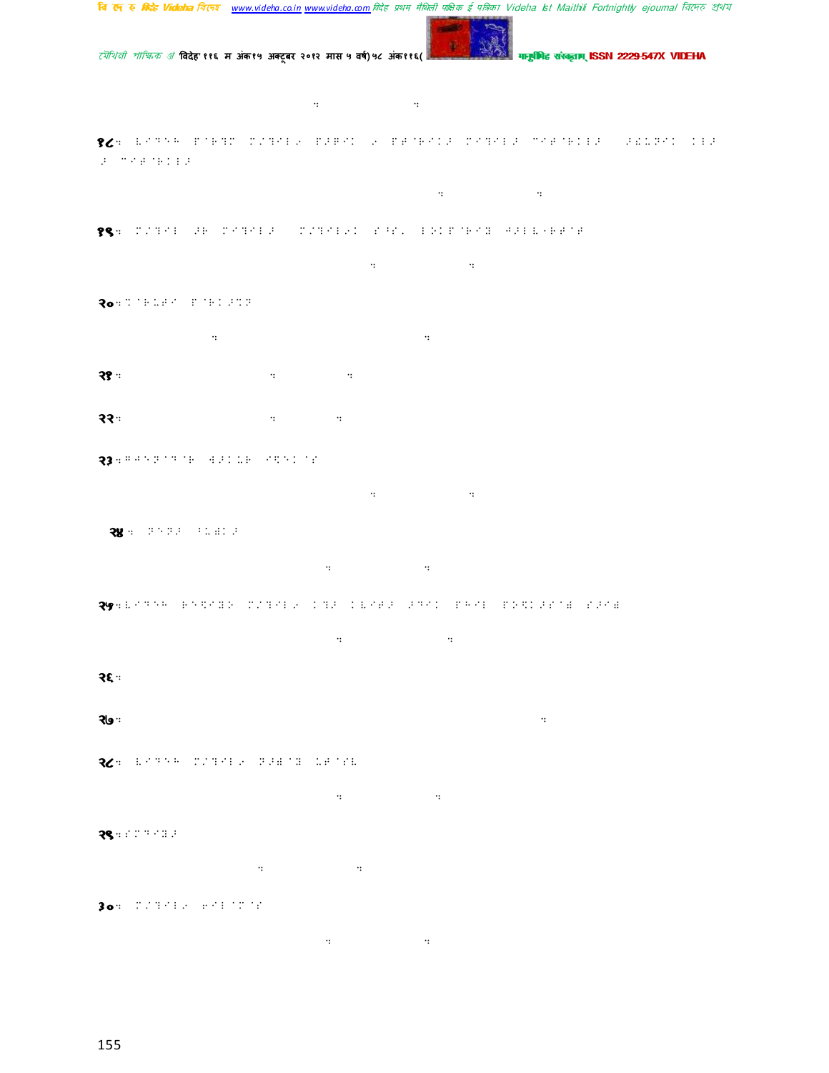iuuq; $\alpha$ oobjefib.wi $\alpha$ 

१८⣒!⣇⢹⢳!'⢷⣙!#⣙2⢴!'⢼⢿!⢴!'⢾⢷⢼!⣙2⢼!/⢾⢷2⢼-!⢼⣎⣅⢽!2⢼! ⢼!/⢾⢷2⢼!

iuuq;00wjefib.qbjoujoht.qipupt⣒cmphtqpu⣒dpn0!

१९⣒!#⣙2!⢼⢷!⣙2⢼!)#⣙2⢴!"⢸"C!2⢵'⢷⣝!⢺⢼2⣇?⢷⢾⢾\*

iuuq;00nbjuijmbvsnjuijmb⣒cmphtqpu⣒dpn0!

२०⣒⣉⢷⣅⢾!'⢷⢼⣉⢽!

ius;00xxx quadro dipno dpn0. Antiquo quadro dipno dipno dipno dipno dipno dipno dipno dipno dipno dipno dipno

२१ चिकित्सा समिति होती है। अन्य कारण का समिति होती है। अन्य कारण का समिति होती है। अन्य कारण का समिति होती है।

२२ $\pi$ 

२३⣒⢻⢺⢽⢹⢷!⣚⢼⣅⢷!⣋"!!

iuuq;00hbkfoesbuiblvs234⣒cmphtqpu⣒dpn!

२४⣒!⢽⢽⢼!⢸⣅⣞⢼!

iuuq;00nbohbo.libcbt⣒cmphtqpu⣒dpn0!!!!

300 and the second term of the second second term of the second second second second second second second second

iuuq;00wjefib234sbejp⣒xpseqsftt⣒dpn0!

२ $E$ ः

२७ मा सामान्या सामान्या सामान्या सामान्या सामान्या सामान्या सामान्या सामान्या सामान्या सामान्या सामान्या सामान

२८⣒!⣇⢹⢳!#⣙2⢴!⢽⢼⣞⣝!⣅⢾"⣇!

iuuq;00nbjuijmj.esbnb⣒cmphtqpu⣒dpn0!!

२९ चन्द्र सामान्य अ

iuuq;00ftbnbbe⣒cmphtqpu⣒dpn0!!!

3om #224242 Particle Parties

iuuq;00nbjuijmjgjmnt⣒cmphtqpu⣒dpn0!!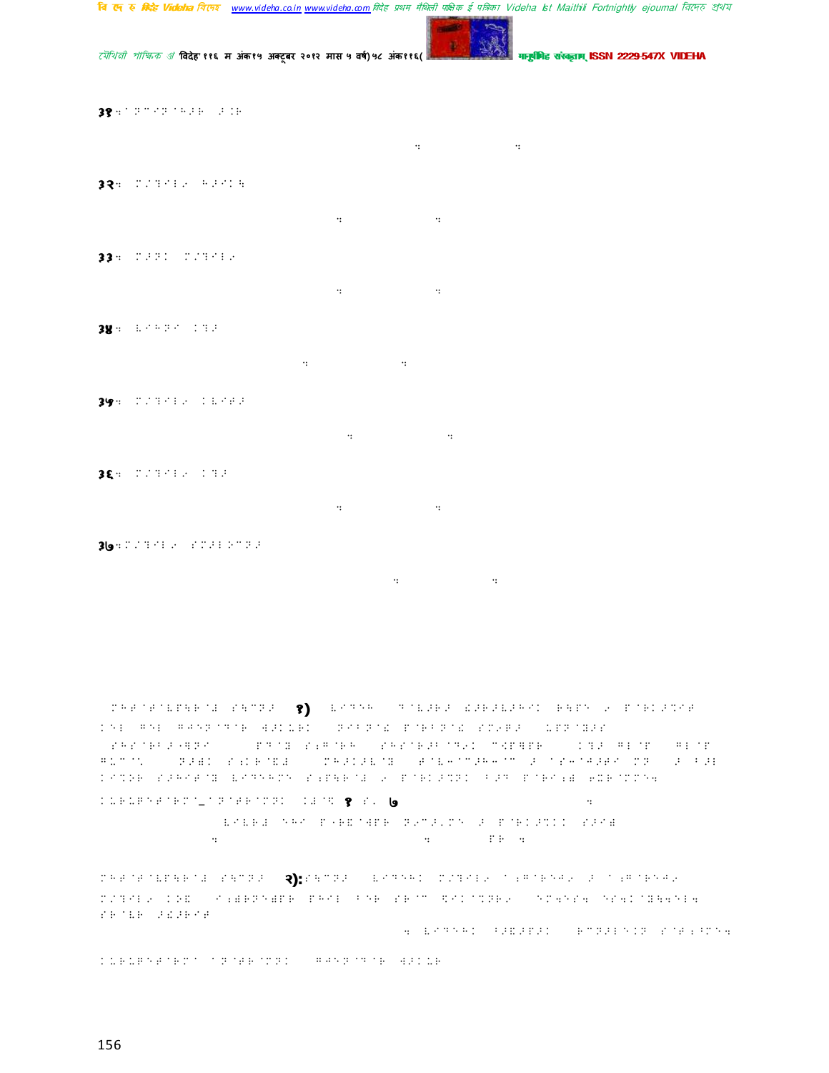⣅⢷⣅⢿⢾⢷!⢽⢾⢷⢽.!⢻⢺⢽⢹⢷!⣚⢼⣅⢷!

U HE TE TURE EN LIGE TRANSPORT I DE LA PRESENCIA DE LA PRESENCIA DE LA PRESENCIA #⣙2⢴!⢵⣏!)⣐⣞⢷⢽⣞'⢷!'⢳2!⢷!"⢷/.⣋⣉⢽⢷⢴\*!⣒"⣒!"⣒⣝⣓⣒2⣒! "⢷⣇⢷!⢼⣎⢼⢷⢾!.Cbtfe!po!nt.trm!tfswfs!Nbjuijmj.Fohmjti!boe! Fohmjti.Nbjuijmj!Ejdujpobsz⣒!⣇⢹⢳!⢸⢼⣏⢼'⢼.!⢷/⢽⢼2⣈⢽!"⢾⣐⢸⣒!

:1883:.8.7!⣇⣇⢷⣜!⢳!'?⢷⣏⣚'⢷!⢽⢴/⢼C!⢼!'⢷⢼⣉!"⢼⣞! ius;00xxx international and the control of the control of the control of the control of the control of the control of the control of the control of the control of the control of the control of the control of the control of

!⢳⢾⢾⣇'⣓⢷⣜!"⣓/⢽⢼;)१) (⣇⢹⢳(!⢹⣇⢼⢷⢼!⣎⢼⢷⢼⣇⢼⢳!⢷⣓'!⢴.'⢷⢼⣉⢾! 2!⢻2!⢻⢺⢽⢹⢷!⣚⢼⣅⢷!!⢽⢽⣎.'⢷⢽⣎."⢴⢿⢼-!⣅'⢽⣝⢼"! )"⢳"⢷⢼?⣛⢽\*!-!'⢹⣝."⣐⢻⢷⢳!)"⢳"⢷⢼⢹⢴!/⣊'⣛'⢷\*-!⣙⢼.⢻2'!)⢻2'. ⢻⣅/⣁\*-!⢽⢼⣞)"⣐⢷⣏⣜\*-!⢳⢼⢼⣇⣝!)⢾⣇⢲/⢼⢳⢲/!⢼!"⢲⢺⢼⢾!⢽\*!⢼!⢼2. ⣉⢵⢷!"⢼⢳⢾⣝!⣇⢹⢳!"⣐'⣓⢷⣜!⢴.'⢷⢼⣉⢽!⢼⢹!'⢷⣐⣞!⢶⣍⢷⣒!

३७⣒#⣙2⢴!"⢼2⢵/⢽⢼! ius;00nbjuijmj.tbnbpdiobalis;00nbjuijmj.tbnbpdiobalis;00nbjuijmj.tbnbpdiobalis;00nbjuijmj.tbnbpdiobalis;00nbju

⣅⢷⣅⢿⢾⢷–⢽⢾⢷⢽!⣈⣜⣋.१ "C!७ Dpncjofe!JTCO!Op⣒:89.92.

३६⣒!#⣙2⢴!⣙⢼!

38 चा सार में सार पर सार

३१⣒⢽/⢽⢳⢼⢷!⢼⣈⢷!

iuuq;00wjibojlbuib⣒cmphtqpu⣒jo0! ३५⣒!#⣙2⢴!⣇⢾⢼!

iuuq;00nbjuijmj.lbwjubijmj.lbwjubijmj.lbwjubijmj.lbwjubijmj.lbwjubijmj.lbwjubijmj.lbwjubijmj.lbwj

३३⣒!⢼⢽!#⣙2⢴! iuuq;00nbobl.nbjuijmj⣒cmphtqpu⣒dpn0!

iuuq;00bodijoibsblibslpmlbub⣒cmphtqpu⣒dpn0!! ३२⣒!#⣙2⢴!⢳⢼⣓!

वि एत् रू **मितेह Videha** विएक www.videha.co.in www.videha.com विदेह प्रथम मैथिली पाक्षिक ई पत्रिका Videha Ist Maithili Fortnightly ejournal तिएक रोशेग

iuuq;00nbjuijmj.ibjlv⣒cmphtqpu⣒dpn0!!

iuuq;00nbjuijmj.lbuib⣒cmphtqpu⣒jo0!

*त्रीशिती পাफ़िक अ*विदेह'११६ म अंक१५ अक्टूबर २०१२ मास ५ वर्ष)५८ अंक११६( सालामह संस्कृतिक संस्कृतम् ISSN 2229-547X VIDEHA

156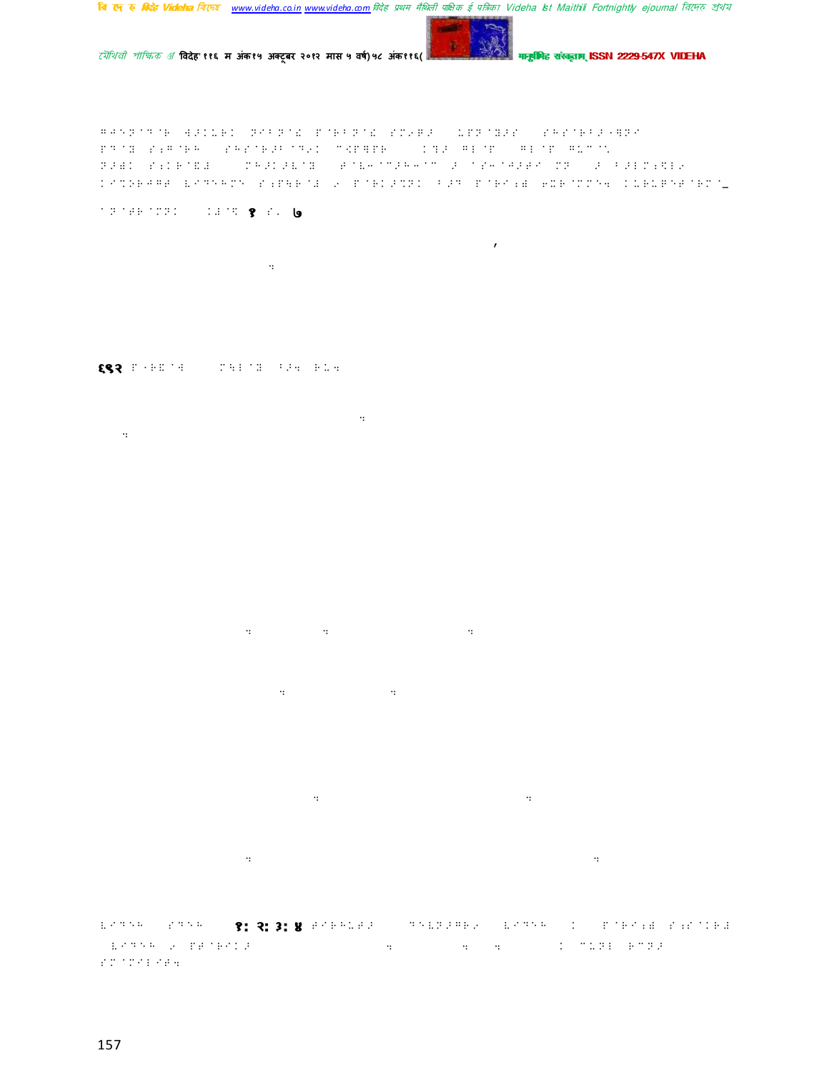LESSES CONSERVES (1919) 8:31 8 PREPARA CONSERVERS COMPANY OF CONTRACTOR POSTAGE  $\label{eq:3.1} \mathbb{E}\left[ \mathcal{L}^{(1)}\mathcal{F}^{(2)}\mathcal{F}^{(3)}\right] = \mathcal{L}^{(1)}\left[ \mathcal{L}^{(2)}\mathcal{F}^{(3)}\mathcal{F}^{(3)}\right] + \mathcal{L}^{(2)}\left[ \mathcal{L}^{(3)}\mathcal{F}^{(3)}\right] = 0 \quad ,$ control of the control of the control of the CDT and the CDT and the control of the CDT and the CDT and the CDT 

157

 $\sim 200$ 

 $\sim 200$  km  $^{-1}$  $\sim 200$ 

 $\sim 200$  km  $^{-1}$ and the control of the

**CHARLES CONTRACTOR** 

 $\sim 200$  km  $^{-1}$ 

 $\sim 200$ 

ESR PARENT CONTRENE PARTIELS

 $\sim 10^{-7}$ 

**CONTRACTORS** CONTROL 2010 10

RANDITE TELLADOGEO LORE DI GLI PITER DI GLI VIDARDI LI GODI GODO LI VIRGI TERDARDA. and the care telescope and even in the second order of the content of the components of duas caracensa con deus usos canalendaes no un navendual codo un rus das especial CANDERARE (ERNARDA) ESPERIO DO PORTECIONO CANDO PORCEE GENETICAS COBERTENTES.

 $\mathcal{L}$ 

 $\sim 1000$  km s  $^{-1}$ 

ट्येथिती शांक्रिक औ विदेह' ११६ म अंक१५ अक्टूबर २०१२ मास ५ वर्ष) ५८ अंक११६(

मानुमीह संस्कृतम् ISSN 2229-547X VIDEHA

 $\sim 200$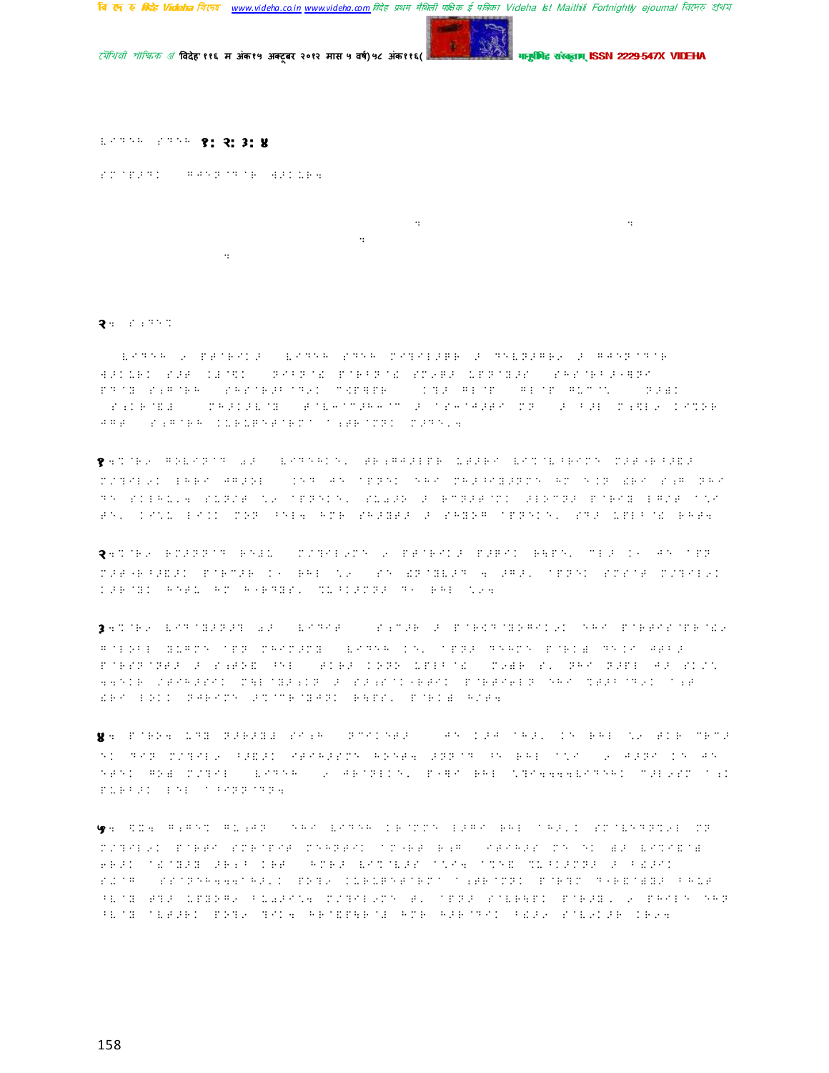चि एक रू क्रिड Videha विएक www.videha.co.in www.videha.com विदेह प्रथम मैथिली पाक्षिक ई पत्रिका Videha Ist Maithili Fortnightly ejournal तिएक शेश्रेय

ट्येंथिनी शांक्षिक अं विदेह' ११६ म अंक१५ अक्टूबर २०१२ मास ५ वर्ष) ५८ अंक११६(

मानुबंधिह संस्कृतम् ISSN 2229-547X VIDEHA

ESTAR ETAR 81 31 8

and the experiment end of the search and the ex-

 $\mathcal{M}_{\mathcal{A}}$  $\mathcal{M}_{\mathcal{A}}$  $\cdot$  :  $\mathcal{M}_{\mathcal{I}}$ 

 $2.4 - 2.43333$ 

"我对这个书,这个的是不是对公司。"我对这个书,就是个科学的对象是对我的一项。这个是我的理由是一项,并且不是不是不是 A 2010 E 1 - VIVET DE 1801 - IL PREPIDE DI TERRITO DI VIVEVI DE PODIZIONI I IL VERI DERIVERATO rang rienes (resources and the compress) **CONSTRUCTION AND PERMITS CONSTRUCT** Seattle recall in the adjacted in land recompension (as in exchange in the initial and adjacted in the be-A RACIO SOBRITA A LOS SALABRAS DE CONSTITUIDOS DO SERVO AL

●海岸 1960年 中央公司支付中心公司 (1) 公司中外部公司 (1) 国际经典学习的研究员 公司法院的 化电动力 100 平均位置 化乙基苯胺 医牙腔支气管 TITERESI ERRA PROGETTIIN TAATURSI NAA TERSETTA ERRATTI ATTISID ERRITTEET ISA SELERGIA SEGRIA INA INERALAJ SEGURA LA PRARATOJ DERMAR ENPRESERVA INA RAL INDUSTRIU TAR PARTINAE PAR PRAIREA DE PARAE INTERNATAL PAR UNITENDE PAR

QUESTES ESPERANTE ENEL CONSERVATOR ERIENIA BARNI (PERNICTEA INC. ANCIER DOR HERORI I PIEMOE (1979-EE) NA CINA CONTROVA DE LA COROL INTRADICIDINA CONTROLI CORPORATION ARE STORY ARRESTS TO ACCOUNT A THE PERSON ARE

Sender Ermospher also Ermen The small car in the contractors in the contractor and the state RITEDEE SEDRON TERSORADES EXPNASINAS TRASPARTAMENTALES PAIR AREA an neard note to the agreem of the compact began observed through a compact of the state of an and the compact 海海外工具 人名英格兰法英格兰人名英格兰语法 医红皮 人名卡普 法法律的过去式和过去分词 计数据存储器 医心房病的 人名英法利尔斯法兰人姓氏法利 最新的人主要的是一些讲书的文化,这是这些书的理解是如何的书写的是,我们新的事,并是是在

ge screel bas alassache conservation and the community of each to accept the 医手术 医对象 计数据时间 医三甲状腺性炎 网络罗斯埃尔罗斯 医中枢病毒 医皮肤内障 医特别氏综合征 医肾上腺炎 医皮肤病 计空间 医单位 在基本上, 中新县、农民生产主义、主义生产和"人民", 中新的基本方向, 人名德里德 "中新县", 为生产在海道海道产生在中, 农民主义者农业农业农业 FIREST ENE CORPORAT

● 第一位首先,并且并在某一并在自己的一个方面的,我的其后期,如果你的的方式都是用的,我就是一个方法,如今的时候在其中的方法。 的复 CONTRACTOR TEACHER ACENTRAL CONFIDENTIAL TEACHER AND CONTRACTOR CONTRACTOR AND CONTRACTOR ARAI TETRA DAS PARES DER PROPER ESTERATORES TOS CONTINUES A PRESENT and the collarant the elected of the the constant term of the second term in the finance of elected and the ba "不知了谁,是谁是,怎要谁会开这个人怎么是不会是,你这样不知道怎么,是,一个的是这个的人都会有的了。"我们是这样了,这个的书不知道,他就是 PETE TEBRARI (ESEX ERIG) PRETERBITE POR PARTITALI FERX ETERICA DE LA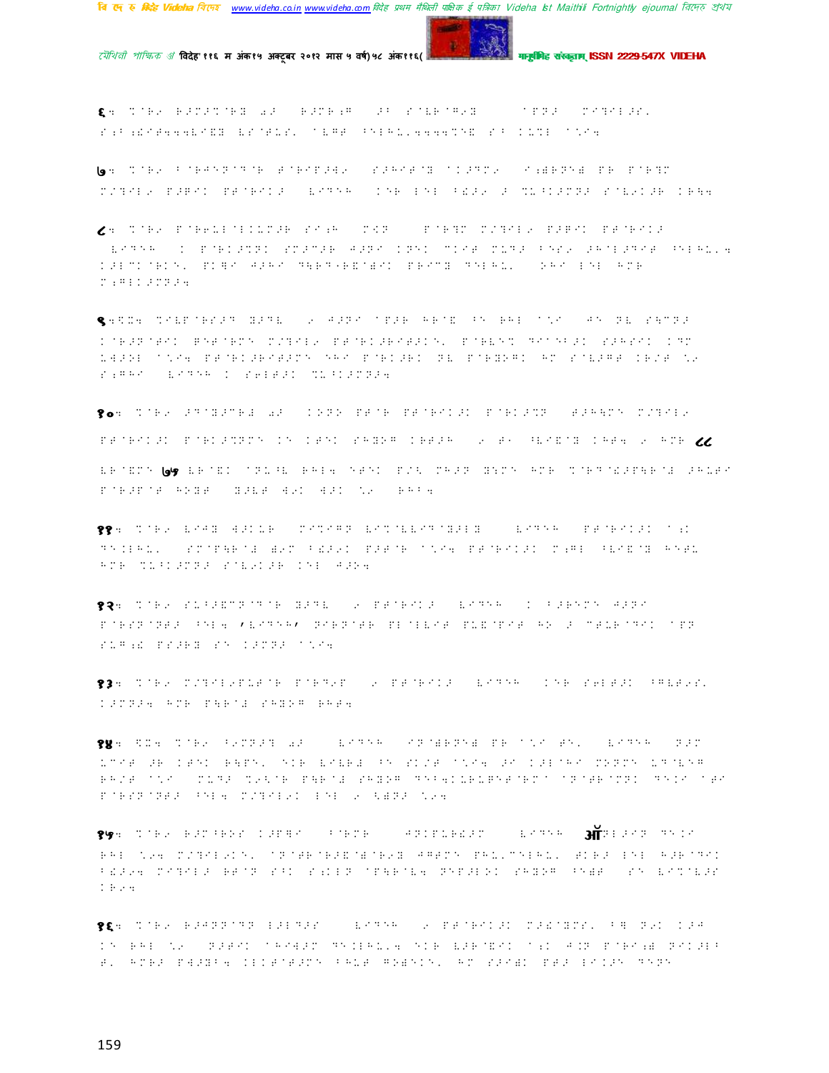मानुबंधिह संस्कृतम् ISSN 2229-547X VIDEHA

ga trak esterned as assemble of starbing **Company medical and** 的复数形式的复数形式和过去分词 机的过去式和过去分词 机甲基二甲基苯甲基乙基甲基苯甲基甲基苯甲基甲基苯基甲基苯甲基甲基

Geomore and the second complete the contract of the contract of the content of the content of the content of the content of the content of the content of the content of the content of the content of the content of the cont CONTRACIONARIA DE TRADICIONARIA E DAR ESTADO FUEL DO CONTRACIONAL DE CORREIA

ZH COMPANY POSPESS MEDICINE SERVER CONSTRUC-**CENTER CONTRACTOR PROPERTY AND ACCUMULATE** SER PARTICIO E DE CADADO PORTABLIA AREA CORADO DO PASSODA A ANGLICAR DE APRILIAREA DO E 1948 TO TACK LINES ARE REPORTED AND TAKEN TO PARTIE THAT ALL IN DARK IS AN UP TAKEN  $T + 931237734$ 

CARDA CHARTERAS BASE (A AARA CHARE FERD IS BEL CONTRACTED REPORT di ne admendimente nebro i burene al releve deneadoro. Il le nebro di romoniadori leanenno i di rom LADER (1978) PRIMING DRAMATING NAME PORTURAL DE PRIMING DATE POLICIER DE LA COL RAPPA CARASSE DORBERT TESTING

**@e** 0162 25182563 a2 10990 feite ferbrid: field 20 -e24655 CC21412 THE TERRITORY IN TECHNOLOGY OF THE STATE OF REPORT OF THE REPORT OF THE REPORT OF THE CONTROL OF THE CONTROL OF as terms (gy as tell that as seas) when the risk results and the most management season TORIE OF PASS CONSIDERATION CONTRACTO

88 a Chinese Castell Cestible Contributed Castellas for the Fall of ○ 由来共存用 ○ 主任の日本の法定 ○ クヨン PROTERIO - VICTORENTE ESCO PERSO PRAETECTORA (PATERISTO COEPE) PERSONO PORO A DA CINNADO DO PORTEGO DA CINA CADARA

●●● "我们要说,学生这些理解的是你的生长,但是想起。" 说,"我是你要对的话。" 电子进行机 计可变 法法庭的的人 网络新式 anderbidees (Frank) variery (bredigen aandaling aang develop is die beskeid op die SECRET PERFIT EN LOCAL CONTRO

CONTRACTOR CENTERAL POSSON (BOB)

 $\mathbb{E}\left[\left\{1,2,3,5,4\right\}\right]=\mathbb{E}\left[\left\{2,2,7\right\}\right]$ **READED AND THE PROPERTY AND IN** ○ 由来共有無限 / 考慮の確実を確定することができない。 在世界基本很重要的生活的过去分词的人。 医生物的主要性的 医多叶 的过去分词 人名德里 人名德里 医中枢性 的复数医的第三面 医生殖病毒 BAZE (154) COSA COSA CORRIE (BABILE BABRA CANABILBER BABCE) (172-188-1721) (ANIX) CBC TO REPORT AND RESIDENCE OF A REPORT OF A STRUCTURE.

γφεί στεν ευρικέν τυπες ι κανεί του καναρύνου του εκανεί αποστασιασ 重要的人 为身份的 的复数经常的过去式和过去分词使用的复数形式 的复数医生感觉病的 的复数的复数形式 医神经管 计算机 电子电子 医单板 计单位的 FEBRUARY DYNNAS DE BARTO PRATTI PRASTO PRINCIPAL O OPTOS DE PRINCIPAL A PRESENTA DE PRINCIPAL  $1.36\pm0.1$ 

◆●● 10.1958 9988889198 998988 11.1989999 11.2088999131 10.8419081 10.991 10.891 10.89 IN BALLAR CORPORATION PRESENTS TO ALL SOME EXPOSED ON CONTROL TO PORTED A CONTRACTOR 第2010年前新闻、新闻课程和每一次生态进行研究前后,中央公司、共享进行工作、工程前、学课课进行、新课课、生产过程等、生产课程。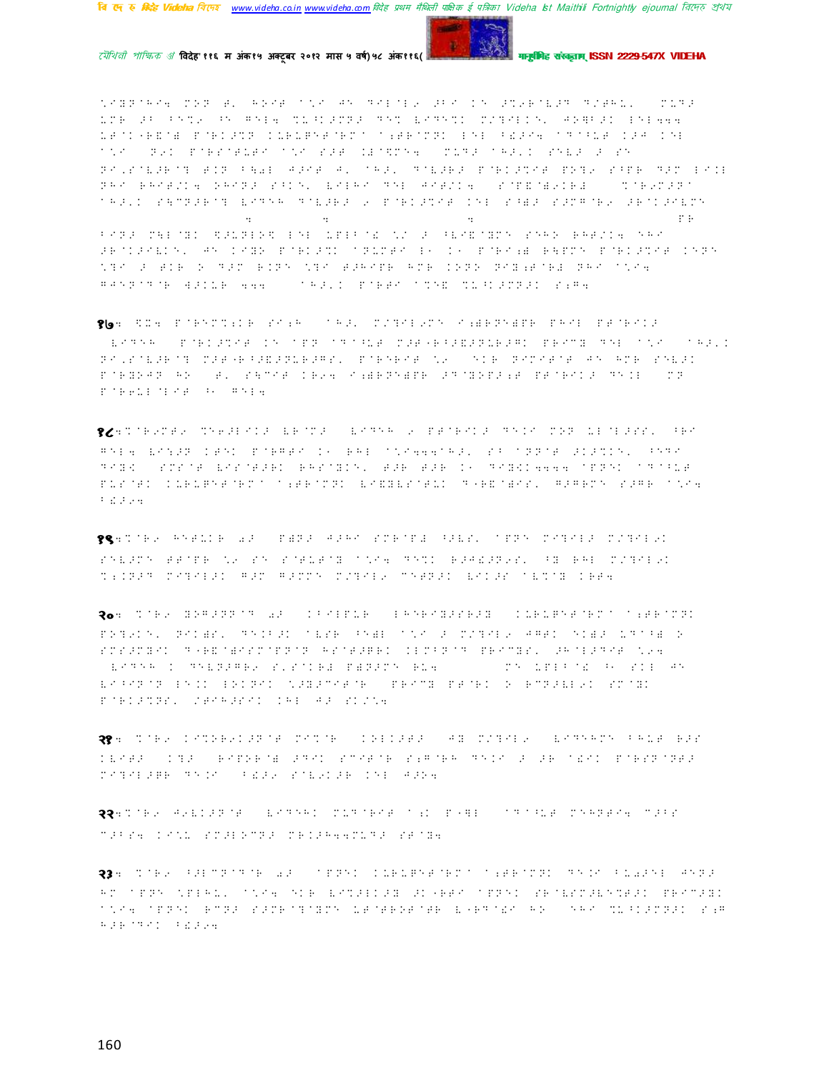गानूबंगिह संस्कृताम् ISSN 2229-547X VIDEHA

人名英格兰姓名姓氏艾克克 法法定 医多染素 人名英格兰姓氏 医格里尔斯氏征 法补偿人员 医上皮型头部 机电子机 医乙基氏反应 人名英格兰人 STRONG PROVINCING PARALOG CONTROL PROVINCING CONTROL PROPERTY INFRARAbe to keep all an teological bebaye technic see to do a wall a power in a tabellook in part The program experience in the carpeler conserved in the program in equation and program  $\epsilon \rightarrow \epsilon \pm \epsilon$ de la regenta de la comeda de ese e del comedio motegedo a recurse e astalo a fare destido a cita den seekend en dendament op de aangen met hen ander en het dat de aan e しせいもっせきせい n Alaud Cona mala en dicia krama Canduae a Color de da darke Cona Cona a a a conada de 20 de no akadem  $\mathcal{H}^{\mathcal{A}}$ FRANK CHE MED SULPERS ENE DIFFINE NO NO A SEREMENT PRAR PARAMENTAL DE MORGEN NU CANCO CER DO ENTERES MONTECHES DE CONCERTE A ESPECIAL EN ENCARA DO NAN 人生的人 法人法工事人 医心脏法的 人名法斯特 人名里的 人民法院的的第三人称单数 人名英格兰人姓氏莫洛的变体 医中枢的 人名英格兰 **BANDING BOARDER BAND START CONFIDENTIAL CONFIDENCIAL ENERGY** 

Results to a construction of the contract of the state of the state of the second ERSANA (CESA) STREDGE SON COMPOSITION COMPARED MANAGEMENT PROPERTY AND CONSERVATION die van talde hiel indial (ein daarde die die vliege een alle vliege van die vliege een van die van talde van ESPERAR PARTIEL SE SERVE LEGGI PER PARENTE DE MARIE EN ENCEPCIO PARE TOUR management and some proposed

SSRU LEGUES (USESERICA) EE LUA (ERUPPE) S EE LEGUESIA (BRICA USA LEE LEGUES) (EES 书内主题,主题作为讲述,工题内如一定的事件是对一定的一事书主,可以是因为每个书讲,一定书,可以讲述的是一讲如果可以为。 o program "我们是我们一定要要了这个主义的人提供我们一起来的了是否在这个主要是我们是这种一点来。"我们是我的海海海海、不要是不如一个男子来的是。 In Danier Condition of the Concern of Services Constitution of the Constantial Competition of the Constantial **大学の先生** 

?Qedies enebie as reads esem prencipalisation prencipalis prencipalis ROBRACO RESERVIDA ROVIRORIA CIONARIO POSTI RARRARANI (PER ROBITATERI) TESTRAR (TRANSEA) RAT RATTA TINASEA (TABRA) ERIAN (ETIDE ISBN)

Ros (1792) defector acoustical and energy consecutor and energy resources ESTATA DE PACERAL PROFINICIONER CROBE CON LA CARRELA PRESIDO ERA CONCREDO ROSPORT COMPRESENTATION CONTROL PROPERTY CONTROL PROCEED ON A SEAMED CAR SERVAN I VANERAREN BOBOIER BERADA BORO OO ODA OBIA 18. AD BIJ AA ER PROTO EN 11 EN 12 ORIO 1200 PRETRO E ERROTO ER PROTO PORTO EL POLITICO ESPECIACIÓN DESPERADO DEL PARTICIPAD

DEVEAU (1930) BREDE ME CARRO EMPERENTEN PROVINCIAL DE CODRO EMPERENTA TRINE ARE CITY ON THE AVENUE ON A SERVE ARE

QQHO 1958 (RSEDSPINE) EKPPED DOS 1989 (1910) EXPEDITOS POR DOSPREKH (PSPE makers of kids, edited the acceptance and heartest

1938年11月11日以上,未来到前期的生活的人,在这个人们的复数时,它们在我国的新的新的时候,但是最有的复数,但是在这个人的公园的是在我们的历史是 AC CEPA CERADI CONA CALA RESPONSO DE PARA CORADO PARTENDENTALA ERATURA n tina i mediato de movo de pede manderal de redevende de electronica el contanto internostico el se 中央电动学的 人名普沃克里尔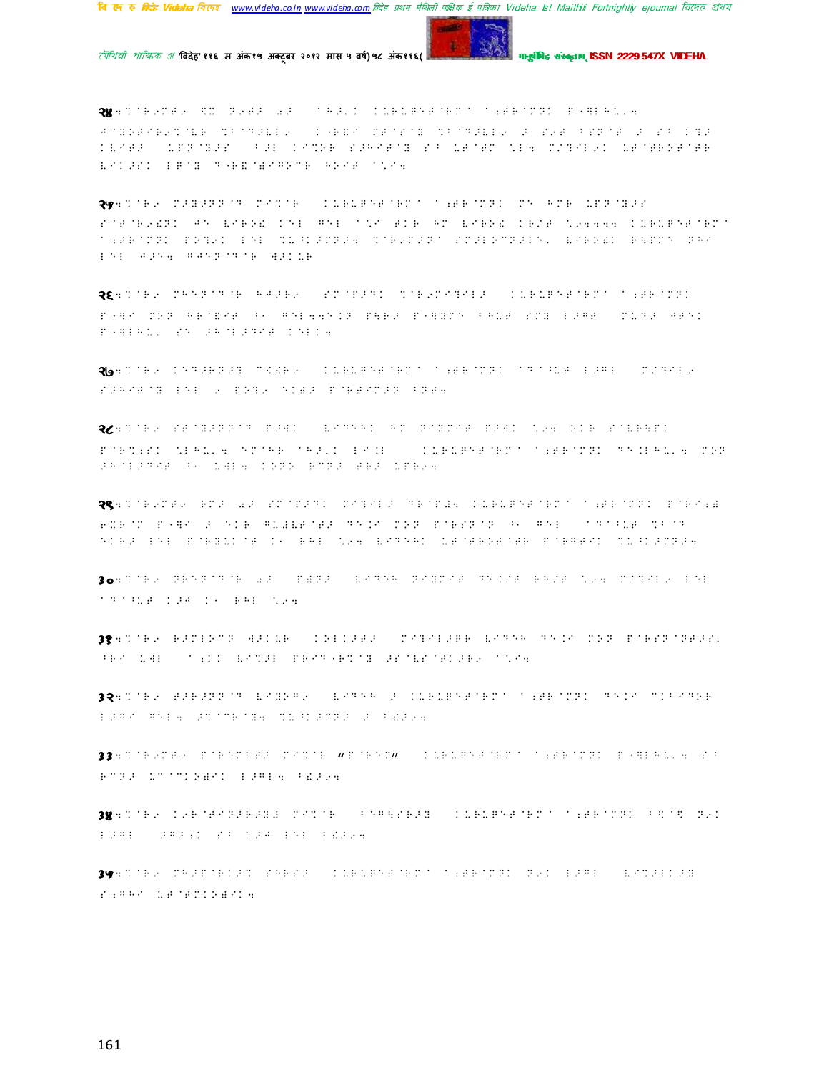

गानूबंगिह संस्कृताम् ISSN 2229-547X VIDEHA

RM RICO RESIDENTIFICATION AND TRANSPORTED TO A CONTINUES AND A CONTINUES AND A CONTINUES. RESERVANCE DE LOS SAVERES COLORES DE SESE ON SAVERES DE LOS RESERVACIONES DE LOS dialera al comportare con a la concerta de energía de camara de la concerta de la caractera e ERISTI EPIS PARTENTERPROTECTIVAL

●● 日本主义 - 本文集文学学学生 - 本文書学長 - 一本会長会長を新生活のプーム活動をつかさむ - 本作者 - 在前期の基本部 ana teu agos em la ceda isma i ema instrucció de les estadas de ser tudo o de ser la partementació n saakindo marangan marka nool koobola mina sooldan marka sindistirisma kale sabili alaannin dikki proposed a series of the control of the series of the series of the series of the series of the series of the

3640 JEAN DESPITE TE LEAREA L'ADITERNI L'OTEADARA A L'ISLES EN POTT L'ISBET DOS 生活性的 的复数人名英格兰姓氏 医无力性脑膜炎 医异戊基苯甲酸医异戊基苯甲基苯基苯甲酸 医血管 医前置 医骨膜炎 人名英格兰人姓氏科 第一月19日, 2010年5月, 1991年, 1992年, 1993年, 199

Response in Salardam (models) in peperantem in the product and a label in momental RUARDENS DR. POST POSS PORT REPORT PORCH

RESIDENCE PROBABING SEARCH Carryan an ershap a real tie bie riearn an reduction to equal in the exchanged of a state of the parameter in the section of the top and the dented the conclusion of the the medium education of the con-

RRADIRADEA (BDA) SA YO TEARIC DYBRIA PERSENYA DESENYATION SER DODO E TEYSSE A DA 10 (ESR) 2001 NORD ROBER 1820 PN COUDS ENTREPORTS (PSP) CONTROL DO TOTAL 医生物学 计主存取 计数字数据数字 计算术工程 医中耳 人名英格兰 电紧接性电压 人名德尔德斯克德尔德斯 计算术 医甲基甲烷 人名克里尔 法定期法庭

3040782 085087979 022 08808 087955 0970078 095078 08508 0234 023408 0346 不进入 经银行的银行的 经人工申请的 化亚胺

That the avitation experience of avitation at a exchange. 注重する 血液的

3340 1998 BARADDON BROSHA CONSTANTA CORONALES DO 1999 1000 CHAIR COLORADO a die konenkale in die konenkale in die die die konenkale verwys. Die konenkale is die konenkale in die konenkale verwys van die konenkale verwys van die konenkale van die konenkale van die van die konenkale van die konenk

3340 1990 89 | ESPOS 89 | DYOTE NE DESDA | | LOBORNE DEDIT | LEBRODO | ESPEROL & ESP angelichtet var: Februare eine

39 40 TRA CLAR NECRARABLE CONTINUES ARRESTED CONFIDERATION CONFIDENTIAL ARCHIVES adea (aera) and a core and a

3980182 TRA TRANSPORT ERREN COLDEDAR GROUP ESTATO DE CAL EXPERIMENTAL PARKS LANGERDAN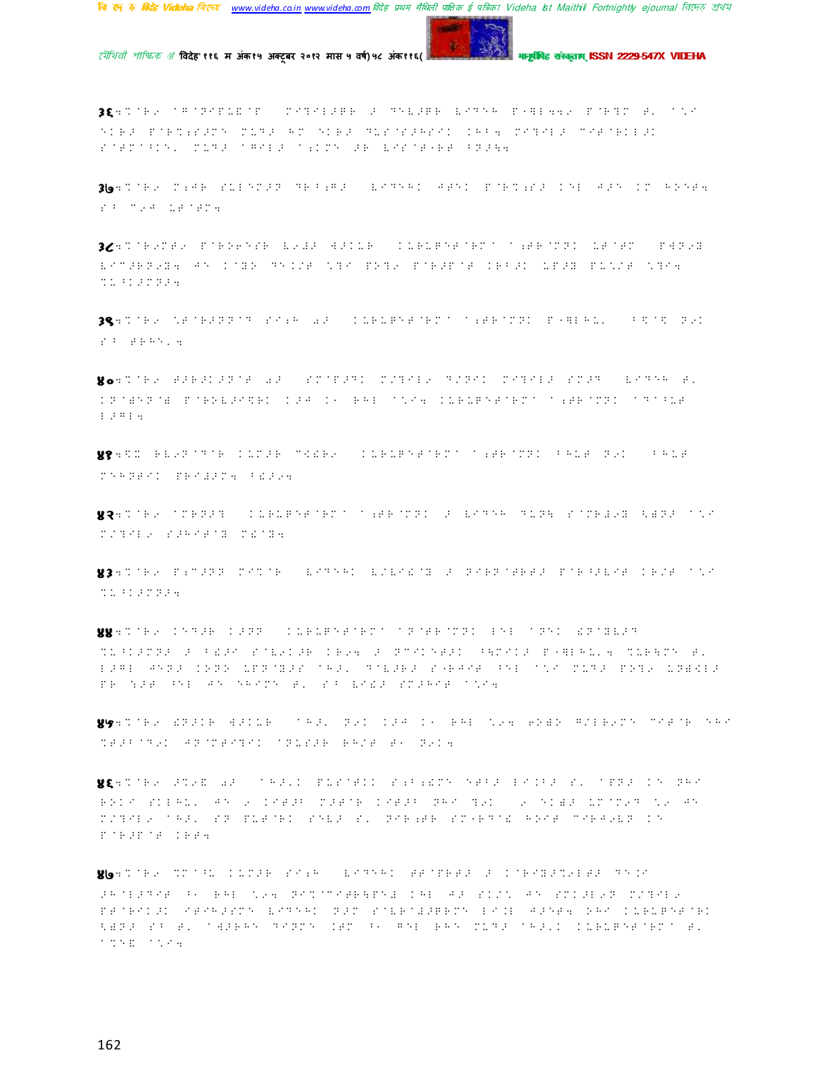

मानुबंधिह संस्कृतम् ISSN 2229-547X VIDEHA

SEACHER TRIPPEDENE CONSIDER DE RESERVE DE LA PROPERTE DE LA PROPERTE DE LA CONSIDERATION A DE 2018 DE DE 2020 A LODORE L'A DIVADE 2018 DE 2020 A DATA EL DOMENE EL DOMENE DE 1920 anachity, completed happy data as available to page

and consideration of the construction

3260 1990 89 | ESPARA EL ESBA RAISA | ISLACENA 190 1 | 1998 1001 | LA 190 | | ERDUE ERTABAGE AN ITER MATCH TORTHOUSE PROFINE A TEACH OF THE PROPERTY **MARTERS** 

354 01 1 8 2 | NB 1 8 2 8 8 1 1 | Y 4 8 | G 2 8 | C 1 0 8 0 8 9 8 1 8 0 1 | T 3 8 8 1 0 0 1 | Y 3 8 8 0 0 1 | Y 3 0 1 0 1 0 2 2 学生 法审判的变形

Rostisk skeker kans av i spirant i publik muder i pedesk spem i akmen ski 1974 SEP DI TELEVISIONES DI SANCIA DE SE CONVECTIDE DE SEVENCO DI SER CORDO CONCRETE 

Masco esperare conde nosse des los pedenerentos esencentos ese edicos. TARBERT TERRIFTH FERRIN

ween telectrologies in the benefier to the entry of the cross or bready in the algorithm of the contracts of a series the contract

MSPOLIER SERVER SAN LE PROPRET EN L'ENFRANCE LE PRESIDENT EN PRESENTAT EN L'ENFRANCE 01001000004

MARCH ARE COMPLETED A SERVE A SERVE A BOSTON AND A SERVE AND LONGITUDE AND CONFIDENTAL A PEDAN ENERGIAE (1894) A CAMAINEAI (PADAIA ENERGIA CODEADN EL BURBE PANDA (1909) LEDITEAR (PAAL) PILABA PAPAPARA PARE (1977) DIPA EPPER LOBBREA TE SARA PAL AN NEVTN AL STE LATA TORRAR STAR

Westface abdie adiibe (thed) bid idea is easy to be easy the model with the technology TRAFINAL PROTECTIVE CONSTANT PROFILER DATA

MERICES STRENGER (1988) TRENCHENDER PRESENTATION IN THE RESERVE TO THE PROPERTY BOSCH STERD, PROCESSING TREPS TREES THAT PROCESS IN A STEAM DISTINCTION CONTRACIONAL CERCEDE MELO ENERGIE DE PARABRICE DE PARA PORTUNISMENTOS **ESPARTE CREW** 

**Bo** a distance of the control of the control of the control of the control of the control of the control of the control of the control of the control of the control of the control of the control of the control of the cont **CARPS FOR BEING BACK OF DIRECT AND ACCOUNT** DA 18 DEVA (1981) AREO NOVA (BRITIS CARABEA DO DAS CADO VIDON CARDO DE ODO INDIANA TER TEKTUAT UN EKPUARTINU EKINYETU DULTU ETERTUARENTINU EKOELU AUNEA UDAKU TOBORINE TET "我虽是这个学生,是,一个是这种中外,其他是的外,还是的一件人,并为到了中央外,的的其他一个中央,如今的的是我的是不是的内心是。 STAR STORE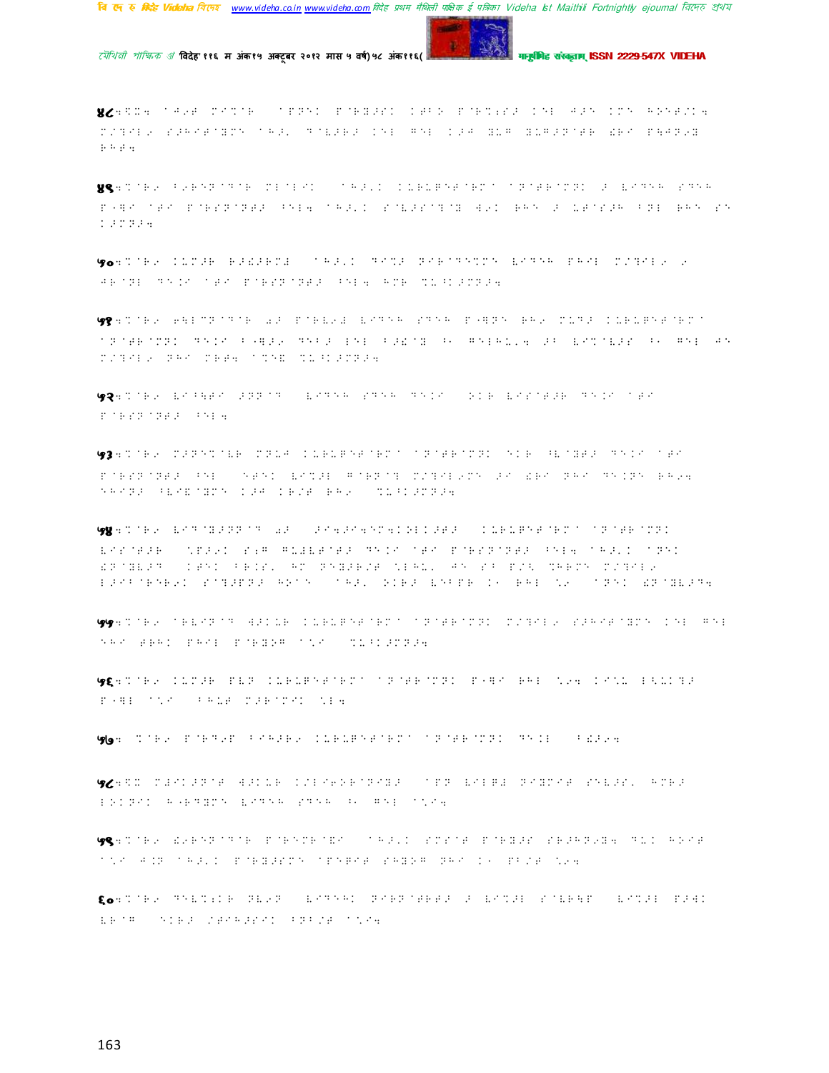

मानुमिह संस्कृतम् ISSN 2229-547X VIDEHA

RZespe neve prote interviewer research cera energy chemiens con experience CONTRACT SOMETHING CHAIN CANADA CONTRACT CORPORED BEAT AND SERVED AND SERVED  $\{1,2,3,4\}$ 

WSender (Frenchende de La Martin de France) de la provincia de la producción de Martin de Martin 电平电流 计算术 电对重式变换器 机甲基苯 计多数 经人民的过去式和过去分词 医卡耳氏反应 电电子 计表示数据 经总额 医单核 电电子电子 197784

World telectricities (education of telectricities are then the factor of the contraction of ABSTREET MINISTERS TO BE SERVED AND A STATE AND RESIDENCE.

WRAINSEL BAETERING AL SE PINELLE ESTAN CETAN PERPACTENT DELTA ILLELEAR PET **不要的是我的要求的。其外交的人来说是这么一件的形式,生存到一支设备的第三人称单数形式或是一边的人生的过去式和过去分词形式。其外交中的生产** DISPOSING PARTNERS IN THE COLLEGE PROP

WRAINS LEASER CREATE LEASER CASSAS AND CONTROL ESTATE AND CASSAS and a sponsor of the second

9340000 - TRANSCORE CORDA CODEDESE ESCOLO ROBETORO SOE CARRIBEA (PSOC) CEC **BORDER PROPERTY** 人名英格兰人姓氏艾迪斯 医甲状腺炎过度 计数据存储 医前外侧皮炎 的复数作为其形式 计特征过程化 电电子程 NAPASA PEPERANTAN SARA SEDELEAN PROPERTY

WARROOT BOOK CONTINUES FOR THE CONTINUES OF THE CONTINUES OF THE CONTINUES OF THE CONTINUES. ERRITARA (1982-2019) REPORTED PRESIDENTS OF THE PREPARATION OF PERSON PRO and the project CORNO PECAS PROGRAMMENTE SON PASSAR PRASTRERA CONTRACTA 主要对于"重点重点"。是"直接要求这一声的气氛"。"不再去。"这次重点,由后来要重点了。 医中枢 计划区 计可变方式 网络美国西班牙港市

www.directiones.creater.cast.be.cr.beceverers.cr.cr.es.cr.es.cr.cr.cr.es.cr.es.can.cr.cr.cr.es.es NAME ARAS CONTRACTOR OR ARE SERVED ON A STRUCTURE

WESTER INTERFERED INFORMATION CONSIDERING PART CASE INVOLVED: PARE SAM SPACE TRESTANCING

**yjo**s (1962) enterpretion (Protected) consideration of the formation that is considered

96480 Carlosa e astualidade presentada intes artea ser antes en astualidade and proposed a set of provincial contracts of the set of the set of the set of the set of the set of the set of

ys and the summarked of the summarked from the summarked of the membership of the second summarked the second TO A 1970 TEACH PHEATER TEACHER PARALLEL PER TO A 1970 AN OVER

Costing (Preters Perry ) entries research and the compensation of the competition approximately resources in the resource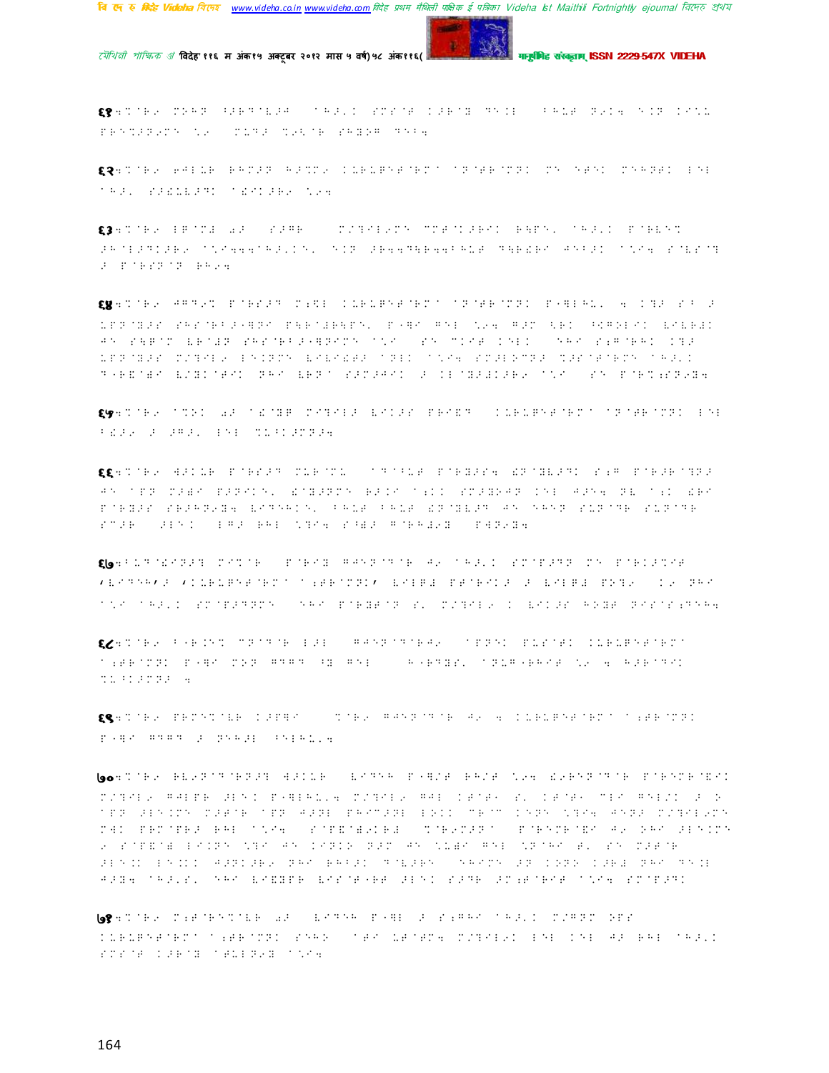

। मानुसीनेह संस्कृतम् ISSN 2229-547X VIDEHA

#@wdies coped thencese conests and decomposed in the content of the state FRANCESCA (NA CONSTRUCCIÓN PRESENTATA)

€₹60 182 | 848 183 | 85 228 | 52 302 | 1 18 1858 1871 | 18 18 812 10 10 | 155 | 5851 | 155 8861 | 856 TRES PRESSURES TRANSPORTATION

EBSTTER BETTER AP 化学 医并关节 **CONSTRUCTS CONFIDENT DEATS: CORP.CO POEDST** de trataria e un torne en els políticos de el especiencia de la elección de la política de trataria de propagana população

CHAIN TEAN PERIAD I ESPARAR I DANS L'OGROBAR TEDITO DE TRES TOROS EN REPORT I A LONGA (2003). 在前期的基本的一定在的不是不要有这个重要在一定在我的基本都会上一定不要的一块存在。 在这里,并没有一支我们一支给用会的不过。 电对电器通信  $\label{eq:G1} \mathcal{O}(n,n) \leq \mathcal{O}(n^2+2n^2+2n^2+2n^2+1) \leq \mathcal{O}(2n^2).$ 进入 的复数机构 医单位注意 的复数的复数形式重复的复数形式 人名英格兰人姓氏格里尔的变体 para radar i porava o la espace la valvadad indaas incluso arqua endo industria racente nello. THE RESERVED DESCRIPTION AND DEPARTMENT OF STRUCK CONTROL CONTROL  $\mathcal{L}^{\mathcal{A}}(\mathcal{L}^{\mathcal{A}}(\mathcal{A})) = \mathcal{L}^{\mathcal{A}}(\mathcal{L}^{\mathcal{A}}(\mathcal{L}^{\mathcal{A}}(\mathcal{L}^{\mathcal{A}})^{\mathcal{A}}), \mathcal{L}^{\mathcal{A}}(\mathcal{L}^{\mathcal{A}}(\mathcal{L}^{\mathcal{A}})^{\mathcal{A}}).$ 

EMMED TROP TO STOLEN TO STREET DYSTALLY END AND REPORTED TO DRIVE THAT TO THE TORD OF THE FERRY ROBBERT ENE CONFIDENCE

@@aditel astice there the code that the reason enters and tracket the enters tree AN TER DRAK ERRYNNING ETBREDN BROK TED FORBRAR ONE HANA PELTED ERK E TROPE (PREPREDE ) ESPARIAL (PRIE PAIE ) ESTORIA DA LA CANDIDA DE TERMINEIR 的复数形式 法主任法人 医甲基二重核苷 人名英格兰人姓氏赫克尔斯 使用某人某人 的复数医生物

Election respute that tells the collection telles in equipment and the resputere VERPANG DIVIDEDENA TECITI SAPETCOLO I EREBE BATERIDO DI EREBIO DATO DI LOCALI TINA TERRI 1992 1893 1894 1905 - LENER ER 18 BRITA EN L'ONIGER EN LIGILIAN DE RESBRITANCE ET PRESER

€Zednes (FREDAD) manale (ESE) (FRASTA (BRA) (TESA) (ESENE) (SEBSERRISO) THEFTING EARN DOOR REPORTS AND CONFERED TO A CONSTRUCTION OF A PORTS TERRITRY H

CC+0182 PROSTER ISBN 1984 - 1985 PRSPINTE PASSA LEDECRSPINT TERTOIRE  $\mathbb{P}^1\times\mathbb{Q}^1\mathbb{P}^1\subset\mathbb{P}^1\mathbb{P}^1\mathbb{P}^1\subset\mathbb{P}^1\subset\mathbb{P}^1\mathbb{P}^1\cup\mathbb{P}^1\subset\mathbb{P}^1\cap\mathbb{P}^1\subset\mathbb{P}^1\subset\mathbb{P}^1\subset\mathbb{P}^1$ 

leo e dine 2008 e a 2019 ne dudio 1931 de 100 a 2019 e 1932 e 1942 e 1942 e 1942 e 1952 e 1963 e 1963 e na 201 CONTRACIONAL E POSSESSO CON PREPIODA CONSTRUISTA E PRESIDENTE A SUS DE PRESIDENTE A SUS TER JAENIEN ERAFTE TER PAARE ERPORARE ESII ONE ON INSPIDIERNAS PORTUGAEISCH TO THE AID ADDITIONAL THE SIDE OF THE AID AND A LOCAL CONTRACTOR SPECTEES EARLY NAME **CAMPEMBATES**  $\mathcal{D} \in \mathbb{N}$ SA PERTENTA PERIODA ENTRE RAY DIRIGIDADE RAY NOVAR PARTICIPAR PAU PER POSSABILA de victo e victo cada cidade da acuada como español con acordo da cidada do de acomposición de ROBERT TROLLES TO RECORDED TREE FROM ORDER TO STARP OR TREAT TO THE SECTION OF

 $\mathsf{G}\mathsf{P}$  and the contract the scale collection in the contract of the scale contract of the contract contract  $\mathsf{C}$ dibabanana din ina aan nood liyo ke 200 may 100 da nada lid daraas diilana lid na 1992. Ana 1993 diin REPORT FOR DEVELOPMENT CONTROL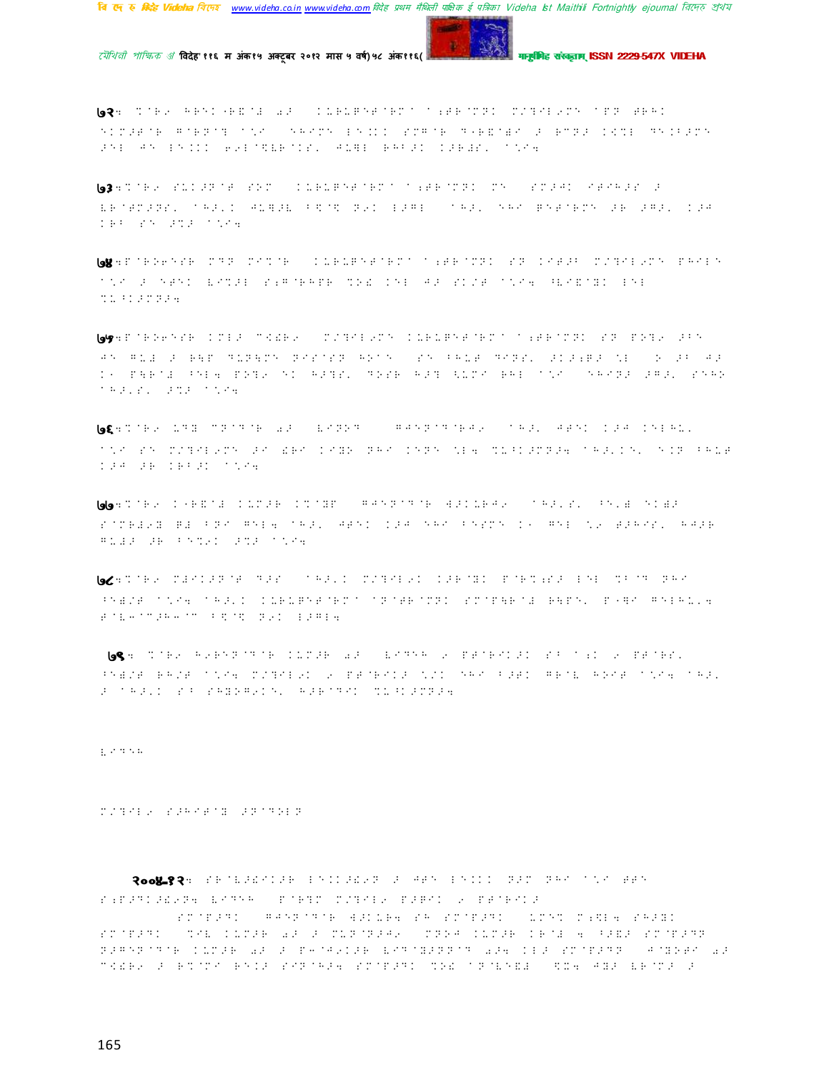

मानुबंधिह संस्कृतम् ISSN 2229-547X VIDEHA

636 TOTEL PERCEPTION AND CONSIDERT CONSISTING CONTROLLER CONTROLLER ACCORPTE PROPOSE CONTRACTOR EN DOCUMENTE PROPERTENCIAL ESPACIONAL PROPOSE SAN FRANCISCO PRESENTED PARE PRAIRING AND CONTROL CONTROL

6360182 SALES ARE SERVE TRANSPORTED TO SAFTORE TO A LISTARE SPARAGE A 主要的是的法庭的。这个书法,如今我们在法院的书房的第一类法的,主法书主的一个书法,一个书的一书写是的书的书,法书的法书法,一定法书 1983 200 202 202 4

letter tedense under nondige und besiehend in the entreprise and to east increase on the east TOR DE PARIS ERDEE VELETERE DOS ISPE PAS VIVA TORPOSAR PERSON ENE ministeration

er de se ser la presidencia de la constanta apsolables eser por la españa por la presidencia el AN PERSON PRESTREENTY PRESENTED AND NORTHERN PROFINSIONS ARE ANNO ing a provincia IN TEECH CONFERENCE NI PASSAL PARE PASSAL CONVERT TO A PARAGUAL ARAL SAN 大きさしめい つきのおうかん 名前

lefections in the components and constructions of  $\mathcal{L}=\mathcal{L}(\mathcal{L}(\mathcal{L}(\mathcal{L}(\mathcal{L}(\mathcal{L}(\mathcal{L}(\mathcal{L}(\mathcal{L}(\mathcal{L}(\mathcal{L}(\mathcal{L}(\mathcal{L}(\mathcal{L}(\mathcal{L}(\mathcal{L}(\mathcal{L}(\mathcal{L}(\mathcal{L}(\mathcal{L}(\mathcal{L}(\mathcal{L}(\mathcal{L}(\mathcal{L}(\mathcal{L}(\mathcal{L}(\mathcal{L}(\mathcal{L}(\mathcal{L}(\mathcal{L}(\mathcal{L}(\mathcal{L}(\mathcal{L}(\mathcal{L}(\mathcal{L}(\mathcal{$ "不会不可能在一定的生命的反应的。"这是一些事件,如果在我们是有些人的女性的人的生命,而且这么是我是这样的人都是我的女性,但是是一种有些是 工具中には新して新規は100万人で行

Todo of the suit of electric in the second transportation of the consequence of the suitable to the second second second second second second second second second second second second second second second second second sec andeala ea fer en español de la aprovisión de la servición estadounidade en la provisión 中心はは、日本の中へのよび、ほのようかなども

NARCH TREAS CONTROL OF THE CONTROL OF STATE AND DEVELOPED TRANSPORTED TO A THEORY OF THE CONTROL OF THE CONTROL OF THE CONTROL OF THE CONTROL OF THE CONTROL OF THE CONTROL OF THE CONTROL OF THE CONTROL OF THE CONTROL OF TH 法在审计的 人名德格兰人姓氏克兰人姓氏的变体地名 使某人人 人名德德利 的复数人名英格兰人姓氏克莱克 医有机能力 的复数电视 医有生物血管瘤  $\mathcal{G}^{-1}(\mathbb{E}[\mathcal{H}^{(1,0)}(\mathbb{P}^{\mathcal{H}}(\mathcal{H}^{(1,0)}(\mathbb{P}^{\mathcal{H}}(\mathbb{P}^{\mathcal{H}}(\mathbb{P}^{\mathcal{H}}(\mathbb{P}^{\mathcal{H}}(\mathbb{P}^{\mathcal{H}}(\mathbb{P}^{\mathcal{H}}(\mathbb{P}^{\mathcal{H}}(\mathbb{P}^{\mathcal{H}}(\mathbb{P}^{\mathcal{H}}(\mathbb{P}^{\mathcal{H}}(\mathbb{P}^{\mathcal{H}})))\mathbb{P}^{\mathcal{H}}(\mathbb{P}^{\mathcal{$ 

GOS RELATED PROPERTY TRESTATION SERVER DESCRIPTION OF TRANSPORTS AND CONSTRUCTION SPABOR (BROR) TO CALCOVERE 21 C2 (SER 1971) A COUNTRACT FORD CREATE (RACE) TO CALCORD de tedit at angelicito editorial de la componentación

approach.

CONTRA CONTRACTO DE CARDIO

Rook-RRM we have covered a stopped by the state of the part of the mean RABASIANAS ERRA (PRAGA) ESTERIO DIREGENTE ARTERIO A ERRAENIA

SCOTT ARRESTS TRANSPORTED A ACCEPT SOME SOCIETARES TO DO NOT COSTERE STARRED and the project i tre i potak laa la todanaak. I taba bootak pelita la laada kontrata RAFER CRIP (1008) Las Salva (Persealable 10001000000) adellibra (201000000) especial mases is entry extra and samples spress. The internal except and substantial and